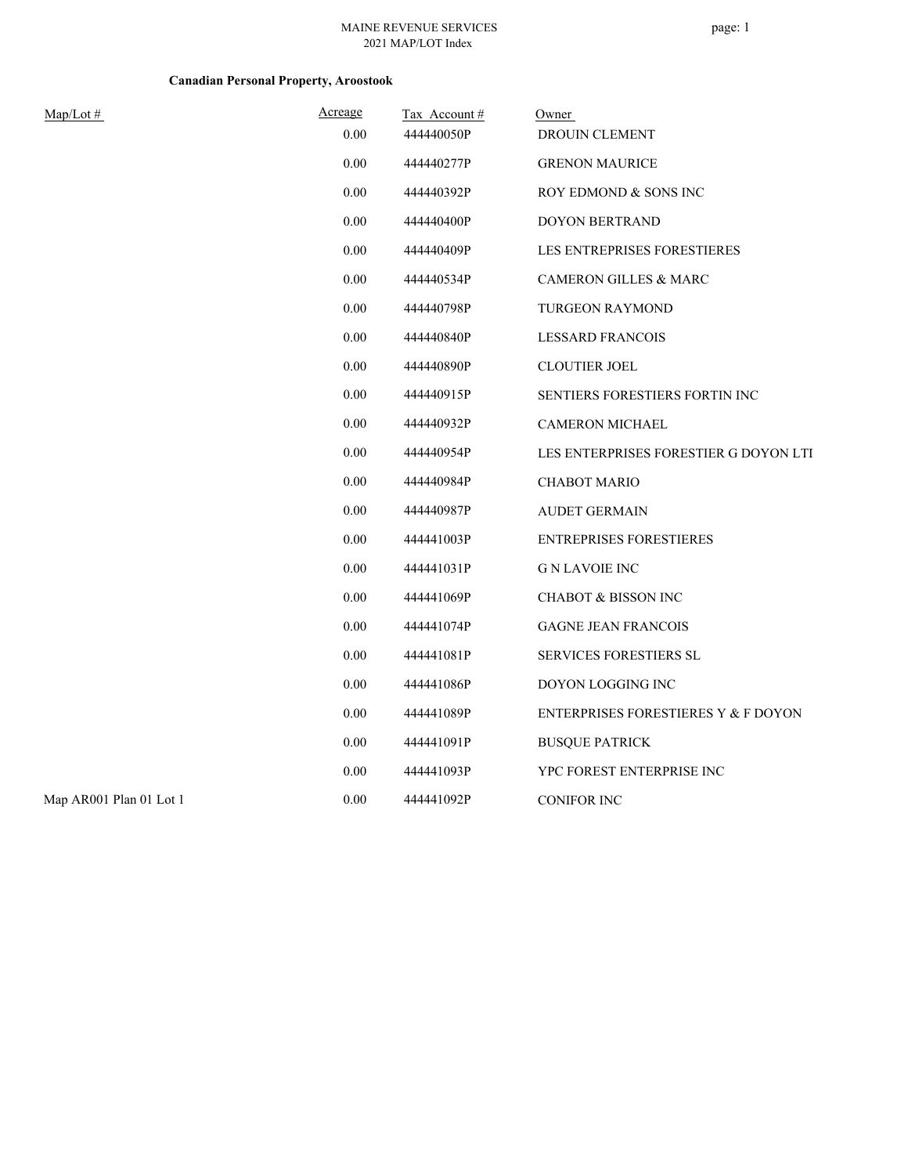## **Canadian Personal Property, Aroostook**

| Map/Lot#                | Acreage | Tax Account# | Owner                                 |
|-------------------------|---------|--------------|---------------------------------------|
|                         | 0.00    | 444440050P   | DROUIN CLEMENT                        |
|                         | 0.00    | 444440277P   | <b>GRENON MAURICE</b>                 |
|                         | 0.00    | 444440392P   | ROY EDMOND & SONS INC                 |
|                         | 0.00    | 444440400P   | <b>DOYON BERTRAND</b>                 |
|                         | 0.00    | 444440409P   | LES ENTREPRISES FORESTIERES           |
|                         | 0.00    | 444440534P   | <b>CAMERON GILLES &amp; MARC</b>      |
|                         | 0.00    | 444440798P   | <b>TURGEON RAYMOND</b>                |
|                         | 0.00    | 444440840P   | <b>LESSARD FRANCOIS</b>               |
|                         | 0.00    | 444440890P   | <b>CLOUTIER JOEL</b>                  |
|                         | 0.00    | 444440915P   | <b>SENTIERS FORESTIERS FORTIN INC</b> |
|                         | 0.00    | 444440932P   | <b>CAMERON MICHAEL</b>                |
|                         | 0.00    | 444440954P   | LES ENTERPRISES FORESTIER G DOYON LTI |
|                         | 0.00    | 444440984P   | <b>CHABOT MARIO</b>                   |
|                         | 0.00    | 444440987P   | <b>AUDET GERMAIN</b>                  |
|                         | 0.00    | 444441003P   | <b>ENTREPRISES FORESTIERES</b>        |
|                         | 0.00    | 444441031P   | <b>G N LAVOIE INC</b>                 |
|                         | 0.00    | 444441069P   | <b>CHABOT &amp; BISSON INC</b>        |
|                         | 0.00    | 444441074P   | <b>GAGNE JEAN FRANCOIS</b>            |
|                         | 0.00    | 444441081P   | SERVICES FORESTIERS SL                |
|                         | 0.00    | 444441086P   | DOYON LOGGING INC                     |
|                         | 0.00    | 444441089P   | ENTERPRISES FORESTIERES Y & F DOYON   |
|                         | 0.00    | 444441091P   | <b>BUSQUE PATRICK</b>                 |
|                         | 0.00    | 444441093P   | YPC FOREST ENTERPRISE INC             |
| Map AR001 Plan 01 Lot 1 | 0.00    | 444441092P   | <b>CONIFOR INC</b>                    |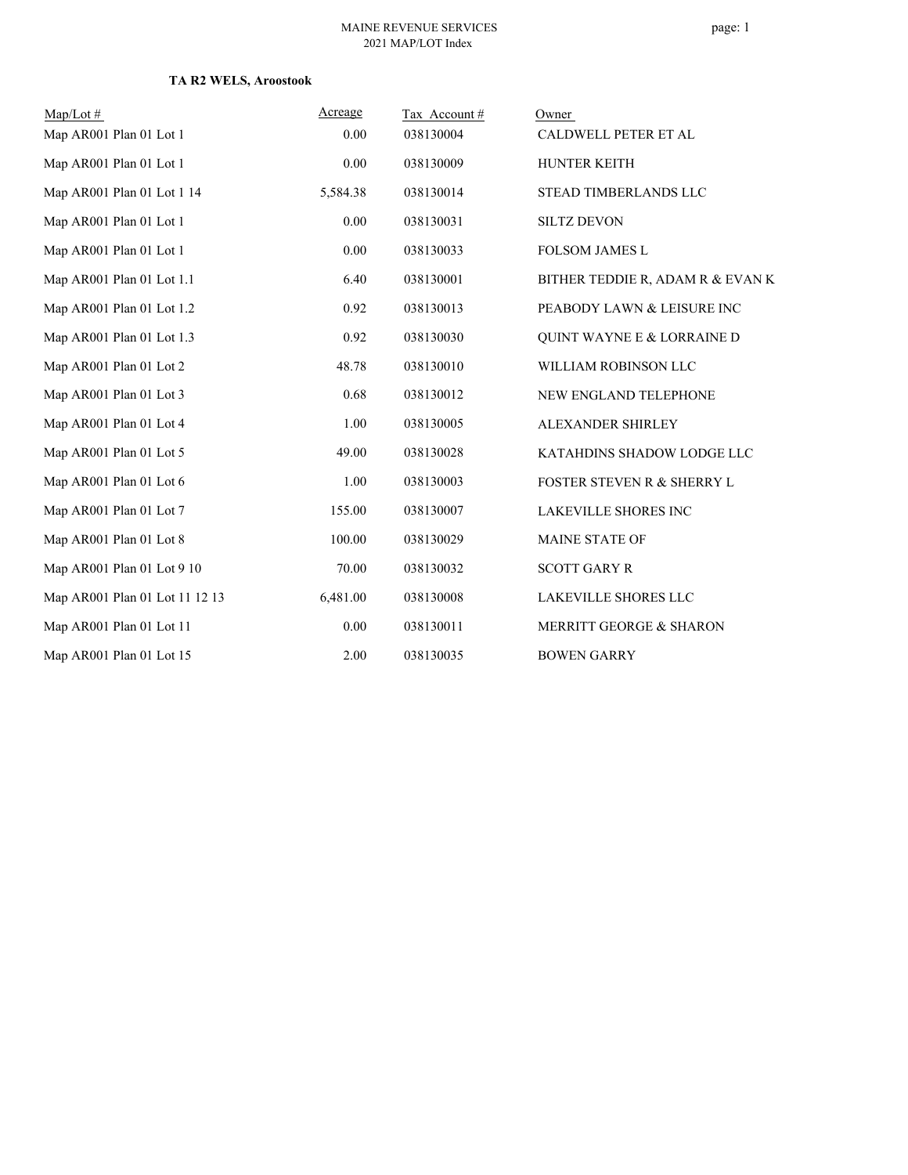### **TA R2 WELS, Aroostook**

| $Map/Lot \#$                   | Acreage  | Tax Account# | Owner                                 |
|--------------------------------|----------|--------------|---------------------------------------|
| Map AR001 Plan 01 Lot 1        | 0.00     | 038130004    | CALDWELL PETER ET AL                  |
| Map AR001 Plan 01 Lot 1        | 0.00     | 038130009    | HUNTER KEITH                          |
| Map AR001 Plan 01 Lot 1 14     | 5,584.38 | 038130014    | STEAD TIMBERLANDS LLC                 |
| Map AR001 Plan 01 Lot 1        | 0.00     | 038130031    | <b>SILTZ DEVON</b>                    |
| Map AR001 Plan 01 Lot 1        | 0.00     | 038130033    | <b>FOLSOM JAMES L</b>                 |
| Map AR001 Plan 01 Lot 1.1      | 6.40     | 038130001    | BITHER TEDDIE R, ADAM R & EVAN K      |
| Map AR001 Plan 01 Lot 1.2      | 0.92     | 038130013    | PEABODY LAWN & LEISURE INC            |
| Map AR001 Plan 01 Lot 1.3      | 0.92     | 038130030    | <b>QUINT WAYNE E &amp; LORRAINE D</b> |
| Map AR001 Plan 01 Lot 2        | 48.78    | 038130010    | WILLIAM ROBINSON LLC                  |
| Map AR001 Plan 01 Lot 3        | 0.68     | 038130012    | NEW ENGLAND TELEPHONE                 |
| Map AR001 Plan 01 Lot 4        | 1.00     | 038130005    | ALEXANDER SHIRLEY                     |
| Map AR001 Plan 01 Lot 5        | 49.00    | 038130028    | KATAHDINS SHADOW LODGE LLC            |
| Map AR001 Plan 01 Lot 6        | 1.00     | 038130003    | FOSTER STEVEN R & SHERRY L            |
| Map AR001 Plan 01 Lot 7        | 155.00   | 038130007    | <b>LAKEVILLE SHORES INC</b>           |
| Map AR001 Plan 01 Lot 8        | 100.00   | 038130029    | <b>MAINE STATE OF</b>                 |
| Map AR001 Plan 01 Lot 9 10     | 70.00    | 038130032    | <b>SCOTT GARY R</b>                   |
| Map AR001 Plan 01 Lot 11 12 13 | 6,481.00 | 038130008    | LAKEVILLE SHORES LLC                  |
| Map AR001 Plan 01 Lot 11       | 0.00     | 038130011    | <b>MERRITT GEORGE &amp; SHARON</b>    |
| Map AR001 Plan 01 Lot 15       | 2.00     | 038130035    | <b>BOWEN GARRY</b>                    |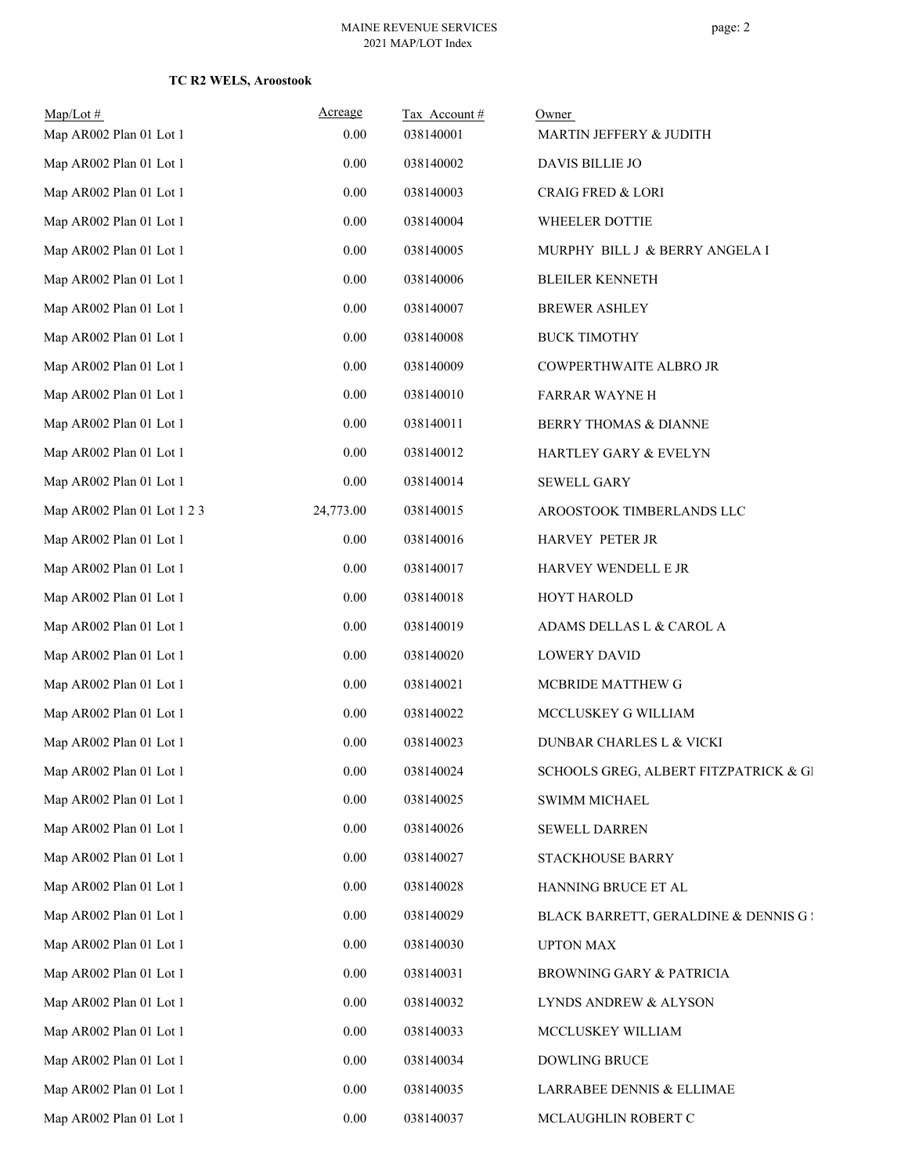### **TC R2 WELS, Aroostook**

| $Map/Lot$ #<br>Map AR002 Plan 01 Lot 1 | Acreage<br>0.00 | Tax Account#<br>038140001 | Owner<br>MARTIN JEFFERY & JUDITH      |
|----------------------------------------|-----------------|---------------------------|---------------------------------------|
| Map AR002 Plan 01 Lot 1                | 0.00            | 038140002                 | DAVIS BILLIE JO                       |
| Map AR002 Plan 01 Lot 1                | 0.00            | 038140003                 | <b>CRAIG FRED &amp; LORI</b>          |
| Map AR002 Plan 01 Lot 1                | 0.00            | 038140004                 | WHEELER DOTTIE                        |
| Map AR002 Plan 01 Lot 1                | 0.00            | 038140005                 | MURPHY BILL J & BERRY ANGELA I        |
| Map AR002 Plan 01 Lot 1                | 0.00            | 038140006                 | <b>BLEILER KENNETH</b>                |
| Map AR002 Plan 01 Lot 1                | 0.00            | 038140007                 | <b>BREWER ASHLEY</b>                  |
| Map AR002 Plan 01 Lot 1                | $0.00\,$        | 038140008                 | <b>BUCK TIMOTHY</b>                   |
| Map AR002 Plan 01 Lot 1                | 0.00            | 038140009                 | COWPERTHWAITE ALBRO JR                |
| Map AR002 Plan 01 Lot 1                | 0.00            | 038140010                 | <b>FARRAR WAYNE H</b>                 |
| Map AR002 Plan 01 Lot 1                | 0.00            | 038140011                 | BERRY THOMAS & DIANNE                 |
| Map AR002 Plan 01 Lot 1                | 0.00            | 038140012                 | HARTLEY GARY & EVELYN                 |
| Map AR002 Plan 01 Lot 1                | 0.00            | 038140014                 | <b>SEWELL GARY</b>                    |
| Map AR002 Plan 01 Lot 1 2 3            | 24,773.00       | 038140015                 | AROOSTOOK TIMBERLANDS LLC             |
| Map AR002 Plan 01 Lot 1                | 0.00            | 038140016                 | HARVEY PETER JR                       |
| Map AR002 Plan 01 Lot 1                | $0.00\,$        | 038140017                 | HARVEY WENDELL E JR                   |
| Map AR002 Plan 01 Lot 1                | 0.00            | 038140018                 | <b>HOYT HAROLD</b>                    |
| Map AR002 Plan 01 Lot 1                | 0.00            | 038140019                 | ADAMS DELLAS L & CAROL A              |
| Map AR002 Plan 01 Lot 1                | 0.00            | 038140020                 | <b>LOWERY DAVID</b>                   |
| Map AR002 Plan 01 Lot 1                | 0.00            | 038140021                 | MCBRIDE MATTHEW G                     |
| Map AR002 Plan 01 Lot 1                | 0.00            | 038140022                 | MCCLUSKEY G WILLIAM                   |
| Map AR002 Plan 01 Lot 1                | 0.00            | 038140023                 | DUNBAR CHARLES L & VICKI              |
| Map AR002 Plan 01 Lot 1                | 0.00            | 038140024                 | SCHOOLS GREG, ALBERT FITZPATRICK & GI |
| Map AR002 Plan 01 Lot 1                | 0.00            | 038140025                 | <b>SWIMM MICHAEL</b>                  |
| Map AR002 Plan 01 Lot 1                | 0.00            | 038140026                 | SEWELL DARREN                         |
| Map AR002 Plan 01 Lot 1                | 0.00            | 038140027                 | STACKHOUSE BARRY                      |
| Map AR002 Plan 01 Lot 1                | 0.00            | 038140028                 | HANNING BRUCE ET AL                   |
| Map AR002 Plan 01 Lot 1                | 0.00            | 038140029                 | BLACK BARRETT, GERALDINE & DENNIS G : |
| Map AR002 Plan 01 Lot 1                | 0.00            | 038140030                 | <b>UPTON MAX</b>                      |
| Map AR002 Plan 01 Lot 1                | 0.00            | 038140031                 | BROWNING GARY & PATRICIA              |
| Map AR002 Plan 01 Lot 1                | 0.00            | 038140032                 | LYNDS ANDREW & ALYSON                 |
| Map AR002 Plan 01 Lot 1                | 0.00            | 038140033                 | MCCLUSKEY WILLIAM                     |
| Map AR002 Plan 01 Lot 1                | 0.00            | 038140034                 | DOWLING BRUCE                         |
| Map AR002 Plan 01 Lot 1                | 0.00            | 038140035                 | LARRABEE DENNIS & ELLIMAE             |
| Map AR002 Plan 01 Lot 1                | $0.00\,$        | 038140037                 | MCLAUGHLIN ROBERT C                   |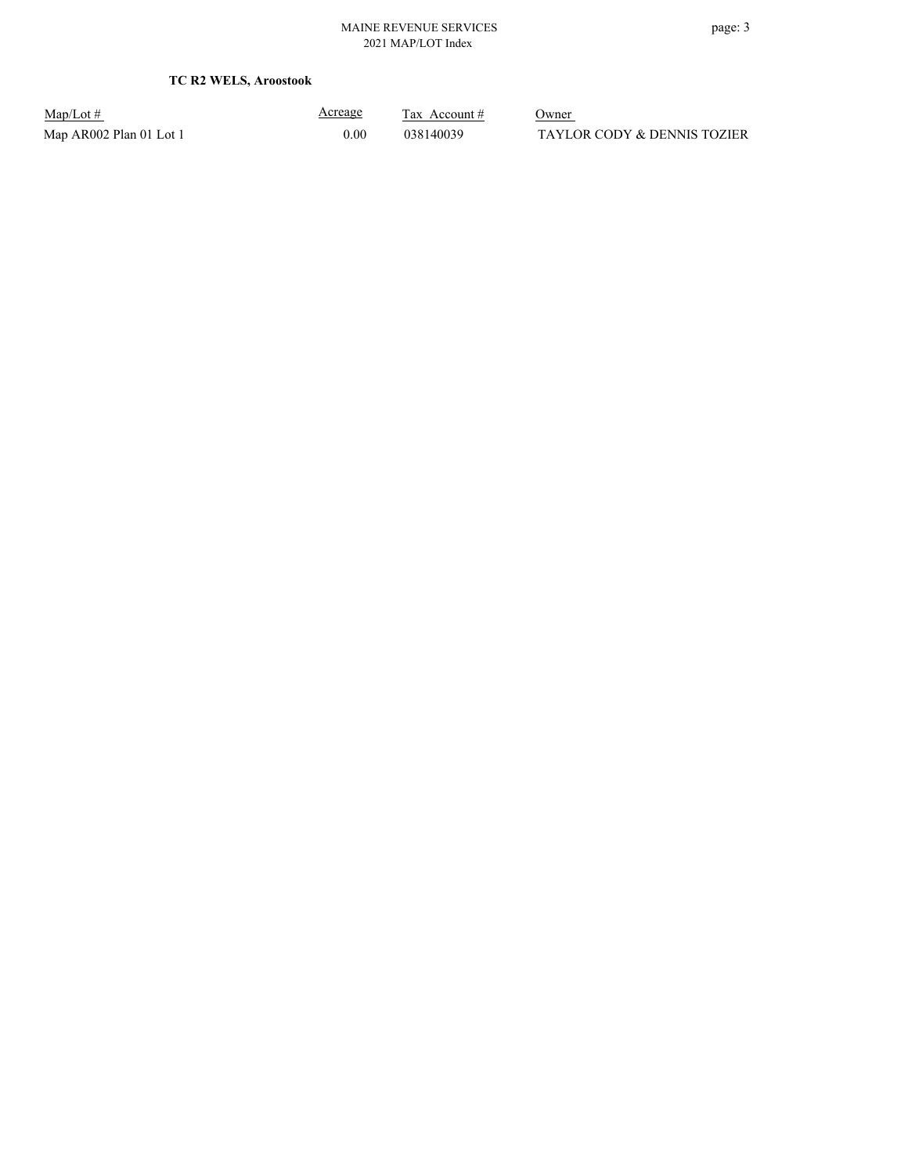**TC R2 WELS, Aroostook**

| $Map/Lot \#$            |  |
|-------------------------|--|
| Map AR002 Plan 01 Lot 1 |  |

Acreage

 $\frac{\text{Tax} \text{ Account} \#}{\text{Owner}}$  $0.00$  038140039 TAYLOR CODY & DENNIS TOZIER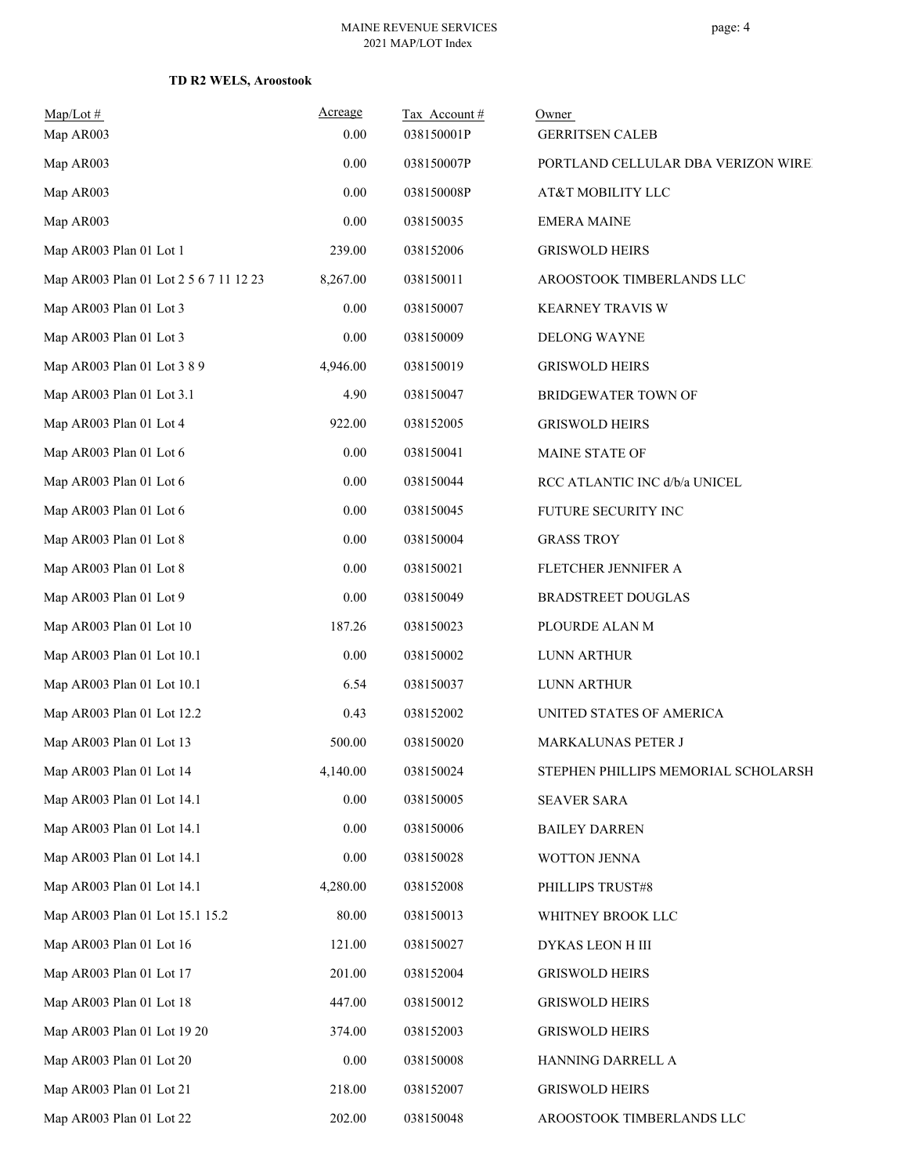### **TD R2 WELS, Aroostook**

| $Map/Lot \#$<br>Map AR003              | Acreage<br>0.00 | Tax Account#<br>038150001P | Owner<br><b>GERRITSEN CALEB</b>     |
|----------------------------------------|-----------------|----------------------------|-------------------------------------|
| Map AR003                              | 0.00            | 038150007P                 | PORTLAND CELLULAR DBA VERIZON WIRE  |
| Map AR003                              | 0.00            | 038150008P                 | AT&T MOBILITY LLC                   |
| Map AR003                              | 0.00            | 038150035                  | <b>EMERA MAINE</b>                  |
| Map AR003 Plan 01 Lot 1                | 239.00          | 038152006                  | <b>GRISWOLD HEIRS</b>               |
| Map AR003 Plan 01 Lot 2 5 6 7 11 12 23 | 8,267.00        | 038150011                  | AROOSTOOK TIMBERLANDS LLC           |
| Map AR003 Plan 01 Lot 3                | 0.00            | 038150007                  | KEARNEY TRAVIS W                    |
| Map AR003 Plan 01 Lot 3                | 0.00            | 038150009                  | <b>DELONG WAYNE</b>                 |
| Map AR003 Plan 01 Lot 3 8 9            | 4,946.00        | 038150019                  | <b>GRISWOLD HEIRS</b>               |
| Map AR003 Plan 01 Lot 3.1              | 4.90            | 038150047                  | BRIDGEWATER TOWN OF                 |
| Map AR003 Plan 01 Lot 4                | 922.00          | 038152005                  | <b>GRISWOLD HEIRS</b>               |
| Map AR003 Plan 01 Lot 6                | 0.00            | 038150041                  | MAINE STATE OF                      |
| Map AR003 Plan 01 Lot 6                | 0.00            | 038150044                  | RCC ATLANTIC INC d/b/a UNICEL       |
| Map AR003 Plan 01 Lot 6                | 0.00            | 038150045                  | FUTURE SECURITY INC                 |
| Map AR003 Plan 01 Lot 8                | 0.00            | 038150004                  | <b>GRASS TROY</b>                   |
| Map AR003 Plan 01 Lot 8                | 0.00            | 038150021                  | FLETCHER JENNIFER A                 |
| Map AR003 Plan 01 Lot 9                | 0.00            | 038150049                  | <b>BRADSTREET DOUGLAS</b>           |
| Map AR003 Plan 01 Lot 10               | 187.26          | 038150023                  | PLOURDE ALAN M                      |
| Map AR003 Plan 01 Lot 10.1             | 0.00            | 038150002                  | LUNN ARTHUR                         |
| Map AR003 Plan 01 Lot 10.1             | 6.54            | 038150037                  | LUNN ARTHUR                         |
| Map AR003 Plan 01 Lot 12.2             | 0.43            | 038152002                  | UNITED STATES OF AMERICA            |
| Map AR003 Plan 01 Lot 13               | 500.00          | 038150020                  | MARKALUNAS PETER J                  |
| Map AR003 Plan 01 Lot 14               | 4,140.00        | 038150024                  | STEPHEN PHILLIPS MEMORIAL SCHOLARSH |
| Map AR003 Plan 01 Lot 14.1             | 0.00            | 038150005                  | <b>SEAVER SARA</b>                  |
| Map AR003 Plan 01 Lot 14.1             | 0.00            | 038150006                  | <b>BAILEY DARREN</b>                |
| Map AR003 Plan 01 Lot 14.1             | 0.00            | 038150028                  | WOTTON JENNA                        |
| Map AR003 Plan 01 Lot 14.1             | 4,280.00        | 038152008                  | PHILLIPS TRUST#8                    |
| Map AR003 Plan 01 Lot 15.1 15.2        | 80.00           | 038150013                  | WHITNEY BROOK LLC                   |
| Map AR003 Plan 01 Lot 16               | 121.00          | 038150027                  | DYKAS LEON H III                    |
| Map AR003 Plan 01 Lot 17               | 201.00          | 038152004                  | <b>GRISWOLD HEIRS</b>               |
| Map AR003 Plan 01 Lot 18               | 447.00          | 038150012                  | <b>GRISWOLD HEIRS</b>               |
| Map AR003 Plan 01 Lot 19 20            | 374.00          | 038152003                  | <b>GRISWOLD HEIRS</b>               |
| Map AR003 Plan 01 Lot 20               | 0.00            | 038150008                  | HANNING DARRELL A                   |
| Map AR003 Plan 01 Lot 21               | 218.00          | 038152007                  | <b>GRISWOLD HEIRS</b>               |
| Map AR003 Plan 01 Lot 22               | 202.00          | 038150048                  | AROOSTOOK TIMBERLANDS LLC           |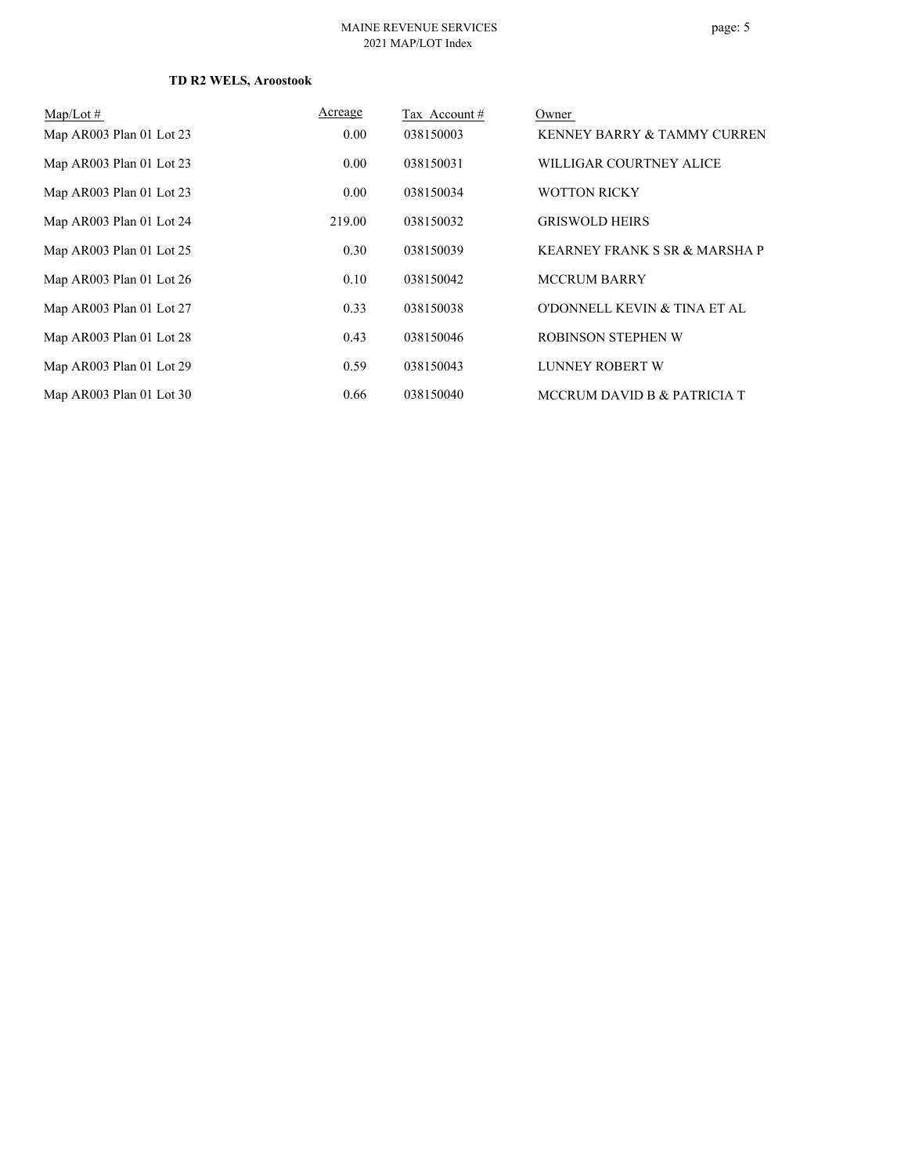### **TD R2 WELS, Aroostook**

| $Map/Lot \#$             | Acreage | Tax Account# | Owner                         |
|--------------------------|---------|--------------|-------------------------------|
| Map AR003 Plan 01 Lot 23 | 0.00    | 038150003    | KENNEY BARRY & TAMMY CURREN   |
| Map AR003 Plan 01 Lot 23 | 0.00    | 038150031    | WILLIGAR COURTNEY ALICE       |
| Map AR003 Plan 01 Lot 23 | 0.00    | 038150034    | <b>WOTTON RICKY</b>           |
| Map AR003 Plan 01 Lot 24 | 219.00  | 038150032    | <b>GRISWOLD HEIRS</b>         |
| Map AR003 Plan 01 Lot 25 | 0.30    | 038150039    | KEARNEY FRANK S SR & MARSHA P |
| Map AR003 Plan 01 Lot 26 | 0.10    | 038150042    | <b>MCCRUM BARRY</b>           |
| Map AR003 Plan 01 Lot 27 | 0.33    | 038150038    | O'DONNELL KEVIN & TINA ET AL  |
| Map AR003 Plan 01 Lot 28 | 0.43    | 038150046    | ROBINSON STEPHEN W            |
| Map AR003 Plan 01 Lot 29 | 0.59    | 038150043    | LUNNEY ROBERT W               |
| Map AR003 Plan 01 Lot 30 | 0.66    | 038150040    | MCCRUM DAVID B & PATRICIA T   |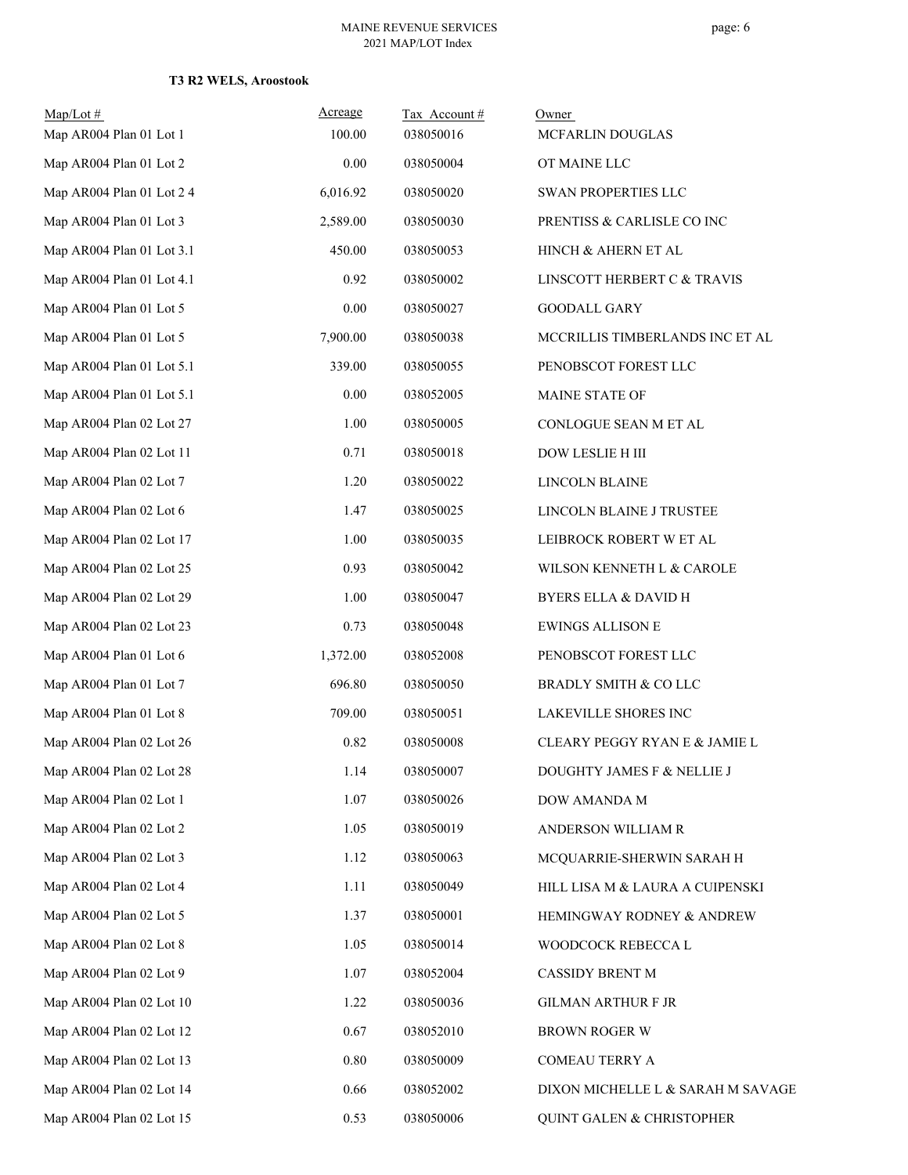### **T3 R2 WELS, Aroostook**

| $Map/Lot$ #               | Acreage  | Tax Account# | Owner                                    |
|---------------------------|----------|--------------|------------------------------------------|
| Map AR004 Plan 01 Lot 1   | 100.00   | 038050016    | MCFARLIN DOUGLAS                         |
| Map AR004 Plan 01 Lot 2   | 0.00     | 038050004    | OT MAINE LLC                             |
| Map AR004 Plan 01 Lot 2 4 | 6,016.92 | 038050020    | SWAN PROPERTIES LLC                      |
| Map AR004 Plan 01 Lot 3   | 2,589.00 | 038050030    | PRENTISS & CARLISLE CO INC               |
| Map AR004 Plan 01 Lot 3.1 | 450.00   | 038050053    | HINCH & AHERN ET AL                      |
| Map AR004 Plan 01 Lot 4.1 | 0.92     | 038050002    | LINSCOTT HERBERT C & TRAVIS              |
| Map AR004 Plan 01 Lot 5   | 0.00     | 038050027    | <b>GOODALL GARY</b>                      |
| Map AR004 Plan 01 Lot 5   | 7,900.00 | 038050038    | MCCRILLIS TIMBERLANDS INC ET AL          |
| Map AR004 Plan 01 Lot 5.1 | 339.00   | 038050055    | PENOBSCOT FOREST LLC                     |
| Map AR004 Plan 01 Lot 5.1 | 0.00     | 038052005    | MAINE STATE OF                           |
| Map AR004 Plan 02 Lot 27  | 1.00     | 038050005    | CONLOGUE SEAN M ET AL                    |
| Map AR004 Plan 02 Lot 11  | 0.71     | 038050018    | DOW LESLIE H III                         |
| Map AR004 Plan 02 Lot 7   | 1.20     | 038050022    | LINCOLN BLAINE                           |
| Map AR004 Plan 02 Lot 6   | 1.47     | 038050025    | LINCOLN BLAINE J TRUSTEE                 |
| Map AR004 Plan 02 Lot 17  | 1.00     | 038050035    | LEIBROCK ROBERT W ET AL                  |
| Map AR004 Plan 02 Lot 25  | 0.93     | 038050042    | WILSON KENNETH L & CAROLE                |
| Map AR004 Plan 02 Lot 29  | 1.00     | 038050047    | <b>BYERS ELLA &amp; DAVID H</b>          |
| Map AR004 Plan 02 Lot 23  | 0.73     | 038050048    | <b>EWINGS ALLISON E</b>                  |
| Map AR004 Plan 01 Lot 6   | 1,372.00 | 038052008    | PENOBSCOT FOREST LLC                     |
| Map AR004 Plan 01 Lot 7   | 696.80   | 038050050    | BRADLY SMITH & CO LLC                    |
| Map AR004 Plan 01 Lot 8   | 709.00   | 038050051    | LAKEVILLE SHORES INC                     |
| Map AR004 Plan 02 Lot 26  | 0.82     | 038050008    | <b>CLEARY PEGGY RYAN E &amp; JAMIE L</b> |
| Map AR004 Plan 02 Lot 28  | 1.14     | 038050007    | DOUGHTY JAMES F & NELLIE J               |
| Map AR004 Plan 02 Lot 1   | 1.07     | 038050026    | DOW AMANDA M                             |
| Map AR004 Plan 02 Lot 2   | 1.05     | 038050019    | ANDERSON WILLIAM R                       |
| Map AR004 Plan 02 Lot 3   | 1.12     | 038050063    | MCQUARRIE-SHERWIN SARAH H                |
| Map AR004 Plan 02 Lot 4   | 1.11     | 038050049    | HILL LISA M & LAURA A CUIPENSKI          |
| Map AR004 Plan 02 Lot 5   | 1.37     | 038050001    | HEMINGWAY RODNEY & ANDREW                |
| Map AR004 Plan 02 Lot 8   | 1.05     | 038050014    | WOODCOCK REBECCA L                       |
| Map AR004 Plan 02 Lot 9   | 1.07     | 038052004    | CASSIDY BRENT M                          |
| Map AR004 Plan 02 Lot 10  | 1.22     | 038050036    | <b>GILMAN ARTHUR F JR</b>                |
| Map AR004 Plan 02 Lot 12  | 0.67     | 038052010    | <b>BROWN ROGER W</b>                     |
| Map AR004 Plan 02 Lot 13  | $0.80\,$ | 038050009    | COMEAU TERRY A                           |
| Map AR004 Plan 02 Lot 14  | 0.66     | 038052002    | DIXON MICHELLE L & SARAH M SAVAGE        |
| Map AR004 Plan 02 Lot 15  | 0.53     | 038050006    | QUINT GALEN & CHRISTOPHER                |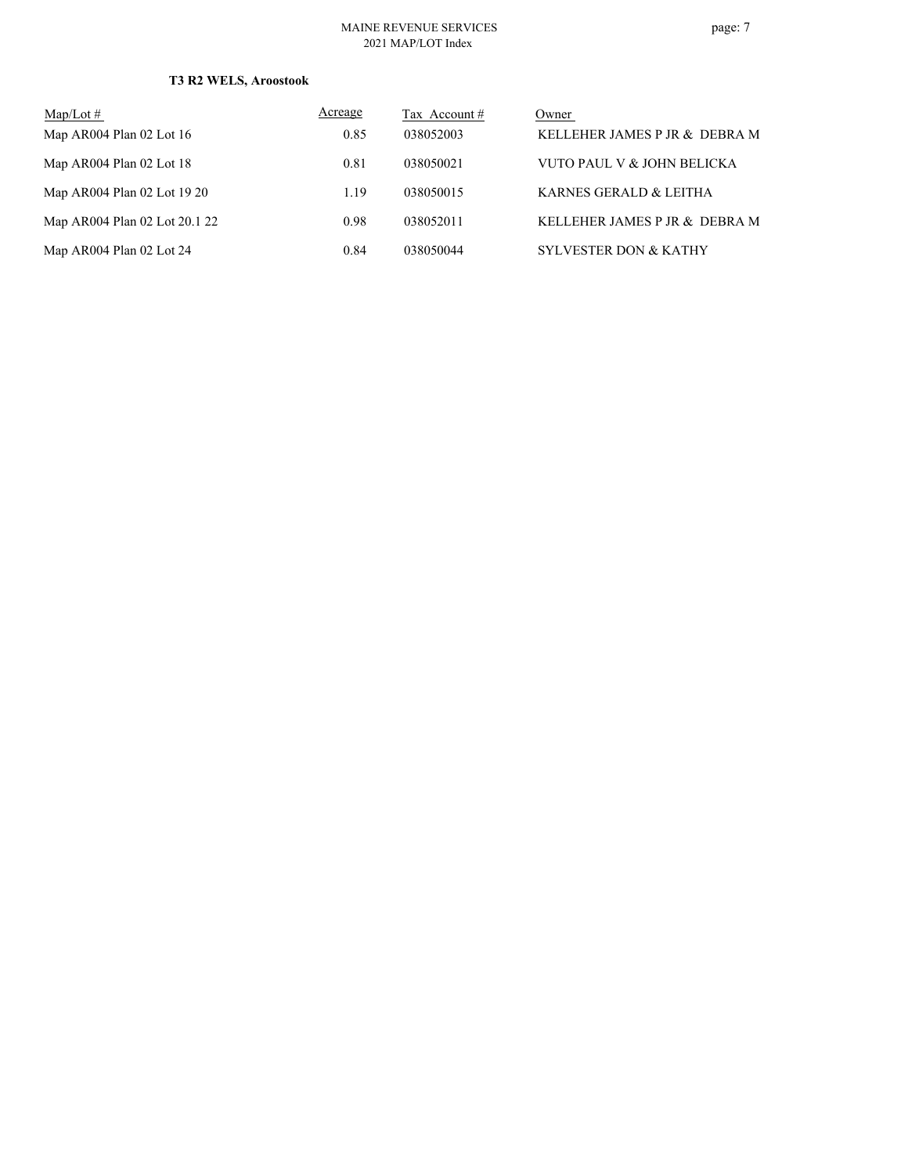#### MAINE REVENUE SERVICES 2021 MAP/LOT Index

# **T3 R2 WELS, Aroostook**

| Map/Lot $#$                   | Acreage | Tax Account # | Owner                            |
|-------------------------------|---------|---------------|----------------------------------|
| Map AR004 Plan 02 Lot 16      | 0.85    | 038052003     | KELLEHER JAMES P JR & DEBRA M    |
| Map AR004 Plan 02 Lot 18      | 0.81    | 038050021     | VUTO PAUL V & JOHN BELICKA       |
| Map AR004 Plan 02 Lot 19 20   | 1.19    | 038050015     | KARNES GERALD & LEITHA           |
| Map AR004 Plan 02 Lot 20.1 22 | 0.98    | 038052011     | KELLEHER JAMES P JR & DEBRA M    |
| Map AR004 Plan 02 Lot 24      | 0.84    | 038050044     | <b>SYLVESTER DON &amp; KATHY</b> |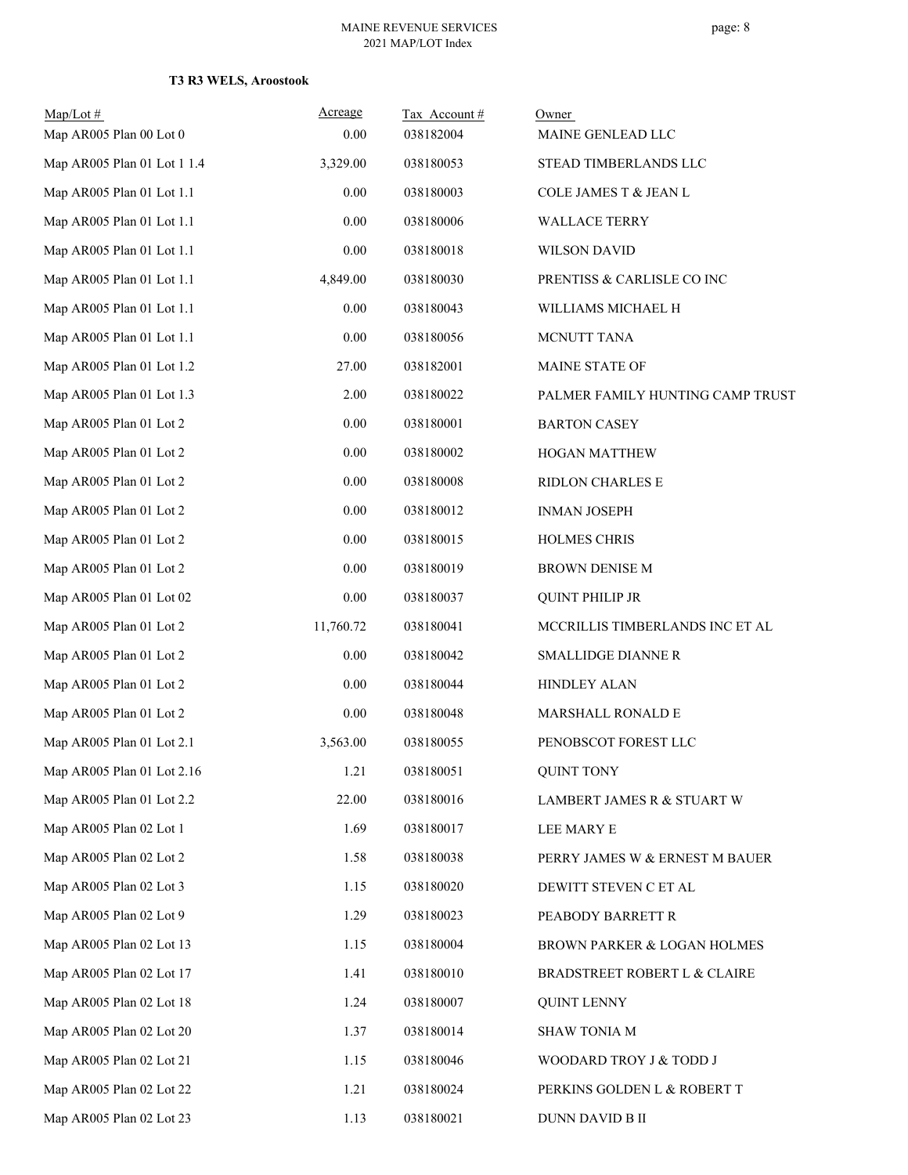| $Map/Lot$ #                 | Acreage   | Tax Account# | Owner                            |
|-----------------------------|-----------|--------------|----------------------------------|
| Map AR005 Plan 00 Lot 0     | 0.00      | 038182004    | MAINE GENLEAD LLC                |
| Map AR005 Plan 01 Lot 1 1.4 | 3,329.00  | 038180053    | STEAD TIMBERLANDS LLC            |
| Map AR005 Plan 01 Lot 1.1   | 0.00      | 038180003    | COLE JAMES T & JEAN L            |
| Map AR005 Plan 01 Lot 1.1   | 0.00      | 038180006    | <b>WALLACE TERRY</b>             |
| Map AR005 Plan 01 Lot 1.1   | 0.00      | 038180018    | <b>WILSON DAVID</b>              |
| Map AR005 Plan 01 Lot 1.1   | 4,849.00  | 038180030    | PRENTISS & CARLISLE CO INC       |
| Map AR005 Plan 01 Lot 1.1   | 0.00      | 038180043    | WILLIAMS MICHAEL H               |
| Map AR005 Plan 01 Lot 1.1   | 0.00      | 038180056    | MCNUTT TANA                      |
| Map AR005 Plan 01 Lot 1.2   | 27.00     | 038182001    | MAINE STATE OF                   |
| Map AR005 Plan 01 Lot 1.3   | 2.00      | 038180022    | PALMER FAMILY HUNTING CAMP TRUST |
| Map AR005 Plan 01 Lot 2     | $0.00\,$  | 038180001    | <b>BARTON CASEY</b>              |
| Map AR005 Plan 01 Lot 2     | 0.00      | 038180002    | <b>HOGAN MATTHEW</b>             |
| Map AR005 Plan 01 Lot 2     | 0.00      | 038180008    | RIDLON CHARLES E                 |
| Map AR005 Plan 01 Lot 2     | 0.00      | 038180012    | <b>INMAN JOSEPH</b>              |
| Map AR005 Plan 01 Lot 2     | 0.00      | 038180015    | HOLMES CHRIS                     |
| Map AR005 Plan 01 Lot 2     | 0.00      | 038180019    | <b>BROWN DENISE M</b>            |
| Map AR005 Plan 01 Lot 02    | 0.00      | 038180037    | <b>QUINT PHILIP JR</b>           |
| Map AR005 Plan 01 Lot 2     | 11,760.72 | 038180041    | MCCRILLIS TIMBERLANDS INC ET AL  |
| Map AR005 Plan 01 Lot 2     | $0.00\,$  | 038180042    | <b>SMALLIDGE DIANNE R</b>        |
| Map AR005 Plan 01 Lot 2     | 0.00      | 038180044    | <b>HINDLEY ALAN</b>              |
| Map AR005 Plan 01 Lot 2     | 0.00      | 038180048    | MARSHALL RONALD E                |
| Map AR005 Plan 01 Lot 2.1   | 3,563.00  | 038180055    | PENOBSCOT FOREST LLC             |
| Map AR005 Plan 01 Lot 2.16  | 1.21      | 038180051    | <b>QUINT TONY</b>                |
| Map AR005 Plan 01 Lot 2.2   | 22.00     | 038180016    | LAMBERT JAMES R & STUART W       |
| Map AR005 Plan 02 Lot 1     | 1.69      | 038180017    | LEE MARY E                       |
| Map AR005 Plan 02 Lot 2     | 1.58      | 038180038    | PERRY JAMES W & ERNEST M BAUER   |
| Map AR005 Plan 02 Lot 3     | 1.15      | 038180020    | DEWITT STEVEN C ET AL            |
| Map AR005 Plan 02 Lot 9     | 1.29      | 038180023    | PEABODY BARRETT R                |
| Map AR005 Plan 02 Lot 13    | 1.15      | 038180004    | BROWN PARKER & LOGAN HOLMES      |
| Map AR005 Plan 02 Lot 17    | 1.41      | 038180010    | BRADSTREET ROBERT L & CLAIRE     |
| Map AR005 Plan 02 Lot 18    | 1.24      | 038180007    | <b>QUINT LENNY</b>               |
| Map AR005 Plan 02 Lot 20    | 1.37      | 038180014    | <b>SHAW TONIA M</b>              |
| Map AR005 Plan 02 Lot 21    | 1.15      | 038180046    | WOODARD TROY J & TODD J          |
| Map AR005 Plan 02 Lot 22    | 1.21      | 038180024    | PERKINS GOLDEN L & ROBERT T      |
| Map AR005 Plan 02 Lot 23    | 1.13      | 038180021    | DUNN DAVID B II                  |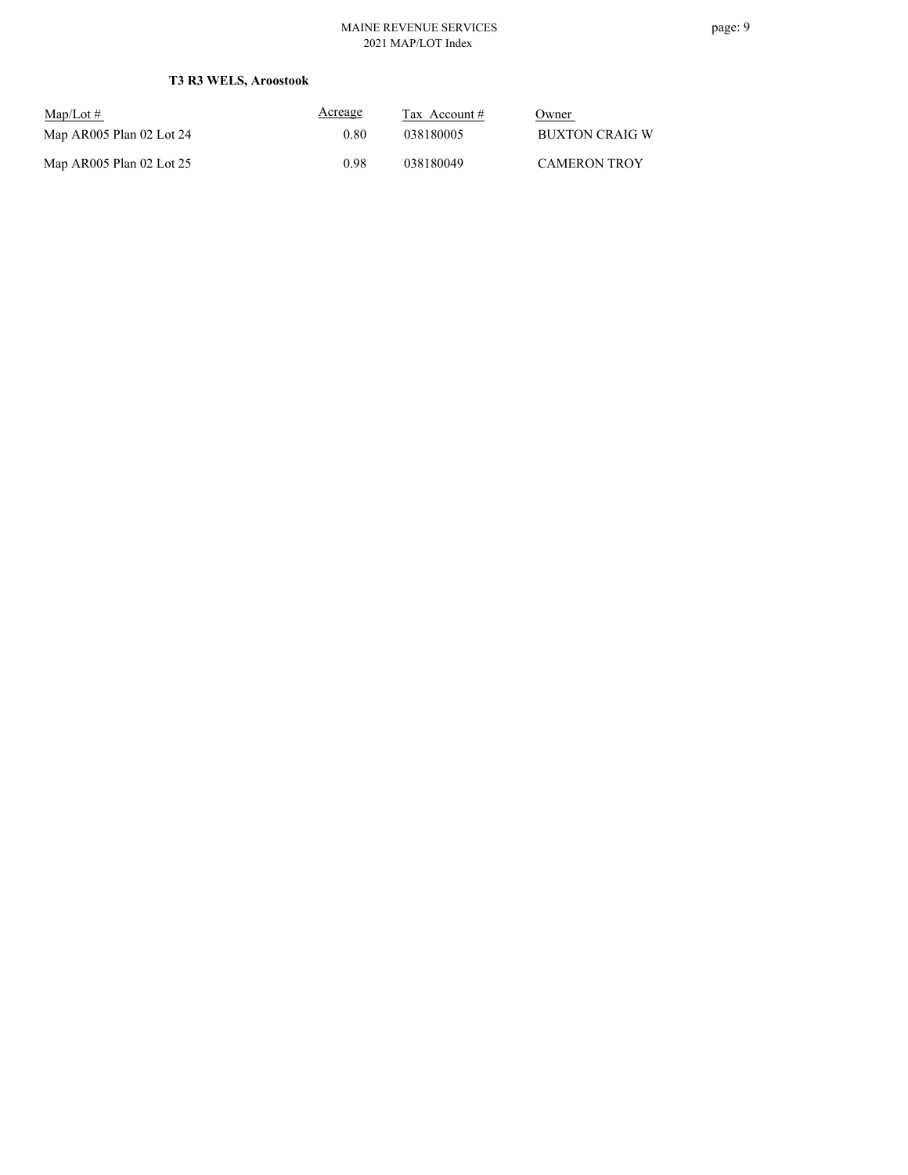#### MAINE REVENUE SERVICES 2021 MAP/LOT Index

| $\text{Map/Lot} \#$      | Acreage | Tax Account $#$ | Owner               |
|--------------------------|---------|-----------------|---------------------|
| Map AR005 Plan 02 Lot 24 | 0.80    | 038180005       | BUXTON CRAIG W      |
| Map AR005 Plan 02 Lot 25 | 0.98    | 038180049       | <b>CAMERON TROY</b> |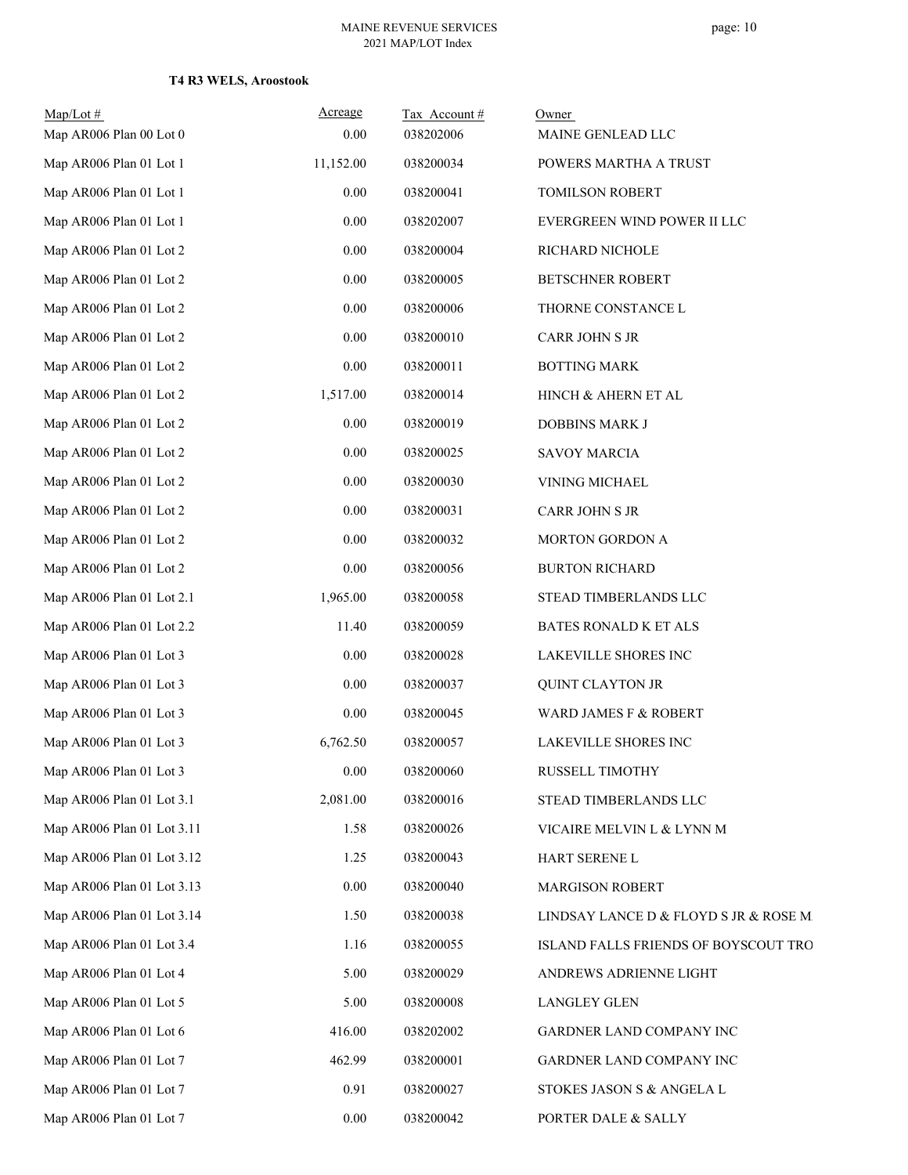| Map/Lot#<br>Map AR006 Plan 00 Lot 0 | Acreage<br>0.00 | Tax Account#<br>038202006 | Owner<br>MAINE GENLEAD LLC             |
|-------------------------------------|-----------------|---------------------------|----------------------------------------|
| Map AR006 Plan 01 Lot 1             | 11,152.00       | 038200034                 | POWERS MARTHA A TRUST                  |
| Map AR006 Plan 01 Lot 1             | 0.00            | 038200041                 | TOMILSON ROBERT                        |
| Map AR006 Plan 01 Lot 1             | 0.00            | 038202007                 | EVERGREEN WIND POWER II LLC            |
| Map AR006 Plan 01 Lot 2             | 0.00            | 038200004                 | RICHARD NICHOLE                        |
| Map AR006 Plan 01 Lot 2             | $0.00\,$        | 038200005                 | <b>BETSCHNER ROBERT</b>                |
| Map AR006 Plan 01 Lot 2             | 0.00            | 038200006                 | THORNE CONSTANCE L                     |
| Map AR006 Plan 01 Lot 2             | $0.00\,$        | 038200010                 | CARR JOHN S JR                         |
| Map AR006 Plan 01 Lot 2             | 0.00            | 038200011                 | <b>BOTTING MARK</b>                    |
| Map AR006 Plan 01 Lot 2             | 1,517.00        | 038200014                 | HINCH & AHERN ET AL                    |
| Map AR006 Plan 01 Lot 2             | $0.00\,$        | 038200019                 | DOBBINS MARK J                         |
| Map AR006 Plan 01 Lot 2             | 0.00            | 038200025                 | <b>SAVOY MARCIA</b>                    |
| Map AR006 Plan 01 Lot 2             | 0.00            | 038200030                 | VINING MICHAEL                         |
| Map AR006 Plan 01 Lot 2             | $0.00\,$        | 038200031                 | CARR JOHN S JR                         |
| Map AR006 Plan 01 Lot 2             | 0.00            | 038200032                 | MORTON GORDON A                        |
| Map AR006 Plan 01 Lot 2             | 0.00            | 038200056                 | <b>BURTON RICHARD</b>                  |
| Map AR006 Plan 01 Lot 2.1           | 1,965.00        | 038200058                 | STEAD TIMBERLANDS LLC                  |
| Map AR006 Plan 01 Lot 2.2           | 11.40           | 038200059                 | BATES RONALD K ET ALS                  |
| Map AR006 Plan 01 Lot 3             | 0.00            | 038200028                 | LAKEVILLE SHORES INC                   |
| Map AR006 Plan 01 Lot 3             | 0.00            | 038200037                 | <b>QUINT CLAYTON JR</b>                |
| Map AR006 Plan 01 Lot 3             | 0.00            | 038200045                 | WARD JAMES F & ROBERT                  |
| Map AR006 Plan 01 Lot 3             | 6,762.50        | 038200057                 | LAKEVILLE SHORES INC                   |
| Map AR006 Plan 01 Lot 3             | $0.00\,$        | 038200060                 | RUSSELL TIMOTHY                        |
| Map AR006 Plan 01 Lot 3.1           | 2,081.00        | 038200016                 | STEAD TIMBERLANDS LLC                  |
| Map AR006 Plan 01 Lot 3.11          | 1.58            | 038200026                 | VICAIRE MELVIN L & LYNN M              |
| Map AR006 Plan 01 Lot 3.12          | 1.25            | 038200043                 | HART SERENE L                          |
| Map AR006 Plan 01 Lot 3.13          | 0.00            | 038200040                 | <b>MARGISON ROBERT</b>                 |
| Map AR006 Plan 01 Lot 3.14          | 1.50            | 038200038                 | LINDSAY LANCE D & FLOYD S JR & ROSE M. |
| Map AR006 Plan 01 Lot 3.4           | 1.16            | 038200055                 | ISLAND FALLS FRIENDS OF BOYSCOUT TRO   |
| Map AR006 Plan 01 Lot 4             | 5.00            | 038200029                 | ANDREWS ADRIENNE LIGHT                 |
| Map AR006 Plan 01 Lot 5             | 5.00            | 038200008                 | LANGLEY GLEN                           |
| Map AR006 Plan 01 Lot 6             | 416.00          | 038202002                 | GARDNER LAND COMPANY INC               |
| Map AR006 Plan 01 Lot 7             | 462.99          | 038200001                 | GARDNER LAND COMPANY INC               |
| Map AR006 Plan 01 Lot 7             | 0.91            | 038200027                 | STOKES JASON S & ANGELA L              |
| Map AR006 Plan 01 Lot 7             | $0.00\,$        | 038200042                 | PORTER DALE & SALLY                    |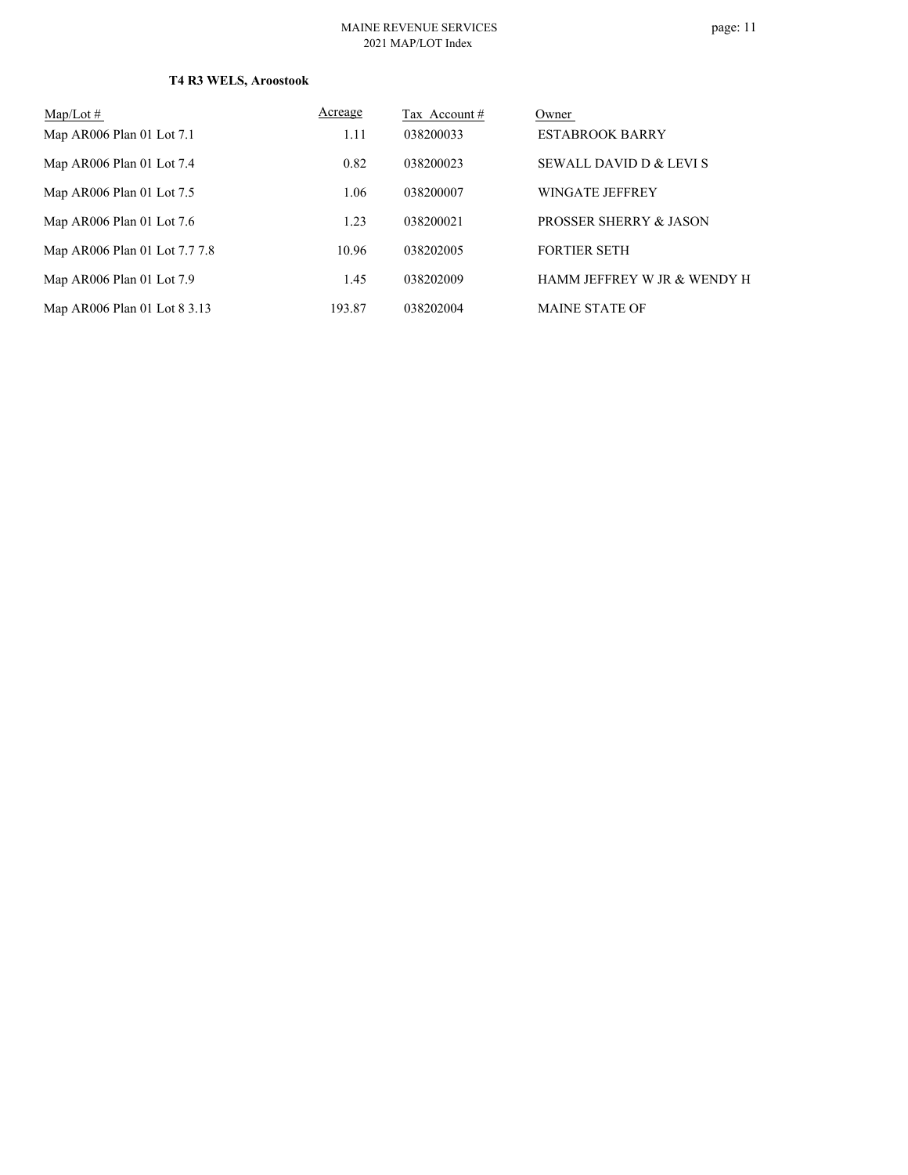| $Map/Lot \#$                  | Acreage | Tax Account# | Owner                       |
|-------------------------------|---------|--------------|-----------------------------|
| Map AR006 Plan 01 Lot 7.1     | 1.11    | 038200033    | <b>ESTABROOK BARRY</b>      |
| Map AR006 Plan 01 Lot 7.4     | 0.82    | 038200023    | SEWALL DAVID D & LEVI S     |
| Map AR006 Plan 01 Lot 7.5     | 1.06    | 038200007    | WINGATE JEFFREY             |
| Map AR006 Plan 01 Lot 7.6     | 1.23    | 038200021    | PROSSER SHERRY & JASON      |
| Map AR006 Plan 01 Lot 7.7 7.8 | 10.96   | 038202005    | <b>FORTIER SETH</b>         |
| Map AR006 Plan 01 Lot 7.9     | 1.45    | 038202009    | HAMM JEFFREY W JR & WENDY H |
| Map AR006 Plan 01 Lot 8 3.13  | 193.87  | 038202004    | <b>MAINE STATE OF</b>       |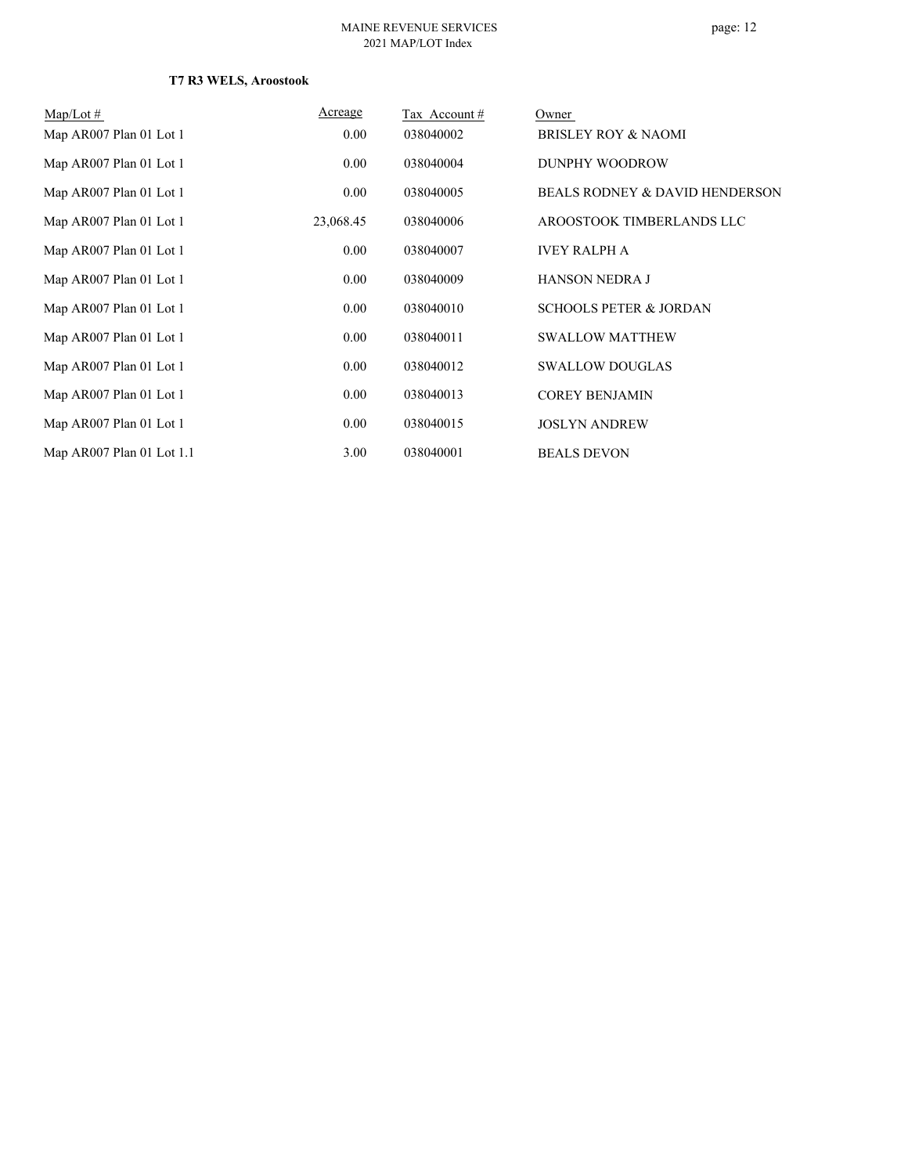| $Map/Lot \#$              | Acreage   | Tax Account # | Owner                             |
|---------------------------|-----------|---------------|-----------------------------------|
| Map AR007 Plan 01 Lot 1   | 0.00      | 038040002     | <b>BRISLEY ROY &amp; NAOMI</b>    |
| Map AR007 Plan 01 Lot 1   | 0.00      | 038040004     | DUNPHY WOODROW                    |
| Map AR007 Plan 01 Lot 1   | 0.00      | 038040005     | BEALS RODNEY & DAVID HENDERSON    |
| Map AR007 Plan 01 Lot 1   | 23,068.45 | 038040006     | AROOSTOOK TIMBERLANDS LLC         |
| Map AR007 Plan 01 Lot 1   | 0.00      | 038040007     | <b>IVEY RALPH A</b>               |
| Map AR007 Plan 01 Lot 1   | 0.00      | 038040009     | <b>HANSON NEDRA J</b>             |
| Map AR007 Plan 01 Lot 1   | 0.00      | 038040010     | <b>SCHOOLS PETER &amp; JORDAN</b> |
| Map AR007 Plan 01 Lot 1   | 0.00      | 038040011     | <b>SWALLOW MATTHEW</b>            |
| Map AR007 Plan 01 Lot 1   | 0.00      | 038040012     | <b>SWALLOW DOUGLAS</b>            |
| Map AR007 Plan 01 Lot 1   | 0.00      | 038040013     | <b>COREY BENJAMIN</b>             |
| Map AR007 Plan 01 Lot 1   | 0.00      | 038040015     | <b>JOSLYN ANDREW</b>              |
| Map AR007 Plan 01 Lot 1.1 | 3.00      | 038040001     | <b>BEALS DEVON</b>                |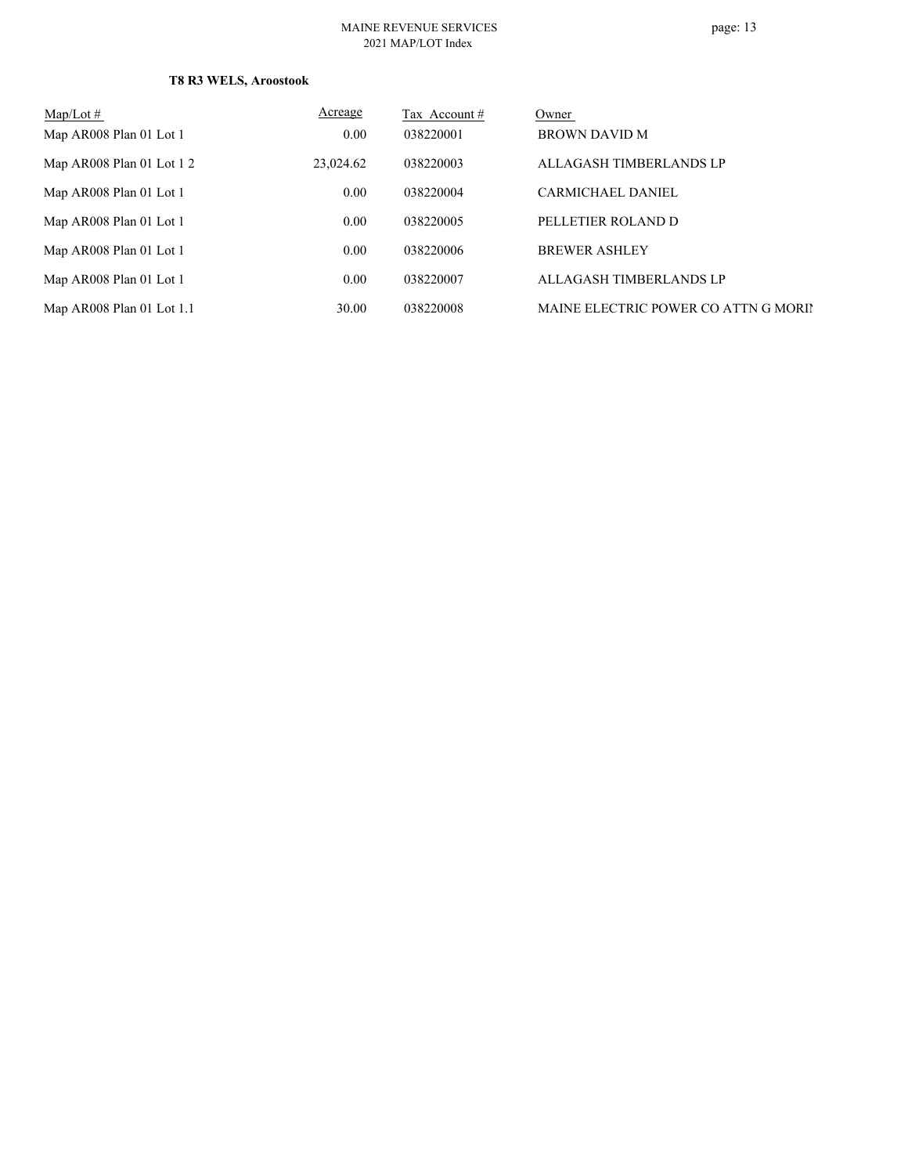## page: 13

| $Map/Lot \#$               | <b>Acreage</b> | Tax Account # | Owner                                |
|----------------------------|----------------|---------------|--------------------------------------|
| Map AR008 Plan 01 Lot 1    | 0.00           | 038220001     | BROWN DAVID M                        |
| Map AR008 Plan 01 Lot $12$ | 23,024.62      | 038220003     | ALLAGASH TIMBERLANDS LP              |
| Map AR008 Plan 01 Lot 1    | 0.00           | 038220004     | <b>CARMICHAEL DANIEL</b>             |
| Map AR008 Plan 01 Lot 1    | 0.00           | 038220005     | PELLETIER ROLAND D                   |
| Map AR008 Plan 01 Lot 1    | 0.00           | 038220006     | <b>BREWER ASHLEY</b>                 |
| Map AR008 Plan 01 Lot 1    | 0.00           | 038220007     | ALLAGASH TIMBERLANDS LP              |
| Map AR008 Plan 01 Lot 1.1  | 30.00          | 038220008     | MAINE ELECTRIC POWER CO ATTN G MORIN |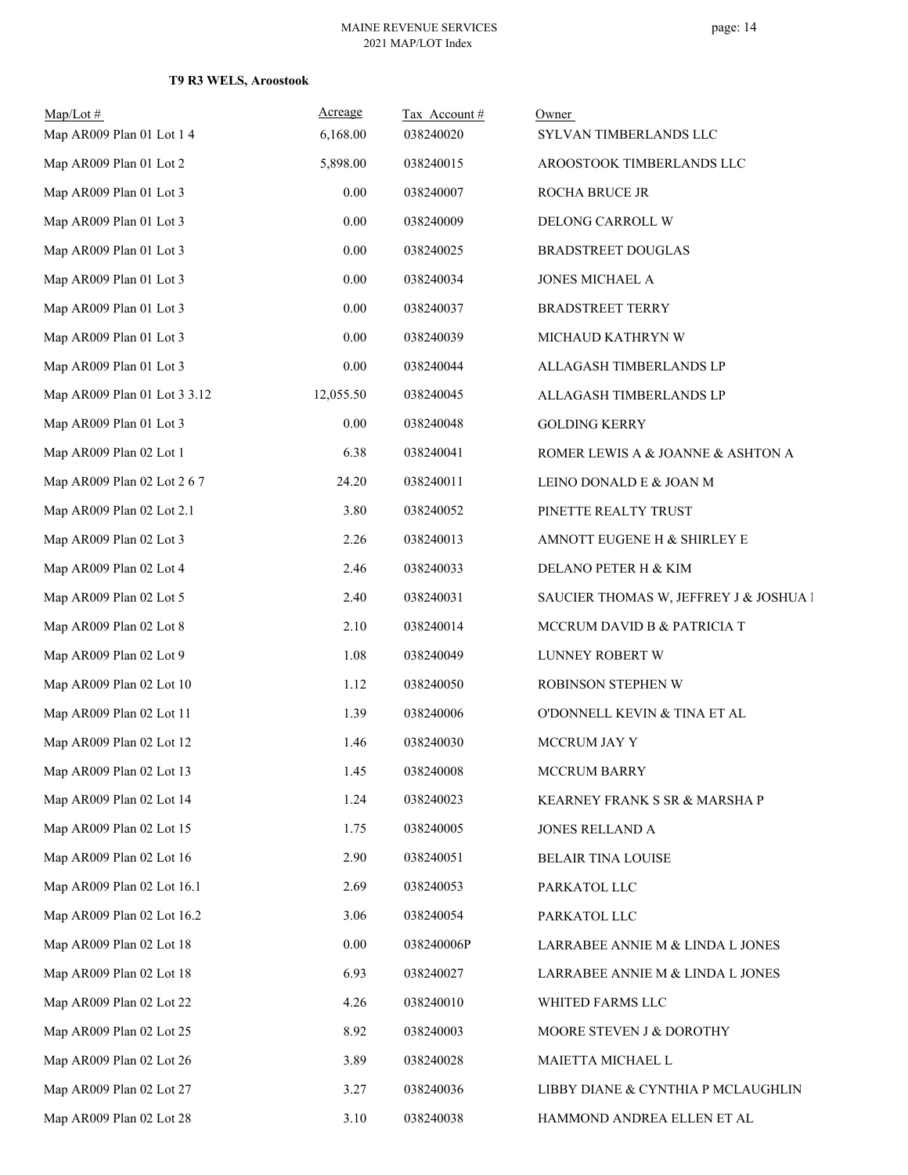| $Map/Lot \#$<br>Map AR009 Plan 01 Lot 1 4 | Acreage<br>6,168.00 | Tax Account#<br>038240020 | Owner<br>SYLVAN TIMBERLANDS LLC        |
|-------------------------------------------|---------------------|---------------------------|----------------------------------------|
| Map AR009 Plan 01 Lot 2                   | 5,898.00            | 038240015                 | AROOSTOOK TIMBERLANDS LLC              |
| Map AR009 Plan 01 Lot 3                   | $0.00\,$            | 038240007                 | ROCHA BRUCE JR                         |
| Map AR009 Plan 01 Lot 3                   | 0.00                | 038240009                 | DELONG CARROLL W                       |
| Map AR009 Plan 01 Lot 3                   | 0.00                | 038240025                 | <b>BRADSTREET DOUGLAS</b>              |
| Map AR009 Plan 01 Lot 3                   | 0.00                | 038240034                 | JONES MICHAEL A                        |
| Map AR009 Plan 01 Lot 3                   | 0.00                | 038240037                 | <b>BRADSTREET TERRY</b>                |
| Map AR009 Plan 01 Lot 3                   | 0.00                | 038240039                 | MICHAUD KATHRYN W                      |
| Map AR009 Plan 01 Lot 3                   | $0.00\,$            | 038240044                 | ALLAGASH TIMBERLANDS LP                |
| Map AR009 Plan 01 Lot 3 3.12              | 12,055.50           | 038240045                 | ALLAGASH TIMBERLANDS LP                |
| Map AR009 Plan 01 Lot 3                   | $0.00\,$            | 038240048                 | <b>GOLDING KERRY</b>                   |
| Map AR009 Plan 02 Lot 1                   | 6.38                | 038240041                 | ROMER LEWIS A & JOANNE & ASHTON A      |
| Map AR009 Plan 02 Lot 2 6 7               | 24.20               | 038240011                 | LEINO DONALD E & JOAN M                |
| Map AR009 Plan 02 Lot 2.1                 | 3.80                | 038240052                 | PINETTE REALTY TRUST                   |
| Map AR009 Plan 02 Lot 3                   | 2.26                | 038240013                 | AMNOTT EUGENE H & SHIRLEY E            |
| Map AR009 Plan 02 Lot 4                   | 2.46                | 038240033                 | DELANO PETER H & KIM                   |
| Map AR009 Plan 02 Lot 5                   | 2.40                | 038240031                 | SAUCIER THOMAS W, JEFFREY J & JOSHUA I |
| Map AR009 Plan 02 Lot 8                   | 2.10                | 038240014                 | MCCRUM DAVID B & PATRICIA T            |
| Map AR009 Plan 02 Lot 9                   | 1.08                | 038240049                 | LUNNEY ROBERT W                        |
| Map AR009 Plan 02 Lot 10                  | 1.12                | 038240050                 | ROBINSON STEPHEN W                     |
| Map AR009 Plan 02 Lot 11                  | 1.39                | 038240006                 | O'DONNELL KEVIN & TINA ET AL           |
| Map AR009 Plan 02 Lot 12                  | 1.46                | 038240030                 | MCCRUM JAY Y                           |
| Map AR009 Plan 02 Lot 13                  | 1.45                | 038240008                 | <b>MCCRUM BARRY</b>                    |
| Map AR009 Plan 02 Lot 14                  | 1.24                | 038240023                 | KEARNEY FRANK S SR & MARSHA P          |
| Map AR009 Plan 02 Lot 15                  | 1.75                | 038240005                 | JONES RELLAND A                        |
| Map AR009 Plan 02 Lot 16                  | 2.90                | 038240051                 | BELAIR TINA LOUISE                     |
| Map AR009 Plan 02 Lot 16.1                | 2.69                | 038240053                 | PARKATOL LLC                           |
| Map AR009 Plan 02 Lot 16.2                | 3.06                | 038240054                 | PARKATOL LLC                           |
| Map AR009 Plan 02 Lot 18                  | $0.00\,$            | 038240006P                | LARRABEE ANNIE M & LINDA L JONES       |
| Map AR009 Plan 02 Lot 18                  | 6.93                | 038240027                 | LARRABEE ANNIE M & LINDA L JONES       |
| Map AR009 Plan 02 Lot 22                  | 4.26                | 038240010                 | WHITED FARMS LLC                       |
| Map AR009 Plan 02 Lot 25                  | 8.92                | 038240003                 | MOORE STEVEN J & DOROTHY               |
| Map AR009 Plan 02 Lot 26                  | 3.89                | 038240028                 | MAIETTA MICHAEL L                      |
| Map AR009 Plan 02 Lot 27                  | 3.27                | 038240036                 | LIBBY DIANE & CYNTHIA P MCLAUGHLIN     |
| Map AR009 Plan 02 Lot 28                  | 3.10                | 038240038                 | HAMMOND ANDREA ELLEN ET AL             |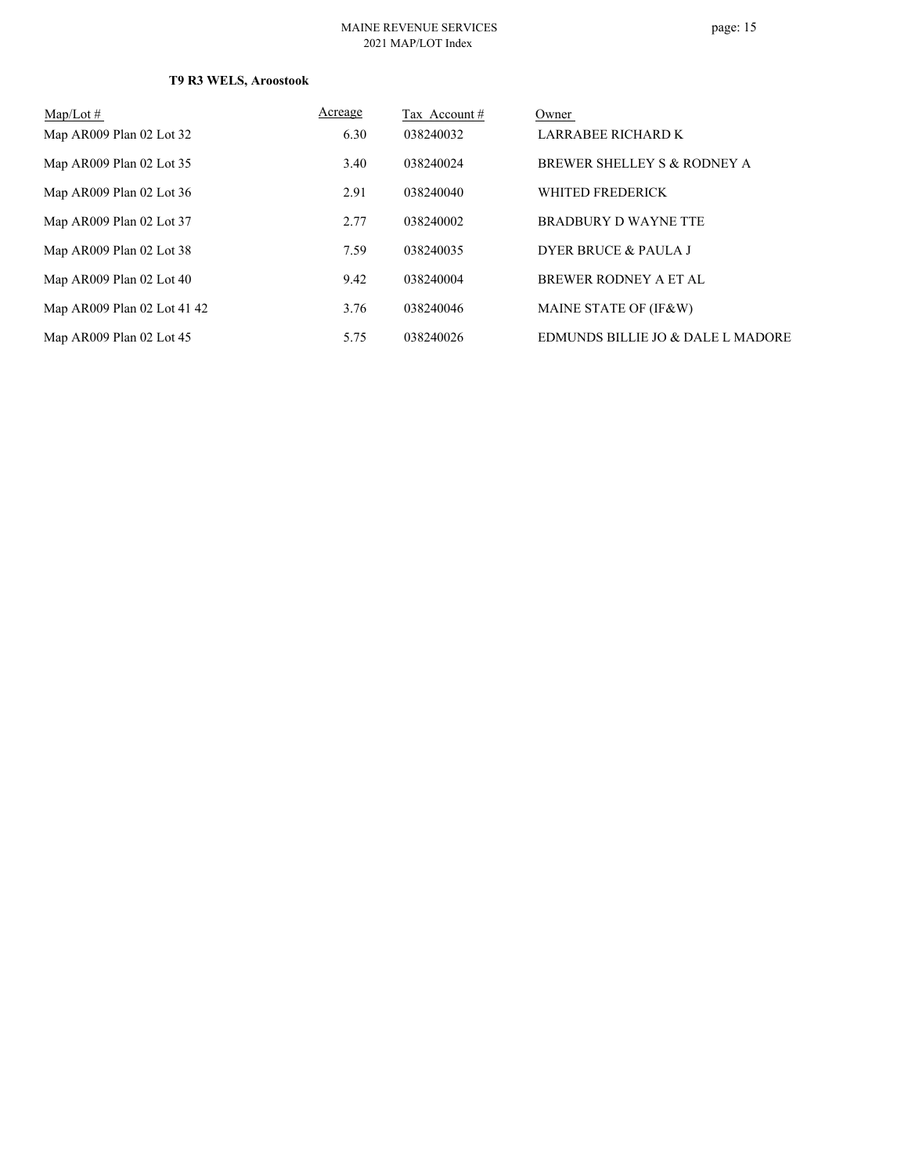## page: 15

| $Map/Lot \#$                | Acreage | Tax Account# | Owner                             |
|-----------------------------|---------|--------------|-----------------------------------|
| Map AR009 Plan 02 Lot 32    | 6.30    | 038240032    | LARRABEE RICHARD K                |
| Map AR009 Plan 02 Lot 35    | 3.40    | 038240024    | BREWER SHELLEY S & RODNEY A       |
| Map AR009 Plan 02 Lot 36    | 2.91    | 038240040    | WHITED FREDERICK                  |
| Map AR009 Plan 02 Lot 37    | 2.77    | 038240002    | BRADBURY D WAYNE TTE              |
| Map AR009 Plan 02 Lot 38    | 7.59    | 038240035    | <b>DYER BRUCE &amp; PAULA J</b>   |
| Map AR009 Plan 02 Lot 40    | 9.42    | 038240004    | BREWER RODNEY A ET AL             |
| Map AR009 Plan 02 Lot 41 42 | 3.76    | 038240046    | MAINE STATE OF (IF&W)             |
| Map AR009 Plan 02 Lot 45    | 5.75    | 038240026    | EDMUNDS BILLIE JO & DALE L MADORE |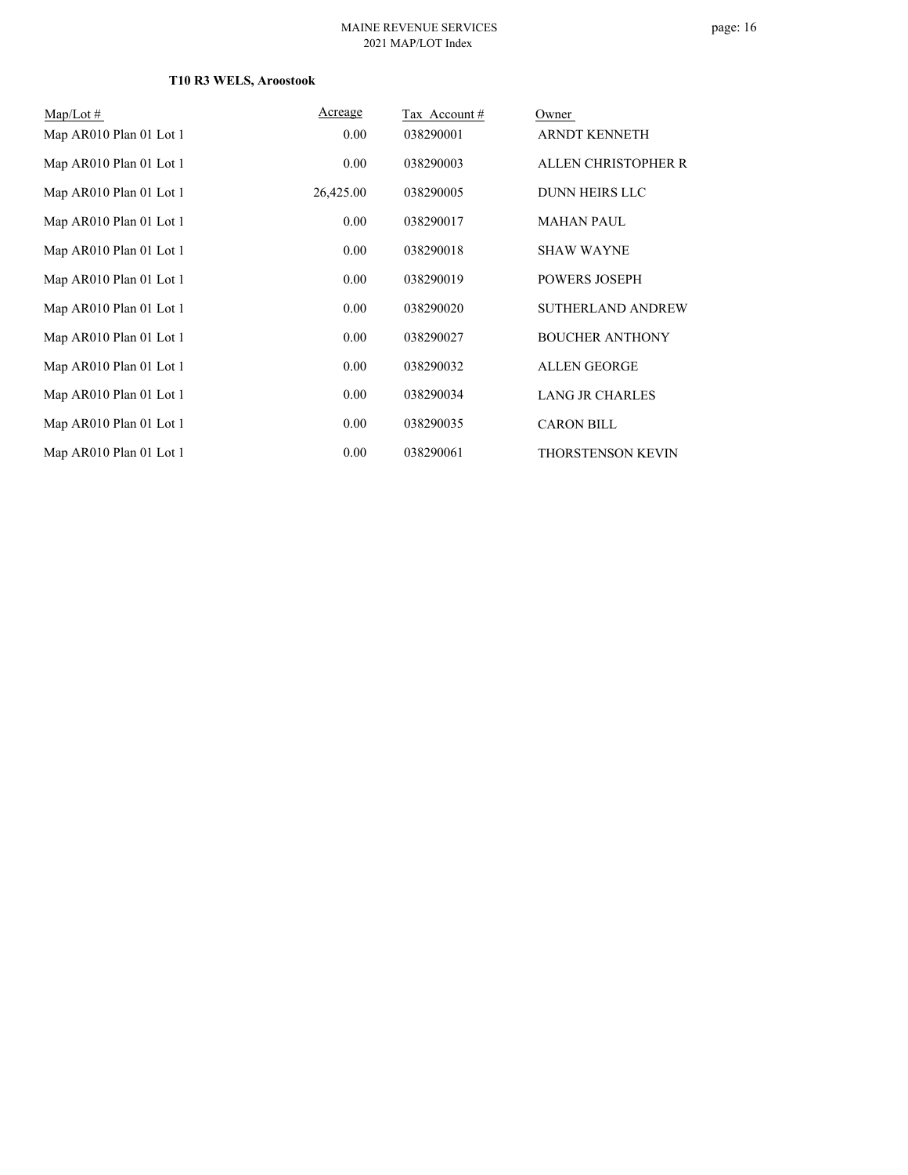| $\text{Map/Lot}\,\#$    | Acreage   | Tax Account# | Owner                    |
|-------------------------|-----------|--------------|--------------------------|
| Map AR010 Plan 01 Lot 1 | 0.00      | 038290001    | ARNDT KENNETH            |
| Map AR010 Plan 01 Lot 1 | 0.00      | 038290003    | ALLEN CHRISTOPHER R      |
| Map AR010 Plan 01 Lot 1 | 26,425.00 | 038290005    | <b>DUNN HEIRS LLC</b>    |
| Map AR010 Plan 01 Lot 1 | 0.00      | 038290017    | <b>MAHAN PAUL</b>        |
| Map AR010 Plan 01 Lot 1 | 0.00      | 038290018    | <b>SHAW WAYNE</b>        |
| Map AR010 Plan 01 Lot 1 | 0.00      | 038290019    | <b>POWERS JOSEPH</b>     |
| Map AR010 Plan 01 Lot 1 | 0.00      | 038290020    | SUTHERLAND ANDREW        |
| Map AR010 Plan 01 Lot 1 | 0.00      | 038290027    | <b>BOUCHER ANTHONY</b>   |
| Map AR010 Plan 01 Lot 1 | 0.00      | 038290032    | <b>ALLEN GEORGE</b>      |
| Map AR010 Plan 01 Lot 1 | 0.00      | 038290034    | <b>LANG JR CHARLES</b>   |
| Map AR010 Plan 01 Lot 1 | 0.00      | 038290035    | <b>CARON BILL</b>        |
| Map AR010 Plan 01 Lot 1 | 0.00      | 038290061    | <b>THORSTENSON KEVIN</b> |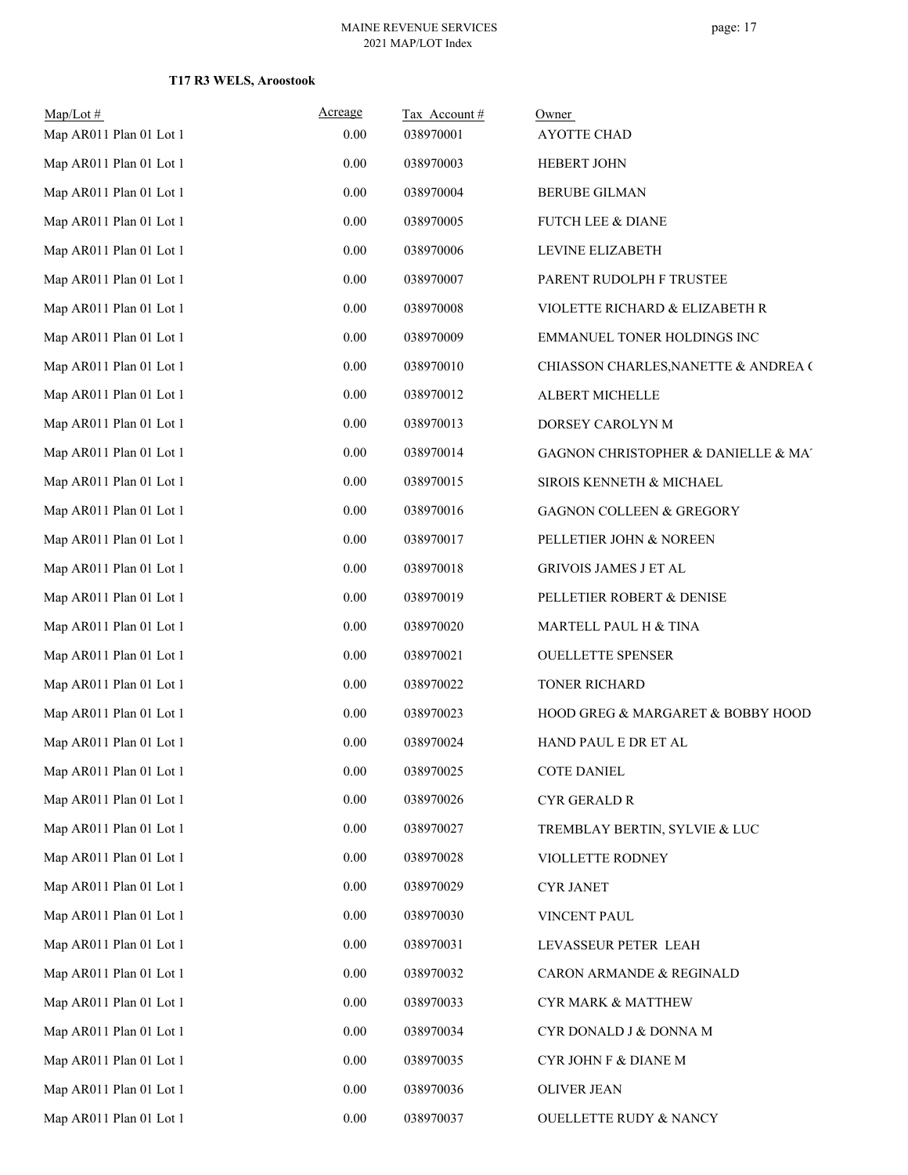| Map/Lot#                | Acreage | Tax Account# | Owner                                |
|-------------------------|---------|--------------|--------------------------------------|
| Map AR011 Plan 01 Lot 1 | 0.00    | 038970001    | <b>AYOTTE CHAD</b>                   |
| Map AR011 Plan 01 Lot 1 | 0.00    | 038970003    | <b>HEBERT JOHN</b>                   |
| Map AR011 Plan 01 Lot 1 | 0.00    | 038970004    | <b>BERUBE GILMAN</b>                 |
| Map AR011 Plan 01 Lot 1 | 0.00    | 038970005    | FUTCH LEE & DIANE                    |
| Map AR011 Plan 01 Lot 1 | 0.00    | 038970006    | LEVINE ELIZABETH                     |
| Map AR011 Plan 01 Lot 1 | 0.00    | 038970007    | PARENT RUDOLPH F TRUSTEE             |
| Map AR011 Plan 01 Lot 1 | 0.00    | 038970008    | VIOLETTE RICHARD & ELIZABETH R       |
| Map AR011 Plan 01 Lot 1 | 0.00    | 038970009    | EMMANUEL TONER HOLDINGS INC          |
| Map AR011 Plan 01 Lot 1 | 0.00    | 038970010    | CHIASSON CHARLES, NANETTE & ANDREA ( |
| Map AR011 Plan 01 Lot 1 | 0.00    | 038970012    | ALBERT MICHELLE                      |
| Map AR011 Plan 01 Lot 1 | 0.00    | 038970013    | DORSEY CAROLYN M                     |
| Map AR011 Plan 01 Lot 1 | 0.00    | 038970014    | GAGNON CHRISTOPHER & DANIELLE & MA'  |
| Map AR011 Plan 01 Lot 1 | 0.00    | 038970015    | SIROIS KENNETH & MICHAEL             |
| Map AR011 Plan 01 Lot 1 | 0.00    | 038970016    | <b>GAGNON COLLEEN &amp; GREGORY</b>  |
| Map AR011 Plan 01 Lot 1 | 0.00    | 038970017    | PELLETIER JOHN & NOREEN              |
| Map AR011 Plan 01 Lot 1 | 0.00    | 038970018    | GRIVOIS JAMES J ET AL                |
| Map AR011 Plan 01 Lot 1 | 0.00    | 038970019    | PELLETIER ROBERT & DENISE            |
| Map AR011 Plan 01 Lot 1 | 0.00    | 038970020    | MARTELL PAUL H & TINA                |
| Map AR011 Plan 01 Lot 1 | 0.00    | 038970021    | <b>OUELLETTE SPENSER</b>             |
| Map AR011 Plan 01 Lot 1 | 0.00    | 038970022    | TONER RICHARD                        |
| Map AR011 Plan 01 Lot 1 | 0.00    | 038970023    | HOOD GREG & MARGARET & BOBBY HOOD    |
| Map AR011 Plan 01 Lot 1 | 0.00    | 038970024    | HAND PAUL E DR ET AL                 |
| Map AR011 Plan 01 Lot 1 | 0.00    | 038970025    | <b>COTE DANIEL</b>                   |
| Map AR011 Plan 01 Lot 1 | 0.00    | 038970026    | CYR GERALD R                         |
| Map AR011 Plan 01 Lot 1 | 0.00    | 038970027    | TREMBLAY BERTIN, SYLVIE & LUC        |
| Map AR011 Plan 01 Lot 1 | 0.00    | 038970028    | VIOLLETTE RODNEY                     |
| Map AR011 Plan 01 Lot 1 | 0.00    | 038970029    | <b>CYR JANET</b>                     |
| Map AR011 Plan 01 Lot 1 | 0.00    | 038970030    | VINCENT PAUL                         |
| Map AR011 Plan 01 Lot 1 | 0.00    | 038970031    | LEVASSEUR PETER LEAH                 |
| Map AR011 Plan 01 Lot 1 | 0.00    | 038970032    | CARON ARMANDE & REGINALD             |
| Map AR011 Plan 01 Lot 1 | 0.00    | 038970033    | CYR MARK & MATTHEW                   |
| Map AR011 Plan 01 Lot 1 | 0.00    | 038970034    | CYR DONALD J & DONNA M               |
| Map AR011 Plan 01 Lot 1 | 0.00    | 038970035    | CYR JOHN F & DIANE M                 |
| Map AR011 Plan 01 Lot 1 | 0.00    | 038970036    | OLIVER JEAN                          |
| Map AR011 Plan 01 Lot 1 | 0.00    | 038970037    | <b>OUELLETTE RUDY &amp; NANCY</b>    |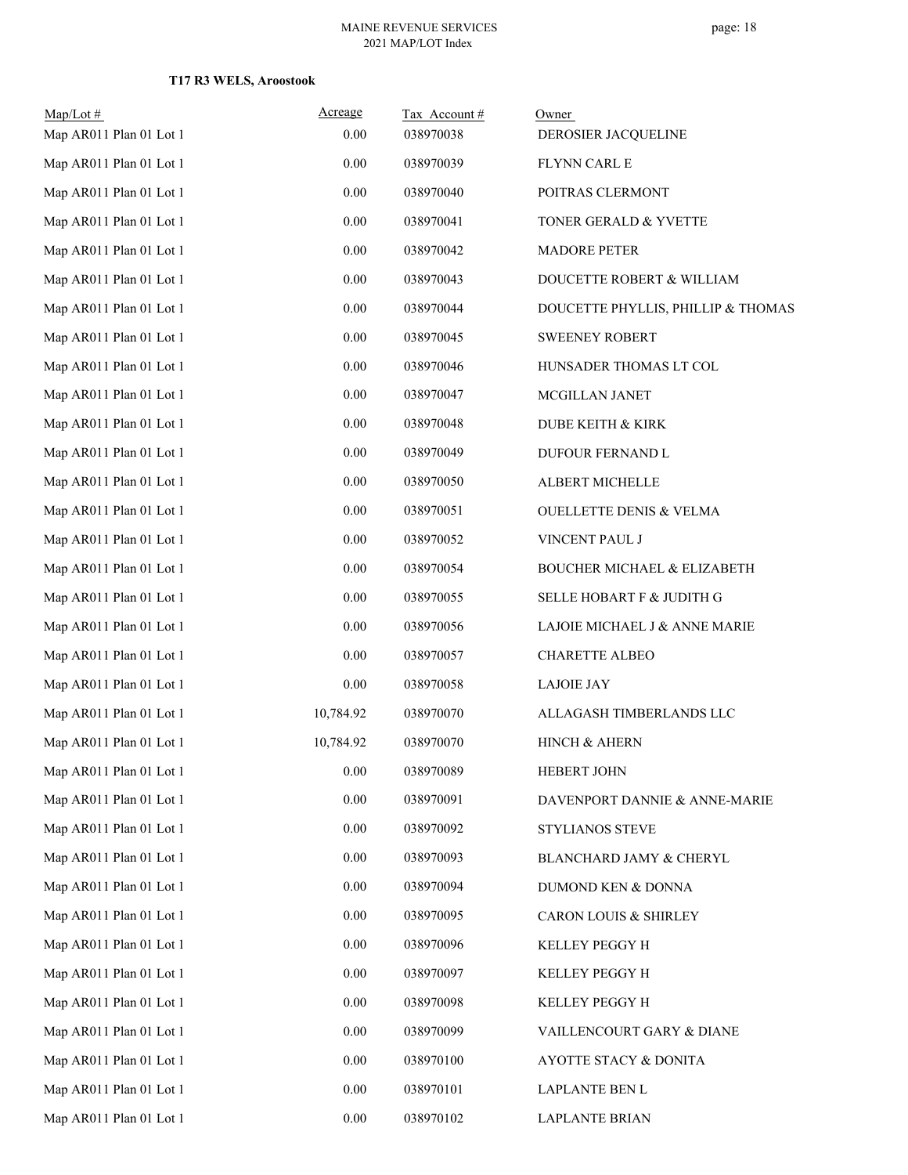| Map/Lot#                | Acreage   | Tax Account# | Owner                                  |
|-------------------------|-----------|--------------|----------------------------------------|
| Map AR011 Plan 01 Lot 1 | 0.00      | 038970038    | DEROSIER JACQUELINE                    |
| Map AR011 Plan 01 Lot 1 | 0.00      | 038970039    | FLYNN CARL E                           |
| Map AR011 Plan 01 Lot 1 | 0.00      | 038970040    | POITRAS CLERMONT                       |
| Map AR011 Plan 01 Lot 1 | 0.00      | 038970041    | TONER GERALD & YVETTE                  |
| Map AR011 Plan 01 Lot 1 | 0.00      | 038970042    | <b>MADORE PETER</b>                    |
| Map AR011 Plan 01 Lot 1 | $0.00\,$  | 038970043    | DOUCETTE ROBERT & WILLIAM              |
| Map AR011 Plan 01 Lot 1 | 0.00      | 038970044    | DOUCETTE PHYLLIS, PHILLIP & THOMAS     |
| Map AR011 Plan 01 Lot 1 | $0.00\,$  | 038970045    | <b>SWEENEY ROBERT</b>                  |
| Map AR011 Plan 01 Lot 1 | 0.00      | 038970046    | HUNSADER THOMAS LT COL                 |
| Map AR011 Plan 01 Lot 1 | $0.00\,$  | 038970047    | MCGILLAN JANET                         |
| Map AR011 Plan 01 Lot 1 | $0.00\,$  | 038970048    | <b>DUBE KEITH &amp; KIRK</b>           |
| Map AR011 Plan 01 Lot 1 | 0.00      | 038970049    | DUFOUR FERNAND L                       |
| Map AR011 Plan 01 Lot 1 | 0.00      | 038970050    | ALBERT MICHELLE                        |
| Map AR011 Plan 01 Lot 1 | $0.00\,$  | 038970051    | <b>OUELLETTE DENIS &amp; VELMA</b>     |
| Map AR011 Plan 01 Lot 1 | 0.00      | 038970052    | VINCENT PAUL J                         |
| Map AR011 Plan 01 Lot 1 | $0.00\,$  | 038970054    | <b>BOUCHER MICHAEL &amp; ELIZABETH</b> |
| Map AR011 Plan 01 Lot 1 | 0.00      | 038970055    | SELLE HOBART F & JUDITH G              |
| Map AR011 Plan 01 Lot 1 | $0.00\,$  | 038970056    | LAJOIE MICHAEL J & ANNE MARIE          |
| Map AR011 Plan 01 Lot 1 | 0.00      | 038970057    | <b>CHARETTE ALBEO</b>                  |
| Map AR011 Plan 01 Lot 1 | 0.00      | 038970058    | <b>LAJOIE JAY</b>                      |
| Map AR011 Plan 01 Lot 1 | 10,784.92 | 038970070    | ALLAGASH TIMBERLANDS LLC               |
| Map AR011 Plan 01 Lot 1 | 10,784.92 | 038970070    | HINCH & AHERN                          |
| Map AR011 Plan 01 Lot 1 | $0.00\,$  | 038970089    | HEBERT JOHN                            |
| Map AR011 Plan 01 Lot 1 | 0.00      | 038970091    | DAVENPORT DANNIE & ANNE-MARIE          |
| Map AR011 Plan 01 Lot 1 | $0.00\,$  | 038970092    | STYLIANOS STEVE                        |
| Map AR011 Plan 01 Lot 1 | $0.00\,$  | 038970093    | BLANCHARD JAMY & CHERYL                |
| Map AR011 Plan 01 Lot 1 | 0.00      | 038970094    | DUMOND KEN & DONNA                     |
| Map AR011 Plan 01 Lot 1 | $0.00\,$  | 038970095    | <b>CARON LOUIS &amp; SHIRLEY</b>       |
| Map AR011 Plan 01 Lot 1 | 0.00      | 038970096    | KELLEY PEGGY H                         |
| Map AR011 Plan 01 Lot 1 | $0.00\,$  | 038970097    | KELLEY PEGGY H                         |
| Map AR011 Plan 01 Lot 1 | 0.00      | 038970098    | KELLEY PEGGY H                         |
| Map AR011 Plan 01 Lot 1 | 0.00      | 038970099    | VAILLENCOURT GARY & DIANE              |
| Map AR011 Plan 01 Lot 1 | 0.00      | 038970100    | AYOTTE STACY & DONITA                  |
| Map AR011 Plan 01 Lot 1 | $0.00\,$  | 038970101    | LAPLANTE BEN L                         |
| Map AR011 Plan 01 Lot 1 | $0.00\,$  | 038970102    | <b>LAPLANTE BRIAN</b>                  |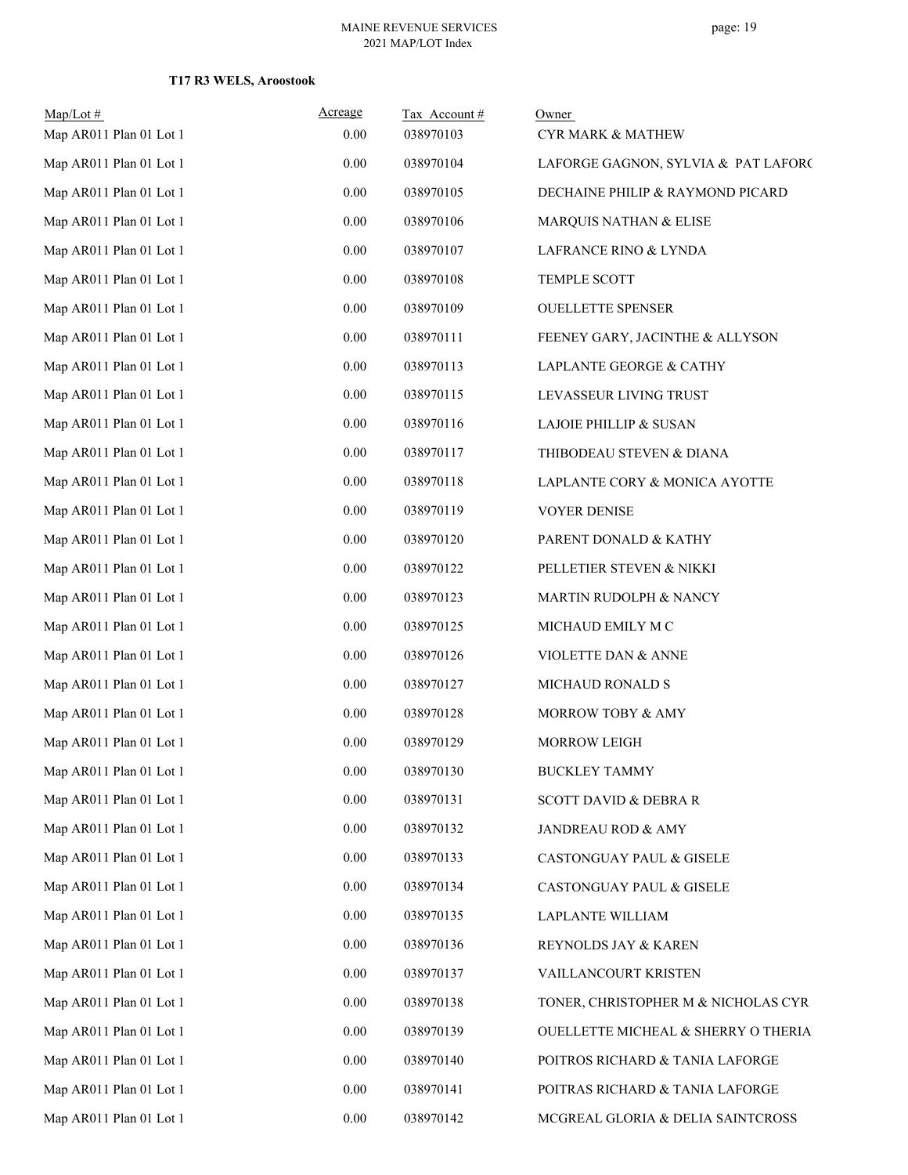| $Map/Lot \#$                                       | Acreage<br>0.00 | Tax Account#<br>038970103 | Owner                               |
|----------------------------------------------------|-----------------|---------------------------|-------------------------------------|
| Map AR011 Plan 01 Lot 1<br>Map AR011 Plan 01 Lot 1 |                 |                           | <b>CYR MARK &amp; MATHEW</b>        |
|                                                    | 0.00            | 038970104                 | LAFORGE GAGNON, SYLVIA & PAT LAFORC |
| Map AR011 Plan 01 Lot 1                            | 0.00            | 038970105                 | DECHAINE PHILIP & RAYMOND PICARD    |
| Map AR011 Plan 01 Lot 1                            | 0.00            | 038970106                 | MARQUIS NATHAN & ELISE              |
| Map AR011 Plan 01 Lot 1                            | 0.00            | 038970107                 | LAFRANCE RINO & LYNDA               |
| Map AR011 Plan 01 Lot 1                            | 0.00            | 038970108                 | TEMPLE SCOTT                        |
| Map AR011 Plan 01 Lot 1                            | 0.00            | 038970109                 | <b>OUELLETTE SPENSER</b>            |
| Map AR011 Plan 01 Lot 1                            | 0.00            | 038970111                 | FEENEY GARY, JACINTHE & ALLYSON     |
| Map AR011 Plan 01 Lot 1                            | 0.00            | 038970113                 | LAPLANTE GEORGE & CATHY             |
| Map AR011 Plan 01 Lot 1                            | 0.00            | 038970115                 | LEVASSEUR LIVING TRUST              |
| Map AR011 Plan 01 Lot 1                            | 0.00            | 038970116                 | <b>LAJOIE PHILLIP &amp; SUSAN</b>   |
| Map AR011 Plan 01 Lot 1                            | 0.00            | 038970117                 | THIBODEAU STEVEN & DIANA            |
| Map AR011 Plan 01 Lot 1                            | 0.00            | 038970118                 | LAPLANTE CORY & MONICA AYOTTE       |
| Map AR011 Plan 01 Lot 1                            | 0.00            | 038970119                 | <b>VOYER DENISE</b>                 |
| Map AR011 Plan 01 Lot 1                            | 0.00            | 038970120                 | PARENT DONALD & KATHY               |
| Map AR011 Plan 01 Lot 1                            | 0.00            | 038970122                 | PELLETIER STEVEN & NIKKI            |
| Map AR011 Plan 01 Lot 1                            | 0.00            | 038970123                 | MARTIN RUDOLPH & NANCY              |
| Map AR011 Plan 01 Lot 1                            | 0.00            | 038970125                 | MICHAUD EMILY M C                   |
| Map AR011 Plan 01 Lot 1                            | 0.00            | 038970126                 | VIOLETTE DAN & ANNE                 |
| Map AR011 Plan 01 Lot 1                            | 0.00            | 038970127                 | MICHAUD RONALD S                    |
| Map AR011 Plan 01 Lot 1                            | 0.00            | 038970128                 | MORROW TOBY & AMY                   |
| Map AR011 Plan 01 Lot 1                            | 0.00            | 038970129                 | <b>MORROW LEIGH</b>                 |
| Map AR011 Plan 01 Lot 1                            | 0.00            | 038970130                 | <b>BUCKLEY TAMMY</b>                |
| Map AR011 Plan 01 Lot 1                            | 0.00            | 038970131                 | <b>SCOTT DAVID &amp; DEBRA R</b>    |
| Map AR011 Plan 01 Lot 1                            | 0.00            | 038970132                 | JANDREAU ROD & AMY                  |
| Map AR011 Plan 01 Lot 1                            | 0.00            | 038970133                 | CASTONGUAY PAUL & GISELE            |
| Map AR011 Plan 01 Lot 1                            | 0.00            | 038970134                 | CASTONGUAY PAUL & GISELE            |
| Map AR011 Plan 01 Lot 1                            | 0.00            | 038970135                 | <b>LAPLANTE WILLIAM</b>             |
| Map AR011 Plan 01 Lot 1                            | 0.00            | 038970136                 | REYNOLDS JAY & KAREN                |
| Map AR011 Plan 01 Lot 1                            | 0.00            | 038970137                 | VAILLANCOURT KRISTEN                |
| Map AR011 Plan 01 Lot 1                            | 0.00            | 038970138                 | TONER, CHRISTOPHER M & NICHOLAS CYR |
| Map AR011 Plan 01 Lot 1                            | 0.00            | 038970139                 | OUELLETTE MICHEAL & SHERRY O THERIA |
| Map AR011 Plan 01 Lot 1                            | 0.00            | 038970140                 | POITROS RICHARD & TANIA LAFORGE     |
| Map AR011 Plan 01 Lot 1                            | 0.00            | 038970141                 | POITRAS RICHARD & TANIA LAFORGE     |
| Map AR011 Plan 01 Lot 1                            | $0.00\,$        | 038970142                 | MCGREAL GLORIA & DELIA SAINTCROSS   |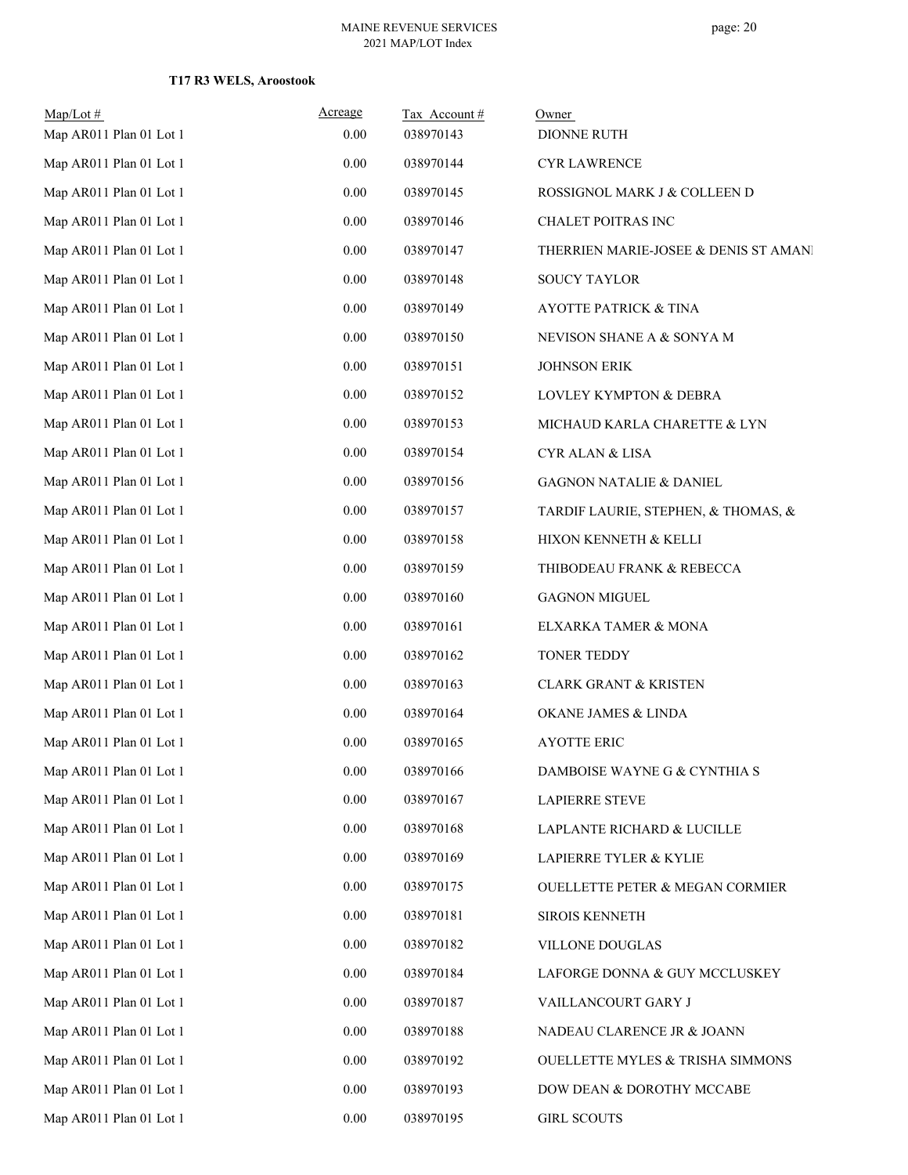| $Map/Lot$ #<br>Map AR011 Plan 01 Lot 1 | Acreage<br>0.00 | Tax Account#<br>038970143 | Owner<br>DIONNE RUTH                       |
|----------------------------------------|-----------------|---------------------------|--------------------------------------------|
| Map AR011 Plan 01 Lot 1                | 0.00            | 038970144                 | <b>CYR LAWRENCE</b>                        |
| Map AR011 Plan 01 Lot 1                | $0.00\,$        | 038970145                 | ROSSIGNOL MARK J & COLLEEN D               |
| Map AR011 Plan 01 Lot 1                | 0.00            | 038970146                 | CHALET POITRAS INC                         |
| Map AR011 Plan 01 Lot 1                | $0.00\,$        | 038970147                 | THERRIEN MARIE-JOSEE & DENIS ST AMANI      |
| Map AR011 Plan 01 Lot 1                | $0.00\,$        | 038970148                 | <b>SOUCY TAYLOR</b>                        |
| Map AR011 Plan 01 Lot 1                | 0.00            | 038970149                 | <b>AYOTTE PATRICK &amp; TINA</b>           |
| Map AR011 Plan 01 Lot 1                | $0.00\,$        | 038970150                 | NEVISON SHANE A & SONYA M                  |
| Map AR011 Plan 01 Lot 1                | 0.00            | 038970151                 | <b>JOHNSON ERIK</b>                        |
| Map AR011 Plan 01 Lot 1                | $0.00\,$        | 038970152                 | LOVLEY KYMPTON & DEBRA                     |
| Map AR011 Plan 01 Lot 1                | $0.00\,$        | 038970153                 | MICHAUD KARLA CHARETTE & LYN               |
| Map AR011 Plan 01 Lot 1                | 0.00            | 038970154                 | <b>CYR ALAN &amp; LISA</b>                 |
| Map AR011 Plan 01 Lot 1                | $0.00\,$        | 038970156                 | <b>GAGNON NATALIE &amp; DANIEL</b>         |
| Map AR011 Plan 01 Lot 1                | $0.00\,$        | 038970157                 | TARDIF LAURIE, STEPHEN, & THOMAS, &        |
| Map AR011 Plan 01 Lot 1                | 0.00            | 038970158                 | HIXON KENNETH & KELLI                      |
| Map AR011 Plan 01 Lot 1                | $0.00\,$        | 038970159                 | THIBODEAU FRANK & REBECCA                  |
| Map AR011 Plan 01 Lot 1                | $0.00\,$        | 038970160                 | <b>GAGNON MIGUEL</b>                       |
| Map AR011 Plan 01 Lot 1                | 0.00            | 038970161                 | ELXARKA TAMER & MONA                       |
| Map AR011 Plan 01 Lot 1                | $0.00\,$        | 038970162                 | TONER TEDDY                                |
| Map AR011 Plan 01 Lot 1                | $0.00\,$        | 038970163                 | <b>CLARK GRANT &amp; KRISTEN</b>           |
| Map AR011 Plan 01 Lot 1                | $0.00\,$        | 038970164                 | OKANE JAMES & LINDA                        |
| Map AR011 Plan 01 Lot 1                | $0.00\,$        | 038970165                 | <b>AYOTTE ERIC</b>                         |
| Map AR011 Plan 01 Lot 1                | 0.00            | 038970166                 | DAMBOISE WAYNE G & CYNTHIA S               |
| Map AR011 Plan 01 Lot 1                | 0.00            | 038970167                 | <b>LAPIERRE STEVE</b>                      |
| Map AR011 Plan 01 Lot 1                | $0.00\,$        | 038970168                 | LAPLANTE RICHARD & LUCILLE                 |
| Map AR011 Plan 01 Lot 1                | $0.00\,$        | 038970169                 | LAPIERRE TYLER & KYLIE                     |
| Map AR011 Plan 01 Lot 1                | 0.00            | 038970175                 | <b>OUELLETTE PETER &amp; MEGAN CORMIER</b> |
| Map AR011 Plan 01 Lot 1                | $0.00\,$        | 038970181                 | <b>SIROIS KENNETH</b>                      |
| Map AR011 Plan 01 Lot 1                | $0.00\,$        | 038970182                 | VILLONE DOUGLAS                            |
| Map AR011 Plan 01 Lot 1                | 0.00            | 038970184                 | LAFORGE DONNA & GUY MCCLUSKEY              |
| Map AR011 Plan 01 Lot 1                | 0.00            | 038970187                 | VAILLANCOURT GARY J                        |
| Map AR011 Plan 01 Lot 1                | $0.00\,$        | 038970188                 | NADEAU CLARENCE JR & JOANN                 |
| Map AR011 Plan 01 Lot 1                | 0.00            | 038970192                 | OUELLETTE MYLES & TRISHA SIMMONS           |
| Map AR011 Plan 01 Lot 1                | $0.00\,$        | 038970193                 | DOW DEAN & DOROTHY MCCABE                  |
| Map AR011 Plan 01 Lot 1                | $0.00\,$        | 038970195                 | <b>GIRL SCOUTS</b>                         |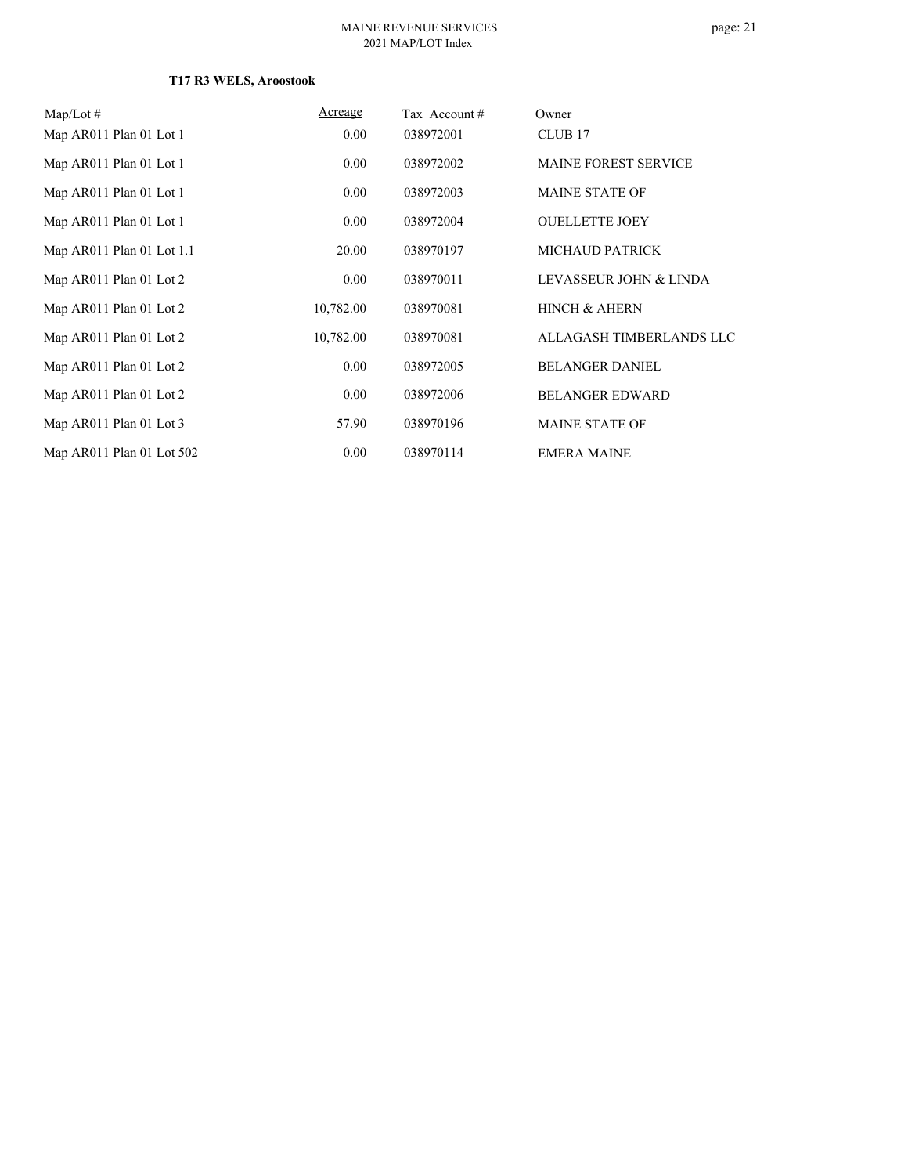| $Map/Lot \#$              | Acreage   | Tax Account# | Owner                       |
|---------------------------|-----------|--------------|-----------------------------|
| Map AR011 Plan 01 Lot 1   | 0.00      | 038972001    | CLUB <sub>17</sub>          |
| Map AR011 Plan 01 Lot 1   | 0.00      | 038972002    | <b>MAINE FOREST SERVICE</b> |
| Map AR011 Plan 01 Lot 1   | 0.00      | 038972003    | <b>MAINE STATE OF</b>       |
| Map AR011 Plan 01 Lot 1   | 0.00      | 038972004    | <b>OUELLETTE JOEY</b>       |
| Map AR011 Plan 01 Lot 1.1 | 20.00     | 038970197    | <b>MICHAUD PATRICK</b>      |
| Map AR011 Plan 01 Lot 2   | 0.00      | 038970011    | LEVASSEUR JOHN & LINDA      |
| Map AR011 Plan 01 Lot 2   | 10,782.00 | 038970081    | <b>HINCH &amp; AHERN</b>    |
| Map AR011 Plan 01 Lot 2   | 10,782.00 | 038970081    | ALLAGASH TIMBERLANDS LLC    |
| Map AR011 Plan 01 Lot 2   | 0.00      | 038972005    | <b>BELANGER DANIEL</b>      |
| Map AR011 Plan 01 Lot 2   | 0.00      | 038972006    | <b>BELANGER EDWARD</b>      |
| Map AR011 Plan 01 Lot 3   | 57.90     | 038970196    | <b>MAINE STATE OF</b>       |
| Map AR011 Plan 01 Lot 502 | 0.00      | 038970114    | <b>EMERA MAINE</b>          |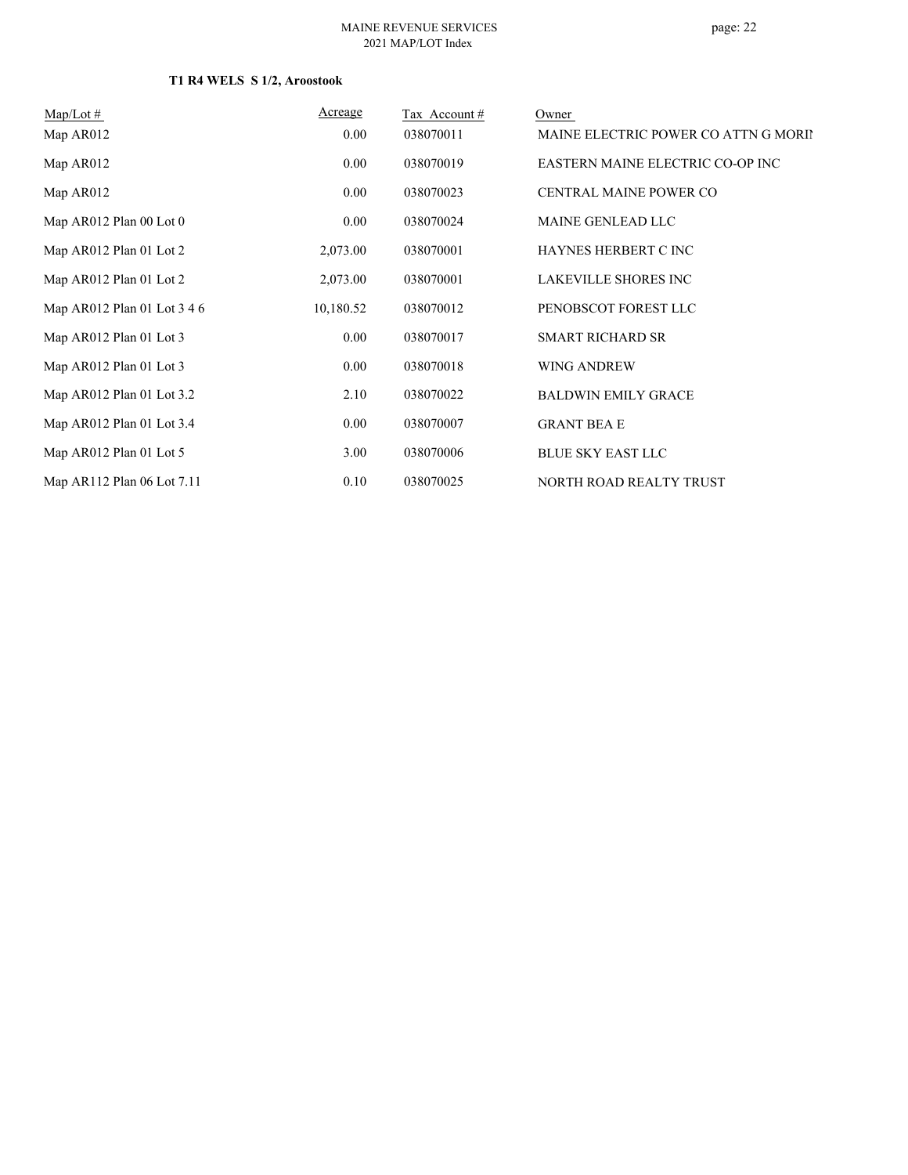#### MAINE REVENUE SERVICES 2021 MAP/LOT Index

### **T1 R4 WELS S 1/2, Aroostook**

| $Map/Lot \#$                | Acreage   | Tax Account# | Owner                                |
|-----------------------------|-----------|--------------|--------------------------------------|
| Map AR012                   | 0.00      | 038070011    | MAINE ELECTRIC POWER CO ATTN G MORIN |
| Map AR012                   | $0.00\,$  | 038070019    | EASTERN MAINE ELECTRIC CO-OP INC     |
| Map AR012                   | $0.00\,$  | 038070023    | <b>CENTRAL MAINE POWER CO</b>        |
| Map AR012 Plan 00 Lot 0     | $0.00\,$  | 038070024    | MAINE GENLEAD LLC                    |
| Map AR012 Plan 01 Lot 2     | 2,073.00  | 038070001    | HAYNES HERBERT C INC                 |
| Map AR012 Plan 01 Lot 2     | 2,073.00  | 038070001    | <b>LAKEVILLE SHORES INC</b>          |
| Map AR012 Plan 01 Lot 3 4 6 | 10,180.52 | 038070012    | PENOBSCOT FOREST LLC                 |
| Map AR012 Plan 01 Lot 3     | $0.00\,$  | 038070017    | <b>SMART RICHARD SR</b>              |
| Map AR012 Plan 01 Lot 3     | $0.00\,$  | 038070018    | WING ANDREW                          |
| Map AR012 Plan 01 Lot 3.2   | 2.10      | 038070022    | <b>BALDWIN EMILY GRACE</b>           |
| Map AR012 Plan 01 Lot 3.4   | $0.00\,$  | 038070007    | <b>GRANT BEA E</b>                   |
| Map AR012 Plan 01 Lot 5     | 3.00      | 038070006    | <b>BLUE SKY EAST LLC</b>             |
| Map AR112 Plan 06 Lot 7.11  | 0.10      | 038070025    | NORTH ROAD REALTY TRUST              |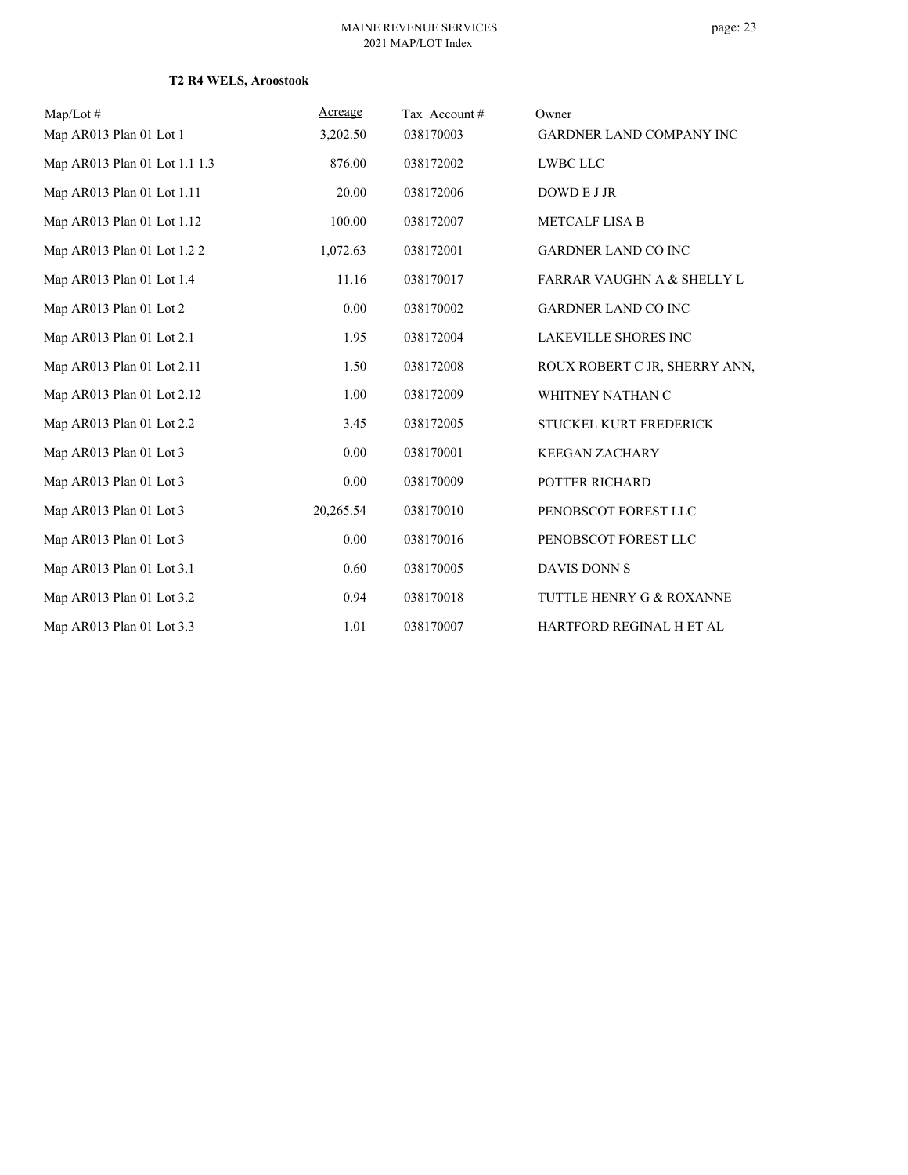| $Map/Lot \#$                  | Acreage   | Tax Account# | Owner                                 |
|-------------------------------|-----------|--------------|---------------------------------------|
| Map AR013 Plan 01 Lot 1       | 3,202.50  | 038170003    | <b>GARDNER LAND COMPANY INC</b>       |
| Map AR013 Plan 01 Lot 1.1 1.3 | 876.00    | 038172002    | <b>LWBC LLC</b>                       |
| Map AR013 Plan 01 Lot 1.11    | 20.00     | 038172006    | DOWD E J JR                           |
| Map AR013 Plan 01 Lot 1.12    | 100.00    | 038172007    | <b>METCALF LISA B</b>                 |
| Map AR013 Plan 01 Lot 1.2 2   | 1,072.63  | 038172001    | <b>GARDNER LAND CO INC</b>            |
| Map AR013 Plan 01 Lot 1.4     | 11.16     | 038170017    | <b>FARRAR VAUGHN A &amp; SHELLY L</b> |
| Map AR013 Plan 01 Lot 2       | 0.00      | 038170002    | <b>GARDNER LAND CO INC</b>            |
| Map AR013 Plan 01 Lot 2.1     | 1.95      | 038172004    | <b>LAKEVILLE SHORES INC</b>           |
| Map AR013 Plan 01 Lot 2.11    | 1.50      | 038172008    | ROUX ROBERT C JR, SHERRY ANN,         |
| Map AR013 Plan 01 Lot 2.12    | 1.00      | 038172009    | WHITNEY NATHAN C                      |
| Map AR013 Plan 01 Lot 2.2     | 3.45      | 038172005    | STUCKEL KURT FREDERICK                |
| Map AR013 Plan 01 Lot 3       | 0.00      | 038170001    | <b>KEEGAN ZACHARY</b>                 |
| Map AR013 Plan 01 Lot 3       | 0.00      | 038170009    | POTTER RICHARD                        |
| Map AR013 Plan 01 Lot 3       | 20,265.54 | 038170010    | PENOBSCOT FOREST LLC                  |
| Map AR013 Plan 01 Lot 3       | 0.00      | 038170016    | PENOBSCOT FOREST LLC                  |
| Map AR013 Plan 01 Lot 3.1     | 0.60      | 038170005    | DAVIS DONN S                          |
| Map AR013 Plan 01 Lot 3.2     | 0.94      | 038170018    | TUTTLE HENRY G & ROXANNE              |
| Map AR013 Plan 01 Lot 3.3     | 1.01      | 038170007    | HARTFORD REGINAL H ET AL              |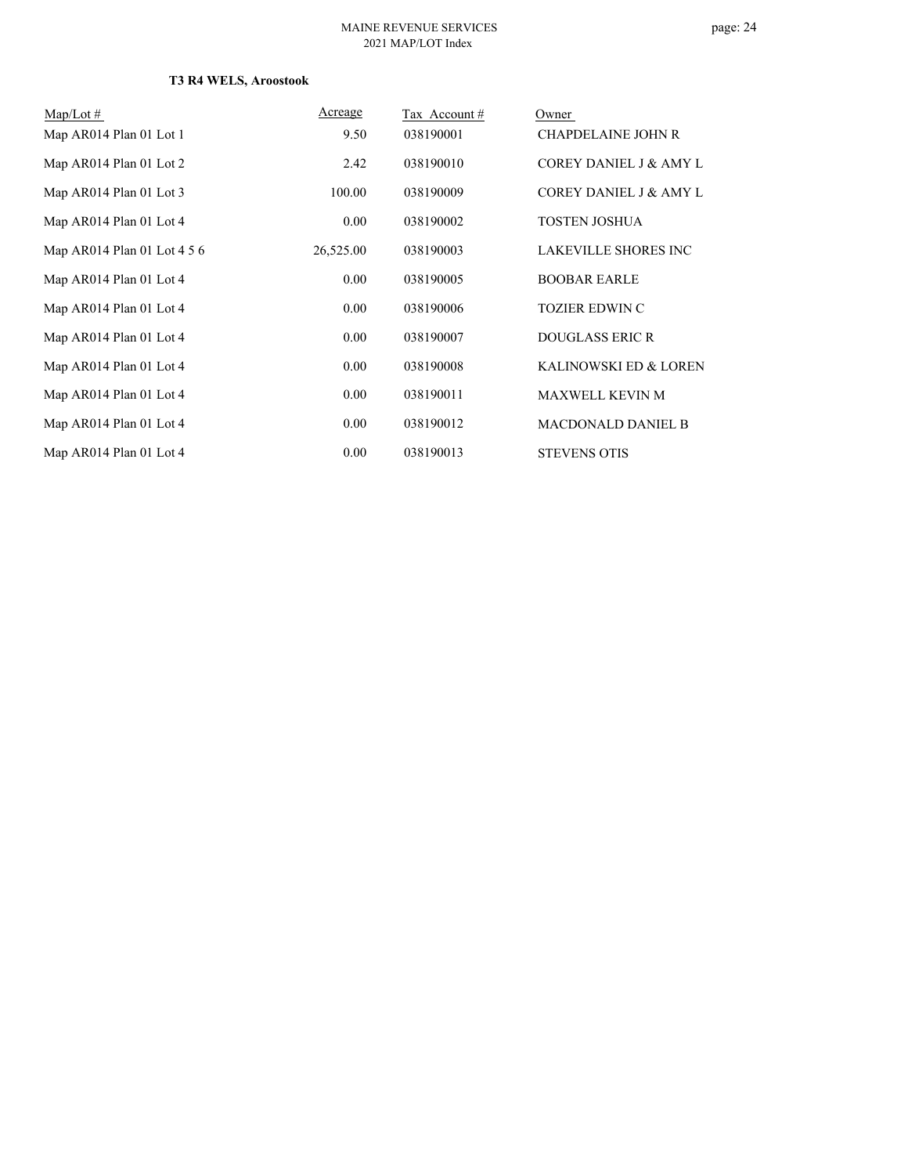| $Map/Lot \#$                | Acreage   | Tax Account # | Owner                             |
|-----------------------------|-----------|---------------|-----------------------------------|
| Map AR014 Plan 01 Lot 1     | 9.50      | 038190001     | <b>CHAPDELAINE JOHN R</b>         |
| Map AR014 Plan 01 Lot 2     | 2.42      | 038190010     | <b>COREY DANIEL J &amp; AMY L</b> |
| Map AR014 Plan 01 Lot 3     | 100.00    | 038190009     | COREY DANIEL J & AMY L            |
| Map AR014 Plan 01 Lot 4     | 0.00      | 038190002     | TOSTEN JOSHUA                     |
| Map AR014 Plan 01 Lot 4 5 6 | 26,525.00 | 038190003     | <b>LAKEVILLE SHORES INC</b>       |
| Map AR014 Plan 01 Lot 4     | 0.00      | 038190005     | <b>BOOBAR EARLE</b>               |
| Map AR014 Plan 01 Lot 4     | 0.00      | 038190006     | <b>TOZIER EDWIN C</b>             |
| Map AR014 Plan 01 Lot 4     | 0.00      | 038190007     | <b>DOUGLASS ERIC R</b>            |
| Map AR014 Plan 01 Lot 4     | 0.00      | 038190008     | KALINOWSKI ED & LOREN             |
| Map AR014 Plan 01 Lot 4     | 0.00      | 038190011     | <b>MAXWELL KEVIN M</b>            |
| Map AR014 Plan 01 Lot 4     | 0.00      | 038190012     | <b>MACDONALD DANIEL B</b>         |
| Map AR014 Plan 01 Lot 4     | 0.00      | 038190013     | <b>STEVENS OTIS</b>               |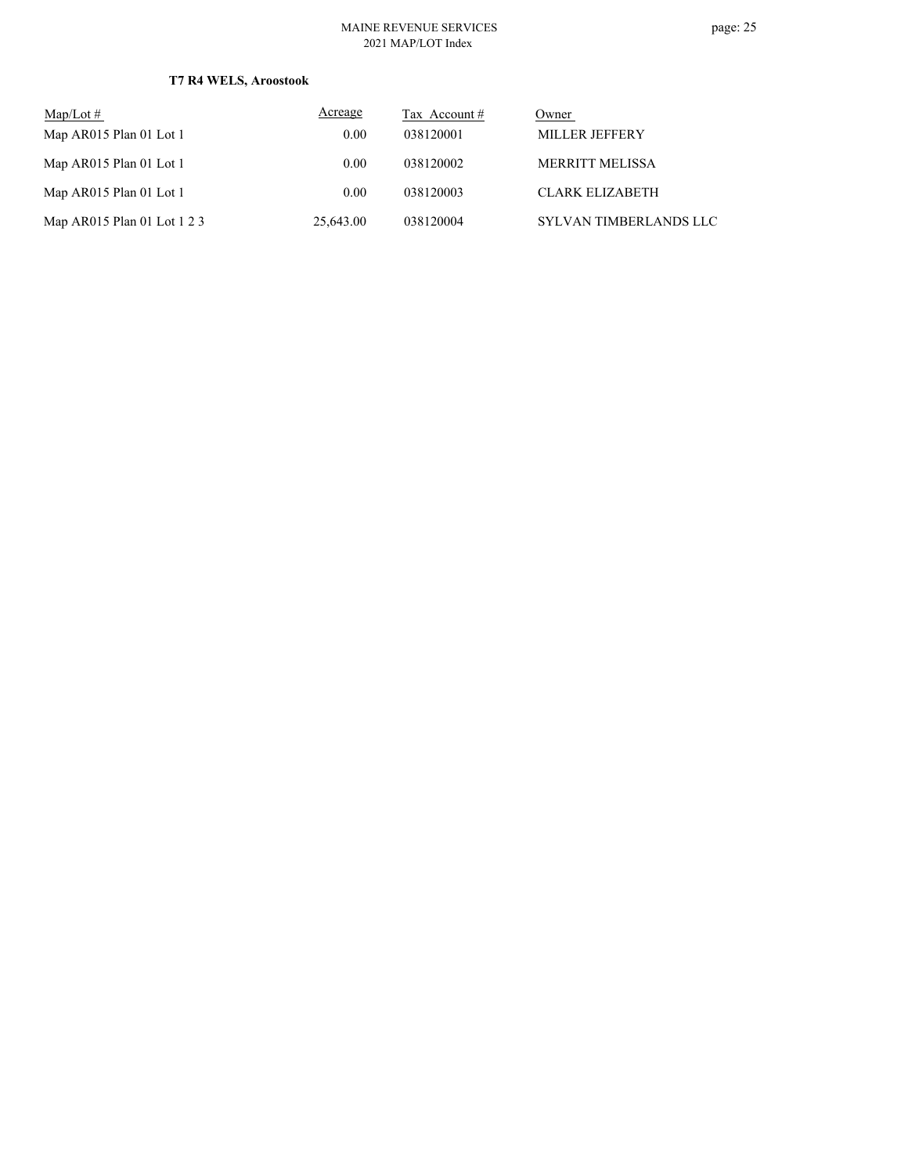#### MAINE REVENUE SERVICES 2021 MAP/LOT Index

| $\text{Map/Lot} \#$         | Acreage   | Tax Account # | Owner                  |
|-----------------------------|-----------|---------------|------------------------|
| Map AR015 Plan 01 Lot 1     | 0.00      | 038120001     | <b>MILLER JEFFERY</b>  |
| Map AR015 Plan 01 Lot 1     | 0.00      | 038120002     | MERRITT MELISSA        |
| Map AR015 Plan 01 Lot 1     | 0.00      | 038120003     | <b>CLARK ELIZABETH</b> |
| Map AR015 Plan 01 Lot 1 2 3 | 25,643.00 | 038120004     | SYLVAN TIMBERLANDS LLC |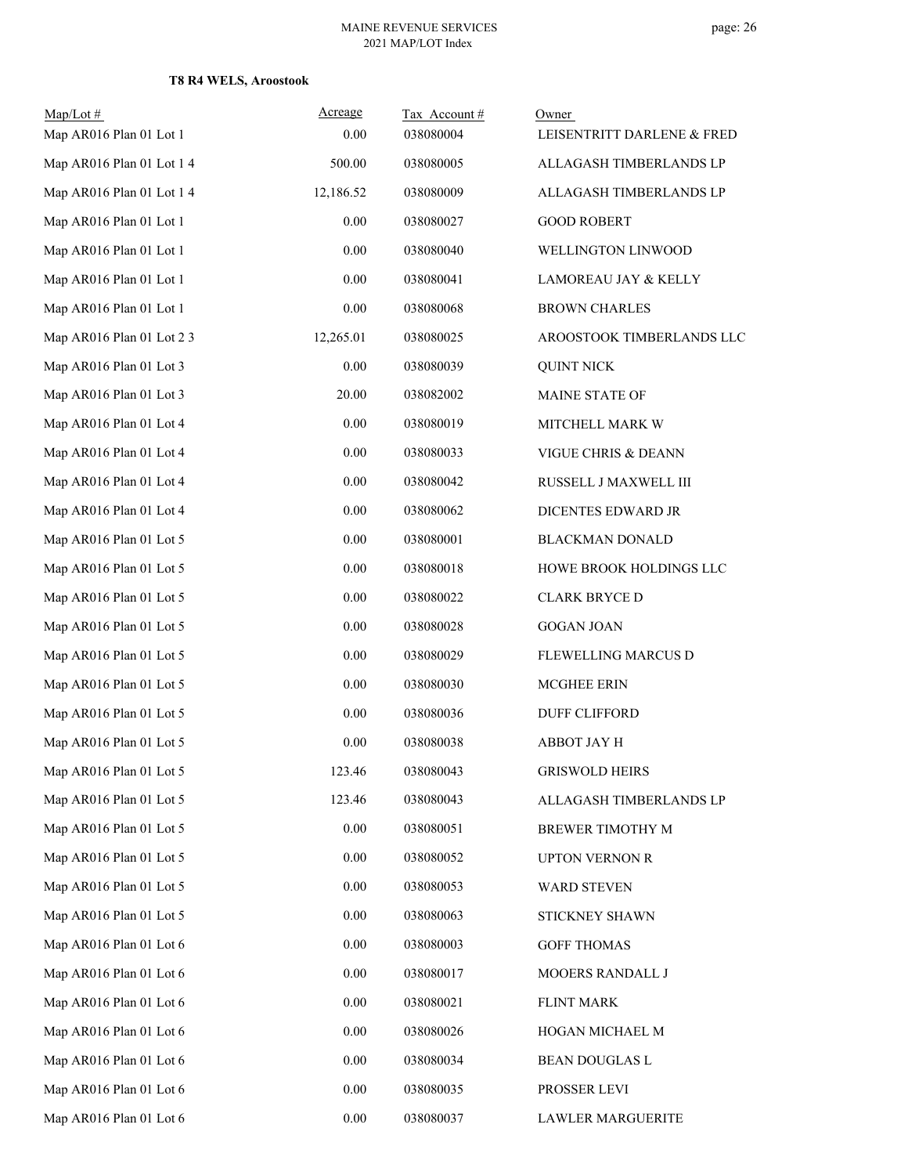| $Map/Lot \#$<br>Map AR016 Plan 01 Lot 1 | Acreage<br>0.00 | Tax Account#<br>038080004 | Owner<br>LEISENTRITT DARLENE & FRED |
|-----------------------------------------|-----------------|---------------------------|-------------------------------------|
| Map AR016 Plan 01 Lot 1 4               | 500.00          | 038080005                 | ALLAGASH TIMBERLANDS LP             |
| Map AR016 Plan 01 Lot 1 4               | 12,186.52       | 038080009                 | ALLAGASH TIMBERLANDS LP             |
| Map AR016 Plan 01 Lot 1                 | 0.00            | 038080027                 | <b>GOOD ROBERT</b>                  |
| Map AR016 Plan 01 Lot 1                 | 0.00            | 038080040                 | WELLINGTON LINWOOD                  |
| Map AR016 Plan 01 Lot 1                 | 0.00            | 038080041                 | LAMOREAU JAY & KELLY                |
| Map AR016 Plan 01 Lot 1                 | 0.00            | 038080068                 | <b>BROWN CHARLES</b>                |
| Map AR016 Plan 01 Lot 2 3               | 12,265.01       | 038080025                 | AROOSTOOK TIMBERLANDS LLC           |
| Map AR016 Plan 01 Lot 3                 | 0.00            | 038080039                 | <b>QUINT NICK</b>                   |
| Map AR016 Plan 01 Lot 3                 | 20.00           | 038082002                 | MAINE STATE OF                      |
| Map AR016 Plan 01 Lot 4                 | 0.00            | 038080019                 | MITCHELL MARK W                     |
| Map AR016 Plan 01 Lot 4                 | 0.00            | 038080033                 | VIGUE CHRIS & DEANN                 |
| Map AR016 Plan 01 Lot 4                 | 0.00            | 038080042                 | RUSSELL J MAXWELL III               |
| Map AR016 Plan 01 Lot 4                 | 0.00            | 038080062                 | DICENTES EDWARD JR                  |
| Map AR016 Plan 01 Lot 5                 | 0.00            | 038080001                 | <b>BLACKMAN DONALD</b>              |
| Map AR016 Plan 01 Lot 5                 | 0.00            | 038080018                 | HOWE BROOK HOLDINGS LLC             |
| Map AR016 Plan 01 Lot 5                 | 0.00            | 038080022                 | <b>CLARK BRYCED</b>                 |
| Map AR016 Plan 01 Lot 5                 | 0.00            | 038080028                 | <b>GOGAN JOAN</b>                   |
| Map AR016 Plan 01 Lot 5                 | 0.00            | 038080029                 | FLEWELLING MARCUS D                 |
| Map AR016 Plan 01 Lot 5                 | 0.00            | 038080030                 | <b>MCGHEE ERIN</b>                  |
| Map AR016 Plan 01 Lot 5                 | 0.00            | 038080036                 | <b>DUFF CLIFFORD</b>                |
| Map AR016 Plan 01 Lot 5                 | 0.00            | 038080038                 | <b>ABBOT JAY H</b>                  |
| Map AR016 Plan 01 Lot 5                 | 123.46          | 038080043                 | <b>GRISWOLD HEIRS</b>               |
| Map AR016 Plan 01 Lot 5                 | 123.46          | 038080043                 | ALLAGASH TIMBERLANDS LP             |
| Map AR016 Plan 01 Lot 5                 | 0.00            | 038080051                 | BREWER TIMOTHY M                    |
| Map AR016 Plan 01 Lot 5                 | 0.00            | 038080052                 | <b>UPTON VERNON R</b>               |
| Map AR016 Plan 01 Lot 5                 | 0.00            | 038080053                 | WARD STEVEN                         |
| Map AR016 Plan 01 Lot 5                 | 0.00            | 038080063                 | STICKNEY SHAWN                      |
| Map AR016 Plan 01 Lot 6                 | 0.00            | 038080003                 | <b>GOFF THOMAS</b>                  |
| Map AR016 Plan 01 Lot 6                 | 0.00            | 038080017                 | MOOERS RANDALL J                    |
| Map AR016 Plan 01 Lot 6                 | 0.00            | 038080021                 | <b>FLINT MARK</b>                   |
| Map AR016 Plan 01 Lot 6                 | 0.00            | 038080026                 | HOGAN MICHAEL M                     |
| Map AR016 Plan 01 Lot 6                 | 0.00            | 038080034                 | BEAN DOUGLAS L                      |
| Map AR016 Plan 01 Lot 6                 | 0.00            | 038080035                 | PROSSER LEVI                        |
| Map AR016 Plan 01 Lot 6                 | $0.00\,$        | 038080037                 | <b>LAWLER MARGUERITE</b>            |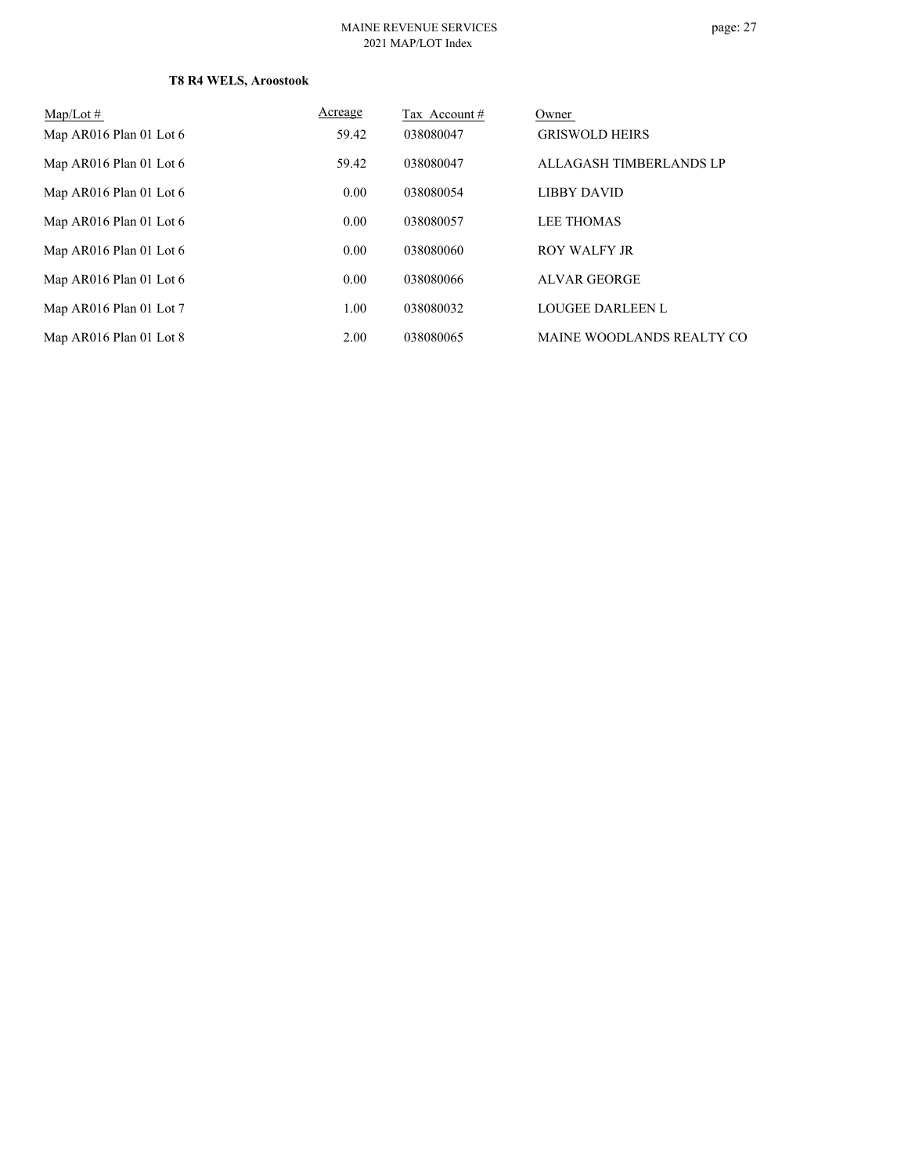#### MAINE REVENUE SERVICES 2021 MAP/LOT Index

| $Map/Lot \#$            | Acreage | Tax Account# | Owner                     |
|-------------------------|---------|--------------|---------------------------|
| Map AR016 Plan 01 Lot 6 | 59.42   | 038080047    | <b>GRISWOLD HEIRS</b>     |
| Map AR016 Plan 01 Lot 6 | 59.42   | 038080047    | ALLAGASH TIMBERLANDS LP   |
| Map AR016 Plan 01 Lot 6 | 0.00    | 038080054    | LIBBY DAVID               |
| Map AR016 Plan 01 Lot 6 | 0.00    | 038080057    | <b>LEE THOMAS</b>         |
| Map AR016 Plan 01 Lot 6 | 0.00    | 038080060    | ROY WALFY JR              |
| Map AR016 Plan 01 Lot 6 | 0.00    | 038080066    | <b>ALVAR GEORGE</b>       |
| Map AR016 Plan 01 Lot 7 | 1.00    | 038080032    | <b>LOUGEE DARLEEN L</b>   |
| Map AR016 Plan 01 Lot 8 | 2.00    | 038080065    | MAINE WOODLANDS REALTY CO |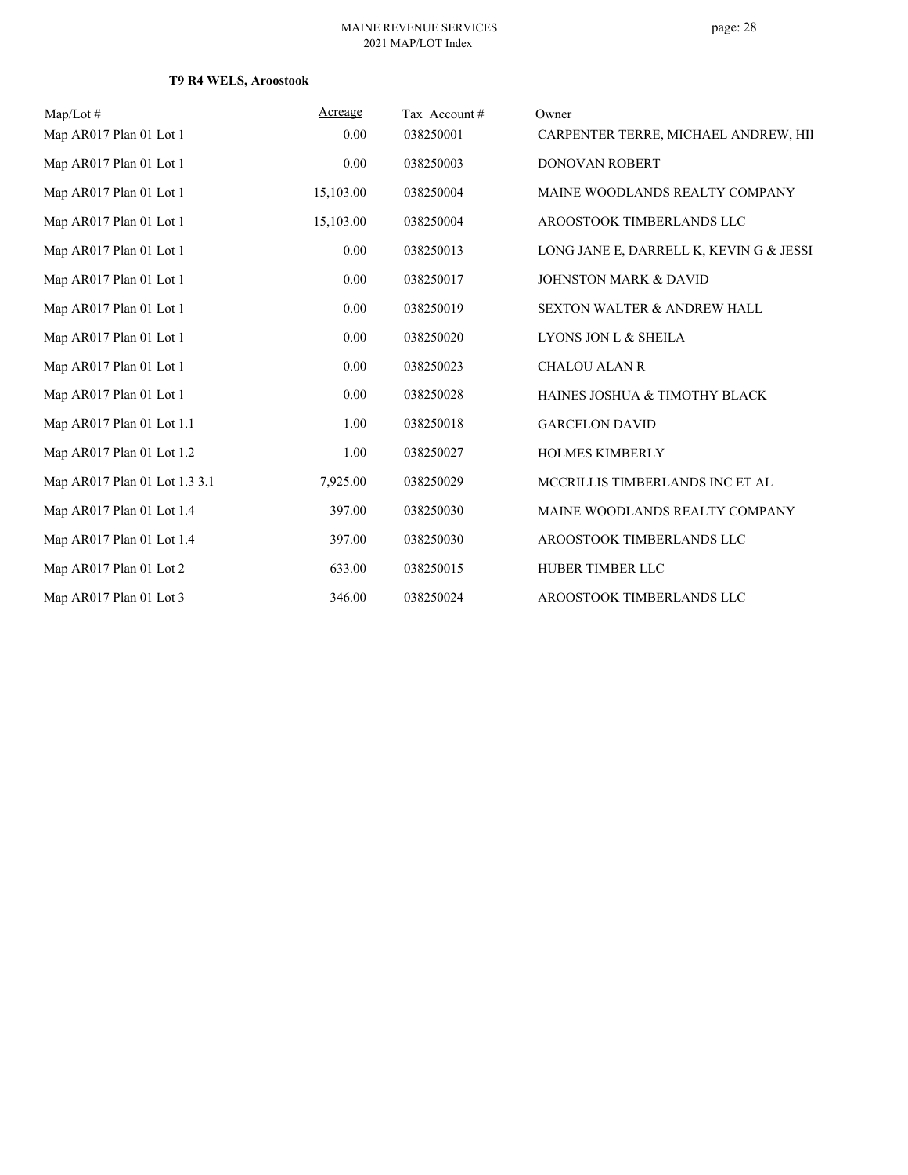| $Map/Lot \#$                  | Acreage   | Tax Account# | Owner                                   |
|-------------------------------|-----------|--------------|-----------------------------------------|
| Map AR017 Plan 01 Lot 1       | 0.00      | 038250001    | CARPENTER TERRE, MICHAEL ANDREW, HII    |
| Map AR017 Plan 01 Lot 1       | 0.00      | 038250003    | <b>DONOVAN ROBERT</b>                   |
| Map AR017 Plan 01 Lot 1       | 15,103.00 | 038250004    | MAINE WOODLANDS REALTY COMPANY          |
| Map AR017 Plan 01 Lot 1       | 15,103.00 | 038250004    | AROOSTOOK TIMBERLANDS LLC               |
| Map AR017 Plan 01 Lot 1       | 0.00      | 038250013    | LONG JANE E, DARRELL K, KEVIN G & JESSI |
| Map AR017 Plan 01 Lot 1       | 0.00      | 038250017    | <b>JOHNSTON MARK &amp; DAVID</b>        |
| Map AR017 Plan 01 Lot 1       | 0.00      | 038250019    | <b>SEXTON WALTER &amp; ANDREW HALL</b>  |
| Map AR017 Plan 01 Lot 1       | 0.00      | 038250020    | LYONS JON L & SHEILA                    |
| Map AR017 Plan 01 Lot 1       | 0.00      | 038250023    | <b>CHALOU ALAN R</b>                    |
| Map AR017 Plan 01 Lot 1       | 0.00      | 038250028    | HAINES JOSHUA & TIMOTHY BLACK           |
| Map AR017 Plan 01 Lot 1.1     | 1.00      | 038250018    | <b>GARCELON DAVID</b>                   |
| Map AR017 Plan 01 Lot 1.2     | 1.00      | 038250027    | <b>HOLMES KIMBERLY</b>                  |
| Map AR017 Plan 01 Lot 1.3 3.1 | 7,925.00  | 038250029    | MCCRILLIS TIMBERLANDS INC ET AL         |
| Map AR017 Plan 01 Lot 1.4     | 397.00    | 038250030    | MAINE WOODLANDS REALTY COMPANY          |
| Map AR017 Plan 01 Lot 1.4     | 397.00    | 038250030    | AROOSTOOK TIMBERLANDS LLC               |
| Map AR017 Plan 01 Lot 2       | 633.00    | 038250015    | HUBER TIMBER LLC                        |
| Map AR017 Plan 01 Lot 3       | 346.00    | 038250024    | AROOSTOOK TIMBERLANDS LLC               |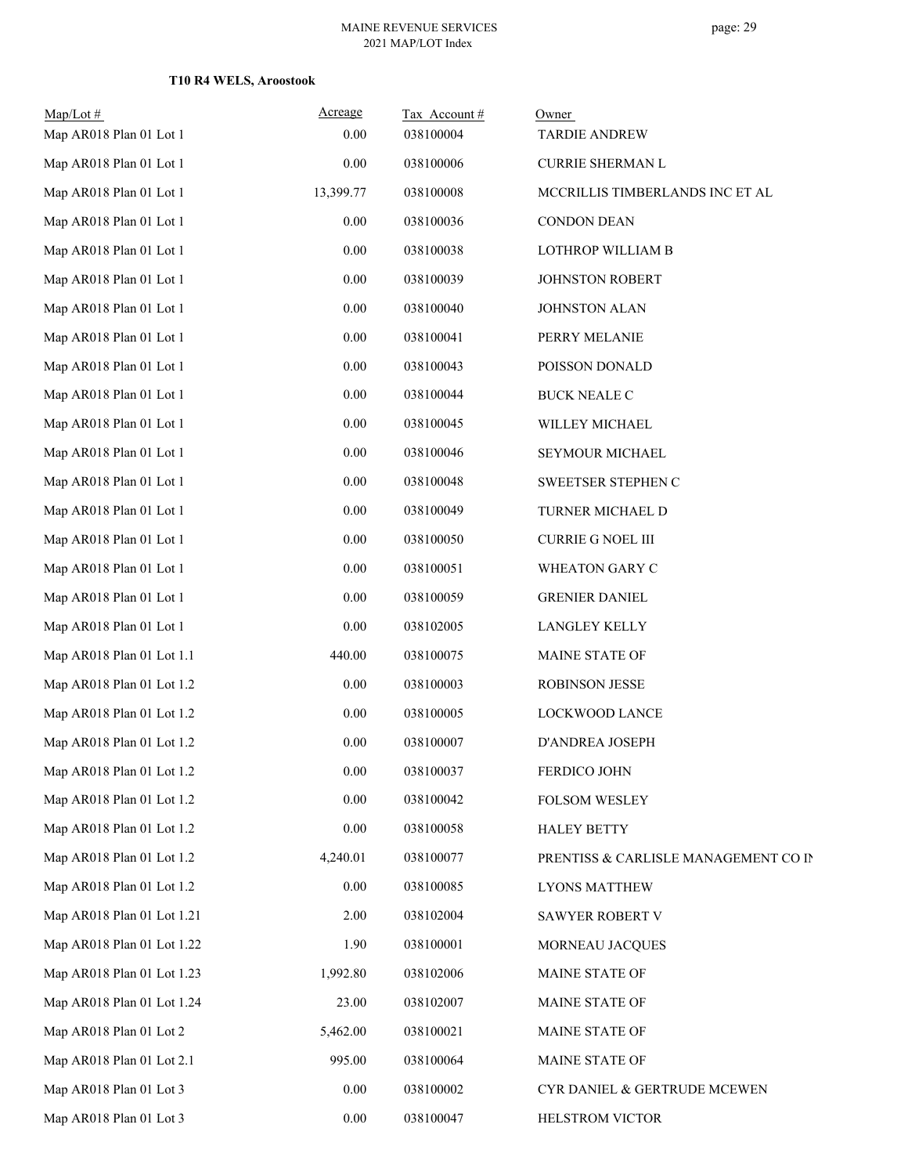| $Map/Lot$ #<br>Map AR018 Plan 01 Lot 1 | Acreage<br>0.00 | Tax Account#<br>038100004 | Owner<br><b>TARDIE ANDREW</b>        |
|----------------------------------------|-----------------|---------------------------|--------------------------------------|
| Map AR018 Plan 01 Lot 1                | 0.00            | 038100006                 | <b>CURRIE SHERMAN L</b>              |
| Map AR018 Plan 01 Lot 1                | 13,399.77       | 038100008                 | MCCRILLIS TIMBERLANDS INC ET AL      |
| Map AR018 Plan 01 Lot 1                | 0.00            | 038100036                 | <b>CONDON DEAN</b>                   |
| Map AR018 Plan 01 Lot 1                | 0.00            | 038100038                 | LOTHROP WILLIAM B                    |
| Map AR018 Plan 01 Lot 1                | 0.00            | 038100039                 | JOHNSTON ROBERT                      |
| Map AR018 Plan 01 Lot 1                | 0.00            | 038100040                 | <b>JOHNSTON ALAN</b>                 |
| Map AR018 Plan 01 Lot 1                | 0.00            | 038100041                 | PERRY MELANIE                        |
| Map AR018 Plan 01 Lot 1                | $0.00\,$        | 038100043                 | POISSON DONALD                       |
| Map AR018 Plan 01 Lot 1                | 0.00            | 038100044                 | <b>BUCK NEALE C</b>                  |
| Map AR018 Plan 01 Lot 1                | $0.00\,$        | 038100045                 | WILLEY MICHAEL                       |
| Map AR018 Plan 01 Lot 1                | 0.00            | 038100046                 | SEYMOUR MICHAEL                      |
| Map AR018 Plan 01 Lot 1                | 0.00            | 038100048                 | SWEETSER STEPHEN C                   |
| Map AR018 Plan 01 Lot 1                | 0.00            | 038100049                 | TURNER MICHAEL D                     |
| Map AR018 Plan 01 Lot 1                | 0.00            | 038100050                 | <b>CURRIE G NOEL III</b>             |
| Map AR018 Plan 01 Lot 1                | 0.00            | 038100051                 | WHEATON GARY C                       |
| Map AR018 Plan 01 Lot 1                | 0.00            | 038100059                 | <b>GRENIER DANIEL</b>                |
| Map AR018 Plan 01 Lot 1                | $0.00\,$        | 038102005                 | <b>LANGLEY KELLY</b>                 |
| Map AR018 Plan 01 Lot 1.1              | 440.00          | 038100075                 | MAINE STATE OF                       |
| Map AR018 Plan 01 Lot 1.2              | 0.00            | 038100003                 | <b>ROBINSON JESSE</b>                |
| Map AR018 Plan 01 Lot 1.2              | 0.00            | 038100005                 | LOCKWOOD LANCE                       |
| Map AR018 Plan 01 Lot 1.2              | $0.00\,$        | 038100007                 | D'ANDREA JOSEPH                      |
| Map AR018 Plan 01 Lot 1.2              | $0.00\,$        | 038100037                 | FERDICO JOHN                         |
| Map AR018 Plan 01 Lot 1.2              | 0.00            | 038100042                 | FOLSOM WESLEY                        |
| Map AR018 Plan 01 Lot 1.2              | 0.00            | 038100058                 | <b>HALEY BETTY</b>                   |
| Map AR018 Plan 01 Lot 1.2              | 4,240.01        | 038100077                 | PRENTISS & CARLISLE MANAGEMENT CO IN |
| Map AR018 Plan 01 Lot 1.2              | 0.00            | 038100085                 | <b>LYONS MATTHEW</b>                 |
| Map AR018 Plan 01 Lot 1.21             | 2.00            | 038102004                 | SAWYER ROBERT V                      |
| Map AR018 Plan 01 Lot 1.22             | 1.90            | 038100001                 | MORNEAU JACQUES                      |
| Map AR018 Plan 01 Lot 1.23             | 1,992.80        | 038102006                 | MAINE STATE OF                       |
| Map AR018 Plan 01 Lot 1.24             | 23.00           | 038102007                 | MAINE STATE OF                       |
| Map AR018 Plan 01 Lot 2                | 5,462.00        | 038100021                 | MAINE STATE OF                       |
| Map AR018 Plan 01 Lot 2.1              | 995.00          | 038100064                 | MAINE STATE OF                       |
| Map AR018 Plan 01 Lot 3                | 0.00            | 038100002                 | CYR DANIEL & GERTRUDE MCEWEN         |
| Map AR018 Plan 01 Lot 3                | $0.00\,$        | 038100047                 | HELSTROM VICTOR                      |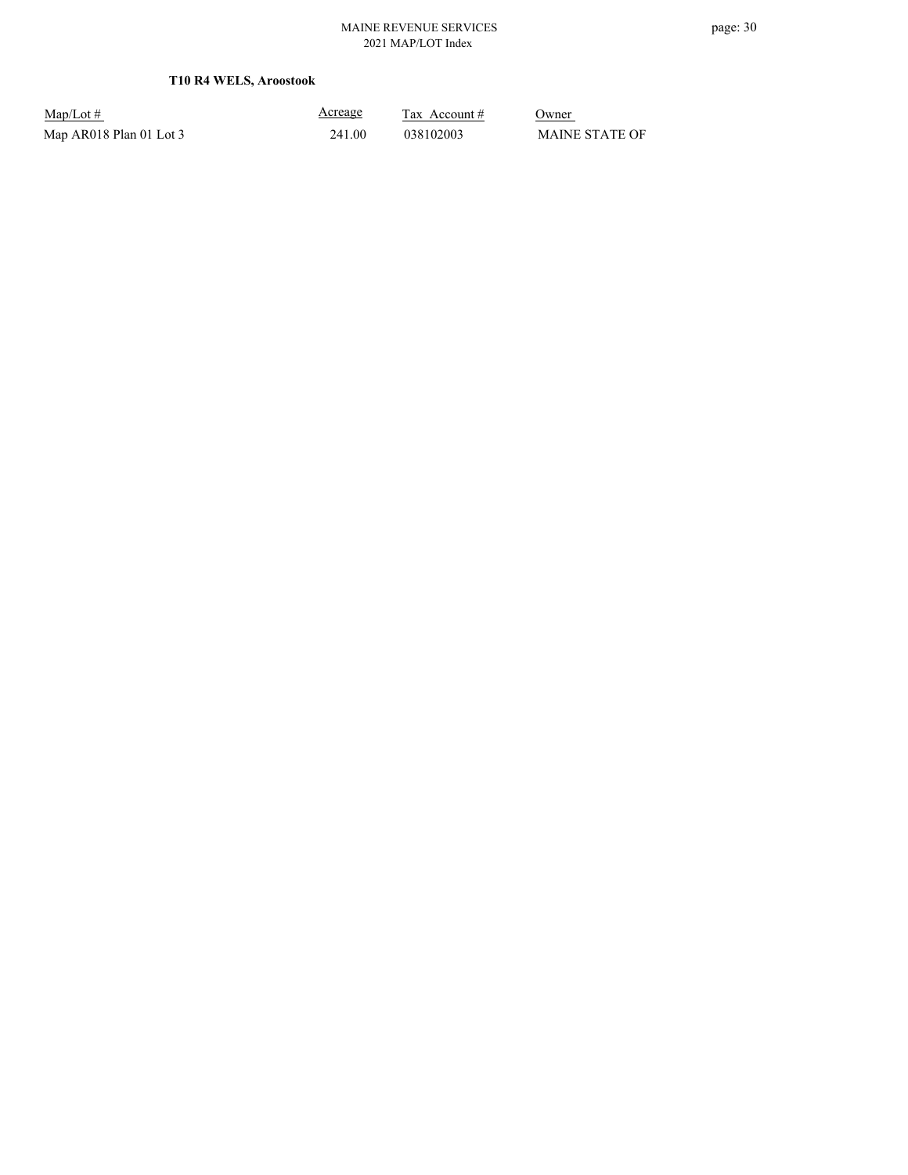Map/Lot #  $\frac{\text{Areage}}{\text{2x} + \text{Account}}$  0wner Map AR018 Plan 01 Lot 3 241.00 038102003 MAINE STATE OF

Acreage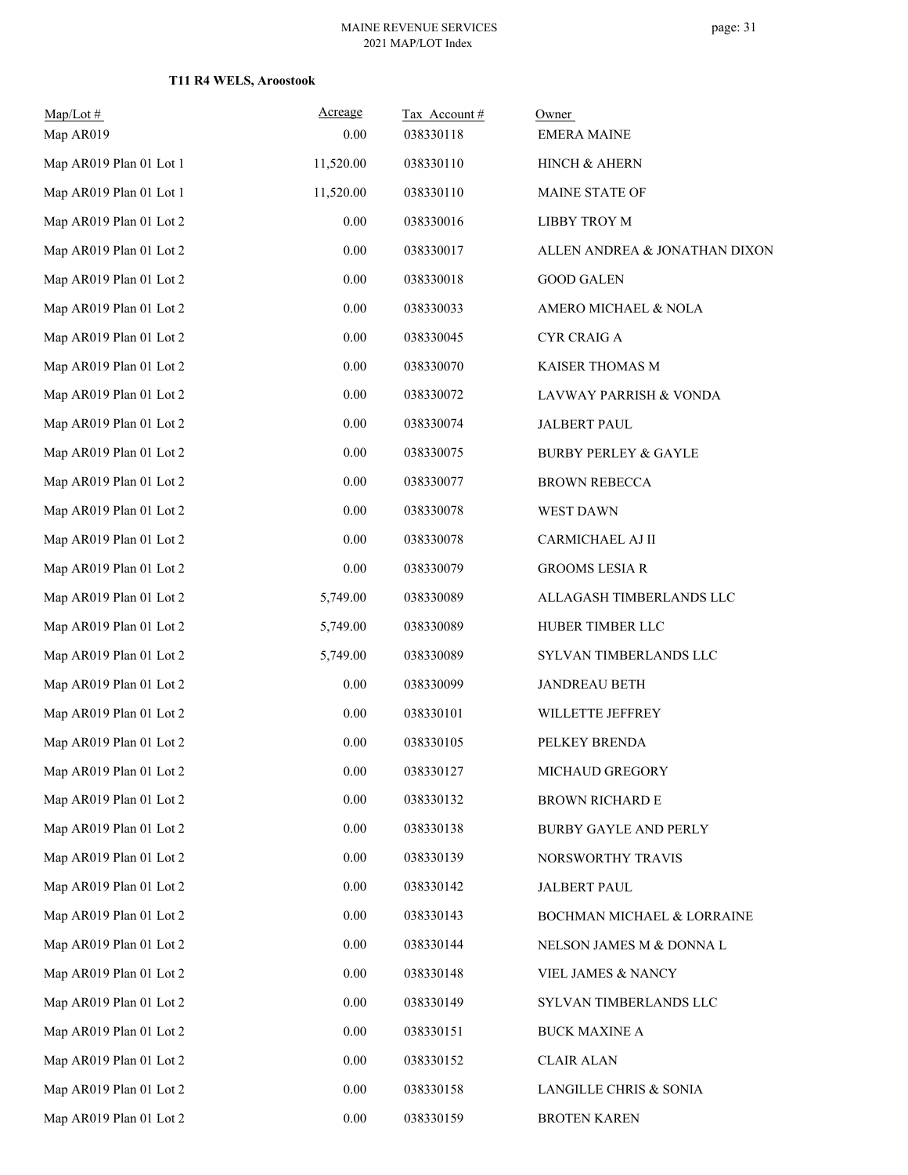| Map/Lot #               | Acreage   | Tax Account# | Owner                           |
|-------------------------|-----------|--------------|---------------------------------|
| Map AR019               | 0.00      | 038330118    | <b>EMERA MAINE</b>              |
| Map AR019 Plan 01 Lot 1 | 11,520.00 | 038330110    | HINCH & AHERN                   |
| Map AR019 Plan 01 Lot 1 | 11,520.00 | 038330110    | MAINE STATE OF                  |
| Map AR019 Plan 01 Lot 2 | 0.00      | 038330016    | LIBBY TROY M                    |
| Map AR019 Plan 01 Lot 2 | 0.00      | 038330017    | ALLEN ANDREA & JONATHAN DIXON   |
| Map AR019 Plan 01 Lot 2 | $0.00\,$  | 038330018    | <b>GOOD GALEN</b>               |
| Map AR019 Plan 01 Lot 2 | 0.00      | 038330033    | AMERO MICHAEL & NOLA            |
| Map AR019 Plan 01 Lot 2 | 0.00      | 038330045    | <b>CYR CRAIG A</b>              |
| Map AR019 Plan 01 Lot 2 | 0.00      | 038330070    | KAISER THOMAS M                 |
| Map AR019 Plan 01 Lot 2 | 0.00      | 038330072    | LAVWAY PARRISH & VONDA          |
| Map AR019 Plan 01 Lot 2 | 0.00      | 038330074    | <b>JALBERT PAUL</b>             |
| Map AR019 Plan 01 Lot 2 | 0.00      | 038330075    | <b>BURBY PERLEY &amp; GAYLE</b> |
| Map AR019 Plan 01 Lot 2 | 0.00      | 038330077    | <b>BROWN REBECCA</b>            |
| Map AR019 Plan 01 Lot 2 | $0.00\,$  | 038330078    | WEST DAWN                       |
| Map AR019 Plan 01 Lot 2 | 0.00      | 038330078    | CARMICHAEL AJ II                |
| Map AR019 Plan 01 Lot 2 | $0.00\,$  | 038330079    | <b>GROOMS LESIA R</b>           |
| Map AR019 Plan 01 Lot 2 | 5,749.00  | 038330089    | ALLAGASH TIMBERLANDS LLC        |
| Map AR019 Plan 01 Lot 2 | 5,749.00  | 038330089    | HUBER TIMBER LLC                |
| Map AR019 Plan 01 Lot 2 | 5,749.00  | 038330089    | SYLVAN TIMBERLANDS LLC          |
| Map AR019 Plan 01 Lot 2 | 0.00      | 038330099    | <b>JANDREAU BETH</b>            |
| Map AR019 Plan 01 Lot 2 | 0.00      | 038330101    | WILLETTE JEFFREY                |
| Map AR019 Plan 01 Lot 2 | $0.00\,$  | 038330105    | PELKEY BRENDA                   |
| Map AR019 Plan 01 Lot 2 | $0.00\,$  | 038330127    | MICHAUD GREGORY                 |
| Map AR019 Plan 01 Lot 2 | 0.00      | 038330132    | <b>BROWN RICHARD E</b>          |
| Map AR019 Plan 01 Lot 2 | $0.00\,$  | 038330138    | BURBY GAYLE AND PERLY           |
| Map AR019 Plan 01 Lot 2 | $0.00\,$  | 038330139    | NORSWORTHY TRAVIS               |
| Map AR019 Plan 01 Lot 2 | 0.00      | 038330142    | <b>JALBERT PAUL</b>             |
| Map AR019 Plan 01 Lot 2 | 0.00      | 038330143    | BOCHMAN MICHAEL & LORRAINE      |
| Map AR019 Plan 01 Lot 2 | 0.00      | 038330144    | NELSON JAMES M & DONNA L        |
| Map AR019 Plan 01 Lot 2 | 0.00      | 038330148    | VIEL JAMES & NANCY              |
| Map AR019 Plan 01 Lot 2 | 0.00      | 038330149    | SYLVAN TIMBERLANDS LLC          |
| Map AR019 Plan 01 Lot 2 | 0.00      | 038330151    | <b>BUCK MAXINE A</b>            |
| Map AR019 Plan 01 Lot 2 | 0.00      | 038330152    | <b>CLAIR ALAN</b>               |
| Map AR019 Plan 01 Lot 2 | $0.00\,$  | 038330158    | LANGILLE CHRIS & SONIA          |
| Map AR019 Plan 01 Lot 2 | $0.00\,$  | 038330159    | <b>BROTEN KAREN</b>             |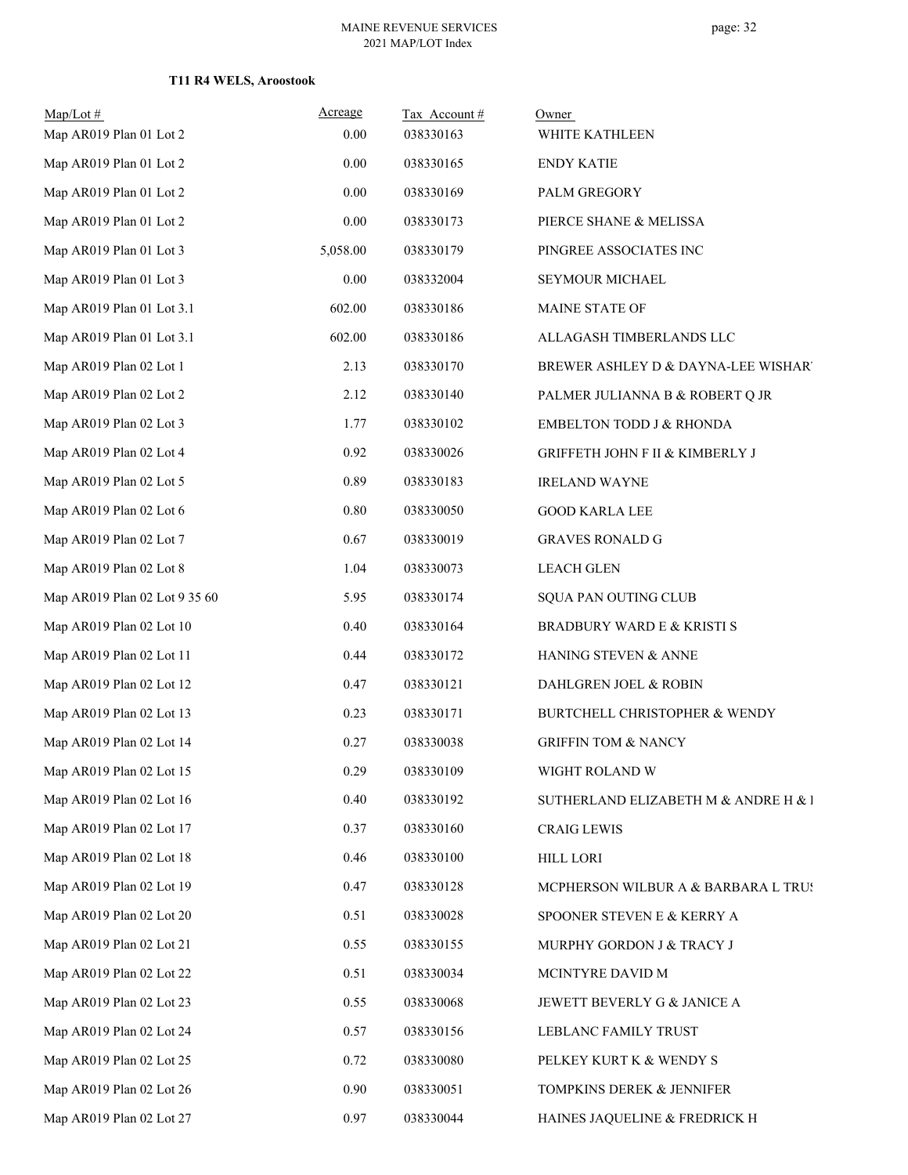| $Map/Lot \#$<br>Map AR019 Plan 01 Lot 2 | Acreage<br>0.00 | Tax Account#<br>038330163 | Owner<br>WHITE KATHLEEN              |
|-----------------------------------------|-----------------|---------------------------|--------------------------------------|
| Map AR019 Plan 01 Lot 2                 | 0.00            | 038330165                 | <b>ENDY KATIE</b>                    |
| Map AR019 Plan 01 Lot 2                 | 0.00            | 038330169                 | PALM GREGORY                         |
| Map AR019 Plan 01 Lot 2                 | 0.00            | 038330173                 | PIERCE SHANE & MELISSA               |
| Map AR019 Plan 01 Lot 3                 | 5,058.00        | 038330179                 | PINGREE ASSOCIATES INC               |
| Map AR019 Plan 01 Lot 3                 | $0.00\,$        | 038332004                 | SEYMOUR MICHAEL                      |
| Map AR019 Plan 01 Lot 3.1               | 602.00          | 038330186                 | MAINE STATE OF                       |
| Map AR019 Plan 01 Lot 3.1               | 602.00          | 038330186                 | ALLAGASH TIMBERLANDS LLC             |
| Map AR019 Plan 02 Lot 1                 | 2.13            | 038330170                 | BREWER ASHLEY D & DAYNA-LEE WISHAR'  |
| Map AR019 Plan 02 Lot 2                 | 2.12            | 038330140                 | PALMER JULIANNA B & ROBERT Q JR      |
| Map AR019 Plan 02 Lot 3                 | 1.77            | 038330102                 | <b>EMBELTON TODD J &amp; RHONDA</b>  |
| Map AR019 Plan 02 Lot 4                 | 0.92            | 038330026                 | GRIFFETH JOHN F II & KIMBERLY J      |
| Map AR019 Plan 02 Lot 5                 | 0.89            | 038330183                 | <b>IRELAND WAYNE</b>                 |
| Map AR019 Plan 02 Lot 6                 | $0.80\,$        | 038330050                 | <b>GOOD KARLA LEE</b>                |
| Map AR019 Plan 02 Lot 7                 | 0.67            | 038330019                 | <b>GRAVES RONALD G</b>               |
| Map AR019 Plan 02 Lot 8                 | 1.04            | 038330073                 | <b>LEACH GLEN</b>                    |
| Map AR019 Plan 02 Lot 9 35 60           | 5.95            | 038330174                 | SQUA PAN OUTING CLUB                 |
| Map AR019 Plan 02 Lot 10                | 0.40            | 038330164                 | BRADBURY WARD E & KRISTI S           |
| Map AR019 Plan 02 Lot 11                | 0.44            | 038330172                 | HANING STEVEN & ANNE                 |
| Map AR019 Plan 02 Lot 12                | 0.47            | 038330121                 | DAHLGREN JOEL & ROBIN                |
| Map AR019 Plan 02 Lot 13                | 0.23            | 038330171                 | BURTCHELL CHRISTOPHER & WENDY        |
| Map AR019 Plan 02 Lot 14                | 0.27            | 038330038                 | <b>GRIFFIN TOM &amp; NANCY</b>       |
| Map AR019 Plan 02 Lot 15                | 0.29            | 038330109                 | WIGHT ROLAND W                       |
| Map AR019 Plan 02 Lot 16                | 0.40            | 038330192                 | SUTHERLAND ELIZABETH M & ANDRE H & I |
| Map AR019 Plan 02 Lot 17                | 0.37            | 038330160                 | <b>CRAIG LEWIS</b>                   |
| Map AR019 Plan 02 Lot 18                | 0.46            | 038330100                 | <b>HILL LORI</b>                     |
| Map AR019 Plan 02 Lot 19                | 0.47            | 038330128                 | MCPHERSON WILBUR A & BARBARA L TRUS  |
| Map AR019 Plan 02 Lot 20                | 0.51            | 038330028                 | SPOONER STEVEN E & KERRY A           |
| Map AR019 Plan 02 Lot 21                | 0.55            | 038330155                 | MURPHY GORDON J & TRACY J            |
| Map AR019 Plan 02 Lot 22                | 0.51            | 038330034                 | MCINTYRE DAVID M                     |
| Map AR019 Plan 02 Lot 23                | 0.55            | 038330068                 | JEWETT BEVERLY G & JANICE A          |
| Map AR019 Plan 02 Lot 24                | 0.57            | 038330156                 | LEBLANC FAMILY TRUST                 |
| Map AR019 Plan 02 Lot 25                | 0.72            | 038330080                 | PELKEY KURT K & WENDY S              |
| Map AR019 Plan 02 Lot 26                | 0.90            | 038330051                 | TOMPKINS DEREK & JENNIFER            |
| Map AR019 Plan 02 Lot 27                | 0.97            | 038330044                 | HAINES JAQUELINE & FREDRICK H        |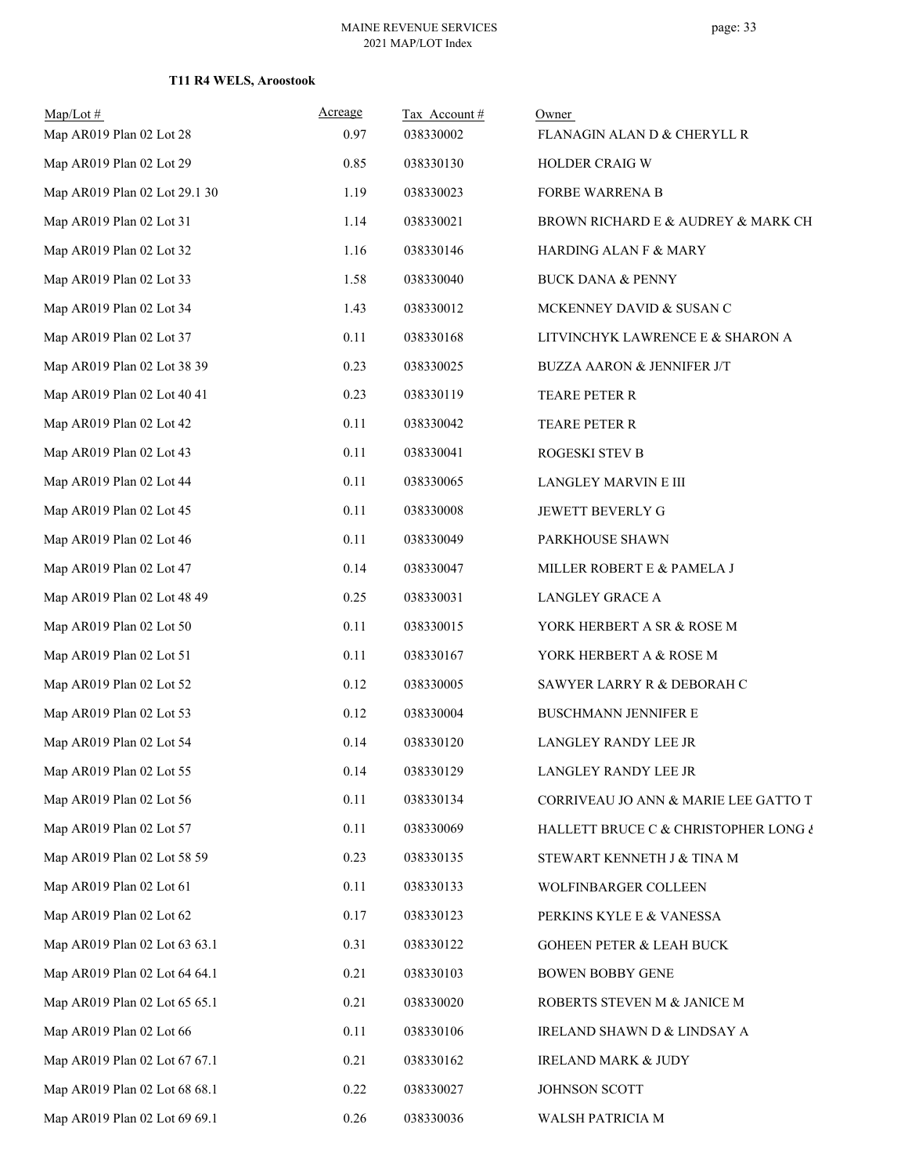| $Map/Lot \#$<br>Map AR019 Plan 02 Lot 28 | Acreage<br>0.97 | Tax Account#<br>038330002 | Owner<br>FLANAGIN ALAN D & CHERYLL R  |
|------------------------------------------|-----------------|---------------------------|---------------------------------------|
| Map AR019 Plan 02 Lot 29                 | 0.85            | 038330130                 | HOLDER CRAIG W                        |
| Map AR019 Plan 02 Lot 29.1 30            | 1.19            | 038330023                 | FORBE WARRENA B                       |
| Map AR019 Plan 02 Lot 31                 | 1.14            | 038330021                 | BROWN RICHARD E & AUDREY & MARK CH    |
| Map AR019 Plan 02 Lot 32                 | 1.16            | 038330146                 | HARDING ALAN F & MARY                 |
| Map AR019 Plan 02 Lot 33                 | 1.58            | 038330040                 | <b>BUCK DANA &amp; PENNY</b>          |
| Map AR019 Plan 02 Lot 34                 | 1.43            | 038330012                 | MCKENNEY DAVID & SUSAN C              |
| Map AR019 Plan 02 Lot 37                 | 0.11            | 038330168                 | LITVINCHYK LAWRENCE E & SHARON A      |
| Map AR019 Plan 02 Lot 38 39              | 0.23            | 038330025                 | <b>BUZZA AARON &amp; JENNIFER J/T</b> |
| Map AR019 Plan 02 Lot 40 41              | 0.23            | 038330119                 | TEARE PETER R                         |
| Map AR019 Plan 02 Lot 42                 | 0.11            | 038330042                 | TEARE PETER R                         |
| Map AR019 Plan 02 Lot 43                 | 0.11            | 038330041                 | ROGESKI STEV B                        |
| Map AR019 Plan 02 Lot 44                 | 0.11            | 038330065                 | LANGLEY MARVIN E III                  |
| Map AR019 Plan 02 Lot 45                 | 0.11            | 038330008                 | JEWETT BEVERLY G                      |
| Map AR019 Plan 02 Lot 46                 | 0.11            | 038330049                 | PARKHOUSE SHAWN                       |
| Map AR019 Plan 02 Lot 47                 | 0.14            | 038330047                 | MILLER ROBERT E & PAMELA J            |
| Map AR019 Plan 02 Lot 48 49              | 0.25            | 038330031                 | LANGLEY GRACE A                       |
| Map AR019 Plan 02 Lot 50                 | 0.11            | 038330015                 | YORK HERBERT A SR & ROSE M            |
| Map AR019 Plan 02 Lot 51                 | 0.11            | 038330167                 | YORK HERBERT A & ROSE M               |
| Map AR019 Plan 02 Lot 52                 | 0.12            | 038330005                 | SAWYER LARRY R & DEBORAH C            |
| Map AR019 Plan 02 Lot 53                 | 0.12            | 038330004                 | <b>BUSCHMANN JENNIFER E</b>           |
| Map AR019 Plan 02 Lot 54                 | 0.14            | 038330120                 | LANGLEY RANDY LEE JR                  |
| Map AR019 Plan 02 Lot 55                 | 0.14            | 038330129                 | LANGLEY RANDY LEE JR                  |
| Map AR019 Plan 02 Lot 56                 | 0.11            | 038330134                 | CORRIVEAU JO ANN & MARIE LEE GATTO T  |
| Map AR019 Plan 02 Lot 57                 | 0.11            | 038330069                 | HALLETT BRUCE C & CHRISTOPHER LONG &  |
| Map AR019 Plan 02 Lot 58 59              | 0.23            | 038330135                 | STEWART KENNETH J & TINA M            |
| Map AR019 Plan 02 Lot 61                 | 0.11            | 038330133                 | WOLFINBARGER COLLEEN                  |
| Map AR019 Plan 02 Lot 62                 | 0.17            | 038330123                 | PERKINS KYLE E & VANESSA              |
| Map AR019 Plan 02 Lot 63 63.1            | 0.31            | 038330122                 | <b>GOHEEN PETER &amp; LEAH BUCK</b>   |
| Map AR019 Plan 02 Lot 64 64.1            | 0.21            | 038330103                 | BOWEN BOBBY GENE                      |
| Map AR019 Plan 02 Lot 65 65.1            | 0.21            | 038330020                 | ROBERTS STEVEN M & JANICE M           |
| Map AR019 Plan 02 Lot 66                 | 0.11            | 038330106                 | IRELAND SHAWN D & LINDSAY A           |
| Map AR019 Plan 02 Lot 67 67.1            | 0.21            | 038330162                 | <b>IRELAND MARK &amp; JUDY</b>        |
| Map AR019 Plan 02 Lot 68 68.1            | 0.22            | 038330027                 | JOHNSON SCOTT                         |
| Map AR019 Plan 02 Lot 69 69.1            | 0.26            | 038330036                 | WALSH PATRICIA M                      |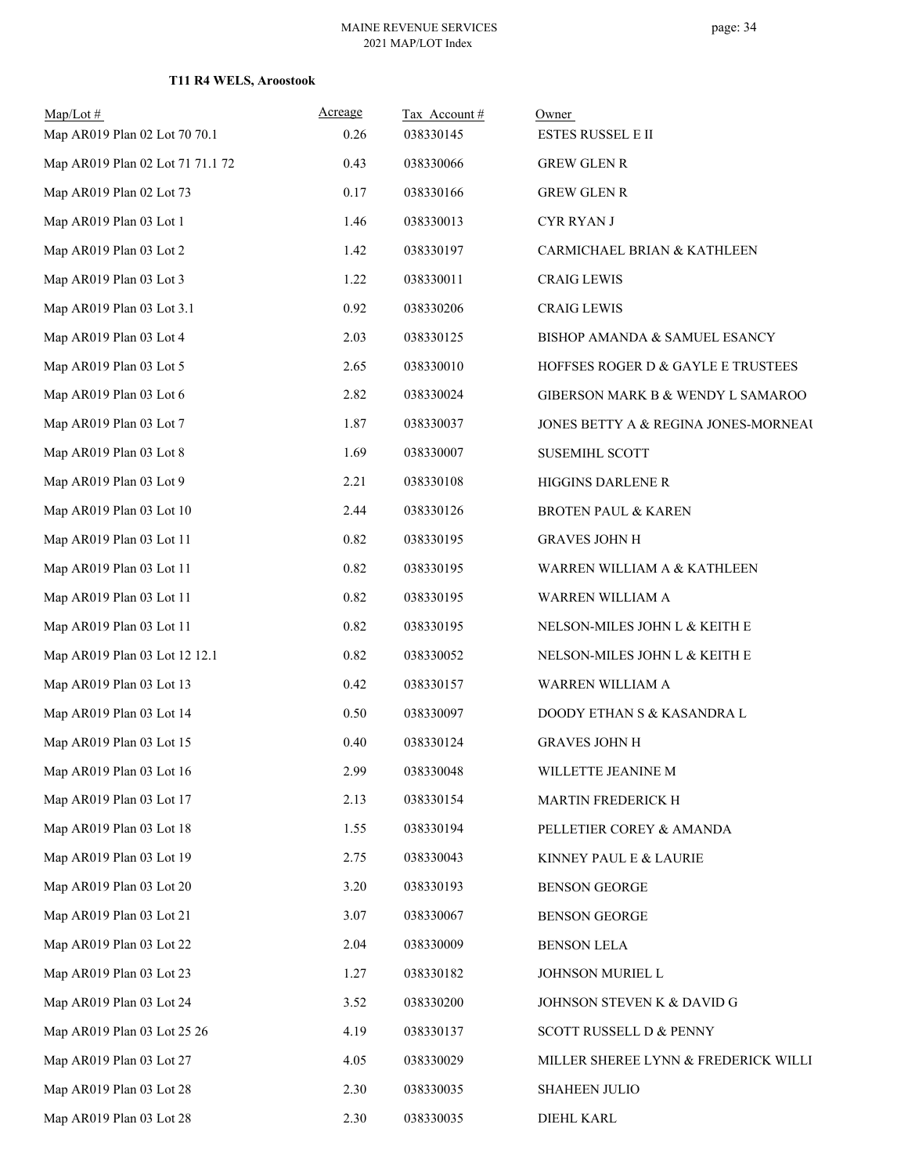| $Map/Lot$ #<br>Map AR019 Plan 02 Lot 70 70.1 | Acreage<br>0.26 | Tax Account#<br>038330145 | Owner<br>ESTES RUSSEL E II           |
|----------------------------------------------|-----------------|---------------------------|--------------------------------------|
| Map AR019 Plan 02 Lot 71 71.1 72             | 0.43            | 038330066                 | <b>GREW GLEN R</b>                   |
| Map AR019 Plan 02 Lot 73                     | 0.17            | 038330166                 | <b>GREW GLEN R</b>                   |
| Map AR019 Plan 03 Lot 1                      | 1.46            | 038330013                 | <b>CYR RYAN J</b>                    |
| Map AR019 Plan 03 Lot 2                      | 1.42            | 038330197                 | CARMICHAEL BRIAN & KATHLEEN          |
| Map AR019 Plan 03 Lot 3                      | 1.22            | 038330011                 | <b>CRAIG LEWIS</b>                   |
| Map AR019 Plan 03 Lot 3.1                    | 0.92            | 038330206                 | <b>CRAIG LEWIS</b>                   |
| Map AR019 Plan 03 Lot 4                      | 2.03            | 038330125                 | BISHOP AMANDA & SAMUEL ESANCY        |
| Map AR019 Plan 03 Lot 5                      | 2.65            | 038330010                 | HOFFSES ROGER D & GAYLE E TRUSTEES   |
| Map AR019 Plan 03 Lot 6                      | 2.82            | 038330024                 |                                      |
|                                              | 1.87            |                           | GIBERSON MARK B & WENDY L SAMAROO    |
| Map AR019 Plan 03 Lot 7                      |                 | 038330037                 | JONES BETTY A & REGINA JONES-MORNEAU |
| Map AR019 Plan 03 Lot 8                      | 1.69            | 038330007                 | <b>SUSEMIHL SCOTT</b>                |
| Map AR019 Plan 03 Lot 9                      | 2.21            | 038330108                 | HIGGINS DARLENE R                    |
| Map AR019 Plan 03 Lot 10                     | 2.44            | 038330126                 | <b>BROTEN PAUL &amp; KAREN</b>       |
| Map AR019 Plan 03 Lot 11                     | 0.82            | 038330195                 | <b>GRAVES JOHN H</b>                 |
| Map AR019 Plan 03 Lot 11                     | 0.82            | 038330195                 | WARREN WILLIAM A & KATHLEEN          |
| Map AR019 Plan 03 Lot 11                     | 0.82            | 038330195                 | WARREN WILLIAM A                     |
| Map AR019 Plan 03 Lot 11                     | 0.82            | 038330195                 | NELSON-MILES JOHN L & KEITH E        |
| Map AR019 Plan 03 Lot 12 12.1                | 0.82            | 038330052                 | NELSON-MILES JOHN L & KEITH E        |
| Map AR019 Plan 03 Lot 13                     | 0.42            | 038330157                 | WARREN WILLIAM A                     |
| Map AR019 Plan 03 Lot 14                     | 0.50            | 038330097                 | DOODY ETHAN S & KASANDRA L           |
| Map AR019 Plan 03 Lot 15                     | 0.40            | 038330124                 | <b>GRAVES JOHN H</b>                 |
| Map AR019 Plan 03 Lot 16                     | 2.99            | 038330048                 | WILLETTE JEANINE M                   |
| Map AR019 Plan 03 Lot 17                     | 2.13            | 038330154                 | MARTIN FREDERICK H                   |
| Map AR019 Plan 03 Lot 18                     | 1.55            | 038330194                 | PELLETIER COREY & AMANDA             |
| Map AR019 Plan 03 Lot 19                     | 2.75            | 038330043                 | KINNEY PAUL E & LAURIE               |
| Map AR019 Plan 03 Lot 20                     | 3.20            | 038330193                 | <b>BENSON GEORGE</b>                 |
| Map AR019 Plan 03 Lot 21                     | 3.07            | 038330067                 | BENSON GEORGE                        |
| Map AR019 Plan 03 Lot 22                     | 2.04            | 038330009                 | <b>BENSON LELA</b>                   |
| Map AR019 Plan 03 Lot 23                     | 1.27            | 038330182                 | JOHNSON MURIEL L                     |
| Map AR019 Plan 03 Lot 24                     | 3.52            | 038330200                 | JOHNSON STEVEN K & DAVID G           |
| Map AR019 Plan 03 Lot 25 26                  | 4.19            | 038330137                 | SCOTT RUSSELL D & PENNY              |
| Map AR019 Plan 03 Lot 27                     | 4.05            | 038330029                 | MILLER SHEREE LYNN & FREDERICK WILLI |
| Map AR019 Plan 03 Lot 28                     | 2.30            | 038330035                 | <b>SHAHEEN JULIO</b>                 |
| Map AR019 Plan 03 Lot 28                     | 2.30            | 038330035                 | <b>DIEHL KARL</b>                    |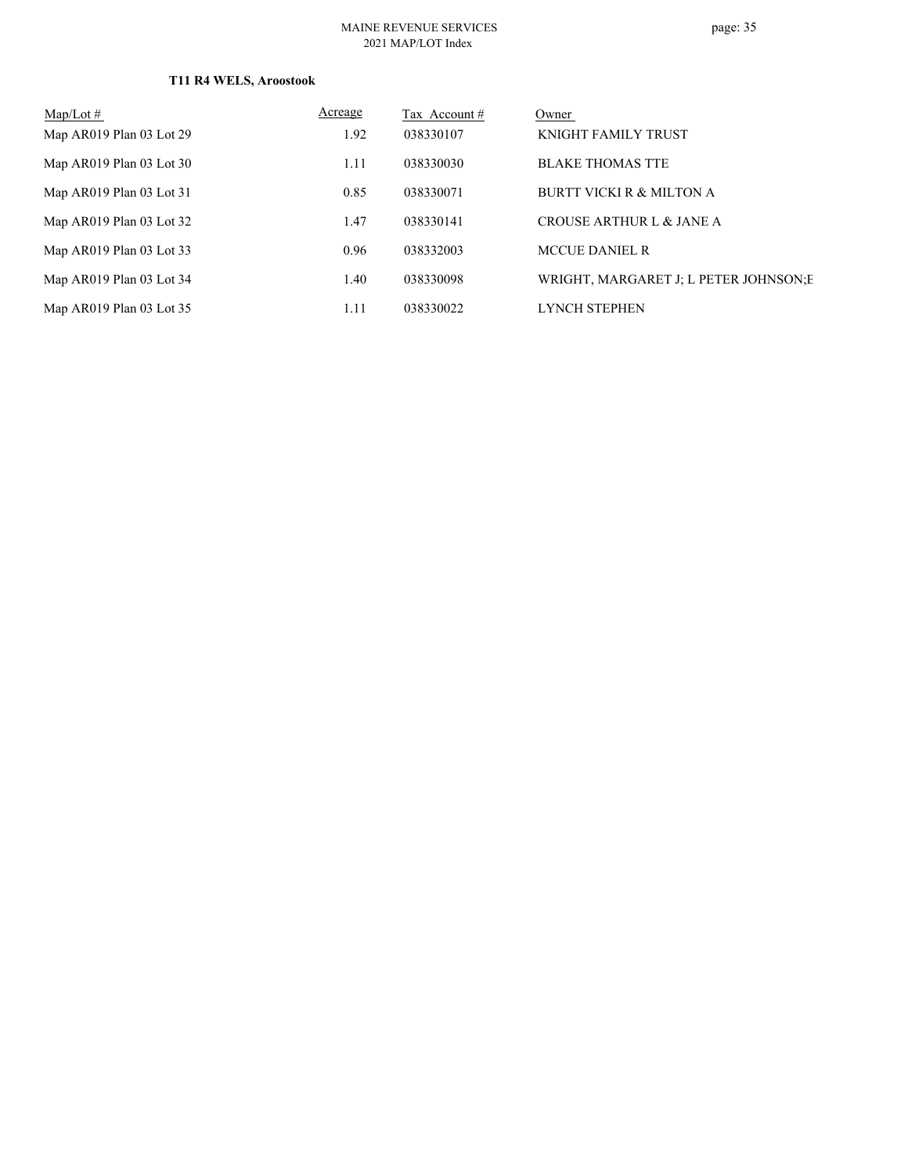#### MAINE REVENUE SERVICES 2021 MAP/LOT Index

## page: 35

| $Map/Lot \#$             | Acreage | Tax Account # | Owner                                  |
|--------------------------|---------|---------------|----------------------------------------|
| Map AR019 Plan 03 Lot 29 | 1.92    | 038330107     | <b>KNIGHT FAMILY TRUST</b>             |
| Map AR019 Plan 03 Lot 30 | 1.11    | 038330030     | <b>BLAKE THOMAS TTE</b>                |
| Map AR019 Plan 03 Lot 31 | 0.85    | 038330071     | <b>BURTT VICKI R &amp; MILTON A</b>    |
| Map AR019 Plan 03 Lot 32 | 1.47    | 038330141     | CROUSE ARTHUR L & JANE A               |
| Map AR019 Plan 03 Lot 33 | 0.96    | 038332003     | <b>MCCUE DANIEL R</b>                  |
| Map AR019 Plan 03 Lot 34 | 1.40    | 038330098     | WRIGHT, MARGARET J; L PETER JOHNSON; E |
| Map AR019 Plan 03 Lot 35 | 1.11    | 038330022     | <b>LYNCH STEPHEN</b>                   |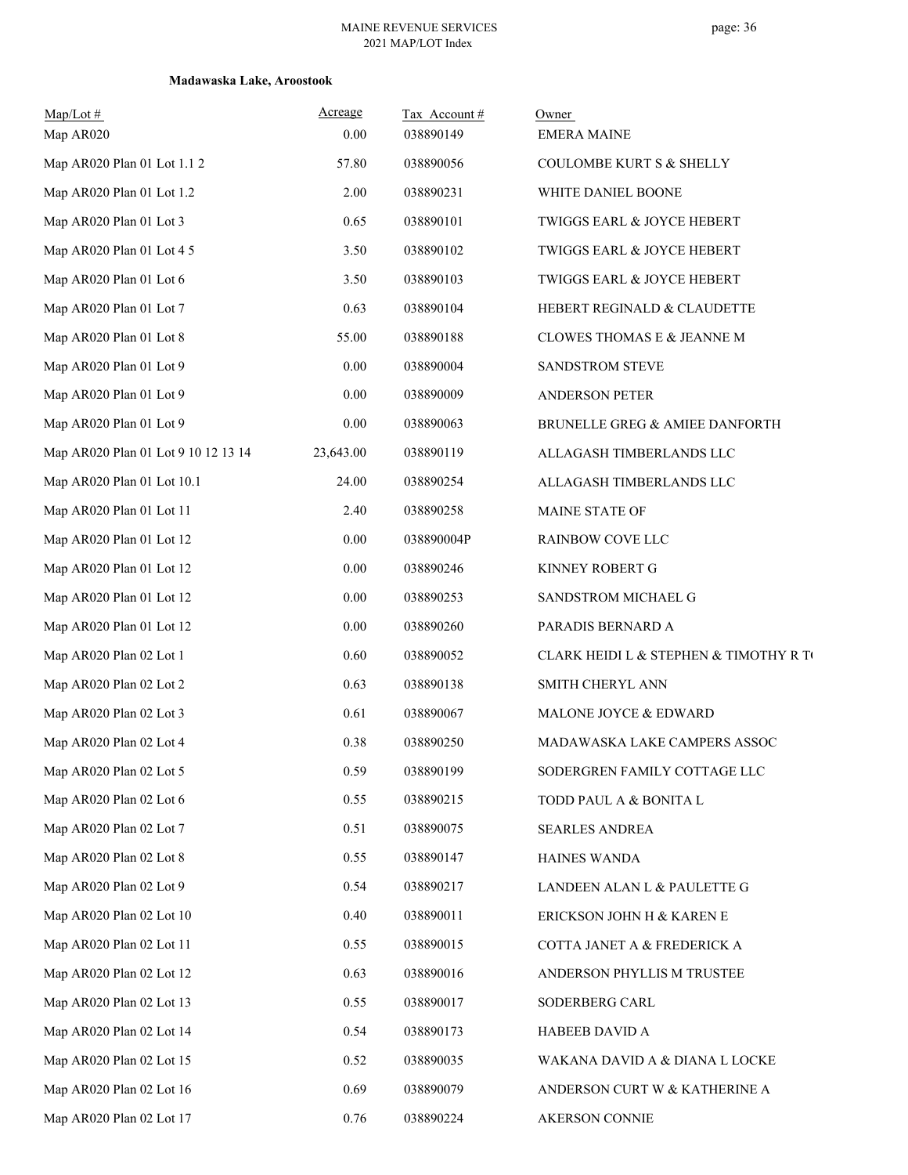| $Map/Lot \#$<br>Map AR020           | Acreage<br>0.00 | Tax Account#<br>038890149 | Owner<br><b>EMERA MAINE</b>            |
|-------------------------------------|-----------------|---------------------------|----------------------------------------|
| Map AR020 Plan 01 Lot 1.1 2         | 57.80           | 038890056                 | COULOMBE KURT S & SHELLY               |
| Map AR020 Plan 01 Lot 1.2           | 2.00            | 038890231                 | WHITE DANIEL BOONE                     |
| Map AR020 Plan 01 Lot 3             | 0.65            | 038890101                 | TWIGGS EARL & JOYCE HEBERT             |
| Map AR020 Plan 01 Lot 4 5           | 3.50            | 038890102                 | TWIGGS EARL & JOYCE HEBERT             |
| Map AR020 Plan 01 Lot 6             | 3.50            | 038890103                 | TWIGGS EARL & JOYCE HEBERT             |
| Map AR020 Plan 01 Lot 7             | 0.63            | 038890104                 | HEBERT REGINALD & CLAUDETTE            |
| Map AR020 Plan 01 Lot 8             | 55.00           | 038890188                 | CLOWES THOMAS E & JEANNE M             |
| Map AR020 Plan 01 Lot 9             | 0.00            | 038890004                 | SANDSTROM STEVE                        |
| Map AR020 Plan 01 Lot 9             | 0.00            | 038890009                 | <b>ANDERSON PETER</b>                  |
| Map AR020 Plan 01 Lot 9             | 0.00            | 038890063                 | BRUNELLE GREG & AMIEE DANFORTH         |
| Map AR020 Plan 01 Lot 9 10 12 13 14 | 23,643.00       | 038890119                 | ALLAGASH TIMBERLANDS LLC               |
| Map AR020 Plan 01 Lot 10.1          | 24.00           | 038890254                 | ALLAGASH TIMBERLANDS LLC               |
| Map AR020 Plan 01 Lot 11            | 2.40            | 038890258                 | MAINE STATE OF                         |
| Map AR020 Plan 01 Lot 12            | 0.00            | 038890004P                | RAINBOW COVE LLC                       |
| Map AR020 Plan 01 Lot 12            | 0.00            | 038890246                 | KINNEY ROBERT G                        |
| Map AR020 Plan 01 Lot 12            | 0.00            | 038890253                 | SANDSTROM MICHAEL G                    |
| Map AR020 Plan 01 Lot 12            | 0.00            | 038890260                 | PARADIS BERNARD A                      |
| Map AR020 Plan 02 Lot 1             | 0.60            | 038890052                 | CLARK HEIDI L & STEPHEN & TIMOTHY R TO |
| Map AR020 Plan 02 Lot 2             | 0.63            | 038890138                 | SMITH CHERYL ANN                       |
| Map AR020 Plan 02 Lot 3             | 0.61            | 038890067                 | MALONE JOYCE & EDWARD                  |
| Map AR020 Plan 02 Lot 4             | 0.38            | 038890250                 | MADAWASKA LAKE CAMPERS ASSOC           |
| Map AR020 Plan 02 Lot 5             | 0.59            | 038890199                 | SODERGREN FAMILY COTTAGE LLC           |
| Map AR020 Plan 02 Lot 6             | 0.55            | 038890215                 | TODD PAUL A & BONITA L                 |
| Map AR020 Plan 02 Lot 7             | 0.51            | 038890075                 | <b>SEARLES ANDREA</b>                  |
| Map AR020 Plan 02 Lot 8             | 0.55            | 038890147                 | HAINES WANDA                           |
| Map AR020 Plan 02 Lot 9             | 0.54            | 038890217                 | LANDEEN ALAN L & PAULETTE G            |
| Map AR020 Plan 02 Lot 10            | 0.40            | 038890011                 | ERICKSON JOHN H & KAREN E              |
| Map AR020 Plan 02 Lot 11            | 0.55            | 038890015                 | COTTA JANET A & FREDERICK A            |
| Map AR020 Plan 02 Lot 12            | 0.63            | 038890016                 | ANDERSON PHYLLIS M TRUSTEE             |
| Map AR020 Plan 02 Lot 13            | 0.55            | 038890017                 | SODERBERG CARL                         |
| Map AR020 Plan 02 Lot 14            | 0.54            | 038890173                 | HABEEB DAVID A                         |
| Map AR020 Plan 02 Lot 15            | 0.52            | 038890035                 | WAKANA DAVID A & DIANA L LOCKE         |
| Map AR020 Plan 02 Lot 16            | 0.69            | 038890079                 | ANDERSON CURT W & KATHERINE A          |
| Map AR020 Plan 02 Lot 17            | 0.76            | 038890224                 | AKERSON CONNIE                         |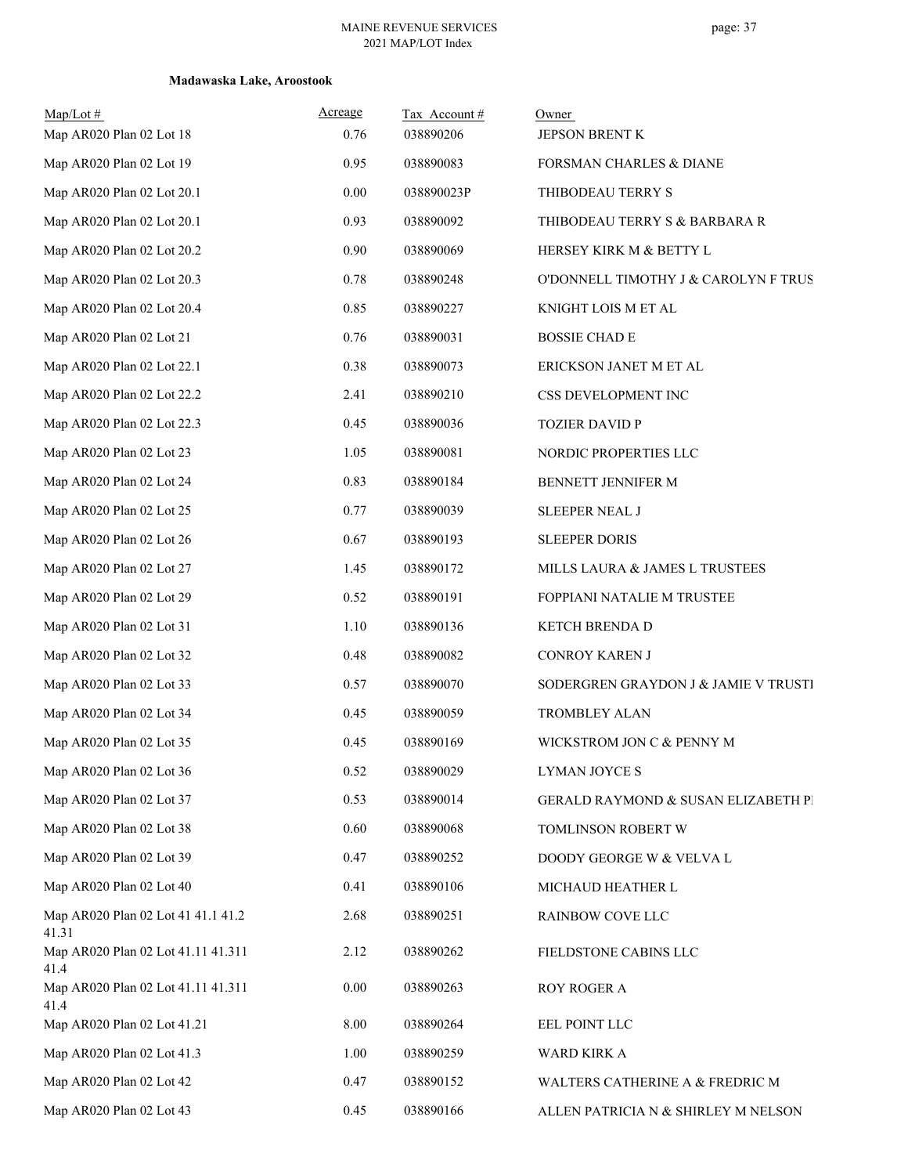| $Map/Lot \#$<br>Map AR020 Plan 02 Lot 18    | Acreage<br>0.76 | Tax Account#<br>038890206 | Owner<br>JEPSON BRENT K              |
|---------------------------------------------|-----------------|---------------------------|--------------------------------------|
| Map AR020 Plan 02 Lot 19                    | 0.95            | 038890083                 | FORSMAN CHARLES & DIANE              |
| Map AR020 Plan 02 Lot 20.1                  | 0.00            | 038890023P                | THIBODEAU TERRY S                    |
| Map AR020 Plan 02 Lot 20.1                  | 0.93            | 038890092                 | THIBODEAU TERRY S & BARBARA R        |
| Map AR020 Plan 02 Lot 20.2                  | 0.90            | 038890069                 | HERSEY KIRK M & BETTY L              |
| Map AR020 Plan 02 Lot 20.3                  | 0.78            | 038890248                 | O'DONNELL TIMOTHY J & CAROLYN F TRUS |
| Map AR020 Plan 02 Lot 20.4                  | 0.85            | 038890227                 | KNIGHT LOIS M ET AL                  |
| Map AR020 Plan 02 Lot 21                    | 0.76            | 038890031                 | <b>BOSSIE CHAD E</b>                 |
| Map AR020 Plan 02 Lot 22.1                  | 0.38            | 038890073                 | ERICKSON JANET M ET AL               |
| Map AR020 Plan 02 Lot 22.2                  | 2.41            | 038890210                 | CSS DEVELOPMENT INC                  |
| Map AR020 Plan 02 Lot 22.3                  | 0.45            | 038890036                 | <b>TOZIER DAVID P</b>                |
| Map AR020 Plan 02 Lot 23                    | 1.05            | 038890081                 | NORDIC PROPERTIES LLC                |
| Map AR020 Plan 02 Lot 24                    | 0.83            | 038890184                 | BENNETT JENNIFER M                   |
| Map AR020 Plan 02 Lot 25                    | 0.77            | 038890039                 | <b>SLEEPER NEAL J</b>                |
| Map AR020 Plan 02 Lot 26                    | 0.67            | 038890193                 | <b>SLEEPER DORIS</b>                 |
| Map AR020 Plan 02 Lot 27                    | 1.45            | 038890172                 | MILLS LAURA & JAMES L TRUSTEES       |
| Map AR020 Plan 02 Lot 29                    | 0.52            | 038890191                 | FOPPIANI NATALIE M TRUSTEE           |
| Map AR020 Plan 02 Lot 31                    | 1.10            | 038890136                 | KETCH BRENDA D                       |
| Map AR020 Plan 02 Lot 32                    | 0.48            | 038890082                 | CONROY KAREN J                       |
| Map AR020 Plan 02 Lot 33                    | 0.57            | 038890070                 | SODERGREN GRAYDON J & JAMIE V TRUSTI |
| Map AR020 Plan 02 Lot 34                    | 0.45            | 038890059                 | TROMBLEY ALAN                        |
| Map AR020 Plan 02 Lot 35                    | 0.45            | 038890169                 | WICKSTROM JON C & PENNY M            |
| Map AR020 Plan 02 Lot 36                    | 0.52            | 038890029                 | LYMAN JOYCE S                        |
| Map AR020 Plan 02 Lot 37                    | 0.53            | 038890014                 | GERALD RAYMOND & SUSAN ELIZABETH PI  |
| Map AR020 Plan 02 Lot 38                    | 0.60            | 038890068                 | TOMLINSON ROBERT W                   |
| Map AR020 Plan 02 Lot 39                    | 0.47            | 038890252                 | DOODY GEORGE W & VELVA L             |
| Map AR020 Plan 02 Lot 40                    | 0.41            | 038890106                 | MICHAUD HEATHER L                    |
| Map AR020 Plan 02 Lot 41 41.1 41.2<br>41.31 | 2.68            | 038890251                 | RAINBOW COVE LLC                     |
| Map AR020 Plan 02 Lot 41.11 41.311<br>41.4  | 2.12            | 038890262                 | FIELDSTONE CABINS LLC                |
| Map AR020 Plan 02 Lot 41.11 41.311<br>41.4  | 0.00            | 038890263                 | ROY ROGER A                          |
| Map AR020 Plan 02 Lot 41.21                 | 8.00            | 038890264                 | EEL POINT LLC                        |
| Map AR020 Plan 02 Lot 41.3                  | 1.00            | 038890259                 | WARD KIRK A                          |
| Map AR020 Plan 02 Lot 42                    | 0.47            | 038890152                 | WALTERS CATHERINE A & FREDRIC M      |
| Map AR020 Plan 02 Lot 43                    | 0.45            | 038890166                 | ALLEN PATRICIA N & SHIRLEY M NELSON  |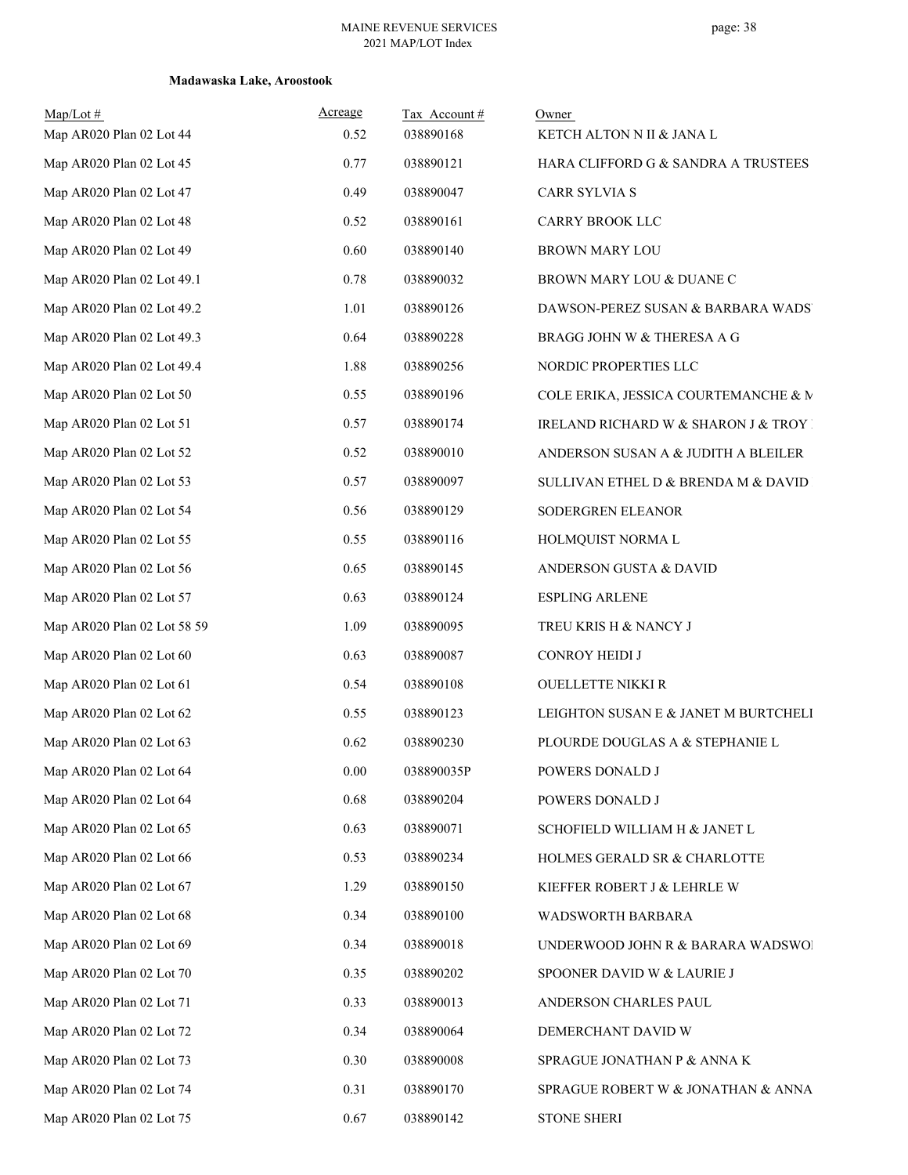| Map/Lot#<br>Map AR020 Plan 02 Lot 44 | Acreage<br>0.52 | Tax Account#<br>038890168 | Owner<br>KETCH ALTON N II & JANA L    |
|--------------------------------------|-----------------|---------------------------|---------------------------------------|
| Map AR020 Plan 02 Lot 45             | 0.77            | 038890121                 | HARA CLIFFORD G & SANDRA A TRUSTEES   |
| Map AR020 Plan 02 Lot 47             | 0.49            | 038890047                 | CARR SYLVIA S                         |
| Map AR020 Plan 02 Lot 48             | 0.52            | 038890161                 | CARRY BROOK LLC                       |
| Map AR020 Plan 02 Lot 49             | 0.60            | 038890140                 | <b>BROWN MARY LOU</b>                 |
| Map AR020 Plan 02 Lot 49.1           | 0.78            | 038890032                 | BROWN MARY LOU & DUANE C              |
| Map AR020 Plan 02 Lot 49.2           | 1.01            | 038890126                 | DAWSON-PEREZ SUSAN & BARBARA WADS'    |
| Map AR020 Plan 02 Lot 49.3           | 0.64            | 038890228                 | BRAGG JOHN W & THERESA A G            |
| Map AR020 Plan 02 Lot 49.4           | 1.88            | 038890256                 | NORDIC PROPERTIES LLC                 |
| Map AR020 Plan 02 Lot 50             | 0.55            | 038890196                 | COLE ERIKA, JESSICA COURTEMANCHE & M  |
| Map AR020 Plan 02 Lot 51             | 0.57            | 038890174                 | IRELAND RICHARD W & SHARON J & TROY I |
| Map AR020 Plan 02 Lot 52             | 0.52            | 038890010                 | ANDERSON SUSAN A & JUDITH A BLEILER   |
| Map AR020 Plan 02 Lot 53             | 0.57            | 038890097                 | SULLIVAN ETHEL D & BRENDA M & DAVID   |
| Map AR020 Plan 02 Lot 54             | 0.56            | 038890129                 | SODERGREN ELEANOR                     |
| Map AR020 Plan 02 Lot 55             | 0.55            | 038890116                 | HOLMQUIST NORMA L                     |
| Map AR020 Plan 02 Lot 56             | 0.65            | 038890145                 | ANDERSON GUSTA & DAVID                |
| Map AR020 Plan 02 Lot 57             | 0.63            | 038890124                 | <b>ESPLING ARLENE</b>                 |
| Map AR020 Plan 02 Lot 58 59          | 1.09            | 038890095                 | TREU KRIS H & NANCY J                 |
| Map AR020 Plan 02 Lot 60             | 0.63            | 038890087                 | CONROY HEIDI J                        |
| Map AR020 Plan 02 Lot 61             | 0.54            | 038890108                 | OUELLETTE NIKKI R                     |
| Map AR020 Plan 02 Lot 62             | 0.55            | 038890123                 | LEIGHTON SUSAN E & JANET M BURTCHELI  |
| Map AR020 Plan 02 Lot 63             | 0.62            | 038890230                 | PLOURDE DOUGLAS A & STEPHANIE L       |
| Map AR020 Plan 02 Lot 64             | $0.00\,$        | 038890035P                | POWERS DONALD J                       |
| Map AR020 Plan 02 Lot 64             | 0.68            | 038890204                 | POWERS DONALD J                       |
| Map AR020 Plan 02 Lot 65             | 0.63            | 038890071                 | SCHOFIELD WILLIAM H & JANET L         |
| Map AR020 Plan 02 Lot 66             | 0.53            | 038890234                 | HOLMES GERALD SR & CHARLOTTE          |
| Map AR020 Plan 02 Lot 67             | 1.29            | 038890150                 | KIEFFER ROBERT J & LEHRLE W           |
| Map AR020 Plan 02 Lot 68             | 0.34            | 038890100                 | WADSWORTH BARBARA                     |
| Map AR020 Plan 02 Lot 69             | 0.34            | 038890018                 | UNDERWOOD JOHN R & BARARA WADSWOI     |
| Map AR020 Plan 02 Lot 70             | 0.35            | 038890202                 | SPOONER DAVID W & LAURIE J            |
| Map AR020 Plan 02 Lot 71             | 0.33            | 038890013                 | ANDERSON CHARLES PAUL                 |
| Map AR020 Plan 02 Lot 72             | 0.34            | 038890064                 | DEMERCHANT DAVID W                    |
| Map AR020 Plan 02 Lot 73             | 0.30            | 038890008                 | SPRAGUE JONATHAN P & ANNA K           |
| Map AR020 Plan 02 Lot 74             | 0.31            | 038890170                 | SPRAGUE ROBERT W & JONATHAN & ANNA    |
| Map AR020 Plan 02 Lot 75             | 0.67            | 038890142                 | <b>STONE SHERI</b>                    |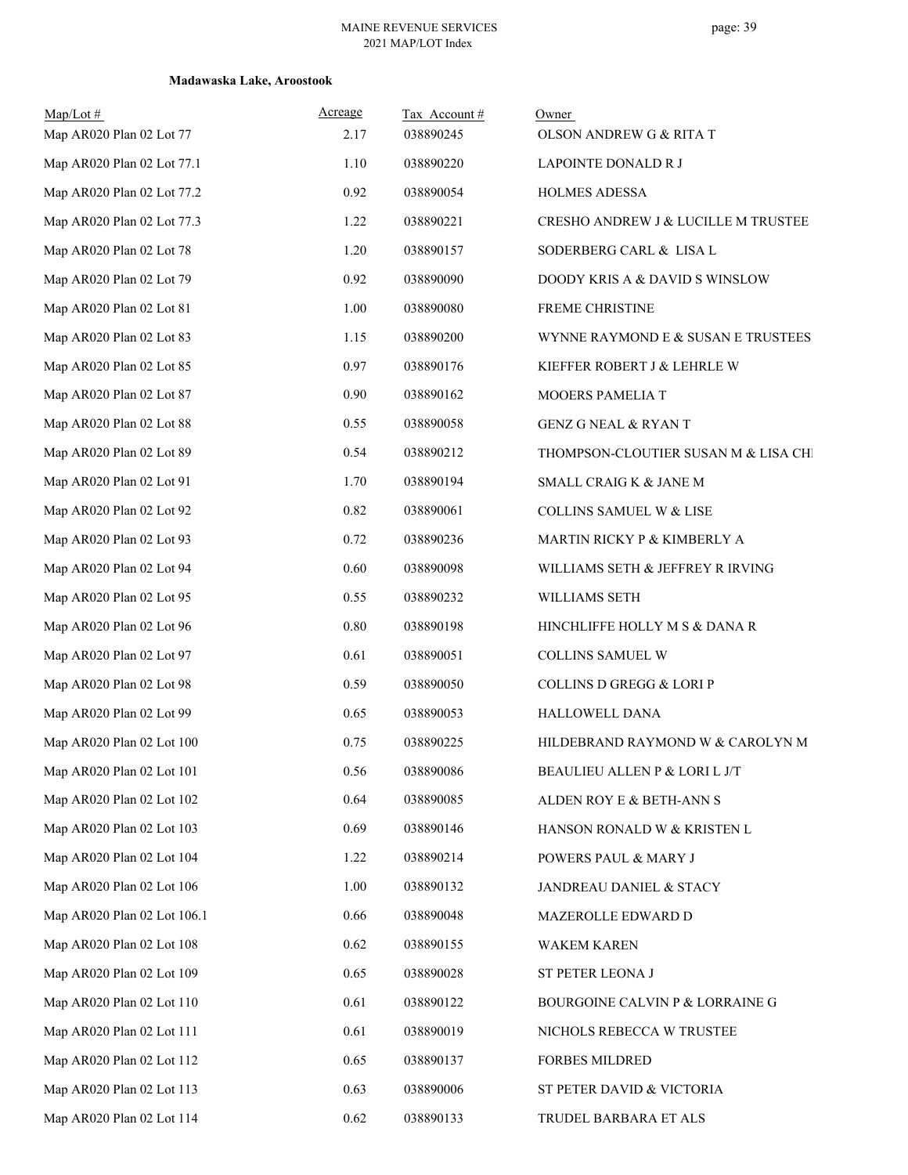| $Map/Lot \#$<br>Map AR020 Plan 02 Lot 77 | Acreage<br>2.17 | Tax Account#<br>038890245 | Owner<br>OLSON ANDREW G & RITA T     |
|------------------------------------------|-----------------|---------------------------|--------------------------------------|
| Map AR020 Plan 02 Lot 77.1               | 1.10            | 038890220                 | LAPOINTE DONALD R J                  |
| Map AR020 Plan 02 Lot 77.2               | 0.92            | 038890054                 | HOLMES ADESSA                        |
| Map AR020 Plan 02 Lot 77.3               | 1.22            | 038890221                 | CRESHO ANDREW J & LUCILLE M TRUSTEE  |
| Map AR020 Plan 02 Lot 78                 | 1.20            | 038890157                 | SODERBERG CARL & LISA L              |
| Map AR020 Plan 02 Lot 79                 | 0.92            | 038890090                 | DOODY KRIS A & DAVID S WINSLOW       |
| Map AR020 Plan 02 Lot 81                 | 1.00            | 038890080                 | FREME CHRISTINE                      |
| Map AR020 Plan 02 Lot 83                 | 1.15            | 038890200                 | WYNNE RAYMOND E & SUSAN E TRUSTEES   |
| Map AR020 Plan 02 Lot 85                 | 0.97            | 038890176                 | KIEFFER ROBERT J & LEHRLE W          |
| Map AR020 Plan 02 Lot 87                 | 0.90            | 038890162                 | MOOERS PAMELIA T                     |
| Map AR020 Plan 02 Lot 88                 | 0.55            | 038890058                 | <b>GENZ G NEAL &amp; RYAN T</b>      |
| Map AR020 Plan 02 Lot 89                 | 0.54            | 038890212                 | THOMPSON-CLOUTIER SUSAN M & LISA CHI |
| Map AR020 Plan 02 Lot 91                 | 1.70            | 038890194                 | SMALL CRAIG K & JANE M               |
| Map AR020 Plan 02 Lot 92                 | 0.82            | 038890061                 | COLLINS SAMUEL W & LISE              |
| Map AR020 Plan 02 Lot 93                 | 0.72            | 038890236                 | MARTIN RICKY P & KIMBERLY A          |
| Map AR020 Plan 02 Lot 94                 | 0.60            | 038890098                 | WILLIAMS SETH & JEFFREY R IRVING     |
| Map AR020 Plan 02 Lot 95                 | 0.55            | 038890232                 | WILLIAMS SETH                        |
| Map AR020 Plan 02 Lot 96                 | 0.80            | 038890198                 | HINCHLIFFE HOLLY M S & DANA R        |
| Map AR020 Plan 02 Lot 97                 | 0.61            | 038890051                 | COLLINS SAMUEL W                     |
| Map AR020 Plan 02 Lot 98                 | 0.59            | 038890050                 | <b>COLLINS D GREGG &amp; LORIP</b>   |
| Map AR020 Plan 02 Lot 99                 | 0.65            | 038890053                 | HALLOWELL DANA                       |
| Map AR020 Plan 02 Lot 100                | 0.75            | 038890225                 | HILDEBRAND RAYMOND W & CAROLYN M     |
| Map AR020 Plan 02 Lot 101                | 0.56            | 038890086                 | BEAULIEU ALLEN P & LORI L J/T        |
| Map AR020 Plan 02 Lot 102                | 0.64            | 038890085                 | ALDEN ROY E & BETH-ANN S             |
| Map AR020 Plan 02 Lot 103                | 0.69            | 038890146                 | HANSON RONALD W & KRISTEN L          |
| Map AR020 Plan 02 Lot 104                | 1.22            | 038890214                 | POWERS PAUL & MARY J                 |
| Map AR020 Plan 02 Lot 106                | 1.00            | 038890132                 | JANDREAU DANIEL & STACY              |
| Map AR020 Plan 02 Lot 106.1              | 0.66            | 038890048                 | MAZEROLLE EDWARD D                   |
| Map AR020 Plan 02 Lot 108                | 0.62            | 038890155                 | <b>WAKEM KAREN</b>                   |
| Map AR020 Plan 02 Lot 109                | 0.65            | 038890028                 | ST PETER LEONA J                     |
| Map AR020 Plan 02 Lot 110                | 0.61            | 038890122                 | BOURGOINE CALVIN P & LORRAINE G      |
| Map AR020 Plan 02 Lot 111                | 0.61            | 038890019                 | NICHOLS REBECCA W TRUSTEE            |
| Map AR020 Plan 02 Lot 112                | 0.65            | 038890137                 | <b>FORBES MILDRED</b>                |
| Map AR020 Plan 02 Lot 113                | 0.63            | 038890006                 | ST PETER DAVID & VICTORIA            |
| Map AR020 Plan 02 Lot 114                | 0.62            | 038890133                 | TRUDEL BARBARA ET ALS                |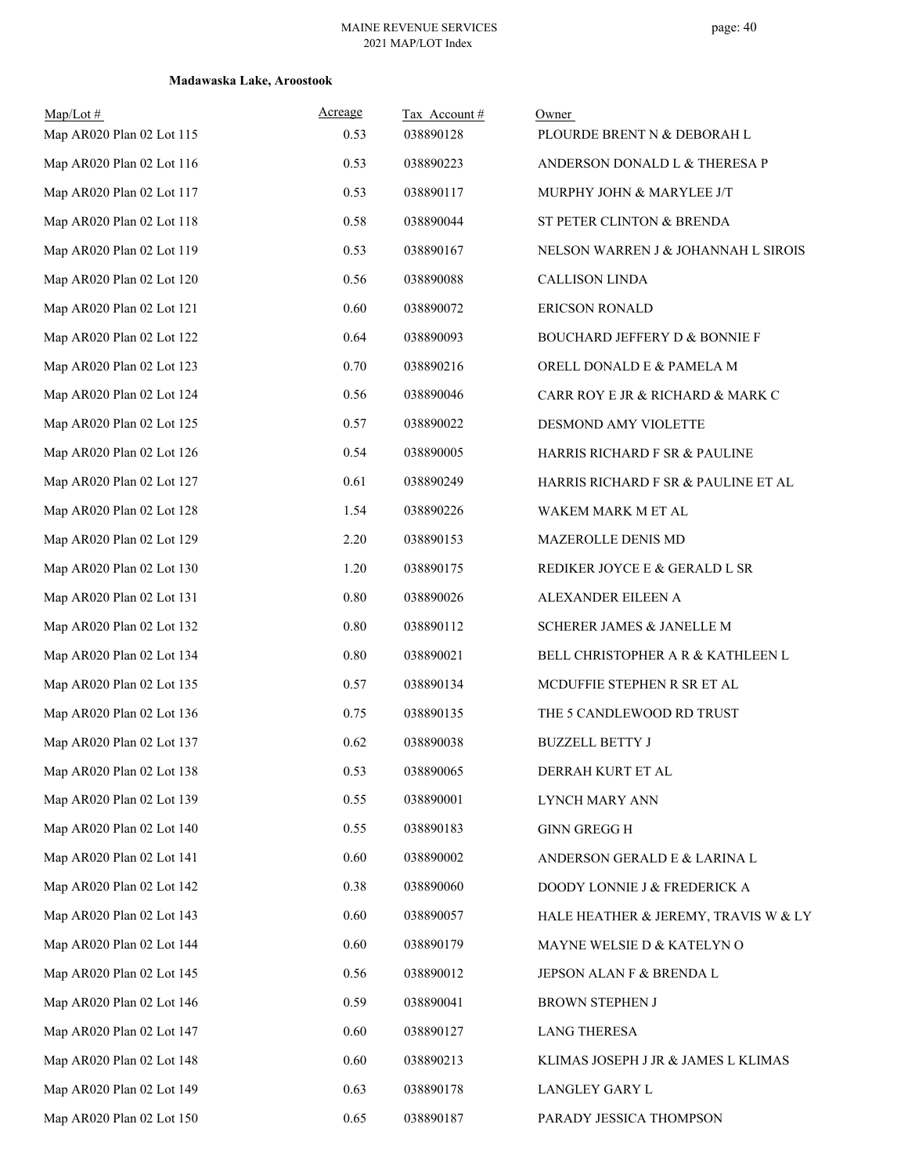| $Map/Lot$ #<br>Map AR020 Plan 02 Lot 115 | Acreage<br>0.53 | Tax Account#<br>038890128 | Owner<br>PLOURDE BRENT N & DEBORAH L     |
|------------------------------------------|-----------------|---------------------------|------------------------------------------|
| Map AR020 Plan 02 Lot 116                | 0.53            | 038890223                 | ANDERSON DONALD L & THERESA P            |
| Map AR020 Plan 02 Lot 117                | 0.53            | 038890117                 | MURPHY JOHN & MARYLEE J/T                |
| Map AR020 Plan 02 Lot 118                | 0.58            | 038890044                 | ST PETER CLINTON & BRENDA                |
| Map AR020 Plan 02 Lot 119                | 0.53            | 038890167                 | NELSON WARREN J & JOHANNAH L SIROIS      |
| Map AR020 Plan 02 Lot 120                | 0.56            | 038890088                 | <b>CALLISON LINDA</b>                    |
| Map AR020 Plan 02 Lot 121                | 0.60            | 038890072                 | ERICSON RONALD                           |
| Map AR020 Plan 02 Lot 122                | 0.64            | 038890093                 | <b>BOUCHARD JEFFERY D &amp; BONNIE F</b> |
| Map AR020 Plan 02 Lot 123                | 0.70            | 038890216                 | ORELL DONALD E & PAMELA M                |
| Map AR020 Plan 02 Lot 124                | 0.56            | 038890046                 | CARR ROY E JR & RICHARD & MARK C         |
| Map AR020 Plan 02 Lot 125                | 0.57            | 038890022                 | DESMOND AMY VIOLETTE                     |
| Map AR020 Plan 02 Lot 126                | 0.54            | 038890005                 | HARRIS RICHARD F SR & PAULINE            |
| Map AR020 Plan 02 Lot 127                | 0.61            | 038890249                 | HARRIS RICHARD F SR & PAULINE ET AL      |
| Map AR020 Plan 02 Lot 128                | 1.54            | 038890226                 | WAKEM MARK M ET AL                       |
| Map AR020 Plan 02 Lot 129                | 2.20            | 038890153                 | MAZEROLLE DENIS MD                       |
| Map AR020 Plan 02 Lot 130                | 1.20            | 038890175                 | REDIKER JOYCE E & GERALD L SR            |
| Map AR020 Plan 02 Lot 131                | $0.80\,$        | 038890026                 | ALEXANDER EILEEN A                       |
| Map AR020 Plan 02 Lot 132                | 0.80            | 038890112                 | SCHERER JAMES & JANELLE M                |
| Map AR020 Plan 02 Lot 134                | $0.80\,$        | 038890021                 | BELL CHRISTOPHER A R & KATHLEEN L        |
| Map AR020 Plan 02 Lot 135                | 0.57            | 038890134                 | MCDUFFIE STEPHEN R SR ET AL              |
| Map AR020 Plan 02 Lot 136                | 0.75            | 038890135                 | THE 5 CANDLEWOOD RD TRUST                |
| Map AR020 Plan 02 Lot 137                | 0.62            | 038890038                 | <b>BUZZELL BETTY J</b>                   |
| Map AR020 Plan 02 Lot 138                | 0.53            | 038890065                 | DERRAH KURT ET AL                        |
| Map AR020 Plan 02 Lot 139                | 0.55            | 038890001                 | LYNCH MARY ANN                           |
| Map AR020 Plan 02 Lot 140                | 0.55            | 038890183                 | <b>GINN GREGG H</b>                      |
| Map AR020 Plan 02 Lot 141                | 0.60            | 038890002                 | ANDERSON GERALD E & LARINA L             |
| Map AR020 Plan 02 Lot 142                | 0.38            | 038890060                 | DOODY LONNIE J & FREDERICK A             |
| Map AR020 Plan 02 Lot 143                | 0.60            | 038890057                 | HALE HEATHER & JEREMY, TRAVIS W & LY     |
| Map AR020 Plan 02 Lot 144                | 0.60            | 038890179                 | MAYNE WELSIE D & KATELYN O               |
| Map AR020 Plan 02 Lot 145                | 0.56            | 038890012                 | JEPSON ALAN F & BRENDA L                 |
| Map AR020 Plan 02 Lot 146                | 0.59            | 038890041                 | BROWN STEPHEN J                          |
| Map AR020 Plan 02 Lot 147                | 0.60            | 038890127                 | <b>LANG THERESA</b>                      |
| Map AR020 Plan 02 Lot 148                | 0.60            | 038890213                 | KLIMAS JOSEPH J JR & JAMES L KLIMAS      |
| Map AR020 Plan 02 Lot 149                | 0.63            | 038890178                 | LANGLEY GARY L                           |
| Map AR020 Plan 02 Lot 150                | 0.65            | 038890187                 | PARADY JESSICA THOMPSON                  |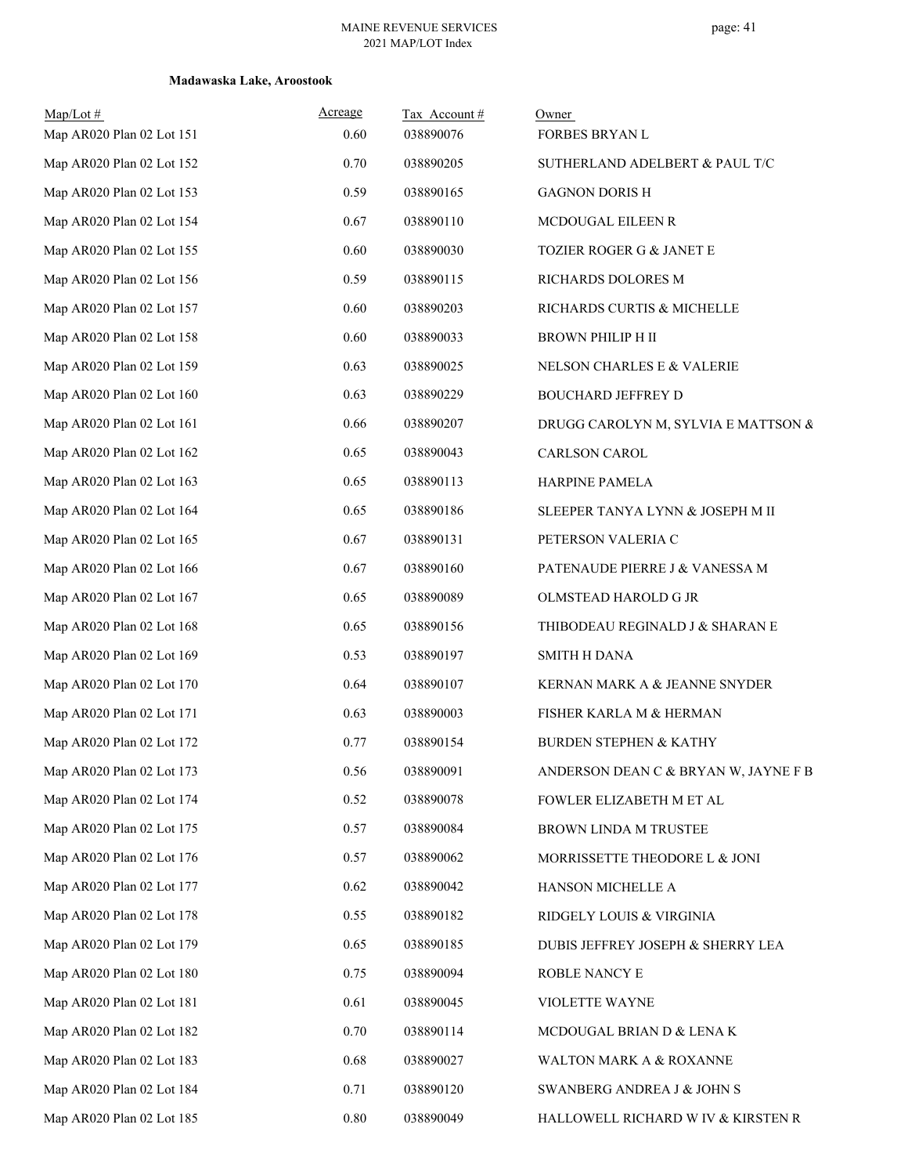| Map/Lot#<br>Map AR020 Plan 02 Lot 151 | Acreage<br>0.60 | Tax Account#<br>038890076 | Owner<br><b>FORBES BRYAN L</b>       |
|---------------------------------------|-----------------|---------------------------|--------------------------------------|
| Map AR020 Plan 02 Lot 152             | 0.70            | 038890205                 | SUTHERLAND ADELBERT & PAUL T/C       |
| Map AR020 Plan 02 Lot 153             | 0.59            | 038890165                 | <b>GAGNON DORISH</b>                 |
| Map AR020 Plan 02 Lot 154             | 0.67            | 038890110                 | MCDOUGAL EILEEN R                    |
| Map AR020 Plan 02 Lot 155             | 0.60            | 038890030                 | TOZIER ROGER G & JANET E             |
| Map AR020 Plan 02 Lot 156             | 0.59            | 038890115                 | RICHARDS DOLORES M                   |
| Map AR020 Plan 02 Lot 157             | 0.60            | 038890203                 | RICHARDS CURTIS & MICHELLE           |
| Map AR020 Plan 02 Lot 158             | 0.60            | 038890033                 | <b>BROWN PHILIP H II</b>             |
| Map AR020 Plan 02 Lot 159             | 0.63            | 038890025                 | NELSON CHARLES E & VALERIE           |
| Map AR020 Plan 02 Lot 160             | 0.63            | 038890229                 | <b>BOUCHARD JEFFREY D</b>            |
| Map AR020 Plan 02 Lot 161             | 0.66            | 038890207                 | DRUGG CAROLYN M, SYLVIA E MATTSON &  |
| Map AR020 Plan 02 Lot 162             | 0.65            | 038890043                 | <b>CARLSON CAROL</b>                 |
| Map AR020 Plan 02 Lot 163             | 0.65            | 038890113                 | HARPINE PAMELA                       |
| Map AR020 Plan 02 Lot 164             | 0.65            | 038890186                 | SLEEPER TANYA LYNN & JOSEPH M II     |
| Map AR020 Plan 02 Lot 165             | 0.67            | 038890131                 | PETERSON VALERIA C                   |
| Map AR020 Plan 02 Lot 166             | 0.67            | 038890160                 | PATENAUDE PIERRE J & VANESSA M       |
| Map AR020 Plan 02 Lot 167             | 0.65            | 038890089                 | OLMSTEAD HAROLD G JR                 |
| Map AR020 Plan 02 Lot 168             | 0.65            | 038890156                 | THIBODEAU REGINALD J & SHARAN E      |
| Map AR020 Plan 02 Lot 169             | 0.53            | 038890197                 | <b>SMITH H DANA</b>                  |
| Map AR020 Plan 02 Lot 170             | 0.64            | 038890107                 | KERNAN MARK A & JEANNE SNYDER        |
| Map AR020 Plan 02 Lot 171             | 0.63            | 038890003                 | FISHER KARLA M & HERMAN              |
| Map AR020 Plan 02 Lot 172             | 0.77            | 038890154                 | <b>BURDEN STEPHEN &amp; KATHY</b>    |
| Map AR020 Plan 02 Lot 173             | 0.56            | 038890091                 | ANDERSON DEAN C & BRYAN W, JAYNE F B |
| Map AR020 Plan 02 Lot 174             | 0.52            | 038890078                 | FOWLER ELIZABETH M ET AL             |
| Map AR020 Plan 02 Lot 175             | 0.57            | 038890084                 | BROWN LINDA M TRUSTEE                |
| Map AR020 Plan 02 Lot 176             | 0.57            | 038890062                 | MORRISSETTE THEODORE L & JONI        |
| Map AR020 Plan 02 Lot 177             | 0.62            | 038890042                 | HANSON MICHELLE A                    |
| Map AR020 Plan 02 Lot 178             | 0.55            | 038890182                 | RIDGELY LOUIS & VIRGINIA             |
| Map AR020 Plan 02 Lot 179             | 0.65            | 038890185                 | DUBIS JEFFREY JOSEPH & SHERRY LEA    |
| Map AR020 Plan 02 Lot 180             | 0.75            | 038890094                 | ROBLE NANCY E                        |
| Map AR020 Plan 02 Lot 181             | 0.61            | 038890045                 | VIOLETTE WAYNE                       |
| Map AR020 Plan 02 Lot 182             | 0.70            | 038890114                 | MCDOUGAL BRIAN D & LENA K            |
| Map AR020 Plan 02 Lot 183             | 0.68            | 038890027                 | WALTON MARK A & ROXANNE              |
| Map AR020 Plan 02 Lot 184             | 0.71            | 038890120                 | SWANBERG ANDREA J & JOHN S           |
| Map AR020 Plan 02 Lot 185             | $0.80\,$        | 038890049                 | HALLOWELL RICHARD W IV & KIRSTEN R   |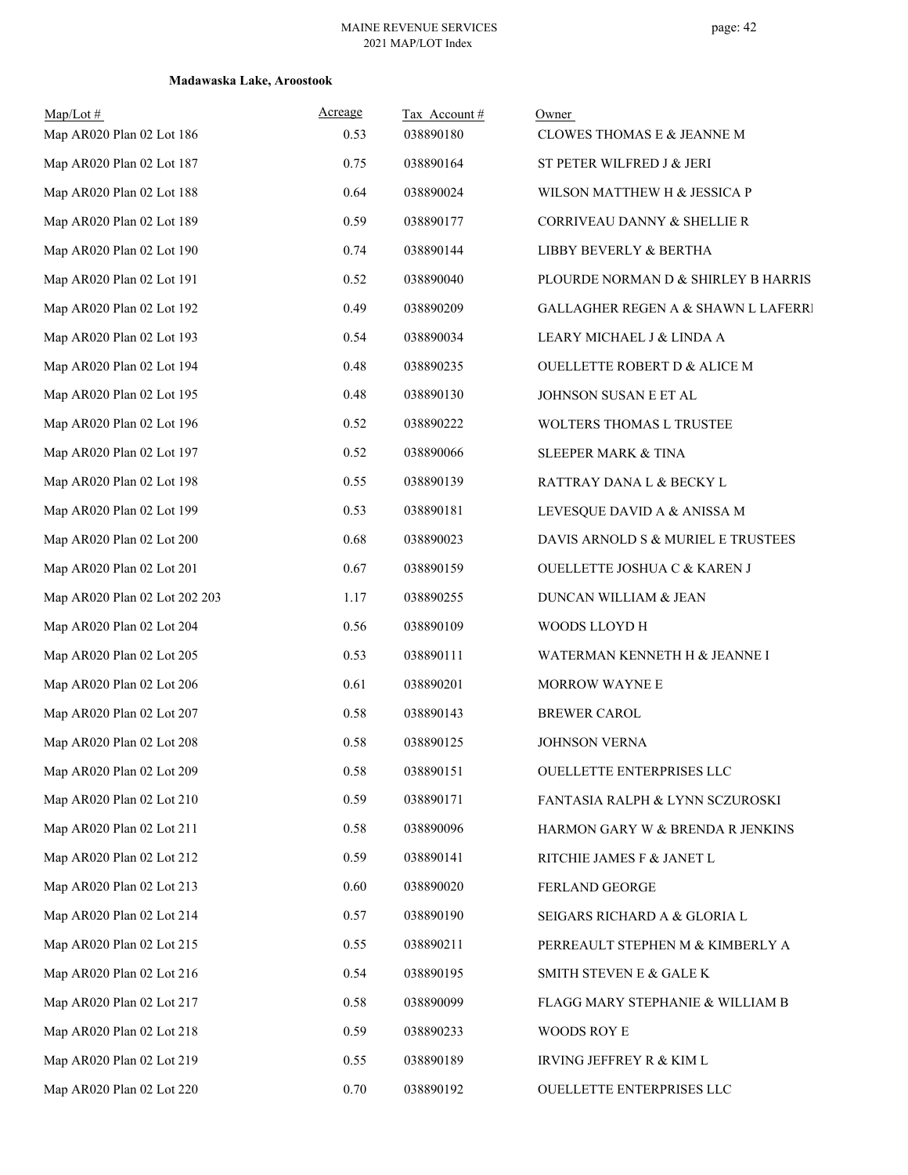| Map/Lot#<br>Map AR020 Plan 02 Lot 186 | Acreage<br>0.53 | Tax Account#<br>038890180 | Owner<br>CLOWES THOMAS E & JEANNE M            |
|---------------------------------------|-----------------|---------------------------|------------------------------------------------|
| Map AR020 Plan 02 Lot 187             | 0.75            | 038890164                 | ST PETER WILFRED J & JERI                      |
| Map AR020 Plan 02 Lot 188             | 0.64            | 038890024                 | WILSON MATTHEW H & JESSICA P                   |
| Map AR020 Plan 02 Lot 189             | 0.59            | 038890177                 | CORRIVEAU DANNY & SHELLIE R                    |
| Map AR020 Plan 02 Lot 190             | 0.74            | 038890144                 | LIBBY BEVERLY & BERTHA                         |
| Map AR020 Plan 02 Lot 191             | 0.52            | 038890040                 | PLOURDE NORMAN D & SHIRLEY B HARRIS            |
| Map AR020 Plan 02 Lot 192             | 0.49            | 038890209                 | <b>GALLAGHER REGEN A &amp; SHAWN L LAFERRI</b> |
| Map AR020 Plan 02 Lot 193             | 0.54            | 038890034                 | LEARY MICHAEL J & LINDA A                      |
| Map AR020 Plan 02 Lot 194             | 0.48            | 038890235                 | <b>OUELLETTE ROBERT D &amp; ALICE M</b>        |
| Map AR020 Plan 02 Lot 195             | 0.48            | 038890130                 | JOHNSON SUSAN E ET AL                          |
| Map AR020 Plan 02 Lot 196             | 0.52            | 038890222                 | WOLTERS THOMAS L TRUSTEE                       |
| Map AR020 Plan 02 Lot 197             | 0.52            | 038890066                 | <b>SLEEPER MARK &amp; TINA</b>                 |
| Map AR020 Plan 02 Lot 198             | 0.55            | 038890139                 | RATTRAY DANA L & BECKY L                       |
| Map AR020 Plan 02 Lot 199             | 0.53            | 038890181                 | LEVESQUE DAVID A & ANISSA M                    |
| Map AR020 Plan 02 Lot 200             | 0.68            | 038890023                 | DAVIS ARNOLD S & MURIEL E TRUSTEES             |
| Map AR020 Plan 02 Lot 201             | 0.67            | 038890159                 | OUELLETTE JOSHUA C & KAREN J                   |
| Map AR020 Plan 02 Lot 202 203         | 1.17            | 038890255                 | DUNCAN WILLIAM & JEAN                          |
| Map AR020 Plan 02 Lot 204             | 0.56            | 038890109                 | WOODS LLOYD H                                  |
| Map AR020 Plan 02 Lot 205             | 0.53            | 038890111                 | WATERMAN KENNETH H & JEANNE I                  |
| Map AR020 Plan 02 Lot 206             | 0.61            | 038890201                 | MORROW WAYNE E                                 |
| Map AR020 Plan 02 Lot 207             | 0.58            | 038890143                 | <b>BREWER CAROL</b>                            |
| Map AR020 Plan 02 Lot 208             | 0.58            | 038890125                 | <b>JOHNSON VERNA</b>                           |
| Map AR020 Plan 02 Lot 209             | 0.58            | 038890151                 | OUELLETTE ENTERPRISES LLC                      |
| Map AR020 Plan 02 Lot 210             | 0.59            | 038890171                 | FANTASIA RALPH & LYNN SCZUROSKI                |
| Map AR020 Plan 02 Lot 211             | 0.58            | 038890096                 | HARMON GARY W & BRENDA R JENKINS               |
| Map AR020 Plan 02 Lot 212             | 0.59            | 038890141                 | RITCHIE JAMES F & JANET L                      |
| Map AR020 Plan 02 Lot 213             | 0.60            | 038890020                 | FERLAND GEORGE                                 |
| Map AR020 Plan 02 Lot 214             | 0.57            | 038890190                 | SEIGARS RICHARD A & GLORIA L                   |
| Map AR020 Plan 02 Lot 215             | 0.55            | 038890211                 | PERREAULT STEPHEN M & KIMBERLY A               |
| Map AR020 Plan 02 Lot 216             | 0.54            | 038890195                 | SMITH STEVEN E & GALE K                        |
| Map AR020 Plan 02 Lot 217             | 0.58            | 038890099                 | FLAGG MARY STEPHANIE & WILLIAM B               |
| Map AR020 Plan 02 Lot 218             | 0.59            | 038890233                 | WOODS ROY E                                    |
| Map AR020 Plan 02 Lot 219             | 0.55            | 038890189                 | IRVING JEFFREY R & KIM L                       |
| Map AR020 Plan 02 Lot 220             | 0.70            | 038890192                 | OUELLETTE ENTERPRISES LLC                      |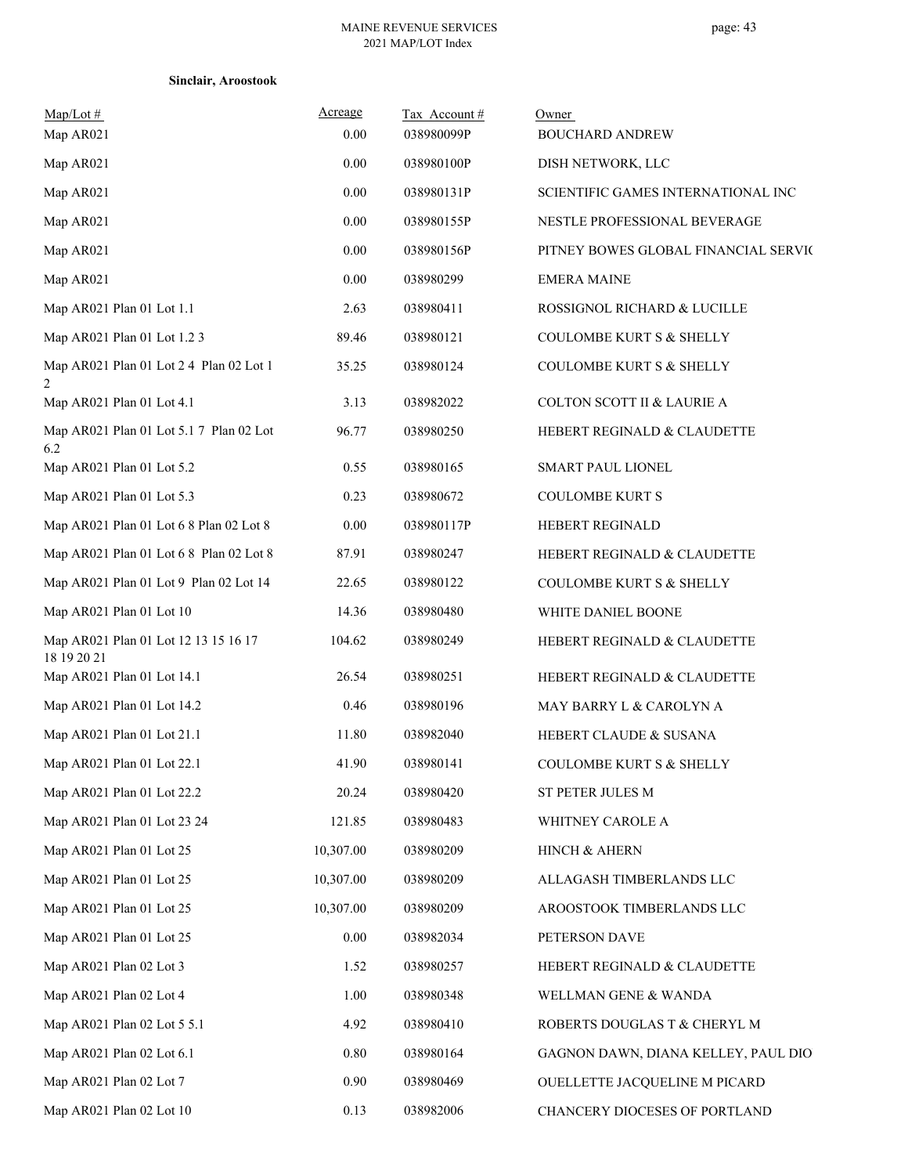| <b>Sinclair, Aroostook</b> |  |
|----------------------------|--|
|----------------------------|--|

| $Map/Lot \#$<br>Map AR021                           | Acreage<br>0.00 | Tax Account#<br>038980099P | Owner<br><b>BOUCHARD ANDREW</b>      |
|-----------------------------------------------------|-----------------|----------------------------|--------------------------------------|
| Map AR021                                           | 0.00            | 038980100P                 | DISH NETWORK, LLC                    |
| Map AR021                                           | 0.00            | 038980131P                 | SCIENTIFIC GAMES INTERNATIONAL INC   |
| Map AR021                                           | 0.00            | 038980155P                 | NESTLE PROFESSIONAL BEVERAGE         |
| Map AR021                                           | 0.00            | 038980156P                 | PITNEY BOWES GLOBAL FINANCIAL SERVIC |
| Map AR021                                           | 0.00            | 038980299                  | <b>EMERA MAINE</b>                   |
| Map AR021 Plan 01 Lot 1.1                           | 2.63            | 038980411                  | ROSSIGNOL RICHARD & LUCILLE          |
| Map AR021 Plan 01 Lot 1.2 3                         | 89.46           | 038980121                  | <b>COULOMBE KURT S &amp; SHELLY</b>  |
| Map AR021 Plan 01 Lot 2 4 Plan 02 Lot 1<br>2        | 35.25           | 038980124                  | <b>COULOMBE KURT S &amp; SHELLY</b>  |
| Map AR021 Plan 01 Lot 4.1                           | 3.13            | 038982022                  | COLTON SCOTT II & LAURIE A           |
| Map AR021 Plan 01 Lot 5.1 7 Plan 02 Lot<br>6.2      | 96.77           | 038980250                  | HEBERT REGINALD & CLAUDETTE          |
| Map AR021 Plan 01 Lot 5.2                           | 0.55            | 038980165                  | <b>SMART PAUL LIONEL</b>             |
| Map AR021 Plan 01 Lot 5.3                           | 0.23            | 038980672                  | COULOMBE KURT S                      |
| Map AR021 Plan 01 Lot 6 8 Plan 02 Lot 8             | 0.00            | 038980117P                 | HEBERT REGINALD                      |
| Map AR021 Plan 01 Lot 6 8 Plan 02 Lot 8             | 87.91           | 038980247                  | HEBERT REGINALD & CLAUDETTE          |
| Map AR021 Plan 01 Lot 9 Plan 02 Lot 14              | 22.65           | 038980122                  | <b>COULOMBE KURT S &amp; SHELLY</b>  |
| Map AR021 Plan 01 Lot 10                            | 14.36           | 038980480                  | WHITE DANIEL BOONE                   |
| Map AR021 Plan 01 Lot 12 13 15 16 17<br>18 19 20 21 | 104.62          | 038980249                  | HEBERT REGINALD & CLAUDETTE          |
| Map AR021 Plan 01 Lot 14.1                          | 26.54           | 038980251                  | HEBERT REGINALD & CLAUDETTE          |
| Map AR021 Plan 01 Lot 14.2                          | 0.46            | 038980196                  | MAY BARRY L & CAROLYN A              |
| Map AR021 Plan 01 Lot 21.1                          | 11.80           | 038982040                  | HEBERT CLAUDE & SUSANA               |
| Map AR021 Plan 01 Lot 22.1                          | 41.90           | 038980141                  | COULOMBE KURT S $\&$ SHELLY          |
| Map AR021 Plan 01 Lot 22.2                          | 20.24           | 038980420                  | ST PETER JULES M                     |
| Map AR021 Plan 01 Lot 23 24                         | 121.85          | 038980483                  | WHITNEY CAROLE A                     |
| Map AR021 Plan 01 Lot 25                            | 10,307.00       | 038980209                  | HINCH & AHERN                        |
| Map AR021 Plan 01 Lot 25                            | 10,307.00       | 038980209                  | ALLAGASH TIMBERLANDS LLC             |
| Map AR021 Plan 01 Lot 25                            | 10,307.00       | 038980209                  | AROOSTOOK TIMBERLANDS LLC            |
| Map AR021 Plan 01 Lot 25                            | 0.00            | 038982034                  | PETERSON DAVE                        |
| Map AR021 Plan 02 Lot 3                             | 1.52            | 038980257                  | HEBERT REGINALD & CLAUDETTE          |
| Map AR021 Plan 02 Lot 4                             | 1.00            | 038980348                  | WELLMAN GENE & WANDA                 |
| Map AR021 Plan 02 Lot 5 5.1                         | 4.92            | 038980410                  | ROBERTS DOUGLAS T & CHERYL M         |
| Map AR021 Plan 02 Lot 6.1                           | 0.80            | 038980164                  | GAGNON DAWN, DIANA KELLEY, PAUL DIO  |
| Map AR021 Plan 02 Lot 7                             | 0.90            | 038980469                  | OUELLETTE JACQUELINE M PICARD        |
| Map AR021 Plan 02 Lot 10                            | 0.13            | 038982006                  | CHANCERY DIOCESES OF PORTLAND        |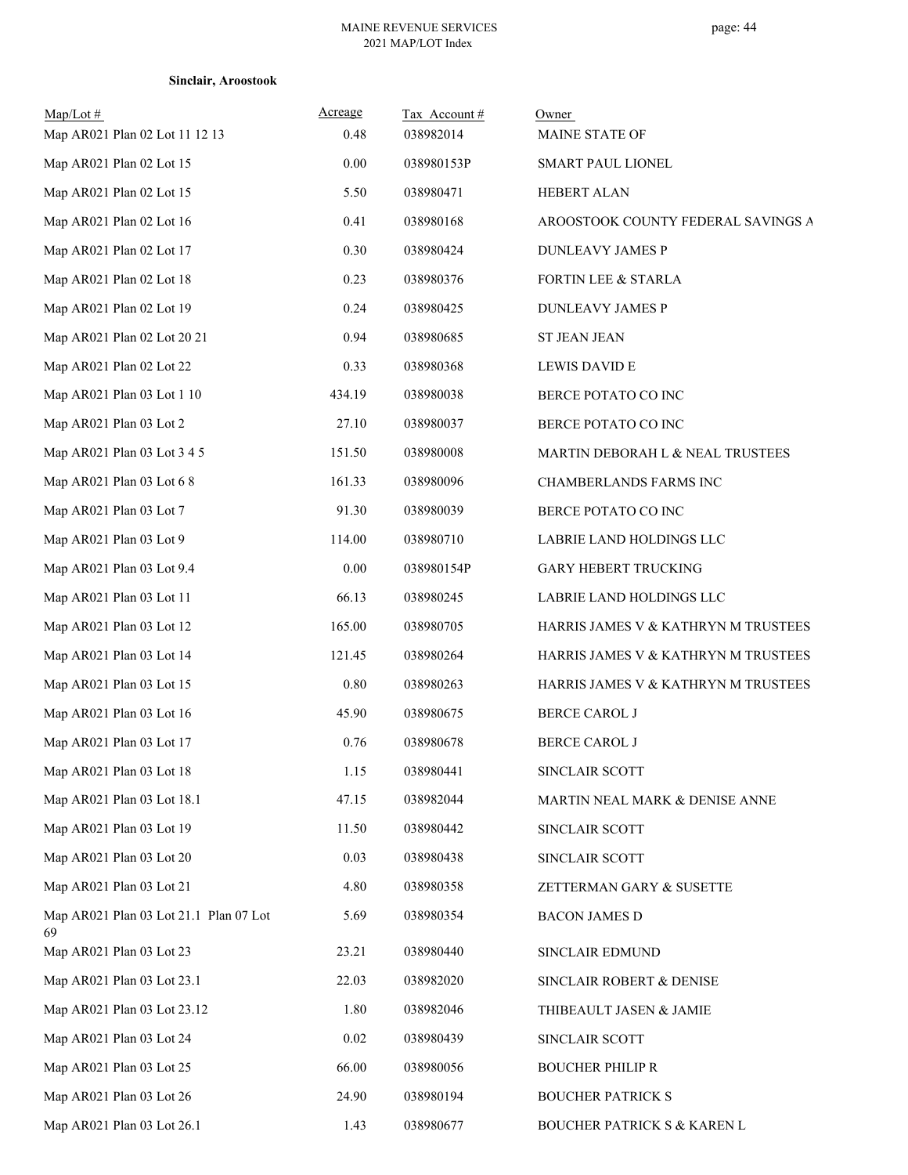## **Sinclair, Aroostook**

| Map/Lot #<br>Map AR021 Plan 02 Lot 11 12 13  | Acreage<br>0.48 | Tax Account#<br>038982014 | Owner<br>MAINE STATE OF             |
|----------------------------------------------|-----------------|---------------------------|-------------------------------------|
| Map AR021 Plan 02 Lot 15                     | 0.00            | 038980153P                | SMART PAUL LIONEL                   |
| Map AR021 Plan 02 Lot 15                     | 5.50            | 038980471                 | HEBERT ALAN                         |
| Map AR021 Plan 02 Lot 16                     | 0.41            | 038980168                 | AROOSTOOK COUNTY FEDERAL SAVINGS A  |
| Map AR021 Plan 02 Lot 17                     | 0.30            | 038980424                 | DUNLEAVY JAMES P                    |
| Map AR021 Plan 02 Lot 18                     | 0.23            | 038980376                 | FORTIN LEE & STARLA                 |
| Map AR021 Plan 02 Lot 19                     | 0.24            | 038980425                 | DUNLEAVY JAMES P                    |
| Map AR021 Plan 02 Lot 20 21                  | 0.94            | 038980685                 | <b>ST JEAN JEAN</b>                 |
| Map AR021 Plan 02 Lot 22                     | 0.33            | 038980368                 | <b>LEWIS DAVID E</b>                |
| Map AR021 Plan 03 Lot 1 10                   | 434.19          | 038980038                 | BERCE POTATO CO INC                 |
| Map AR021 Plan 03 Lot 2                      | 27.10           | 038980037                 | BERCE POTATO CO INC                 |
| Map AR021 Plan 03 Lot 3 4 5                  | 151.50          | 038980008                 | MARTIN DEBORAH L & NEAL TRUSTEES    |
| Map AR021 Plan 03 Lot 6 8                    | 161.33          | 038980096                 | CHAMBERLANDS FARMS INC              |
| Map AR021 Plan 03 Lot 7                      | 91.30           | 038980039                 | BERCE POTATO CO INC                 |
| Map AR021 Plan 03 Lot 9                      | 114.00          | 038980710                 | LABRIE LAND HOLDINGS LLC            |
| Map AR021 Plan 03 Lot 9.4                    | 0.00            | 038980154P                | <b>GARY HEBERT TRUCKING</b>         |
| Map AR021 Plan 03 Lot 11                     | 66.13           | 038980245                 | LABRIE LAND HOLDINGS LLC            |
| Map AR021 Plan 03 Lot 12                     | 165.00          | 038980705                 | HARRIS JAMES V & KATHRYN M TRUSTEES |
| Map AR021 Plan 03 Lot 14                     | 121.45          | 038980264                 | HARRIS JAMES V & KATHRYN M TRUSTEES |
| Map AR021 Plan 03 Lot 15                     | $0.80\,$        | 038980263                 | HARRIS JAMES V & KATHRYN M TRUSTEES |
| Map AR021 Plan 03 Lot 16                     | 45.90           | 038980675                 | BERCE CAROL J                       |
| Map AR021 Plan 03 Lot 17                     | 0.76            | 038980678                 | BERCE CAROL J                       |
| Map AR021 Plan 03 Lot 18                     | 1.15            | 038980441                 | SINCLAIR SCOTT                      |
| Map AR021 Plan 03 Lot 18.1                   | 47.15           | 038982044                 | MARTIN NEAL MARK & DENISE ANNE      |
| Map AR021 Plan 03 Lot 19                     | 11.50           | 038980442                 | SINCLAIR SCOTT                      |
| Map AR021 Plan 03 Lot 20                     | 0.03            | 038980438                 | SINCLAIR SCOTT                      |
| Map AR021 Plan 03 Lot 21                     | 4.80            | 038980358                 | ZETTERMAN GARY & SUSETTE            |
| Map AR021 Plan 03 Lot 21.1 Plan 07 Lot<br>69 | 5.69            | 038980354                 | <b>BACON JAMES D</b>                |
| Map AR021 Plan 03 Lot 23                     | 23.21           | 038980440                 | SINCLAIR EDMUND                     |
| Map AR021 Plan 03 Lot 23.1                   | 22.03           | 038982020                 | SINCLAIR ROBERT & DENISE            |
| Map AR021 Plan 03 Lot 23.12                  | 1.80            | 038982046                 | THIBEAULT JASEN & JAMIE             |
| Map AR021 Plan 03 Lot 24                     | 0.02            | 038980439                 | SINCLAIR SCOTT                      |
| Map AR021 Plan 03 Lot 25                     | 66.00           | 038980056                 | <b>BOUCHER PHILIP R</b>             |
| Map AR021 Plan 03 Lot 26                     | 24.90           | 038980194                 | <b>BOUCHER PATRICK S</b>            |
| Map AR021 Plan 03 Lot 26.1                   | 1.43            | 038980677                 | BOUCHER PATRICK S & KAREN L         |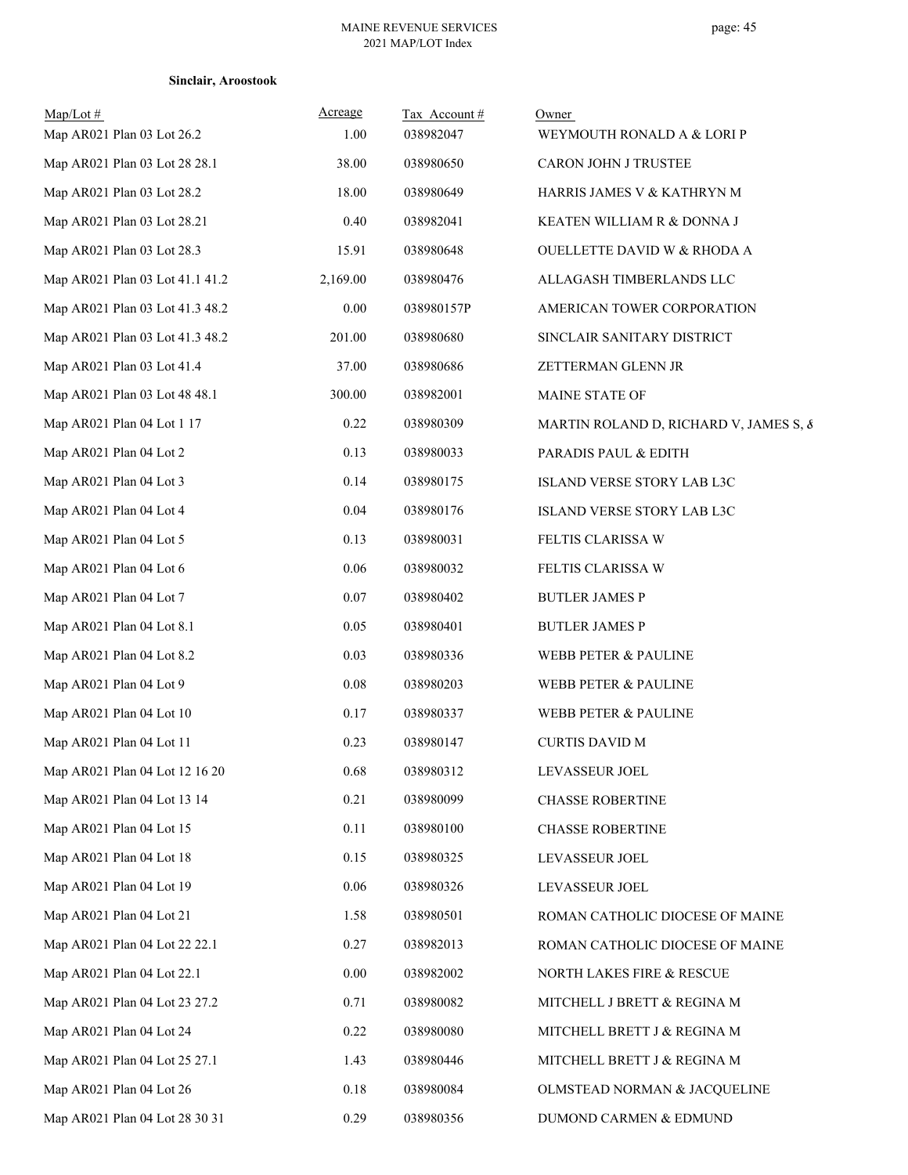| $Map/Lot \#$<br>Map AR021 Plan 03 Lot 26.2 | Acreage<br>1.00 | Tax Account#<br>038982047 | Owner<br>WEYMOUTH RONALD A & LORI P    |
|--------------------------------------------|-----------------|---------------------------|----------------------------------------|
| Map AR021 Plan 03 Lot 28 28.1              | 38.00           | 038980650                 | CARON JOHN J TRUSTEE                   |
| Map AR021 Plan 03 Lot 28.2                 | 18.00           | 038980649                 | HARRIS JAMES V & KATHRYN M             |
| Map AR021 Plan 03 Lot 28.21                | 0.40            | 038982041                 | KEATEN WILLIAM R & DONNA J             |
| Map AR021 Plan 03 Lot 28.3                 | 15.91           | 038980648                 | OUELLETTE DAVID W & RHODA A            |
| Map AR021 Plan 03 Lot 41.1 41.2            | 2,169.00        | 038980476                 | ALLAGASH TIMBERLANDS LLC               |
| Map AR021 Plan 03 Lot 41.3 48.2            | 0.00            | 038980157P                | AMERICAN TOWER CORPORATION             |
| Map AR021 Plan 03 Lot 41.3 48.2            | 201.00          | 038980680                 | SINCLAIR SANITARY DISTRICT             |
| Map AR021 Plan 03 Lot 41.4                 | 37.00           | 038980686                 | ZETTERMAN GLENN JR                     |
| Map AR021 Plan 03 Lot 48 48.1              | 300.00          | 038982001                 | MAINE STATE OF                         |
| Map AR021 Plan 04 Lot 1 17                 | 0.22            | 038980309                 | MARTIN ROLAND D, RICHARD V, JAMES S, & |
| Map AR021 Plan 04 Lot 2                    | 0.13            | 038980033                 | PARADIS PAUL & EDITH                   |
| Map AR021 Plan 04 Lot 3                    | 0.14            | 038980175                 | ISLAND VERSE STORY LAB L3C             |
| Map AR021 Plan 04 Lot 4                    | 0.04            | 038980176                 | ISLAND VERSE STORY LAB L3C             |
| Map AR021 Plan 04 Lot 5                    | 0.13            | 038980031                 | FELTIS CLARISSA W                      |
| Map AR021 Plan 04 Lot 6                    | 0.06            | 038980032                 | FELTIS CLARISSA W                      |
| Map AR021 Plan 04 Lot 7                    | 0.07            | 038980402                 | <b>BUTLER JAMES P</b>                  |
| Map AR021 Plan 04 Lot 8.1                  | 0.05            | 038980401                 | <b>BUTLER JAMES P</b>                  |
| Map AR021 Plan 04 Lot 8.2                  | 0.03            | 038980336                 | WEBB PETER & PAULINE                   |
| Map AR021 Plan 04 Lot 9                    | $0.08\,$        | 038980203                 | WEBB PETER & PAULINE                   |
| Map AR021 Plan 04 Lot 10                   | 0.17            | 038980337                 | WEBB PETER & PAULINE                   |
| Map AR021 Plan 04 Lot 11                   | 0.23            | 038980147                 | <b>CURTIS DAVID M</b>                  |
| Map AR021 Plan 04 Lot 12 16 20             | 0.68            | 038980312                 | LEVASSEUR JOEL                         |
| Map AR021 Plan 04 Lot 13 14                | 0.21            | 038980099                 | <b>CHASSE ROBERTINE</b>                |
| Map AR021 Plan 04 Lot 15                   | 0.11            | 038980100                 | <b>CHASSE ROBERTINE</b>                |
| Map AR021 Plan 04 Lot 18                   | 0.15            | 038980325                 | LEVASSEUR JOEL                         |
| Map AR021 Plan 04 Lot 19                   | 0.06            | 038980326                 | LEVASSEUR JOEL                         |
| Map AR021 Plan 04 Lot 21                   | 1.58            | 038980501                 | ROMAN CATHOLIC DIOCESE OF MAINE        |
| Map AR021 Plan 04 Lot 22 22.1              | 0.27            | 038982013                 | ROMAN CATHOLIC DIOCESE OF MAINE        |
| Map AR021 Plan 04 Lot 22.1                 | 0.00            | 038982002                 | NORTH LAKES FIRE & RESCUE              |
| Map AR021 Plan 04 Lot 23 27.2              | 0.71            | 038980082                 | MITCHELL J BRETT & REGINA M            |
| Map AR021 Plan 04 Lot 24                   | 0.22            | 038980080                 | MITCHELL BRETT J & REGINA M            |
| Map AR021 Plan 04 Lot 25 27.1              | 1.43            | 038980446                 | MITCHELL BRETT J & REGINA M            |
| Map AR021 Plan 04 Lot 26                   | 0.18            | 038980084                 | OLMSTEAD NORMAN & JACQUELINE           |
| Map AR021 Plan 04 Lot 28 30 31             | 0.29            | 038980356                 | DUMOND CARMEN & EDMUND                 |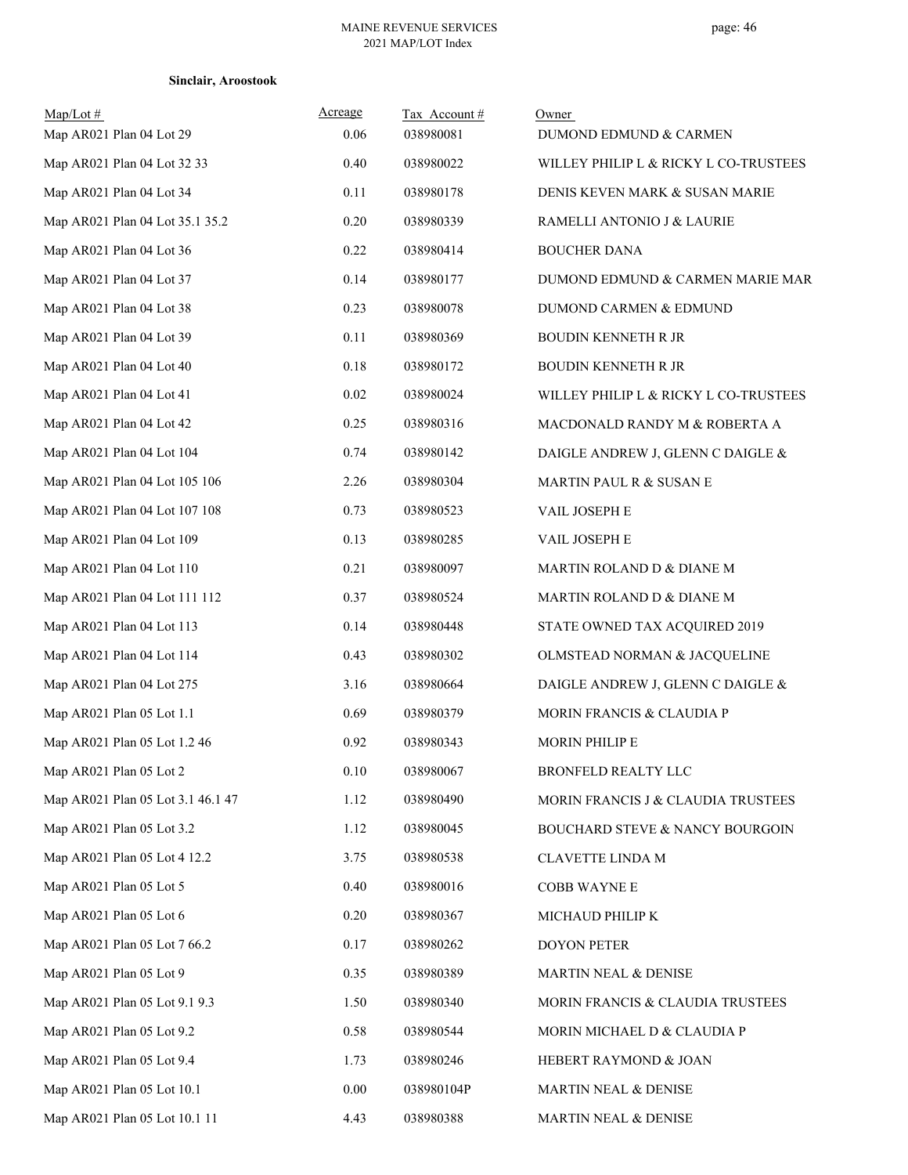|  |  | Sinclair, Aroostook |  |
|--|--|---------------------|--|
|  |  |                     |  |

| $Map/Lot$ #<br>Map AR021 Plan 04 Lot 29 | Acreage<br>0.06 | Tax Account#<br>038980081 | Owner<br>DUMOND EDMUND & CARMEN       |
|-----------------------------------------|-----------------|---------------------------|---------------------------------------|
| Map AR021 Plan 04 Lot 32 33             | 0.40            | 038980022                 | WILLEY PHILIP L & RICKY L CO-TRUSTEES |
| Map AR021 Plan 04 Lot 34                | 0.11            | 038980178                 | DENIS KEVEN MARK & SUSAN MARIE        |
| Map AR021 Plan 04 Lot 35.1 35.2         | 0.20            | 038980339                 | RAMELLI ANTONIO J & LAURIE            |
| Map AR021 Plan 04 Lot 36                | 0.22            | 038980414                 | <b>BOUCHER DANA</b>                   |
| Map AR021 Plan 04 Lot 37                | 0.14            | 038980177                 | DUMOND EDMUND & CARMEN MARIE MAR      |
| Map AR021 Plan 04 Lot 38                | 0.23            | 038980078                 | DUMOND CARMEN & EDMUND                |
| Map AR021 Plan 04 Lot 39                | 0.11            | 038980369                 | <b>BOUDIN KENNETH R JR</b>            |
| Map AR021 Plan 04 Lot 40                | 0.18            | 038980172                 | <b>BOUDIN KENNETH R JR</b>            |
| Map AR021 Plan 04 Lot 41                | 0.02            | 038980024                 | WILLEY PHILIP L & RICKY L CO-TRUSTEES |
| Map AR021 Plan 04 Lot 42                | 0.25            | 038980316                 | MACDONALD RANDY M & ROBERTA A         |
| Map AR021 Plan 04 Lot 104               | 0.74            | 038980142                 | DAIGLE ANDREW J, GLENN C DAIGLE &     |
| Map AR021 Plan 04 Lot 105 106           | 2.26            | 038980304                 | MARTIN PAUL R & SUSAN E               |
| Map AR021 Plan 04 Lot 107 108           | 0.73            | 038980523                 | VAIL JOSEPH E                         |
| Map AR021 Plan 04 Lot 109               | 0.13            | 038980285                 | VAIL JOSEPH E                         |
| Map AR021 Plan 04 Lot 110               | 0.21            | 038980097                 | MARTIN ROLAND D & DIANE M             |
| Map AR021 Plan 04 Lot 111 112           | 0.37            | 038980524                 | MARTIN ROLAND D & DIANE M             |
| Map AR021 Plan 04 Lot 113               | 0.14            | 038980448                 | STATE OWNED TAX ACQUIRED 2019         |
| Map AR021 Plan 04 Lot 114               | 0.43            | 038980302                 | OLMSTEAD NORMAN & JACQUELINE          |
| Map AR021 Plan 04 Lot 275               | 3.16            | 038980664                 | DAIGLE ANDREW J, GLENN C DAIGLE &     |
| Map AR021 Plan 05 Lot 1.1               | 0.69            | 038980379                 | MORIN FRANCIS & CLAUDIA P             |
| Map AR021 Plan 05 Lot 1.2 46            | 0.92            | 038980343                 | MORIN PHILIP E                        |
| Map AR021 Plan 05 Lot 2                 | $0.10\,$        | 038980067                 | BRONFELD REALTY LLC                   |
| Map AR021 Plan 05 Lot 3.1 46.1 47       | 1.12            | 038980490                 | MORIN FRANCIS J & CLAUDIA TRUSTEES    |
| Map AR021 Plan 05 Lot 3.2               | 1.12            | 038980045                 | BOUCHARD STEVE & NANCY BOURGOIN       |
| Map AR021 Plan 05 Lot 4 12.2            | 3.75            | 038980538                 | CLAVETTE LINDA M                      |
| Map AR021 Plan 05 Lot 5                 | 0.40            | 038980016                 | <b>COBB WAYNE E</b>                   |
| Map AR021 Plan 05 Lot 6                 | 0.20            | 038980367                 | MICHAUD PHILIP K                      |
| Map AR021 Plan 05 Lot 7 66.2            | 0.17            | 038980262                 | <b>DOYON PETER</b>                    |
| Map AR021 Plan 05 Lot 9                 | 0.35            | 038980389                 | MARTIN NEAL & DENISE                  |
| Map AR021 Plan 05 Lot 9.1 9.3           | 1.50            | 038980340                 | MORIN FRANCIS & CLAUDIA TRUSTEES      |
| Map AR021 Plan 05 Lot 9.2               | 0.58            | 038980544                 | MORIN MICHAEL D & CLAUDIA P           |
| Map AR021 Plan 05 Lot 9.4               | 1.73            | 038980246                 | HEBERT RAYMOND & JOAN                 |
| Map AR021 Plan 05 Lot 10.1              | 0.00            | 038980104P                | MARTIN NEAL & DENISE                  |
| Map AR021 Plan 05 Lot 10.1 11           | 4.43            | 038980388                 | MARTIN NEAL & DENISE                  |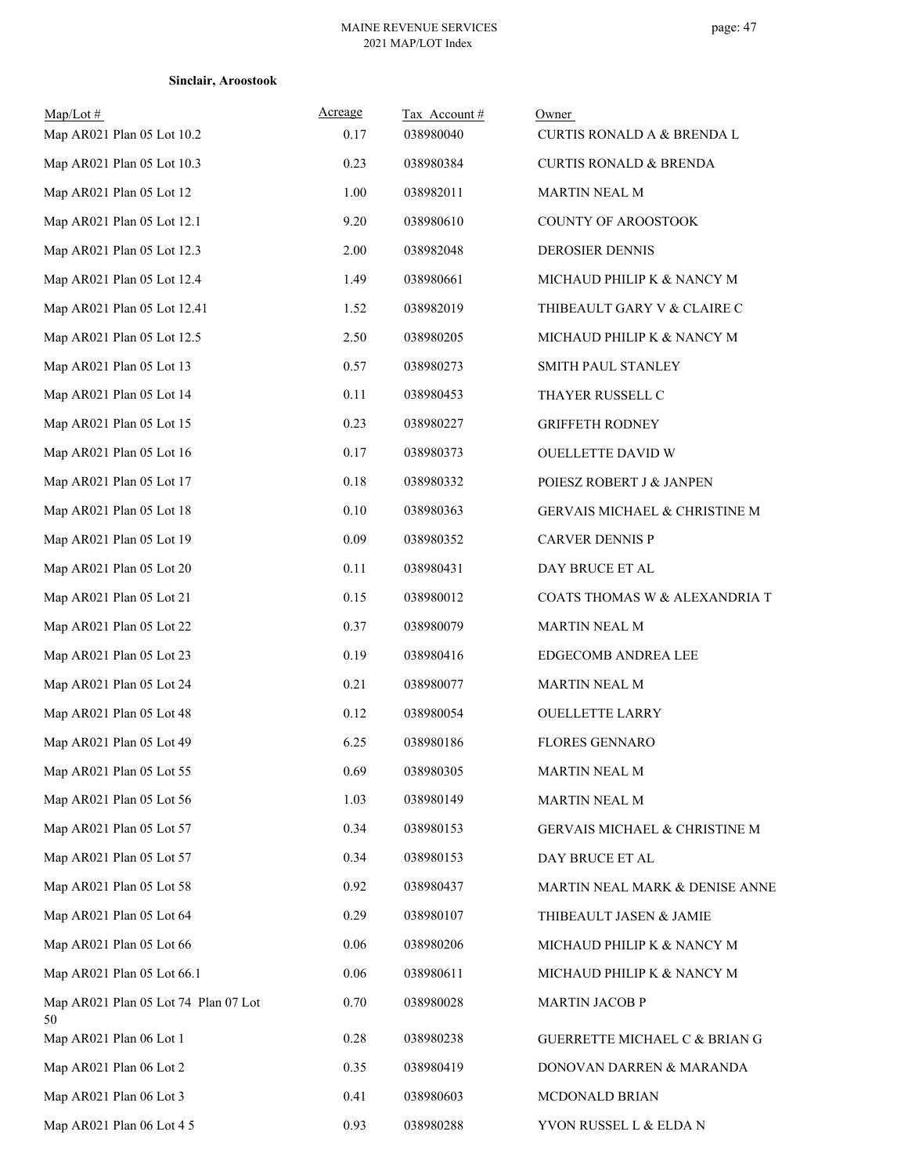|  | Sinclair, Aroostook |
|--|---------------------|
|--|---------------------|

| $Map/Lot \#$                               | Acreage  | Tax Account# | Owner                                    |
|--------------------------------------------|----------|--------------|------------------------------------------|
| Map AR021 Plan 05 Lot 10.2                 | 0.17     | 038980040    | CURTIS RONALD A & BRENDA L               |
| Map AR021 Plan 05 Lot 10.3                 | 0.23     | 038980384    | <b>CURTIS RONALD &amp; BRENDA</b>        |
| Map AR021 Plan 05 Lot 12                   | 1.00     | 038982011    | <b>MARTIN NEAL M</b>                     |
| Map AR021 Plan 05 Lot 12.1                 | 9.20     | 038980610    | <b>COUNTY OF AROOSTOOK</b>               |
| Map AR021 Plan 05 Lot 12.3                 | 2.00     | 038982048    | DEROSIER DENNIS                          |
| Map AR021 Plan 05 Lot 12.4                 | 1.49     | 038980661    | MICHAUD PHILIP K & NANCY M               |
| Map AR021 Plan 05 Lot 12.41                | 1.52     | 038982019    | THIBEAULT GARY V & CLAIRE C              |
| Map AR021 Plan 05 Lot 12.5                 | 2.50     | 038980205    | MICHAUD PHILIP K & NANCY M               |
| Map AR021 Plan 05 Lot 13                   | 0.57     | 038980273    | SMITH PAUL STANLEY                       |
| Map AR021 Plan 05 Lot 14                   | 0.11     | 038980453    | THAYER RUSSELL C                         |
| Map AR021 Plan 05 Lot 15                   | 0.23     | 038980227    | <b>GRIFFETH RODNEY</b>                   |
| Map AR021 Plan 05 Lot 16                   | 0.17     | 038980373    | OUELLETTE DAVID W                        |
| Map AR021 Plan 05 Lot 17                   | $0.18\,$ | 038980332    | POIESZ ROBERT J & JANPEN                 |
| Map AR021 Plan 05 Lot 18                   | 0.10     | 038980363    | <b>GERVAIS MICHAEL &amp; CHRISTINE M</b> |
| Map AR021 Plan 05 Lot 19                   | 0.09     | 038980352    | <b>CARVER DENNIS P</b>                   |
| Map AR021 Plan 05 Lot 20                   | 0.11     | 038980431    | DAY BRUCE ET AL                          |
| Map AR021 Plan 05 Lot 21                   | 0.15     | 038980012    | COATS THOMAS W & ALEXANDRIA T            |
| Map AR021 Plan 05 Lot 22                   | 0.37     | 038980079    | <b>MARTIN NEAL M</b>                     |
| Map AR021 Plan 05 Lot 23                   | 0.19     | 038980416    | EDGECOMB ANDREA LEE                      |
| Map AR021 Plan 05 Lot 24                   | 0.21     | 038980077    | <b>MARTIN NEAL M</b>                     |
| Map AR021 Plan 05 Lot 48                   | 0.12     | 038980054    | <b>OUELLETTE LARRY</b>                   |
| Map AR021 Plan 05 Lot 49                   | 6.25     | 038980186    | <b>FLORES GENNARO</b>                    |
| Map AR021 Plan 05 Lot 55                   | 0.69     | 038980305    | MARTIN NEAL M                            |
| Map AR021 Plan 05 Lot 56                   | 1.03     | 038980149    | MARTIN NEAL M                            |
| Map AR021 Plan 05 Lot 57                   | 0.34     | 038980153    | GERVAIS MICHAEL & CHRISTINE M            |
| Map AR021 Plan 05 Lot 57                   | 0.34     | 038980153    | DAY BRUCE ET AL                          |
| Map AR021 Plan 05 Lot 58                   | 0.92     | 038980437    | MARTIN NEAL MARK & DENISE ANNE           |
| Map AR021 Plan 05 Lot 64                   | 0.29     | 038980107    | THIBEAULT JASEN & JAMIE                  |
| Map AR021 Plan 05 Lot 66                   | 0.06     | 038980206    | MICHAUD PHILIP K & NANCY M               |
| Map AR021 Plan 05 Lot 66.1                 | 0.06     | 038980611    | MICHAUD PHILIP K & NANCY M               |
| Map AR021 Plan 05 Lot 74 Plan 07 Lot<br>50 | 0.70     | 038980028    | <b>MARTIN JACOB P</b>                    |
| Map AR021 Plan 06 Lot 1                    | 0.28     | 038980238    | GUERRETTE MICHAEL C & BRIAN G            |
| Map AR021 Plan 06 Lot 2                    | 0.35     | 038980419    | DONOVAN DARREN & MARANDA                 |
| Map AR021 Plan 06 Lot 3                    | 0.41     | 038980603    | MCDONALD BRIAN                           |
| Map AR021 Plan 06 Lot 4 5                  | 0.93     | 038980288    | YVON RUSSEL L & ELDA N                   |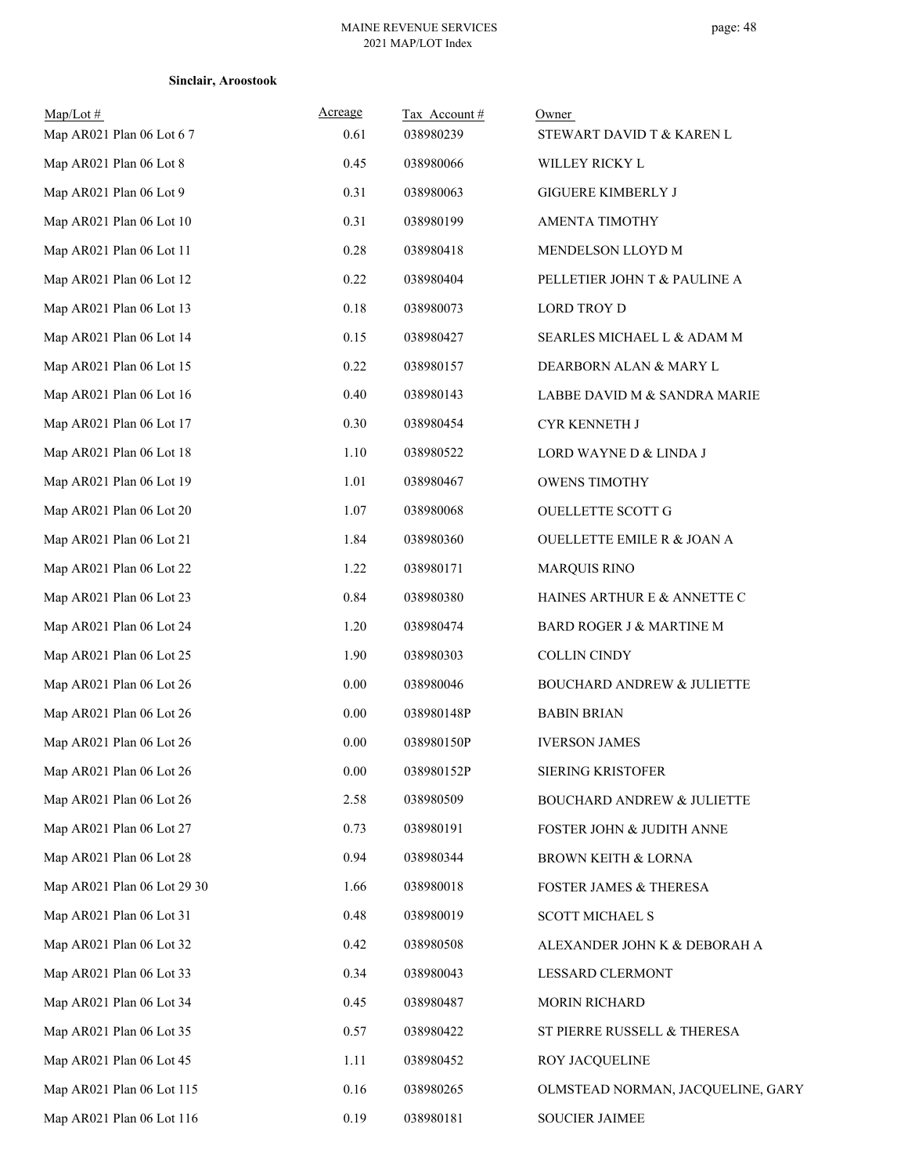| $Map/Lot \#$<br>Map AR021 Plan 06 Lot 6 7 | Acreage<br>0.61 | Tax Account#<br>038980239 | Owner<br>STEWART DAVID T & KAREN L    |
|-------------------------------------------|-----------------|---------------------------|---------------------------------------|
| Map AR021 Plan 06 Lot 8                   | 0.45            | 038980066                 | WILLEY RICKY L                        |
| Map AR021 Plan 06 Lot 9                   | 0.31            | 038980063                 | <b>GIGUERE KIMBERLY J</b>             |
| Map AR021 Plan 06 Lot 10                  | 0.31            | 038980199                 | AMENTA TIMOTHY                        |
| Map AR021 Plan 06 Lot 11                  | 0.28            | 038980418                 | MENDELSON LLOYD M                     |
| Map AR021 Plan 06 Lot 12                  | 0.22            | 038980404                 | PELLETIER JOHN T & PAULINE A          |
| Map AR021 Plan 06 Lot 13                  | 0.18            | 038980073                 | LORD TROY D                           |
| Map AR021 Plan 06 Lot 14                  | 0.15            | 038980427                 | SEARLES MICHAEL L & ADAM M            |
| Map AR021 Plan 06 Lot 15                  | 0.22            | 038980157                 | DEARBORN ALAN & MARY L                |
| Map AR021 Plan 06 Lot 16                  | 0.40            | 038980143                 | LABBE DAVID M & SANDRA MARIE          |
| Map AR021 Plan 06 Lot 17                  | 0.30            | 038980454                 | CYR KENNETH J                         |
| Map AR021 Plan 06 Lot 18                  | 1.10            | 038980522                 | LORD WAYNE D & LINDA J                |
| Map AR021 Plan 06 Lot 19                  | 1.01            | 038980467                 | <b>OWENS TIMOTHY</b>                  |
| Map AR021 Plan 06 Lot 20                  | 1.07            | 038980068                 | <b>OUELLETTE SCOTT G</b>              |
| Map AR021 Plan 06 Lot 21                  | 1.84            | 038980360                 | <b>OUELLETTE EMILE R &amp; JOAN A</b> |
| Map AR021 Plan 06 Lot 22                  | 1.22            | 038980171                 | <b>MARQUIS RINO</b>                   |
| Map AR021 Plan 06 Lot 23                  | 0.84            | 038980380                 | HAINES ARTHUR E & ANNETTE C           |
| Map AR021 Plan 06 Lot 24                  | 1.20            | 038980474                 | BARD ROGER J & MARTINE M              |
| Map AR021 Plan 06 Lot 25                  | 1.90            | 038980303                 | <b>COLLIN CINDY</b>                   |
| Map AR021 Plan 06 Lot 26                  | 0.00            | 038980046                 | <b>BOUCHARD ANDREW &amp; JULIETTE</b> |
| Map AR021 Plan 06 Lot 26                  | 0.00            | 038980148P                | <b>BABIN BRIAN</b>                    |
| Map AR021 Plan 06 Lot 26                  | 0.00            | 038980150P                | <b>IVERSON JAMES</b>                  |
| Map AR021 Plan 06 Lot 26                  | $0.00\,$        | 038980152P                | <b>SIERING KRISTOFER</b>              |
| Map AR021 Plan 06 Lot 26                  | 2.58            | 038980509                 | <b>BOUCHARD ANDREW &amp; JULIETTE</b> |
| Map AR021 Plan 06 Lot 27                  | 0.73            | 038980191                 | <b>FOSTER JOHN &amp; JUDITH ANNE</b>  |
| Map AR021 Plan 06 Lot 28                  | 0.94            | 038980344                 | <b>BROWN KEITH &amp; LORNA</b>        |
| Map AR021 Plan 06 Lot 29 30               | 1.66            | 038980018                 | <b>FOSTER JAMES &amp; THERESA</b>     |
| Map AR021 Plan 06 Lot 31                  | 0.48            | 038980019                 | <b>SCOTT MICHAEL S</b>                |
| Map AR021 Plan 06 Lot 32                  | 0.42            | 038980508                 | ALEXANDER JOHN K & DEBORAH A          |
| Map AR021 Plan 06 Lot 33                  | 0.34            | 038980043                 | LESSARD CLERMONT                      |
| Map AR021 Plan 06 Lot 34                  | 0.45            | 038980487                 | <b>MORIN RICHARD</b>                  |
| Map AR021 Plan 06 Lot 35                  | 0.57            | 038980422                 | ST PIERRE RUSSELL & THERESA           |
| Map AR021 Plan 06 Lot 45                  | 1.11            | 038980452                 | ROY JACQUELINE                        |
| Map AR021 Plan 06 Lot 115                 | 0.16            | 038980265                 | OLMSTEAD NORMAN, JACQUELINE, GARY     |
| Map AR021 Plan 06 Lot 116                 | 0.19            | 038980181                 | SOUCIER JAIMEE                        |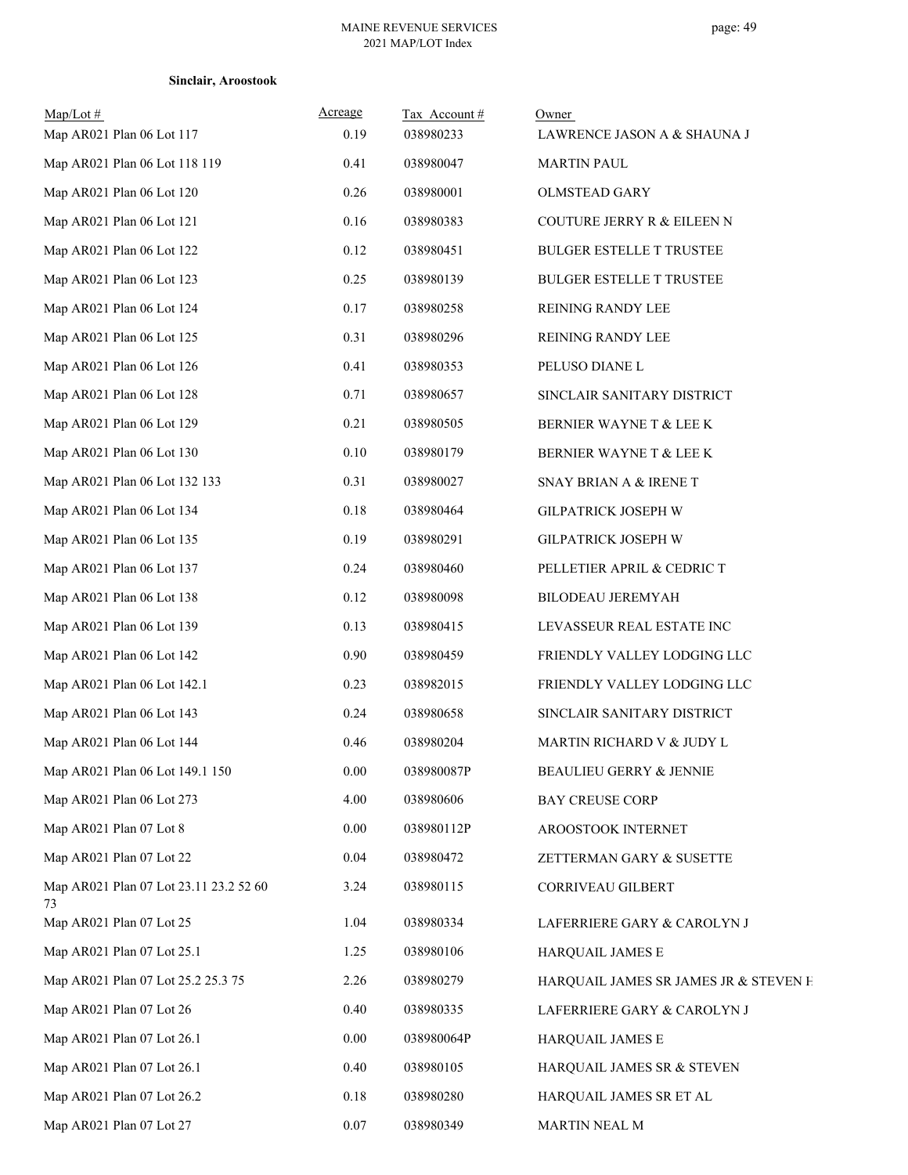| $Map/Lot \#$<br>Map AR021 Plan 06 Lot 117    | Acreage<br>0.19 | Tax Account#<br>038980233 | Owner<br>LAWRENCE JASON A & SHAUNA J  |
|----------------------------------------------|-----------------|---------------------------|---------------------------------------|
| Map AR021 Plan 06 Lot 118 119                | 0.41            | 038980047                 | <b>MARTIN PAUL</b>                    |
| Map AR021 Plan 06 Lot 120                    | 0.26            | 038980001                 | <b>OLMSTEAD GARY</b>                  |
| Map AR021 Plan 06 Lot 121                    | 0.16            | 038980383                 | COUTURE JERRY R & EILEEN N            |
| Map AR021 Plan 06 Lot 122                    | 0.12            | 038980451                 | <b>BULGER ESTELLE T TRUSTEE</b>       |
| Map AR021 Plan 06 Lot 123                    | 0.25            | 038980139                 | <b>BULGER ESTELLE T TRUSTEE</b>       |
| Map AR021 Plan 06 Lot 124                    | 0.17            | 038980258                 | REINING RANDY LEE                     |
| Map AR021 Plan 06 Lot 125                    | 0.31            | 038980296                 | REINING RANDY LEE                     |
| Map AR021 Plan 06 Lot 126                    | 0.41            | 038980353                 | PELUSO DIANE L                        |
| Map AR021 Plan 06 Lot 128                    | 0.71            | 038980657                 | SINCLAIR SANITARY DISTRICT            |
| Map AR021 Plan 06 Lot 129                    | 0.21            | 038980505                 | BERNIER WAYNE T & LEE K               |
| Map AR021 Plan 06 Lot 130                    | $0.10\,$        | 038980179                 | BERNIER WAYNE T & LEE K               |
| Map AR021 Plan 06 Lot 132 133                | 0.31            | 038980027                 | SNAY BRIAN A & IRENE T                |
| Map AR021 Plan 06 Lot 134                    | 0.18            | 038980464                 | GILPATRICK JOSEPH W                   |
| Map AR021 Plan 06 Lot 135                    | 0.19            | 038980291                 | GILPATRICK JOSEPH W                   |
| Map AR021 Plan 06 Lot 137                    | 0.24            | 038980460                 | PELLETIER APRIL & CEDRIC T            |
| Map AR021 Plan 06 Lot 138                    | 0.12            | 038980098                 | BILODEAU JEREMYAH                     |
| Map AR021 Plan 06 Lot 139                    | 0.13            | 038980415                 | LEVASSEUR REAL ESTATE INC             |
| Map AR021 Plan 06 Lot 142                    | 0.90            | 038980459                 | FRIENDLY VALLEY LODGING LLC           |
| Map AR021 Plan 06 Lot 142.1                  | 0.23            | 038982015                 | FRIENDLY VALLEY LODGING LLC           |
| Map AR021 Plan 06 Lot 143                    | 0.24            | 038980658                 | SINCLAIR SANITARY DISTRICT            |
| Map AR021 Plan 06 Lot 144                    | 0.46            | 038980204                 | MARTIN RICHARD V & JUDY L             |
| Map AR021 Plan 06 Lot 149.1 150              | 0.00            | 038980087P                | BEAULIEU GERRY & JENNIE               |
| Map AR021 Plan 06 Lot 273                    | 4.00            | 038980606                 | <b>BAY CREUSE CORP</b>                |
| Map AR021 Plan 07 Lot 8                      | 0.00            | 038980112P                | AROOSTOOK INTERNET                    |
| Map AR021 Plan 07 Lot 22                     | 0.04            | 038980472                 | ZETTERMAN GARY & SUSETTE              |
| Map AR021 Plan 07 Lot 23.11 23.2 52 60<br>73 | 3.24            | 038980115                 | CORRIVEAU GILBERT                     |
| Map AR021 Plan 07 Lot 25                     | 1.04            | 038980334                 | LAFERRIERE GARY & CAROLYN J           |
| Map AR021 Plan 07 Lot 25.1                   | 1.25            | 038980106                 | HARQUAIL JAMES E                      |
| Map AR021 Plan 07 Lot 25.2 25.3 75           | 2.26            | 038980279                 | HARQUAIL JAMES SR JAMES JR & STEVEN H |
| Map AR021 Plan 07 Lot 26                     | 0.40            | 038980335                 | LAFERRIERE GARY & CAROLYN J           |
| Map AR021 Plan 07 Lot 26.1                   | 0.00            | 038980064P                | HARQUAIL JAMES E                      |
| Map AR021 Plan 07 Lot 26.1                   | 0.40            | 038980105                 | HARQUAIL JAMES SR & STEVEN            |
| Map AR021 Plan 07 Lot 26.2                   | 0.18            | 038980280                 | HARQUAIL JAMES SR ET AL               |
| Map AR021 Plan 07 Lot 27                     | 0.07            | 038980349                 | MARTIN NEAL M                         |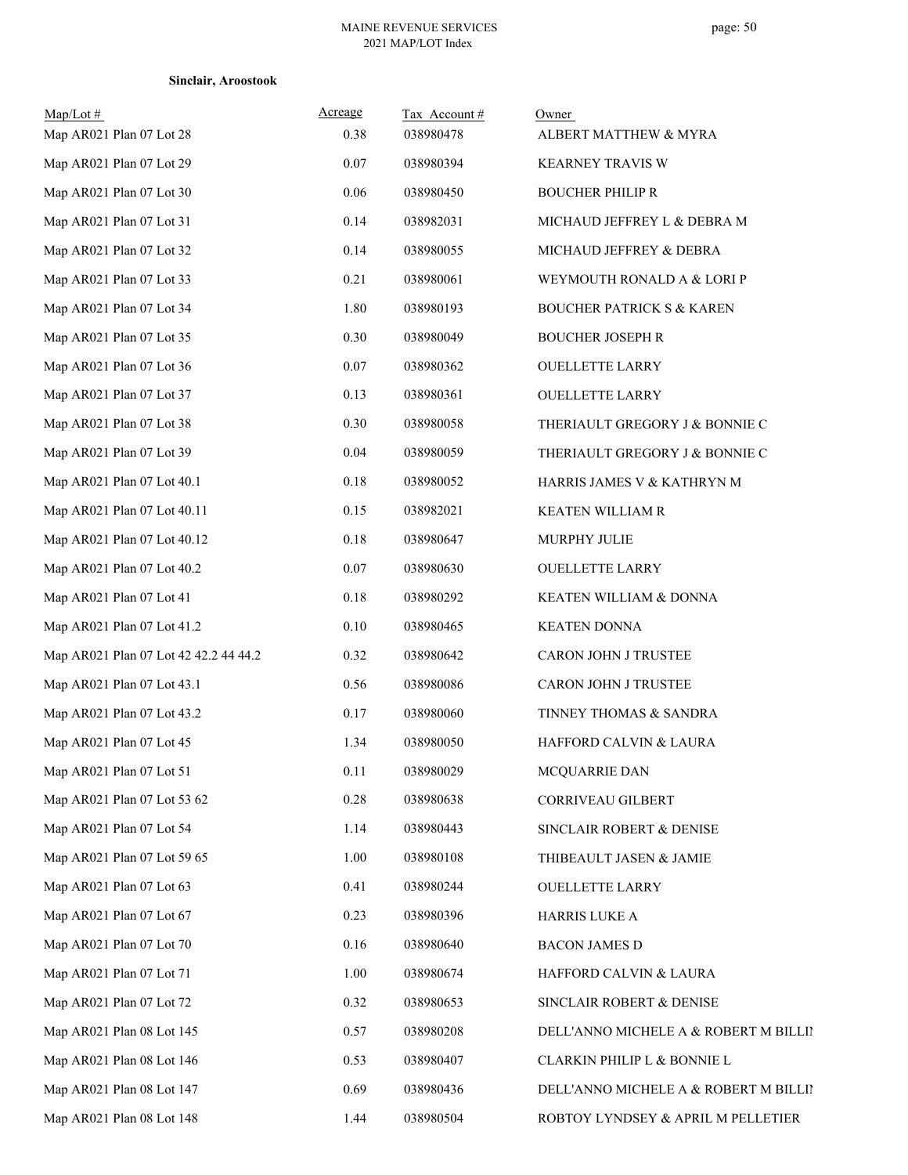| Sinclair, Aroostook |  |  |  |  |  |
|---------------------|--|--|--|--|--|
|---------------------|--|--|--|--|--|

| $Map/Lot$ #<br>Map AR021 Plan 07 Lot 28 | Acreage<br>0.38 | Tax Account#<br>038980478 | Owner<br>ALBERT MATTHEW & MYRA        |
|-----------------------------------------|-----------------|---------------------------|---------------------------------------|
| Map AR021 Plan 07 Lot 29                | $0.07\,$        | 038980394                 | KEARNEY TRAVIS W                      |
| Map AR021 Plan 07 Lot 30                | $0.06\,$        | 038980450                 | <b>BOUCHER PHILIP R</b>               |
| Map AR021 Plan 07 Lot 31                | 0.14            | 038982031                 | MICHAUD JEFFREY L & DEBRA M           |
| Map AR021 Plan 07 Lot 32                | 0.14            | 038980055                 | MICHAUD JEFFREY & DEBRA               |
| Map AR021 Plan 07 Lot 33                | 0.21            | 038980061                 | WEYMOUTH RONALD A & LORI P            |
| Map AR021 Plan 07 Lot 34                | 1.80            | 038980193                 | <b>BOUCHER PATRICK S &amp; KAREN</b>  |
| Map AR021 Plan 07 Lot 35                | 0.30            | 038980049                 | <b>BOUCHER JOSEPH R</b>               |
| Map AR021 Plan 07 Lot 36                | $0.07\,$        | 038980362                 | <b>OUELLETTE LARRY</b>                |
| Map AR021 Plan 07 Lot 37                | 0.13            | 038980361                 | <b>OUELLETTE LARRY</b>                |
| Map AR021 Plan 07 Lot 38                | 0.30            | 038980058                 | THERIAULT GREGORY J & BONNIE C        |
| Map AR021 Plan 07 Lot 39                | 0.04            | 038980059                 | THERIAULT GREGORY J & BONNIE C        |
| Map AR021 Plan 07 Lot 40.1              | $0.18\,$        | 038980052                 | HARRIS JAMES V & KATHRYN M            |
| Map AR021 Plan 07 Lot 40.11             | 0.15            | 038982021                 | <b>KEATEN WILLIAM R</b>               |
| Map AR021 Plan 07 Lot 40.12             | $0.18\,$        | 038980647                 | MURPHY JULIE                          |
| Map AR021 Plan 07 Lot 40.2              | $0.07\,$        | 038980630                 | <b>OUELLETTE LARRY</b>                |
| Map AR021 Plan 07 Lot 41                | $0.18\,$        | 038980292                 | KEATEN WILLIAM & DONNA                |
| Map AR021 Plan 07 Lot 41.2              | 0.10            | 038980465                 | <b>KEATEN DONNA</b>                   |
| Map AR021 Plan 07 Lot 42 42.2 44 44.2   | 0.32            | 038980642                 | CARON JOHN J TRUSTEE                  |
| Map AR021 Plan 07 Lot 43.1              | 0.56            | 038980086                 | CARON JOHN J TRUSTEE                  |
| Map AR021 Plan 07 Lot 43.2              | 0.17            | 038980060                 | TINNEY THOMAS & SANDRA                |
| Map AR021 Plan 07 Lot 45                | 1.34            | 038980050                 | HAFFORD CALVIN & LAURA                |
| Map AR021 Plan 07 Lot 51                | 0.11            | 038980029                 | MCQUARRIE DAN                         |
| Map AR021 Plan 07 Lot 53 62             | $0.28\,$        | 038980638                 | CORRIVEAU GILBERT                     |
| Map AR021 Plan 07 Lot 54                | 1.14            | 038980443                 | SINCLAIR ROBERT & DENISE              |
| Map AR021 Plan 07 Lot 59 65             | 1.00            | 038980108                 | THIBEAULT JASEN & JAMIE               |
| Map AR021 Plan 07 Lot 63                | 0.41            | 038980244                 | <b>OUELLETTE LARRY</b>                |
| Map AR021 Plan 07 Lot 67                | 0.23            | 038980396                 | <b>HARRIS LUKE A</b>                  |
| Map AR021 Plan 07 Lot 70                | 0.16            | 038980640                 | <b>BACON JAMES D</b>                  |
| Map AR021 Plan 07 Lot 71                | 1.00            | 038980674                 | HAFFORD CALVIN & LAURA                |
| Map AR021 Plan 07 Lot 72                | 0.32            | 038980653                 | SINCLAIR ROBERT & DENISE              |
| Map AR021 Plan 08 Lot 145               | 0.57            | 038980208                 | DELL'ANNO MICHELE A & ROBERT M BILLII |
| Map AR021 Plan 08 Lot 146               | 0.53            | 038980407                 | CLARKIN PHILIP L & BONNIE L           |
| Map AR021 Plan 08 Lot 147               | 0.69            | 038980436                 | DELL'ANNO MICHELE A & ROBERT M BILLII |
| Map AR021 Plan 08 Lot 148               | 1.44            | 038980504                 | ROBTOY LYNDSEY & APRIL M PELLETIER    |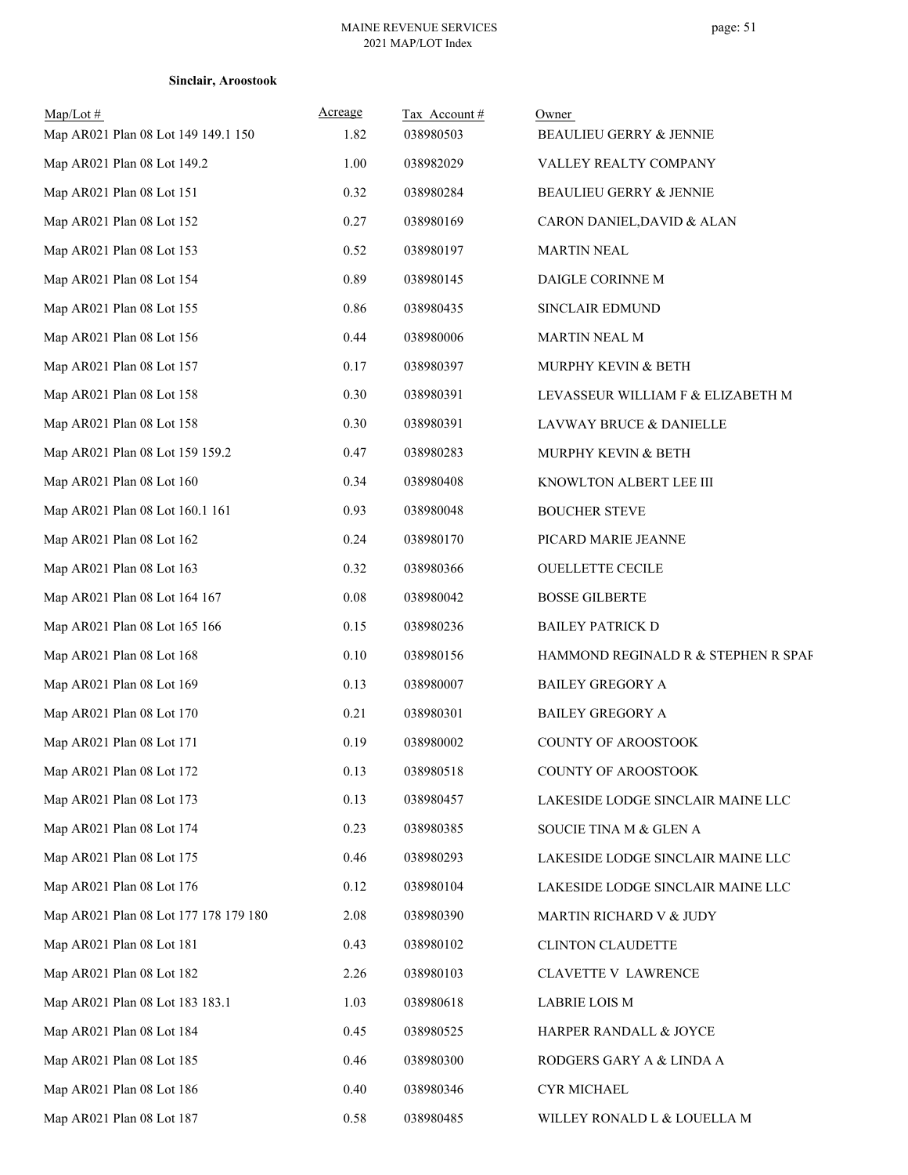## **Sinclair, Aroostook**

| $Map/Lot \#$<br>Map AR021 Plan 08 Lot 149 149.1 150 | Acreage<br>1.82 | Tax Account#<br>038980503 | Owner<br>BEAULIEU GERRY & JENNIE    |
|-----------------------------------------------------|-----------------|---------------------------|-------------------------------------|
| Map AR021 Plan 08 Lot 149.2                         | 1.00            | 038982029                 | VALLEY REALTY COMPANY               |
| Map AR021 Plan 08 Lot 151                           | 0.32            | 038980284                 | BEAULIEU GERRY & JENNIE             |
| Map AR021 Plan 08 Lot 152                           | 0.27            | 038980169                 | CARON DANIEL, DAVID & ALAN          |
| Map AR021 Plan 08 Lot 153                           | 0.52            | 038980197                 | <b>MARTIN NEAL</b>                  |
| Map AR021 Plan 08 Lot 154                           | 0.89            | 038980145                 | DAIGLE CORINNE M                    |
| Map AR021 Plan 08 Lot 155                           | 0.86            | 038980435                 | SINCLAIR EDMUND                     |
| Map AR021 Plan 08 Lot 156                           | 0.44            | 038980006                 | MARTIN NEAL M                       |
| Map AR021 Plan 08 Lot 157                           | 0.17            | 038980397                 | MURPHY KEVIN & BETH                 |
| Map AR021 Plan 08 Lot 158                           | 0.30            | 038980391                 | LEVASSEUR WILLIAM F & ELIZABETH M   |
| Map AR021 Plan 08 Lot 158                           | 0.30            | 038980391                 | LAVWAY BRUCE & DANIELLE             |
| Map AR021 Plan 08 Lot 159 159.2                     | 0.47            | 038980283                 | MURPHY KEVIN & BETH                 |
| Map AR021 Plan 08 Lot 160                           | 0.34            | 038980408                 | KNOWLTON ALBERT LEE III             |
| Map AR021 Plan 08 Lot 160.1 161                     | 0.93            | 038980048                 | <b>BOUCHER STEVE</b>                |
| Map AR021 Plan 08 Lot 162                           | 0.24            | 038980170                 | PICARD MARIE JEANNE                 |
| Map AR021 Plan 08 Lot 163                           | 0.32            | 038980366                 | <b>OUELLETTE CECILE</b>             |
| Map AR021 Plan 08 Lot 164 167                       | 0.08            | 038980042                 | <b>BOSSE GILBERTE</b>               |
| Map AR021 Plan 08 Lot 165 166                       | 0.15            | 038980236                 | <b>BAILEY PATRICK D</b>             |
| Map AR021 Plan 08 Lot 168                           | 0.10            | 038980156                 | HAMMOND REGINALD R & STEPHEN R SPAF |
| Map AR021 Plan 08 Lot 169                           | 0.13            | 038980007                 | <b>BAILEY GREGORY A</b>             |
| Map AR021 Plan 08 Lot 170                           | 0.21            | 038980301                 | <b>BAILEY GREGORY A</b>             |
| Map AR021 Plan 08 Lot 171                           | 0.19            | 038980002                 | COUNTY OF AROOSTOOK                 |
| Map AR021 Plan 08 Lot 172                           | 0.13            | 038980518                 | COUNTY OF AROOSTOOK                 |
| Map AR021 Plan 08 Lot 173                           | 0.13            | 038980457                 | LAKESIDE LODGE SINCLAIR MAINE LLC   |
| Map AR021 Plan 08 Lot 174                           | 0.23            | 038980385                 | SOUCIE TINA M & GLEN A              |
| Map AR021 Plan 08 Lot 175                           | 0.46            | 038980293                 | LAKESIDE LODGE SINCLAIR MAINE LLC   |
| Map AR021 Plan 08 Lot 176                           | 0.12            | 038980104                 | LAKESIDE LODGE SINCLAIR MAINE LLC   |
| Map AR021 Plan 08 Lot 177 178 179 180               | 2.08            | 038980390                 | MARTIN RICHARD V & JUDY             |
| Map AR021 Plan 08 Lot 181                           | 0.43            | 038980102                 | CLINTON CLAUDETTE                   |
| Map AR021 Plan 08 Lot 182                           | 2.26            | 038980103                 | CLAVETTE V LAWRENCE                 |
| Map AR021 Plan 08 Lot 183 183.1                     | 1.03            | 038980618                 | <b>LABRIE LOIS M</b>                |
| Map AR021 Plan 08 Lot 184                           | 0.45            | 038980525                 | HARPER RANDALL & JOYCE              |
| Map AR021 Plan 08 Lot 185                           | 0.46            | 038980300                 | RODGERS GARY A & LINDA A            |
| Map AR021 Plan 08 Lot 186                           | 0.40            | 038980346                 | CYR MICHAEL                         |
| Map AR021 Plan 08 Lot 187                           | 0.58            | 038980485                 | WILLEY RONALD L & LOUELLA M         |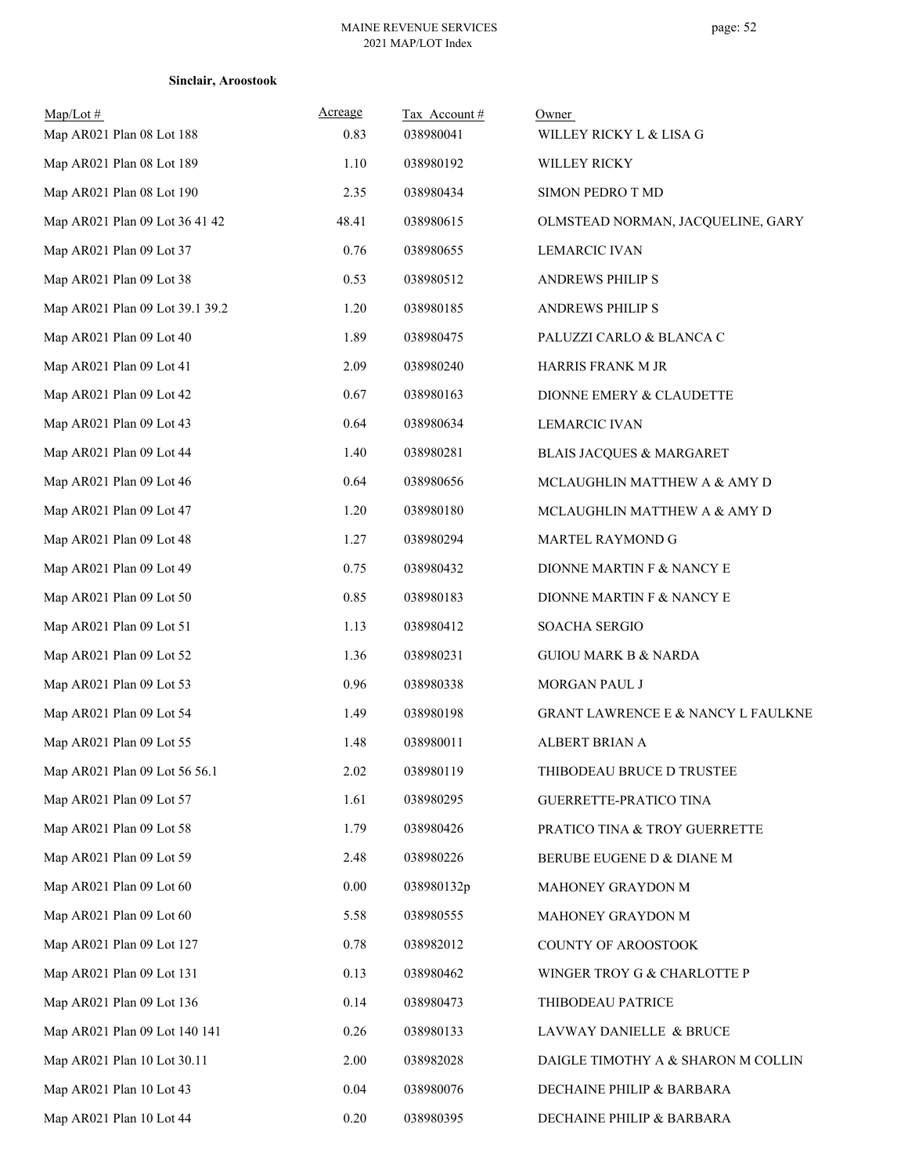| $Map/Lot \#$<br>Map AR021 Plan 08 Lot 188 | <b>Acreage</b><br>0.83 | Tax Account#<br>038980041 | Owner<br>WILLEY RICKY L & LISA G              |
|-------------------------------------------|------------------------|---------------------------|-----------------------------------------------|
| Map AR021 Plan 08 Lot 189                 | 1.10                   | 038980192                 | <b>WILLEY RICKY</b>                           |
| Map AR021 Plan 08 Lot 190                 | 2.35                   | 038980434                 | SIMON PEDRO T MD                              |
| Map AR021 Plan 09 Lot 36 41 42            | 48.41                  | 038980615                 | OLMSTEAD NORMAN, JACQUELINE, GARY             |
| Map AR021 Plan 09 Lot 37                  | 0.76                   | 038980655                 | <b>LEMARCIC IVAN</b>                          |
| Map AR021 Plan 09 Lot 38                  | 0.53                   | 038980512                 | <b>ANDREWS PHILIP S</b>                       |
| Map AR021 Plan 09 Lot 39.1 39.2           | 1.20                   | 038980185                 | <b>ANDREWS PHILIP S</b>                       |
| Map AR021 Plan 09 Lot 40                  | 1.89                   | 038980475                 | PALUZZI CARLO & BLANCA C                      |
| Map AR021 Plan 09 Lot 41                  | 2.09                   | 038980240                 | HARRIS FRANK M JR                             |
| Map AR021 Plan 09 Lot 42                  | 0.67                   | 038980163                 | DIONNE EMERY & CLAUDETTE                      |
| Map AR021 Plan 09 Lot 43                  | 0.64                   | 038980634                 | <b>LEMARCIC IVAN</b>                          |
| Map AR021 Plan 09 Lot 44                  | 1.40                   | 038980281                 | <b>BLAIS JACQUES &amp; MARGARET</b>           |
| Map AR021 Plan 09 Lot 46                  | 0.64                   | 038980656                 | MCLAUGHLIN MATTHEW A & AMY D                  |
| Map AR021 Plan 09 Lot 47                  | 1.20                   | 038980180                 | MCLAUGHLIN MATTHEW A & AMY D                  |
| Map AR021 Plan 09 Lot 48                  | 1.27                   | 038980294                 | MARTEL RAYMOND G                              |
| Map AR021 Plan 09 Lot 49                  | 0.75                   | 038980432                 | DIONNE MARTIN F & NANCY E                     |
| Map AR021 Plan 09 Lot 50                  | 0.85                   | 038980183                 | DIONNE MARTIN F & NANCY E                     |
| Map AR021 Plan 09 Lot 51                  | 1.13                   | 038980412                 | SOACHA SERGIO                                 |
| Map AR021 Plan 09 Lot 52                  | 1.36                   | 038980231                 | <b>GUIOU MARK B &amp; NARDA</b>               |
| Map AR021 Plan 09 Lot 53                  | 0.96                   | 038980338                 | MORGAN PAUL J                                 |
| Map AR021 Plan 09 Lot 54                  | 1.49                   | 038980198                 | <b>GRANT LAWRENCE E &amp; NANCY L FAULKNE</b> |
| Map AR021 Plan 09 Lot 55                  | 1.48                   | 038980011                 | ALBERT BRIAN A                                |
| Map AR021 Plan 09 Lot 56 56.1             | 2.02                   | 038980119                 | THIBODEAU BRUCE D TRUSTEE                     |
| Map AR021 Plan 09 Lot 57                  | 1.61                   | 038980295                 | GUERRETTE-PRATICO TINA                        |
| Map AR021 Plan 09 Lot 58                  | 1.79                   | 038980426                 | PRATICO TINA & TROY GUERRETTE                 |
| Map AR021 Plan 09 Lot 59                  | 2.48                   | 038980226                 | BERUBE EUGENE D & DIANE M                     |
| Map AR021 Plan 09 Lot 60                  | 0.00                   | 038980132p                | MAHONEY GRAYDON M                             |
| Map AR021 Plan 09 Lot 60                  | 5.58                   | 038980555                 | MAHONEY GRAYDON M                             |
| Map AR021 Plan 09 Lot 127                 | 0.78                   | 038982012                 | COUNTY OF AROOSTOOK                           |
| Map AR021 Plan 09 Lot 131                 | 0.13                   | 038980462                 | WINGER TROY G & CHARLOTTE P                   |
| Map AR021 Plan 09 Lot 136                 | 0.14                   | 038980473                 | THIBODEAU PATRICE                             |
| Map AR021 Plan 09 Lot 140 141             | 0.26                   | 038980133                 | LAVWAY DANIELLE & BRUCE                       |
| Map AR021 Plan 10 Lot 30.11               | 2.00                   | 038982028                 | DAIGLE TIMOTHY A & SHARON M COLLIN            |
| Map AR021 Plan 10 Lot 43                  | 0.04                   | 038980076                 | DECHAINE PHILIP & BARBARA                     |
| Map AR021 Plan 10 Lot 44                  | 0.20                   | 038980395                 | DECHAINE PHILIP & BARBARA                     |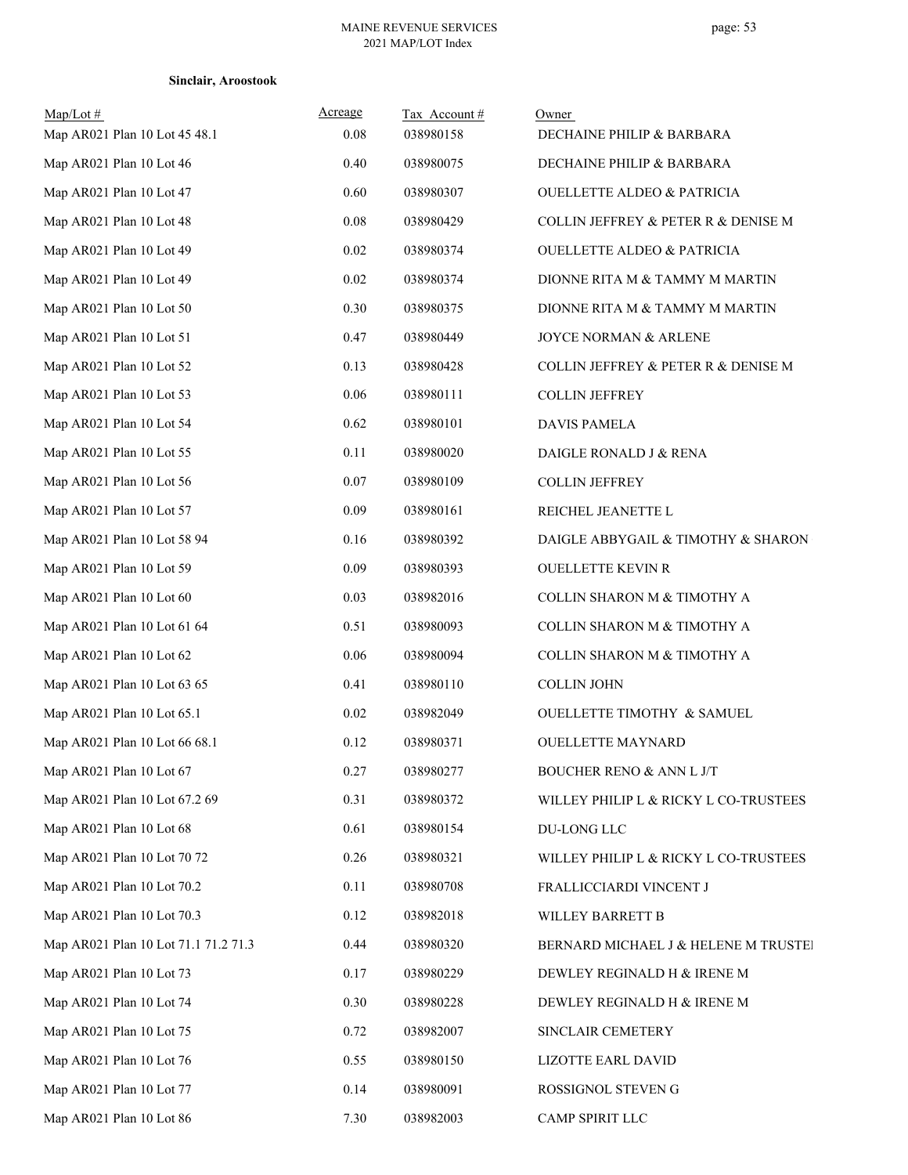| Map/Lot #<br>Map AR021 Plan 10 Lot 45 48.1 | Acreage<br>0.08 | Tax Account#<br>038980158 | Owner<br>DECHAINE PHILIP & BARBARA    |
|--------------------------------------------|-----------------|---------------------------|---------------------------------------|
| Map AR021 Plan 10 Lot 46                   | 0.40            | 038980075                 | DECHAINE PHILIP & BARBARA             |
| Map AR021 Plan 10 Lot 47                   | 0.60            | 038980307                 | <b>OUELLETTE ALDEO &amp; PATRICIA</b> |
| Map AR021 Plan 10 Lot 48                   | 0.08            | 038980429                 | COLLIN JEFFREY & PETER R & DENISE M   |
| Map AR021 Plan 10 Lot 49                   | 0.02            | 038980374                 | <b>OUELLETTE ALDEO &amp; PATRICIA</b> |
| Map AR021 Plan 10 Lot 49                   | 0.02            | 038980374                 | DIONNE RITA M & TAMMY M MARTIN        |
| Map AR021 Plan 10 Lot 50                   | 0.30            | 038980375                 | DIONNE RITA M & TAMMY M MARTIN        |
| Map AR021 Plan 10 Lot 51                   | 0.47            | 038980449                 | JOYCE NORMAN & ARLENE                 |
| Map AR021 Plan 10 Lot 52                   | 0.13            | 038980428                 | COLLIN JEFFREY & PETER R & DENISE M   |
| Map AR021 Plan 10 Lot 53                   | 0.06            | 038980111                 | <b>COLLIN JEFFREY</b>                 |
| Map AR021 Plan 10 Lot 54                   | 0.62            | 038980101                 | <b>DAVIS PAMELA</b>                   |
| Map AR021 Plan 10 Lot 55                   | 0.11            | 038980020                 | DAIGLE RONALD J & RENA                |
| Map AR021 Plan 10 Lot 56                   | 0.07            | 038980109                 | <b>COLLIN JEFFREY</b>                 |
| Map AR021 Plan 10 Lot 57                   | 0.09            | 038980161                 | REICHEL JEANETTE L                    |
| Map AR021 Plan 10 Lot 58 94                | 0.16            | 038980392                 | DAIGLE ABBYGAIL & TIMOTHY & SHARON    |
| Map AR021 Plan 10 Lot 59                   | 0.09            | 038980393                 | <b>OUELLETTE KEVIN R</b>              |
| Map AR021 Plan 10 Lot 60                   | 0.03            | 038982016                 | COLLIN SHARON M & TIMOTHY A           |
| Map AR021 Plan 10 Lot 61 64                | 0.51            | 038980093                 | COLLIN SHARON M & TIMOTHY A           |
| Map AR021 Plan 10 Lot 62                   | 0.06            | 038980094                 | COLLIN SHARON M & TIMOTHY A           |
| Map AR021 Plan 10 Lot 63 65                | 0.41            | 038980110                 | <b>COLLIN JOHN</b>                    |
| Map AR021 Plan 10 Lot 65.1                 | 0.02            | 038982049                 | OUELLETTE TIMOTHY & SAMUEL            |
| Map AR021 Plan 10 Lot 66 68.1              | 0.12            | 038980371                 | <b>OUELLETTE MAYNARD</b>              |
| Map AR021 Plan 10 Lot 67                   | 0.27            | 038980277                 | BOUCHER RENO & ANN L J/T              |
| Map AR021 Plan 10 Lot 67.2 69              | 0.31            | 038980372                 | WILLEY PHILIP L & RICKY L CO-TRUSTEES |
| Map AR021 Plan 10 Lot 68                   | 0.61            | 038980154                 | DU-LONG LLC                           |
| Map AR021 Plan 10 Lot 70 72                | 0.26            | 038980321                 | WILLEY PHILIP L & RICKY L CO-TRUSTEES |
| Map AR021 Plan 10 Lot 70.2                 | 0.11            | 038980708                 | FRALLICCIARDI VINCENT J               |
| Map AR021 Plan 10 Lot 70.3                 | 0.12            | 038982018                 | WILLEY BARRETT B                      |
| Map AR021 Plan 10 Lot 71.1 71.2 71.3       | 0.44            | 038980320                 | BERNARD MICHAEL J & HELENE M TRUSTEI  |
| Map AR021 Plan 10 Lot 73                   | 0.17            | 038980229                 | DEWLEY REGINALD H & IRENE M           |
| Map AR021 Plan 10 Lot 74                   | 0.30            | 038980228                 | DEWLEY REGINALD H $\&$ IRENE M        |
| Map AR021 Plan 10 Lot 75                   | 0.72            | 038982007                 | SINCLAIR CEMETERY                     |
| Map AR021 Plan 10 Lot 76                   | 0.55            | 038980150                 | LIZOTTE EARL DAVID                    |
| Map AR021 Plan 10 Lot 77                   | 0.14            | 038980091                 | ROSSIGNOL STEVEN G                    |
| Map AR021 Plan 10 Lot 86                   | 7.30            | 038982003                 | CAMP SPIRIT LLC                       |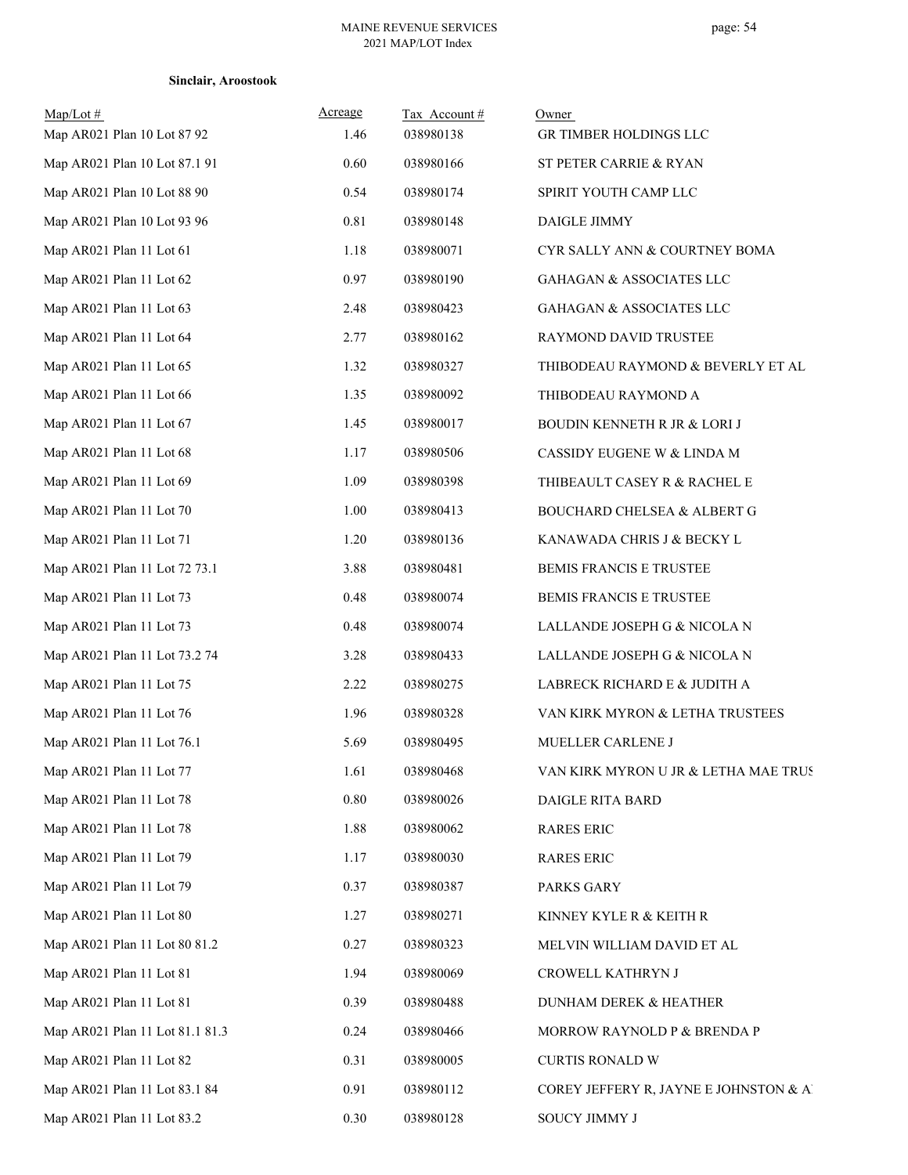| $Map/Lot \#$<br>Map AR021 Plan 10 Lot 87 92 | Acreage<br>1.46 | Tax Account#<br>038980138 | Owner<br>GR TIMBER HOLDINGS LLC        |
|---------------------------------------------|-----------------|---------------------------|----------------------------------------|
| Map AR021 Plan 10 Lot 87.1 91               | 0.60            | 038980166                 | ST PETER CARRIE & RYAN                 |
| Map AR021 Plan 10 Lot 88 90                 | 0.54            | 038980174                 | SPIRIT YOUTH CAMP LLC                  |
| Map AR021 Plan 10 Lot 93 96                 | 0.81            | 038980148                 | DAIGLE JIMMY                           |
| Map AR021 Plan 11 Lot 61                    | 1.18            | 038980071                 | CYR SALLY ANN & COURTNEY BOMA          |
| Map AR021 Plan 11 Lot 62                    | 0.97            | 038980190                 | GAHAGAN & ASSOCIATES LLC               |
| Map AR021 Plan 11 Lot 63                    | 2.48            | 038980423                 | GAHAGAN & ASSOCIATES LLC               |
| Map AR021 Plan 11 Lot 64                    | 2.77            | 038980162                 | RAYMOND DAVID TRUSTEE                  |
| Map AR021 Plan 11 Lot 65                    | 1.32            | 038980327                 | THIBODEAU RAYMOND & BEVERLY ET AL      |
| Map AR021 Plan 11 Lot 66                    | 1.35            | 038980092                 | THIBODEAU RAYMOND A                    |
| Map AR021 Plan 11 Lot 67                    | 1.45            | 038980017                 | BOUDIN KENNETH R JR & LORI J           |
| Map AR021 Plan 11 Lot 68                    | 1.17            | 038980506                 | CASSIDY EUGENE W & LINDA M             |
| Map AR021 Plan 11 Lot 69                    | 1.09            | 038980398                 | THIBEAULT CASEY R $\&$ RACHEL E        |
| Map AR021 Plan 11 Lot 70                    | 1.00            | 038980413                 | BOUCHARD CHELSEA & ALBERT G            |
| Map AR021 Plan 11 Lot 71                    | 1.20            | 038980136                 | KANAWADA CHRIS J & BECKY L             |
| Map AR021 Plan 11 Lot 72 73.1               | 3.88            | 038980481                 | BEMIS FRANCIS E TRUSTEE                |
| Map AR021 Plan 11 Lot 73                    | 0.48            | 038980074                 | BEMIS FRANCIS E TRUSTEE                |
| Map AR021 Plan 11 Lot 73                    | 0.48            | 038980074                 | LALLANDE JOSEPH G & NICOLA N           |
| Map AR021 Plan 11 Lot 73.2 74               | 3.28            | 038980433                 | LALLANDE JOSEPH G & NICOLA N           |
| Map AR021 Plan 11 Lot 75                    | 2.22            | 038980275                 | LABRECK RICHARD E & JUDITH A           |
| Map AR021 Plan 11 Lot 76                    | 1.96            | 038980328                 | VAN KIRK MYRON & LETHA TRUSTEES        |
| Map AR021 Plan 11 Lot 76.1                  | 5.69            | 038980495                 | MUELLER CARLENE J                      |
| Map AR021 Plan 11 Lot 77                    | 1.61            | 038980468                 | VAN KIRK MYRON U JR & LETHA MAE TRUS   |
| Map AR021 Plan 11 Lot 78                    | 0.80            | 038980026                 | DAIGLE RITA BARD                       |
| Map AR021 Plan 11 Lot 78                    | 1.88            | 038980062                 | <b>RARES ERIC</b>                      |
| Map AR021 Plan 11 Lot 79                    | 1.17            | 038980030                 | <b>RARES ERIC</b>                      |
| Map AR021 Plan 11 Lot 79                    | 0.37            | 038980387                 | PARKS GARY                             |
| Map AR021 Plan 11 Lot 80                    | 1.27            | 038980271                 | KINNEY KYLE R & KEITH R                |
| Map AR021 Plan 11 Lot 80 81.2               | 0.27            | 038980323                 | MELVIN WILLIAM DAVID ET AL             |
| Map AR021 Plan 11 Lot 81                    | 1.94            | 038980069                 | CROWELL KATHRYN J                      |
| Map AR021 Plan 11 Lot 81                    | 0.39            | 038980488                 | DUNHAM DEREK & HEATHER                 |
| Map AR021 Plan 11 Lot 81.1 81.3             | 0.24            | 038980466                 | MORROW RAYNOLD P & BRENDA P            |
| Map AR021 Plan 11 Lot 82                    | 0.31            | 038980005                 | <b>CURTIS RONALD W</b>                 |
| Map AR021 Plan 11 Lot 83.1 84               | 0.91            | 038980112                 | COREY JEFFERY R, JAYNE E JOHNSTON & Al |
| Map AR021 Plan 11 Lot 83.2                  | 0.30            | 038980128                 | SOUCY JIMMY J                          |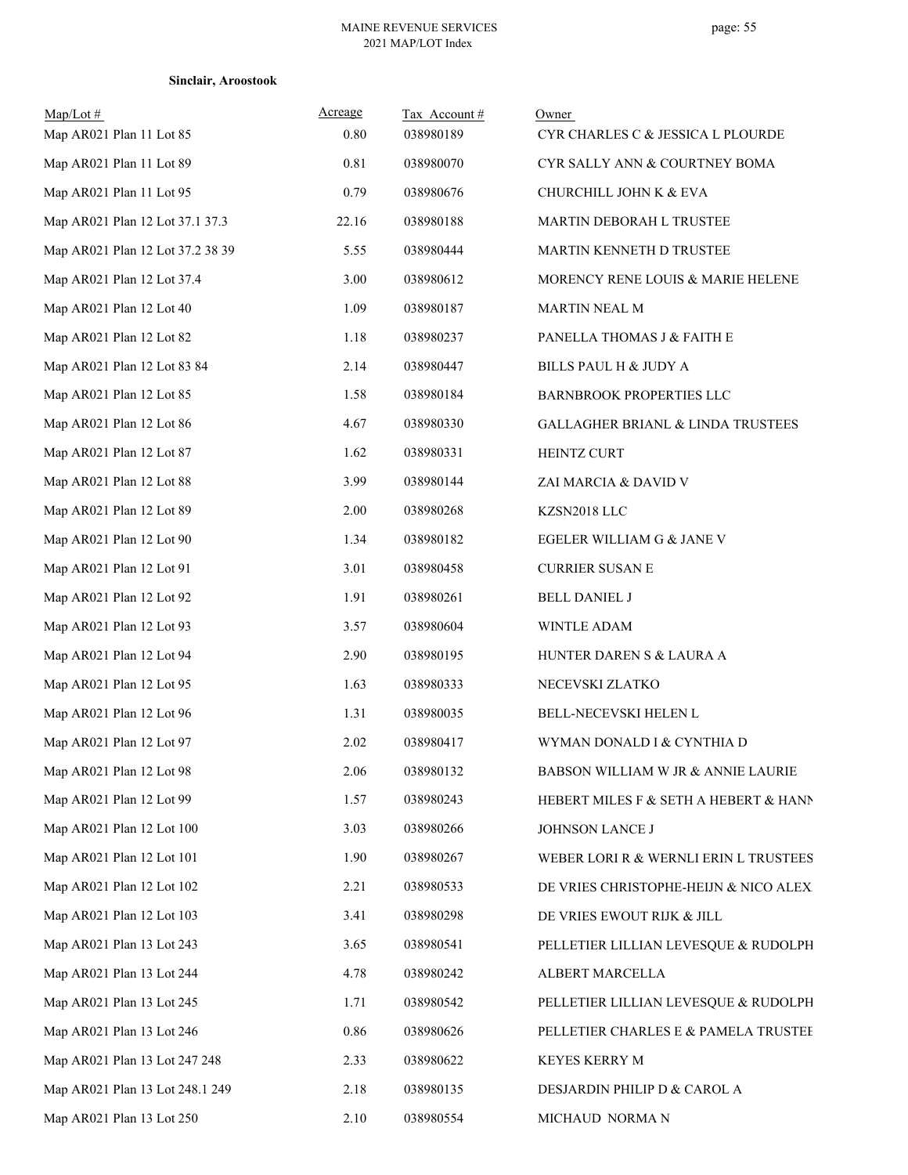| $Map/Lot \#$<br>Map AR021 Plan 11 Lot 85 | Acreage<br>0.80 | Tax Account#<br>038980189 | Owner<br>CYR CHARLES C & JESSICA L PLOURDE   |
|------------------------------------------|-----------------|---------------------------|----------------------------------------------|
| Map AR021 Plan 11 Lot 89                 | 0.81            | 038980070                 | CYR SALLY ANN & COURTNEY BOMA                |
| Map AR021 Plan 11 Lot 95                 | 0.79            | 038980676                 | CHURCHILL JOHN K & EVA                       |
| Map AR021 Plan 12 Lot 37.1 37.3          | 22.16           | 038980188                 | MARTIN DEBORAH L TRUSTEE                     |
| Map AR021 Plan 12 Lot 37.2 38 39         | 5.55            | 038980444                 | MARTIN KENNETH D TRUSTEE                     |
| Map AR021 Plan 12 Lot 37.4               | 3.00            | 038980612                 | MORENCY RENE LOUIS & MARIE HELENE            |
| Map AR021 Plan 12 Lot 40                 | 1.09            | 038980187                 | MARTIN NEAL M                                |
| Map AR021 Plan 12 Lot 82                 | 1.18            | 038980237                 | PANELLA THOMAS J & FAITH E                   |
| Map AR021 Plan 12 Lot 83 84              | 2.14            | 038980447                 | BILLS PAUL H & JUDY A                        |
| Map AR021 Plan 12 Lot 85                 | 1.58            | 038980184                 | BARNBROOK PROPERTIES LLC                     |
| Map AR021 Plan 12 Lot 86                 | 4.67            | 038980330                 | <b>GALLAGHER BRIANL &amp; LINDA TRUSTEES</b> |
| Map AR021 Plan 12 Lot 87                 | 1.62            | 038980331                 | HEINTZ CURT                                  |
| Map AR021 Plan 12 Lot 88                 | 3.99            | 038980144                 | ZAI MARCIA & DAVID V                         |
| Map AR021 Plan 12 Lot 89                 | 2.00            | 038980268                 | KZSN2018 LLC                                 |
| Map AR021 Plan 12 Lot 90                 | 1.34            | 038980182                 | EGELER WILLIAM G & JANE V                    |
| Map AR021 Plan 12 Lot 91                 | 3.01            | 038980458                 | <b>CURRIER SUSAN E</b>                       |
| Map AR021 Plan 12 Lot 92                 | 1.91            | 038980261                 | <b>BELL DANIEL J</b>                         |
| Map AR021 Plan 12 Lot 93                 | 3.57            | 038980604                 | WINTLE ADAM                                  |
| Map AR021 Plan 12 Lot 94                 | 2.90            | 038980195                 | HUNTER DAREN S & LAURA A                     |
| Map AR021 Plan 12 Lot 95                 | 1.63            | 038980333                 | NECEVSKI ZLATKO                              |
| Map AR021 Plan 12 Lot 96                 | 1.31            | 038980035                 | BELL-NECEVSKI HELEN L                        |
| Map AR021 Plan 12 Lot 97                 | 2.02            | 038980417                 | WYMAN DONALD I & CYNTHIA D                   |
| Map AR021 Plan 12 Lot 98                 | 2.06            | 038980132                 | BABSON WILLIAM W JR & ANNIE LAURIE           |
| Map AR021 Plan 12 Lot 99                 | 1.57            | 038980243                 | HEBERT MILES F & SETH A HEBERT & HANN        |
| Map AR021 Plan 12 Lot 100                | 3.03            | 038980266                 | JOHNSON LANCE J                              |
| Map AR021 Plan 12 Lot 101                | 1.90            | 038980267                 | WEBER LORI R & WERNLI ERIN L TRUSTEES        |
| Map AR021 Plan 12 Lot 102                | 2.21            | 038980533                 | DE VRIES CHRISTOPHE-HEIJN & NICO ALEX.       |
| Map AR021 Plan 12 Lot 103                | 3.41            | 038980298                 | DE VRIES EWOUT RIJK & JILL                   |
| Map AR021 Plan 13 Lot 243                | 3.65            | 038980541                 | PELLETIER LILLIAN LEVESQUE & RUDOLPH         |
| Map AR021 Plan 13 Lot 244                | 4.78            | 038980242                 | ALBERT MARCELLA                              |
| Map AR021 Plan 13 Lot 245                | 1.71            | 038980542                 | PELLETIER LILLIAN LEVESQUE & RUDOLPH         |
| Map AR021 Plan 13 Lot 246                | 0.86            | 038980626                 | PELLETIER CHARLES E & PAMELA TRUSTEE         |
| Map AR021 Plan 13 Lot 247 248            | 2.33            | 038980622                 | KEYES KERRY M                                |
| Map AR021 Plan 13 Lot 248.1 249          | 2.18            | 038980135                 | DESJARDIN PHILIP D & CAROL A                 |
| Map AR021 Plan 13 Lot 250                | 2.10            | 038980554                 | MICHAUD NORMAN                               |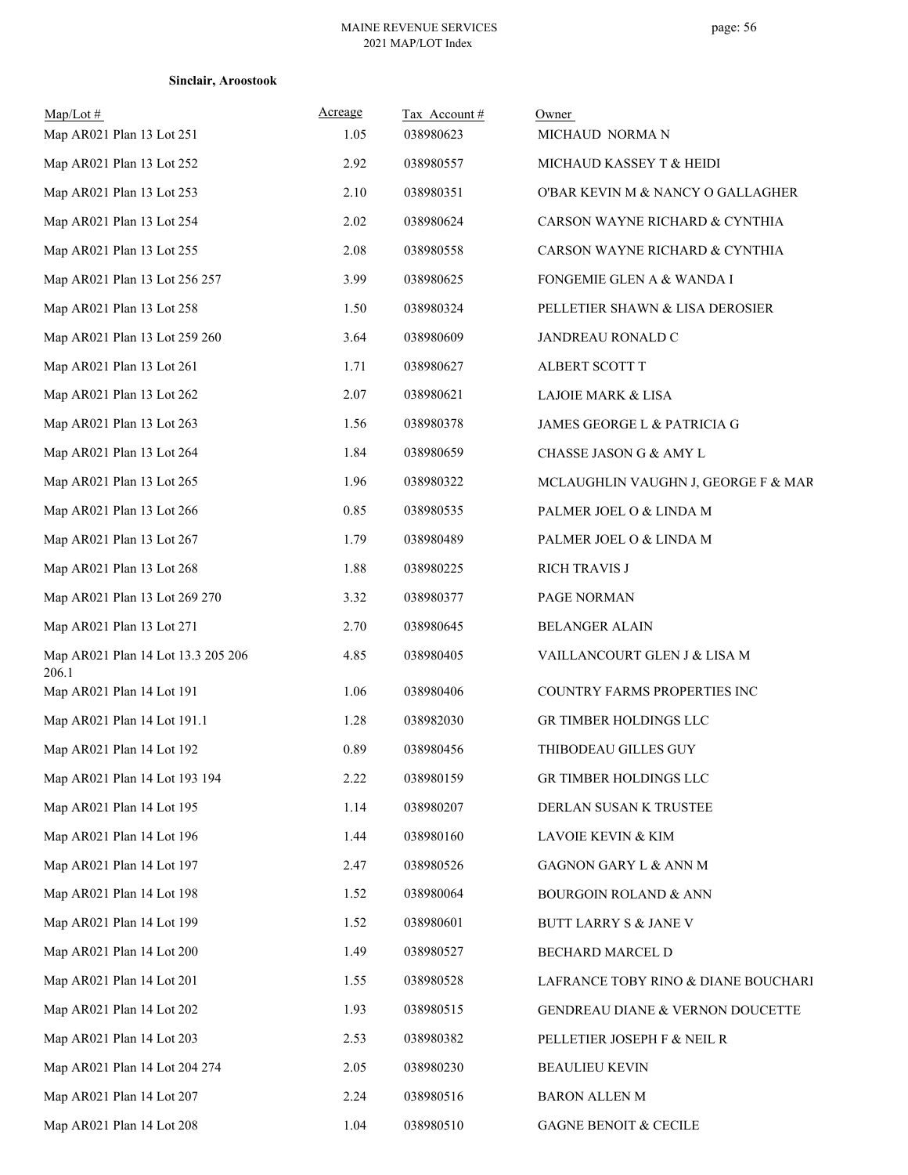## **Sinclair, Aroostook**

| Map/Lot#<br>Map AR021 Plan 13 Lot 251       | Acreage<br>1.05 | Tax Account#<br>038980623 | Owner<br>MICHAUD NORMAN             |
|---------------------------------------------|-----------------|---------------------------|-------------------------------------|
| Map AR021 Plan 13 Lot 252                   | 2.92            | 038980557                 | MICHAUD KASSEY T & HEIDI            |
| Map AR021 Plan 13 Lot 253                   | 2.10            | 038980351                 | O'BAR KEVIN M & NANCY O GALLAGHER   |
| Map AR021 Plan 13 Lot 254                   | 2.02            | 038980624                 | CARSON WAYNE RICHARD & CYNTHIA      |
| Map AR021 Plan 13 Lot 255                   | 2.08            | 038980558                 | CARSON WAYNE RICHARD & CYNTHIA      |
| Map AR021 Plan 13 Lot 256 257               | 3.99            | 038980625                 | FONGEMIE GLEN A & WANDA I           |
| Map AR021 Plan 13 Lot 258                   | 1.50            | 038980324                 | PELLETIER SHAWN & LISA DEROSIER     |
| Map AR021 Plan 13 Lot 259 260               | 3.64            | 038980609                 | JANDREAU RONALD C                   |
| Map AR021 Plan 13 Lot 261                   | 1.71            | 038980627                 | ALBERT SCOTT T                      |
| Map AR021 Plan 13 Lot 262                   | 2.07            | 038980621                 | LAJOIE MARK & LISA                  |
| Map AR021 Plan 13 Lot 263                   | 1.56            | 038980378                 | JAMES GEORGE L & PATRICIA G         |
| Map AR021 Plan 13 Lot 264                   | 1.84            | 038980659                 | CHASSE JASON G & AMY L              |
| Map AR021 Plan 13 Lot 265                   | 1.96            | 038980322                 | MCLAUGHLIN VAUGHN J, GEORGE F & MAR |
| Map AR021 Plan 13 Lot 266                   | 0.85            | 038980535                 | PALMER JOEL O & LINDA M             |
| Map AR021 Plan 13 Lot 267                   | 1.79            | 038980489                 | PALMER JOEL O & LINDA M             |
| Map AR021 Plan 13 Lot 268                   | 1.88            | 038980225                 | <b>RICH TRAVIS J</b>                |
| Map AR021 Plan 13 Lot 269 270               | 3.32            | 038980377                 | PAGE NORMAN                         |
| Map AR021 Plan 13 Lot 271                   | 2.70            | 038980645                 | <b>BELANGER ALAIN</b>               |
| Map AR021 Plan 14 Lot 13.3 205 206<br>206.1 | 4.85            | 038980405                 | VAILLANCOURT GLEN J & LISA M        |
| Map AR021 Plan 14 Lot 191                   | 1.06            | 038980406                 | COUNTRY FARMS PROPERTIES INC        |
| Map AR021 Plan 14 Lot 191.1                 | 1.28            | 038982030                 | GR TIMBER HOLDINGS LLC              |
| Map AR021 Plan 14 Lot 192                   | 0.89            | 038980456                 | THIBODEAU GILLES GUY                |
| Map AR021 Plan 14 Lot 193 194               | 2.22            | 038980159                 | GR TIMBER HOLDINGS LLC              |
| Map AR021 Plan 14 Lot 195                   | 1.14            | 038980207                 | DERLAN SUSAN K TRUSTEE              |
| Map AR021 Plan 14 Lot 196                   | 1.44            | 038980160                 | LAVOIE KEVIN & KIM                  |
| Map AR021 Plan 14 Lot 197                   | 2.47            | 038980526                 | GAGNON GARY L & ANN M               |
| Map AR021 Plan 14 Lot 198                   | 1.52            | 038980064                 | <b>BOURGOIN ROLAND &amp; ANN</b>    |
| Map AR021 Plan 14 Lot 199                   | 1.52            | 038980601                 | BUTT LARRY S & JANE V               |
| Map AR021 Plan 14 Lot 200                   | 1.49            | 038980527                 | BECHARD MARCEL D                    |
| Map AR021 Plan 14 Lot 201                   | 1.55            | 038980528                 | LAFRANCE TOBY RINO & DIANE BOUCHARI |
| Map AR021 Plan 14 Lot 202                   | 1.93            | 038980515                 | GENDREAU DIANE & VERNON DOUCETTE    |
| Map AR021 Plan 14 Lot 203                   | 2.53            | 038980382                 | PELLETIER JOSEPH F & NEIL R         |
| Map AR021 Plan 14 Lot 204 274               | 2.05            | 038980230                 | <b>BEAULIEU KEVIN</b>               |
| Map AR021 Plan 14 Lot 207                   | 2.24            | 038980516                 | BARON ALLEN M                       |
| Map AR021 Plan 14 Lot 208                   | 1.04            | 038980510                 | GAGNE BENOIT & CECILE               |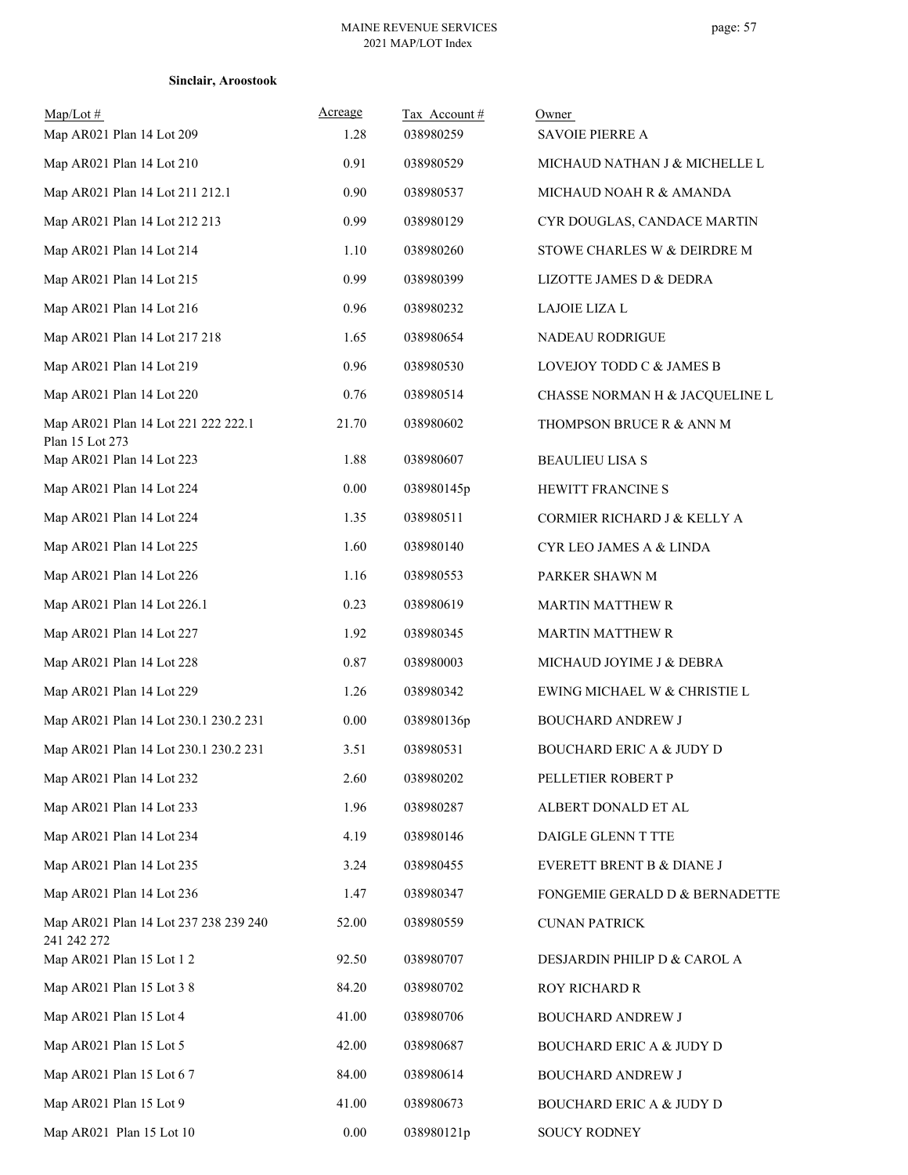|  | Sinclair, Aroostook |
|--|---------------------|
|--|---------------------|

| $Map/Lot \#$<br>Map AR021 Plan 14 Lot 209              | Acreage<br>1.28 | Tax Account#<br>038980259 | Owner<br><b>SAVOIE PIERRE A</b>     |
|--------------------------------------------------------|-----------------|---------------------------|-------------------------------------|
| Map AR021 Plan 14 Lot 210                              | 0.91            | 038980529                 | MICHAUD NATHAN J & MICHELLE L       |
| Map AR021 Plan 14 Lot 211 212.1                        | 0.90            | 038980537                 | MICHAUD NOAH R & AMANDA             |
| Map AR021 Plan 14 Lot 212 213                          | 0.99            | 038980129                 | CYR DOUGLAS, CANDACE MARTIN         |
| Map AR021 Plan 14 Lot 214                              | 1.10            | 038980260                 | STOWE CHARLES W & DEIRDRE M         |
| Map AR021 Plan 14 Lot 215                              | 0.99            | 038980399                 | LIZOTTE JAMES D & DEDRA             |
| Map AR021 Plan 14 Lot 216                              | 0.96            | 038980232                 | LAJOIE LIZA L                       |
| Map AR021 Plan 14 Lot 217 218                          | 1.65            | 038980654                 | NADEAU RODRIGUE                     |
| Map AR021 Plan 14 Lot 219                              | 0.96            | 038980530                 | LOVEJOY TODD C & JAMES B            |
| Map AR021 Plan 14 Lot 220                              | 0.76            | 038980514                 | CHASSE NORMAN H & JACQUELINE L      |
| Map AR021 Plan 14 Lot 221 222 222.1<br>Plan 15 Lot 273 | 21.70           | 038980602                 | THOMPSON BRUCE R & ANN M            |
| Map AR021 Plan 14 Lot 223                              | 1.88            | 038980607                 | <b>BEAULIEU LISA S</b>              |
| Map AR021 Plan 14 Lot 224                              | 0.00            | 038980145p                | HEWITT FRANCINE S                   |
| Map AR021 Plan 14 Lot 224                              | 1.35            | 038980511                 | CORMIER RICHARD J & KELLY A         |
| Map AR021 Plan 14 Lot 225                              | 1.60            | 038980140                 | CYR LEO JAMES A & LINDA             |
| Map AR021 Plan 14 Lot 226                              | 1.16            | 038980553                 | PARKER SHAWN M                      |
| Map AR021 Plan 14 Lot 226.1                            | 0.23            | 038980619                 | <b>MARTIN MATTHEW R</b>             |
| Map AR021 Plan 14 Lot 227                              | 1.92            | 038980345                 | <b>MARTIN MATTHEW R</b>             |
| Map AR021 Plan 14 Lot 228                              | 0.87            | 038980003                 | MICHAUD JOYIME J & DEBRA            |
| Map AR021 Plan 14 Lot 229                              | 1.26            | 038980342                 | EWING MICHAEL W & CHRISTIE L        |
| Map AR021 Plan 14 Lot 230.1 230.2 231                  | 0.00            | 038980136p                | <b>BOUCHARD ANDREW J</b>            |
| Map AR021 Plan 14 Lot 230.1 230.2 231                  | 3.51            | 038980531                 | <b>BOUCHARD ERIC A &amp; JUDY D</b> |
| Map AR021 Plan 14 Lot 232                              | 2.60            | 038980202                 | PELLETIER ROBERT P                  |
| Map AR021 Plan 14 Lot 233                              | 1.96            | 038980287                 | ALBERT DONALD ET AL                 |
| Map AR021 Plan 14 Lot 234                              | 4.19            | 038980146                 | DAIGLE GLENN T TTE                  |
| Map AR021 Plan 14 Lot 235                              | 3.24            | 038980455                 | EVERETT BRENT B & DIANE J           |
| Map AR021 Plan 14 Lot 236                              | 1.47            | 038980347                 | FONGEMIE GERALD D & BERNADETTE      |
| Map AR021 Plan 14 Lot 237 238 239 240<br>241 242 272   | 52.00           | 038980559                 | <b>CUNAN PATRICK</b>                |
| Map AR021 Plan 15 Lot 1 2                              | 92.50           | 038980707                 | DESJARDIN PHILIP D & CAROL A        |
| Map AR021 Plan 15 Lot 3 8                              | 84.20           | 038980702                 | ROY RICHARD R                       |
| Map AR021 Plan 15 Lot 4                                | 41.00           | 038980706                 | <b>BOUCHARD ANDREW J</b>            |
| Map AR021 Plan 15 Lot 5                                | 42.00           | 038980687                 | <b>BOUCHARD ERIC A &amp; JUDY D</b> |
| Map AR021 Plan 15 Lot 6 7                              | 84.00           | 038980614                 | BOUCHARD ANDREW J                   |
| Map AR021 Plan 15 Lot 9                                | 41.00           | 038980673                 | <b>BOUCHARD ERIC A &amp; JUDY D</b> |
| Map AR021 Plan 15 Lot 10                               | 0.00            | 038980121p                | SOUCY RODNEY                        |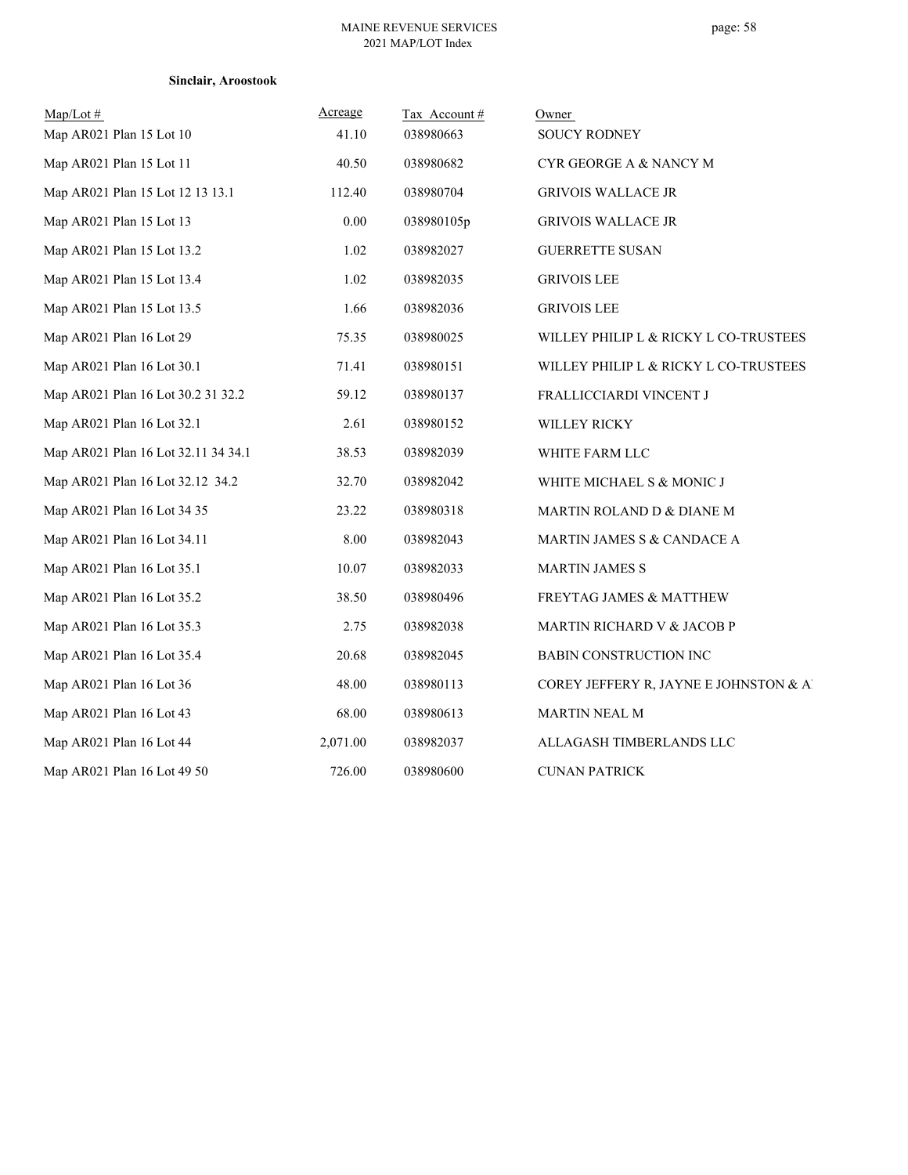| Sinclair, Aroostook |  |  |  |  |  |
|---------------------|--|--|--|--|--|
|---------------------|--|--|--|--|--|

| $Map/Lot \#$                        | Acreage  | Tax Account# | Owner                                  |
|-------------------------------------|----------|--------------|----------------------------------------|
| Map AR021 Plan 15 Lot 10            | 41.10    | 038980663    | <b>SOUCY RODNEY</b>                    |
| Map AR021 Plan 15 Lot 11            | 40.50    | 038980682    | CYR GEORGE A & NANCY M                 |
| Map AR021 Plan 15 Lot 12 13 13.1    | 112.40   | 038980704    | <b>GRIVOIS WALLACE JR</b>              |
| Map AR021 Plan 15 Lot 13            | 0.00     | 038980105p   | <b>GRIVOIS WALLACE JR</b>              |
| Map AR021 Plan 15 Lot 13.2          | 1.02     | 038982027    | <b>GUERRETTE SUSAN</b>                 |
| Map AR021 Plan 15 Lot 13.4          | 1.02     | 038982035    | <b>GRIVOIS LEE</b>                     |
| Map AR021 Plan 15 Lot 13.5          | 1.66     | 038982036    | <b>GRIVOIS LEE</b>                     |
| Map AR021 Plan 16 Lot 29            | 75.35    | 038980025    | WILLEY PHILIP L & RICKY L CO-TRUSTEES  |
| Map AR021 Plan 16 Lot 30.1          | 71.41    | 038980151    | WILLEY PHILIP L & RICKY L CO-TRUSTEES  |
| Map AR021 Plan 16 Lot 30.2 31 32.2  | 59.12    | 038980137    | FRALLICCIARDI VINCENT J                |
| Map AR021 Plan 16 Lot 32.1          | 2.61     | 038980152    | <b>WILLEY RICKY</b>                    |
| Map AR021 Plan 16 Lot 32.11 34 34.1 | 38.53    | 038982039    | WHITE FARM LLC                         |
| Map AR021 Plan 16 Lot 32.12 34.2    | 32.70    | 038982042    | WHITE MICHAEL S & MONIC J              |
| Map AR021 Plan 16 Lot 34 35         | 23.22    | 038980318    | MARTIN ROLAND D & DIANE M              |
| Map AR021 Plan 16 Lot 34.11         | 8.00     | 038982043    | MARTIN JAMES S & CANDACE A             |
| Map AR021 Plan 16 Lot 35.1          | 10.07    | 038982033    | <b>MARTIN JAMES S</b>                  |
| Map AR021 Plan 16 Lot 35.2          | 38.50    | 038980496    | FREYTAG JAMES & MATTHEW                |
| Map AR021 Plan 16 Lot 35.3          | 2.75     | 038982038    | MARTIN RICHARD V & JACOB P             |
| Map AR021 Plan 16 Lot 35.4          | 20.68    | 038982045    | BABIN CONSTRUCTION INC                 |
| Map AR021 Plan 16 Lot 36            | 48.00    | 038980113    | COREY JEFFERY R, JAYNE E JOHNSTON & Al |
| Map AR021 Plan 16 Lot 43            | 68.00    | 038980613    | MARTIN NEAL M                          |
| Map AR021 Plan 16 Lot 44            | 2,071.00 | 038982037    | ALLAGASH TIMBERLANDS LLC               |
| Map AR021 Plan 16 Lot 49 50         | 726.00   | 038980600    | <b>CUNAN PATRICK</b>                   |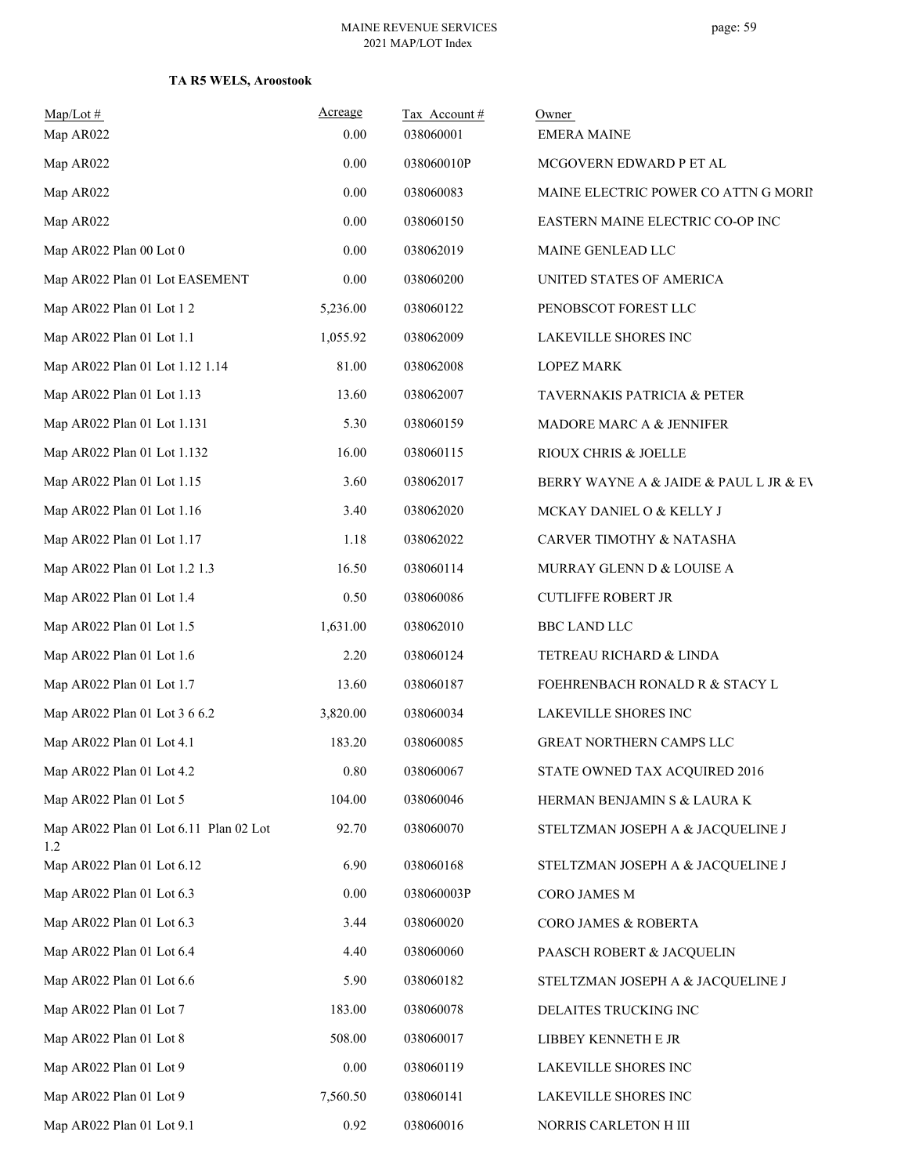| $Map/Lot \#$<br>Map AR022                     | Acreage<br>0.00 | Tax Account#<br>038060001 | Owner<br><b>EMERA MAINE</b>            |
|-----------------------------------------------|-----------------|---------------------------|----------------------------------------|
| Map AR022                                     | 0.00            | 038060010P                | MCGOVERN EDWARD P ET AL                |
| Map AR022                                     | 0.00            | 038060083                 | MAINE ELECTRIC POWER CO ATTN G MORIP   |
| Map AR022                                     | 0.00            | 038060150                 | EASTERN MAINE ELECTRIC CO-OP INC       |
| Map AR022 Plan 00 Lot 0                       | 0.00            | 038062019                 | MAINE GENLEAD LLC                      |
| Map AR022 Plan 01 Lot EASEMENT                | 0.00            | 038060200                 | UNITED STATES OF AMERICA               |
| Map AR022 Plan 01 Lot 1 2                     | 5,236.00        | 038060122                 | PENOBSCOT FOREST LLC                   |
| Map AR022 Plan 01 Lot 1.1                     | 1,055.92        | 038062009                 | <b>LAKEVILLE SHORES INC</b>            |
| Map AR022 Plan 01 Lot 1.12 1.14               | 81.00           | 038062008                 | <b>LOPEZ MARK</b>                      |
| Map AR022 Plan 01 Lot 1.13                    | 13.60           | 038062007                 | <b>TAVERNAKIS PATRICIA &amp; PETER</b> |
| Map AR022 Plan 01 Lot 1.131                   | 5.30            | 038060159                 | MADORE MARC A & JENNIFER               |
| Map AR022 Plan 01 Lot 1.132                   | 16.00           | 038060115                 | RIOUX CHRIS & JOELLE                   |
| Map AR022 Plan 01 Lot 1.15                    | 3.60            | 038062017                 | BERRY WAYNE A & JAIDE & PAUL L JR & EV |
| Map AR022 Plan 01 Lot 1.16                    | 3.40            | 038062020                 | MCKAY DANIEL O & KELLY J               |
| Map AR022 Plan 01 Lot 1.17                    | 1.18            | 038062022                 | CARVER TIMOTHY & NATASHA               |
| Map AR022 Plan 01 Lot 1.2 1.3                 | 16.50           | 038060114                 | MURRAY GLENN D & LOUISE A              |
| Map AR022 Plan 01 Lot 1.4                     | 0.50            | 038060086                 | <b>CUTLIFFE ROBERT JR</b>              |
| Map AR022 Plan 01 Lot 1.5                     | 1,631.00        | 038062010                 | <b>BBC LAND LLC</b>                    |
| Map AR022 Plan 01 Lot 1.6                     | 2.20            | 038060124                 | TETREAU RICHARD & LINDA                |
| Map AR022 Plan 01 Lot 1.7                     | 13.60           | 038060187                 | FOEHRENBACH RONALD R & STACY L         |
| Map AR022 Plan 01 Lot 3 6 6.2                 | 3,820.00        | 038060034                 | LAKEVILLE SHORES INC                   |
| Map AR022 Plan 01 Lot 4.1                     | 183.20          | 038060085                 | <b>GREAT NORTHERN CAMPS LLC</b>        |
| Map AR022 Plan 01 Lot 4.2                     | $0.80\,$        | 038060067                 | STATE OWNED TAX ACQUIRED 2016          |
| Map AR022 Plan 01 Lot 5                       | 104.00          | 038060046                 | HERMAN BENJAMIN S & LAURA K            |
| Map AR022 Plan 01 Lot 6.11 Plan 02 Lot<br>1.2 | 92.70           | 038060070                 | STELTZMAN JOSEPH A & JACQUELINE J      |
| Map AR022 Plan 01 Lot 6.12                    | 6.90            | 038060168                 | STELTZMAN JOSEPH A & JACQUELINE J      |
| Map AR022 Plan 01 Lot 6.3                     | 0.00            | 038060003P                | CORO JAMES M                           |
| Map AR022 Plan 01 Lot 6.3                     | 3.44            | 038060020                 | CORO JAMES & ROBERTA                   |
| Map AR022 Plan 01 Lot 6.4                     | 4.40            | 038060060                 | PAASCH ROBERT & JACQUELIN              |
| Map AR022 Plan 01 Lot 6.6                     | 5.90            | 038060182                 | STELTZMAN JOSEPH A & JACQUELINE J      |
| Map AR022 Plan 01 Lot 7                       | 183.00          | 038060078                 | DELAITES TRUCKING INC                  |
| Map AR022 Plan 01 Lot 8                       | 508.00          | 038060017                 | LIBBEY KENNETH E JR                    |
| Map AR022 Plan 01 Lot 9                       | 0.00            | 038060119                 | LAKEVILLE SHORES INC                   |
| Map AR022 Plan 01 Lot 9                       | 7,560.50        | 038060141                 | LAKEVILLE SHORES INC                   |
| Map AR022 Plan 01 Lot 9.1                     | 0.92            | 038060016                 | NORRIS CARLETON H III                  |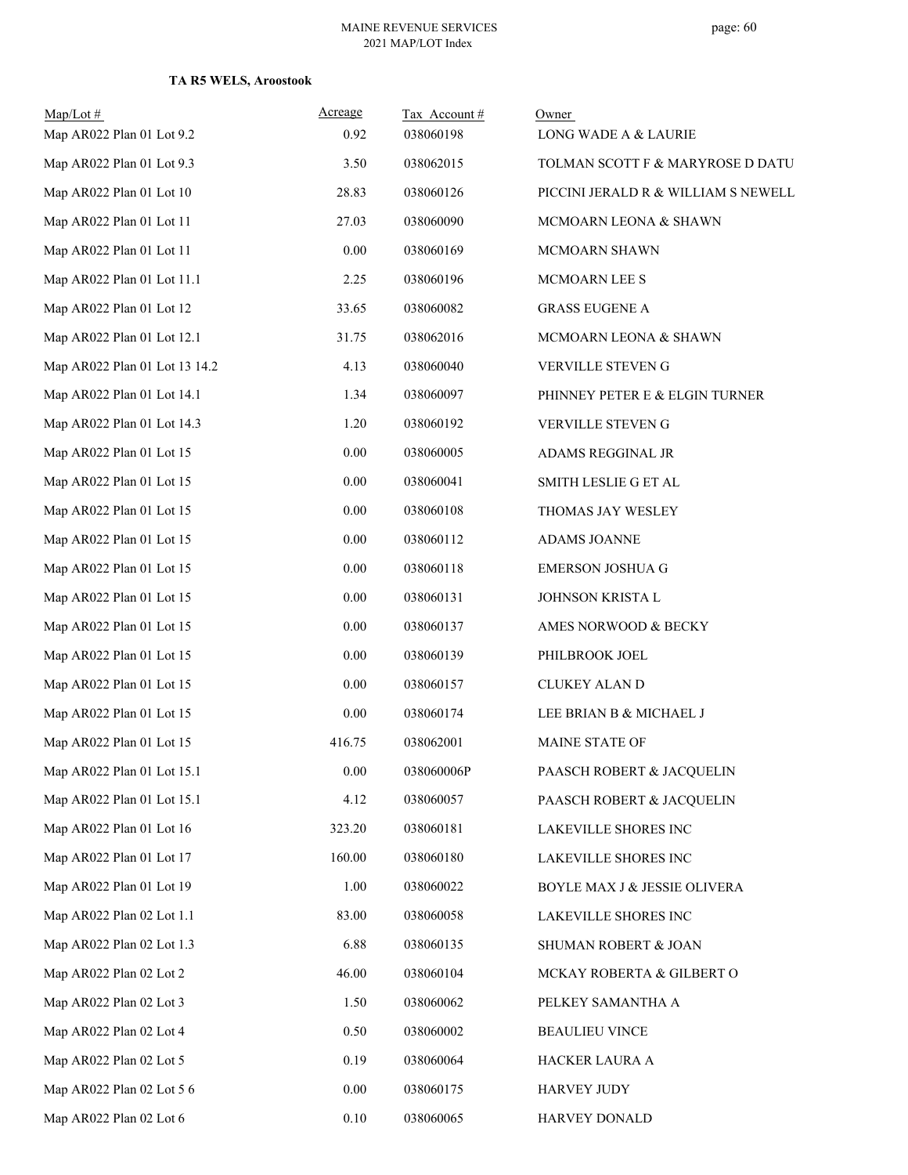| $Map/Lot \#$<br>Map AR022 Plan 01 Lot 9.2 | Acreage<br>0.92 | Tax Account #<br>038060198 | Owner<br>LONG WADE A & LAURIE       |
|-------------------------------------------|-----------------|----------------------------|-------------------------------------|
| Map AR022 Plan 01 Lot 9.3                 | 3.50            | 038062015                  | TOLMAN SCOTT F & MARYROSE D DATU    |
| Map AR022 Plan 01 Lot 10                  | 28.83           | 038060126                  | PICCINI JERALD R & WILLIAM S NEWELL |
| Map AR022 Plan 01 Lot 11                  | 27.03           | 038060090                  | MCMOARN LEONA & SHAWN               |
| Map AR022 Plan 01 Lot 11                  | 0.00            | 038060169                  | MCMOARN SHAWN                       |
| Map AR022 Plan 01 Lot 11.1                | 2.25            | 038060196                  | MCMOARN LEE S                       |
| Map AR022 Plan 01 Lot 12                  | 33.65           | 038060082                  | <b>GRASS EUGENE A</b>               |
| Map AR022 Plan 01 Lot 12.1                | 31.75           | 038062016                  | MCMOARN LEONA & SHAWN               |
| Map AR022 Plan 01 Lot 13 14.2             | 4.13            | 038060040                  | VERVILLE STEVEN G                   |
| Map AR022 Plan 01 Lot 14.1                | 1.34            | 038060097                  | PHINNEY PETER E & ELGIN TURNER      |
| Map AR022 Plan 01 Lot 14.3                | 1.20            | 038060192                  | VERVILLE STEVEN G                   |
| Map AR022 Plan 01 Lot 15                  | 0.00            | 038060005                  | ADAMS REGGINAL JR                   |
| Map AR022 Plan 01 Lot 15                  | 0.00            | 038060041                  |                                     |
| Map AR022 Plan 01 Lot 15                  | $0.00\,$        | 038060108                  | SMITH LESLIE G ET AL                |
|                                           |                 |                            | THOMAS JAY WESLEY                   |
| Map AR022 Plan 01 Lot 15                  | 0.00            | 038060112                  | ADAMS JOANNE                        |
| Map AR022 Plan 01 Lot 15                  | $0.00\,$        | 038060118                  | <b>EMERSON JOSHUA G</b>             |
| Map AR022 Plan 01 Lot 15                  | 0.00            | 038060131                  | JOHNSON KRISTA L                    |
| Map AR022 Plan 01 Lot 15                  | 0.00            | 038060137                  | AMES NORWOOD & BECKY                |
| Map AR022 Plan 01 Lot 15                  | $0.00\,$        | 038060139                  | PHILBROOK JOEL                      |
| Map AR022 Plan 01 Lot 15                  | 0.00            | 038060157                  | CLUKEY ALAN D                       |
| Map AR022 Plan 01 Lot 15                  | 0.00            | 038060174                  | LEE BRIAN B & MICHAEL J             |
| Map AR022 Plan 01 Lot 15                  | 416.75          | 038062001                  | MAINE STATE OF                      |
| Map AR022 Plan 01 Lot 15.1                | $0.00\,$        | 038060006P                 | PAASCH ROBERT & JACQUELIN           |
| Map AR022 Plan 01 Lot 15.1                | 4.12            | 038060057                  | PAASCH ROBERT & JACQUELIN           |
| Map AR022 Plan 01 Lot 16                  | 323.20          | 038060181                  | LAKEVILLE SHORES INC                |
| Map AR022 Plan 01 Lot 17                  | 160.00          | 038060180                  | LAKEVILLE SHORES INC                |
| Map AR022 Plan 01 Lot 19                  | 1.00            | 038060022                  | BOYLE MAX J & JESSIE OLIVERA        |
| Map AR022 Plan 02 Lot 1.1                 | 83.00           | 038060058                  | LAKEVILLE SHORES INC                |
| Map AR022 Plan 02 Lot 1.3                 | 6.88            | 038060135                  | SHUMAN ROBERT & JOAN                |
| Map AR022 Plan 02 Lot 2                   | 46.00           | 038060104                  | MCKAY ROBERTA & GILBERT O           |
| Map AR022 Plan 02 Lot 3                   | 1.50            | 038060062                  | PELKEY SAMANTHA A                   |
| Map AR022 Plan 02 Lot 4                   | 0.50            | 038060002                  | <b>BEAULIEU VINCE</b>               |
| Map AR022 Plan 02 Lot 5                   | 0.19            | 038060064                  | HACKER LAURA A                      |
| Map AR022 Plan 02 Lot 5 6                 | $0.00\,$        | 038060175                  | HARVEY JUDY                         |
| Map AR022 Plan 02 Lot 6                   | $0.10\,$        | 038060065                  | HARVEY DONALD                       |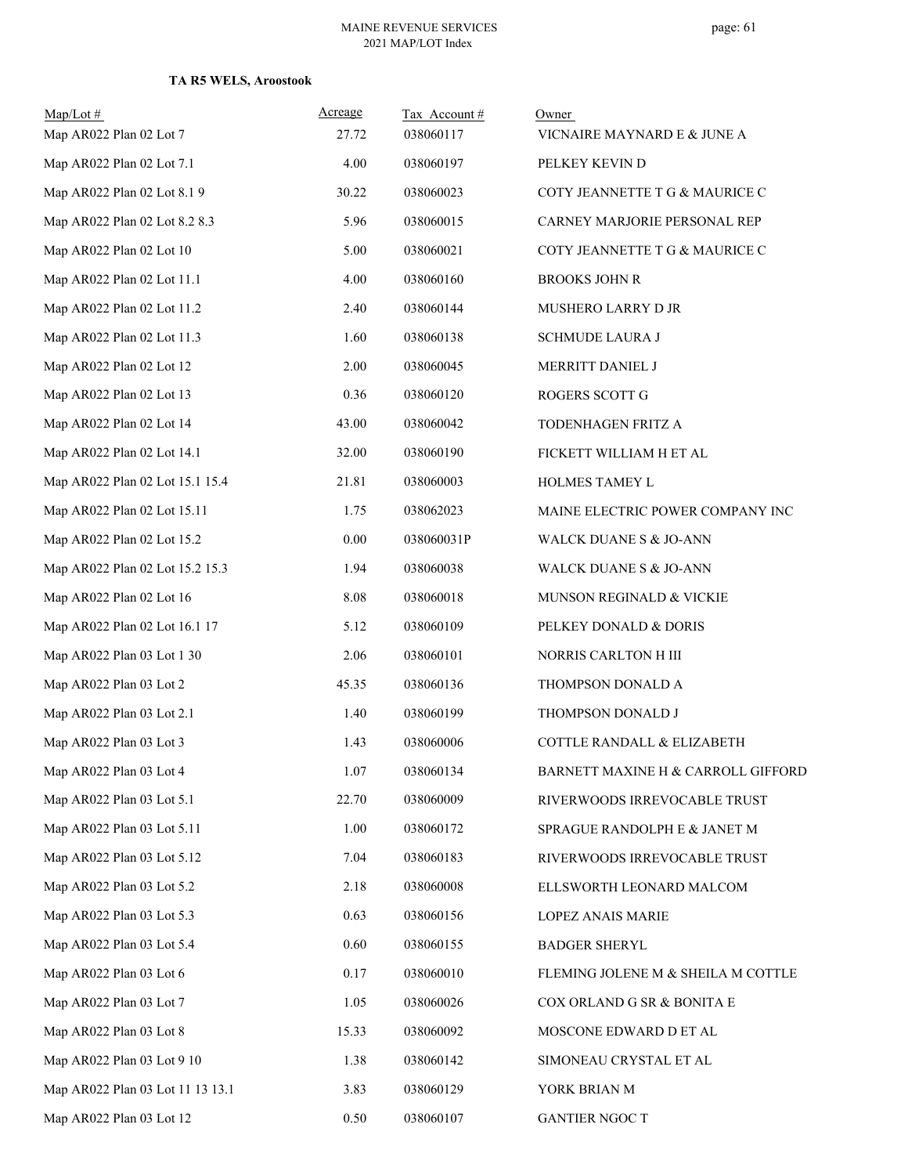| $Map/Lot \#$                     | Acreage | Tax Account# | Owner                                 |
|----------------------------------|---------|--------------|---------------------------------------|
| Map AR022 Plan 02 Lot 7          | 27.72   | 038060117    | VICNAIRE MAYNARD E & JUNE A           |
| Map AR022 Plan 02 Lot 7.1        | 4.00    | 038060197    | PELKEY KEVIN D                        |
| Map AR022 Plan 02 Lot 8.1 9      | 30.22   | 038060023    | COTY JEANNETTE T G & MAURICE C        |
| Map AR022 Plan 02 Lot 8.2 8.3    | 5.96    | 038060015    | CARNEY MARJORIE PERSONAL REP          |
| Map AR022 Plan 02 Lot 10         | 5.00    | 038060021    | COTY JEANNETTE T G & MAURICE C        |
| Map AR022 Plan 02 Lot 11.1       | 4.00    | 038060160    | <b>BROOKS JOHN R</b>                  |
| Map AR022 Plan 02 Lot 11.2       | 2.40    | 038060144    | MUSHERO LARRY D JR                    |
| Map AR022 Plan 02 Lot 11.3       | 1.60    | 038060138    | <b>SCHMUDE LAURA J</b>                |
| Map AR022 Plan 02 Lot 12         | 2.00    | 038060045    | MERRITT DANIEL J                      |
| Map AR022 Plan 02 Lot 13         | 0.36    | 038060120    | ROGERS SCOTT G                        |
| Map AR022 Plan 02 Lot 14         | 43.00   | 038060042    | TODENHAGEN FRITZ A                    |
| Map AR022 Plan 02 Lot 14.1       | 32.00   | 038060190    | FICKETT WILLIAM H ET AL               |
| Map AR022 Plan 02 Lot 15.1 15.4  | 21.81   | 038060003    | HOLMES TAMEY L                        |
| Map AR022 Plan 02 Lot 15.11      | 1.75    | 038062023    | MAINE ELECTRIC POWER COMPANY INC      |
| Map AR022 Plan 02 Lot 15.2       | 0.00    | 038060031P   | WALCK DUANE S & JO-ANN                |
| Map AR022 Plan 02 Lot 15.2 15.3  | 1.94    | 038060038    | WALCK DUANE S & JO-ANN                |
| Map AR022 Plan 02 Lot 16         | 8.08    | 038060018    | MUNSON REGINALD & VICKIE              |
| Map AR022 Plan 02 Lot 16.1 17    | 5.12    | 038060109    | PELKEY DONALD & DORIS                 |
| Map AR022 Plan 03 Lot 1 30       | 2.06    | 038060101    | NORRIS CARLTON H III                  |
| Map AR022 Plan 03 Lot 2          | 45.35   | 038060136    | THOMPSON DONALD A                     |
| Map AR022 Plan 03 Lot 2.1        | 1.40    | 038060199    | THOMPSON DONALD J                     |
| Map AR022 Plan 03 Lot 3          | 1.43    | 038060006    | <b>COTTLE RANDALL &amp; ELIZABETH</b> |
| Map AR022 Plan 03 Lot 4          | 1.07    | 038060134    | BARNETT MAXINE H & CARROLL GIFFORD    |
| Map AR022 Plan 03 Lot 5.1        | 22.70   | 038060009    | RIVERWOODS IRREVOCABLE TRUST          |
| Map AR022 Plan 03 Lot 5.11       | 1.00    | 038060172    | SPRAGUE RANDOLPH E & JANET M          |
| Map AR022 Plan 03 Lot 5.12       | 7.04    | 038060183    | RIVERWOODS IRREVOCABLE TRUST          |
| Map AR022 Plan 03 Lot 5.2        | 2.18    | 038060008    | ELLSWORTH LEONARD MALCOM              |
| Map AR022 Plan 03 Lot 5.3        | 0.63    | 038060156    | LOPEZ ANAIS MARIE                     |
| Map AR022 Plan 03 Lot 5.4        | 0.60    | 038060155    | <b>BADGER SHERYL</b>                  |
| Map AR022 Plan 03 Lot 6          | 0.17    | 038060010    | FLEMING JOLENE M & SHEILA M COTTLE    |
| Map AR022 Plan 03 Lot 7          | 1.05    | 038060026    | COX ORLAND G SR & BONITA E            |
| Map AR022 Plan 03 Lot 8          | 15.33   | 038060092    | MOSCONE EDWARD D ET AL                |
| Map AR022 Plan 03 Lot 9 10       | 1.38    | 038060142    | SIMONEAU CRYSTAL ET AL                |
| Map AR022 Plan 03 Lot 11 13 13.1 | 3.83    | 038060129    | YORK BRIAN M                          |
| Map AR022 Plan 03 Lot 12         | 0.50    | 038060107    | <b>GANTIER NGOC T</b>                 |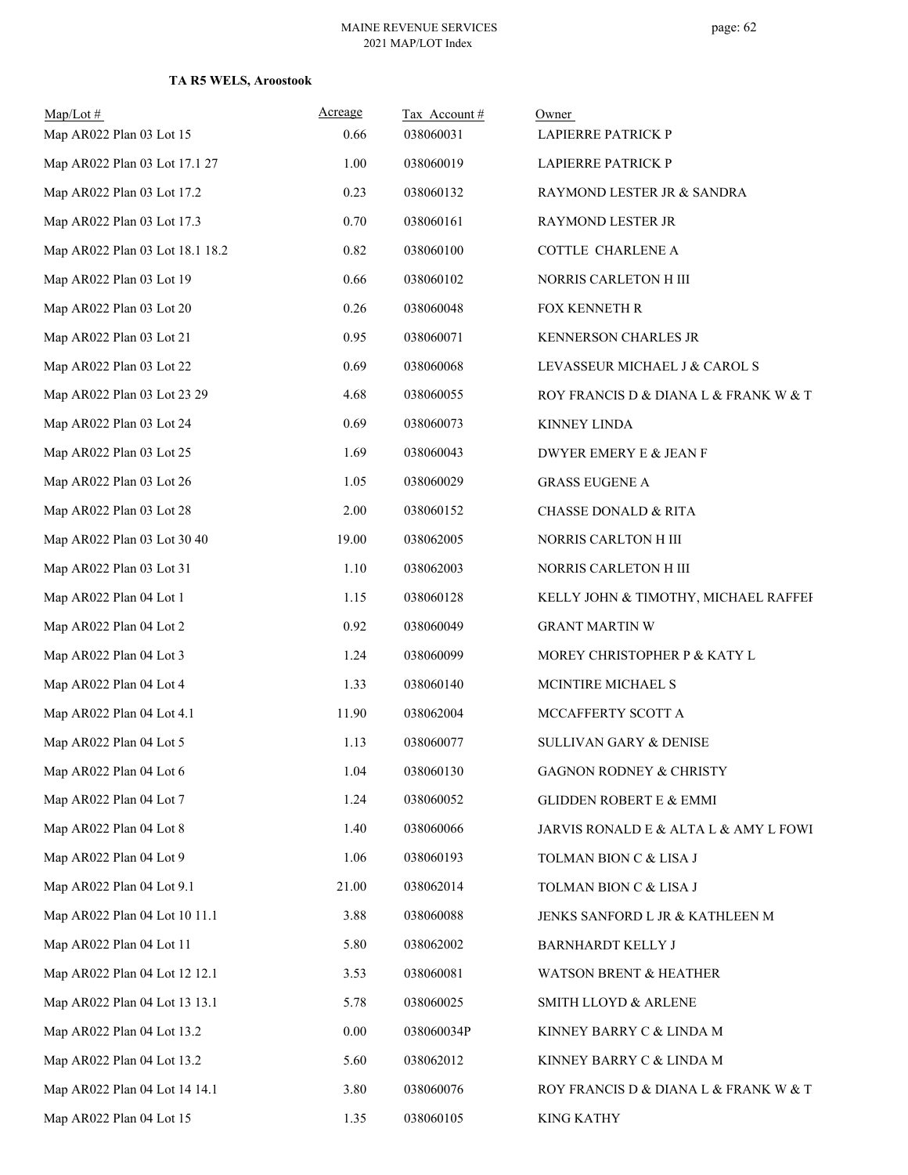| $Map/Lot \#$                    | Acreage | Tax Account# | Owner                                 |
|---------------------------------|---------|--------------|---------------------------------------|
| Map AR022 Plan 03 Lot 15        | 0.66    | 038060031    | LAPIERRE PATRICK P                    |
| Map AR022 Plan 03 Lot 17.1 27   | 1.00    | 038060019    | LAPIERRE PATRICK P                    |
| Map AR022 Plan 03 Lot 17.2      | 0.23    | 038060132    | RAYMOND LESTER JR & SANDRA            |
| Map AR022 Plan 03 Lot 17.3      | 0.70    | 038060161    | RAYMOND LESTER JR                     |
| Map AR022 Plan 03 Lot 18.1 18.2 | 0.82    | 038060100    | COTTLE CHARLENE A                     |
| Map AR022 Plan 03 Lot 19        | 0.66    | 038060102    | NORRIS CARLETON H III                 |
| Map AR022 Plan 03 Lot 20        | 0.26    | 038060048    | FOX KENNETH R                         |
| Map AR022 Plan 03 Lot 21        | 0.95    | 038060071    | KENNERSON CHARLES JR                  |
| Map AR022 Plan 03 Lot 22        | 0.69    | 038060068    | LEVASSEUR MICHAEL J & CAROL S         |
| Map AR022 Plan 03 Lot 23 29     | 4.68    | 038060055    | ROY FRANCIS D & DIANA L & FRANK W & T |
| Map AR022 Plan 03 Lot 24        | 0.69    | 038060073    | <b>KINNEY LINDA</b>                   |
| Map AR022 Plan 03 Lot 25        | 1.69    | 038060043    | DWYER EMERY E & JEAN F                |
| Map AR022 Plan 03 Lot 26        | 1.05    | 038060029    | <b>GRASS EUGENE A</b>                 |
| Map AR022 Plan 03 Lot 28        | 2.00    | 038060152    | <b>CHASSE DONALD &amp; RITA</b>       |
| Map AR022 Plan 03 Lot 30 40     | 19.00   | 038062005    | NORRIS CARLTON H III                  |
| Map AR022 Plan 03 Lot 31        | 1.10    | 038062003    | NORRIS CARLETON H III                 |
| Map AR022 Plan 04 Lot 1         | 1.15    | 038060128    | KELLY JOHN & TIMOTHY, MICHAEL RAFFEF  |
| Map AR022 Plan 04 Lot 2         | 0.92    | 038060049    | <b>GRANT MARTIN W</b>                 |
| Map AR022 Plan 04 Lot 3         | 1.24    | 038060099    | MOREY CHRISTOPHER P & KATY L          |
| Map AR022 Plan 04 Lot 4         | 1.33    | 038060140    | MCINTIRE MICHAEL S                    |
| Map AR022 Plan 04 Lot 4.1       | 11.90   | 038062004    | MCCAFFERTY SCOTT A                    |
| Map AR022 Plan 04 Lot 5         | 1.13    | 038060077    | SULLIVAN GARY & DENISE                |
| Map AR022 Plan 04 Lot 6         | 1.04    | 038060130    | GAGNON RODNEY & CHRISTY               |
| Map AR022 Plan 04 Lot 7         | 1.24    | 038060052    | <b>GLIDDEN ROBERT E &amp; EMMI</b>    |
| Map AR022 Plan 04 Lot 8         | 1.40    | 038060066    | JARVIS RONALD E & ALTA L & AMY L FOWI |
| Map AR022 Plan 04 Lot 9         | 1.06    | 038060193    | TOLMAN BION C & LISA J                |
| Map AR022 Plan 04 Lot 9.1       | 21.00   | 038062014    | TOLMAN BION C & LISA J                |
| Map AR022 Plan 04 Lot 10 11.1   | 3.88    | 038060088    | JENKS SANFORD L JR & KATHLEEN M       |
| Map AR022 Plan 04 Lot 11        | 5.80    | 038062002    | <b>BARNHARDT KELLY J</b>              |
| Map AR022 Plan 04 Lot 12 12.1   | 3.53    | 038060081    | WATSON BRENT & HEATHER                |
| Map AR022 Plan 04 Lot 13 13.1   | 5.78    | 038060025    | SMITH LLOYD & ARLENE                  |
| Map AR022 Plan 04 Lot 13.2      | 0.00    | 038060034P   | KINNEY BARRY C & LINDA M              |
| Map AR022 Plan 04 Lot 13.2      | 5.60    | 038062012    | KINNEY BARRY C & LINDA M              |
| Map AR022 Plan 04 Lot 14 14.1   | 3.80    | 038060076    | ROY FRANCIS D & DIANA L & FRANK W & T |
| Map AR022 Plan 04 Lot 15        | 1.35    | 038060105    | <b>KING KATHY</b>                     |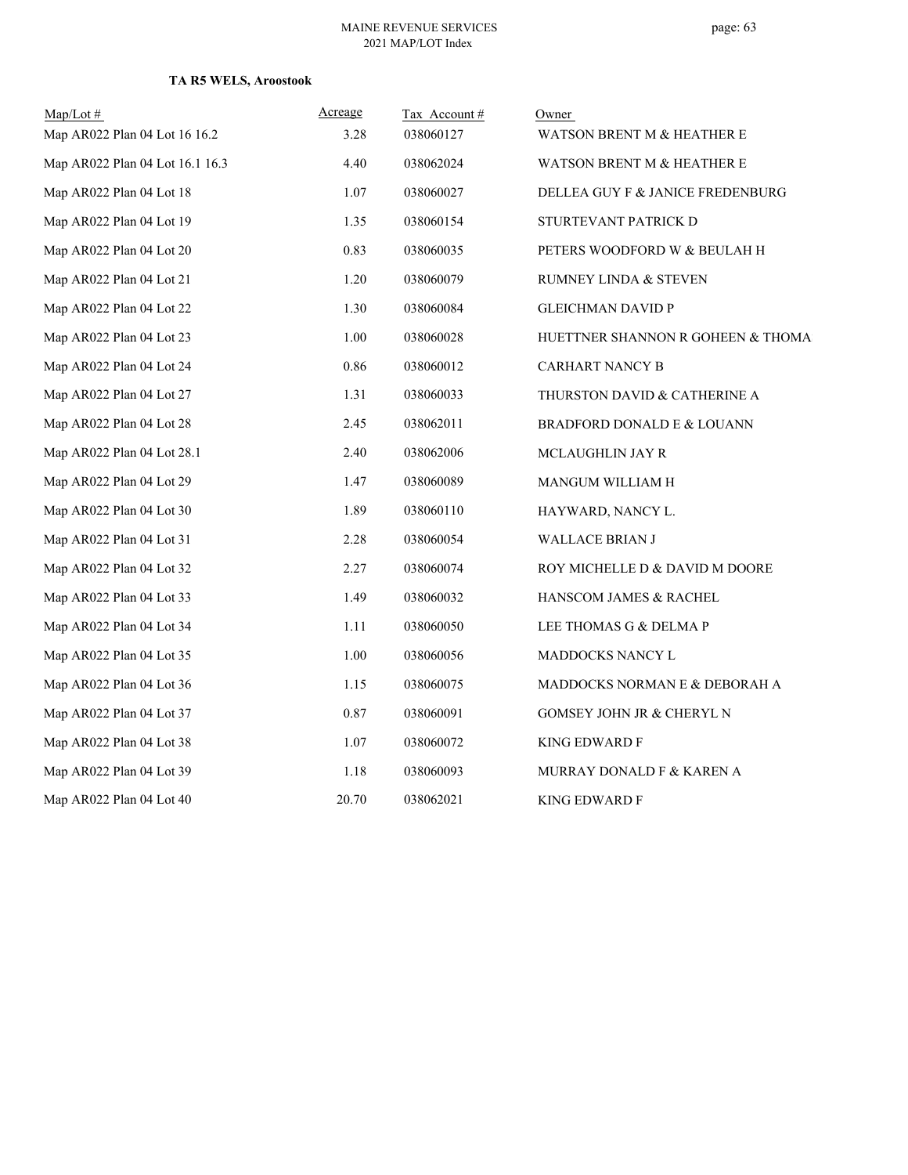| $Map/Lot \#$                    | Acreage | Tax Account# | Owner                              |
|---------------------------------|---------|--------------|------------------------------------|
| Map AR022 Plan 04 Lot 16 16.2   | 3.28    | 038060127    | WATSON BRENT M & HEATHER E         |
| Map AR022 Plan 04 Lot 16.1 16.3 | 4.40    | 038062024    | WATSON BRENT M & HEATHER E         |
| Map AR022 Plan 04 Lot 18        | 1.07    | 038060027    | DELLEA GUY F & JANICE FREDENBURG   |
| Map AR022 Plan 04 Lot 19        | 1.35    | 038060154    | STURTEVANT PATRICK D               |
| Map AR022 Plan 04 Lot 20        | 0.83    | 038060035    | PETERS WOODFORD W & BEULAH H       |
| Map AR022 Plan 04 Lot 21        | 1.20    | 038060079    | RUMNEY LINDA & STEVEN              |
| Map AR022 Plan 04 Lot 22        | 1.30    | 038060084    | <b>GLEICHMAN DAVID P</b>           |
| Map AR022 Plan 04 Lot 23        | 1.00    | 038060028    | HUETTNER SHANNON R GOHEEN & THOMA: |
| Map AR022 Plan 04 Lot 24        | 0.86    | 038060012    | <b>CARHART NANCY B</b>             |
| Map AR022 Plan 04 Lot 27        | 1.31    | 038060033    | THURSTON DAVID & CATHERINE A       |
| Map AR022 Plan 04 Lot 28        | 2.45    | 038062011    | BRADFORD DONALD E & LOUANN         |
| Map AR022 Plan 04 Lot 28.1      | 2.40    | 038062006    | MCLAUGHLIN JAY R                   |
| Map AR022 Plan 04 Lot 29        | 1.47    | 038060089    | MANGUM WILLIAM H                   |
| Map AR022 Plan 04 Lot 30        | 1.89    | 038060110    | HAYWARD, NANCY L.                  |
| Map AR022 Plan 04 Lot 31        | 2.28    | 038060054    | WALLACE BRIAN J                    |
| Map AR022 Plan 04 Lot 32        | 2.27    | 038060074    | ROY MICHELLE D & DAVID M DOORE     |
| Map AR022 Plan 04 Lot 33        | 1.49    | 038060032    | HANSCOM JAMES & RACHEL             |
| Map AR022 Plan 04 Lot 34        | 1.11    | 038060050    | LEE THOMAS G & DELMA P             |
| Map AR022 Plan 04 Lot 35        | 1.00    | 038060056    | MADDOCKS NANCY L                   |
| Map AR022 Plan 04 Lot 36        | 1.15    | 038060075    | MADDOCKS NORMAN E & DEBORAH A      |
| Map AR022 Plan 04 Lot 37        | 0.87    | 038060091    | GOMSEY JOHN JR & CHERYL N          |
| Map AR022 Plan 04 Lot 38        | 1.07    | 038060072    | KING EDWARD F                      |
| Map AR022 Plan 04 Lot 39        | 1.18    | 038060093    | MURRAY DONALD F & KAREN A          |
| Map AR022 Plan 04 Lot 40        | 20.70   | 038062021    | KING EDWARD F                      |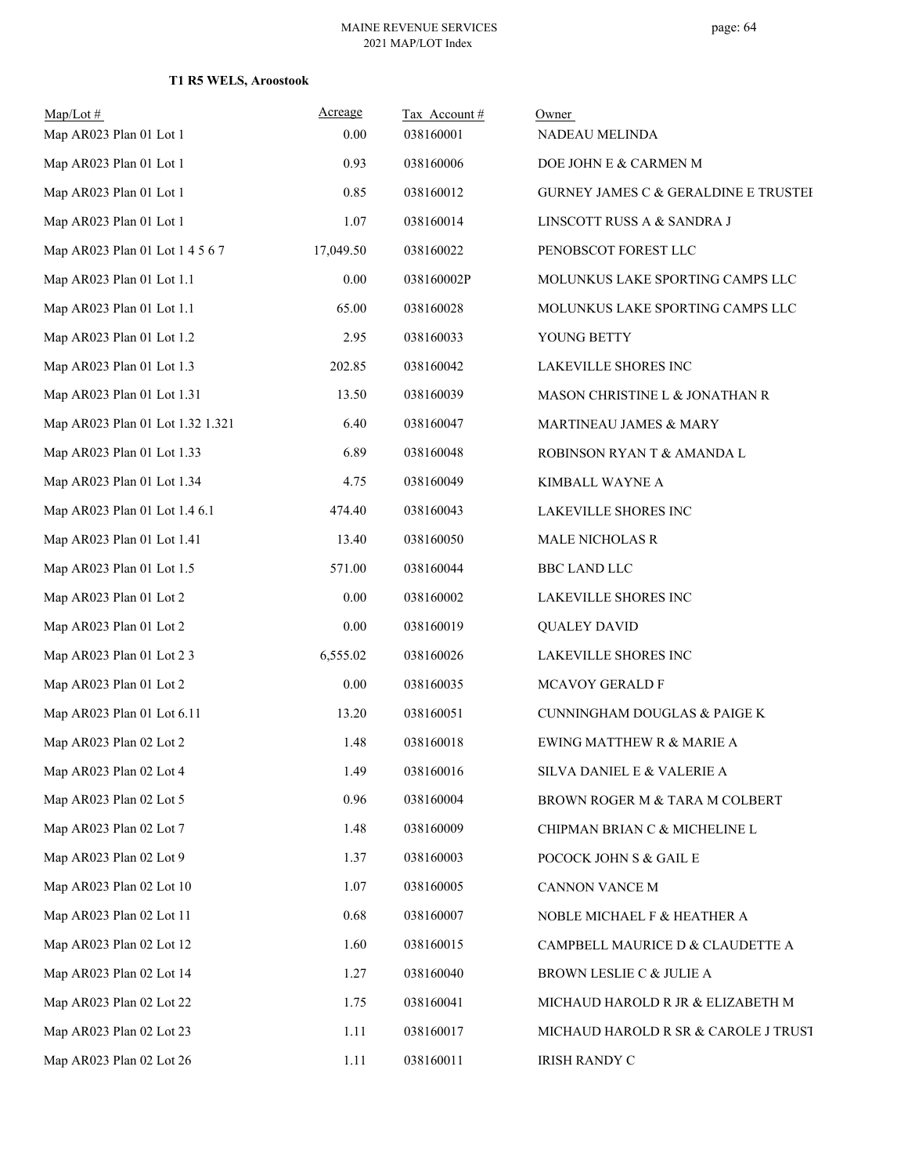| $Map/Lot$ #<br>Map AR023 Plan 01 Lot 1 | Acreage<br>0.00 | Tax Account#<br>038160001 | Owner<br>NADEAU MELINDA              |
|----------------------------------------|-----------------|---------------------------|--------------------------------------|
| Map AR023 Plan 01 Lot 1                | 0.93            | 038160006                 | DOE JOHN E & CARMEN M                |
| Map AR023 Plan 01 Lot 1                | 0.85            | 038160012                 | GURNEY JAMES C & GERALDINE E TRUSTEI |
| Map AR023 Plan 01 Lot 1                | 1.07            | 038160014                 | LINSCOTT RUSS A & SANDRA J           |
| Map AR023 Plan 01 Lot 1 4 5 6 7        | 17,049.50       | 038160022                 | PENOBSCOT FOREST LLC                 |
| Map AR023 Plan 01 Lot 1.1              | $0.00\,$        | 038160002P                | MOLUNKUS LAKE SPORTING CAMPS LLC     |
| Map AR023 Plan 01 Lot 1.1              | 65.00           | 038160028                 | MOLUNKUS LAKE SPORTING CAMPS LLC     |
| Map AR023 Plan 01 Lot 1.2              | 2.95            | 038160033                 | YOUNG BETTY                          |
| Map AR023 Plan 01 Lot 1.3              | 202.85          | 038160042                 | LAKEVILLE SHORES INC                 |
| Map AR023 Plan 01 Lot 1.31             | 13.50           | 038160039                 | MASON CHRISTINE L & JONATHAN R       |
| Map AR023 Plan 01 Lot 1.32 1.321       | 6.40            | 038160047                 | MARTINEAU JAMES & MARY               |
| Map AR023 Plan 01 Lot 1.33             | 6.89            | 038160048                 | ROBINSON RYAN T & AMANDA L           |
| Map AR023 Plan 01 Lot 1.34             | 4.75            | 038160049                 | KIMBALL WAYNE A                      |
| Map AR023 Plan 01 Lot 1.4 6.1          | 474.40          | 038160043                 | LAKEVILLE SHORES INC                 |
| Map AR023 Plan 01 Lot 1.41             | 13.40           | 038160050                 | MALE NICHOLAS R                      |
| Map AR023 Plan 01 Lot 1.5              | 571.00          | 038160044                 | <b>BBC LAND LLC</b>                  |
| Map AR023 Plan 01 Lot 2                | 0.00            | 038160002                 | LAKEVILLE SHORES INC                 |
| Map AR023 Plan 01 Lot 2                | 0.00            | 038160019                 | <b>QUALEY DAVID</b>                  |
| Map AR023 Plan 01 Lot 2 3              | 6,555.02        | 038160026                 | LAKEVILLE SHORES INC                 |
| Map AR023 Plan 01 Lot 2                | 0.00            | 038160035                 | MCAVOY GERALD F                      |
| Map AR023 Plan 01 Lot 6.11             | 13.20           | 038160051                 | CUNNINGHAM DOUGLAS & PAIGE K         |
| Map AR023 Plan 02 Lot 2                | 1.48            | 038160018                 | EWING MATTHEW R & MARIE A            |
| Map AR023 Plan 02 Lot 4                | 1.49            | 038160016                 | SILVA DANIEL E & VALERIE A           |
| Map AR023 Plan 02 Lot 5                | 0.96            | 038160004                 | BROWN ROGER M & TARA M COLBERT       |
| Map AR023 Plan 02 Lot 7                | 1.48            | 038160009                 | CHIPMAN BRIAN C & MICHELINE L        |
| Map AR023 Plan 02 Lot 9                | 1.37            | 038160003                 | POCOCK JOHN S & GAIL E               |
| Map AR023 Plan 02 Lot 10               | 1.07            | 038160005                 | CANNON VANCE M                       |
| Map AR023 Plan 02 Lot 11               | 0.68            | 038160007                 | NOBLE MICHAEL F & HEATHER A          |
| Map AR023 Plan 02 Lot 12               | 1.60            | 038160015                 | CAMPBELL MAURICE D & CLAUDETTE A     |
| Map AR023 Plan 02 Lot 14               | 1.27            | 038160040                 | BROWN LESLIE C & JULIE A             |
| Map AR023 Plan 02 Lot 22               | 1.75            | 038160041                 | MICHAUD HAROLD R JR & ELIZABETH M    |
| Map AR023 Plan 02 Lot 23               | 1.11            | 038160017                 | MICHAUD HAROLD R SR & CAROLE J TRUST |
| Map AR023 Plan 02 Lot 26               | 1.11            | 038160011                 | <b>IRISH RANDY C</b>                 |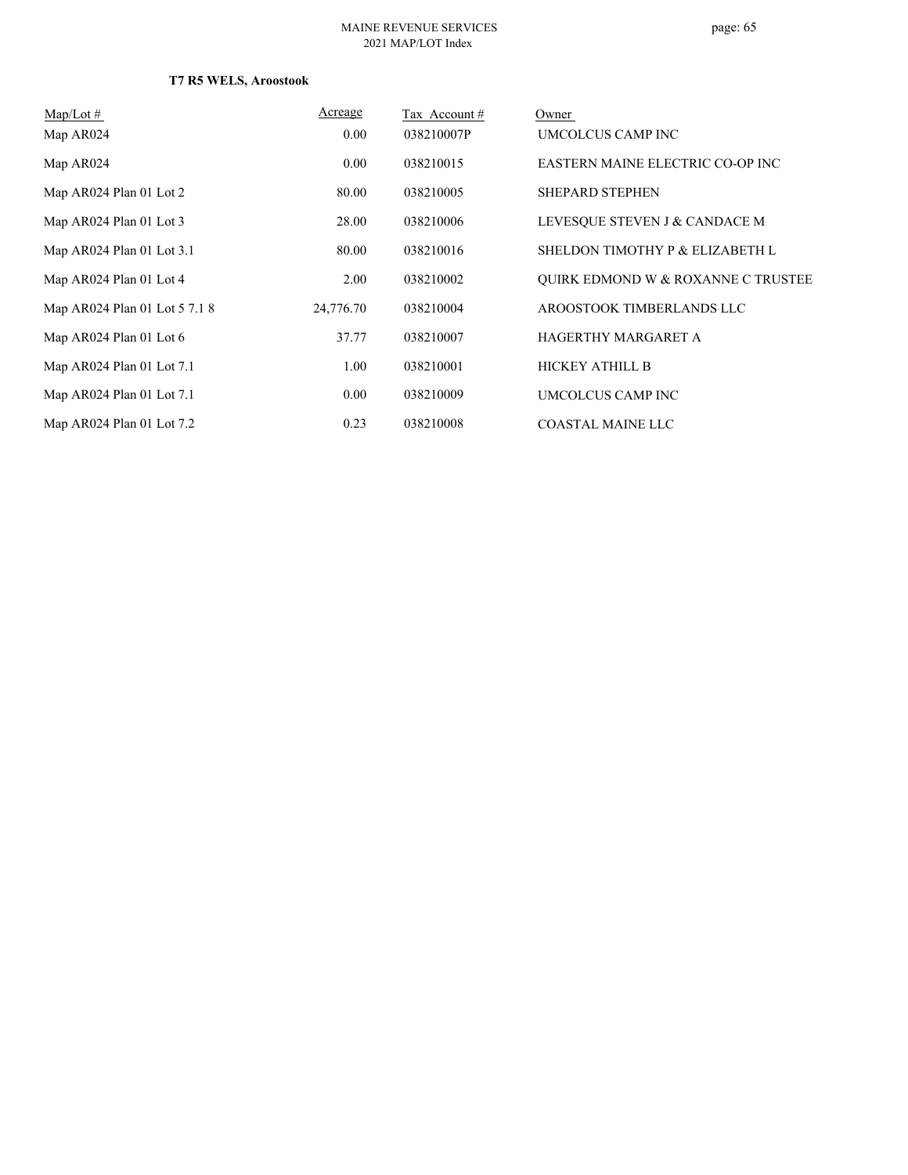| $Map/Lot \#$                  | Acreage   | Tax Account# | Owner                              |
|-------------------------------|-----------|--------------|------------------------------------|
| Map AR024                     | 0.00      | 038210007P   | UMCOLCUS CAMP INC                  |
| Map AR024                     | 0.00      | 038210015    | EASTERN MAINE ELECTRIC CO-OP INC   |
| Map AR024 Plan 01 Lot 2       | 80.00     | 038210005    | <b>SHEPARD STEPHEN</b>             |
| Map AR024 Plan 01 Lot 3       | 28.00     | 038210006    | LEVESQUE STEVEN J & CANDACE M      |
| Map AR024 Plan 01 Lot 3.1     | 80.00     | 038210016    | SHELDON TIMOTHY P & ELIZABETH L    |
| Map AR024 Plan 01 Lot 4       | 2.00      | 038210002    | QUIRK EDMOND W & ROXANNE C TRUSTEE |
| Map AR024 Plan 01 Lot 5 7.1 8 | 24,776.70 | 038210004    | AROOSTOOK TIMBERLANDS LLC          |
| Map AR024 Plan 01 Lot 6       | 37.77     | 038210007    | HAGERTHY MARGARET A                |
| Map AR024 Plan 01 Lot 7.1     | 1.00      | 038210001    | <b>HICKEY ATHILL B</b>             |
| Map AR024 Plan 01 Lot 7.1     | 0.00      | 038210009    | UMCOLCUS CAMP INC                  |
| Map AR024 Plan 01 Lot 7.2     | 0.23      | 038210008    | <b>COASTAL MAINE LLC</b>           |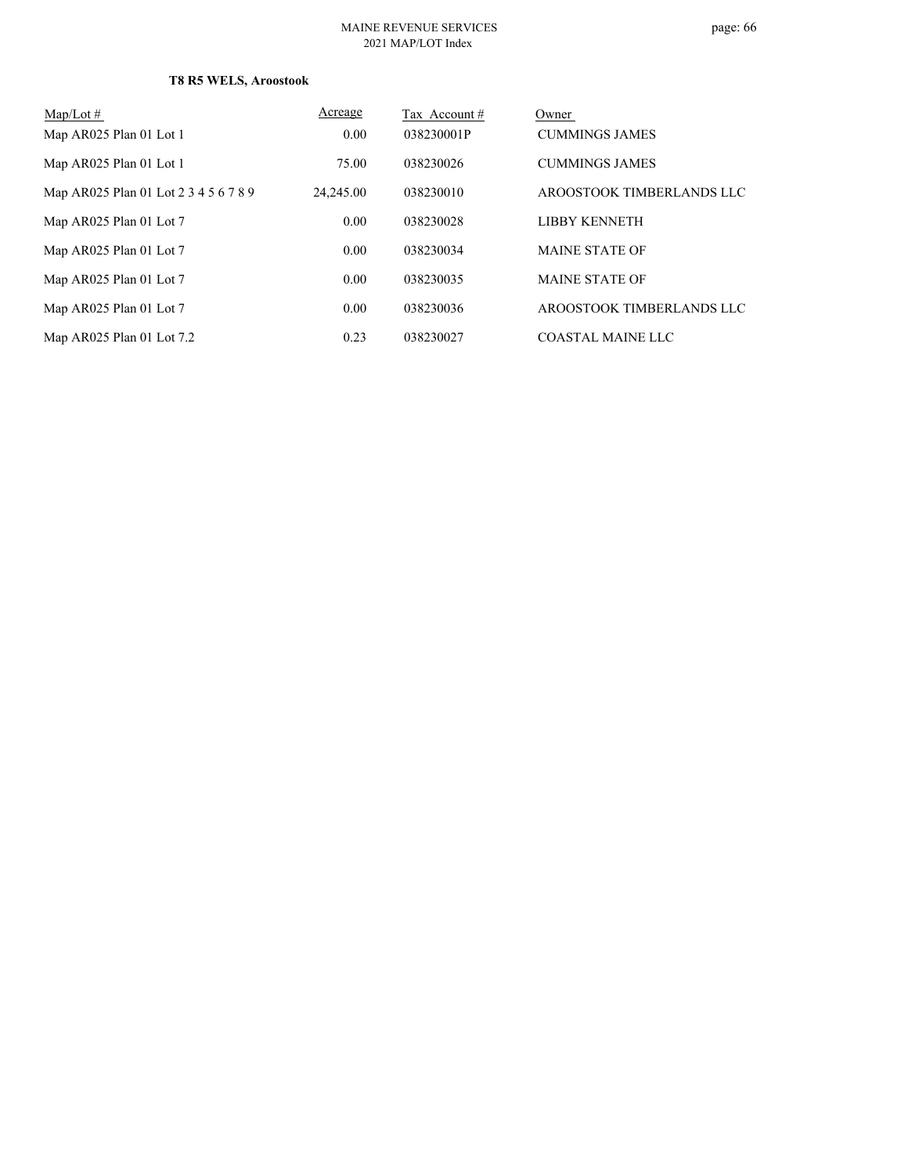# page: 66

| $Map/Lot \#$                          | Acreage   | Tax Account# | Owner                     |
|---------------------------------------|-----------|--------------|---------------------------|
| Map AR025 Plan 01 Lot 1               | 0.00      | 038230001P   | <b>CUMMINGS JAMES</b>     |
| Map AR025 Plan 01 Lot 1               | 75.00     | 038230026    | <b>CUMMINGS JAMES</b>     |
| Map AR025 Plan 01 Lot 2 3 4 5 6 7 8 9 | 24,245.00 | 038230010    | AROOSTOOK TIMBERLANDS LLC |
| Map AR025 Plan 01 Lot 7               | 0.00      | 038230028    | <b>LIBBY KENNETH</b>      |
| Map AR025 Plan 01 Lot 7               | 0.00      | 038230034    | <b>MAINE STATE OF</b>     |
| Map AR025 Plan 01 Lot 7               | 0.00      | 038230035    | <b>MAINE STATE OF</b>     |
| Map AR025 Plan 01 Lot 7               | 0.00      | 038230036    | AROOSTOOK TIMBERLANDS LLC |
| Map AR025 Plan 01 Lot 7.2             | 0.23      | 038230027    | <b>COASTAL MAINE LLC</b>  |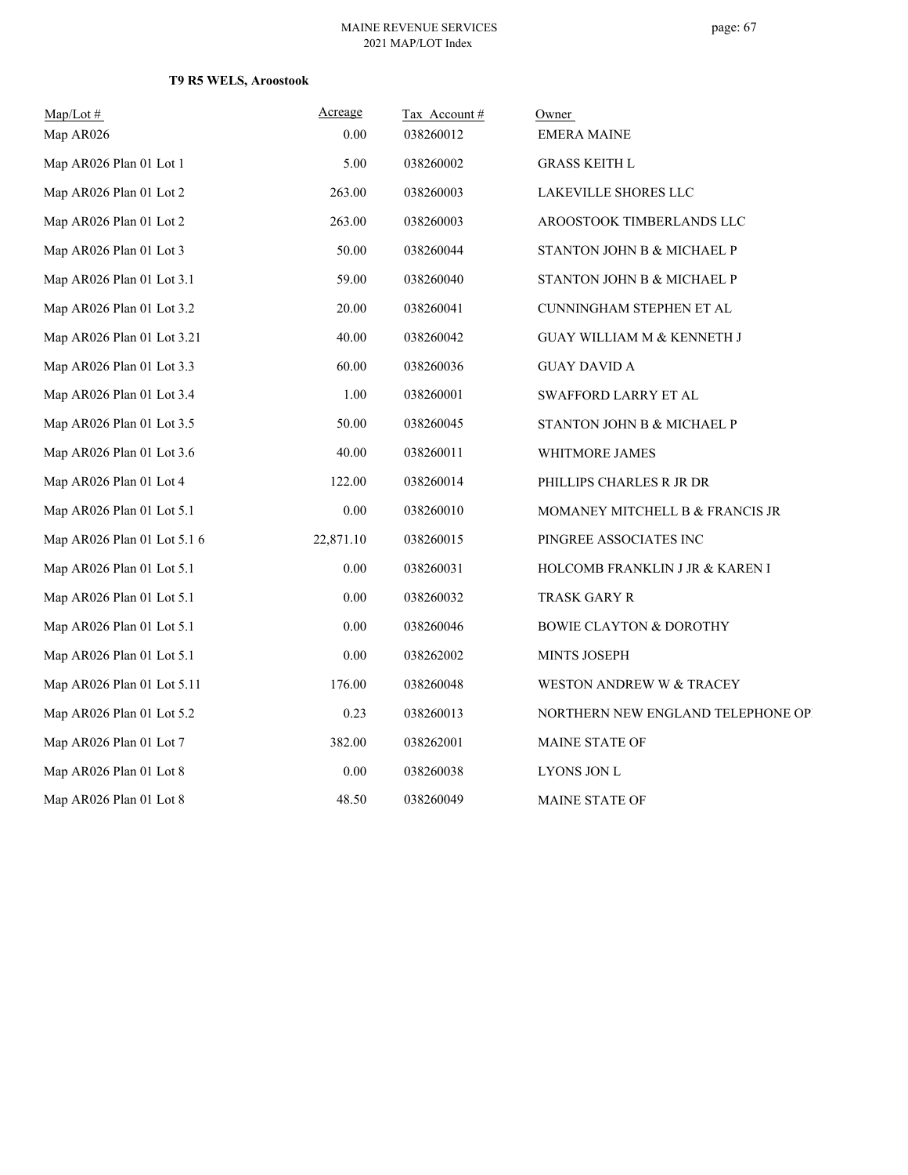| $Map/Lot$ #                 | Acreage   | Tax Account# | Owner                               |
|-----------------------------|-----------|--------------|-------------------------------------|
| Map AR026                   | 0.00      | 038260012    | <b>EMERA MAINE</b>                  |
| Map AR026 Plan 01 Lot 1     | 5.00      | 038260002    | <b>GRASS KEITH L</b>                |
| Map AR026 Plan 01 Lot 2     | 263.00    | 038260003    | LAKEVILLE SHORES LLC                |
| Map AR026 Plan 01 Lot 2     | 263.00    | 038260003    | AROOSTOOK TIMBERLANDS LLC           |
| Map AR026 Plan 01 Lot 3     | 50.00     | 038260044    | STANTON JOHN B & MICHAEL P          |
| Map AR026 Plan 01 Lot 3.1   | 59.00     | 038260040    | STANTON JOHN B & MICHAEL P          |
| Map AR026 Plan 01 Lot 3.2   | 20.00     | 038260041    | CUNNINGHAM STEPHEN ET AL            |
| Map AR026 Plan 01 Lot 3.21  | 40.00     | 038260042    | GUAY WILLIAM M & KENNETH J          |
| Map AR026 Plan 01 Lot 3.3   | 60.00     | 038260036    | <b>GUAY DAVID A</b>                 |
| Map AR026 Plan 01 Lot 3.4   | 1.00      | 038260001    | SWAFFORD LARRY ET AL                |
| Map AR026 Plan 01 Lot 3.5   | 50.00     | 038260045    | STANTON JOHN B & MICHAEL P          |
| Map AR026 Plan 01 Lot 3.6   | 40.00     | 038260011    | <b>WHITMORE JAMES</b>               |
| Map AR026 Plan 01 Lot 4     | 122.00    | 038260014    | PHILLIPS CHARLES R JR DR            |
| Map AR026 Plan 01 Lot 5.1   | $0.00\,$  | 038260010    | MOMANEY MITCHELL B & FRANCIS JR     |
| Map AR026 Plan 01 Lot 5.1 6 | 22,871.10 | 038260015    | PINGREE ASSOCIATES INC              |
| Map AR026 Plan 01 Lot 5.1   | 0.00      | 038260031    | HOLCOMB FRANKLIN J JR & KAREN I     |
| Map AR026 Plan 01 Lot 5.1   | 0.00      | 038260032    | TRASK GARY R                        |
| Map AR026 Plan 01 Lot 5.1   | $0.00\,$  | 038260046    | <b>BOWIE CLAYTON &amp; DOROTHY</b>  |
| Map AR026 Plan 01 Lot 5.1   | 0.00      | 038262002    | MINTS JOSEPH                        |
| Map AR026 Plan 01 Lot 5.11  | 176.00    | 038260048    | <b>WESTON ANDREW W &amp; TRACEY</b> |
| Map AR026 Plan 01 Lot 5.2   | 0.23      | 038260013    | NORTHERN NEW ENGLAND TELEPHONE OP!  |
| Map AR026 Plan 01 Lot 7     | 382.00    | 038262001    | MAINE STATE OF                      |
| Map AR026 Plan 01 Lot 8     | 0.00      | 038260038    | LYONS JON L                         |
| Map AR026 Plan 01 Lot 8     | 48.50     | 038260049    | <b>MAINE STATE OF</b>               |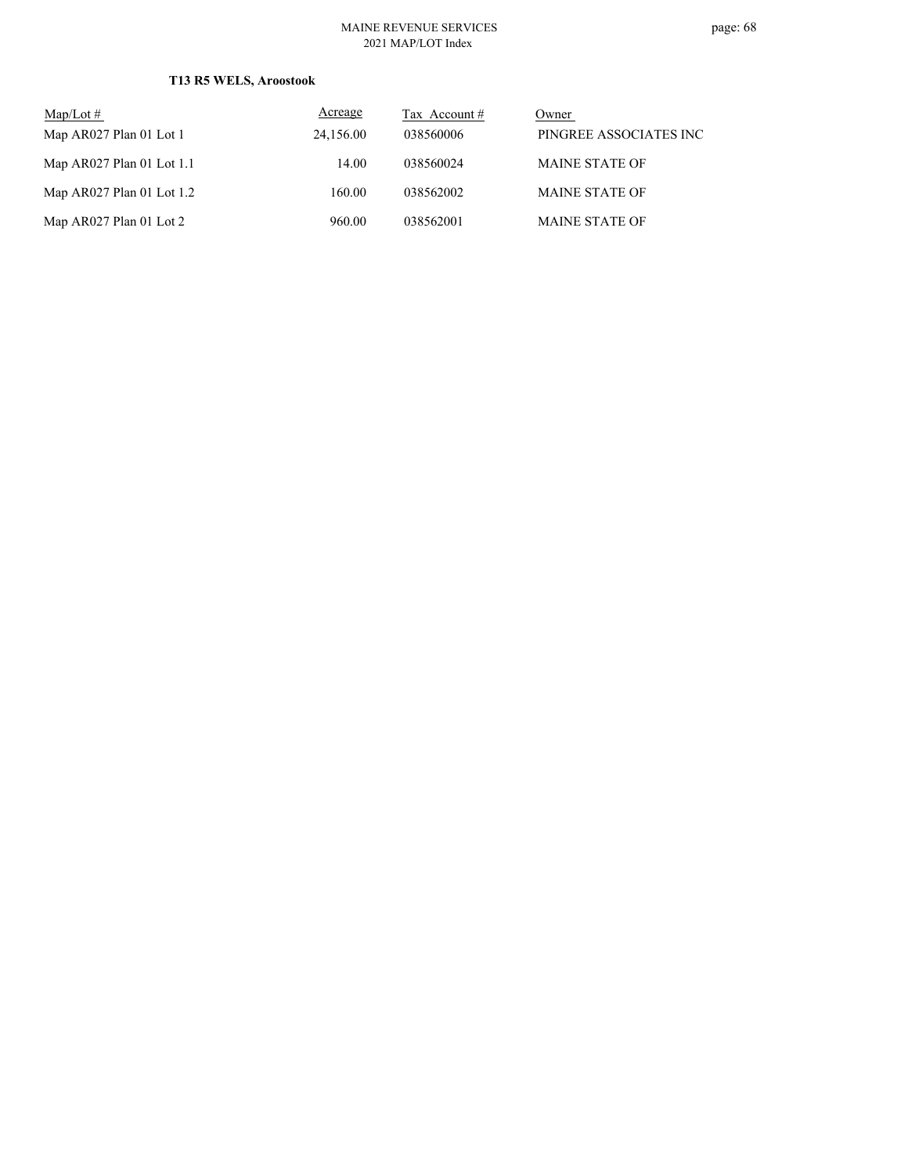#### MAINE REVENUE SERVICES 2021 MAP/LOT Index

| $Map/Lot \#$                | Acreage   | Tax Account # | Owner                  |
|-----------------------------|-----------|---------------|------------------------|
| Map AR027 Plan 01 Lot 1     | 24,156.00 | 038560006     | PINGREE ASSOCIATES INC |
| Map $AR027$ Plan 01 Lot 1.1 | 14.00     | 038560024     | <b>MAINE STATE OF</b>  |
| Map $AR027$ Plan 01 Lot 1.2 | 160.00    | 038562002     | <b>MAINE STATE OF</b>  |
| Map AR027 Plan 01 Lot 2     | 960.00    | 038562001     | <b>MAINE STATE OF</b>  |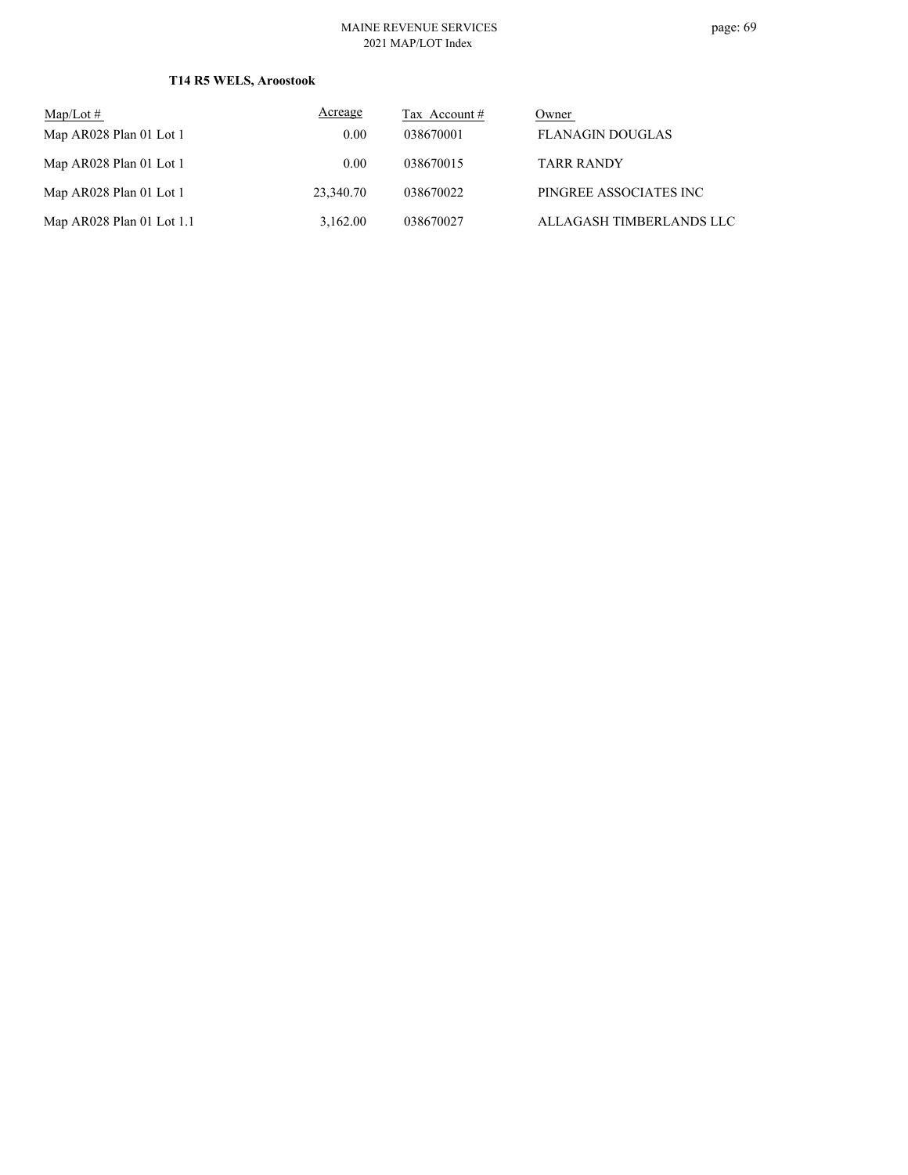#### MAINE REVENUE SERVICES 2021 MAP/LOT Index

| $Map/Lot \#$                | Acreage   | Tax Account # | Owner                    |
|-----------------------------|-----------|---------------|--------------------------|
| Map AR028 Plan 01 Lot 1     | 0.00      | 038670001     | <b>FLANAGIN DOUGLAS</b>  |
| Map AR028 Plan 01 Lot 1     | 0.00      | 038670015     | <b>TARR RANDY</b>        |
| Map AR028 Plan 01 Lot 1     | 23,340.70 | 038670022     | PINGREE ASSOCIATES INC   |
| Map $AR028$ Plan 01 Lot 1.1 | 3,162.00  | 038670027     | ALLAGASH TIMBERLANDS LLC |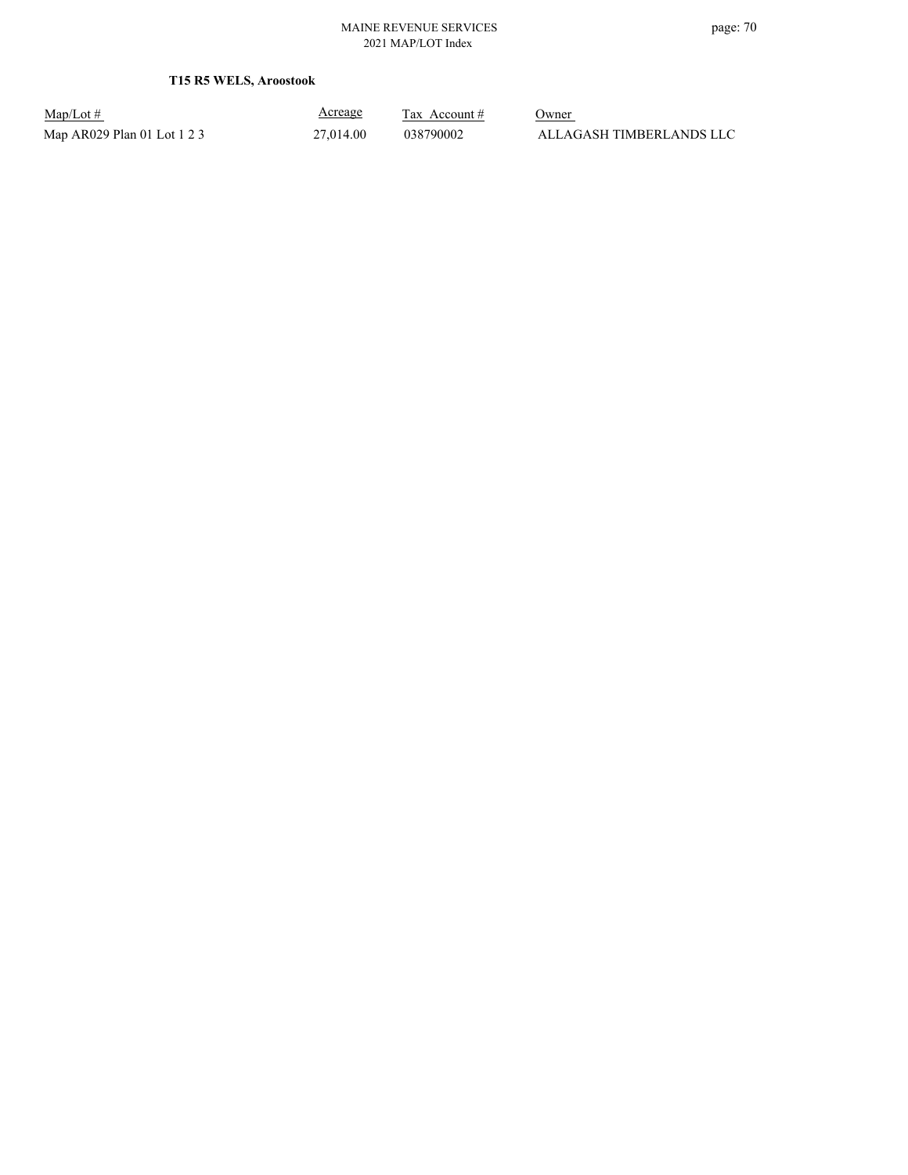| $Map/Lot \#$                |  |
|-----------------------------|--|
| Map AR029 Plan 01 Lot 1 2 3 |  |

Acreage

 $\frac{\text{Tax} \text{ Account #}}{}$  Owner  $27{,}014.00 \qquad \qquad 038790002 \qquad \qquad \text{ALLAGASH TIMBERLANDS LLC}$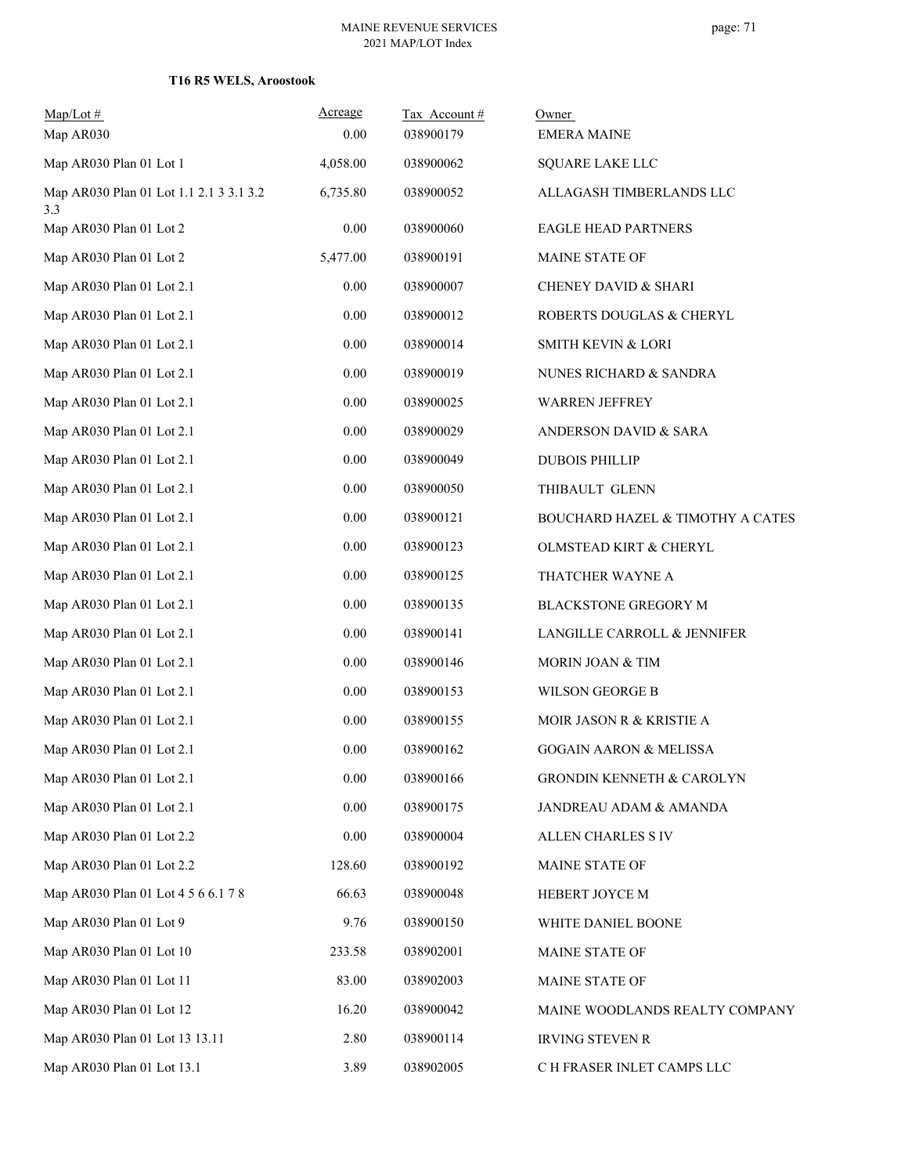| $Map/Lot \#$                                   | Acreage  | Tax Account# | Owner                                |
|------------------------------------------------|----------|--------------|--------------------------------------|
| Map AR030                                      | 0.00     | 038900179    | <b>EMERA MAINE</b>                   |
| Map AR030 Plan 01 Lot 1                        | 4,058.00 | 038900062    | SQUARE LAKE LLC                      |
| Map AR030 Plan 01 Lot 1.1 2.1 3 3.1 3.2<br>3.3 | 6,735.80 | 038900052    | ALLAGASH TIMBERLANDS LLC             |
| Map AR030 Plan 01 Lot 2                        | $0.00\,$ | 038900060    | <b>EAGLE HEAD PARTNERS</b>           |
| Map AR030 Plan 01 Lot 2                        | 5,477.00 | 038900191    | MAINE STATE OF                       |
| Map AR030 Plan 01 Lot 2.1                      | 0.00     | 038900007    | CHENEY DAVID & SHARI                 |
| Map AR030 Plan 01 Lot 2.1                      | $0.00\,$ | 038900012    | ROBERTS DOUGLAS & CHERYL             |
| Map AR030 Plan 01 Lot 2.1                      | 0.00     | 038900014    | <b>SMITH KEVIN &amp; LORI</b>        |
| Map AR030 Plan 01 Lot 2.1                      | $0.00\,$ | 038900019    | NUNES RICHARD & SANDRA               |
| Map AR030 Plan 01 Lot 2.1                      | 0.00     | 038900025    | <b>WARREN JEFFREY</b>                |
| Map AR030 Plan 01 Lot 2.1                      | $0.00\,$ | 038900029    | ANDERSON DAVID & SARA                |
| Map AR030 Plan 01 Lot 2.1                      | $0.00\,$ | 038900049    | <b>DUBOIS PHILLIP</b>                |
| Map AR030 Plan 01 Lot 2.1                      | 0.00     | 038900050    | THIBAULT GLENN                       |
| Map AR030 Plan 01 Lot 2.1                      | $0.00\,$ | 038900121    | BOUCHARD HAZEL & TIMOTHY A CATES     |
| Map AR030 Plan 01 Lot 2.1                      | $0.00\,$ | 038900123    | OLMSTEAD KIRT & CHERYL               |
| Map AR030 Plan 01 Lot 2.1                      | 0.00     | 038900125    | THATCHER WAYNE A                     |
| Map AR030 Plan 01 Lot 2.1                      | $0.00\,$ | 038900135    | <b>BLACKSTONE GREGORY M</b>          |
| Map AR030 Plan 01 Lot 2.1                      | 0.00     | 038900141    | LANGILLE CARROLL & JENNIFER          |
| Map AR030 Plan 01 Lot 2.1                      | $0.00\,$ | 038900146    | MORIN JOAN & TIM                     |
| Map AR030 Plan 01 Lot 2.1                      | $0.00\,$ | 038900153    | WILSON GEORGE B                      |
| Map AR030 Plan 01 Lot 2.1                      | 0.00     | 038900155    | MOIR JASON R & KRISTIE A             |
| Map AR030 Plan 01 Lot 2.1                      | 0.00     | 038900162    | <b>GOGAIN AARON &amp; MELISSA</b>    |
| Map AR030 Plan 01 Lot 2.1                      | $0.00\,$ | 038900166    | <b>GRONDIN KENNETH &amp; CAROLYN</b> |
| Map AR030 Plan 01 Lot 2.1                      | $0.00\,$ | 038900175    | JANDREAU ADAM & AMANDA               |
| Map AR030 Plan 01 Lot 2.2                      | 0.00     | 038900004    | ALLEN CHARLES S IV                   |
| Map AR030 Plan 01 Lot 2.2                      | 128.60   | 038900192    | MAINE STATE OF                       |
| Map AR030 Plan 01 Lot 4 5 6 6.1 7 8            | 66.63    | 038900048    | HEBERT JOYCE M                       |
| Map AR030 Plan 01 Lot 9                        | 9.76     | 038900150    | WHITE DANIEL BOONE                   |
| Map AR030 Plan 01 Lot 10                       | 233.58   | 038902001    | MAINE STATE OF                       |
| Map AR030 Plan 01 Lot 11                       | 83.00    | 038902003    | MAINE STATE OF                       |
| Map AR030 Plan 01 Lot 12                       | 16.20    | 038900042    | MAINE WOODLANDS REALTY COMPANY       |
| Map AR030 Plan 01 Lot 13 13.11                 | 2.80     | 038900114    | <b>IRVING STEVEN R</b>               |
| Map AR030 Plan 01 Lot 13.1                     | 3.89     | 038902005    | C H FRASER INLET CAMPS LLC           |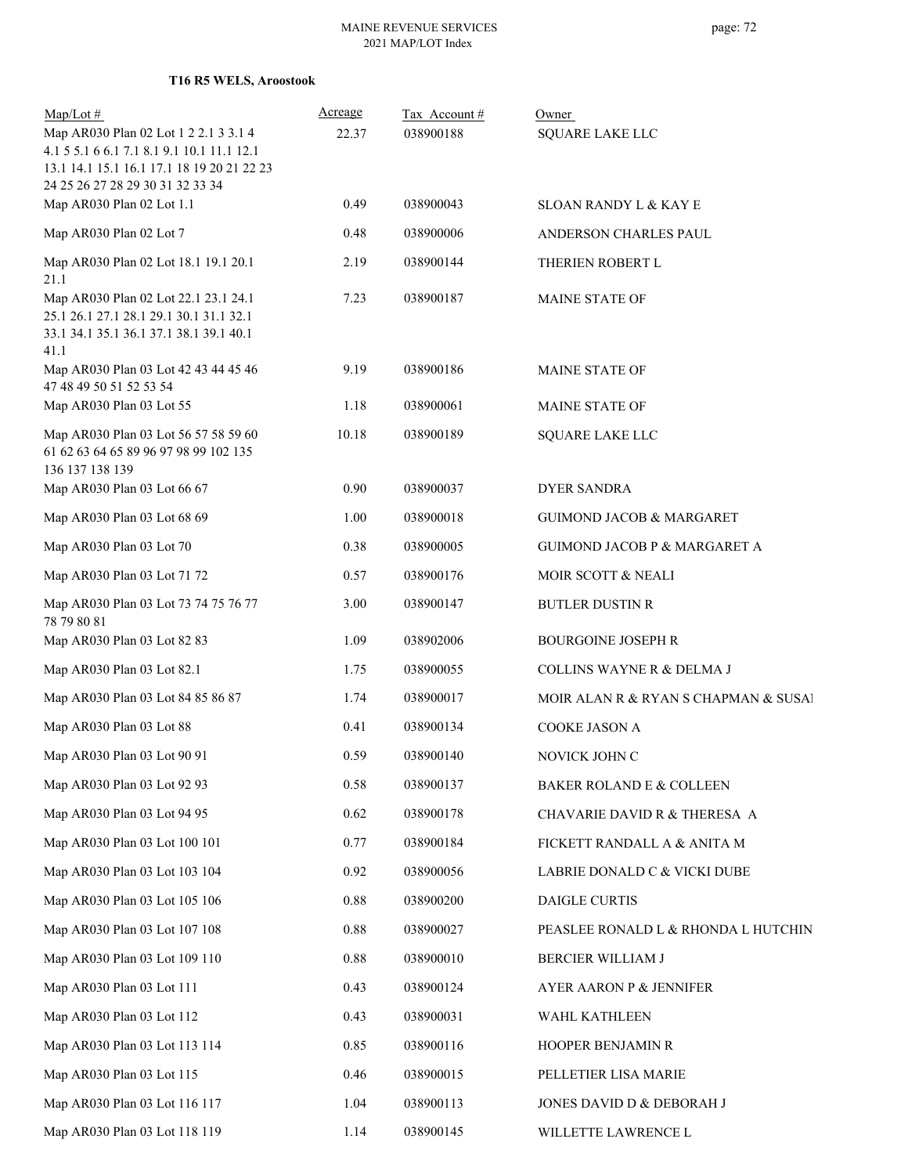**T16 R5 WELS, Aroostook**

| $Map/Lot \#$<br>Map AR030 Plan 02 Lot 1 2 2.1 3 3.1 4<br>4.1 5 5.1 6 6.1 7.1 8.1 9.1 10.1 11.1 12.1                                | Acreage<br>22.37 | Tax Account#<br>038900188 | Owner<br><b>SQUARE LAKE LLC</b>         |
|------------------------------------------------------------------------------------------------------------------------------------|------------------|---------------------------|-----------------------------------------|
| 13.1 14.1 15.1 16.1 17.1 18 19 20 21 22 23<br>24 25 26 27 28 29 30 31 32 33 34                                                     |                  |                           |                                         |
| Map AR030 Plan 02 Lot 1.1                                                                                                          | 0.49             | 038900043                 | <b>SLOAN RANDY L &amp; KAY E</b>        |
| Map AR030 Plan 02 Lot 7                                                                                                            | 0.48             | 038900006                 | ANDERSON CHARLES PAUL                   |
| Map AR030 Plan 02 Lot 18.1 19.1 20.1<br>21.1                                                                                       | 2.19             | 038900144                 | THERIEN ROBERT L                        |
| Map AR030 Plan 02 Lot 22.1 23.1 24.1<br>25.1 26.1 27.1 28.1 29.1 30.1 31.1 32.1<br>33.1 34.1 35.1 36.1 37.1 38.1 39.1 40.1<br>41.1 | 7.23             | 038900187                 | <b>MAINE STATE OF</b>                   |
| Map AR030 Plan 03 Lot 42 43 44 45 46<br>47 48 49 50 51 52 53 54                                                                    | 9.19             | 038900186                 | <b>MAINE STATE OF</b>                   |
| Map AR030 Plan 03 Lot 55                                                                                                           | 1.18             | 038900061                 | MAINE STATE OF                          |
| Map AR030 Plan 03 Lot 56 57 58 59 60<br>61 62 63 64 65 89 96 97 98 99 102 135<br>136 137 138 139                                   | 10.18            | 038900189                 | <b>SQUARE LAKE LLC</b>                  |
| Map AR030 Plan 03 Lot 66 67                                                                                                        | 0.90             | 038900037                 | <b>DYER SANDRA</b>                      |
| Map AR030 Plan 03 Lot 68 69                                                                                                        | 1.00             | 038900018                 | <b>GUIMOND JACOB &amp; MARGARET</b>     |
| Map AR030 Plan 03 Lot 70                                                                                                           | 0.38             | 038900005                 | <b>GUIMOND JACOB P &amp; MARGARET A</b> |
| Map AR030 Plan 03 Lot 71 72                                                                                                        | 0.57             | 038900176                 | MOIR SCOTT & NEALI                      |
| Map AR030 Plan 03 Lot 73 74 75 76 77<br>78 79 80 81                                                                                | 3.00             | 038900147                 | <b>BUTLER DUSTIN R</b>                  |
| Map AR030 Plan 03 Lot 82 83                                                                                                        | 1.09             | 038902006                 | <b>BOURGOINE JOSEPH R</b>               |
| Map AR030 Plan 03 Lot 82.1                                                                                                         | 1.75             | 038900055                 | COLLINS WAYNE R & DELMA J               |
| Map AR030 Plan 03 Lot 84 85 86 87                                                                                                  | 1.74             | 038900017                 | MOIR ALAN R & RYAN S CHAPMAN & SUSAI    |
| Map AR030 Plan 03 Lot 88                                                                                                           | 0.41             | 038900134                 | COOKE JASON A                           |
| Map AR030 Plan 03 Lot 90 91                                                                                                        | 0.59             | 038900140                 | NOVICK JOHN C                           |
| Map AR030 Plan 03 Lot 92 93                                                                                                        | 0.58             | 038900137                 | BAKER ROLAND E & COLLEEN                |
| Map AR030 Plan 03 Lot 94 95                                                                                                        | 0.62             | 038900178                 | CHAVARIE DAVID R & THERESA A            |
| Map AR030 Plan 03 Lot 100 101                                                                                                      | 0.77             | 038900184                 | FICKETT RANDALL A & ANITA M             |
| Map AR030 Plan 03 Lot 103 104                                                                                                      | 0.92             | 038900056                 | LABRIE DONALD C $\&$ VICKI DUBE         |
| Map AR030 Plan 03 Lot 105 106                                                                                                      | 0.88             | 038900200                 | DAIGLE CURTIS                           |
| Map AR030 Plan 03 Lot 107 108                                                                                                      | 0.88             | 038900027                 | PEASLEE RONALD L & RHONDA L HUTCHIN     |
| Map AR030 Plan 03 Lot 109 110                                                                                                      | 0.88             | 038900010                 | BERCIER WILLIAM J                       |
| Map AR030 Plan 03 Lot 111                                                                                                          | 0.43             | 038900124                 | AYER AARON P & JENNIFER                 |
| Map AR030 Plan 03 Lot 112                                                                                                          | 0.43             | 038900031                 | WAHL KATHLEEN                           |
| Map AR030 Plan 03 Lot 113 114                                                                                                      | 0.85             | 038900116                 | HOOPER BENJAMIN R                       |
| Map AR030 Plan 03 Lot 115                                                                                                          | 0.46             | 038900015                 | PELLETIER LISA MARIE                    |
| Map AR030 Plan 03 Lot 116 117                                                                                                      | 1.04             | 038900113                 | JONES DAVID D & DEBORAH J               |
| Map AR030 Plan 03 Lot 118 119                                                                                                      | 1.14             | 038900145                 | WILLETTE LAWRENCE L                     |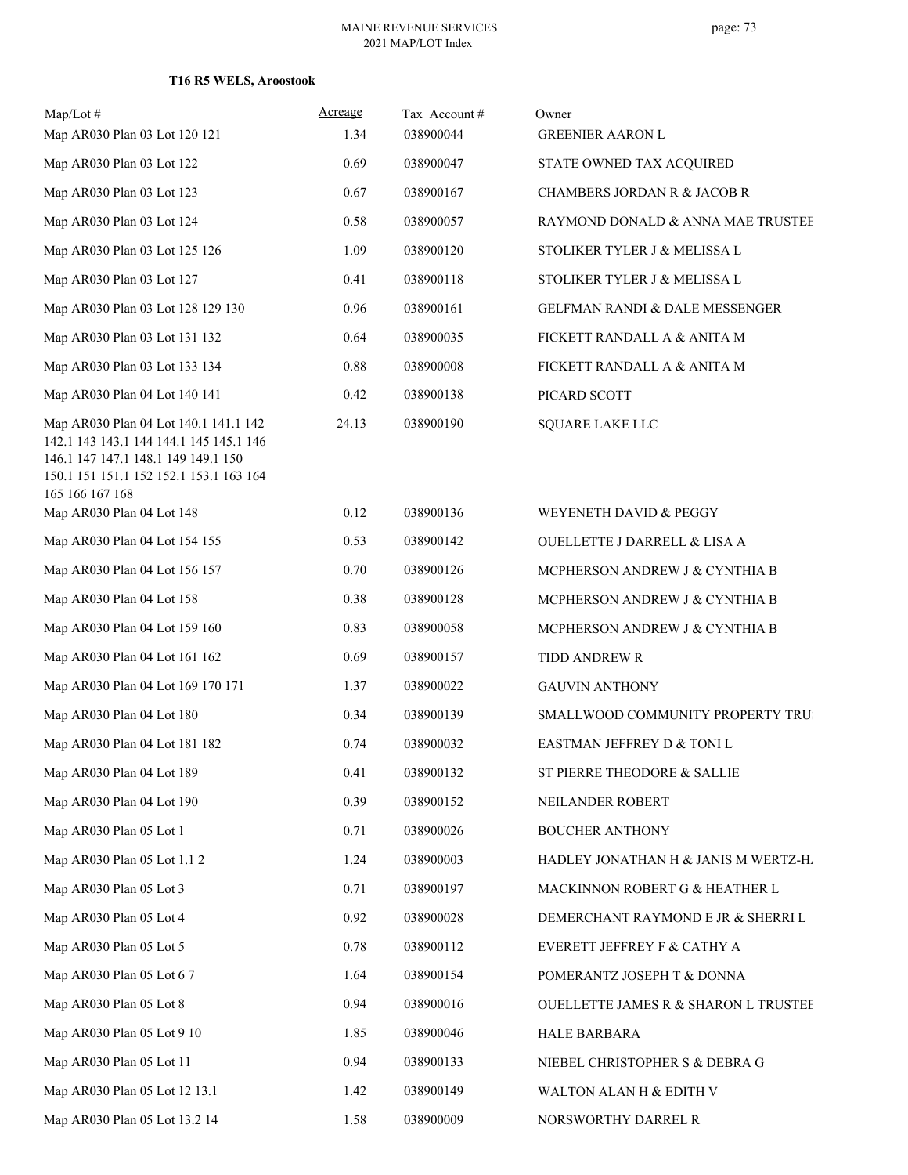## **T16 R5 WELS, Aroostook**

| $Map/Lot \#$<br>Map AR030 Plan 03 Lot 120 121                                                                                                                                         | Acreage<br>1.34 | Tax Account#<br>038900044 | Owner<br><b>GREENIER AARON L</b>     |
|---------------------------------------------------------------------------------------------------------------------------------------------------------------------------------------|-----------------|---------------------------|--------------------------------------|
| Map AR030 Plan 03 Lot 122                                                                                                                                                             | 0.69            | 038900047                 | STATE OWNED TAX ACQUIRED             |
| Map AR030 Plan 03 Lot 123                                                                                                                                                             | 0.67            | 038900167                 | CHAMBERS JORDAN R & JACOB R          |
| Map AR030 Plan 03 Lot 124                                                                                                                                                             | 0.58            | 038900057                 | RAYMOND DONALD & ANNA MAE TRUSTEE    |
| Map AR030 Plan 03 Lot 125 126                                                                                                                                                         | 1.09            | 038900120                 | STOLIKER TYLER J & MELISSA L         |
| Map AR030 Plan 03 Lot 127                                                                                                                                                             | 0.41            | 038900118                 | STOLIKER TYLER J & MELISSA L         |
| Map AR030 Plan 03 Lot 128 129 130                                                                                                                                                     | 0.96            | 038900161                 | GELFMAN RANDI & DALE MESSENGER       |
| Map AR030 Plan 03 Lot 131 132                                                                                                                                                         | 0.64            | 038900035                 | FICKETT RANDALL A & ANITA M          |
| Map AR030 Plan 03 Lot 133 134                                                                                                                                                         | 0.88            | 038900008                 | FICKETT RANDALL A & ANITA M          |
| Map AR030 Plan 04 Lot 140 141                                                                                                                                                         | 0.42            | 038900138                 | PICARD SCOTT                         |
| Map AR030 Plan 04 Lot 140.1 141.1 142<br>142.1 143 143.1 144 144.1 145 145.1 146<br>146.1 147 147.1 148.1 149 149.1 150<br>150.1 151 151.1 152 152.1 153.1 163 164<br>165 166 167 168 | 24.13           | 038900190                 | <b>SQUARE LAKE LLC</b>               |
| Map AR030 Plan 04 Lot 148                                                                                                                                                             | 0.12            | 038900136                 | WEYENETH DAVID & PEGGY               |
| Map AR030 Plan 04 Lot 154 155                                                                                                                                                         | 0.53            | 038900142                 | OUELLETTE J DARRELL & LISA A         |
| Map AR030 Plan 04 Lot 156 157                                                                                                                                                         | 0.70            | 038900126                 | MCPHERSON ANDREW J & CYNTHIA B       |
| Map AR030 Plan 04 Lot 158                                                                                                                                                             | 0.38            | 038900128                 | MCPHERSON ANDREW J & CYNTHIA B       |
| Map AR030 Plan 04 Lot 159 160                                                                                                                                                         | 0.83            | 038900058                 | MCPHERSON ANDREW J & CYNTHIA B       |
| Map AR030 Plan 04 Lot 161 162                                                                                                                                                         | 0.69            | 038900157                 | TIDD ANDREW R                        |
| Map AR030 Plan 04 Lot 169 170 171                                                                                                                                                     | 1.37            | 038900022                 | <b>GAUVIN ANTHONY</b>                |
| Map AR030 Plan 04 Lot 180                                                                                                                                                             | 0.34            | 038900139                 | SMALLWOOD COMMUNITY PROPERTY TRU     |
| Map AR030 Plan 04 Lot 181 182                                                                                                                                                         | 0.74            | 038900032                 | EASTMAN JEFFREY D & TONI L           |
| Map AR030 Plan 04 Lot 189                                                                                                                                                             | 0.41            | 038900132                 | ST PIERRE THEODORE & SALLIE          |
| Map AR030 Plan 04 Lot 190                                                                                                                                                             | 0.39            | 038900152                 | NEILANDER ROBERT                     |
| Map AR030 Plan 05 Lot 1                                                                                                                                                               | 0.71            | 038900026                 | <b>BOUCHER ANTHONY</b>               |
| Map AR030 Plan 05 Lot 1.1 2                                                                                                                                                           | 1.24            | 038900003                 | HADLEY JONATHAN H & JANIS M WERTZ-H. |
| Map AR030 Plan 05 Lot 3                                                                                                                                                               | 0.71            | 038900197                 | MACKINNON ROBERT G & HEATHER L       |
| Map AR030 Plan 05 Lot 4                                                                                                                                                               | 0.92            | 038900028                 | DEMERCHANT RAYMOND E JR & SHERRI L   |
| Map AR030 Plan 05 Lot 5                                                                                                                                                               | 0.78            | 038900112                 | EVERETT JEFFREY F & CATHY A          |
| Map AR030 Plan 05 Lot 6 7                                                                                                                                                             | 1.64            | 038900154                 | POMERANTZ JOSEPH T & DONNA           |
| Map AR030 Plan 05 Lot 8                                                                                                                                                               | 0.94            | 038900016                 | OUELLETTE JAMES R & SHARON L TRUSTEE |
| Map AR030 Plan 05 Lot 9 10                                                                                                                                                            | 1.85            | 038900046                 | HALE BARBARA                         |
| Map AR030 Plan 05 Lot 11                                                                                                                                                              | 0.94            | 038900133                 | NIEBEL CHRISTOPHER S & DEBRA G       |
| Map AR030 Plan 05 Lot 12 13.1                                                                                                                                                         | 1.42            | 038900149                 | WALTON ALAN H & EDITH V              |
| Map AR030 Plan 05 Lot 13.2 14                                                                                                                                                         | 1.58            | 038900009                 | NORSWORTHY DARREL R                  |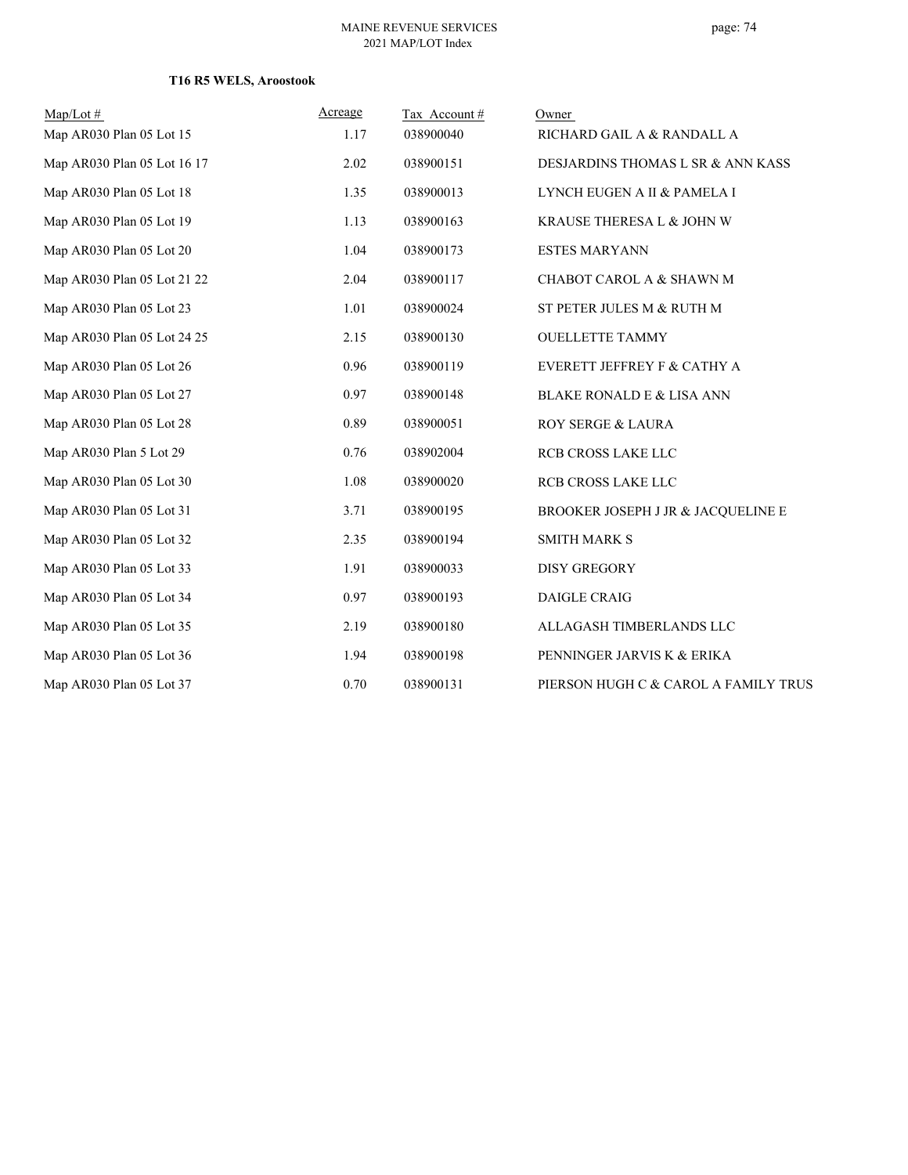## **T16 R5 WELS, Aroostook**

| $Map/Lot \#$                | Acreage | Tax Account# | Owner                                |
|-----------------------------|---------|--------------|--------------------------------------|
| Map AR030 Plan 05 Lot 15    | 1.17    | 038900040    | RICHARD GAIL A & RANDALL A           |
| Map AR030 Plan 05 Lot 16 17 | 2.02    | 038900151    | DESJARDINS THOMAS L SR & ANN KASS    |
| Map AR030 Plan 05 Lot 18    | 1.35    | 038900013    | LYNCH EUGEN A II & PAMELA I          |
| Map AR030 Plan 05 Lot 19    | 1.13    | 038900163    | KRAUSE THERESA L & JOHN W            |
| Map AR030 Plan 05 Lot 20    | 1.04    | 038900173    | <b>ESTES MARYANN</b>                 |
| Map AR030 Plan 05 Lot 21 22 | 2.04    | 038900117    | CHABOT CAROL A & SHAWN M             |
| Map AR030 Plan 05 Lot 23    | 1.01    | 038900024    | ST PETER JULES M & RUTH M            |
| Map AR030 Plan 05 Lot 24 25 | 2.15    | 038900130    | <b>OUELLETTE TAMMY</b>               |
| Map AR030 Plan 05 Lot 26    | 0.96    | 038900119    | EVERETT JEFFREY F & CATHY A          |
| Map AR030 Plan 05 Lot 27    | 0.97    | 038900148    | <b>BLAKE RONALD E &amp; LISA ANN</b> |
| Map AR030 Plan 05 Lot 28    | 0.89    | 038900051    | ROY SERGE & LAURA                    |
| Map AR030 Plan 5 Lot 29     | 0.76    | 038902004    | RCB CROSS LAKE LLC                   |
| Map AR030 Plan 05 Lot 30    | 1.08    | 038900020    | <b>RCB CROSS LAKE LLC</b>            |
| Map AR030 Plan 05 Lot 31    | 3.71    | 038900195    | BROOKER JOSEPH J JR & JACQUELINE E   |
| Map AR030 Plan 05 Lot 32    | 2.35    | 038900194    | <b>SMITH MARK S</b>                  |
| Map AR030 Plan 05 Lot 33    | 1.91    | 038900033    | <b>DISY GREGORY</b>                  |
| Map AR030 Plan 05 Lot 34    | 0.97    | 038900193    | DAIGLE CRAIG                         |
| Map AR030 Plan 05 Lot 35    | 2.19    | 038900180    | ALLAGASH TIMBERLANDS LLC             |
| Map AR030 Plan 05 Lot 36    | 1.94    | 038900198    | PENNINGER JARVIS K & ERIKA           |
| Map AR030 Plan 05 Lot 37    | 0.70    | 038900131    | PIERSON HUGH C & CAROL A FAMILY TRUS |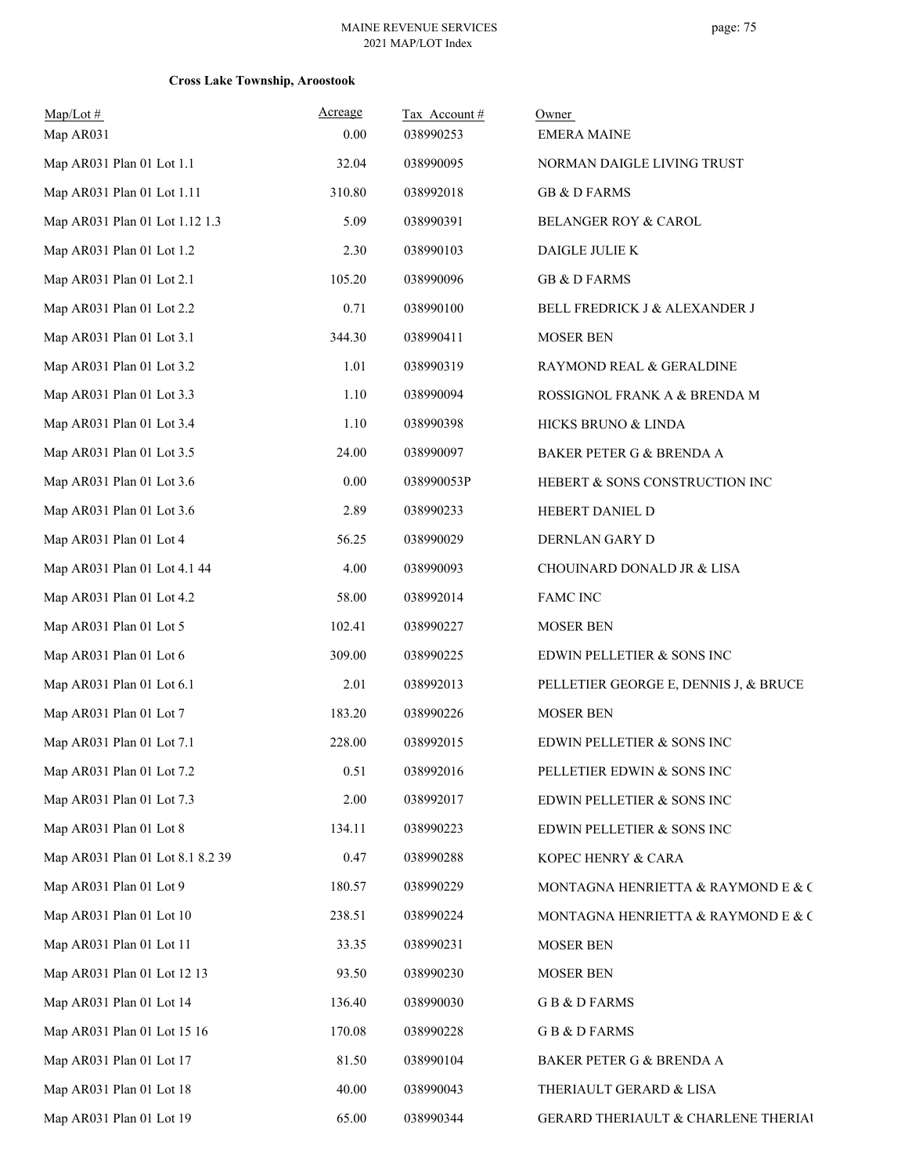| $Map/Lot$ #<br>Map AR031         | Acreage<br>0.00 | Tax Account#<br>038990253 | Owner<br><b>EMERA MAINE</b>           |
|----------------------------------|-----------------|---------------------------|---------------------------------------|
| Map AR031 Plan 01 Lot 1.1        | 32.04           | 038990095                 | NORMAN DAIGLE LIVING TRUST            |
| Map AR031 Plan 01 Lot 1.11       | 310.80          | 038992018                 | <b>GB &amp; D FARMS</b>               |
| Map AR031 Plan 01 Lot 1.12 1.3   | 5.09            | 038990391                 | <b>BELANGER ROY &amp; CAROL</b>       |
| Map AR031 Plan 01 Lot 1.2        | 2.30            | 038990103                 | DAIGLE JULIE K                        |
| Map AR031 Plan 01 Lot 2.1        | 105.20          | 038990096                 | <b>GB &amp; D FARMS</b>               |
| Map AR031 Plan 01 Lot 2.2        | 0.71            | 038990100                 | BELL FREDRICK J & ALEXANDER J         |
| Map AR031 Plan 01 Lot 3.1        | 344.30          | 038990411                 | <b>MOSER BEN</b>                      |
| Map AR031 Plan 01 Lot 3.2        | 1.01            | 038990319                 | RAYMOND REAL & GERALDINE              |
| Map AR031 Plan 01 Lot 3.3        | 1.10            | 038990094                 | ROSSIGNOL FRANK A & BRENDA M          |
| Map AR031 Plan 01 Lot 3.4        | 1.10            | 038990398                 | HICKS BRUNO & LINDA                   |
| Map AR031 Plan 01 Lot 3.5        | 24.00           | 038990097                 | BAKER PETER G & BRENDA A              |
| Map AR031 Plan 01 Lot 3.6        | 0.00            | 038990053P                | HEBERT & SONS CONSTRUCTION INC        |
| Map AR031 Plan 01 Lot 3.6        | 2.89            | 038990233                 | HEBERT DANIEL D                       |
| Map AR031 Plan 01 Lot 4          | 56.25           | 038990029                 | DERNLAN GARY D                        |
| Map AR031 Plan 01 Lot 4.1 44     | 4.00            | 038990093                 | CHOUINARD DONALD JR & LISA            |
| Map AR031 Plan 01 Lot 4.2        | 58.00           | 038992014                 | <b>FAMC INC</b>                       |
| Map AR031 Plan 01 Lot 5          | 102.41          | 038990227                 | <b>MOSER BEN</b>                      |
| Map AR031 Plan 01 Lot 6          | 309.00          | 038990225                 | EDWIN PELLETIER & SONS INC            |
| Map AR031 Plan 01 Lot 6.1        | 2.01            | 038992013                 | PELLETIER GEORGE E, DENNIS J, & BRUCE |
| Map AR031 Plan 01 Lot 7          | 183.20          | 038990226                 | <b>MOSER BEN</b>                      |
| Map AR031 Plan 01 Lot 7.1        | 228.00          | 038992015                 | EDWIN PELLETIER & SONS INC            |
| Map AR031 Plan 01 Lot 7.2        | 0.51            | 038992016                 | PELLETIER EDWIN & SONS INC            |
| Map AR031 Plan 01 Lot 7.3        | 2.00            | 038992017                 | EDWIN PELLETIER & SONS INC            |
| Map AR031 Plan 01 Lot 8          | 134.11          | 038990223                 | EDWIN PELLETIER & SONS INC            |
| Map AR031 Plan 01 Lot 8.1 8.2 39 | 0.47            | 038990288                 | KOPEC HENRY & CARA                    |
| Map AR031 Plan 01 Lot 9          | 180.57          | 038990229                 | MONTAGNA HENRIETTA & RAYMOND E & C    |
| Map AR031 Plan 01 Lot 10         | 238.51          | 038990224                 | MONTAGNA HENRIETTA & RAYMOND E & C    |
| Map AR031 Plan 01 Lot 11         | 33.35           | 038990231                 | <b>MOSER BEN</b>                      |
| Map AR031 Plan 01 Lot 12 13      | 93.50           | 038990230                 | <b>MOSER BEN</b>                      |
| Map AR031 Plan 01 Lot 14         | 136.40          | 038990030                 | G B & D FARMS                         |
| Map AR031 Plan 01 Lot 15 16      | 170.08          | 038990228                 | G B & D FARMS                         |
| Map AR031 Plan 01 Lot 17         | 81.50           | 038990104                 | <b>BAKER PETER G &amp; BRENDA A</b>   |
| Map AR031 Plan 01 Lot 18         | 40.00           | 038990043                 | THERIAULT GERARD & LISA               |
| Map AR031 Plan 01 Lot 19         | 65.00           | 038990344                 | GERARD THERIAULT & CHARLENE THERIAU   |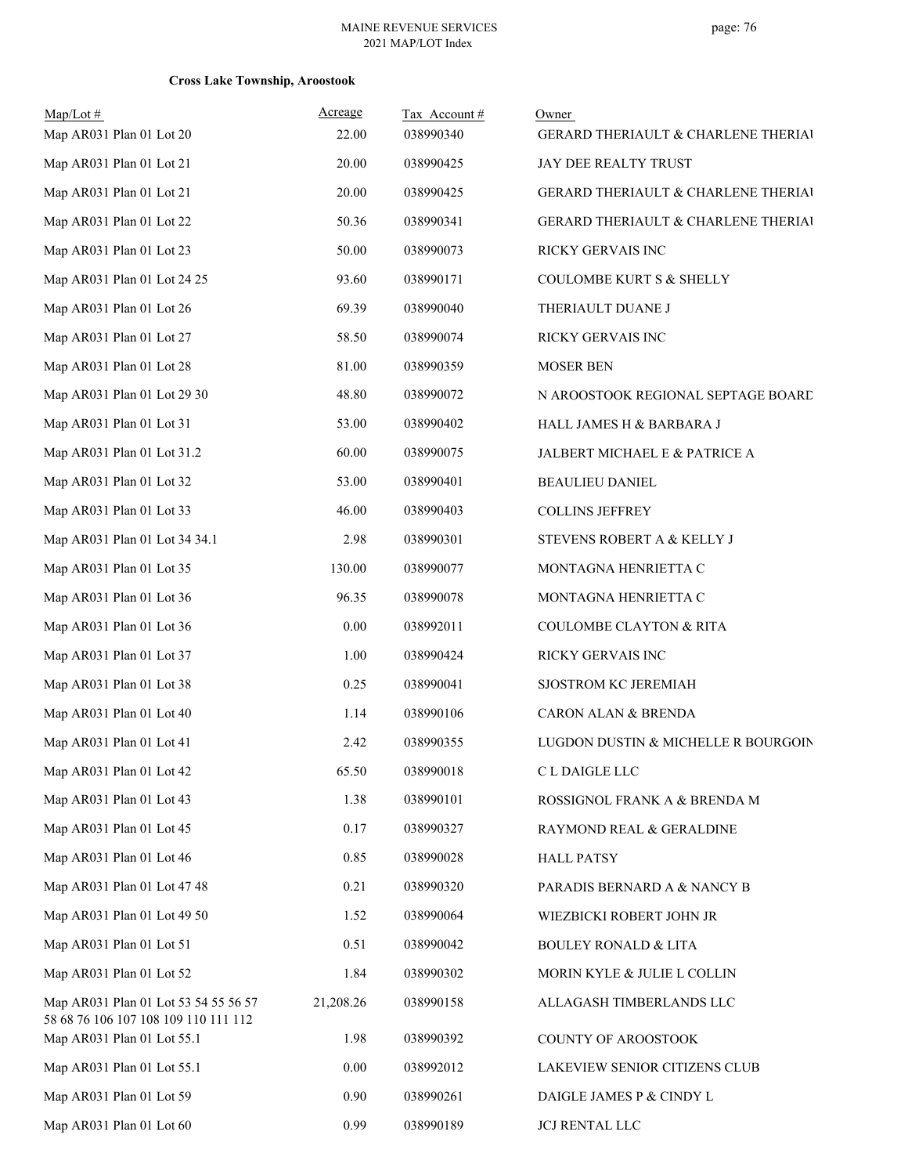| $Map/Lot \#$                                                                 | Acreage   | Tax Account# | Owner                                          |
|------------------------------------------------------------------------------|-----------|--------------|------------------------------------------------|
| Map AR031 Plan 01 Lot 20                                                     | 22.00     | 038990340    | GERARD THERIAULT & CHARLENE THERIAI            |
| Map AR031 Plan 01 Lot 21                                                     | 20.00     | 038990425    | JAY DEE REALTY TRUST                           |
| Map AR031 Plan 01 Lot 21                                                     | 20.00     | 038990425    | GERARD THERIAULT & CHARLENE THERIAI            |
| Map AR031 Plan 01 Lot 22                                                     | 50.36     | 038990341    | <b>GERARD THERIAULT &amp; CHARLENE THERIAI</b> |
| Map AR031 Plan 01 Lot 23                                                     | 50.00     | 038990073    | RICKY GERVAIS INC                              |
| Map AR031 Plan 01 Lot 24 25                                                  | 93.60     | 038990171    | <b>COULOMBE KURT S &amp; SHELLY</b>            |
| Map AR031 Plan 01 Lot 26                                                     | 69.39     | 038990040    | THERIAULT DUANE J                              |
| Map AR031 Plan 01 Lot 27                                                     | 58.50     | 038990074    | RICKY GERVAIS INC                              |
| Map AR031 Plan 01 Lot 28                                                     | 81.00     | 038990359    | <b>MOSER BEN</b>                               |
| Map AR031 Plan 01 Lot 29 30                                                  | 48.80     | 038990072    | N AROOSTOOK REGIONAL SEPTAGE BOARD             |
| Map AR031 Plan 01 Lot 31                                                     | 53.00     | 038990402    | HALL JAMES H & BARBARA J                       |
| Map AR031 Plan 01 Lot 31.2                                                   | 60.00     | 038990075    | JALBERT MICHAEL E & PATRICE A                  |
| Map AR031 Plan 01 Lot 32                                                     | 53.00     | 038990401    | <b>BEAULIEU DANIEL</b>                         |
| Map AR031 Plan 01 Lot 33                                                     | 46.00     | 038990403    | <b>COLLINS JEFFREY</b>                         |
| Map AR031 Plan 01 Lot 34 34.1                                                | 2.98      | 038990301    | STEVENS ROBERT A & KELLY J                     |
| Map AR031 Plan 01 Lot 35                                                     | 130.00    | 038990077    | MONTAGNA HENRIETTA C                           |
| Map AR031 Plan 01 Lot 36                                                     | 96.35     | 038990078    | MONTAGNA HENRIETTA C                           |
| Map AR031 Plan 01 Lot 36                                                     | 0.00      | 038992011    | <b>COULOMBE CLAYTON &amp; RITA</b>             |
| Map AR031 Plan 01 Lot 37                                                     | 1.00      | 038990424    | RICKY GERVAIS INC                              |
| Map AR031 Plan 01 Lot 38                                                     | 0.25      | 038990041    | SJOSTROM KC JEREMIAH                           |
| Map AR031 Plan 01 Lot 40                                                     | 1.14      | 038990106    | CARON ALAN & BRENDA                            |
| Map AR031 Plan 01 Lot 41                                                     | 2.42      | 038990355    | LUGDON DUSTIN & MICHELLE R BOURGOIN            |
| Map AR031 Plan 01 Lot 42                                                     | 65.50     | 038990018    | C L DAIGLE LLC                                 |
| Map AR031 Plan 01 Lot 43                                                     | 1.38      | 038990101    | ROSSIGNOL FRANK A & BRENDA M                   |
| Map AR031 Plan 01 Lot 45                                                     | 0.17      | 038990327    | RAYMOND REAL & GERALDINE                       |
| Map AR031 Plan 01 Lot 46                                                     | 0.85      | 038990028    | <b>HALL PATSY</b>                              |
| Map AR031 Plan 01 Lot 47 48                                                  | 0.21      | 038990320    | PARADIS BERNARD A & NANCY B                    |
| Map AR031 Plan 01 Lot 49 50                                                  | 1.52      | 038990064    | WIEZBICKI ROBERT JOHN JR                       |
| Map AR031 Plan 01 Lot 51                                                     | 0.51      | 038990042    | <b>BOULEY RONALD &amp; LITA</b>                |
| Map AR031 Plan 01 Lot 52                                                     | 1.84      | 038990302    | MORIN KYLE & JULIE L COLLIN                    |
| Map AR031 Plan 01 Lot 53 54 55 56 57<br>58 68 76 106 107 108 109 110 111 112 | 21,208.26 | 038990158    | ALLAGASH TIMBERLANDS LLC                       |
| Map AR031 Plan 01 Lot 55.1                                                   | 1.98      | 038990392    | COUNTY OF AROOSTOOK                            |
| Map AR031 Plan 01 Lot 55.1                                                   | 0.00      | 038992012    | LAKEVIEW SENIOR CITIZENS CLUB                  |
| Map AR031 Plan 01 Lot 59                                                     | 0.90      | 038990261    | DAIGLE JAMES P & CINDY L                       |
| Map AR031 Plan 01 Lot 60                                                     | 0.99      | 038990189    | <b>JCJ RENTAL LLC</b>                          |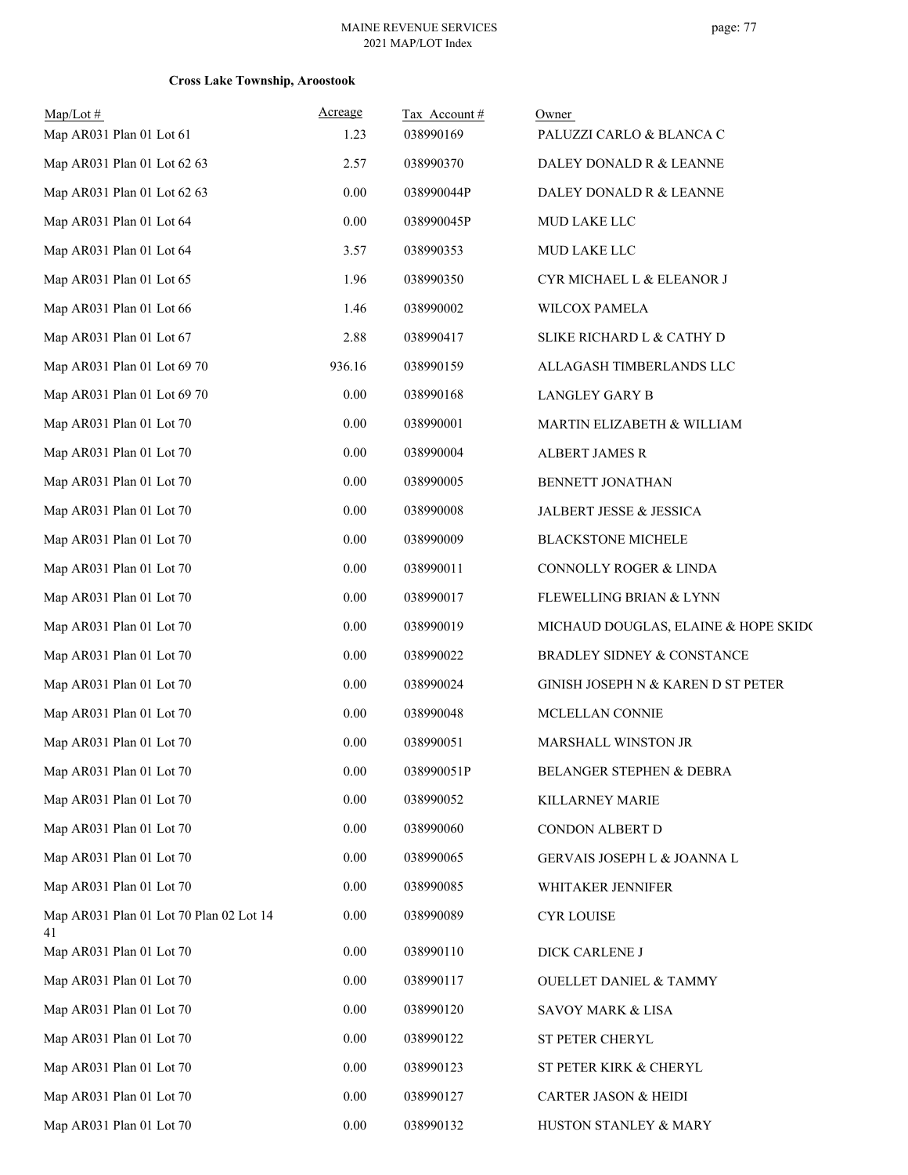| $Map/Lot \#$<br>Map AR031 Plan 01 Lot 61      | Acreage<br>1.23 | Tax Account#<br>038990169 | Owner<br>PALUZZI CARLO & BLANCA C    |
|-----------------------------------------------|-----------------|---------------------------|--------------------------------------|
| Map AR031 Plan 01 Lot 62 63                   | 2.57            | 038990370                 | DALEY DONALD R & LEANNE              |
| Map AR031 Plan 01 Lot 62 63                   | 0.00            | 038990044P                | DALEY DONALD R & LEANNE              |
| Map AR031 Plan 01 Lot 64                      | 0.00            | 038990045P                | MUD LAKE LLC                         |
| Map AR031 Plan 01 Lot 64                      | 3.57            | 038990353                 | MUD LAKE LLC                         |
| Map AR031 Plan 01 Lot 65                      | 1.96            | 038990350                 | CYR MICHAEL L & ELEANOR J            |
| Map AR031 Plan 01 Lot 66                      | 1.46            | 038990002                 | WILCOX PAMELA                        |
| Map AR031 Plan 01 Lot 67                      | 2.88            | 038990417                 | SLIKE RICHARD L & CATHY D            |
| Map AR031 Plan 01 Lot 69 70                   | 936.16          | 038990159                 | ALLAGASH TIMBERLANDS LLC             |
| Map AR031 Plan 01 Lot 69 70                   | 0.00            | 038990168                 | <b>LANGLEY GARY B</b>                |
| Map AR031 Plan 01 Lot 70                      | 0.00            | 038990001                 | MARTIN ELIZABETH & WILLIAM           |
| Map AR031 Plan 01 Lot 70                      | 0.00            | 038990004                 | ALBERT JAMES R                       |
| Map AR031 Plan 01 Lot 70                      | 0.00            | 038990005                 | BENNETT JONATHAN                     |
| Map AR031 Plan 01 Lot 70                      | 0.00            | 038990008                 | JALBERT JESSE & JESSICA              |
| Map AR031 Plan 01 Lot 70                      | 0.00            | 038990009                 | <b>BLACKSTONE MICHELE</b>            |
| Map AR031 Plan 01 Lot 70                      | 0.00            | 038990011                 | CONNOLLY ROGER & LINDA               |
| Map AR031 Plan 01 Lot 70                      | 0.00            | 038990017                 | FLEWELLING BRIAN & LYNN              |
| Map AR031 Plan 01 Lot 70                      | 0.00            | 038990019                 | MICHAUD DOUGLAS, ELAINE & HOPE SKIDO |
| Map AR031 Plan 01 Lot 70                      | 0.00            | 038990022                 | BRADLEY SIDNEY & CONSTANCE           |
| Map AR031 Plan 01 Lot 70                      | 0.00            | 038990024                 | GINISH JOSEPH N & KAREN D ST PETER   |
| Map AR031 Plan 01 Lot 70                      | 0.00            | 038990048                 | MCLELLAN CONNIE                      |
| Map AR031 Plan 01 Lot 70                      | 0.00            | 038990051                 | MARSHALL WINSTON JR                  |
| Map AR031 Plan 01 Lot 70                      | 0.00            | 038990051P                | BELANGER STEPHEN & DEBRA             |
| Map AR031 Plan 01 Lot 70                      | 0.00            | 038990052                 | KILLARNEY MARIE                      |
| Map AR031 Plan 01 Lot 70                      | 0.00            | 038990060                 | CONDON ALBERT D                      |
| Map AR031 Plan 01 Lot 70                      | 0.00            | 038990065                 | GERVAIS JOSEPH L & JOANNA L          |
| Map AR031 Plan 01 Lot 70                      | 0.00            | 038990085                 | WHITAKER JENNIFER                    |
| Map AR031 Plan 01 Lot 70 Plan 02 Lot 14<br>41 | 0.00            | 038990089                 | <b>CYR LOUISE</b>                    |
| Map AR031 Plan 01 Lot 70                      | 0.00            | 038990110                 | DICK CARLENE J                       |
| Map AR031 Plan 01 Lot 70                      | 0.00            | 038990117                 | <b>OUELLET DANIEL &amp; TAMMY</b>    |
| Map AR031 Plan 01 Lot 70                      | 0.00            | 038990120                 | SAVOY MARK & LISA                    |
| Map AR031 Plan 01 Lot 70                      | 0.00            | 038990122                 | ST PETER CHERYL                      |
| Map AR031 Plan 01 Lot 70                      | 0.00            | 038990123                 | ST PETER KIRK & CHERYL               |
| Map AR031 Plan 01 Lot 70                      | 0.00            | 038990127                 | CARTER JASON & HEIDI                 |
| Map AR031 Plan 01 Lot 70                      | $0.00\,$        | 038990132                 | HUSTON STANLEY & MARY                |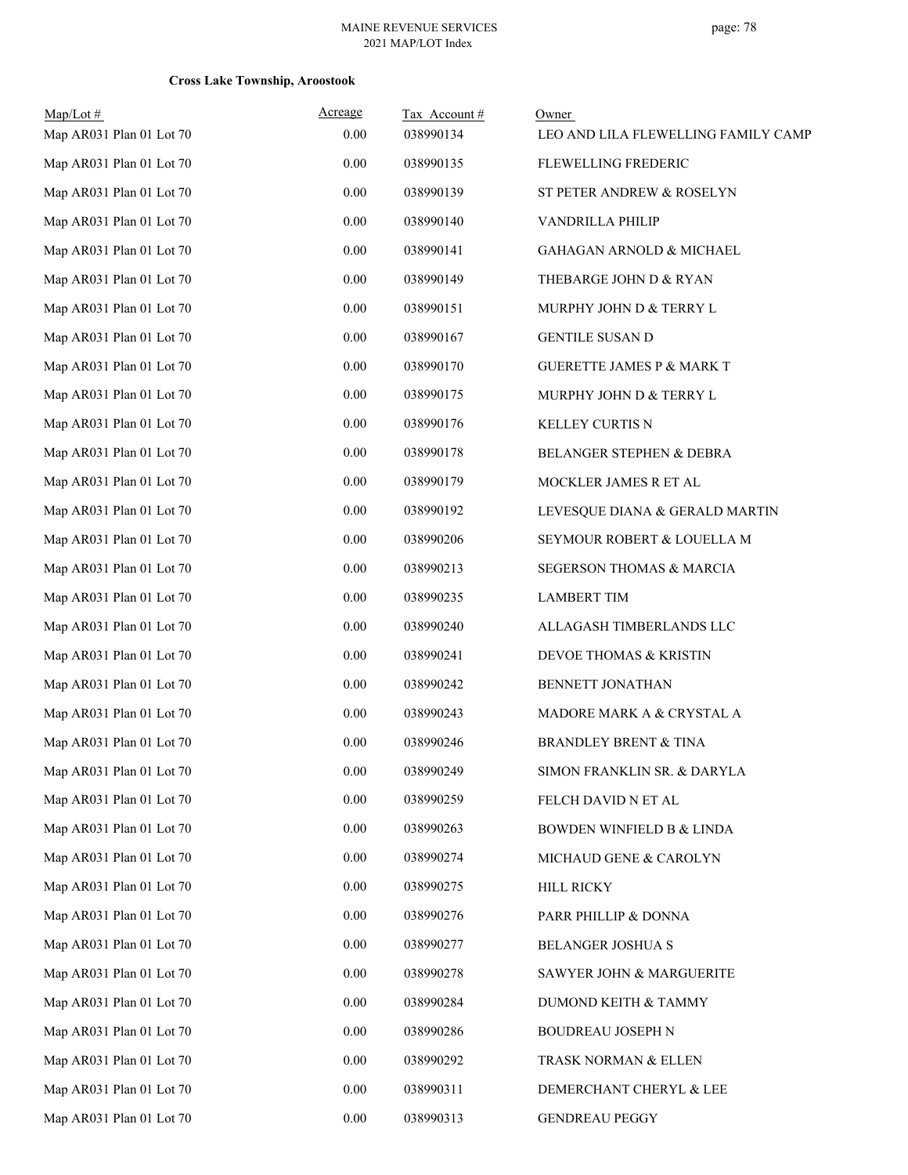| $Map/Lot \#$<br>Map AR031 Plan 01 Lot 70 | Acreage<br>0.00 | Tax Account#<br>038990134 | Owner<br>LEO AND LILA FLEWELLING FAMILY CAMP |
|------------------------------------------|-----------------|---------------------------|----------------------------------------------|
| Map AR031 Plan 01 Lot 70                 | 0.00            | 038990135                 | FLEWELLING FREDERIC                          |
| Map AR031 Plan 01 Lot 70                 | 0.00            | 038990139                 | ST PETER ANDREW & ROSELYN                    |
| Map AR031 Plan 01 Lot 70                 | 0.00            | 038990140                 | VANDRILLA PHILIP                             |
| Map AR031 Plan 01 Lot 70                 | 0.00            | 038990141                 | GAHAGAN ARNOLD & MICHAEL                     |
| Map AR031 Plan 01 Lot 70                 | 0.00            | 038990149                 | THEBARGE JOHN D & RYAN                       |
| Map AR031 Plan 01 Lot 70                 | 0.00            | 038990151                 | MURPHY JOHN D & TERRY L                      |
| Map AR031 Plan 01 Lot 70                 | 0.00            | 038990167                 | <b>GENTILE SUSAN D</b>                       |
| Map AR031 Plan 01 Lot 70                 | 0.00            | 038990170                 | <b>GUERETTE JAMES P &amp; MARK T</b>         |
| Map AR031 Plan 01 Lot 70                 | 0.00            | 038990175                 | MURPHY JOHN D & TERRY L                      |
| Map AR031 Plan 01 Lot 70                 | 0.00            | 038990176                 | KELLEY CURTIS N                              |
| Map AR031 Plan 01 Lot 70                 | 0.00            | 038990178                 | BELANGER STEPHEN & DEBRA                     |
| Map AR031 Plan 01 Lot 70                 | 0.00            | 038990179                 | MOCKLER JAMES R ET AL                        |
| Map AR031 Plan 01 Lot 70                 | 0.00            | 038990192                 | LEVESQUE DIANA & GERALD MARTIN               |
| Map AR031 Plan 01 Lot 70                 | 0.00            | 038990206                 | SEYMOUR ROBERT & LOUELLA M                   |
| Map AR031 Plan 01 Lot 70                 | 0.00            | 038990213                 | SEGERSON THOMAS & MARCIA                     |
| Map AR031 Plan 01 Lot 70                 | 0.00            | 038990235                 | <b>LAMBERT TIM</b>                           |
| Map AR031 Plan 01 Lot 70                 | 0.00            | 038990240                 | ALLAGASH TIMBERLANDS LLC                     |
| Map AR031 Plan 01 Lot 70                 | 0.00            | 038990241                 | DEVOE THOMAS & KRISTIN                       |
| Map AR031 Plan 01 Lot 70                 | 0.00            | 038990242                 | BENNETT JONATHAN                             |
| Map AR031 Plan 01 Lot 70                 | 0.00            | 038990243                 | MADORE MARK A & CRYSTAL A                    |
| Map AR031 Plan 01 Lot 70                 | 0.00            | 038990246                 | <b>BRANDLEY BRENT &amp; TINA</b>             |
| Map AR031 Plan 01 Lot 70                 | $0.00\,$        | 038990249                 | SIMON FRANKLIN SR. & DARYLA                  |
| Map AR031 Plan 01 Lot 70                 | 0.00            | 038990259                 | FELCH DAVID N ET AL                          |
| Map AR031 Plan 01 Lot 70                 | 0.00            | 038990263                 | BOWDEN WINFIELD B & LINDA                    |
| Map AR031 Plan 01 Lot 70                 | 0.00            | 038990274                 | MICHAUD GENE & CAROLYN                       |
| Map AR031 Plan 01 Lot 70                 | 0.00            | 038990275                 | <b>HILL RICKY</b>                            |
| Map AR031 Plan 01 Lot 70                 | 0.00            | 038990276                 | PARR PHILLIP & DONNA                         |
| Map AR031 Plan 01 Lot 70                 | 0.00            | 038990277                 | BELANGER JOSHUA S                            |
| Map AR031 Plan 01 Lot 70                 | 0.00            | 038990278                 | SAWYER JOHN & MARGUERITE                     |
| Map AR031 Plan 01 Lot 70                 | 0.00            | 038990284                 | DUMOND KEITH & TAMMY                         |
| Map AR031 Plan 01 Lot 70                 | 0.00            | 038990286                 | BOUDREAU JOSEPH N                            |
| Map AR031 Plan 01 Lot 70                 | 0.00            | 038990292                 | TRASK NORMAN & ELLEN                         |
| Map AR031 Plan 01 Lot 70                 | 0.00            | 038990311                 | DEMERCHANT CHERYL & LEE                      |
| Map AR031 Plan 01 Lot 70                 | $0.00\,$        | 038990313                 | <b>GENDREAU PEGGY</b>                        |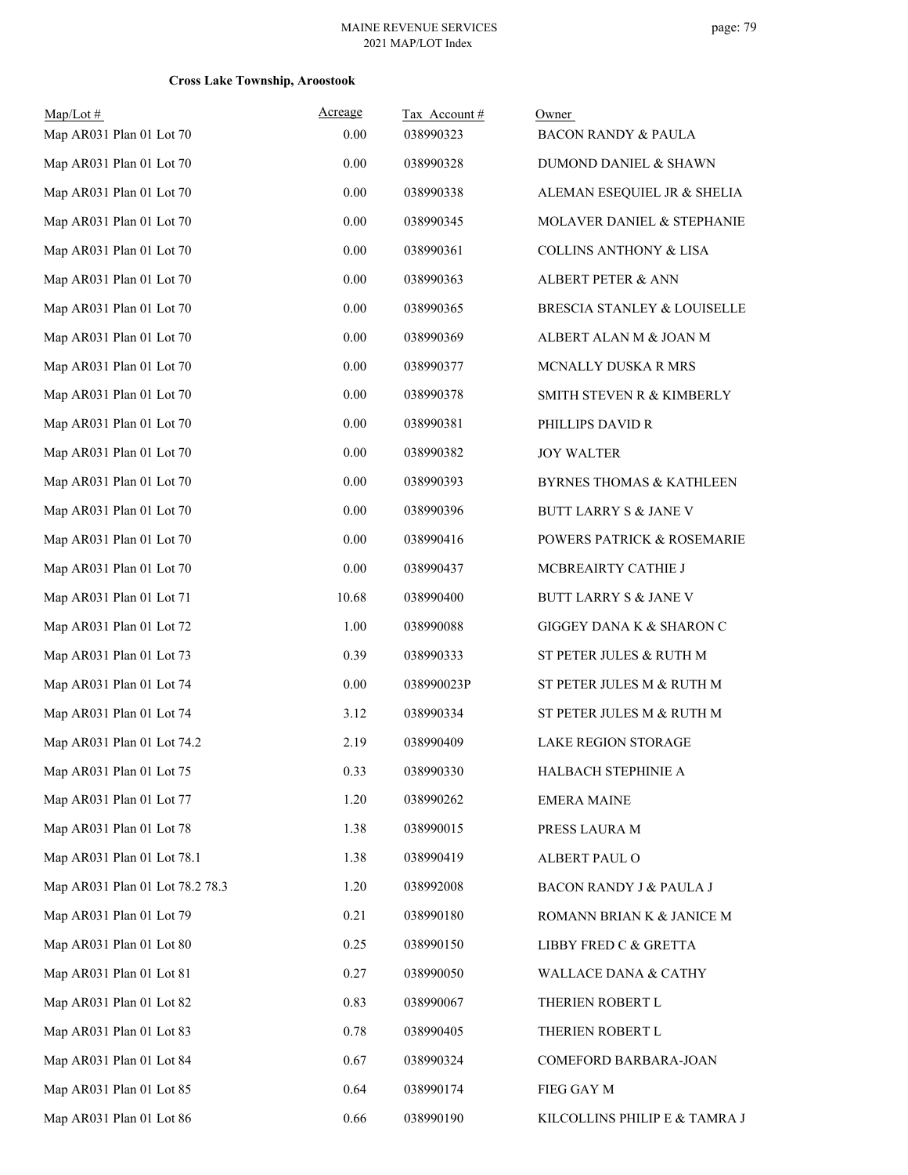| $Map/Lot$ #<br>Map AR031 Plan 01 Lot 70 | Acreage<br>0.00 | Tax Account#<br>038990323 | Owner<br><b>BACON RANDY &amp; PAULA</b> |
|-----------------------------------------|-----------------|---------------------------|-----------------------------------------|
| Map AR031 Plan 01 Lot 70                | 0.00            | 038990328                 | DUMOND DANIEL & SHAWN                   |
| Map AR031 Plan 01 Lot 70                | 0.00            | 038990338                 | ALEMAN ESEQUIEL JR & SHELIA             |
| Map AR031 Plan 01 Lot 70                | 0.00            | 038990345                 | MOLAVER DANIEL & STEPHANIE              |
| Map AR031 Plan 01 Lot 70                | 0.00            | 038990361                 | <b>COLLINS ANTHONY &amp; LISA</b>       |
| Map AR031 Plan 01 Lot 70                | 0.00            | 038990363                 | <b>ALBERT PETER &amp; ANN</b>           |
| Map AR031 Plan 01 Lot 70                | 0.00            | 038990365                 | BRESCIA STANLEY & LOUISELLE             |
| Map AR031 Plan 01 Lot 70                | 0.00            | 038990369                 | ALBERT ALAN M & JOAN M                  |
| Map AR031 Plan 01 Lot 70                | 0.00            | 038990377                 | MCNALLY DUSKA R MRS                     |
| Map AR031 Plan 01 Lot 70                | 0.00            | 038990378                 | SMITH STEVEN R & KIMBERLY               |
| Map AR031 Plan 01 Lot 70                | 0.00            | 038990381                 | PHILLIPS DAVID R                        |
| Map AR031 Plan 01 Lot 70                | 0.00            | 038990382                 | <b>JOY WALTER</b>                       |
| Map AR031 Plan 01 Lot 70                | 0.00            | 038990393                 | <b>BYRNES THOMAS &amp; KATHLEEN</b>     |
| Map AR031 Plan 01 Lot 70                | 0.00            | 038990396                 | <b>BUTT LARRY S &amp; JANE V</b>        |
| Map AR031 Plan 01 Lot 70                | 0.00            | 038990416                 | POWERS PATRICK & ROSEMARIE              |
| Map AR031 Plan 01 Lot 70                | 0.00            | 038990437                 | MCBREAIRTY CATHIE J                     |
| Map AR031 Plan 01 Lot 71                | 10.68           | 038990400                 | <b>BUTT LARRY S &amp; JANE V</b>        |
| Map AR031 Plan 01 Lot 72                | 1.00            | 038990088                 | GIGGEY DANA K & SHARON C                |
| Map AR031 Plan 01 Lot 73                | 0.39            | 038990333                 | ST PETER JULES & RUTH M                 |
| Map AR031 Plan 01 Lot 74                | 0.00            | 038990023P                | ST PETER JULES M & RUTH M               |
| Map AR031 Plan 01 Lot 74                | 3.12            | 038990334                 | ST PETER JULES M & RUTH M               |
| Map AR031 Plan 01 Lot 74.2              | 2.19            | 038990409                 | <b>LAKE REGION STORAGE</b>              |
| Map AR031 Plan 01 Lot 75                | 0.33            | 038990330                 | HALBACH STEPHINIE A                     |
| Map AR031 Plan 01 Lot 77                | 1.20            | 038990262                 | <b>EMERA MAINE</b>                      |
| Map AR031 Plan 01 Lot 78                | 1.38            | 038990015                 | PRESS LAURA M                           |
| Map AR031 Plan 01 Lot 78.1              | 1.38            | 038990419                 | ALBERT PAUL O                           |
| Map AR031 Plan 01 Lot 78.2 78.3         | 1.20            | 038992008                 | BACON RANDY J & PAULA J                 |
| Map AR031 Plan 01 Lot 79                | 0.21            | 038990180                 | ROMANN BRIAN K & JANICE M               |
| Map AR031 Plan 01 Lot 80                | 0.25            | 038990150                 | LIBBY FRED C & GRETTA                   |
| Map AR031 Plan 01 Lot 81                | 0.27            | 038990050                 | <b>WALLACE DANA &amp; CATHY</b>         |
| Map AR031 Plan 01 Lot 82                | 0.83            | 038990067                 | THERIEN ROBERT L                        |
| Map AR031 Plan 01 Lot 83                | 0.78            | 038990405                 | THERIEN ROBERT L                        |
| Map AR031 Plan 01 Lot 84                | 0.67            | 038990324                 | COMEFORD BARBARA-JOAN                   |
| Map AR031 Plan 01 Lot 85                | 0.64            | 038990174                 | FIEG GAY M                              |
| Map AR031 Plan 01 Lot 86                | 0.66            | 038990190                 | KILCOLLINS PHILIP E & TAMRA J           |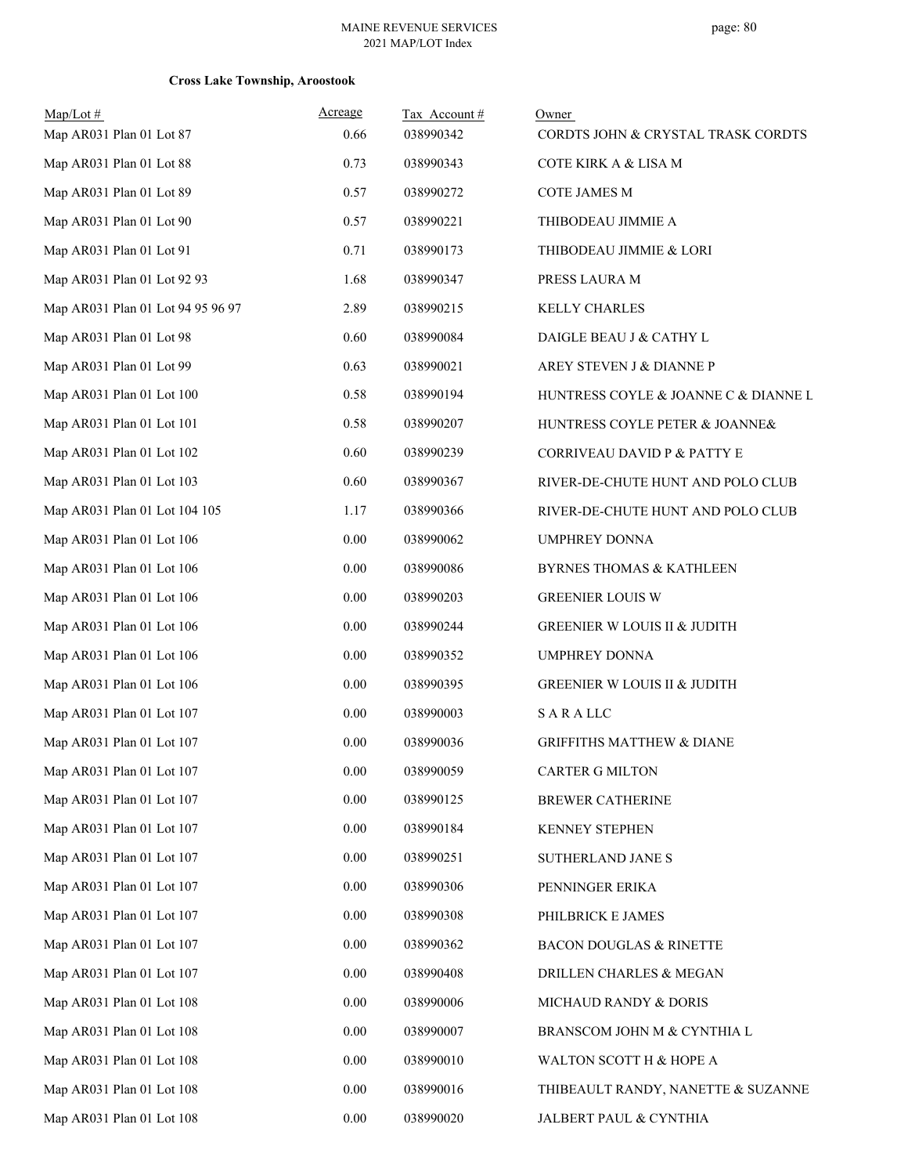| Map/Lot#                          | Acreage  | Tax Account# | Owner                                   |
|-----------------------------------|----------|--------------|-----------------------------------------|
| Map AR031 Plan 01 Lot 87          | 0.66     | 038990342    | CORDTS JOHN & CRYSTAL TRASK CORDTS      |
| Map AR031 Plan 01 Lot 88          | 0.73     | 038990343    | COTE KIRK A & LISA M                    |
| Map AR031 Plan 01 Lot 89          | 0.57     | 038990272    | <b>COTE JAMES M</b>                     |
| Map AR031 Plan 01 Lot 90          | 0.57     | 038990221    | THIBODEAU JIMMIE A                      |
| Map AR031 Plan 01 Lot 91          | 0.71     | 038990173    | THIBODEAU JIMMIE & LORI                 |
| Map AR031 Plan 01 Lot 92 93       | 1.68     | 038990347    | PRESS LAURA M                           |
| Map AR031 Plan 01 Lot 94 95 96 97 | 2.89     | 038990215    | <b>KELLY CHARLES</b>                    |
| Map AR031 Plan 01 Lot 98          | 0.60     | 038990084    | DAIGLE BEAU J & CATHY L                 |
| Map AR031 Plan 01 Lot 99          | 0.63     | 038990021    | AREY STEVEN J & DIANNE P                |
| Map AR031 Plan 01 Lot 100         | 0.58     | 038990194    | HUNTRESS COYLE & JOANNE C & DIANNE L    |
| Map AR031 Plan 01 Lot 101         | 0.58     | 038990207    | HUNTRESS COYLE PETER & JOANNE&          |
| Map AR031 Plan 01 Lot 102         | 0.60     | 038990239    | CORRIVEAU DAVID P & PATTY E             |
| Map AR031 Plan 01 Lot 103         | 0.60     | 038990367    | RIVER-DE-CHUTE HUNT AND POLO CLUB       |
| Map AR031 Plan 01 Lot 104 105     | 1.17     | 038990366    | RIVER-DE-CHUTE HUNT AND POLO CLUB       |
| Map AR031 Plan 01 Lot 106         | 0.00     | 038990062    | <b>UMPHREY DONNA</b>                    |
| Map AR031 Plan 01 Lot 106         | 0.00     | 038990086    | <b>BYRNES THOMAS &amp; KATHLEEN</b>     |
| Map AR031 Plan 01 Lot 106         | 0.00     | 038990203    | <b>GREENIER LOUIS W</b>                 |
| Map AR031 Plan 01 Lot 106         | 0.00     | 038990244    | <b>GREENIER W LOUIS II &amp; JUDITH</b> |
| Map AR031 Plan 01 Lot 106         | 0.00     | 038990352    | <b>UMPHREY DONNA</b>                    |
| Map AR031 Plan 01 Lot 106         | 0.00     | 038990395    | <b>GREENIER W LOUIS II &amp; JUDITH</b> |
| Map AR031 Plan 01 Lot 107         | 0.00     | 038990003    | SARALLC                                 |
| Map AR031 Plan 01 Lot 107         | $0.00\,$ | 038990036    | <b>GRIFFITHS MATTHEW &amp; DIANE</b>    |
| Map AR031 Plan 01 Lot 107         | 0.00     | 038990059    | <b>CARTER G MILTON</b>                  |
| Map AR031 Plan 01 Lot 107         | 0.00     | 038990125    | <b>BREWER CATHERINE</b>                 |
| Map AR031 Plan 01 Lot 107         | 0.00     | 038990184    | KENNEY STEPHEN                          |
| Map AR031 Plan 01 Lot 107         | $0.00\,$ | 038990251    | SUTHERLAND JANE S                       |
| Map AR031 Plan 01 Lot 107         | 0.00     | 038990306    | PENNINGER ERIKA                         |
| Map AR031 Plan 01 Lot 107         | 0.00     | 038990308    | PHILBRICK E JAMES                       |
| Map AR031 Plan 01 Lot 107         | 0.00     | 038990362    | <b>BACON DOUGLAS &amp; RINETTE</b>      |
| Map AR031 Plan 01 Lot 107         | 0.00     | 038990408    | DRILLEN CHARLES & MEGAN                 |
| Map AR031 Plan 01 Lot 108         | 0.00     | 038990006    | MICHAUD RANDY & DORIS                   |
| Map AR031 Plan 01 Lot 108         | 0.00     | 038990007    | BRANSCOM JOHN M & CYNTHIA L             |
| Map AR031 Plan 01 Lot 108         | 0.00     | 038990010    | WALTON SCOTT H & HOPE A                 |
| Map AR031 Plan 01 Lot 108         | $0.00\,$ | 038990016    | THIBEAULT RANDY, NANETTE & SUZANNE      |
| Map AR031 Plan 01 Lot 108         | 0.00     | 038990020    | JALBERT PAUL & CYNTHIA                  |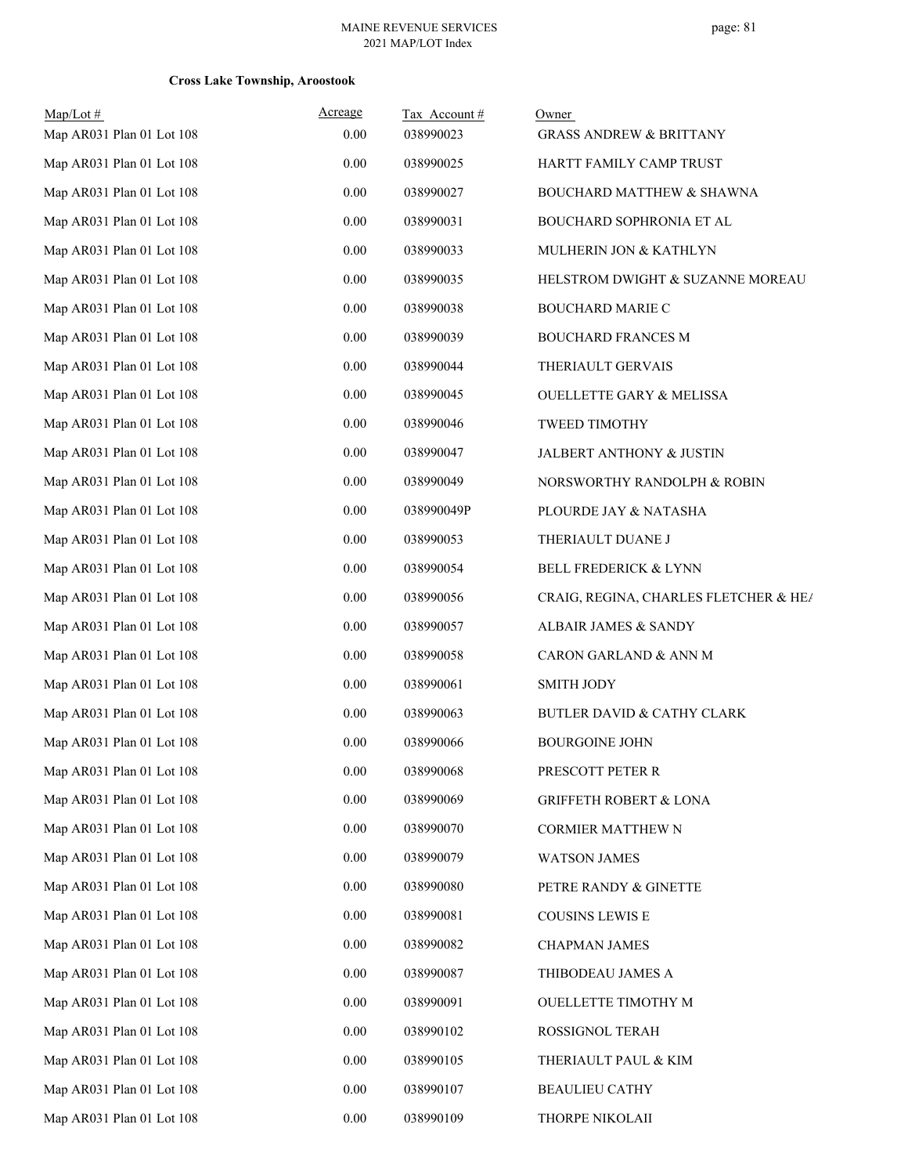| $Map/Lot \#$<br>Map AR031 Plan 01 Lot 108 | Acreage<br>0.00 | Tax Account#<br>038990023 | Owner<br><b>GRASS ANDREW &amp; BRITTANY</b> |
|-------------------------------------------|-----------------|---------------------------|---------------------------------------------|
| Map AR031 Plan 01 Lot 108                 | 0.00            | 038990025                 | HARTT FAMILY CAMP TRUST                     |
| Map AR031 Plan 01 Lot 108                 | 0.00            | 038990027                 | BOUCHARD MATTHEW & SHAWNA                   |
| Map AR031 Plan 01 Lot 108                 | $0.00\,$        | 038990031                 | BOUCHARD SOPHRONIA ET AL                    |
| Map AR031 Plan 01 Lot 108                 | 0.00            | 038990033                 | MULHERIN JON & KATHLYN                      |
| Map AR031 Plan 01 Lot 108                 | 0.00            | 038990035                 | HELSTROM DWIGHT & SUZANNE MOREAU            |
| Map AR031 Plan 01 Lot 108                 | 0.00            | 038990038                 | <b>BOUCHARD MARIE C</b>                     |
| Map AR031 Plan 01 Lot 108                 | $0.00\,$        | 038990039                 | <b>BOUCHARD FRANCES M</b>                   |
| Map AR031 Plan 01 Lot 108                 | 0.00            | 038990044                 | THERIAULT GERVAIS                           |
| Map AR031 Plan 01 Lot 108                 | 0.00            | 038990045                 | <b>OUELLETTE GARY &amp; MELISSA</b>         |
| Map AR031 Plan 01 Lot 108                 | 0.00            | 038990046                 | <b>TWEED TIMOTHY</b>                        |
| Map AR031 Plan 01 Lot 108                 | $0.00\,$        | 038990047                 | JALBERT ANTHONY & JUSTIN                    |
| Map AR031 Plan 01 Lot 108                 | 0.00            | 038990049                 | NORSWORTHY RANDOLPH & ROBIN                 |
| Map AR031 Plan 01 Lot 108                 | 0.00            | 038990049P                | PLOURDE JAY & NATASHA                       |
| Map AR031 Plan 01 Lot 108                 | 0.00            | 038990053                 | THERIAULT DUANE J                           |
| Map AR031 Plan 01 Lot 108                 | 0.00            | 038990054                 | BELL FREDERICK & LYNN                       |
| Map AR031 Plan 01 Lot 108                 | 0.00            | 038990056                 | CRAIG, REGINA, CHARLES FLETCHER & HEA       |
| Map AR031 Plan 01 Lot 108                 | 0.00            | 038990057                 | ALBAIR JAMES & SANDY                        |
| Map AR031 Plan 01 Lot 108                 | 0.00            | 038990058                 | CARON GARLAND & ANN M                       |
| Map AR031 Plan 01 Lot 108                 | $0.00\,$        | 038990061                 | <b>SMITH JODY</b>                           |
| Map AR031 Plan 01 Lot 108                 | 0.00            | 038990063                 | BUTLER DAVID & CATHY CLARK                  |
| Map AR031 Plan 01 Lot 108                 | 0.00            | 038990066                 | <b>BOURGOINE JOHN</b>                       |
| Map AR031 Plan 01 Lot 108                 | 0.00            | 038990068                 | PRESCOTT PETER R                            |
| Map AR031 Plan 01 Lot 108                 | $0.00\,$        | 038990069                 | <b>GRIFFETH ROBERT &amp; LONA</b>           |
| Map AR031 Plan 01 Lot 108                 | $0.00\,$        | 038990070                 | CORMIER MATTHEW N                           |
| Map AR031 Plan 01 Lot 108                 | $0.00\,$        | 038990079                 | <b>WATSON JAMES</b>                         |
| Map AR031 Plan 01 Lot 108                 | 0.00            | 038990080                 | PETRE RANDY & GINETTE                       |
| Map AR031 Plan 01 Lot 108                 | $0.00\,$        | 038990081                 | COUSINS LEWIS E                             |
| Map AR031 Plan 01 Lot 108                 | $0.00\,$        | 038990082                 | <b>CHAPMAN JAMES</b>                        |
| Map AR031 Plan 01 Lot 108                 | 0.00            | 038990087                 | THIBODEAU JAMES A                           |
| Map AR031 Plan 01 Lot 108                 | 0.00            | 038990091                 | OUELLETTE TIMOTHY M                         |
| Map AR031 Plan 01 Lot 108                 | $0.00\,$        | 038990102                 | ROSSIGNOL TERAH                             |
| Map AR031 Plan 01 Lot 108                 | 0.00            | 038990105                 | THERIAULT PAUL & KIM                        |
| Map AR031 Plan 01 Lot 108                 | 0.00            | 038990107                 | <b>BEAULIEU CATHY</b>                       |
| Map AR031 Plan 01 Lot 108                 | 0.00            | 038990109                 | THORPE NIKOLAII                             |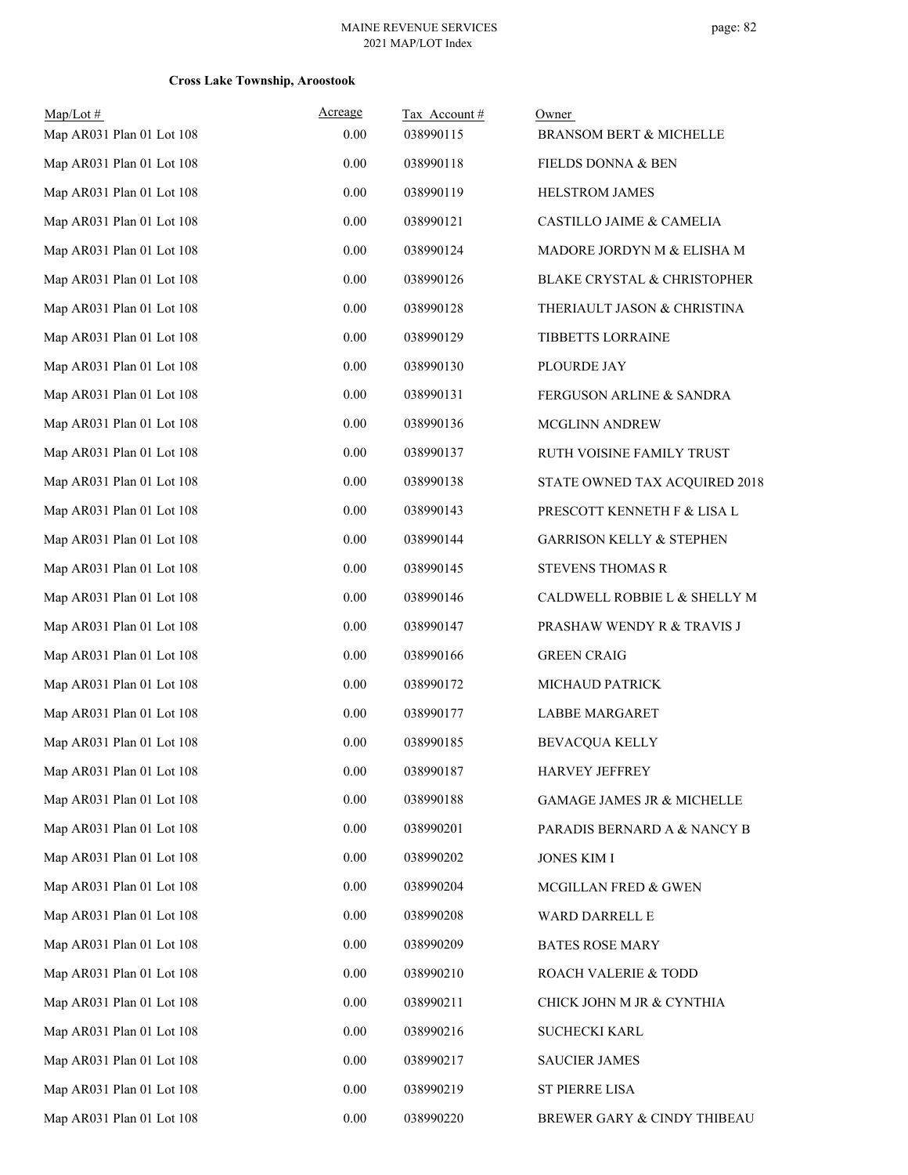| $Map/Lot \#$              | Acreage  | Tax Account# | Owner                               |
|---------------------------|----------|--------------|-------------------------------------|
| Map AR031 Plan 01 Lot 108 | 0.00     | 038990115    | <b>BRANSOM BERT &amp; MICHELLE</b>  |
| Map AR031 Plan 01 Lot 108 | 0.00     | 038990118    | FIELDS DONNA & BEN                  |
| Map AR031 Plan 01 Lot 108 | 0.00     | 038990119    | HELSTROM JAMES                      |
| Map AR031 Plan 01 Lot 108 | 0.00     | 038990121    | CASTILLO JAIME & CAMELIA            |
| Map AR031 Plan 01 Lot 108 | 0.00     | 038990124    | MADORE JORDYN M & ELISHA M          |
| Map AR031 Plan 01 Lot 108 | 0.00     | 038990126    | BLAKE CRYSTAL & CHRISTOPHER         |
| Map AR031 Plan 01 Lot 108 | 0.00     | 038990128    | THERIAULT JASON & CHRISTINA         |
| Map AR031 Plan 01 Lot 108 | 0.00     | 038990129    | TIBBETTS LORRAINE                   |
| Map AR031 Plan 01 Lot 108 | 0.00     | 038990130    | PLOURDE JAY                         |
| Map AR031 Plan 01 Lot 108 | 0.00     | 038990131    | <b>FERGUSON ARLINE &amp; SANDRA</b> |
| Map AR031 Plan 01 Lot 108 | 0.00     | 038990136    | MCGLINN ANDREW                      |
| Map AR031 Plan 01 Lot 108 | 0.00     | 038990137    | RUTH VOISINE FAMILY TRUST           |
| Map AR031 Plan 01 Lot 108 | 0.00     | 038990138    | STATE OWNED TAX ACQUIRED 2018       |
| Map AR031 Plan 01 Lot 108 | 0.00     | 038990143    | PRESCOTT KENNETH F & LISA L         |
| Map AR031 Plan 01 Lot 108 | 0.00     | 038990144    | <b>GARRISON KELLY &amp; STEPHEN</b> |
| Map AR031 Plan 01 Lot 108 | 0.00     | 038990145    | <b>STEVENS THOMAS R</b>             |
| Map AR031 Plan 01 Lot 108 | 0.00     | 038990146    | CALDWELL ROBBIE L & SHELLY M        |
| Map AR031 Plan 01 Lot 108 | 0.00     | 038990147    | PRASHAW WENDY R & TRAVIS J          |
| Map AR031 Plan 01 Lot 108 | 0.00     | 038990166    | <b>GREEN CRAIG</b>                  |
| Map AR031 Plan 01 Lot 108 | 0.00     | 038990172    | <b>MICHAUD PATRICK</b>              |
| Map AR031 Plan 01 Lot 108 | 0.00     | 038990177    | <b>LABBE MARGARET</b>               |
| Map AR031 Plan 01 Lot 108 | 0.00     | 038990185    | <b>BEVACQUA KELLY</b>               |
| Map AR031 Plan 01 Lot 108 | 0.00     | 038990187    | HARVEY JEFFREY                      |
| Map AR031 Plan 01 Lot 108 | 0.00     | 038990188    | GAMAGE JAMES JR & MICHELLE          |
| Map AR031 Plan 01 Lot 108 | 0.00     | 038990201    | PARADIS BERNARD A & NANCY B         |
| Map AR031 Plan 01 Lot 108 | $0.00\,$ | 038990202    | <b>JONES KIM I</b>                  |
| Map AR031 Plan 01 Lot 108 | 0.00     | 038990204    | MCGILLAN FRED & GWEN                |
| Map AR031 Plan 01 Lot 108 | $0.00\,$ | 038990208    | WARD DARRELL E                      |
| Map AR031 Plan 01 Lot 108 | 0.00     | 038990209    | <b>BATES ROSE MARY</b>              |
| Map AR031 Plan 01 Lot 108 | 0.00     | 038990210    | ROACH VALERIE & TODD                |
| Map AR031 Plan 01 Lot 108 | 0.00     | 038990211    | CHICK JOHN M JR & CYNTHIA           |
| Map AR031 Plan 01 Lot 108 | 0.00     | 038990216    | <b>SUCHECKI KARL</b>                |
| Map AR031 Plan 01 Lot 108 | 0.00     | 038990217    | <b>SAUCIER JAMES</b>                |
| Map AR031 Plan 01 Lot 108 | $0.00\,$ | 038990219    | ST PIERRE LISA                      |
| Map AR031 Plan 01 Lot 108 | 0.00     | 038990220    | BREWER GARY & CINDY THIBEAU         |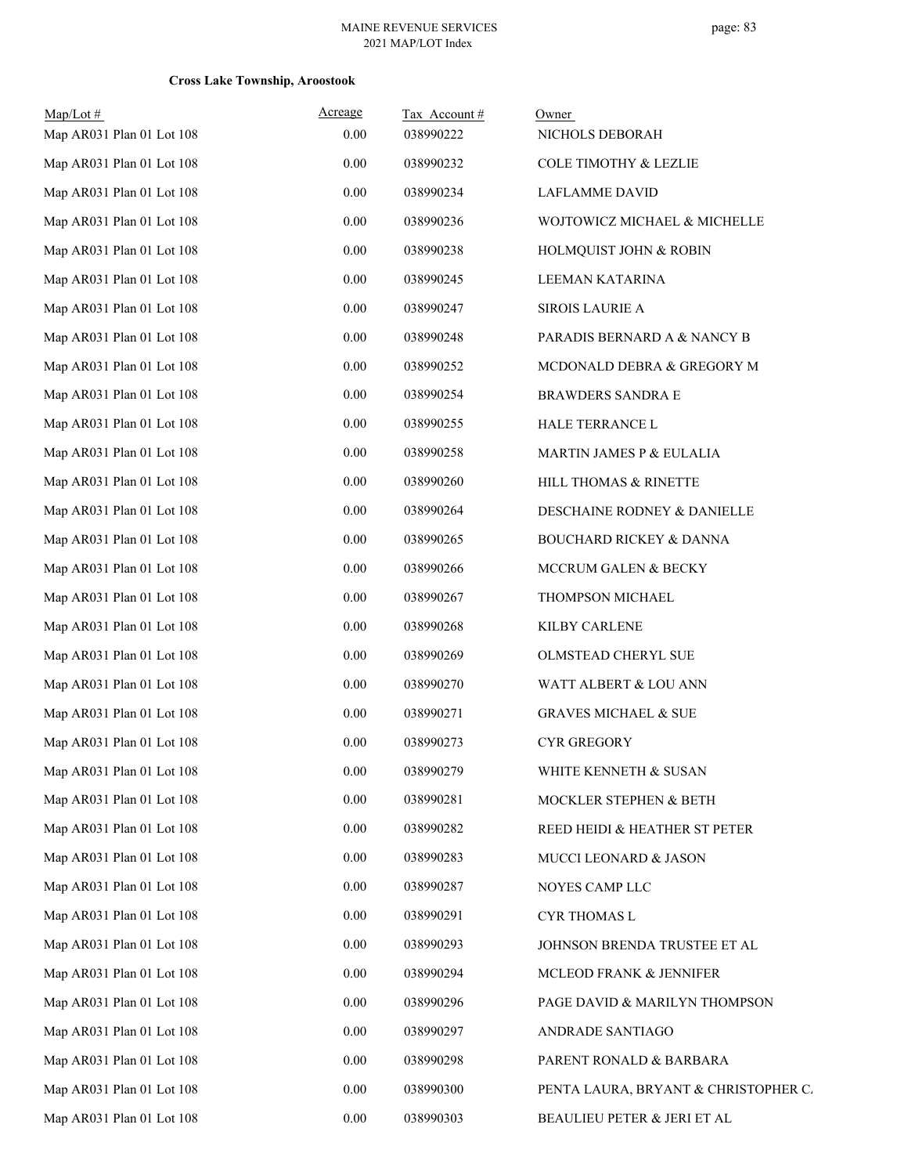| $Map/Lot$ #               | Acreage  | Tax Account# | Owner                                |
|---------------------------|----------|--------------|--------------------------------------|
| Map AR031 Plan 01 Lot 108 | 0.00     | 038990222    | NICHOLS DEBORAH                      |
| Map AR031 Plan 01 Lot 108 | 0.00     | 038990232    | <b>COLE TIMOTHY &amp; LEZLIE</b>     |
| Map AR031 Plan 01 Lot 108 | 0.00     | 038990234    | LAFLAMME DAVID                       |
| Map AR031 Plan 01 Lot 108 | 0.00     | 038990236    | WOJTOWICZ MICHAEL & MICHELLE         |
| Map AR031 Plan 01 Lot 108 | 0.00     | 038990238    | HOLMQUIST JOHN & ROBIN               |
| Map AR031 Plan 01 Lot 108 | 0.00     | 038990245    | LEEMAN KATARINA                      |
| Map AR031 Plan 01 Lot 108 | 0.00     | 038990247    | <b>SIROIS LAURIE A</b>               |
| Map AR031 Plan 01 Lot 108 | 0.00     | 038990248    | PARADIS BERNARD A & NANCY B          |
| Map AR031 Plan 01 Lot 108 | 0.00     | 038990252    | MCDONALD DEBRA & GREGORY M           |
| Map AR031 Plan 01 Lot 108 | 0.00     | 038990254    | <b>BRAWDERS SANDRA E</b>             |
| Map AR031 Plan 01 Lot 108 | 0.00     | 038990255    | HALE TERRANCE L                      |
| Map AR031 Plan 01 Lot 108 | 0.00     | 038990258    | MARTIN JAMES P & EULALIA             |
| Map AR031 Plan 01 Lot 108 | 0.00     | 038990260    | HILL THOMAS & RINETTE                |
| Map AR031 Plan 01 Lot 108 | 0.00     | 038990264    | DESCHAINE RODNEY & DANIELLE          |
| Map AR031 Plan 01 Lot 108 | 0.00     | 038990265    | BOUCHARD RICKEY & DANNA              |
| Map AR031 Plan 01 Lot 108 | 0.00     | 038990266    | MCCRUM GALEN & BECKY                 |
| Map AR031 Plan 01 Lot 108 | $0.00\,$ | 038990267    | THOMPSON MICHAEL                     |
| Map AR031 Plan 01 Lot 108 | 0.00     | 038990268    | KILBY CARLENE                        |
| Map AR031 Plan 01 Lot 108 | 0.00     | 038990269    | OLMSTEAD CHERYL SUE                  |
| Map AR031 Plan 01 Lot 108 | 0.00     | 038990270    | WATT ALBERT & LOU ANN                |
| Map AR031 Plan 01 Lot 108 | 0.00     | 038990271    | <b>GRAVES MICHAEL &amp; SUE</b>      |
| Map AR031 Plan 01 Lot 108 | $0.00\,$ | 038990273    | <b>CYR GREGORY</b>                   |
| Map AR031 Plan 01 Lot 108 | $0.00\,$ | 038990279    | WHITE KENNETH & SUSAN                |
| Map AR031 Plan 01 Lot 108 | 0.00     | 038990281    | MOCKLER STEPHEN & BETH               |
| Map AR031 Plan 01 Lot 108 | 0.00     | 038990282    | REED HEIDI & HEATHER ST PETER        |
| Map AR031 Plan 01 Lot 108 | 0.00     | 038990283    | MUCCI LEONARD & JASON                |
| Map AR031 Plan 01 Lot 108 | 0.00     | 038990287    | NOYES CAMP LLC                       |
| Map AR031 Plan 01 Lot 108 | 0.00     | 038990291    | <b>CYR THOMAS L</b>                  |
| Map AR031 Plan 01 Lot 108 | 0.00     | 038990293    | JOHNSON BRENDA TRUSTEE ET AL         |
| Map AR031 Plan 01 Lot 108 | 0.00     | 038990294    | MCLEOD FRANK & JENNIFER              |
| Map AR031 Plan 01 Lot 108 | 0.00     | 038990296    | PAGE DAVID & MARILYN THOMPSON        |
| Map AR031 Plan 01 Lot 108 | 0.00     | 038990297    | ANDRADE SANTIAGO                     |
| Map AR031 Plan 01 Lot 108 | 0.00     | 038990298    | PARENT RONALD & BARBARA              |
| Map AR031 Plan 01 Lot 108 | 0.00     | 038990300    | PENTA LAURA, BRYANT & CHRISTOPHER C. |
| Map AR031 Plan 01 Lot 108 | $0.00\,$ | 038990303    | BEAULIEU PETER & JERI ET AL          |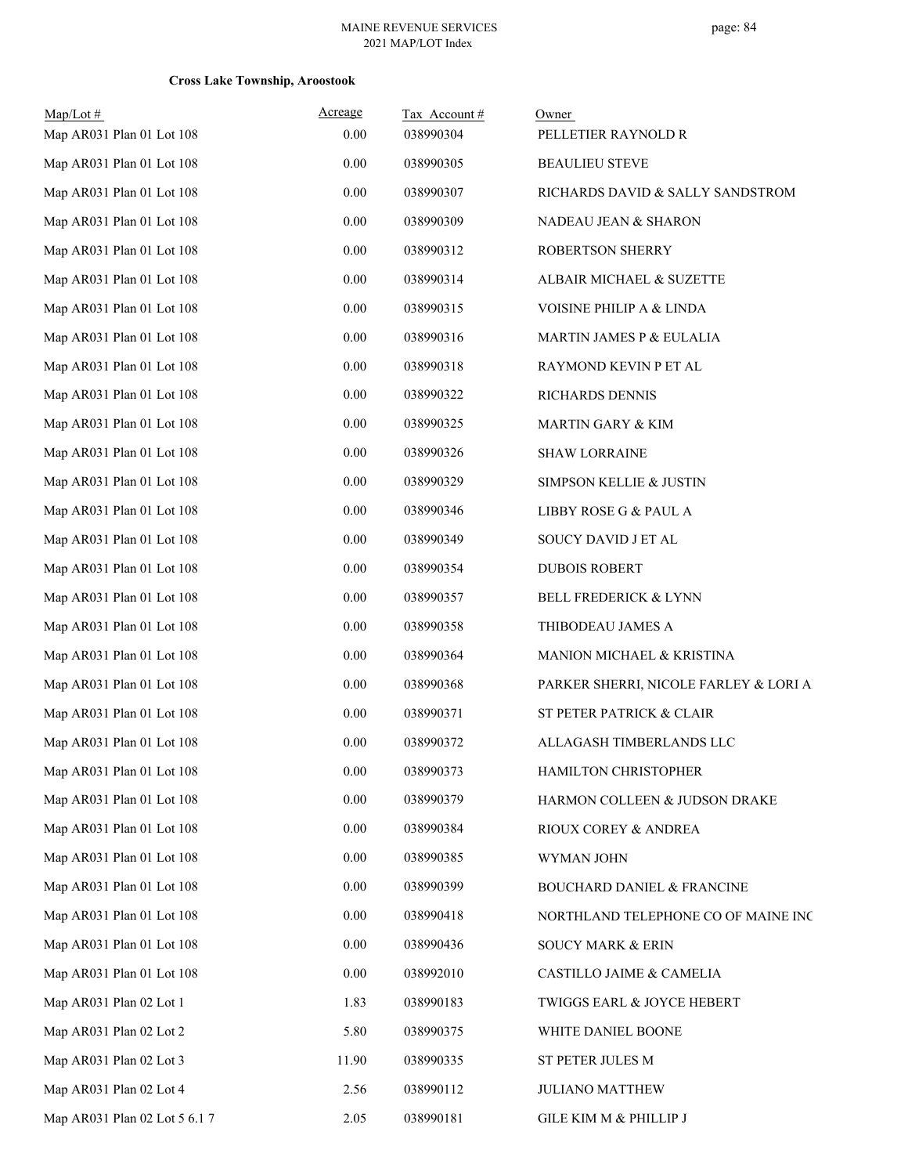| Map/Lot#                      | Acreage  | Tax Account# | Owner                                 |
|-------------------------------|----------|--------------|---------------------------------------|
| Map AR031 Plan 01 Lot 108     | $0.00\,$ | 038990304    | PELLETIER RAYNOLD R                   |
| Map AR031 Plan 01 Lot 108     | 0.00     | 038990305    | <b>BEAULIEU STEVE</b>                 |
| Map AR031 Plan 01 Lot 108     | $0.00\,$ | 038990307    | RICHARDS DAVID & SALLY SANDSTROM      |
| Map AR031 Plan 01 Lot 108     | $0.00\,$ | 038990309    | NADEAU JEAN & SHARON                  |
| Map AR031 Plan 01 Lot 108     | $0.00\,$ | 038990312    | ROBERTSON SHERRY                      |
| Map AR031 Plan 01 Lot 108     | $0.00\,$ | 038990314    | ALBAIR MICHAEL & SUZETTE              |
| Map AR031 Plan 01 Lot 108     | 0.00     | 038990315    | VOISINE PHILIP A & LINDA              |
| Map AR031 Plan 01 Lot 108     | $0.00\,$ | 038990316    | MARTIN JAMES P & EULALIA              |
| Map AR031 Plan 01 Lot 108     | $0.00\,$ | 038990318    | RAYMOND KEVIN P ET AL                 |
| Map AR031 Plan 01 Lot 108     | 0.00     | 038990322    | RICHARDS DENNIS                       |
| Map AR031 Plan 01 Lot 108     | $0.00\,$ | 038990325    | MARTIN GARY & KIM                     |
| Map AR031 Plan 01 Lot 108     | $0.00\,$ | 038990326    | <b>SHAW LORRAINE</b>                  |
| Map AR031 Plan 01 Lot 108     | $0.00\,$ | 038990329    | SIMPSON KELLIE & JUSTIN               |
| Map AR031 Plan 01 Lot 108     | $0.00\,$ | 038990346    | LIBBY ROSE G & PAUL A                 |
| Map AR031 Plan 01 Lot 108     | 0.00     | 038990349    | SOUCY DAVID J ET AL                   |
| Map AR031 Plan 01 Lot 108     | $0.00\,$ | 038990354    | <b>DUBOIS ROBERT</b>                  |
| Map AR031 Plan 01 Lot 108     | $0.00\,$ | 038990357    | BELL FREDERICK & LYNN                 |
| Map AR031 Plan 01 Lot 108     | 0.00     | 038990358    | THIBODEAU JAMES A                     |
| Map AR031 Plan 01 Lot 108     | $0.00\,$ | 038990364    | MANION MICHAEL & KRISTINA             |
| Map AR031 Plan 01 Lot 108     | $0.00\,$ | 038990368    | PARKER SHERRI, NICOLE FARLEY & LORI A |
| Map AR031 Plan 01 Lot 108     | $0.00\,$ | 038990371    | ST PETER PATRICK & CLAIR              |
| Map AR031 Plan 01 Lot 108     | 0.00     | 038990372    | ALLAGASH TIMBERLANDS LLC              |
| Map AR031 Plan 01 Lot 108     | 0.00     | 038990373    | HAMILTON CHRISTOPHER                  |
| Map AR031 Plan 01 Lot 108     | $0.00\,$ | 038990379    | HARMON COLLEEN & JUDSON DRAKE         |
| Map AR031 Plan 01 Lot 108     | $0.00\,$ | 038990384    | RIOUX COREY & ANDREA                  |
| Map AR031 Plan 01 Lot 108     | $0.00\,$ | 038990385    | WYMAN JOHN                            |
| Map AR031 Plan 01 Lot 108     | 0.00     | 038990399    | <b>BOUCHARD DANIEL &amp; FRANCINE</b> |
| Map AR031 Plan 01 Lot 108     | $0.00\,$ | 038990418    | NORTHLAND TELEPHONE CO OF MAINE INC   |
| Map AR031 Plan 01 Lot 108     | $0.00\,$ | 038990436    | <b>SOUCY MARK &amp; ERIN</b>          |
| Map AR031 Plan 01 Lot 108     | 0.00     | 038992010    | CASTILLO JAIME & CAMELIA              |
| Map AR031 Plan 02 Lot 1       | 1.83     | 038990183    | TWIGGS EARL & JOYCE HEBERT            |
| Map AR031 Plan 02 Lot 2       | 5.80     | 038990375    | WHITE DANIEL BOONE                    |
| Map AR031 Plan 02 Lot 3       | 11.90    | 038990335    | ST PETER JULES M                      |
| Map AR031 Plan 02 Lot 4       | 2.56     | 038990112    | <b>JULIANO MATTHEW</b>                |
| Map AR031 Plan 02 Lot 5 6.1 7 | 2.05     | 038990181    | GILE KIM M & PHILLIP J                |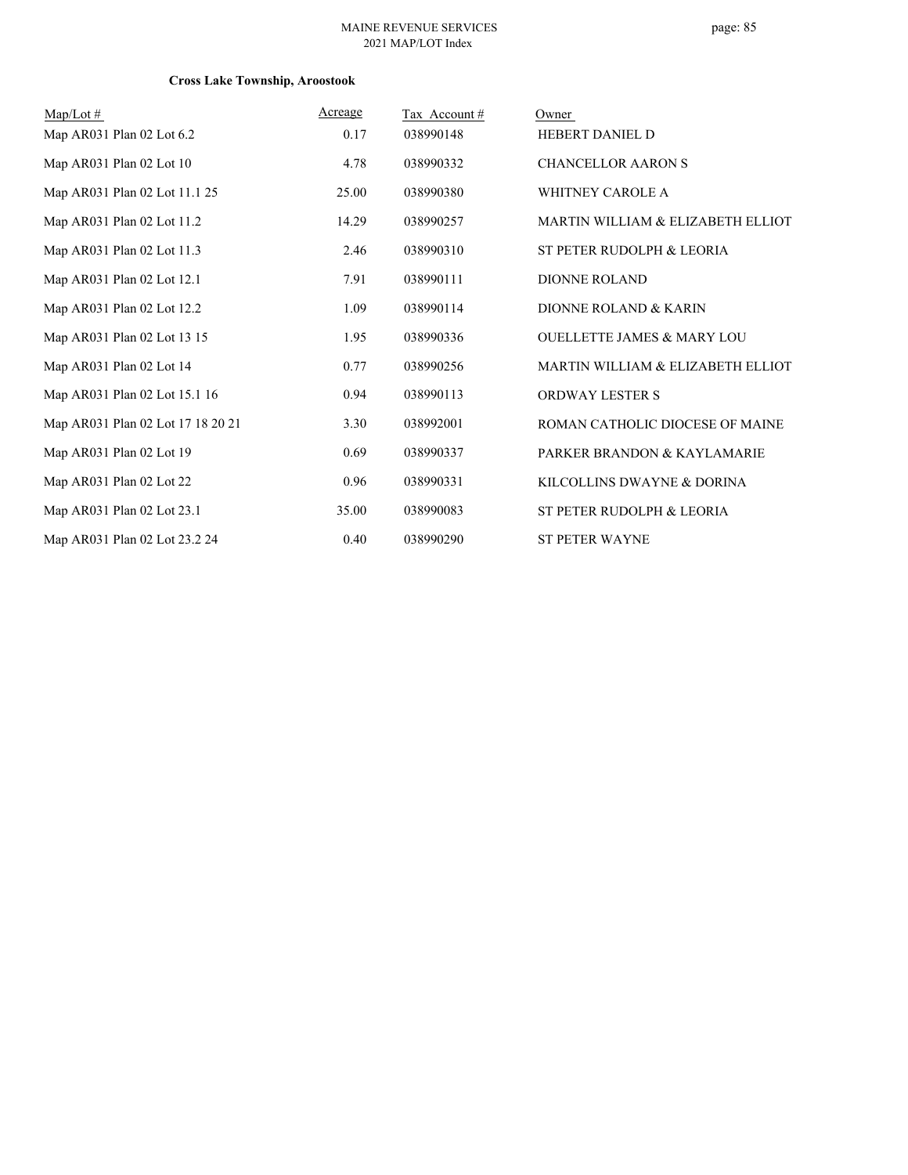| $Map/Lot \#$                      | Acreage | Tax Account# | Owner                                 |
|-----------------------------------|---------|--------------|---------------------------------------|
| Map AR031 Plan 02 Lot 6.2         | 0.17    | 038990148    | HEBERT DANIEL D                       |
| Map AR031 Plan 02 Lot 10          | 4.78    | 038990332    | <b>CHANCELLOR AARON S</b>             |
| Map AR031 Plan 02 Lot 11.1 25     | 25.00   | 038990380    | <b>WHITNEY CAROLE A</b>               |
| Map AR031 Plan 02 Lot 11.2        | 14.29   | 038990257    | MARTIN WILLIAM & ELIZABETH ELLIOT     |
| Map AR031 Plan 02 Lot 11.3        | 2.46    | 038990310    | ST PETER RUDOLPH & LEORIA             |
| Map AR031 Plan 02 Lot 12.1        | 7.91    | 038990111    | <b>DIONNE ROLAND</b>                  |
| Map AR031 Plan 02 Lot 12.2        | 1.09    | 038990114    | DIONNE ROLAND & KARIN                 |
| Map AR031 Plan 02 Lot 13 15       | 1.95    | 038990336    | <b>OUELLETTE JAMES &amp; MARY LOU</b> |
| Map AR031 Plan 02 Lot 14          | 0.77    | 038990256    | MARTIN WILLIAM & ELIZABETH ELLIOT     |
| Map AR031 Plan 02 Lot 15.1 16     | 0.94    | 038990113    | <b>ORDWAY LESTER S</b>                |
| Map AR031 Plan 02 Lot 17 18 20 21 | 3.30    | 038992001    | ROMAN CATHOLIC DIOCESE OF MAINE       |
| Map AR031 Plan 02 Lot 19          | 0.69    | 038990337    | PARKER BRANDON & KAYLAMARIE           |
| Map AR031 Plan 02 Lot 22          | 0.96    | 038990331    | KILCOLLINS DWAYNE & DORINA            |
| Map AR031 Plan 02 Lot 23.1        | 35.00   | 038990083    | ST PETER RUDOLPH & LEORIA             |
| Map AR031 Plan 02 Lot 23.2 24     | 0.40    | 038990290    | <b>ST PETER WAYNE</b>                 |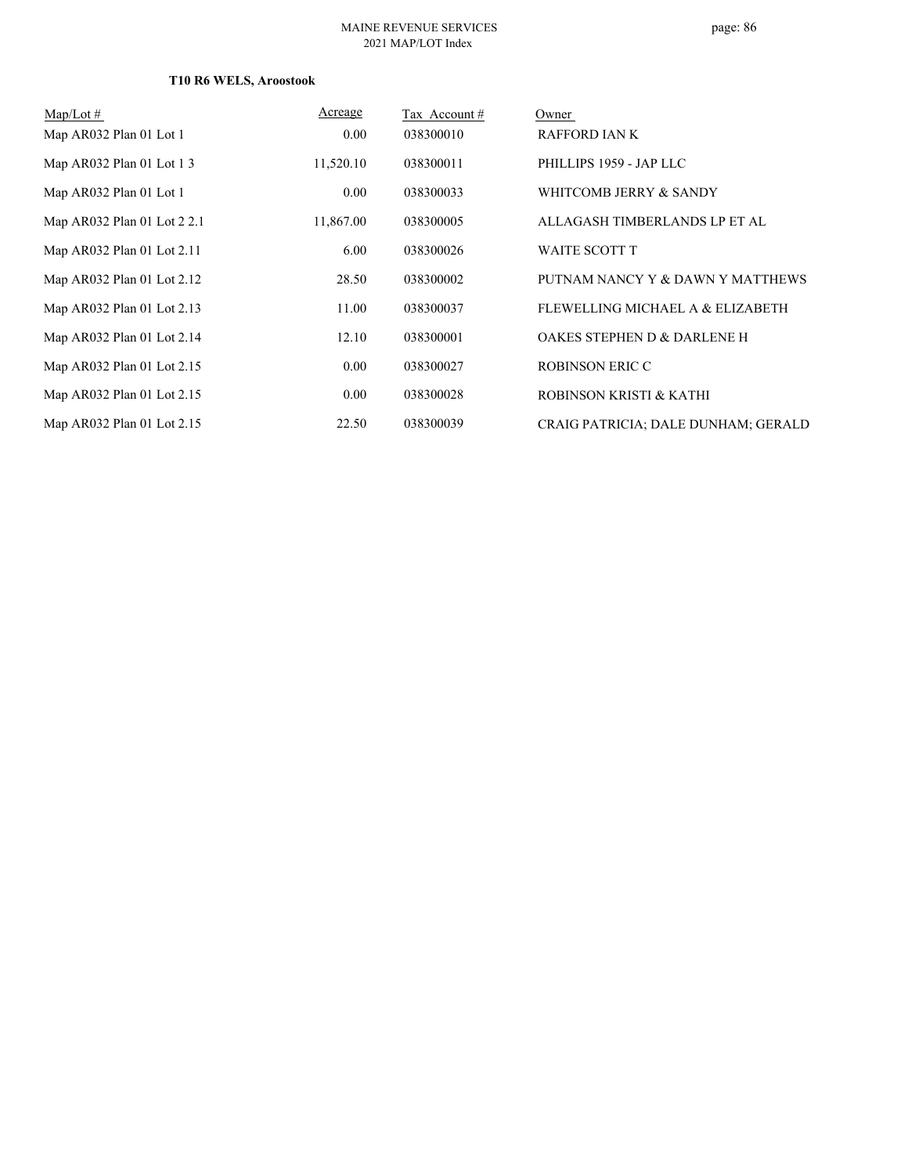## **T10 R6 WELS, Aroostook**

| $\text{Map/Lot} \#$         | Acreage   | Tax Account# | Owner                               |
|-----------------------------|-----------|--------------|-------------------------------------|
| Map AR032 Plan 01 Lot 1     | 0.00      | 038300010    | <b>RAFFORD IAN K</b>                |
| Map AR032 Plan 01 Lot 1 3   | 11,520.10 | 038300011    | PHILLIPS 1959 - JAP LLC             |
| Map AR032 Plan 01 Lot 1     | 0.00      | 038300033    | WHITCOMB JERRY & SANDY              |
| Map AR032 Plan 01 Lot 2 2.1 | 11,867.00 | 038300005    | ALLAGASH TIMBERLANDS LP ET AL       |
| Map AR032 Plan 01 Lot 2.11  | 6.00      | 038300026    | <b>WAITE SCOTT T</b>                |
| Map AR032 Plan 01 Lot 2.12  | 28.50     | 038300002    | PUTNAM NANCY Y & DAWN Y MATTHEWS    |
| Map AR032 Plan 01 Lot 2.13  | 11.00     | 038300037    | FLEWELLING MICHAEL A & ELIZABETH    |
| Map AR032 Plan 01 Lot 2.14  | 12.10     | 038300001    | OAKES STEPHEN D & DARLENE H         |
| Map AR032 Plan 01 Lot 2.15  | 0.00      | 038300027    | <b>ROBINSON ERIC C</b>              |
| Map AR032 Plan 01 Lot 2.15  | 0.00      | 038300028    | ROBINSON KRISTI & KATHI             |
| Map AR032 Plan 01 Lot 2.15  | 22.50     | 038300039    | CRAIG PATRICIA; DALE DUNHAM; GERALD |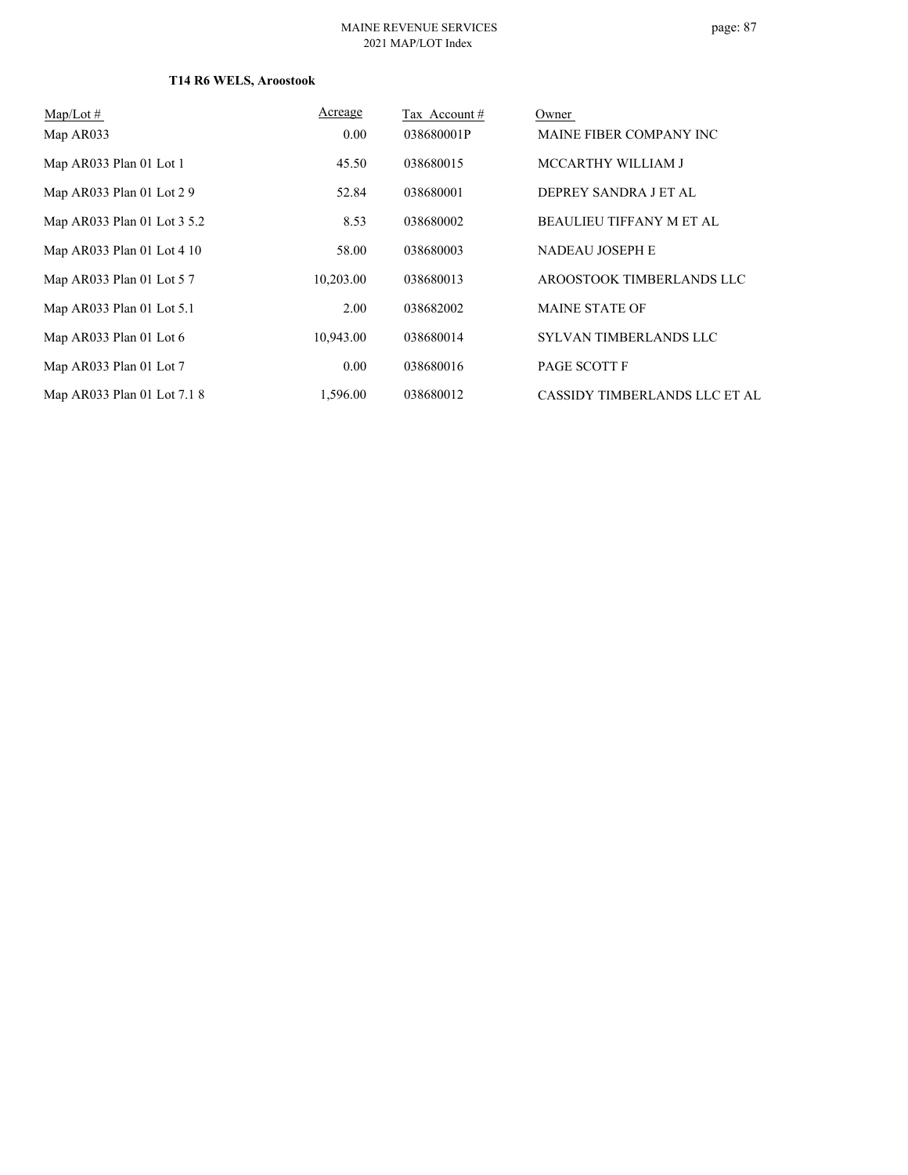## **T14 R6 WELS, Aroostook**

| $Map/Lot \#$                | Acreage   | Tax Account# | Owner                           |
|-----------------------------|-----------|--------------|---------------------------------|
| Map AR033                   | 0.00      | 038680001P   | MAINE FIBER COMPANY INC         |
| Map AR033 Plan 01 Lot 1     | 45.50     | 038680015    | MCCARTHY WILLIAM J              |
| Map AR033 Plan 01 Lot 2 9   | 52.84     | 038680001    | DEPREY SANDRA J ET AL           |
| Map AR033 Plan 01 Lot 3 5.2 | 8.53      | 038680002    | <b>BEAULIEU TIFFANY M ET AL</b> |
| Map AR033 Plan 01 Lot 4 10  | 58.00     | 038680003    | NADEAU JOSEPH E                 |
| Map AR033 Plan 01 Lot 57    | 10,203.00 | 038680013    | AROOSTOOK TIMBERLANDS LLC       |
| Map AR033 Plan 01 Lot 5.1   | 2.00      | 038682002    | <b>MAINE STATE OF</b>           |
| Map AR033 Plan 01 Lot 6     | 10,943.00 | 038680014    | SYLVAN TIMBERLANDS LLC          |
| Map AR033 Plan 01 Lot 7     | 0.00      | 038680016    | PAGE SCOTT F                    |
| Map AR033 Plan 01 Lot 7.1 8 | 1.596.00  | 038680012    | CASSIDY TIMBERLANDS LLC ET AL   |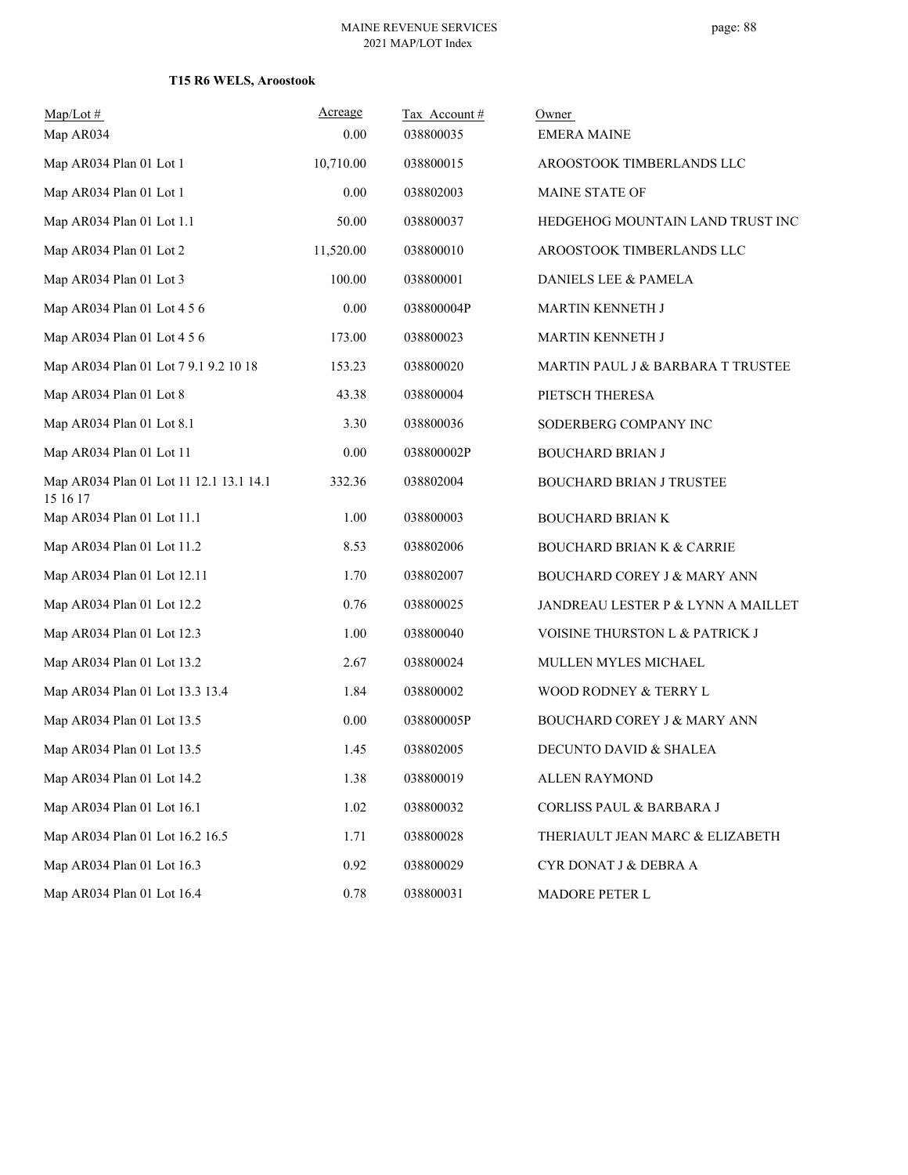## **T15 R6 WELS, Aroostook**

| $Map/Lot \#$<br>Map AR034                           | Acreage<br>0.00 | Tax Account#<br>038800035 | Owner<br><b>EMERA MAINE</b>            |
|-----------------------------------------------------|-----------------|---------------------------|----------------------------------------|
| Map AR034 Plan 01 Lot 1                             | 10,710.00       | 038800015                 | AROOSTOOK TIMBERLANDS LLC              |
| Map AR034 Plan 01 Lot 1                             | 0.00            | 038802003                 | MAINE STATE OF                         |
| Map AR034 Plan 01 Lot 1.1                           | 50.00           | 038800037                 | HEDGEHOG MOUNTAIN LAND TRUST INC       |
| Map AR034 Plan 01 Lot 2                             | 11,520.00       | 038800010                 | AROOSTOOK TIMBERLANDS LLC              |
| Map AR034 Plan 01 Lot 3                             | 100.00          | 038800001                 | DANIELS LEE & PAMELA                   |
| Map AR034 Plan 01 Lot 4 5 6                         | 0.00            | 038800004P                | MARTIN KENNETH J                       |
| Map AR034 Plan 01 Lot 4 5 6                         | 173.00          | 038800023                 | MARTIN KENNETH J                       |
| Map AR034 Plan 01 Lot 7 9.1 9.2 10 18               | 153.23          | 038800020                 | MARTIN PAUL J & BARBARA T TRUSTEE      |
| Map AR034 Plan 01 Lot 8                             | 43.38           | 038800004                 | PIETSCH THERESA                        |
| Map AR034 Plan 01 Lot 8.1                           | 3.30            | 038800036                 | SODERBERG COMPANY INC                  |
| Map AR034 Plan 01 Lot 11                            | 0.00            | 038800002P                | <b>BOUCHARD BRIAN J</b>                |
| Map AR034 Plan 01 Lot 11 12.1 13.1 14.1<br>15 16 17 | 332.36          | 038802004                 | <b>BOUCHARD BRIAN J TRUSTEE</b>        |
| Map AR034 Plan 01 Lot 11.1                          | 1.00            | 038800003                 | <b>BOUCHARD BRIAN K</b>                |
| Map AR034 Plan 01 Lot 11.2                          | 8.53            | 038802006                 | <b>BOUCHARD BRIAN K &amp; CARRIE</b>   |
| Map AR034 Plan 01 Lot 12.11                         | 1.70            | 038802007                 | BOUCHARD COREY J & MARY ANN            |
| Map AR034 Plan 01 Lot 12.2                          | 0.76            | 038800025                 | JANDREAU LESTER P & LYNN A MAILLET     |
| Map AR034 Plan 01 Lot 12.3                          | 1.00            | 038800040                 | VOISINE THURSTON L & PATRICK J         |
| Map AR034 Plan 01 Lot 13.2                          | 2.67            | 038800024                 | MULLEN MYLES MICHAEL                   |
| Map AR034 Plan 01 Lot 13.3 13.4                     | 1.84            | 038800002                 | WOOD RODNEY & TERRY L                  |
| Map AR034 Plan 01 Lot 13.5                          | 0.00            | 038800005P                | <b>BOUCHARD COREY J &amp; MARY ANN</b> |
| Map AR034 Plan 01 Lot 13.5                          | 1.45            | 038802005                 | DECUNTO DAVID & SHALEA                 |
| Map AR034 Plan 01 Lot 14.2                          | 1.38            | 038800019                 | <b>ALLEN RAYMOND</b>                   |
| Map AR034 Plan 01 Lot 16.1                          | 1.02            | 038800032                 | CORLISS PAUL & BARBARA J               |
| Map AR034 Plan 01 Lot 16.2 16.5                     | 1.71            | 038800028                 | THERIAULT JEAN MARC & ELIZABETH        |
| Map AR034 Plan 01 Lot 16.3                          | 0.92            | 038800029                 | CYR DONAT J & DEBRA A                  |
| Map AR034 Plan 01 Lot 16.4                          | 0.78            | 038800031                 | MADORE PETER L                         |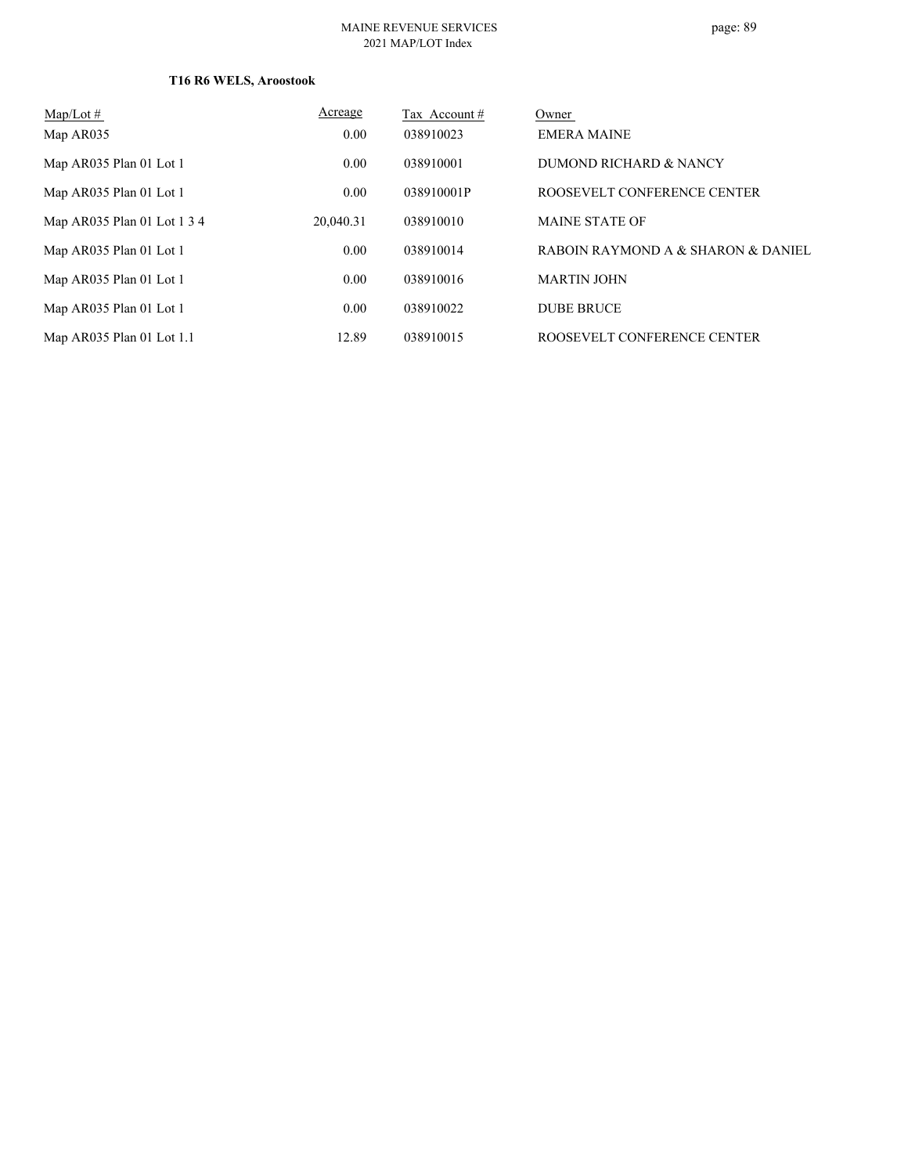## **T16 R6 WELS, Aroostook**

| $\text{Map/Lot} \#$         | Acreage   | Tax Account# | Owner                              |
|-----------------------------|-----------|--------------|------------------------------------|
| Map AR035                   | 0.00      | 038910023    | <b>EMERA MAINE</b>                 |
| Map AR035 Plan 01 Lot 1     | 0.00      | 038910001    | DUMOND RICHARD & NANCY             |
| Map AR035 Plan 01 Lot 1     | 0.00      | 038910001P   | ROOSEVELT CONFERENCE CENTER        |
| Map AR035 Plan 01 Lot 1 3 4 | 20,040.31 | 038910010    | <b>MAINE STATE OF</b>              |
| Map AR035 Plan 01 Lot 1     | 0.00      | 038910014    | RABOIN RAYMOND A & SHARON & DANIEL |
| Map AR035 Plan 01 Lot 1     | 0.00      | 038910016    | <b>MARTIN JOHN</b>                 |
| Map AR035 Plan 01 Lot 1     | 0.00      | 038910022    | <b>DUBE BRUCE</b>                  |
| Map AR035 Plan 01 Lot 1.1   | 12.89     | 038910015    | ROOSEVELT CONFERENCE CENTER        |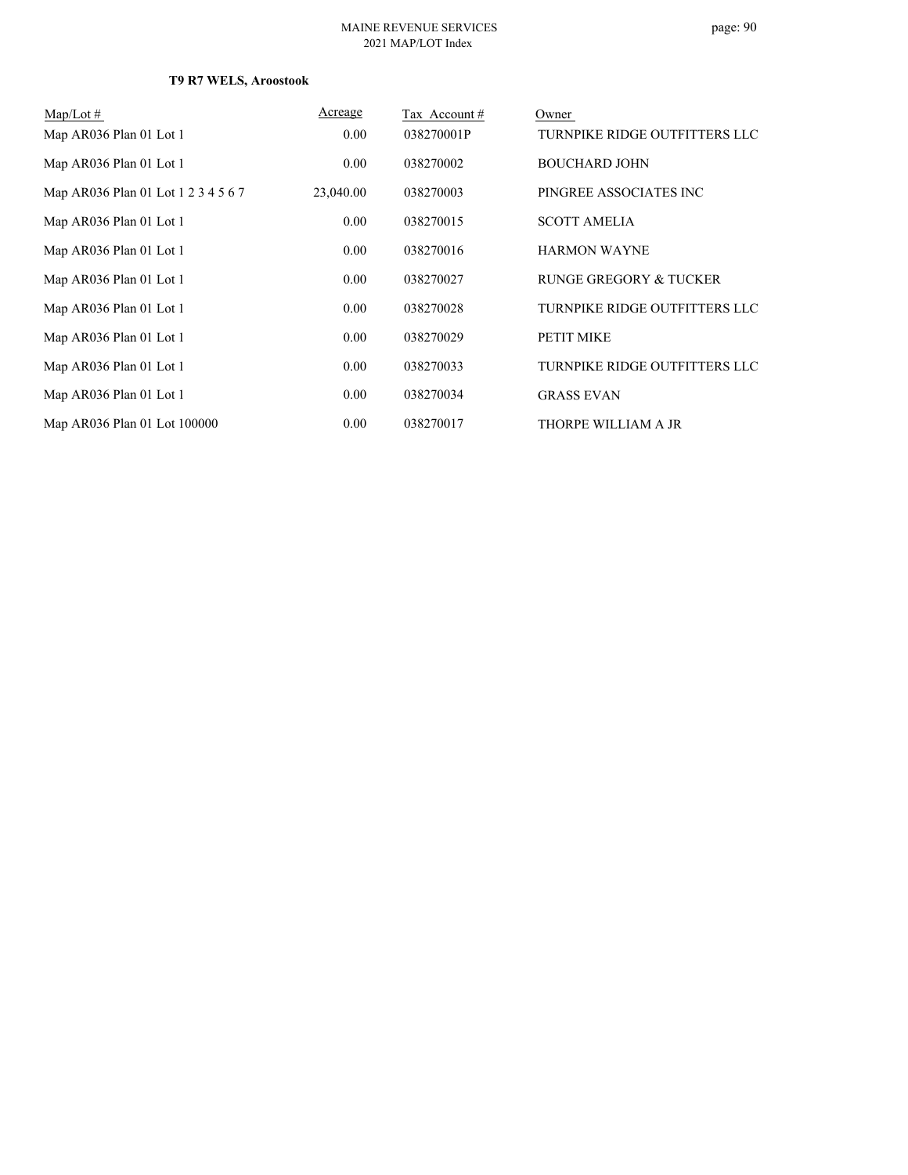## **T9 R7 WELS, Aroostook**

| $Map/Lot \#$                        | Acreage   | Tax Account# | Owner                         |
|-------------------------------------|-----------|--------------|-------------------------------|
| Map AR036 Plan 01 Lot 1             | 0.00      | 038270001P   | TURNPIKE RIDGE OUTFITTERS LLC |
| Map AR036 Plan 01 Lot 1             | 0.00      | 038270002    | <b>BOUCHARD JOHN</b>          |
| Map AR036 Plan 01 Lot 1 2 3 4 5 6 7 | 23,040.00 | 038270003    | PINGREE ASSOCIATES INC        |
| Map AR036 Plan 01 Lot 1             | 0.00      | 038270015    | <b>SCOTT AMELIA</b>           |
| Map AR036 Plan 01 Lot 1             | 0.00      | 038270016    | <b>HARMON WAYNE</b>           |
| Map AR036 Plan 01 Lot 1             | 0.00      | 038270027    | RUNGE GREGORY & TUCKER        |
| Map AR036 Plan 01 Lot 1             | 0.00      | 038270028    | TURNPIKE RIDGE OUTFITTERS LLC |
| Map AR036 Plan 01 Lot 1             | 0.00      | 038270029    | PETIT MIKE                    |
| Map AR036 Plan 01 Lot 1             | 0.00      | 038270033    | TURNPIKE RIDGE OUTFITTERS LLC |
| Map AR036 Plan 01 Lot 1             | 0.00      | 038270034    | <b>GRASS EVAN</b>             |
| Map AR036 Plan 01 Lot 100000        | 0.00      | 038270017    | THORPE WILLIAM A JR           |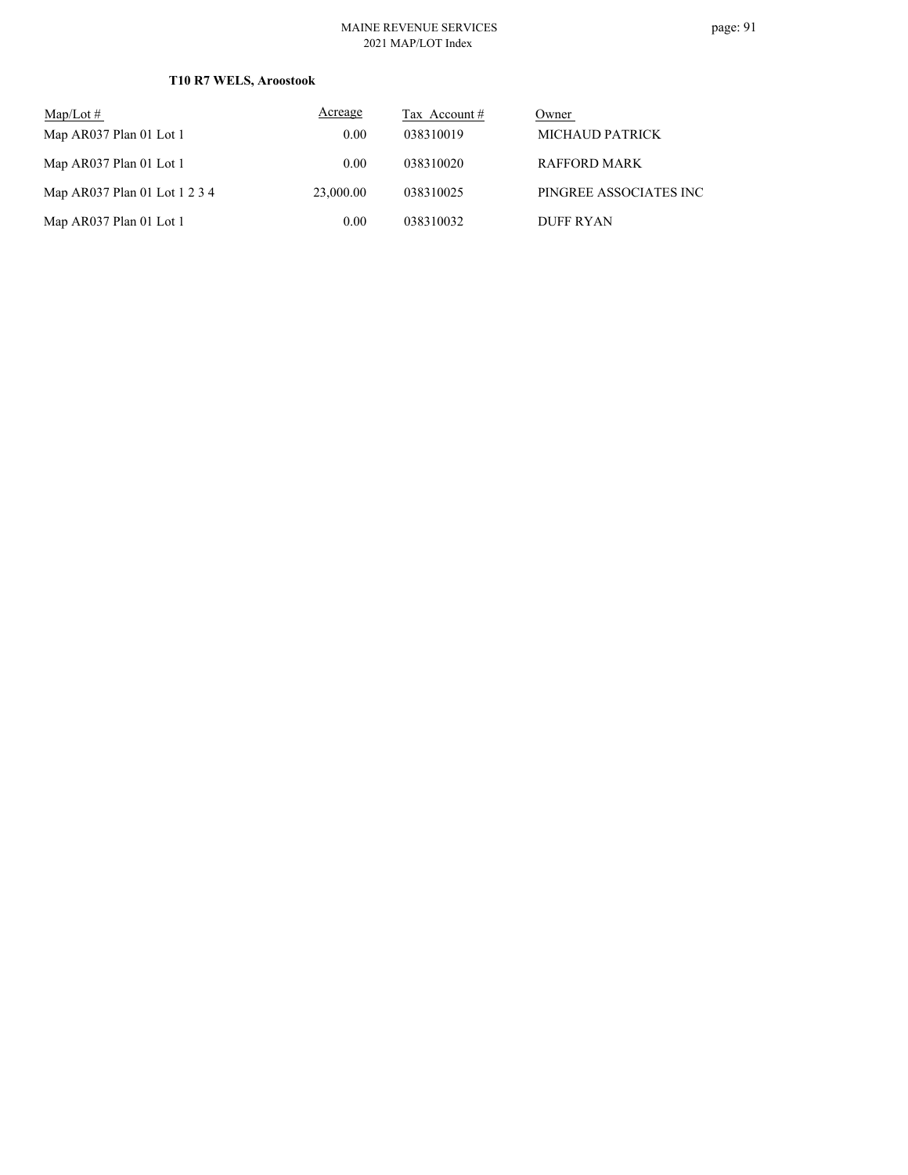## **T10 R7 WELS, Aroostook**

| $\text{Map/Lot} \#$           | Acreage   | Tax Account # | Owner                  |
|-------------------------------|-----------|---------------|------------------------|
| Map AR037 Plan 01 Lot 1       | 0.00      | 038310019     | MICHAUD PATRICK        |
| Map AR037 Plan 01 Lot 1       | 0.00      | 038310020     | RAFFORD MARK           |
| Map AR037 Plan 01 Lot 1 2 3 4 | 23,000.00 | 038310025     | PINGREE ASSOCIATES INC |
| Map AR037 Plan 01 Lot 1       | 0.00      | 038310032     | DUFF RYAN              |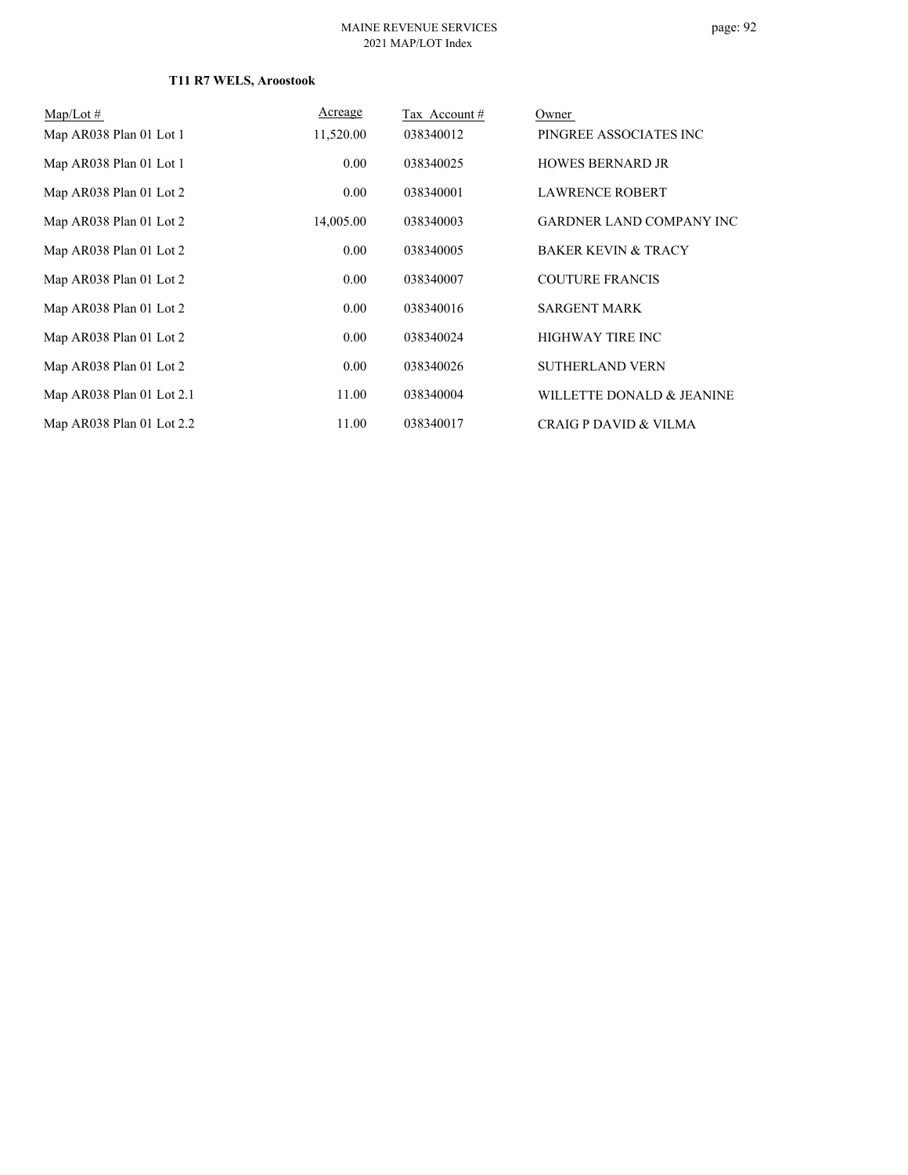## **T11 R7 WELS, Aroostook**

| $Map/Lot \#$                | Acreage   | Tax Account# | Owner                            |
|-----------------------------|-----------|--------------|----------------------------------|
| Map AR038 Plan 01 Lot 1     | 11,520.00 | 038340012    | PINGREE ASSOCIATES INC           |
| Map AR038 Plan 01 Lot 1     | 0.00      | 038340025    | <b>HOWES BERNARD JR</b>          |
| Map AR038 Plan 01 Lot 2     | 0.00      | 038340001    | <b>LAWRENCE ROBERT</b>           |
| Map AR038 Plan 01 Lot 2     | 14,005.00 | 038340003    | <b>GARDNER LAND COMPANY INC</b>  |
| Map AR038 Plan 01 Lot 2     | 0.00      | 038340005    | <b>BAKER KEVIN &amp; TRACY</b>   |
| Map AR038 Plan 01 Lot 2     | 0.00      | 038340007    | <b>COUTURE FRANCIS</b>           |
| Map AR038 Plan 01 Lot 2     | 0.00      | 038340016    | <b>SARGENT MARK</b>              |
| Map AR038 Plan 01 Lot 2     | 0.00      | 038340024    | <b>HIGHWAY TIRE INC</b>          |
| Map AR038 Plan 01 Lot 2     | 0.00      | 038340026    | <b>SUTHERLAND VERN</b>           |
| Map $AR038$ Plan 01 Lot 2.1 | 11.00     | 038340004    | WILLETTE DONALD & JEANINE        |
| Map AR038 Plan 01 Lot 2.2   | 11.00     | 038340017    | <b>CRAIG P DAVID &amp; VILMA</b> |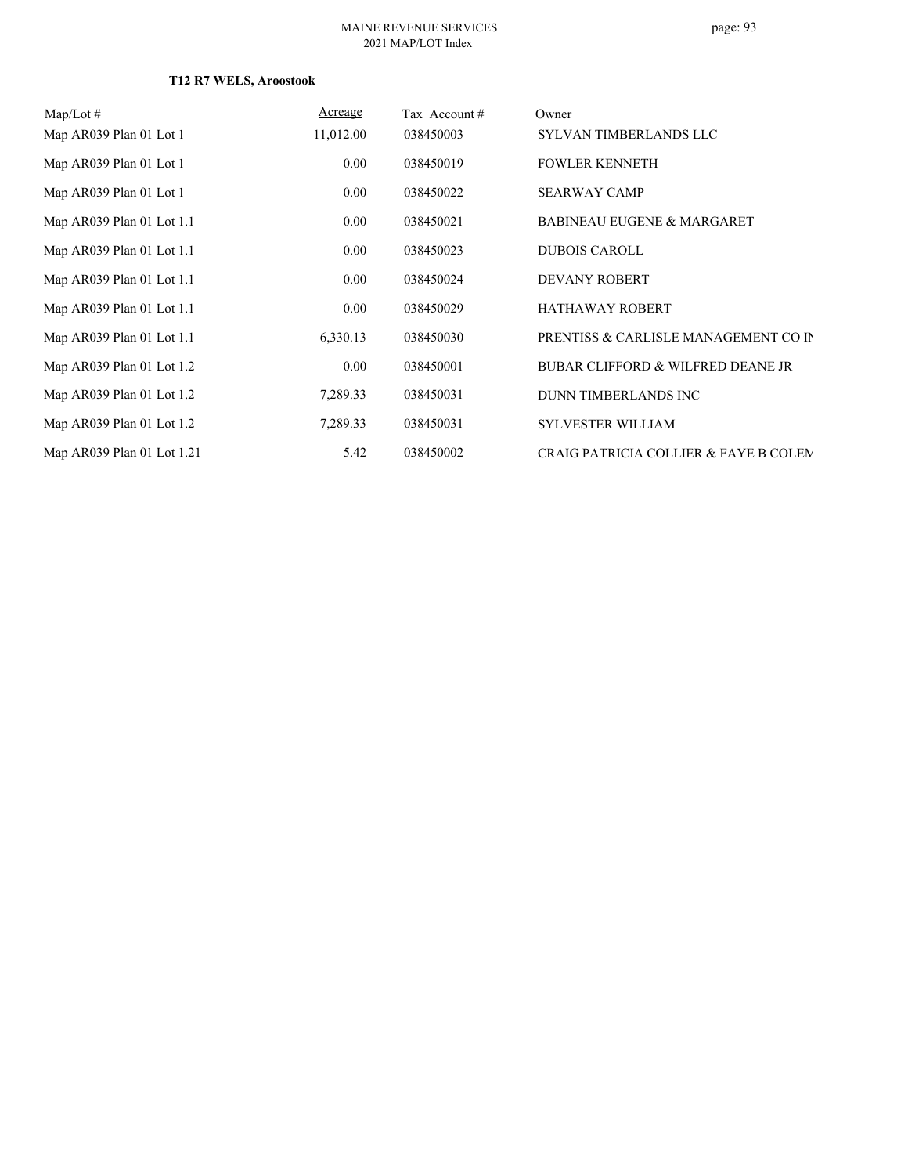## **T12 R7 WELS, Aroostook**

| $Map/Lot \#$               | Acreage   | Tax Account# | Owner                                            |
|----------------------------|-----------|--------------|--------------------------------------------------|
| Map AR039 Plan 01 Lot 1    | 11,012.00 | 038450003    | SYLVAN TIMBERLANDS LLC                           |
| Map AR039 Plan 01 Lot 1    | 0.00      | 038450019    | <b>FOWLER KENNETH</b>                            |
| Map AR039 Plan 01 Lot 1    | 0.00      | 038450022    | <b>SEARWAY CAMP</b>                              |
| Map AR039 Plan 01 Lot 1.1  | 0.00      | 038450021    | <b>BABINEAU EUGENE &amp; MARGARET</b>            |
| Map AR039 Plan 01 Lot 1.1  | 0.00      | 038450023    | <b>DUBOIS CAROLL</b>                             |
| Map AR039 Plan 01 Lot 1.1  | 0.00      | 038450024    | <b>DEVANY ROBERT</b>                             |
| Map AR039 Plan 01 Lot 1.1  | 0.00      | 038450029    | <b>HATHAWAY ROBERT</b>                           |
| Map AR039 Plan 01 Lot 1.1  | 6,330.13  | 038450030    | PRENTISS & CARLISLE MANAGEMENT CO IN             |
| Map AR039 Plan 01 Lot 1.2  | 0.00      | 038450001    | <b>BUBAR CLIFFORD &amp; WILFRED DEANE JR</b>     |
| Map AR039 Plan 01 Lot 1.2  | 7,289.33  | 038450031    | DUNN TIMBERLANDS INC                             |
| Map AR039 Plan 01 Lot 1.2  | 7,289.33  | 038450031    | <b>SYLVESTER WILLIAM</b>                         |
| Map AR039 Plan 01 Lot 1.21 | 5.42      | 038450002    | <b>CRAIG PATRICIA COLLIER &amp; FAYE B COLEM</b> |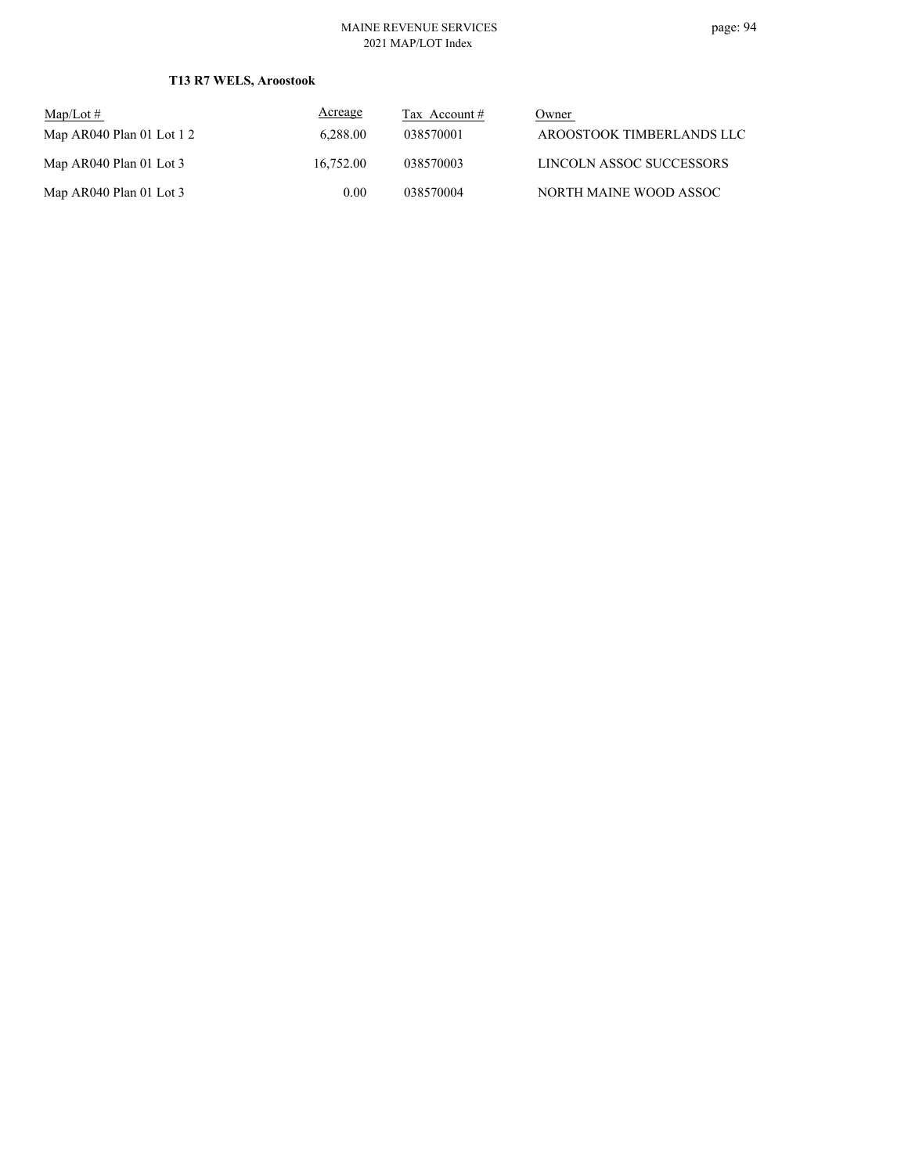## **T13 R7 WELS, Aroostook**

| $\text{Map/Lot} \#$         | Acreage   | Tax Account # | Owner                     |
|-----------------------------|-----------|---------------|---------------------------|
| Map $AR040$ Plan 01 Lot 1 2 | 6.288.00  | 038570001     | AROOSTOOK TIMBERLANDS LLC |
| Map AR040 Plan 01 Lot 3     | 16,752.00 | 038570003     | LINCOLN ASSOC SUCCESSORS  |
| Map AR040 Plan 01 Lot 3     | 0.00      | 038570004     | NORTH MAINE WOOD ASSOC    |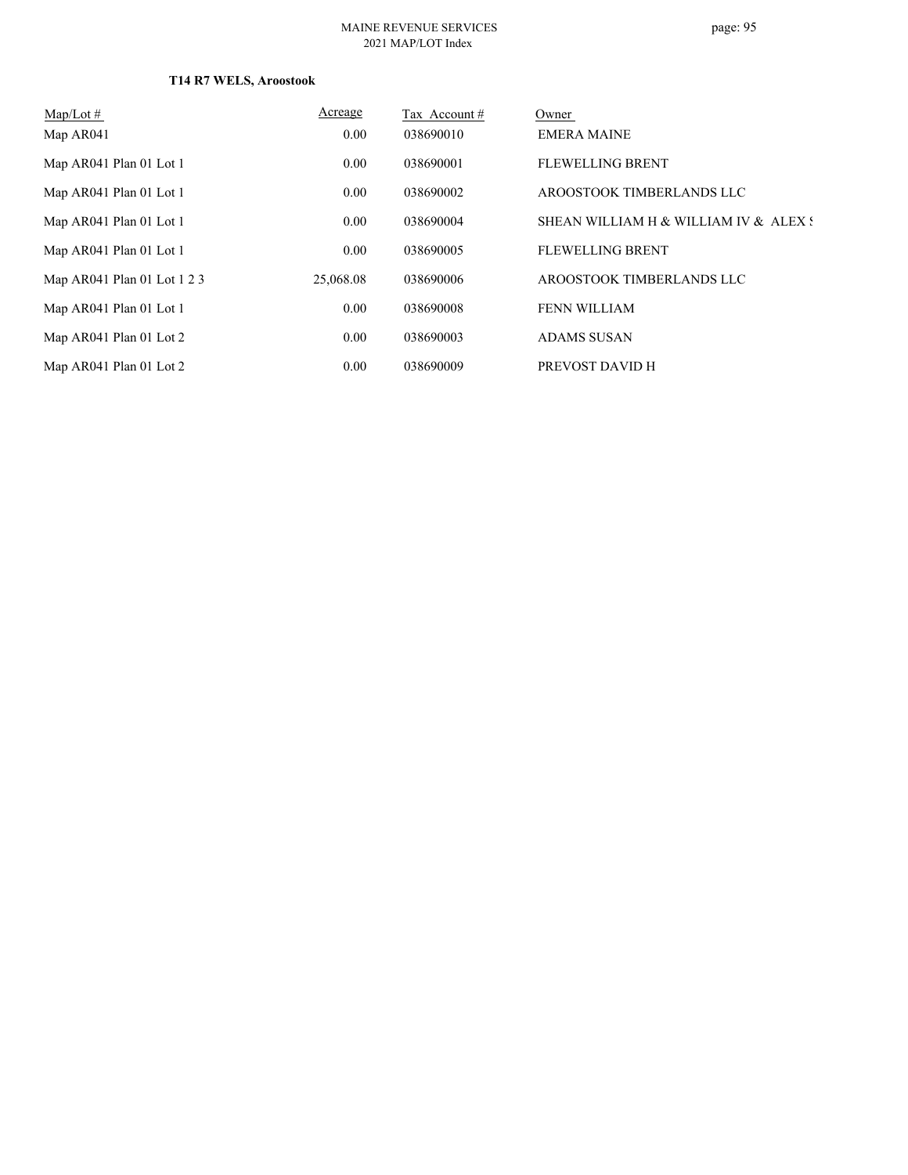## **T14 R7 WELS, Aroostook**

| Map/Lot $#$                 | Acreage   | Tax Account# | Owner                                 |
|-----------------------------|-----------|--------------|---------------------------------------|
| Map AR041                   | 0.00      | 038690010    | <b>EMERA MAINE</b>                    |
| Map AR041 Plan 01 Lot 1     | 0.00      | 038690001    | <b>FLEWELLING BRENT</b>               |
| Map AR041 Plan 01 Lot 1     | 0.00      | 038690002    | AROOSTOOK TIMBERLANDS LLC             |
| Map AR041 Plan 01 Lot 1     | 0.00      | 038690004    | SHEAN WILLIAM H & WILLIAM IV & ALEX S |
| Map AR041 Plan 01 Lot 1     | 0.00      | 038690005    | <b>FLEWELLING BRENT</b>               |
| Map AR041 Plan 01 Lot 1 2 3 | 25,068.08 | 038690006    | AROOSTOOK TIMBERLANDS LLC             |
| Map AR041 Plan 01 Lot 1     | 0.00      | 038690008    | FENN WILLIAM                          |
| Map AR041 Plan 01 Lot 2     | 0.00      | 038690003    | <b>ADAMS SUSAN</b>                    |
| Map AR041 Plan 01 Lot 2     | 0.00      | 038690009    | PREVOST DAVID H                       |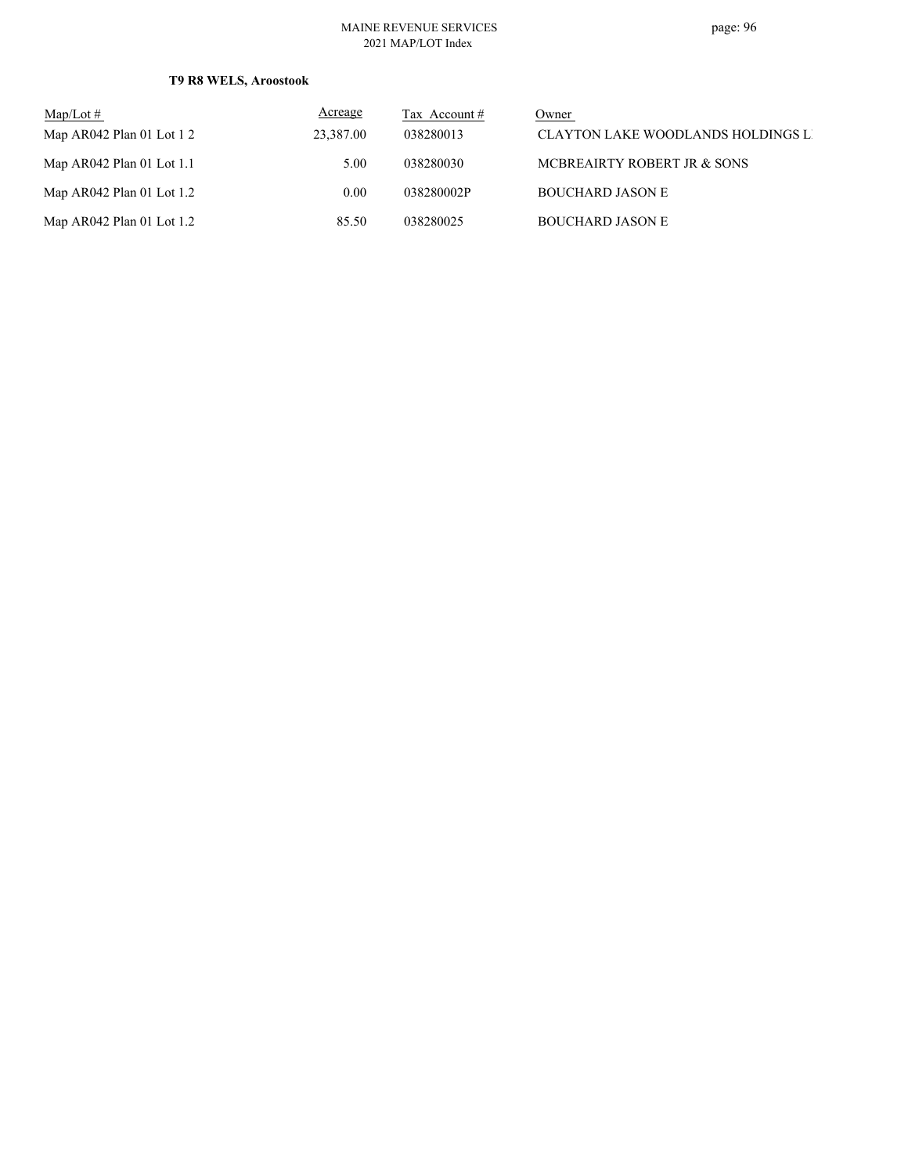## **T9 R8 WELS, Aroostook**

| Map/Lot $#$                 | Acreage   | Tax Account # | Owner                                     |
|-----------------------------|-----------|---------------|-------------------------------------------|
| Map AR042 Plan 01 Lot $12$  | 23,387.00 | 038280013     | <b>CLAYTON LAKE WOODLANDS HOLDINGS LI</b> |
| Map $AR042$ Plan 01 Lot 1.1 | 5.00      | 038280030     | MCBREAIRTY ROBERT JR & SONS               |
| Map $AR042$ Plan 01 Lot 1.2 | 0.00      | 038280002P    | <b>BOUCHARD JASON E</b>                   |
| Map $AR042$ Plan 01 Lot 1.2 | 85.50     | 038280025     | <b>BOUCHARD JASON E</b>                   |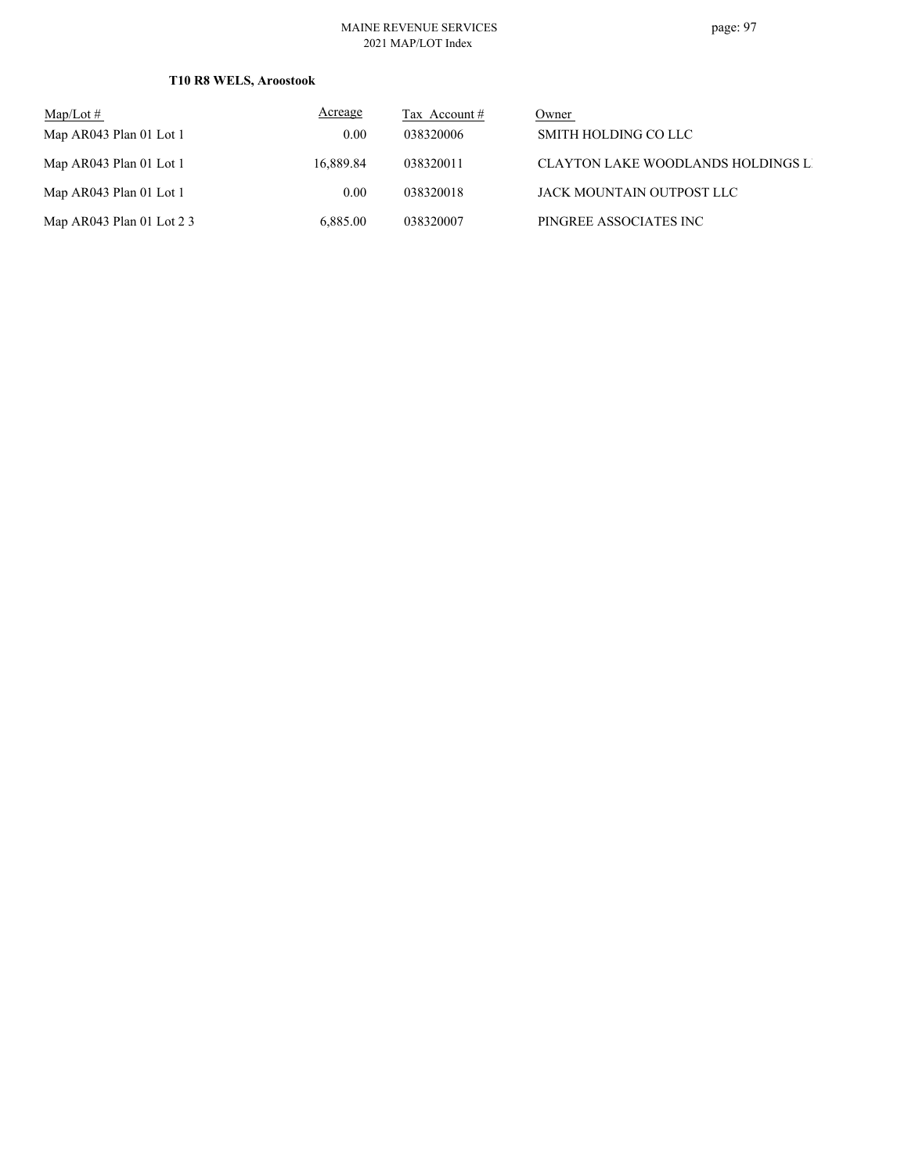## **T10 R8 WELS, Aroostook**

| Map/Lot $#$                  | Acreage   | Tax Account $#$ | Owner                                     |
|------------------------------|-----------|-----------------|-------------------------------------------|
| Map AR043 Plan 01 Lot 1      | 0.00      | 038320006       | SMITH HOLDING CO LLC                      |
| Map AR043 Plan 01 Lot 1      | 16,889.84 | 038320011       | <b>CLAYTON LAKE WOODLANDS HOLDINGS LI</b> |
| Map AR043 Plan 01 Lot 1      | 0.00      | 038320018       | JACK MOUNTAIN OUTPOST LLC                 |
| Map AR043 Plan 01 Lot $2\,3$ | 6,885.00  | 038320007       | PINGREE ASSOCIATES INC                    |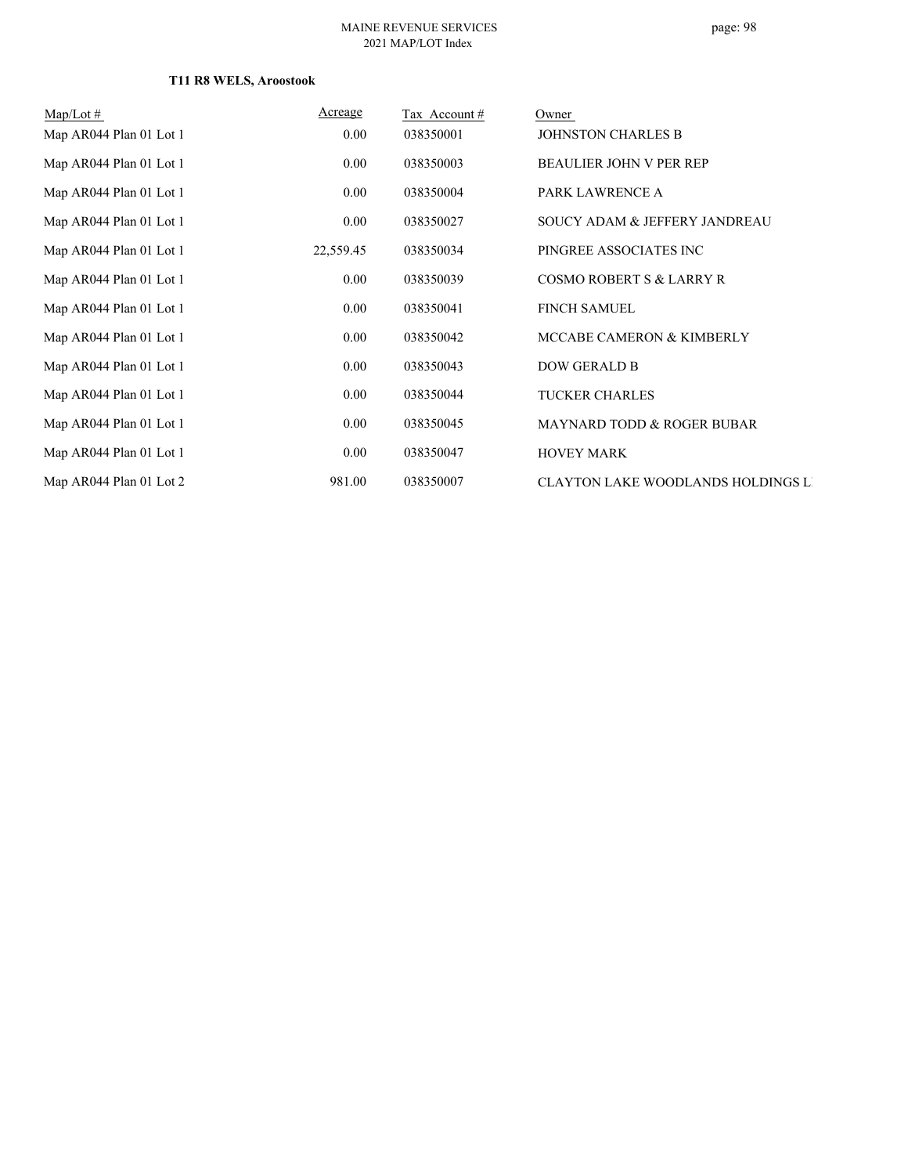## **T11 R8 WELS, Aroostook**

| $Map/Lot \#$            | Acreage   | Tax Account# | Owner                                     |
|-------------------------|-----------|--------------|-------------------------------------------|
| Map AR044 Plan 01 Lot 1 | $0.00\,$  | 038350001    | <b>JOHNSTON CHARLES B</b>                 |
| Map AR044 Plan 01 Lot 1 | $0.00\,$  | 038350003    | <b>BEAULIER JOHN V PER REP</b>            |
| Map AR044 Plan 01 Lot 1 | $0.00\,$  | 038350004    | PARK LAWRENCE A                           |
| Map AR044 Plan 01 Lot 1 | 0.00      | 038350027    | SOUCY ADAM & JEFFERY JANDREAU             |
| Map AR044 Plan 01 Lot 1 | 22,559.45 | 038350034    | PINGREE ASSOCIATES INC                    |
| Map AR044 Plan 01 Lot 1 | 0.00      | 038350039    | <b>COSMO ROBERT S &amp; LARRY R</b>       |
| Map AR044 Plan 01 Lot 1 | $0.00\,$  | 038350041    | <b>FINCH SAMUEL</b>                       |
| Map AR044 Plan 01 Lot 1 | 0.00      | 038350042    | MCCABE CAMERON & KIMBERLY                 |
| Map AR044 Plan 01 Lot 1 | 0.00      | 038350043    | <b>DOW GERALD B</b>                       |
| Map AR044 Plan 01 Lot 1 | $0.00\,$  | 038350044    | <b>TUCKER CHARLES</b>                     |
| Map AR044 Plan 01 Lot 1 | $0.00\,$  | 038350045    | MAYNARD TODD & ROGER BUBAR                |
| Map AR044 Plan 01 Lot 1 | 0.00      | 038350047    | <b>HOVEY MARK</b>                         |
| Map AR044 Plan 01 Lot 2 | 981.00    | 038350007    | <b>CLAYTON LAKE WOODLANDS HOLDINGS LI</b> |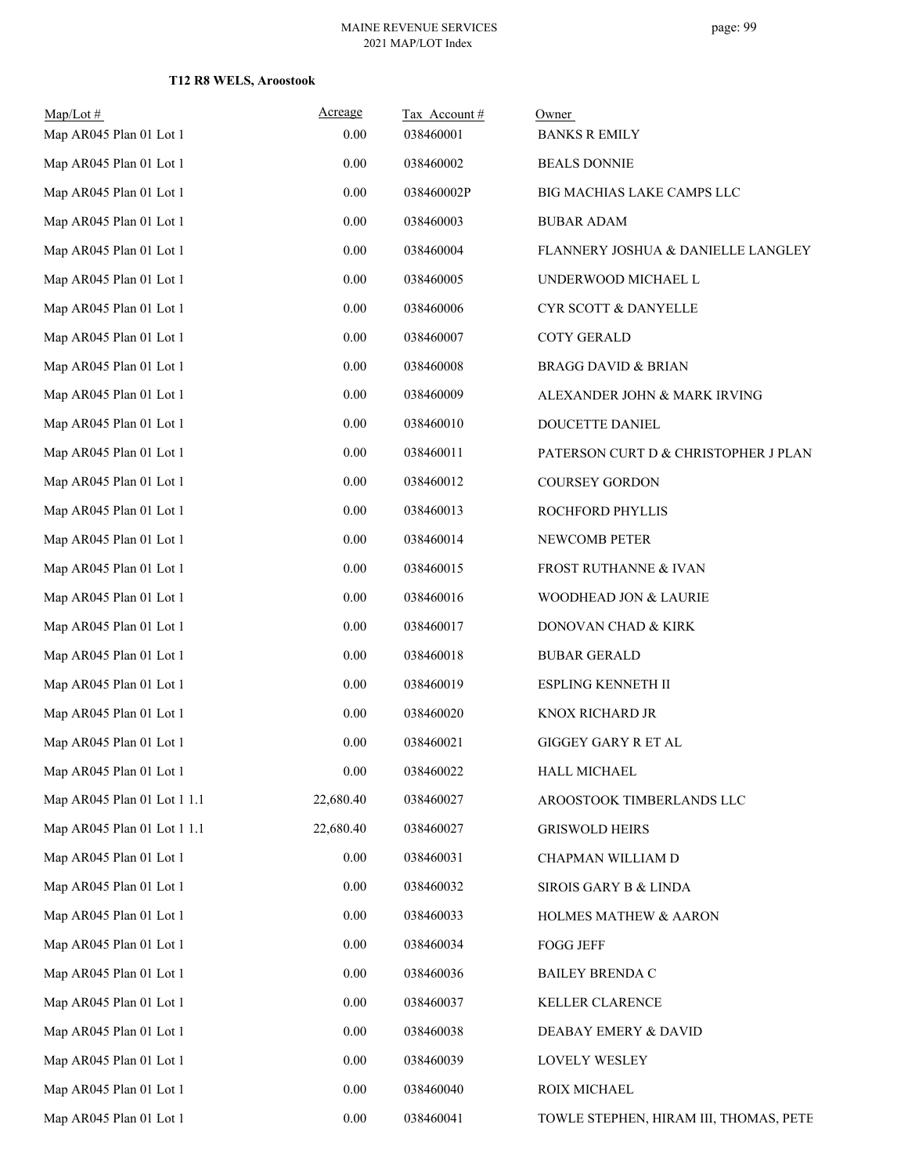## **T12 R8 WELS, Aroostook**

| $Map/Lot \#$                | Acreage   | Tax Account# | Owner                                  |
|-----------------------------|-----------|--------------|----------------------------------------|
| Map AR045 Plan 01 Lot 1     | 0.00      | 038460001    | <b>BANKS R EMILY</b>                   |
| Map AR045 Plan 01 Lot 1     | 0.00      | 038460002    | <b>BEALS DONNIE</b>                    |
| Map AR045 Plan 01 Lot 1     | 0.00      | 038460002P   | BIG MACHIAS LAKE CAMPS LLC             |
| Map AR045 Plan 01 Lot 1     | 0.00      | 038460003    | <b>BUBAR ADAM</b>                      |
| Map AR045 Plan 01 Lot 1     | 0.00      | 038460004    | FLANNERY JOSHUA & DANIELLE LANGLEY     |
| Map AR045 Plan 01 Lot 1     | 0.00      | 038460005    | UNDERWOOD MICHAEL L                    |
| Map AR045 Plan 01 Lot 1     | 0.00      | 038460006    | <b>CYR SCOTT &amp; DANYELLE</b>        |
| Map AR045 Plan 01 Lot 1     | 0.00      | 038460007    | <b>COTY GERALD</b>                     |
| Map AR045 Plan 01 Lot 1     | 0.00      | 038460008    | <b>BRAGG DAVID &amp; BRIAN</b>         |
| Map AR045 Plan 01 Lot 1     | 0.00      | 038460009    | ALEXANDER JOHN & MARK IRVING           |
| Map AR045 Plan 01 Lot 1     | 0.00      | 038460010    | DOUCETTE DANIEL                        |
| Map AR045 Plan 01 Lot 1     | 0.00      | 038460011    | PATERSON CURT D & CHRISTOPHER J PLAN   |
| Map AR045 Plan 01 Lot 1     | 0.00      | 038460012    | COURSEY GORDON                         |
| Map AR045 Plan 01 Lot 1     | 0.00      | 038460013    | ROCHFORD PHYLLIS                       |
| Map AR045 Plan 01 Lot 1     | 0.00      | 038460014    | NEWCOMB PETER                          |
| Map AR045 Plan 01 Lot 1     | 0.00      | 038460015    | FROST RUTHANNE & IVAN                  |
| Map AR045 Plan 01 Lot 1     | 0.00      | 038460016    | WOODHEAD JON & LAURIE                  |
| Map AR045 Plan 01 Lot 1     | 0.00      | 038460017    | DONOVAN CHAD & KIRK                    |
| Map AR045 Plan 01 Lot 1     | 0.00      | 038460018    | <b>BUBAR GERALD</b>                    |
| Map AR045 Plan 01 Lot 1     | 0.00      | 038460019    | ESPLING KENNETH II                     |
| Map AR045 Plan 01 Lot 1     | 0.00      | 038460020    | KNOX RICHARD JR                        |
| Map AR045 Plan 01 Lot 1     | 0.00      | 038460021    | GIGGEY GARY R ET AL                    |
| Map AR045 Plan 01 Lot 1     | $0.00\,$  | 038460022    | HALL MICHAEL                           |
| Map AR045 Plan 01 Lot 1 1.1 | 22,680.40 | 038460027    | AROOSTOOK TIMBERLANDS LLC              |
| Map AR045 Plan 01 Lot 1 1.1 | 22,680.40 | 038460027    | <b>GRISWOLD HEIRS</b>                  |
| Map AR045 Plan 01 Lot 1     | 0.00      | 038460031    | CHAPMAN WILLIAM D                      |
| Map AR045 Plan 01 Lot 1     | 0.00      | 038460032    | SIROIS GARY B & LINDA                  |
| Map AR045 Plan 01 Lot 1     | 0.00      | 038460033    | HOLMES MATHEW & AARON                  |
| Map AR045 Plan 01 Lot 1     | 0.00      | 038460034    | <b>FOGG JEFF</b>                       |
| Map AR045 Plan 01 Lot 1     | 0.00      | 038460036    | <b>BAILEY BRENDA C</b>                 |
| Map AR045 Plan 01 Lot 1     | 0.00      | 038460037    | KELLER CLARENCE                        |
| Map AR045 Plan 01 Lot 1     | 0.00      | 038460038    | DEABAY EMERY & DAVID                   |
| Map AR045 Plan 01 Lot 1     | 0.00      | 038460039    | LOVELY WESLEY                          |
| Map AR045 Plan 01 Lot 1     | 0.00      | 038460040    | ROIX MICHAEL                           |
| Map AR045 Plan 01 Lot 1     | 0.00      | 038460041    | TOWLE STEPHEN, HIRAM III, THOMAS, PETE |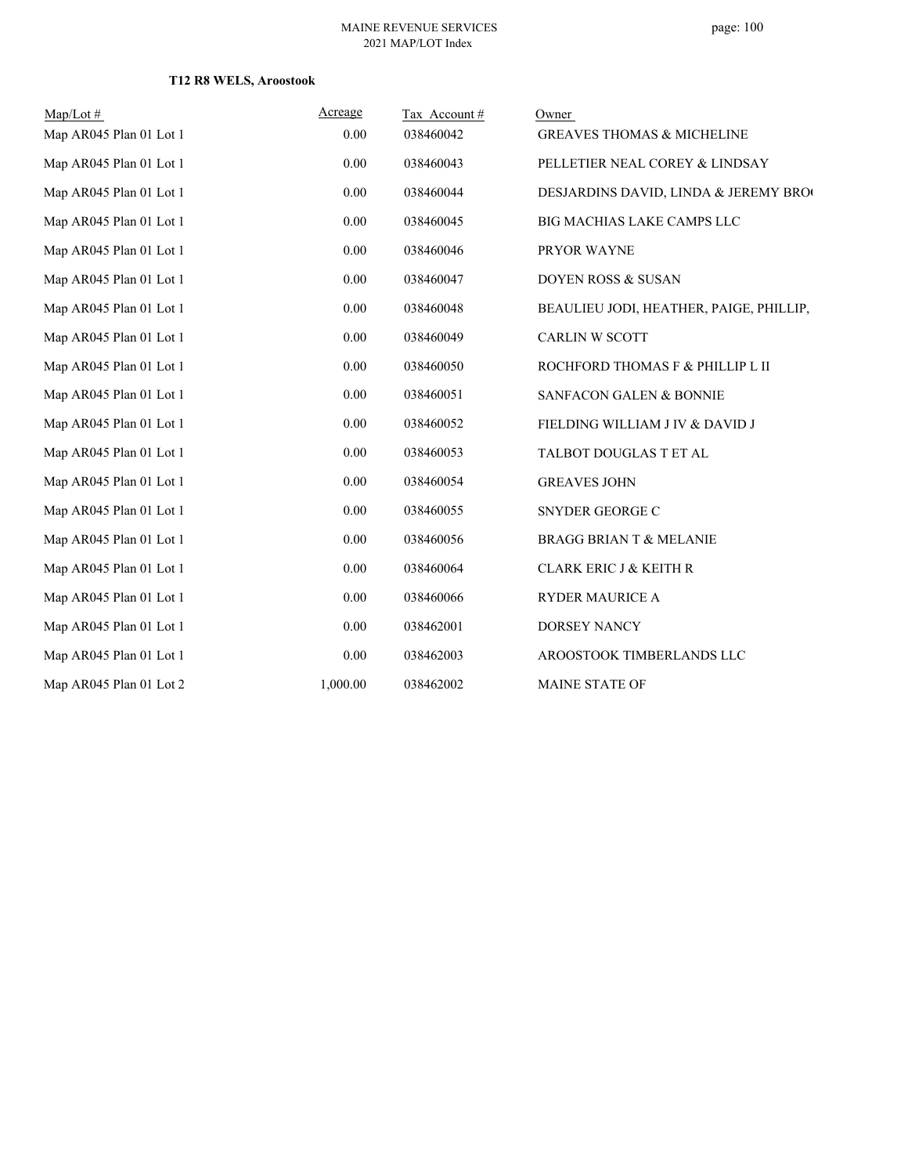## **T12 R8 WELS, Aroostook**

| $Map/Lot \#$            | Acreage  | Tax Account# | Owner                                   |
|-------------------------|----------|--------------|-----------------------------------------|
| Map AR045 Plan 01 Lot 1 | 0.00     | 038460042    | <b>GREAVES THOMAS &amp; MICHELINE</b>   |
| Map AR045 Plan 01 Lot 1 | 0.00     | 038460043    | PELLETIER NEAL COREY & LINDSAY          |
| Map AR045 Plan 01 Lot 1 | 0.00     | 038460044    | DESJARDINS DAVID, LINDA & JEREMY BROG   |
| Map AR045 Plan 01 Lot 1 | 0.00     | 038460045    | BIG MACHIAS LAKE CAMPS LLC              |
| Map AR045 Plan 01 Lot 1 | 0.00     | 038460046    | PRYOR WAYNE                             |
| Map AR045 Plan 01 Lot 1 | 0.00     | 038460047    | DOYEN ROSS & SUSAN                      |
| Map AR045 Plan 01 Lot 1 | 0.00     | 038460048    | BEAULIEU JODI, HEATHER, PAIGE, PHILLIP, |
| Map AR045 Plan 01 Lot 1 | 0.00     | 038460049    | <b>CARLIN W SCOTT</b>                   |
| Map AR045 Plan 01 Lot 1 | 0.00     | 038460050    | ROCHFORD THOMAS F & PHILLIP L II        |
| Map AR045 Plan 01 Lot 1 | 0.00     | 038460051    | <b>SANFACON GALEN &amp; BONNIE</b>      |
| Map AR045 Plan 01 Lot 1 | 0.00     | 038460052    | FIELDING WILLIAM J IV & DAVID J         |
| Map AR045 Plan 01 Lot 1 | 0.00     | 038460053    | TALBOT DOUGLAS T ET AL                  |
| Map AR045 Plan 01 Lot 1 | 0.00     | 038460054    | <b>GREAVES JOHN</b>                     |
| Map AR045 Plan 01 Lot 1 | 0.00     | 038460055    | SNYDER GEORGE C                         |
| Map AR045 Plan 01 Lot 1 | 0.00     | 038460056    | <b>BRAGG BRIAN T &amp; MELANIE</b>      |
| Map AR045 Plan 01 Lot 1 | 0.00     | 038460064    | <b>CLARK ERIC J &amp; KEITH R</b>       |
| Map AR045 Plan 01 Lot 1 | 0.00     | 038460066    | RYDER MAURICE A                         |
| Map AR045 Plan 01 Lot 1 | 0.00     | 038462001    | DORSEY NANCY                            |
| Map AR045 Plan 01 Lot 1 | 0.00     | 038462003    | AROOSTOOK TIMBERLANDS LLC               |
| Map AR045 Plan 01 Lot 2 | 1,000.00 | 038462002    | <b>MAINE STATE OF</b>                   |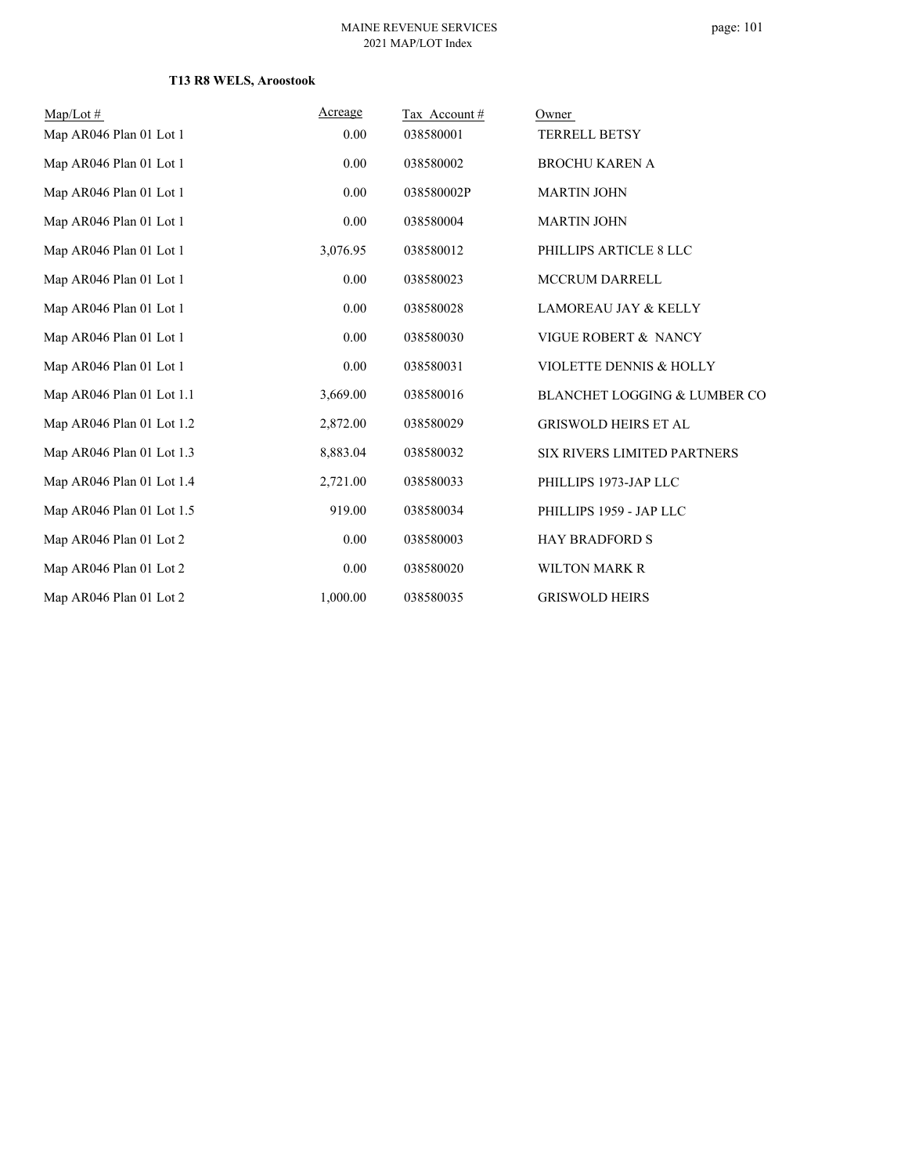## **T13 R8 WELS, Aroostook**

| $Map/Lot \#$              | Acreage  | Tax Account# | Owner                                   |
|---------------------------|----------|--------------|-----------------------------------------|
| Map AR046 Plan 01 Lot 1   | 0.00     | 038580001    | TERRELL BETSY                           |
| Map AR046 Plan 01 Lot 1   | 0.00     | 038580002    | <b>BROCHU KAREN A</b>                   |
| Map AR046 Plan 01 Lot 1   | 0.00     | 038580002P   | <b>MARTIN JOHN</b>                      |
| Map AR046 Plan 01 Lot 1   | 0.00     | 038580004    | <b>MARTIN JOHN</b>                      |
| Map AR046 Plan 01 Lot 1   | 3,076.95 | 038580012    | PHILLIPS ARTICLE 8 LLC                  |
| Map AR046 Plan 01 Lot 1   | 0.00     | 038580023    | <b>MCCRUM DARRELL</b>                   |
| Map AR046 Plan 01 Lot 1   | 0.00     | 038580028    | <b>LAMOREAU JAY &amp; KELLY</b>         |
| Map AR046 Plan 01 Lot 1   | 0.00     | 038580030    | VIGUE ROBERT & NANCY                    |
| Map AR046 Plan 01 Lot 1   | 0.00     | 038580031    | VIOLETTE DENNIS & HOLLY                 |
| Map AR046 Plan 01 Lot 1.1 | 3,669.00 | 038580016    | <b>BLANCHET LOGGING &amp; LUMBER CO</b> |
| Map AR046 Plan 01 Lot 1.2 | 2,872.00 | 038580029    | <b>GRISWOLD HEIRS ET AL</b>             |
| Map AR046 Plan 01 Lot 1.3 | 8,883.04 | 038580032    | <b>SIX RIVERS LIMITED PARTNERS</b>      |
| Map AR046 Plan 01 Lot 1.4 | 2,721.00 | 038580033    | PHILLIPS 1973-JAP LLC                   |
| Map AR046 Plan 01 Lot 1.5 | 919.00   | 038580034    | PHILLIPS 1959 - JAP LLC                 |
| Map AR046 Plan 01 Lot 2   | 0.00     | 038580003    | <b>HAY BRADFORD S</b>                   |
| Map AR046 Plan 01 Lot 2   | 0.00     | 038580020    | <b>WILTON MARK R</b>                    |
| Map AR046 Plan 01 Lot 2   | 1,000.00 | 038580035    | <b>GRISWOLD HEIRS</b>                   |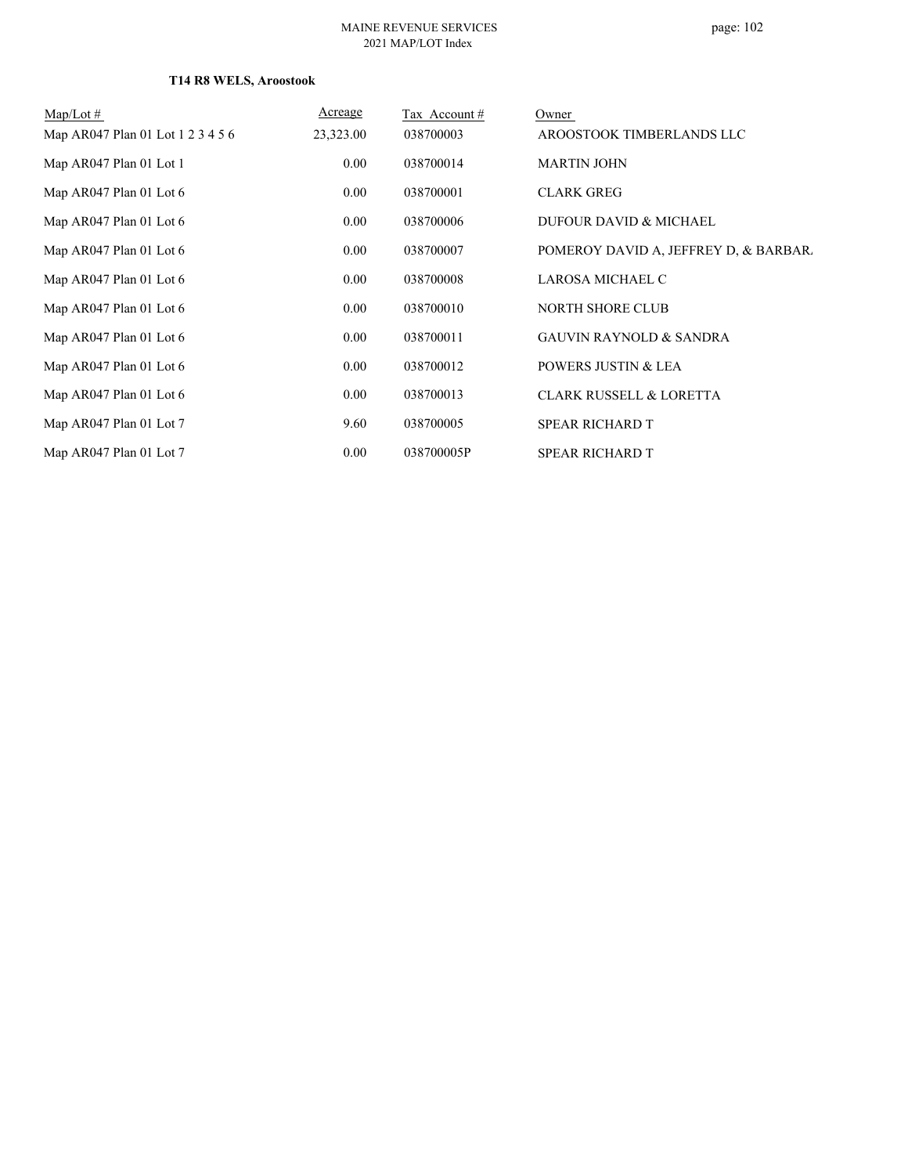## **T14 R8 WELS, Aroostook**

| $Map/Lot \#$                      | Acreage   | Tax Account # | Owner                                 |
|-----------------------------------|-----------|---------------|---------------------------------------|
| Map AR047 Plan 01 Lot 1 2 3 4 5 6 | 23,323.00 | 038700003     | AROOSTOOK TIMBERLANDS LLC             |
| Map AR047 Plan 01 Lot 1           | 0.00      | 038700014     | <b>MARTIN JOHN</b>                    |
| Map AR047 Plan 01 Lot 6           | 0.00      | 038700001     | <b>CLARK GREG</b>                     |
| Map AR047 Plan 01 Lot 6           | 0.00      | 038700006     | DUFOUR DAVID & MICHAEL                |
| Map AR047 Plan 01 Lot 6           | 0.00      | 038700007     | POMEROY DAVID A, JEFFREY D, & BARBAR. |
| Map AR047 Plan 01 Lot 6           | 0.00      | 038700008     | LAROSA MICHAEL C                      |
| Map AR047 Plan 01 Lot 6           | 0.00      | 038700010     | NORTH SHORE CLUB                      |
| Map AR047 Plan 01 Lot 6           | 0.00      | 038700011     | <b>GAUVIN RAYNOLD &amp; SANDRA</b>    |
| Map AR047 Plan 01 Lot 6           | 0.00      | 038700012     | POWERS JUSTIN & LEA                   |
| Map AR047 Plan 01 Lot 6           | 0.00      | 038700013     | <b>CLARK RUSSELL &amp; LORETTA</b>    |
| Map AR047 Plan 01 Lot 7           | 9.60      | 038700005     | <b>SPEAR RICHARD T</b>                |
| Map AR047 Plan 01 Lot 7           | 0.00      | 038700005P    | <b>SPEAR RICHARD T</b>                |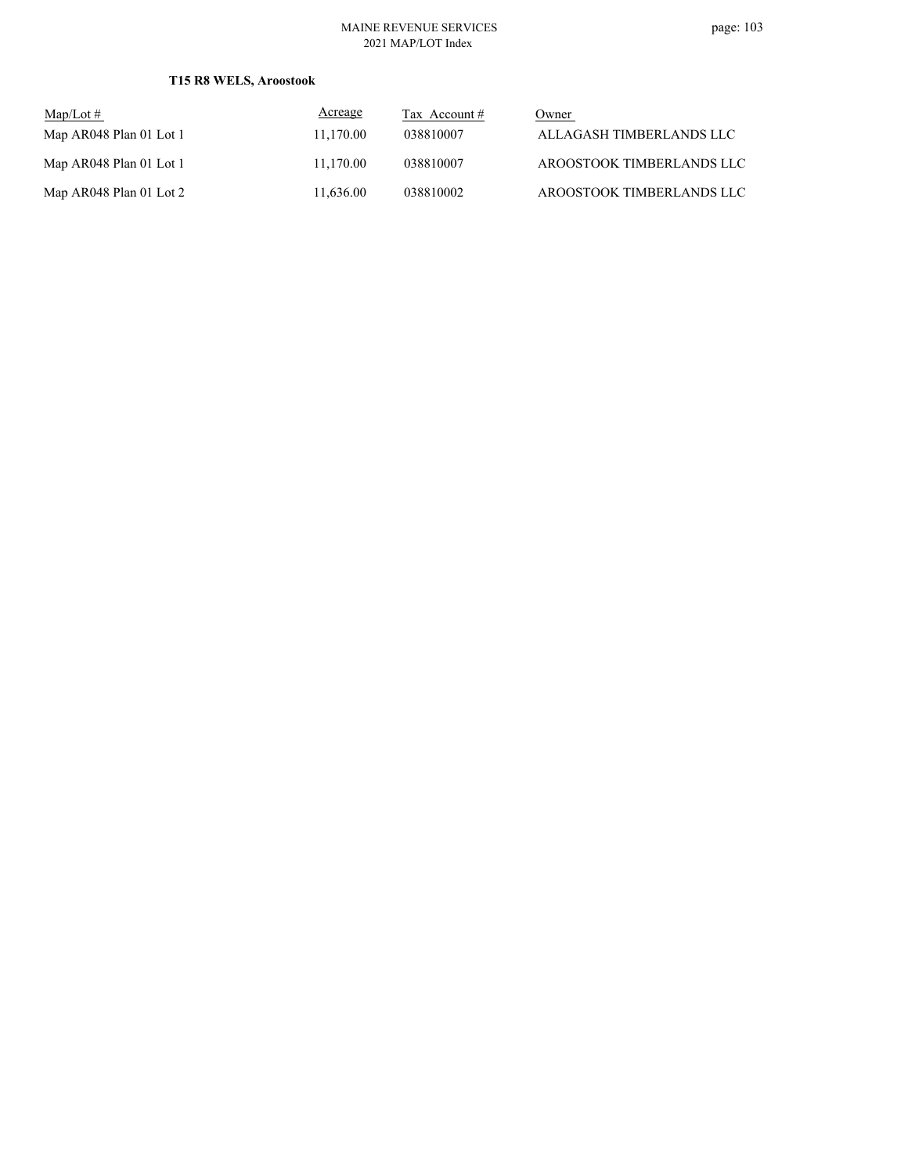## **T15 R8 WELS, Aroostook**

| $\text{Map/Lot} \#$     | Acreage   | Tax Account $#$ | Owner                     |
|-------------------------|-----------|-----------------|---------------------------|
| Map AR048 Plan 01 Lot 1 | 11.170.00 | 038810007       | ALLAGASH TIMBERLANDS LLC  |
| Map AR048 Plan 01 Lot 1 | 11.170.00 | 038810007       | AROOSTOOK TIMBERLANDS LLC |
| Map AR048 Plan 01 Lot 2 | 11.636.00 | 038810002       | AROOSTOOK TIMBERLANDS LLC |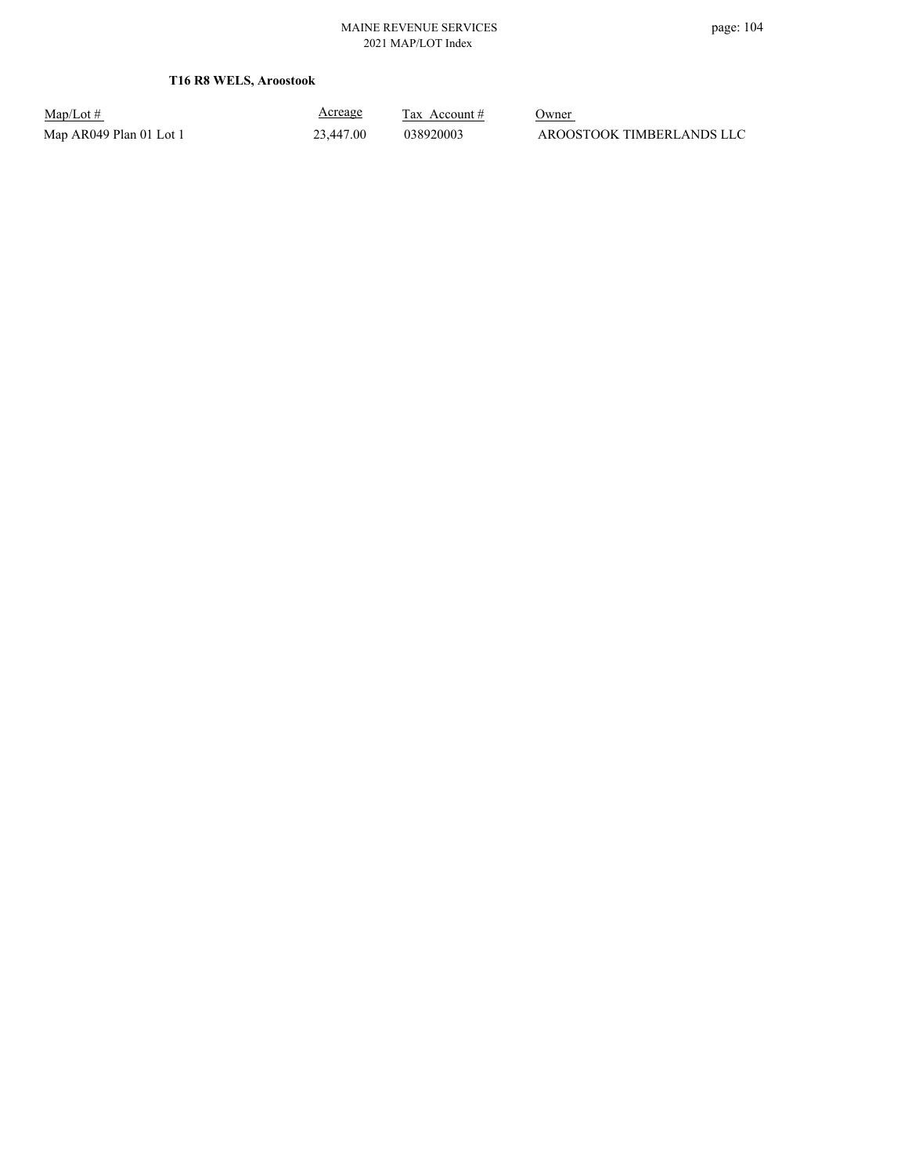**T16 R8 WELS, Aroostook**

Map/Lot #  $\frac{\text{Areage}}{\text{2x} + \text{Account}}$  0wner

Acreage

Map AR049 Plan 01 Lot 1 23,447.00 038920003 AROOSTOOK TIMBERLANDS LLC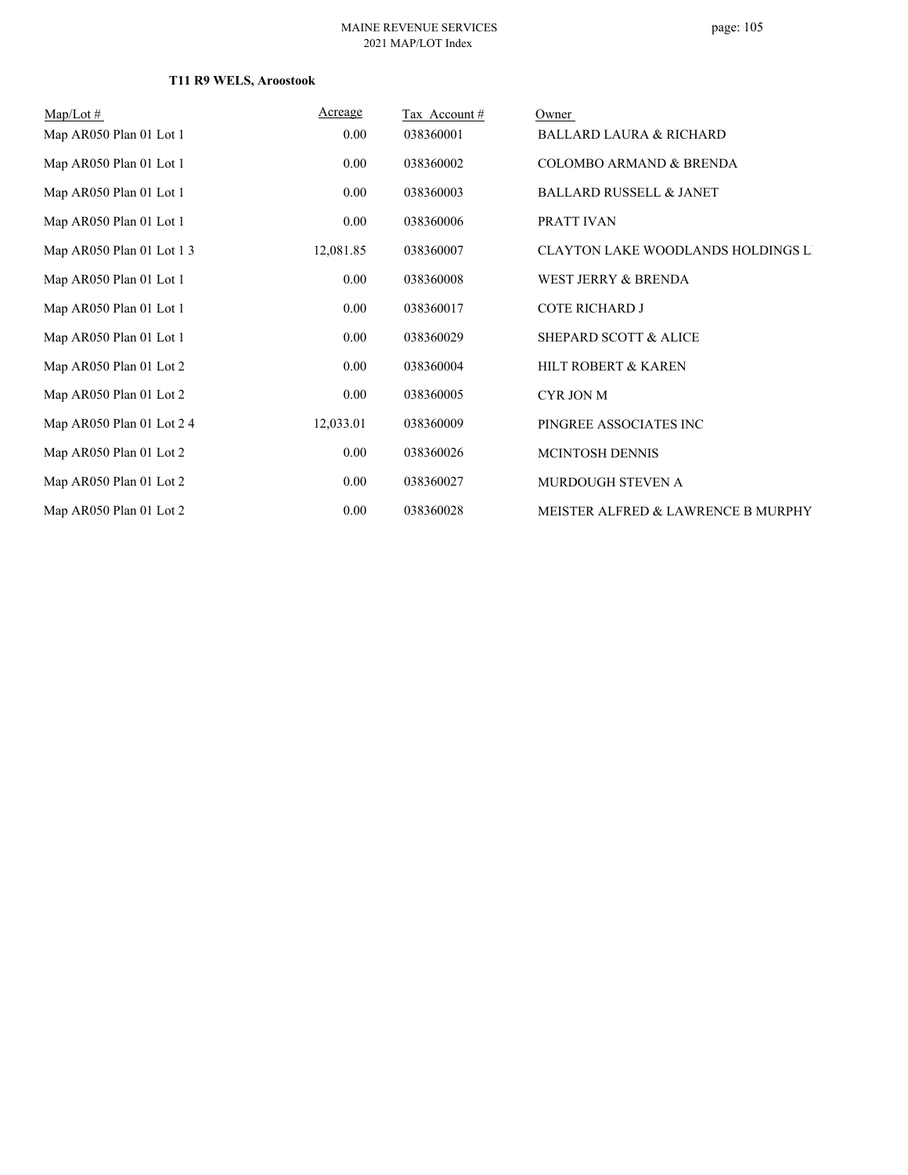## **T11 R9 WELS, Aroostook**

| $Map/Lot \#$              | Acreage   | Tax Account # | Owner                                     |
|---------------------------|-----------|---------------|-------------------------------------------|
| Map AR050 Plan 01 Lot 1   | 0.00      | 038360001     | <b>BALLARD LAURA &amp; RICHARD</b>        |
| Map AR050 Plan 01 Lot 1   | 0.00      | 038360002     | <b>COLOMBO ARMAND &amp; BRENDA</b>        |
| Map AR050 Plan 01 Lot 1   | 0.00      | 038360003     | <b>BALLARD RUSSELL &amp; JANET</b>        |
| Map AR050 Plan 01 Lot 1   | 0.00      | 038360006     | PRATT IVAN                                |
| Map AR050 Plan 01 Lot 1 3 | 12,081.85 | 038360007     | <b>CLAYTON LAKE WOODLANDS HOLDINGS LI</b> |
| Map AR050 Plan 01 Lot 1   | 0.00      | 038360008     | WEST JERRY & BRENDA                       |
| Map AR050 Plan 01 Lot 1   | 0.00      | 038360017     | <b>COTE RICHARD J</b>                     |
| Map AR050 Plan 01 Lot 1   | 0.00      | 038360029     | SHEPARD SCOTT & ALICE                     |
| Map AR050 Plan 01 Lot 2   | 0.00      | 038360004     | HILT ROBERT & KAREN                       |
| Map AR050 Plan 01 Lot 2   | 0.00      | 038360005     | CYR JON M                                 |
| Map AR050 Plan 01 Lot 2 4 | 12,033.01 | 038360009     | PINGREE ASSOCIATES INC                    |
| Map AR050 Plan 01 Lot 2   | 0.00      | 038360026     | <b>MCINTOSH DENNIS</b>                    |
| Map AR050 Plan 01 Lot 2   | 0.00      | 038360027     | MURDOUGH STEVEN A                         |
| Map AR050 Plan 01 Lot 2   | 0.00      | 038360028     | MEISTER ALFRED & LAWRENCE B MURPHY        |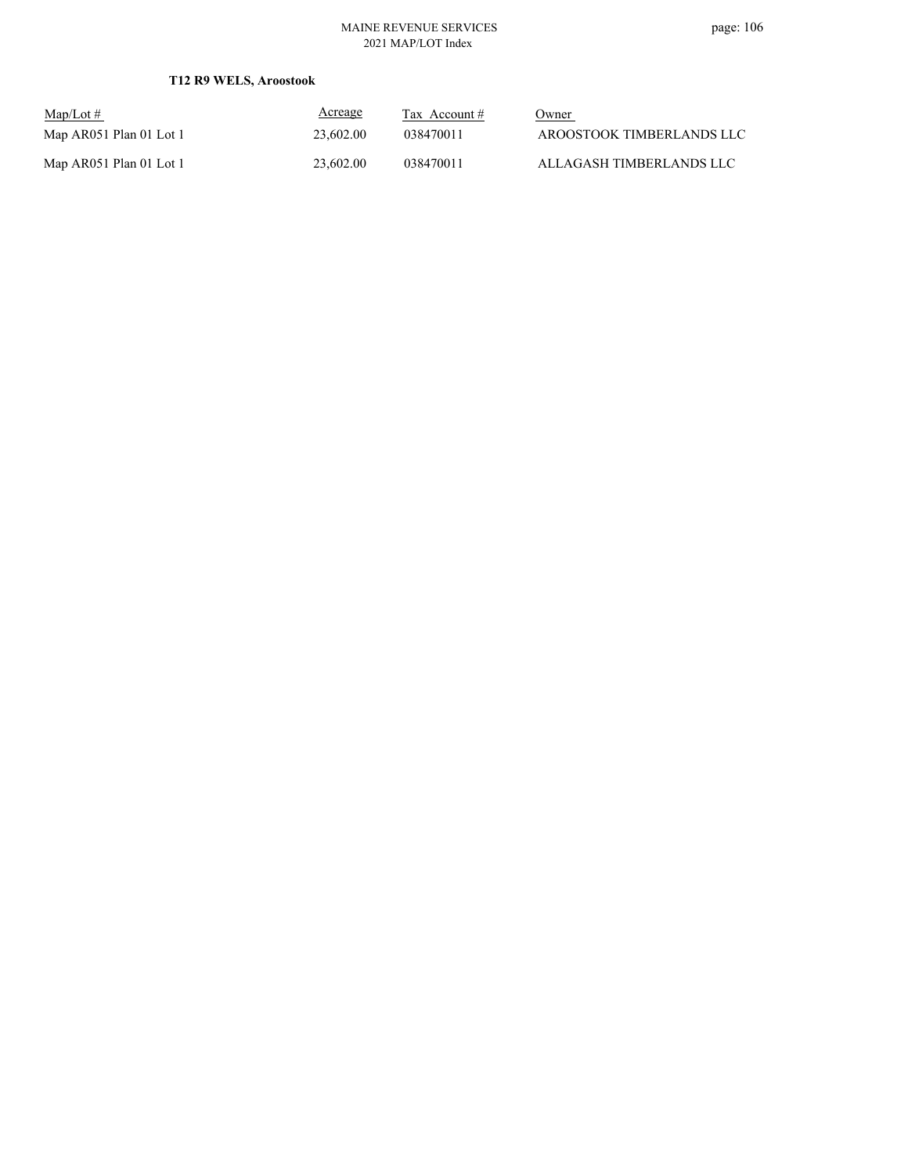## **T12 R9 WELS, Aroostook**

| $Map/Lot \#$            | <u>Acreage</u> | Tax Account $#$ | Owner                     |
|-------------------------|----------------|-----------------|---------------------------|
| Map AR051 Plan 01 Lot 1 | 23,602.00      | 038470011       | AROOSTOOK TIMBERLANDS LLC |
| Map AR051 Plan 01 Lot 1 | 23,602.00      | 038470011       | ALLAGASH TIMBERLANDS LLC  |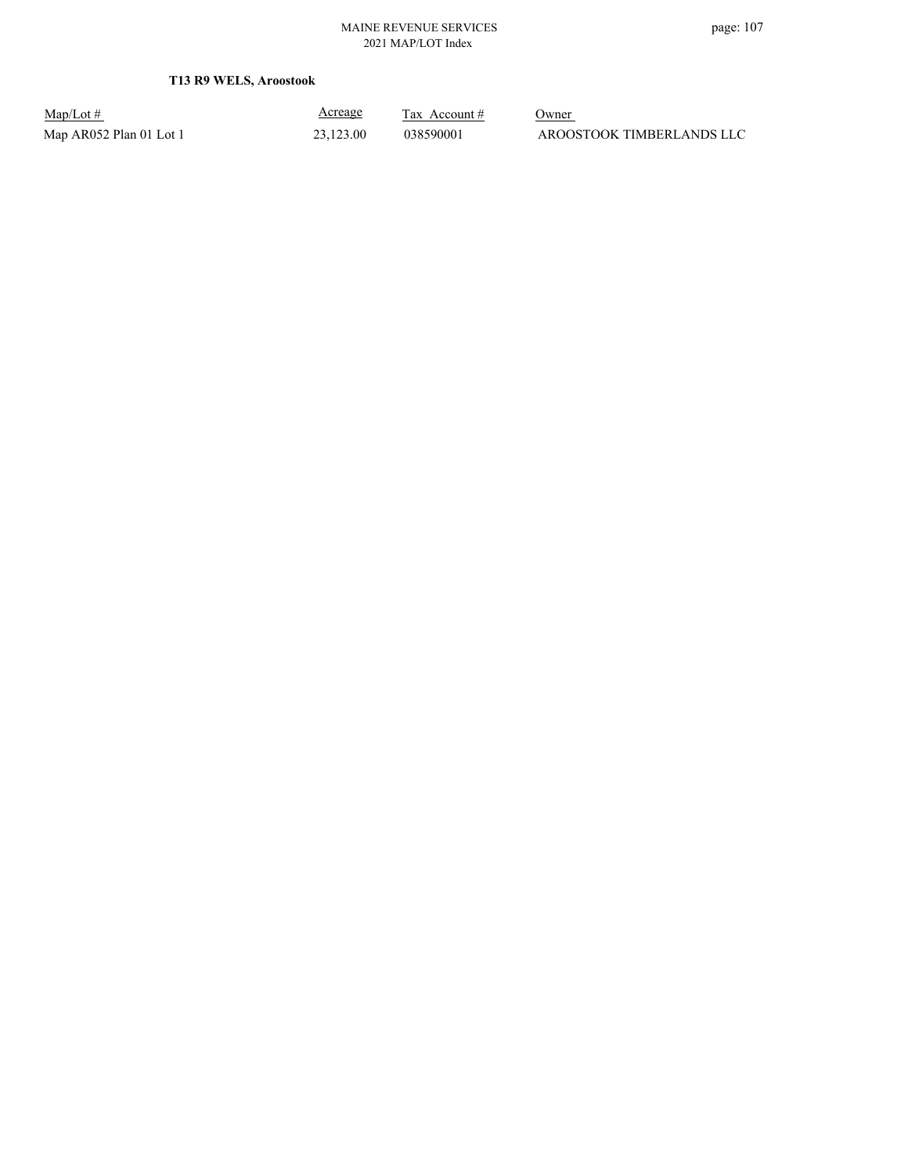**T13 R9 WELS, Aroostook**

Map/Lot #  $\frac{\text{Areage}}{\text{2x} + \text{Account}}$  0wner

Acreage

Map AR052 Plan 01 Lot 1 23,123.00 038590001 AROOSTOOK TIMBERLANDS LLC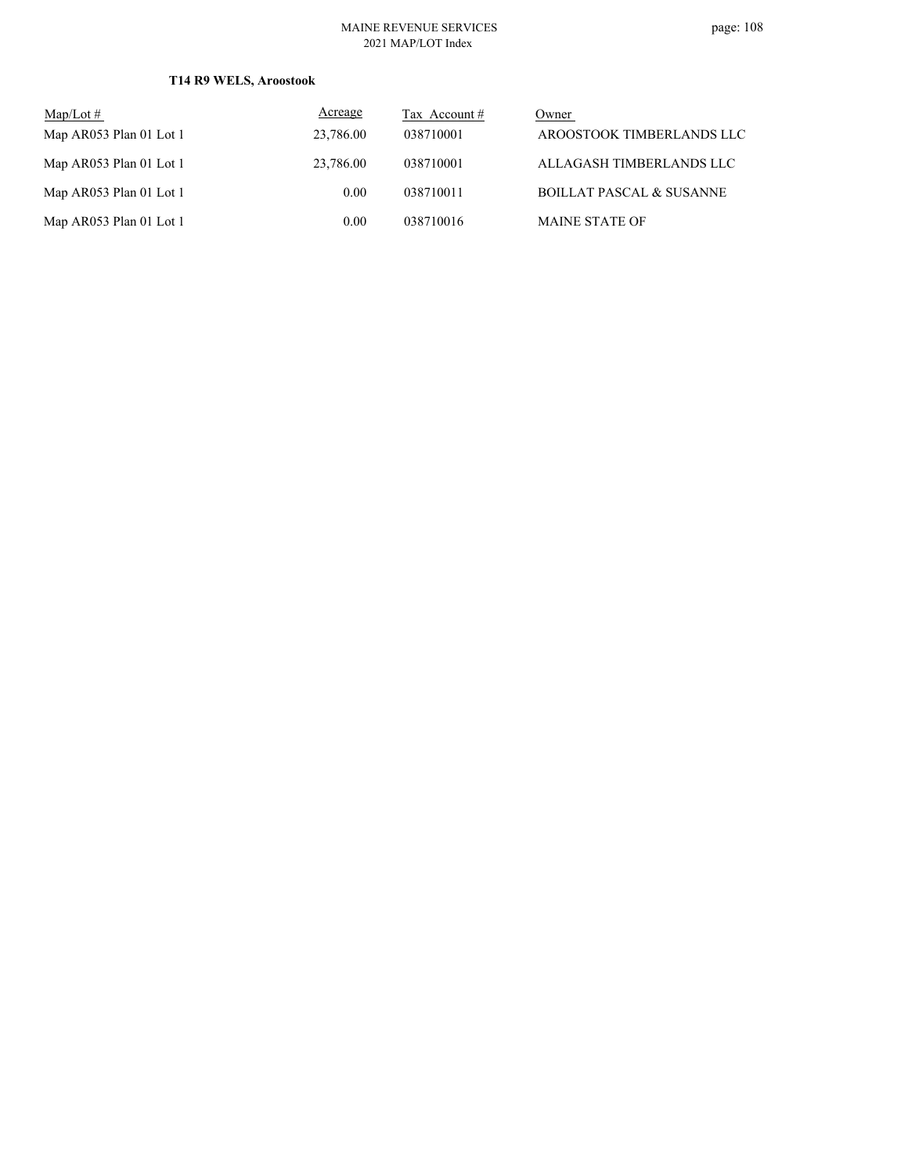## **T14 R9 WELS, Aroostook**

| $Map/Lot \#$            | Acreage   | Tax Account # | Owner                               |
|-------------------------|-----------|---------------|-------------------------------------|
| Map AR053 Plan 01 Lot 1 | 23,786.00 | 038710001     | AROOSTOOK TIMBERLANDS LLC           |
| Map AR053 Plan 01 Lot 1 | 23,786.00 | 038710001     | ALLAGASH TIMBERLANDS LLC            |
| Map AR053 Plan 01 Lot 1 | 0.00      | 038710011     | <b>BOILLAT PASCAL &amp; SUSANNE</b> |
| Map AR053 Plan 01 Lot 1 | 0.00      | 038710016     | <b>MAINE STATE OF</b>               |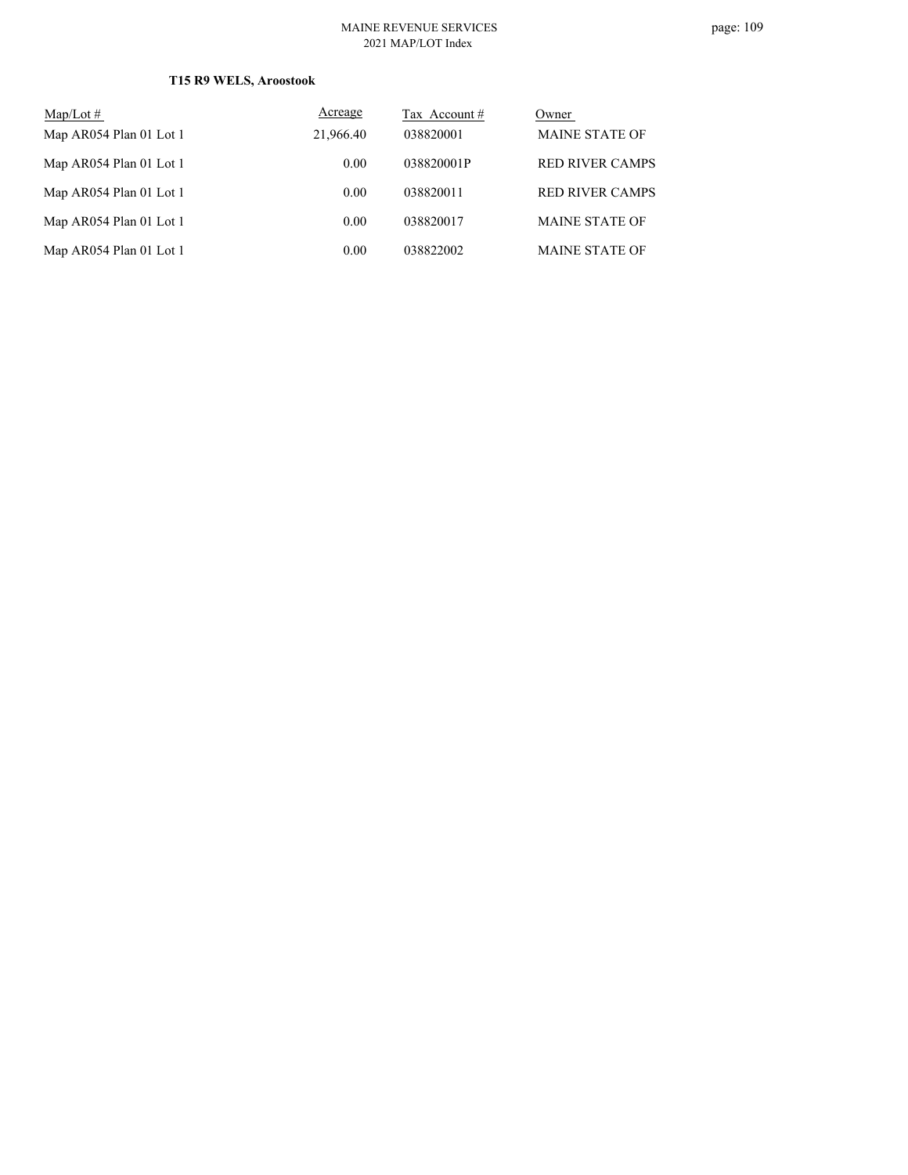## **T15 R9 WELS, Aroostook**

| Map/Lot $#$             | Acreage   | Tax Account # | Owner                  |
|-------------------------|-----------|---------------|------------------------|
| Map AR054 Plan 01 Lot 1 | 21,966.40 | 038820001     | <b>MAINE STATE OF</b>  |
| Map AR054 Plan 01 Lot 1 | 0.00      | 038820001P    | <b>RED RIVER CAMPS</b> |
| Map AR054 Plan 01 Lot 1 | 0.00      | 038820011     | <b>RED RIVER CAMPS</b> |
| Map AR054 Plan 01 Lot 1 | 0.00      | 038820017     | <b>MAINE STATE OF</b>  |
| Map AR054 Plan 01 Lot 1 | 0.00      | 038822002     | <b>MAINE STATE OF</b>  |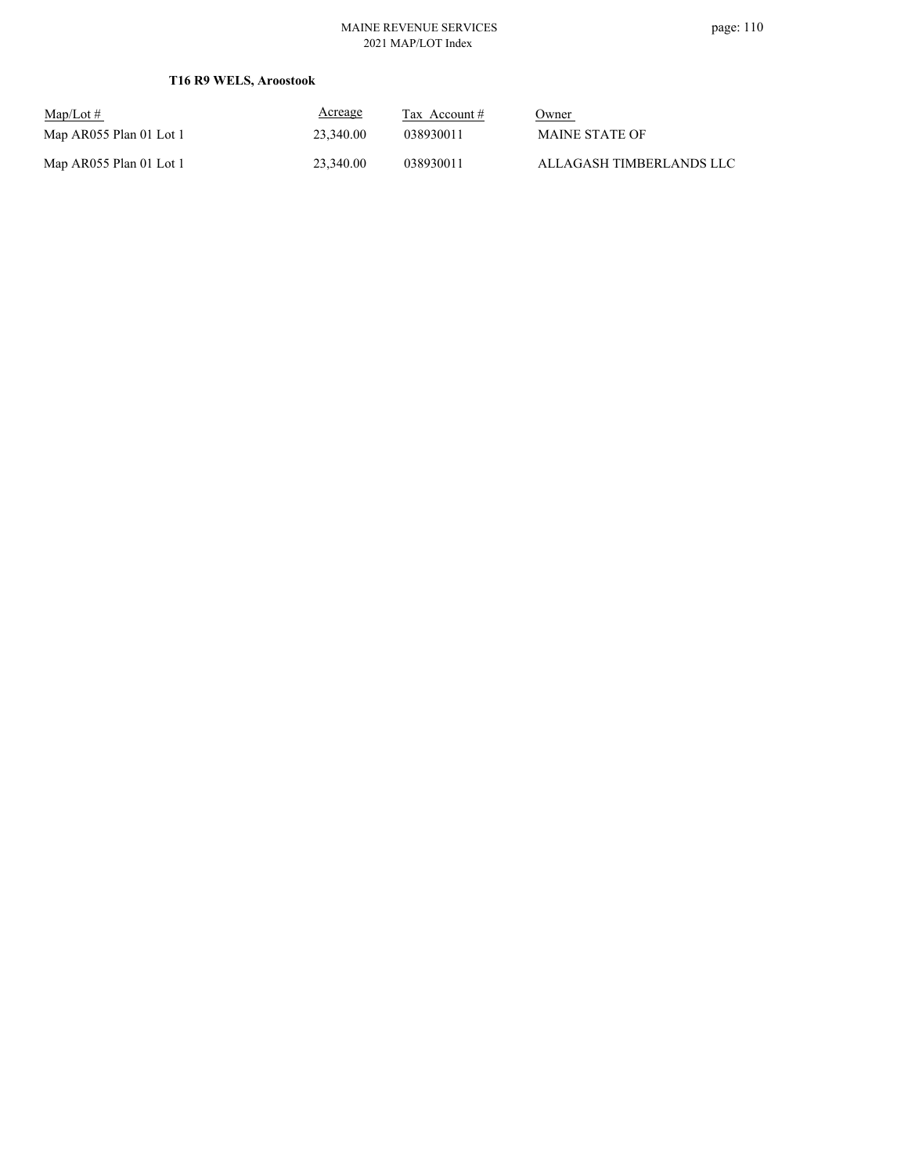#### MAINE REVENUE SERVICES 2021 MAP/LOT Index

| $Map/Lot \#$            | Acreage   | Tax Account # | <u>Owner</u>             |
|-------------------------|-----------|---------------|--------------------------|
| Map AR055 Plan 01 Lot 1 | 23,340.00 | 038930011     | MAINE STATE OF           |
| Map AR055 Plan 01 Lot 1 | 23,340.00 | 038930011     | ALLAGASH TIMBERLANDS LLC |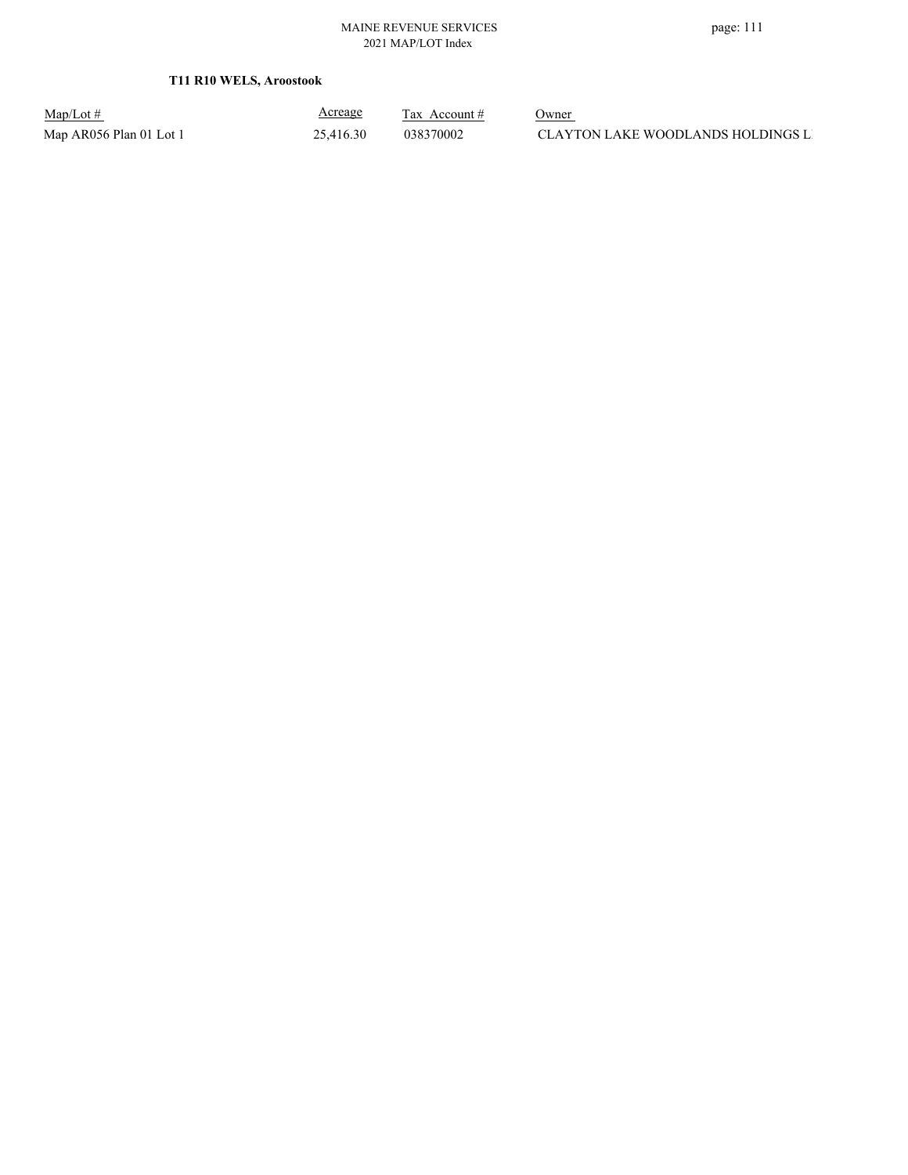**T11 R10 WELS, Aroostook**

| $Map/Lot \#$            | <b>Acreage</b> | Tax Account # | Owner                              |
|-------------------------|----------------|---------------|------------------------------------|
| Map AR056 Plan 01 Lot 1 | 25,416.30      | 038370002     | CLAYTON LAKE WOODLANDS HOLDINGS LI |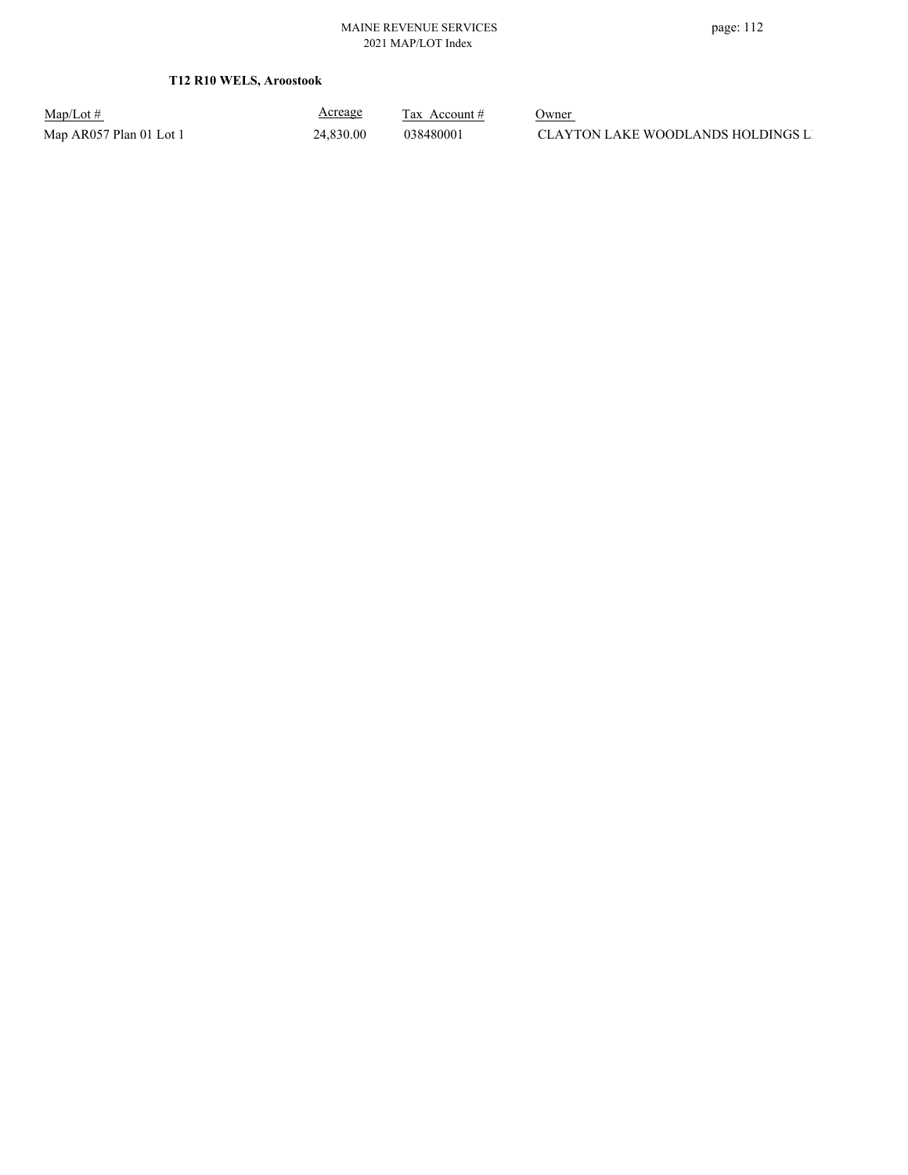**T12 R10 WELS, Aroostook**

Map/Lot #  $\frac{\text{Areage}}{\text{2x} + \text{Account}}$  0wner

Acreage

Map AR057 Plan 01 Lot 1 24,830.00 038480001 CLAYTON LAKE WOODLANDS HOLDINGS LI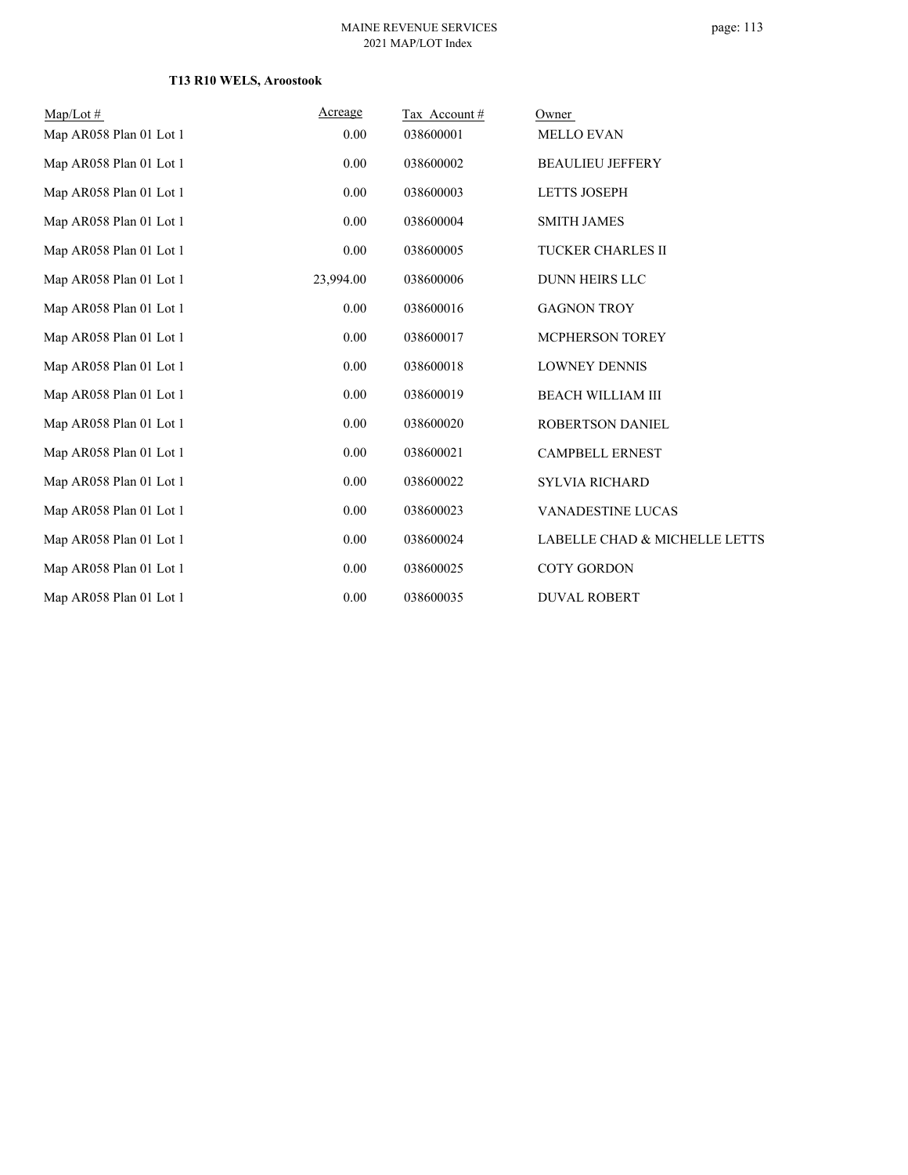## **T13 R10 WELS, Aroostook**

| $Map/Lot \#$            | Acreage   | Tax Account# | Owner                         |
|-------------------------|-----------|--------------|-------------------------------|
| Map AR058 Plan 01 Lot 1 | 0.00      | 038600001    | <b>MELLO EVAN</b>             |
| Map AR058 Plan 01 Lot 1 | 0.00      | 038600002    | <b>BEAULIEU JEFFERY</b>       |
| Map AR058 Plan 01 Lot 1 | 0.00      | 038600003    | <b>LETTS JOSEPH</b>           |
| Map AR058 Plan 01 Lot 1 | 0.00      | 038600004    | <b>SMITH JAMES</b>            |
| Map AR058 Plan 01 Lot 1 | 0.00      | 038600005    | TUCKER CHARLES II             |
| Map AR058 Plan 01 Lot 1 | 23,994.00 | 038600006    | <b>DUNN HEIRS LLC</b>         |
| Map AR058 Plan 01 Lot 1 | 0.00      | 038600016    | <b>GAGNON TROY</b>            |
| Map AR058 Plan 01 Lot 1 | 0.00      | 038600017    | MCPHERSON TOREY               |
| Map AR058 Plan 01 Lot 1 | 0.00      | 038600018    | <b>LOWNEY DENNIS</b>          |
| Map AR058 Plan 01 Lot 1 | 0.00      | 038600019    | <b>BEACH WILLIAM III</b>      |
| Map AR058 Plan 01 Lot 1 | 0.00      | 038600020    | ROBERTSON DANIEL              |
| Map AR058 Plan 01 Lot 1 | 0.00      | 038600021    | <b>CAMPBELL ERNEST</b>        |
| Map AR058 Plan 01 Lot 1 | 0.00      | 038600022    | <b>SYLVIA RICHARD</b>         |
| Map AR058 Plan 01 Lot 1 | 0.00      | 038600023    | <b>VANADESTINE LUCAS</b>      |
| Map AR058 Plan 01 Lot 1 | 0.00      | 038600024    | LABELLE CHAD & MICHELLE LETTS |
| Map AR058 Plan 01 Lot 1 | 0.00      | 038600025    | <b>COTY GORDON</b>            |
| Map AR058 Plan 01 Lot 1 | 0.00      | 038600035    | <b>DUVAL ROBERT</b>           |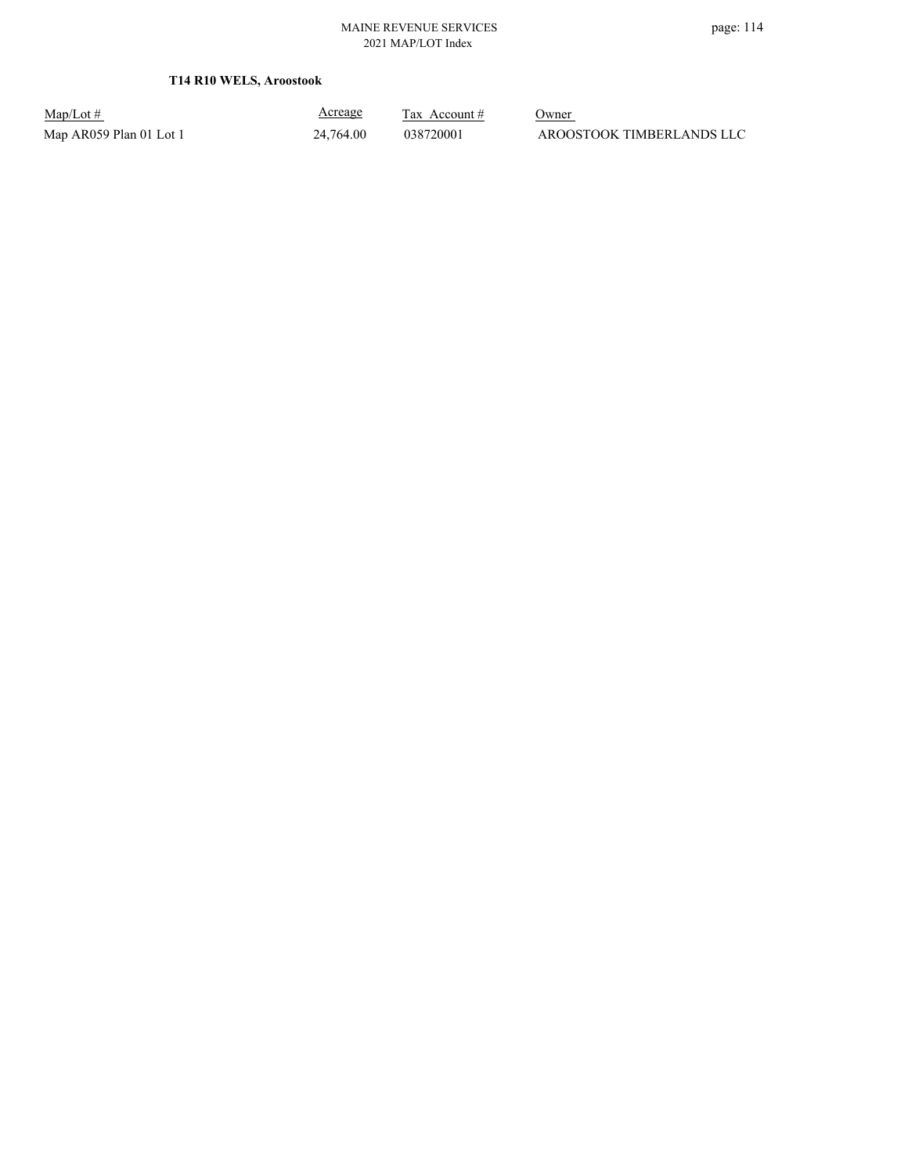## **T14 R10 WELS, Aroostook**

| $Map/Lot \#$            |  |
|-------------------------|--|
| Map AR059 Plan 01 Lot 1 |  |

Acreage

 $\frac{\text{Tax} \text{ Account #}}{}$  Owner  $24,764.00$  038720001 AROOSTOOK TIMBERLANDS LLC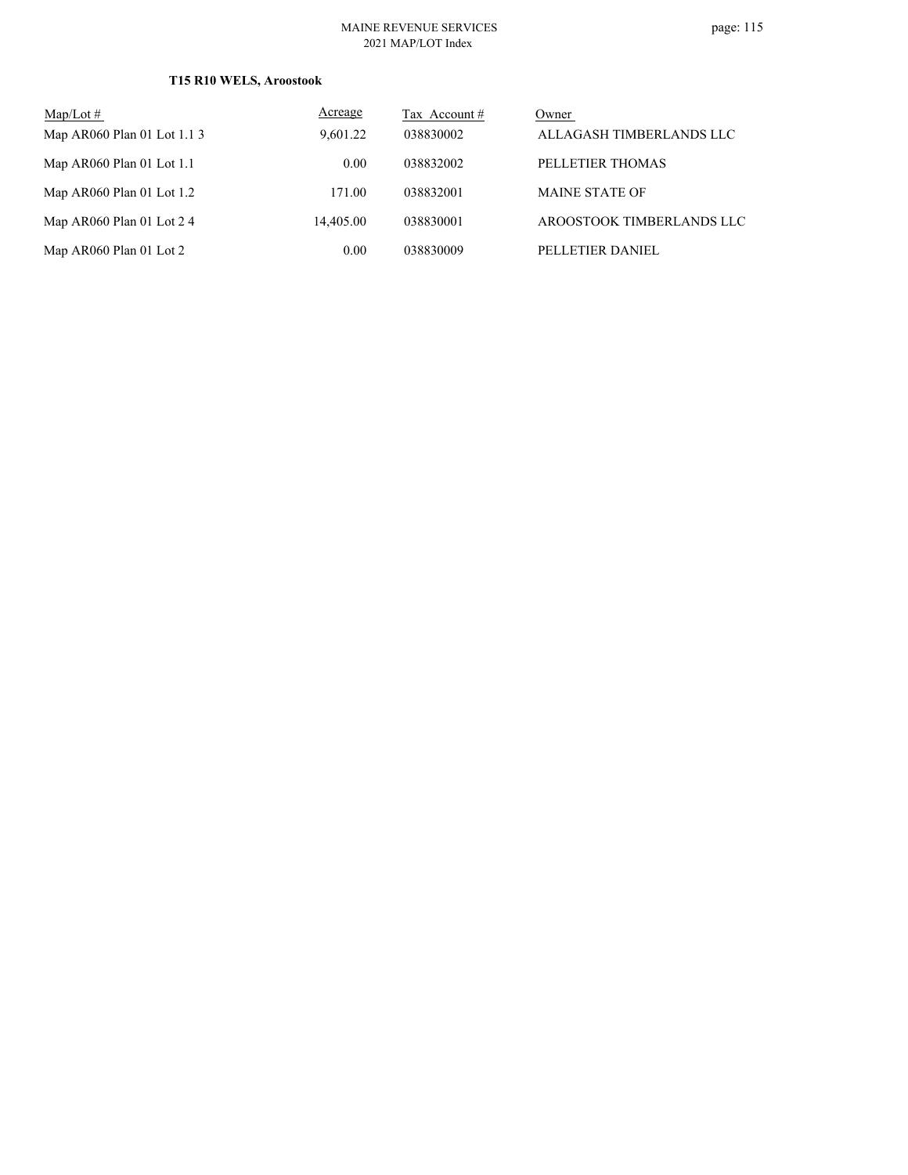## **T15 R10 WELS, Aroostook**

| $Map/Lot \#$                | Acreage   | Tax Account # | Owner                     |
|-----------------------------|-----------|---------------|---------------------------|
| Map AR060 Plan 01 Lot 1.1 3 | 9,601.22  | 038830002     | ALLAGASH TIMBERLANDS LLC  |
| Map AR060 Plan 01 Lot 1.1   | 0.00      | 038832002     | PELLETIER THOMAS          |
| Map AR060 Plan 01 Lot $1.2$ | 171.00    | 038832001     | <b>MAINE STATE OF</b>     |
| Map AR060 Plan 01 Lot $24$  | 14,405.00 | 038830001     | AROOSTOOK TIMBERLANDS LLC |
| Map AR060 Plan 01 Lot 2     | 0.00      | 038830009     | PELLETIER DANIEL          |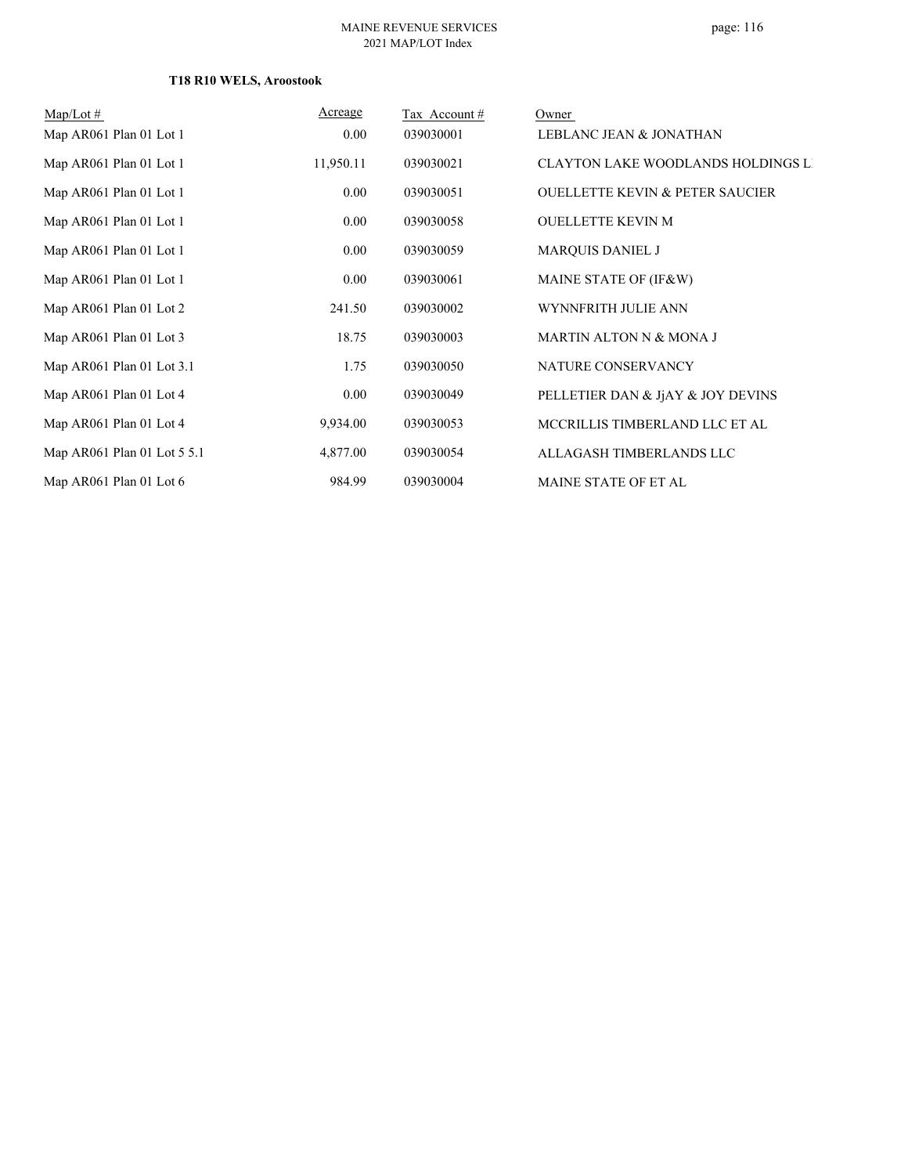## **T18 R10 WELS, Aroostook**

| $\text{Map/Lot} \#$         | Acreage   | Tax Account # | Owner                                      |
|-----------------------------|-----------|---------------|--------------------------------------------|
| Map AR061 Plan 01 Lot 1     | 0.00      | 039030001     | LEBLANC JEAN & JONATHAN                    |
| Map AR061 Plan 01 Lot 1     | 11,950.11 | 039030021     | <b>CLAYTON LAKE WOODLANDS HOLDINGS LI</b>  |
| Map AR061 Plan 01 Lot 1     | 0.00      | 039030051     | <b>OUELLETTE KEVIN &amp; PETER SAUCIER</b> |
| Map AR061 Plan 01 Lot 1     | 0.00      | 039030058     | <b>OUELLETTE KEVIN M</b>                   |
| Map AR061 Plan 01 Lot 1     | 0.00      | 039030059     | <b>MARQUIS DANIEL J</b>                    |
| Map AR061 Plan 01 Lot 1     | 0.00      | 039030061     | MAINE STATE OF (IF&W)                      |
| Map AR061 Plan 01 Lot 2     | 241.50    | 039030002     | WYNNFRITH JULIE ANN                        |
| Map AR061 Plan 01 Lot 3     | 18.75     | 039030003     | MARTIN ALTON N & MONA J                    |
| Map AR061 Plan 01 Lot 3.1   | 1.75      | 039030050     | NATURE CONSERVANCY                         |
| Map AR061 Plan 01 Lot 4     | 0.00      | 039030049     | PELLETIER DAN & JAY & JOY DEVINS           |
| Map AR061 Plan 01 Lot 4     | 9,934.00  | 039030053     | MCCRILLIS TIMBERLAND LLC ET AL             |
| Map AR061 Plan 01 Lot 5 5.1 | 4,877.00  | 039030054     | ALLAGASH TIMBERLANDS LLC                   |
| Map AR061 Plan 01 Lot 6     | 984.99    | 039030004     | MAINE STATE OF ET AL                       |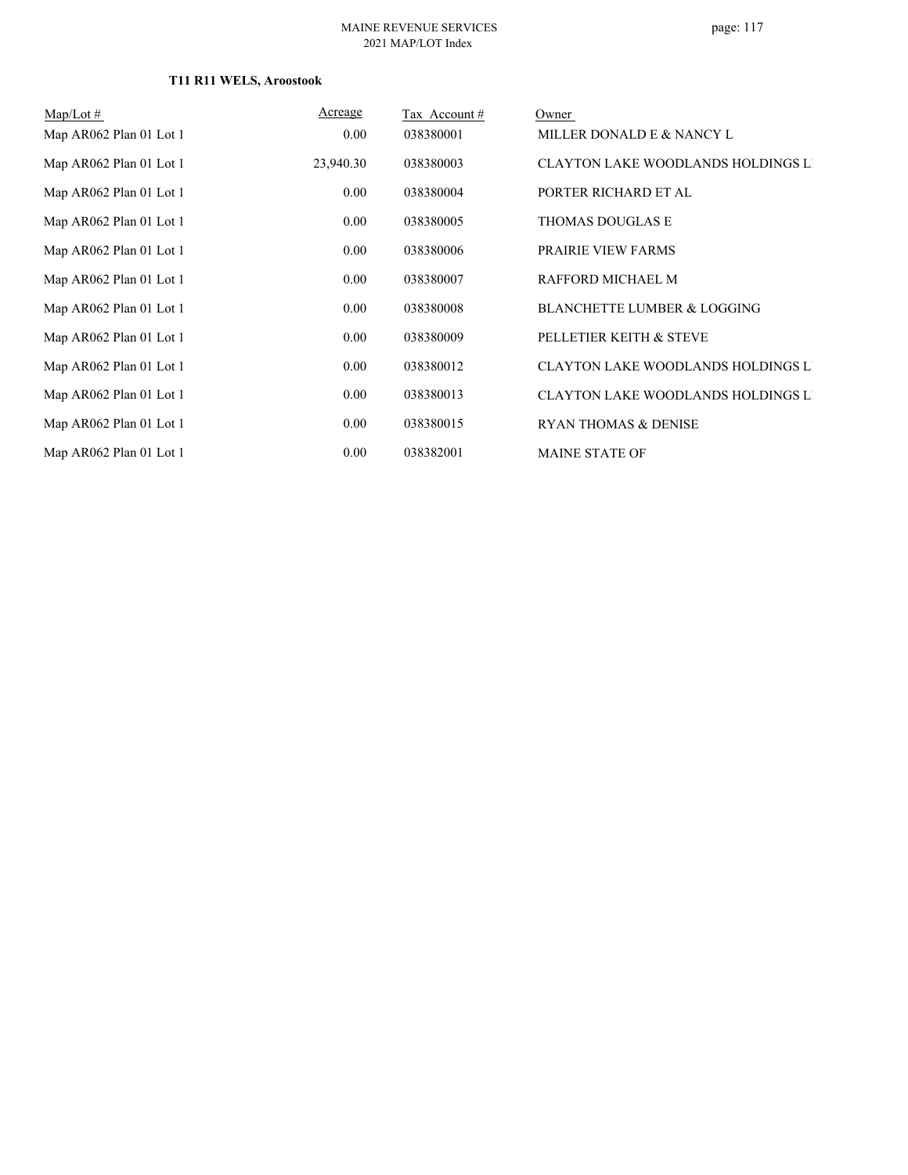## **T11 R11 WELS, Aroostook**

| $Map/Lot \#$            | Acreage   | Tax Account # | Owner                                     |
|-------------------------|-----------|---------------|-------------------------------------------|
| Map AR062 Plan 01 Lot 1 | 0.00      | 038380001     | MILLER DONALD E & NANCY L                 |
| Map AR062 Plan 01 Lot 1 | 23,940.30 | 038380003     | <b>CLAYTON LAKE WOODLANDS HOLDINGS LI</b> |
| Map AR062 Plan 01 Lot 1 | 0.00      | 038380004     | PORTER RICHARD ET AL                      |
| Map AR062 Plan 01 Lot 1 | 0.00      | 038380005     | THOMAS DOUGLAS E                          |
| Map AR062 Plan 01 Lot 1 | 0.00      | 038380006     | PRAIRIE VIEW FARMS                        |
| Map AR062 Plan 01 Lot 1 | 0.00      | 038380007     | RAFFORD MICHAEL M                         |
| Map AR062 Plan 01 Lot 1 | 0.00      | 038380008     | <b>BLANCHETTE LUMBER &amp; LOGGING</b>    |
| Map AR062 Plan 01 Lot 1 | 0.00      | 038380009     | PELLETIER KEITH & STEVE                   |
| Map AR062 Plan 01 Lot 1 | 0.00      | 038380012     | <b>CLAYTON LAKE WOODLANDS HOLDINGS LI</b> |
| Map AR062 Plan 01 Lot 1 | 0.00      | 038380013     | <b>CLAYTON LAKE WOODLANDS HOLDINGS LI</b> |
| Map AR062 Plan 01 Lot 1 | 0.00      | 038380015     | <b>RYAN THOMAS &amp; DENISE</b>           |
| Map AR062 Plan 01 Lot 1 | 0.00      | 038382001     | <b>MAINE STATE OF</b>                     |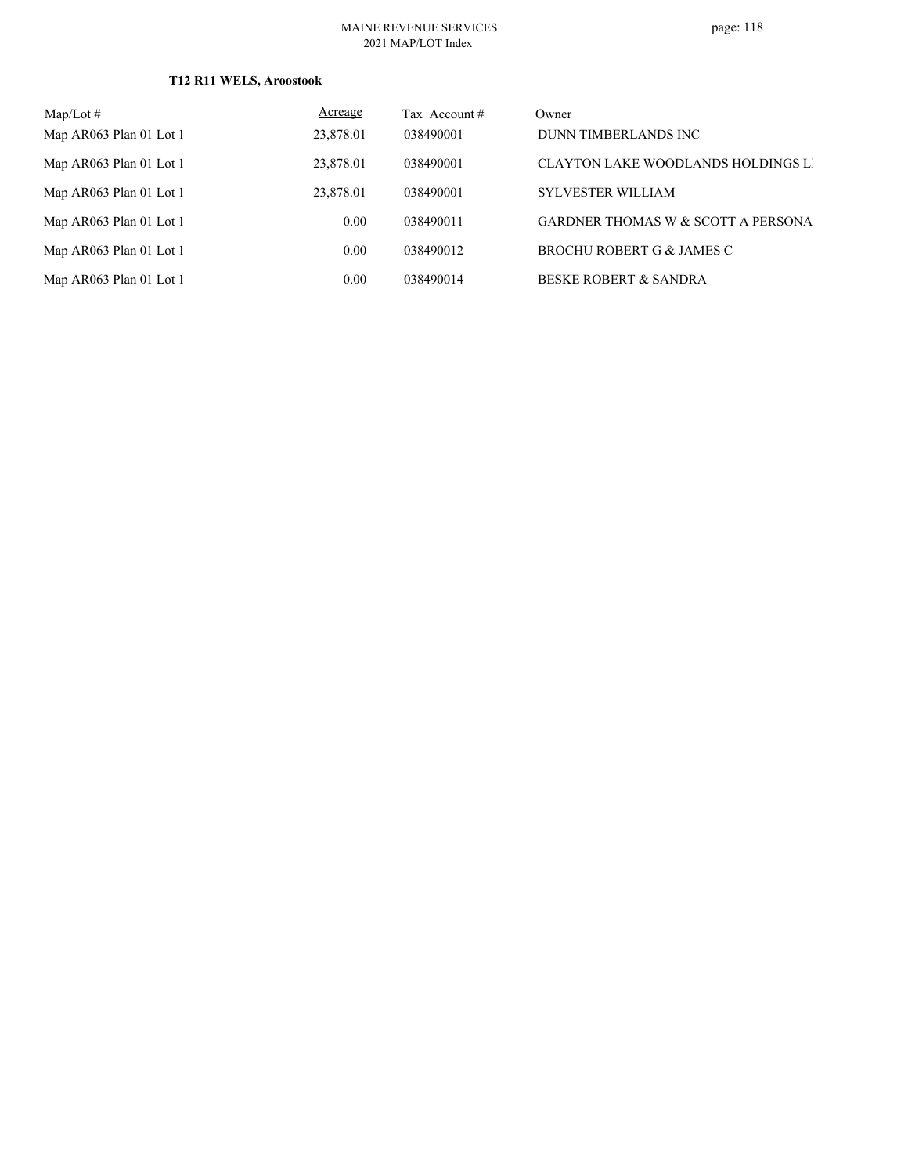## **T12 R11 WELS, Aroostook**

| $Map/Lot \#$            | Acreage   | Tax Account # | Owner                                         |
|-------------------------|-----------|---------------|-----------------------------------------------|
| Map AR063 Plan 01 Lot 1 | 23,878.01 | 038490001     | DUNN TIMBERLANDS INC                          |
| Map AR063 Plan 01 Lot 1 | 23,878.01 | 038490001     | CLAYTON LAKE WOODLANDS HOLDINGS LI            |
| Map AR063 Plan 01 Lot 1 | 23,878.01 | 038490001     | <b>SYLVESTER WILLIAM</b>                      |
| Map AR063 Plan 01 Lot 1 | 0.00      | 038490011     | <b>GARDNER THOMAS W &amp; SCOTT A PERSONA</b> |
| Map AR063 Plan 01 Lot 1 | 0.00      | 038490012     | BROCHU ROBERT G & JAMES C                     |
| Map AR063 Plan 01 Lot 1 | 0.00      | 038490014     | BESKE ROBERT & SANDRA                         |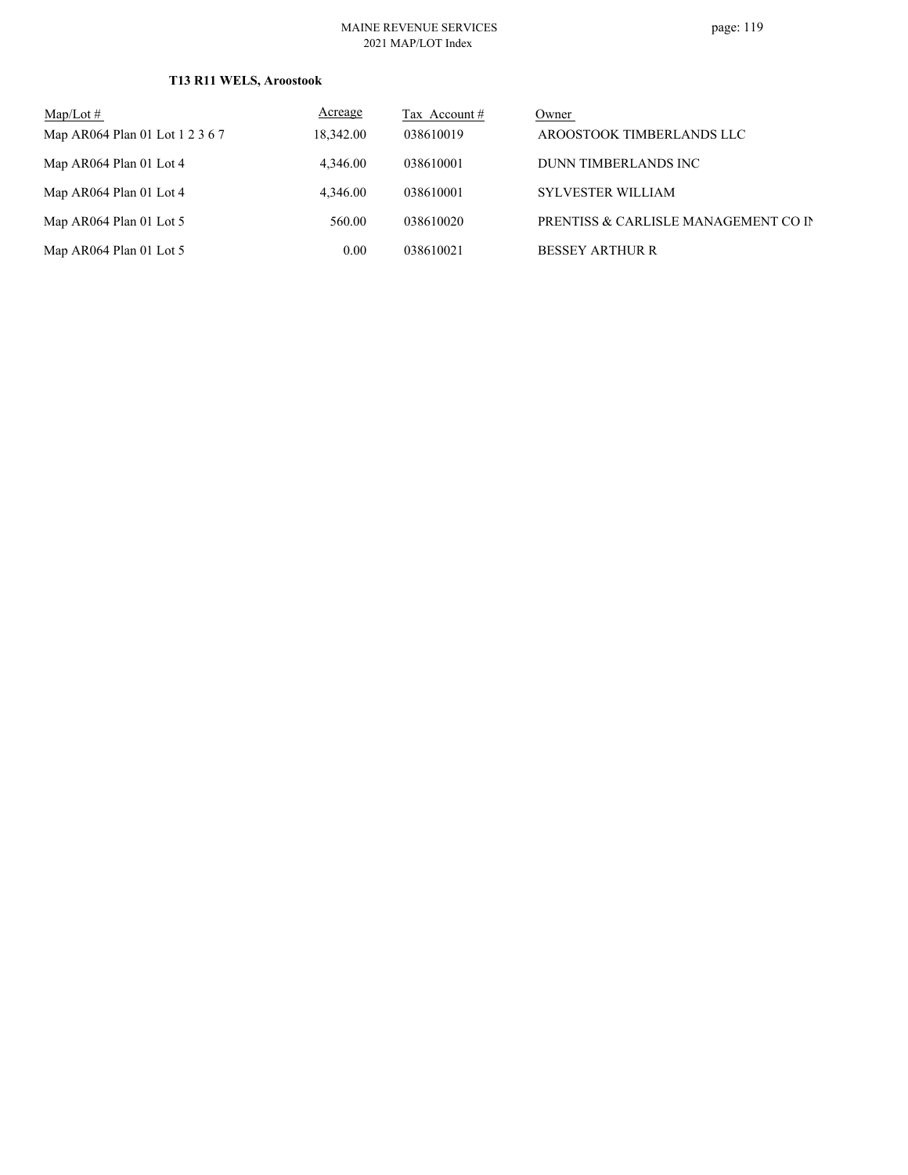## **T13 R11 WELS, Aroostook**

| $Map/Lot \#$                    | Acreage   | Tax Account # | Owner                                |
|---------------------------------|-----------|---------------|--------------------------------------|
| Map AR064 Plan 01 Lot 1 2 3 6 7 | 18,342.00 | 038610019     | AROOSTOOK TIMBERLANDS LLC            |
| Map AR064 Plan 01 Lot 4         | 4,346.00  | 038610001     | DUNN TIMBERLANDS INC                 |
| Map AR064 Plan 01 Lot 4         | 4,346.00  | 038610001     | <b>SYLVESTER WILLIAM</b>             |
| Map AR064 Plan 01 Lot 5         | 560.00    | 038610020     | PRENTISS & CARLISLE MANAGEMENT CO IN |
| Map AR064 Plan 01 Lot 5         | 0.00      | 038610021     | <b>BESSEY ARTHUR R</b>               |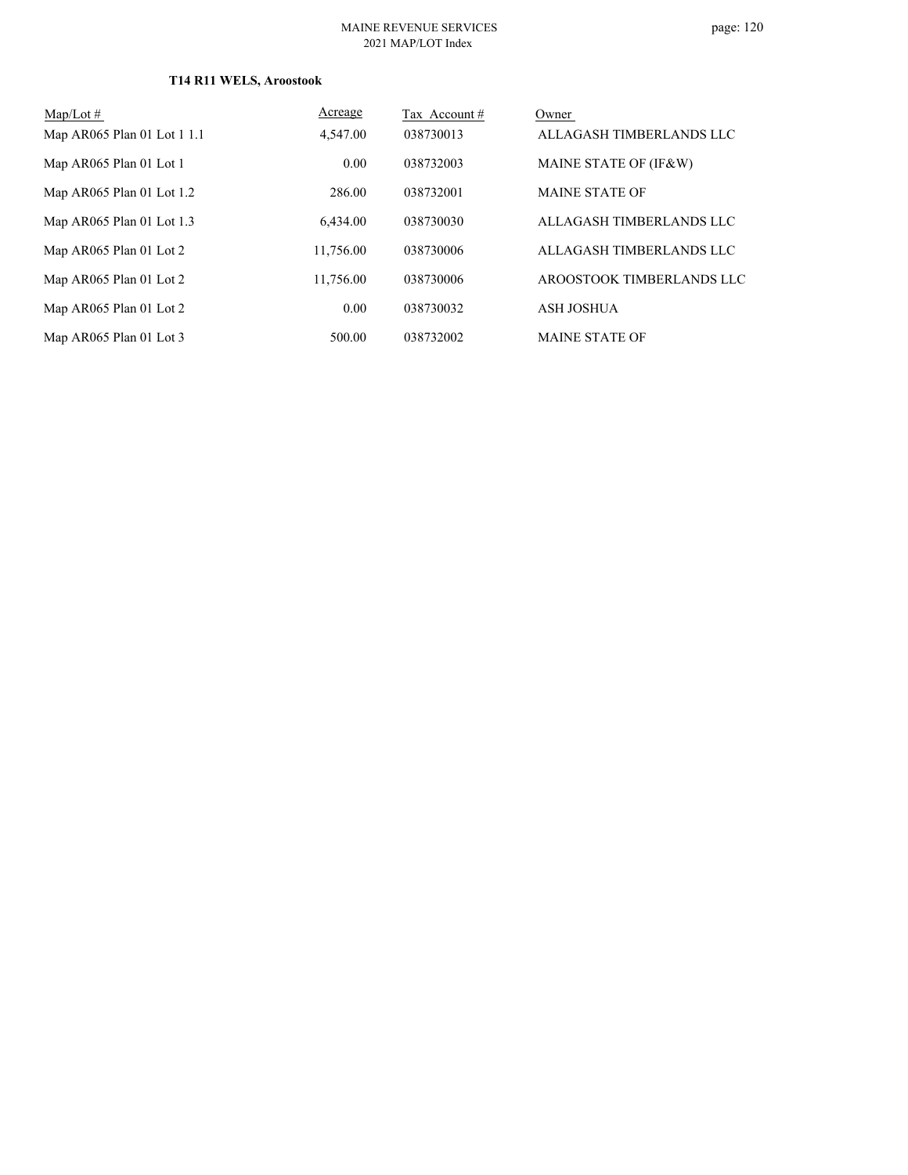## **T14 R11 WELS, Aroostook**

| $Map/Lot \#$                | Acreage   | Tax Account # | Owner                     |
|-----------------------------|-----------|---------------|---------------------------|
| Map AR065 Plan 01 Lot 1 1.1 | 4,547.00  | 038730013     | ALLAGASH TIMBERLANDS LLC  |
| Map AR065 Plan 01 Lot 1     | 0.00      | 038732003     | MAINE STATE OF (IF&W)     |
| Map AR065 Plan 01 Lot 1.2   | 286.00    | 038732001     | <b>MAINE STATE OF</b>     |
| Map AR065 Plan 01 Lot 1.3   | 6.434.00  | 038730030     | ALLAGASH TIMBERLANDS LLC  |
| Map AR065 Plan 01 Lot 2     | 11.756.00 | 038730006     | ALLAGASH TIMBERLANDS LLC  |
| Map AR065 Plan 01 Lot 2     | 11,756.00 | 038730006     | AROOSTOOK TIMBERLANDS LLC |
| Map AR065 Plan 01 Lot 2     | 0.00      | 038730032     | <b>ASH JOSHUA</b>         |
| Map AR065 Plan 01 Lot 3     | 500.00    | 038732002     | <b>MAINE STATE OF</b>     |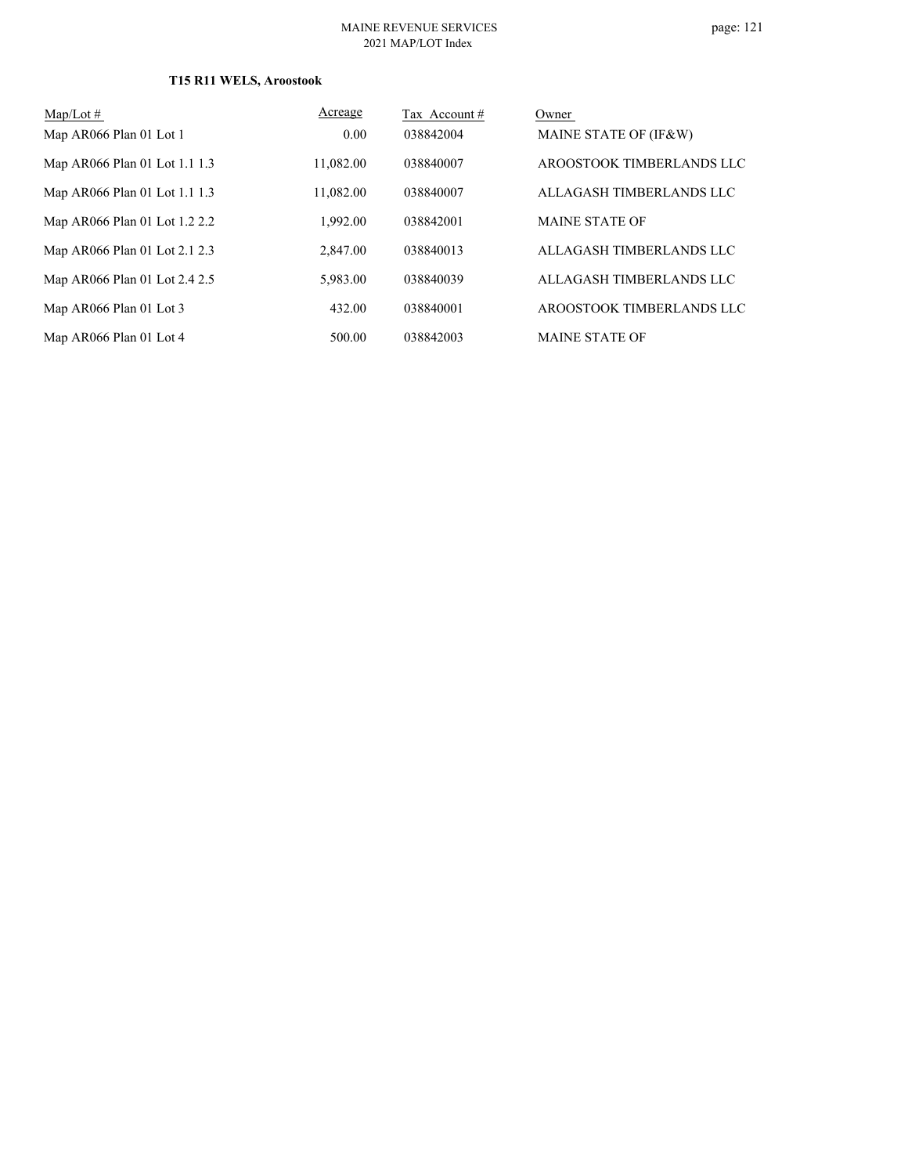## **T15 R11 WELS, Aroostook**

| $Map/Lot \#$                  | Acreage   | Tax Account# | Owner                     |
|-------------------------------|-----------|--------------|---------------------------|
| Map AR066 Plan 01 Lot 1       | 0.00      | 038842004    | MAINE STATE OF (IF&W)     |
| Map AR066 Plan 01 Lot 1.1 1.3 | 11.082.00 | 038840007    | AROOSTOOK TIMBERLANDS LLC |
| Map AR066 Plan 01 Lot 1.1 1.3 | 11,082.00 | 038840007    | ALLAGASH TIMBERLANDS LLC  |
| Map AR066 Plan 01 Lot 1.2 2.2 | 1.992.00  | 038842001    | <b>MAINE STATE OF</b>     |
| Map AR066 Plan 01 Lot 2.1 2.3 | 2,847.00  | 038840013    | ALLAGASH TIMBERLANDS LLC  |
| Map AR066 Plan 01 Lot 2.4 2.5 | 5,983.00  | 038840039    | ALLAGASH TIMBERLANDS LLC  |
| Map AR066 Plan 01 Lot 3       | 432.00    | 038840001    | AROOSTOOK TIMBERLANDS LLC |
| Map AR066 Plan 01 Lot 4       | 500.00    | 038842003    | <b>MAINE STATE OF</b>     |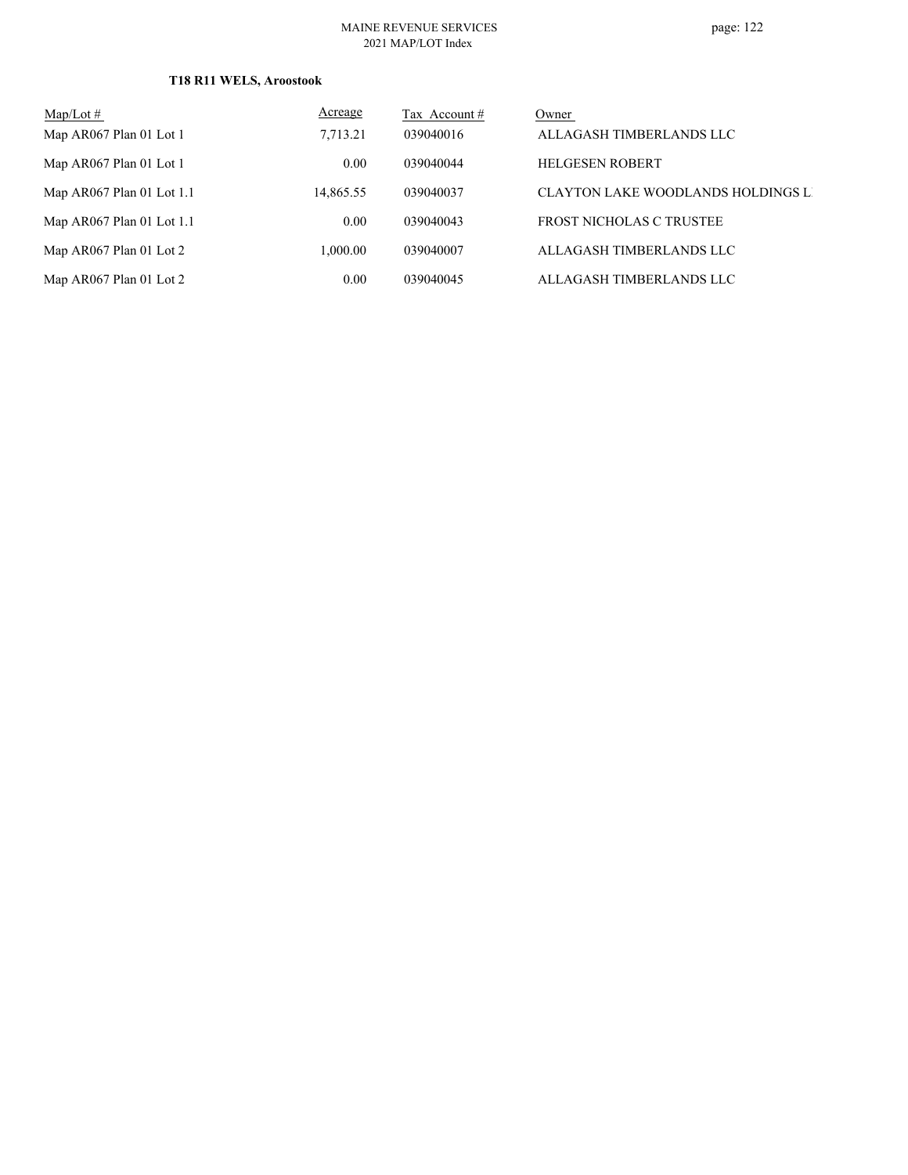## **T18 R11 WELS, Aroostook**

| $Map/Lot \#$                | <u>Acreage</u> | Tax Account # | Owner                                     |
|-----------------------------|----------------|---------------|-------------------------------------------|
| Map AR067 Plan 01 Lot 1     | 7.713.21       | 039040016     | ALLAGASH TIMBERLANDS LLC                  |
| Map AR067 Plan 01 Lot 1     | 0.00           | 039040044     | <b>HELGESEN ROBERT</b>                    |
| Map AR067 Plan 01 Lot $1.1$ | 14,865.55      | 039040037     | <b>CLAYTON LAKE WOODLANDS HOLDINGS LI</b> |
| Map AR067 Plan 01 Lot $1.1$ | 0.00           | 039040043     | <b>FROST NICHOLAS C TRUSTEE</b>           |
| Map AR067 Plan 01 Lot 2     | 1,000.00       | 039040007     | ALLAGASH TIMBERLANDS LLC                  |
| Map AR067 Plan 01 Lot 2     | 0.00           | 039040045     | ALLAGASH TIMBERLANDS LLC                  |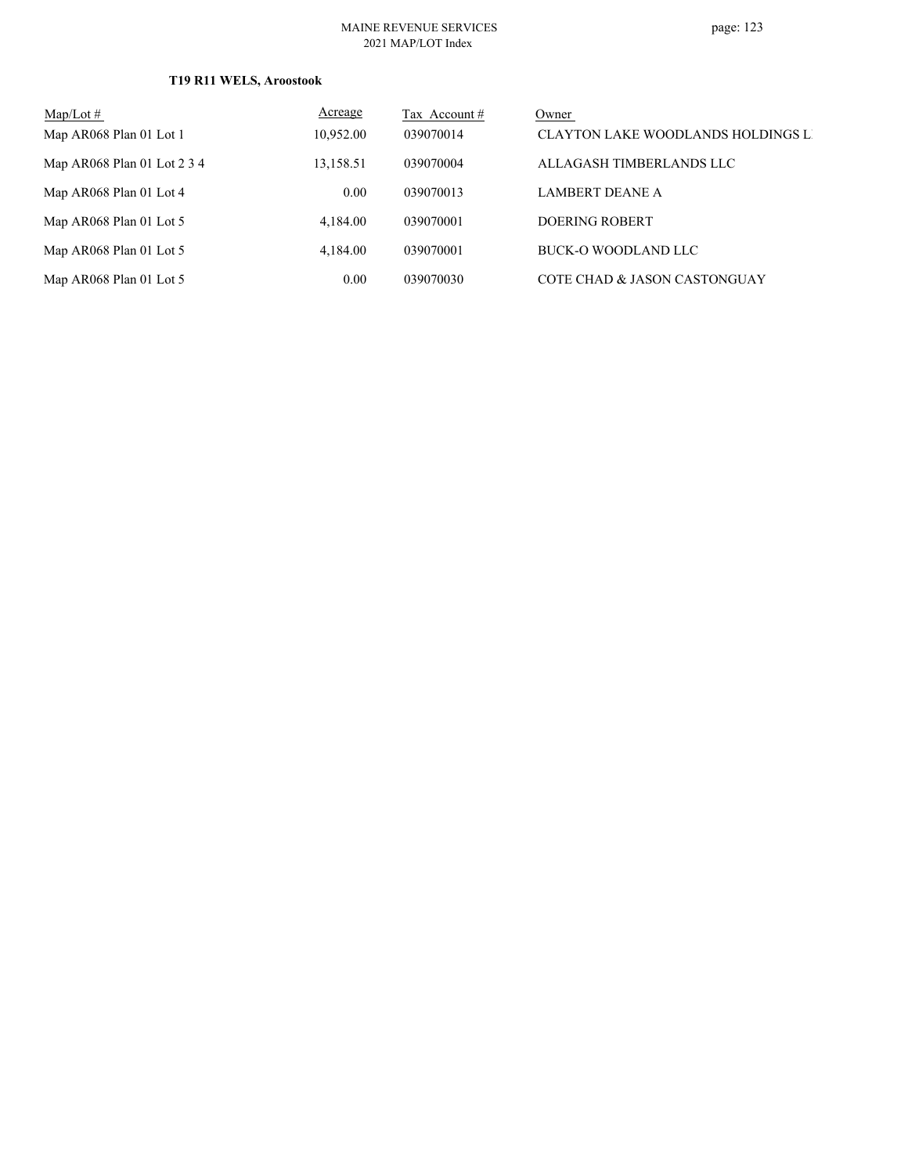## **T19 R11 WELS, Aroostook**

| Map/Lot $#$                 | Acreage   | Tax Account # | Owner                                     |
|-----------------------------|-----------|---------------|-------------------------------------------|
| Map AR068 Plan 01 Lot 1     | 10.952.00 | 039070014     | <b>CLAYTON LAKE WOODLANDS HOLDINGS LI</b> |
| Map AR068 Plan 01 Lot 2 3 4 | 13,158.51 | 039070004     | ALLAGASH TIMBERLANDS LLC                  |
| Map AR068 Plan 01 Lot 4     | 0.00      | 039070013     | LAMBERT DEANE A                           |
| Map AR068 Plan 01 Lot 5     | 4,184.00  | 039070001     | DOERING ROBERT                            |
| Map AR068 Plan 01 Lot 5     | 4.184.00  | 039070001     | BUCK-O WOODLAND LLC                       |
| Map AR068 Plan 01 Lot 5     | 0.00      | 039070030     | COTE CHAD & JASON CASTONGUAY              |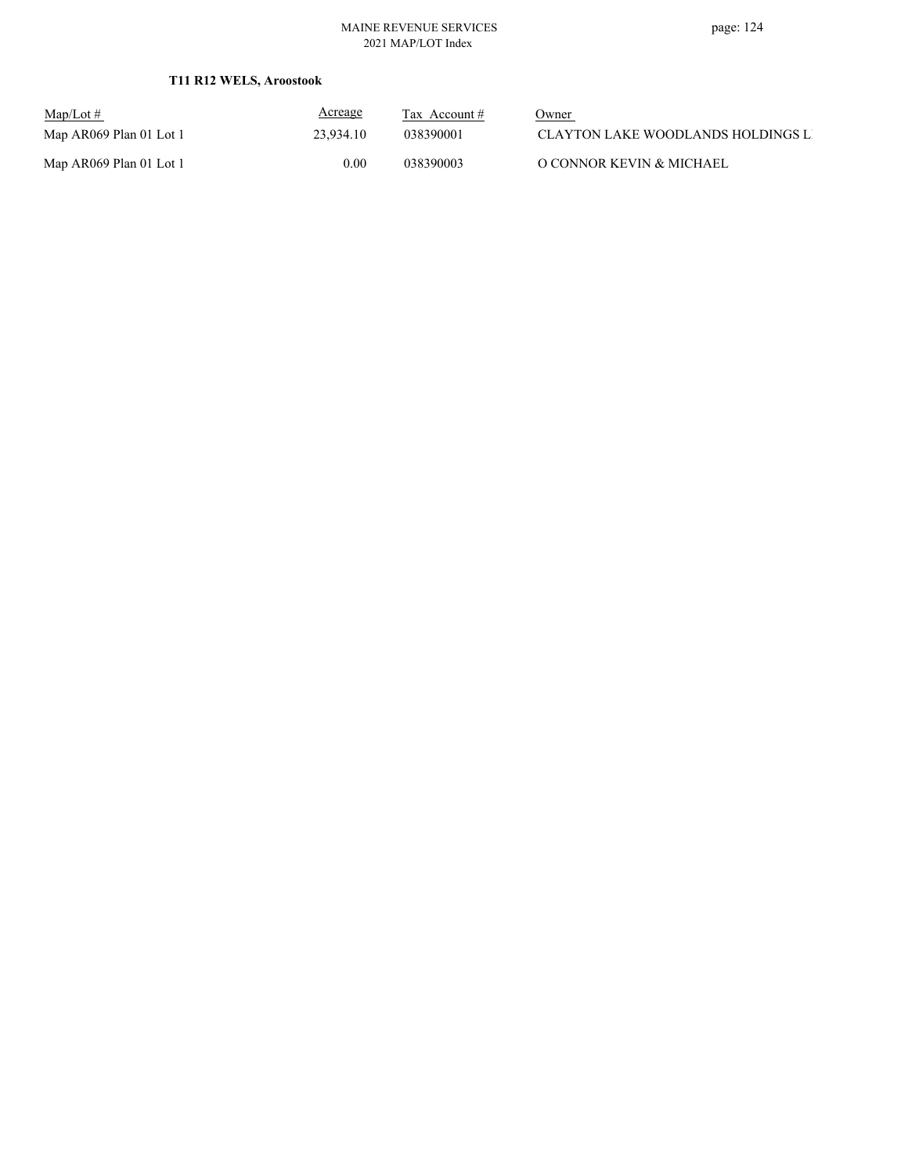## **T11 R12 WELS, Aroostook**

| $Map/Lot \#$            | <u>Acreage</u> | Tax Account $#$ | Owner                              |
|-------------------------|----------------|-----------------|------------------------------------|
| Map AR069 Plan 01 Lot 1 | 23.934.10      | 038390001       | CLAYTON LAKE WOODLANDS HOLDINGS LI |
| Map AR069 Plan 01 Lot 1 | $0.00\,$       | 038390003       | O CONNOR KEVIN & MICHAEL           |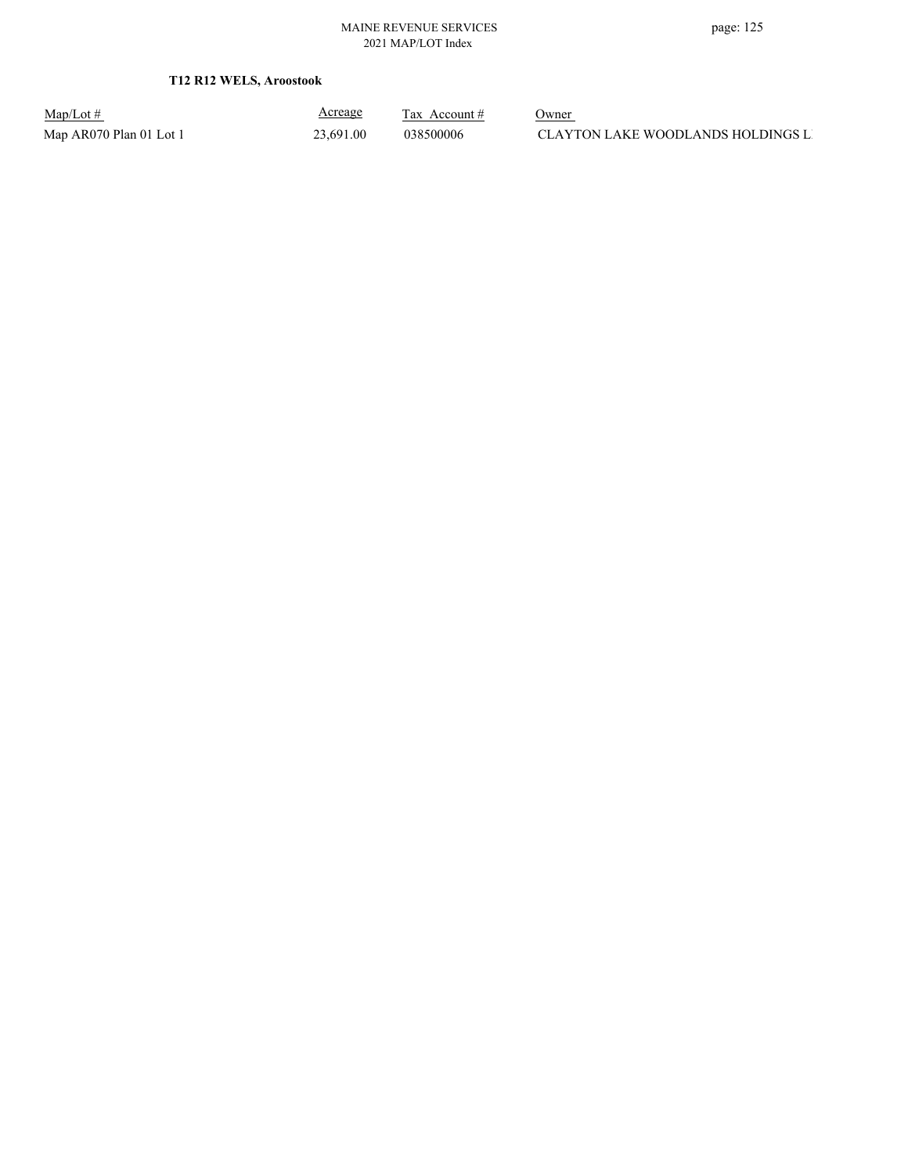## **T12 R12 WELS, Aroostook**

Map/Lot #  $\frac{\text{Areage}}{\text{2x} + \text{Account}}$  0wner

Acreage

Map AR070 Plan 01 Lot 1 23,691.00 038500006 CLAYTON LAKE WOODLANDS HOLDINGS LI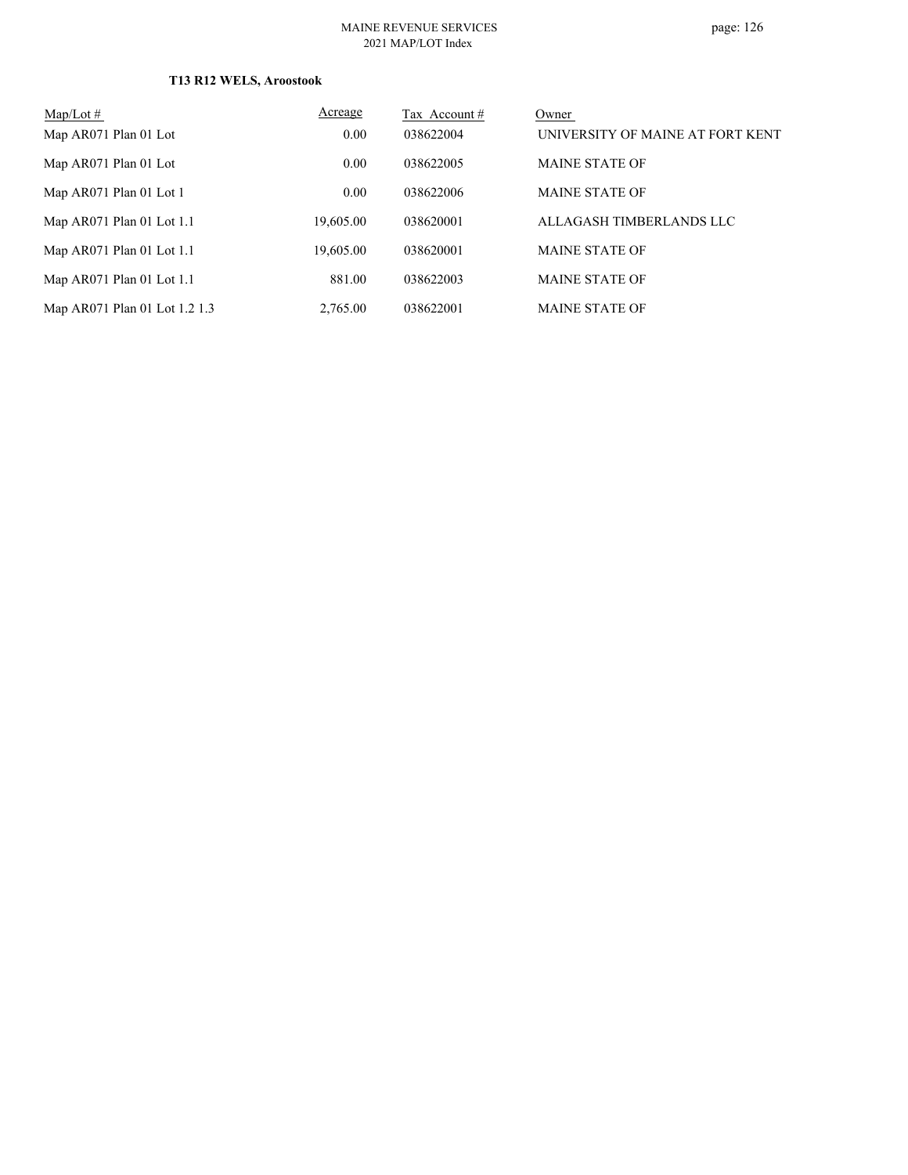## **T13 R12 WELS, Aroostook**

| $Map/Lot \#$                  | Acreage   | Tax Account# | Owner                            |
|-------------------------------|-----------|--------------|----------------------------------|
| Map AR071 Plan 01 Lot         | 0.00      | 038622004    | UNIVERSITY OF MAINE AT FORT KENT |
| Map AR071 Plan 01 Lot         | 0.00      | 038622005    | <b>MAINE STATE OF</b>            |
| Map AR071 Plan 01 Lot 1       | 0.00      | 038622006    | <b>MAINE STATE OF</b>            |
| Map $AR071$ Plan 01 Lot 1.1   | 19,605.00 | 038620001    | ALLAGASH TIMBERLANDS LLC         |
| Map $AR071$ Plan 01 Lot 1.1   | 19,605.00 | 038620001    | <b>MAINE STATE OF</b>            |
| Map $AR071$ Plan 01 Lot 1.1   | 881.00    | 038622003    | <b>MAINE STATE OF</b>            |
| Map AR071 Plan 01 Lot 1.2 1.3 | 2,765.00  | 038622001    | <b>MAINE STATE OF</b>            |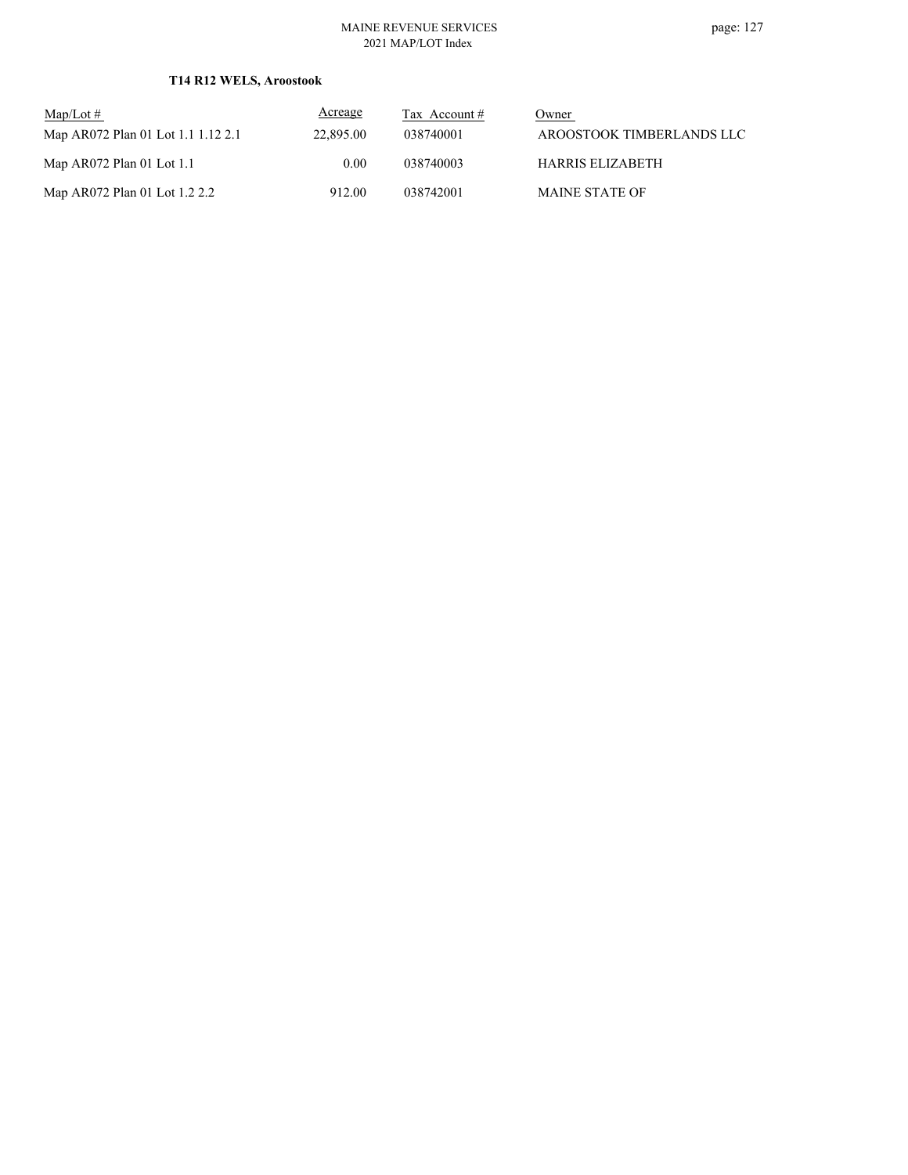## **T14 R12 WELS, Aroostook**

| $\text{Map/Lot} \#$                | Acreage   | Tax Account $#$ | Owner                     |
|------------------------------------|-----------|-----------------|---------------------------|
| Map AR072 Plan 01 Lot 1.1 1.12 2.1 | 22,895.00 | 038740001       | AROOSTOOK TIMBERLANDS LLC |
| Map $AR072$ Plan 01 Lot 1.1        | 0.00      | 038740003       | <b>HARRIS ELIZABETH</b>   |
| Map AR072 Plan 01 Lot 1.2 2.2      | 912.00    | 038742001       | <b>MAINE STATE OF</b>     |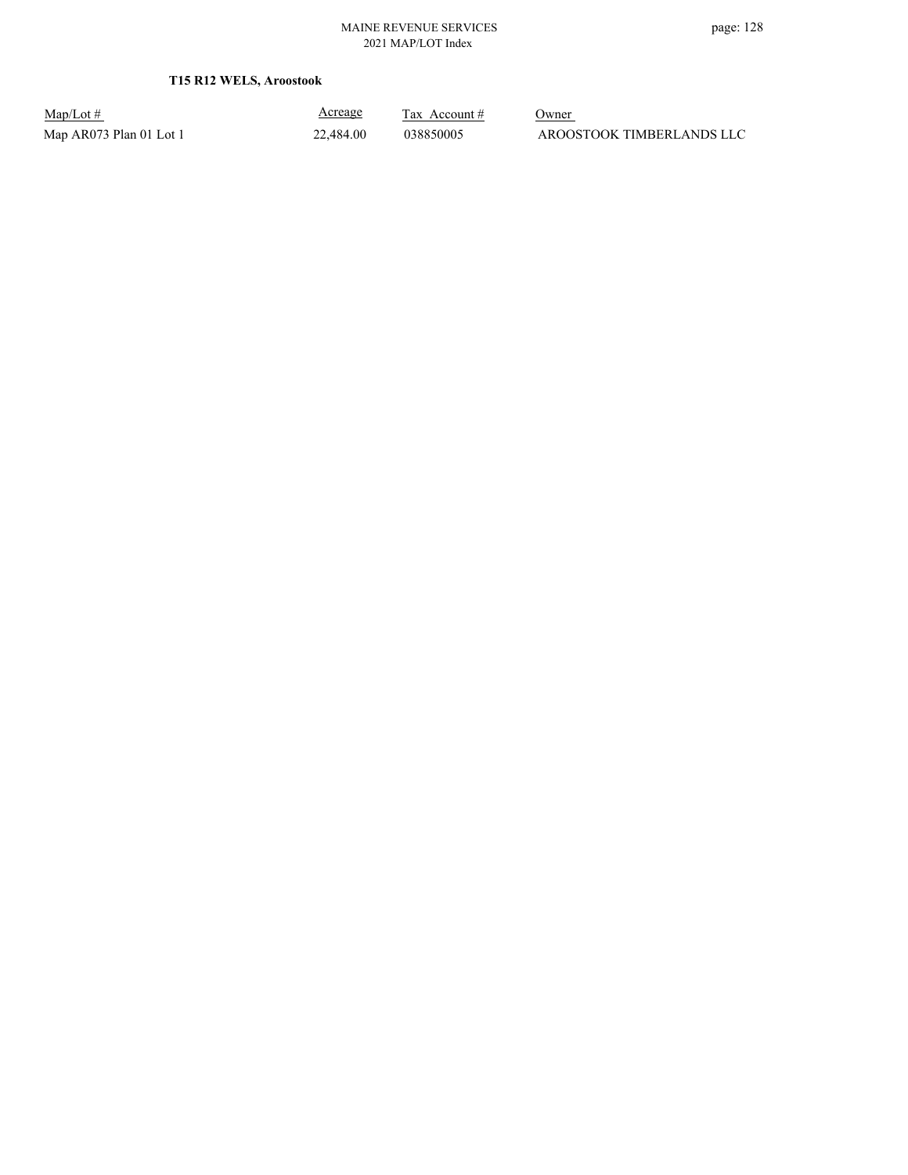## **T15 R12 WELS, Aroostook**

Map/Lot #  $\frac{\text{Areage}}{\text{2x} + \text{Account}}$  0wner

Acreage

Map AR073 Plan 01 Lot 1 22,484.00 038850005 AROOSTOOK TIMBERLANDS LLC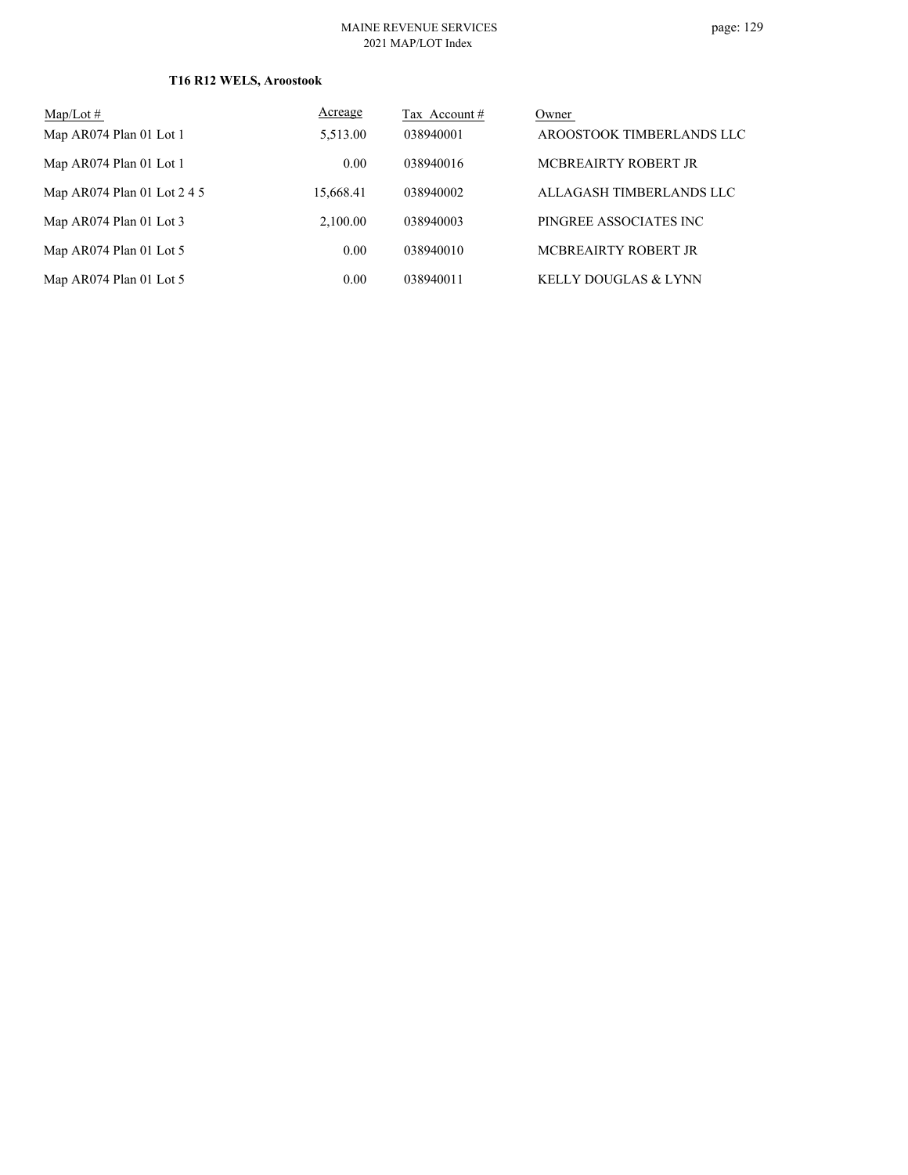## **T16 R12 WELS, Aroostook**

| Map/Lot $#$                 | Acreage   | Tax Account # | Owner                           |
|-----------------------------|-----------|---------------|---------------------------------|
| Map AR074 Plan 01 Lot 1     | 5,513.00  | 038940001     | AROOSTOOK TIMBERLANDS LLC       |
| Map AR074 Plan 01 Lot 1     | 0.00      | 038940016     | MCBREAIRTY ROBERT JR            |
| Map AR074 Plan 01 Lot 2 4 5 | 15,668.41 | 038940002     | ALLAGASH TIMBERLANDS LLC        |
| Map AR074 Plan 01 Lot 3     | 2,100.00  | 038940003     | PINGREE ASSOCIATES INC          |
| Map AR074 Plan 01 Lot 5     | 0.00      | 038940010     | MCBREAIRTY ROBERT JR            |
| Map AR074 Plan 01 Lot 5     | 0.00      | 038940011     | <b>KELLY DOUGLAS &amp; LYNN</b> |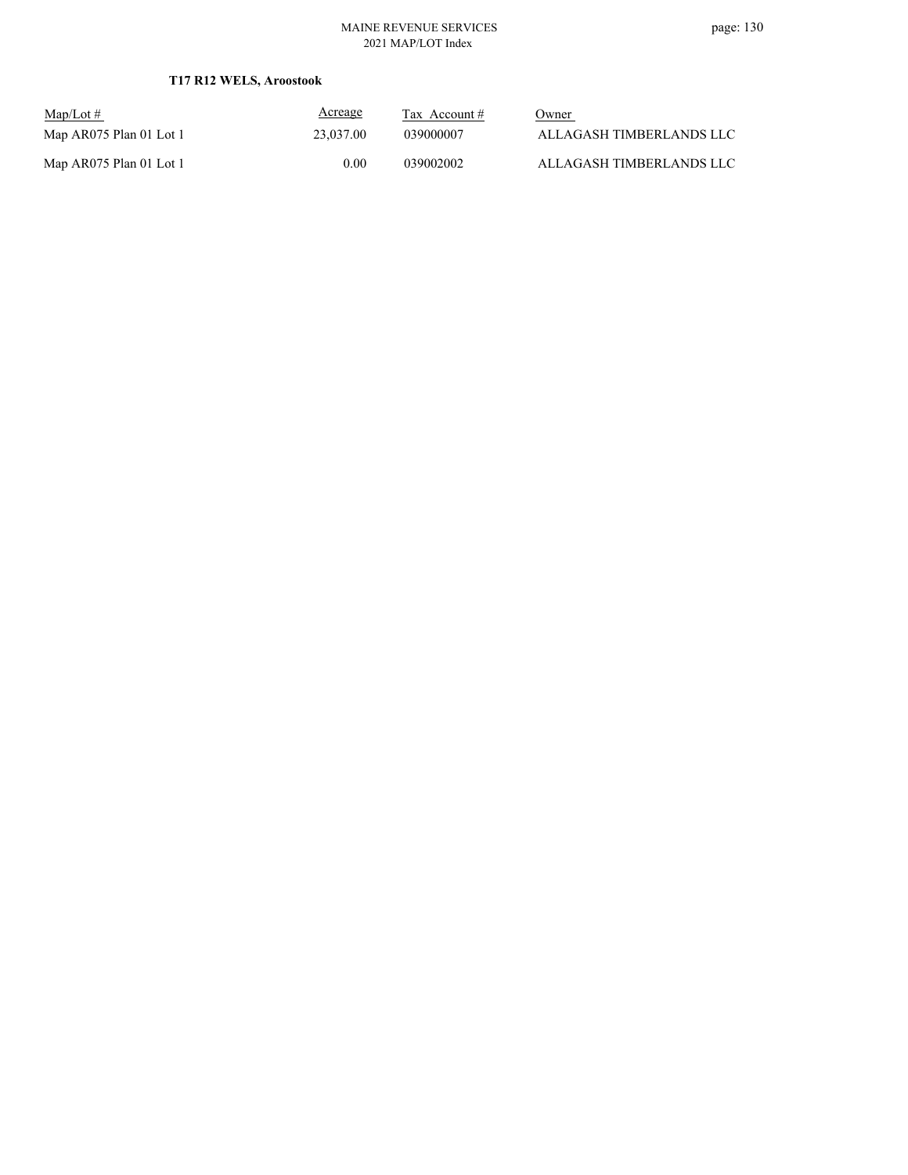## **T17 R12 WELS, Aroostook**

| $Map/Lot \#$            | <b>Acreage</b> | Tax Account $#$ | Owner                    |
|-------------------------|----------------|-----------------|--------------------------|
| Map AR075 Plan 01 Lot 1 | 23,037.00      | 039000007       | ALLAGASH TIMBERLANDS LLC |
| Map AR075 Plan 01 Lot 1 | 0.00           | 039002002       | ALLAGASH TIMBERLANDS LLC |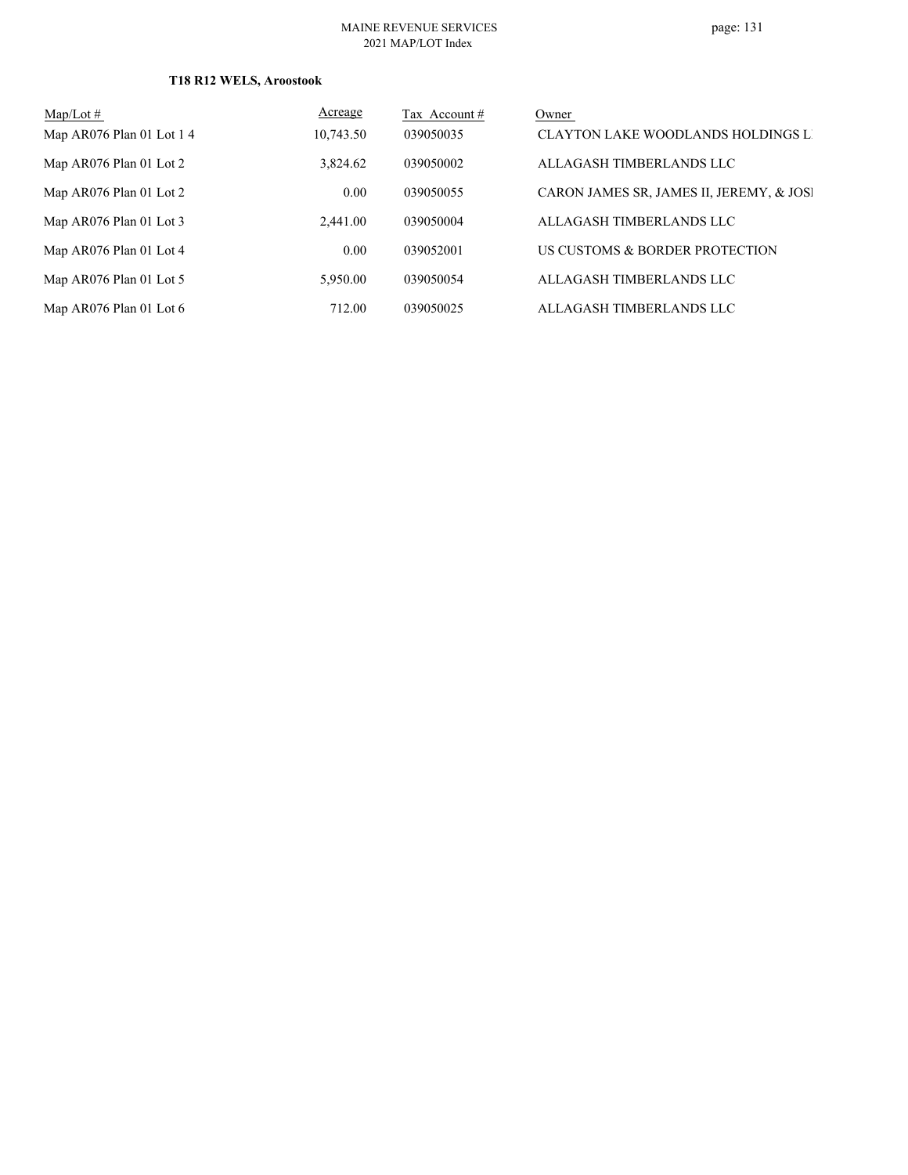## **T18 R12 WELS, Aroostook**

| $Map/Lot \#$             | Acreage   | Tax Account # | Owner                                     |
|--------------------------|-----------|---------------|-------------------------------------------|
| Map AR076 Plan 01 Lot 14 | 10,743.50 | 039050035     | <b>CLAYTON LAKE WOODLANDS HOLDINGS LI</b> |
| Map AR076 Plan 01 Lot 2  | 3,824.62  | 039050002     | ALLAGASH TIMBERLANDS LLC                  |
| Map AR076 Plan 01 Lot 2  | 0.00      | 039050055     | CARON JAMES SR, JAMES II, JEREMY, & JOSI  |
| Map AR076 Plan 01 Lot 3  | 2.441.00  | 039050004     | ALLAGASH TIMBERLANDS LLC                  |
| Map AR076 Plan 01 Lot 4  | 0.00      | 039052001     | US CUSTOMS & BORDER PROTECTION            |
| Map AR076 Plan 01 Lot 5  | 5,950.00  | 039050054     | ALLAGASH TIMBERLANDS LLC                  |
| Map AR076 Plan 01 Lot 6  | 712.00    | 039050025     | ALLAGASH TIMBERLANDS LLC                  |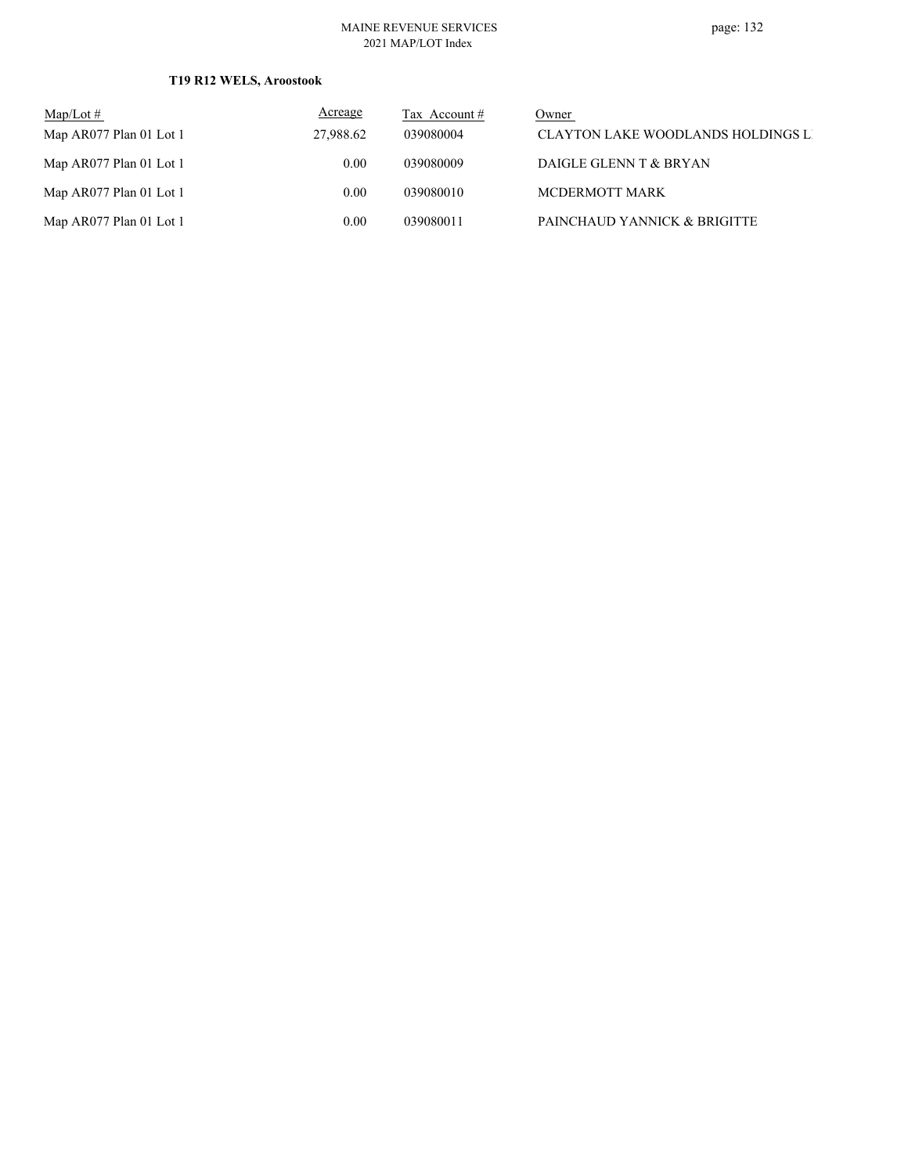#### MAINE REVENUE SERVICES 2021 MAP/LOT Index

## **T19 R12 WELS, Aroostook**

| $\text{Map/Lot} \#$     | <b>Acreage</b> | Tax Account $#$ | Owner                              |
|-------------------------|----------------|-----------------|------------------------------------|
| Map AR077 Plan 01 Lot 1 | 27,988.62      | 039080004       | CLAYTON LAKE WOODLANDS HOLDINGS LI |
| Map AR077 Plan 01 Lot 1 | 0.00           | 039080009       | DAIGLE GLENN T & BRYAN             |
| Map AR077 Plan 01 Lot 1 | 0.00           | 039080010       | MCDERMOTT MARK                     |
| Map AR077 Plan 01 Lot 1 | 0.00           | 039080011       | PAINCHAUD YANNICK & BRIGITTE       |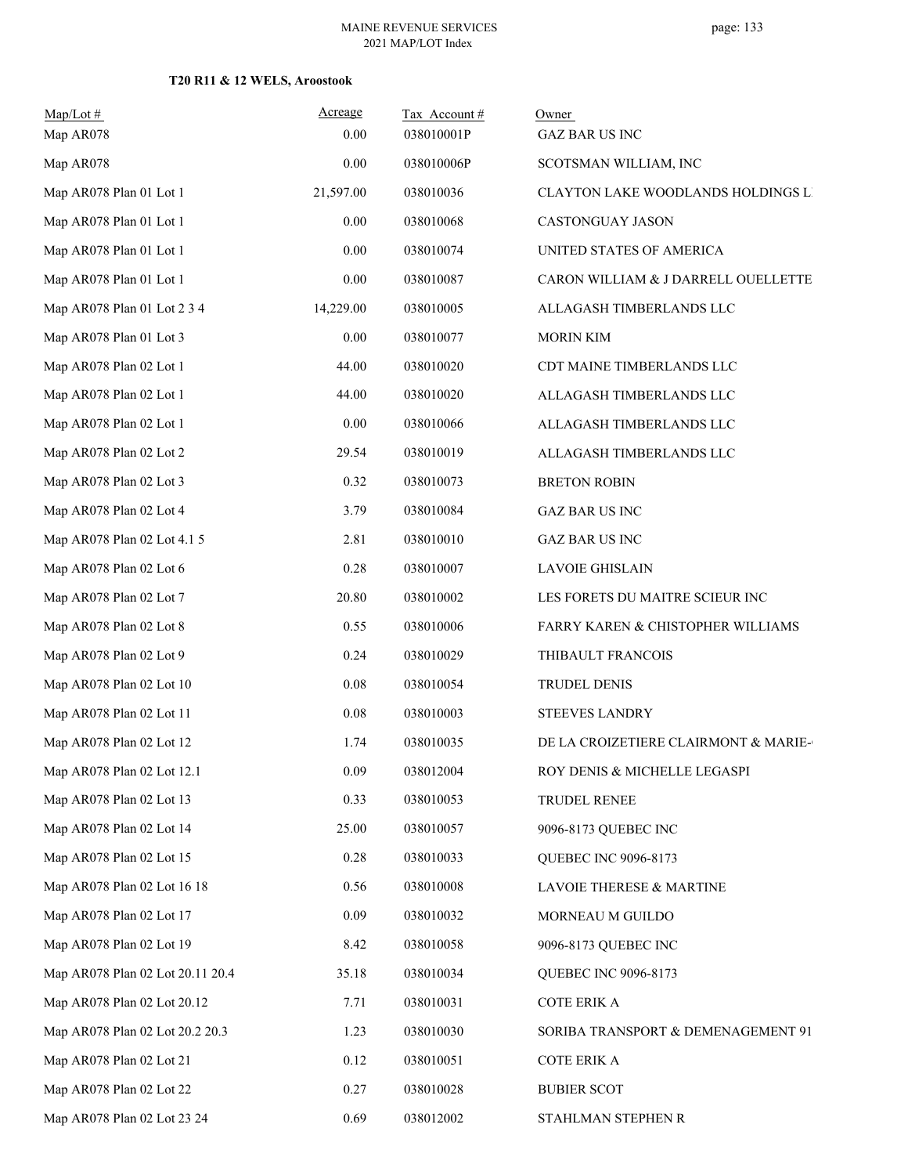## **T20 R11 & 12 WELS, Aroostook**

| $Map/Lot \#$<br>Map AR078        | Acreage<br>0.00 | Tax Account#<br>038010001P | Owner<br><b>GAZ BAR US INC</b>       |
|----------------------------------|-----------------|----------------------------|--------------------------------------|
| Map AR078                        | 0.00            | 038010006P                 | SCOTSMAN WILLIAM, INC                |
| Map AR078 Plan 01 Lot 1          | 21,597.00       | 038010036                  | CLAYTON LAKE WOODLANDS HOLDINGS LI   |
| Map AR078 Plan 01 Lot 1          | 0.00            | 038010068                  | CASTONGUAY JASON                     |
| Map AR078 Plan 01 Lot 1          | 0.00            | 038010074                  | UNITED STATES OF AMERICA             |
| Map AR078 Plan 01 Lot 1          | 0.00            | 038010087                  | CARON WILLIAM & J DARRELL OUELLETTE  |
| Map AR078 Plan 01 Lot 2 3 4      | 14,229.00       | 038010005                  | ALLAGASH TIMBERLANDS LLC             |
| Map AR078 Plan 01 Lot 3          | 0.00            | 038010077                  | <b>MORIN KIM</b>                     |
| Map AR078 Plan 02 Lot 1          | 44.00           | 038010020                  | CDT MAINE TIMBERLANDS LLC            |
| Map AR078 Plan 02 Lot 1          | 44.00           | 038010020                  | ALLAGASH TIMBERLANDS LLC             |
| Map AR078 Plan 02 Lot 1          | 0.00            | 038010066                  | ALLAGASH TIMBERLANDS LLC             |
| Map AR078 Plan 02 Lot 2          | 29.54           | 038010019                  | ALLAGASH TIMBERLANDS LLC             |
| Map AR078 Plan 02 Lot 3          | 0.32            | 038010073                  | <b>BRETON ROBIN</b>                  |
| Map AR078 Plan 02 Lot 4          | 3.79            | 038010084                  | <b>GAZ BAR US INC</b>                |
| Map AR078 Plan 02 Lot 4.1 5      | 2.81            | 038010010                  | <b>GAZ BAR US INC</b>                |
| Map AR078 Plan 02 Lot 6          | 0.28            | 038010007                  | <b>LAVOIE GHISLAIN</b>               |
| Map AR078 Plan 02 Lot 7          | 20.80           | 038010002                  | LES FORETS DU MAITRE SCIEUR INC      |
| Map AR078 Plan 02 Lot 8          | 0.55            | 038010006                  | FARRY KAREN & CHISTOPHER WILLIAMS    |
| Map AR078 Plan 02 Lot 9          | 0.24            | 038010029                  | THIBAULT FRANCOIS                    |
| Map AR078 Plan 02 Lot 10         | 0.08            | 038010054                  | TRUDEL DENIS                         |
| Map AR078 Plan 02 Lot 11         | 0.08            | 038010003                  | <b>STEEVES LANDRY</b>                |
| Map AR078 Plan 02 Lot 12         | 1.74            | 038010035                  | DE LA CROIZETIERE CLAIRMONT & MARIE- |
| Map AR078 Plan 02 Lot 12.1       | 0.09            | 038012004                  | ROY DENIS & MICHELLE LEGASPI         |
| Map AR078 Plan 02 Lot 13         | 0.33            | 038010053                  | TRUDEL RENEE                         |
| Map AR078 Plan 02 Lot 14         | 25.00           | 038010057                  | 9096-8173 QUEBEC INC                 |
| Map AR078 Plan 02 Lot 15         | 0.28            | 038010033                  | QUEBEC INC 9096-8173                 |
| Map AR078 Plan 02 Lot 16 18      | 0.56            | 038010008                  | LAVOIE THERESE & MARTINE             |
| Map AR078 Plan 02 Lot 17         | 0.09            | 038010032                  | MORNEAU M GUILDO                     |
| Map AR078 Plan 02 Lot 19         | 8.42            | 038010058                  | 9096-8173 QUEBEC INC                 |
| Map AR078 Plan 02 Lot 20.11 20.4 | 35.18           | 038010034                  | QUEBEC INC 9096-8173                 |
| Map AR078 Plan 02 Lot 20.12      | 7.71            | 038010031                  | COTE ERIK A                          |
| Map AR078 Plan 02 Lot 20.2 20.3  | 1.23            | 038010030                  | SORIBA TRANSPORT & DEMENAGEMENT 91   |
| Map AR078 Plan 02 Lot 21         | 0.12            | 038010051                  | COTE ERIK A                          |
| Map AR078 Plan 02 Lot 22         | 0.27            | 038010028                  | <b>BUBIER SCOT</b>                   |
| Map AR078 Plan 02 Lot 23 24      | 0.69            | 038012002                  | STAHLMAN STEPHEN R                   |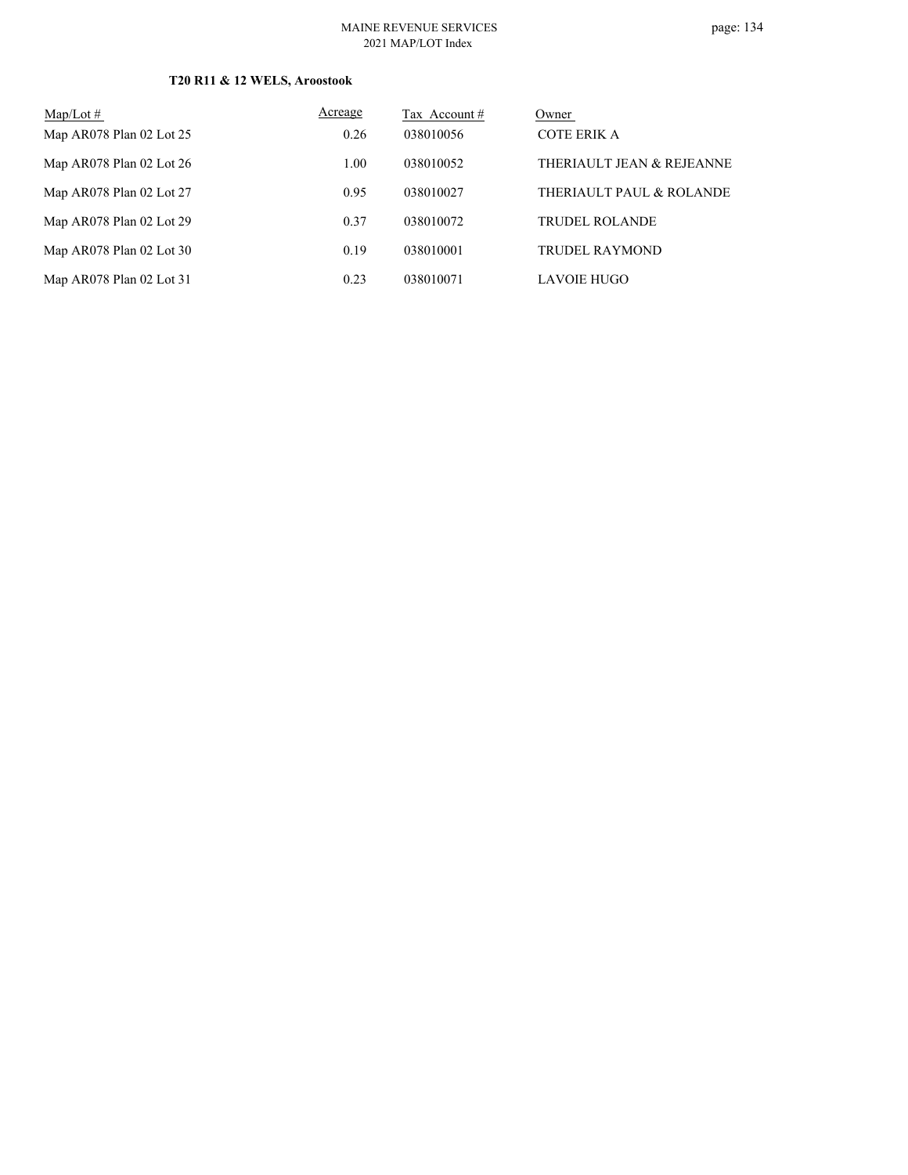#### MAINE REVENUE SERVICES 2021 MAP/LOT Index

## **T20 R11 & 12 WELS, Aroostook**

| $Map/Lot \#$             | Acreage | Tax Account $#$ | Owner                     |
|--------------------------|---------|-----------------|---------------------------|
| Map AR078 Plan 02 Lot 25 | 0.26    | 038010056       | COTE ERIK A               |
| Map AR078 Plan 02 Lot 26 | 1.00    | 038010052       | THERIAULT JEAN & REJEANNE |
| Map AR078 Plan 02 Lot 27 | 0.95    | 038010027       | THERIAULT PAUL & ROLANDE  |
| Map AR078 Plan 02 Lot 29 | 0.37    | 038010072       | <b>TRUDEL ROLANDE</b>     |
| Map AR078 Plan 02 Lot 30 | 0.19    | 038010001       | TRUDEL RAYMOND            |
| Map AR078 Plan 02 Lot 31 | 0.23    | 038010071       | <b>LAVOIE HUGO</b>        |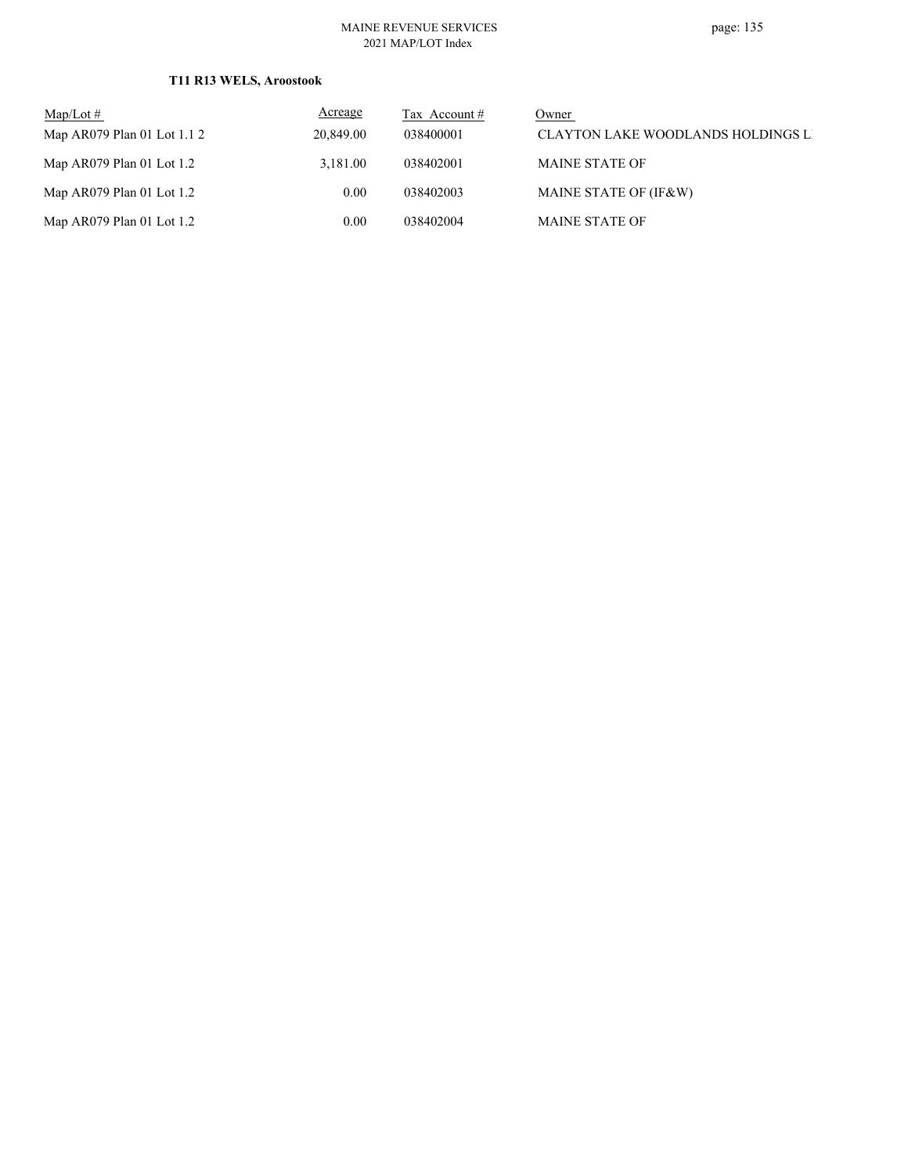#### MAINE REVENUE SERVICES 2021 MAP/LOT Index

## **T11 R13 WELS, Aroostook**

| $\text{Map/Lot} \#$         | <b>Acreage</b> | Tax Account # | Owner                                     |
|-----------------------------|----------------|---------------|-------------------------------------------|
| Map AR079 Plan 01 Lot 1.1 2 | 20,849.00      | 038400001     | <b>CLAYTON LAKE WOODLANDS HOLDINGS LI</b> |
| Map $AR079$ Plan 01 Lot 1.2 | 3.181.00       | 038402001     | <b>MAINE STATE OF</b>                     |
| Map $AR079$ Plan 01 Lot 1.2 | 0.00           | 038402003     | MAINE STATE OF (IF&W)                     |
| Map $AR079$ Plan 01 Lot 1.2 | 0.00           | 038402004     | <b>MAINE STATE OF</b>                     |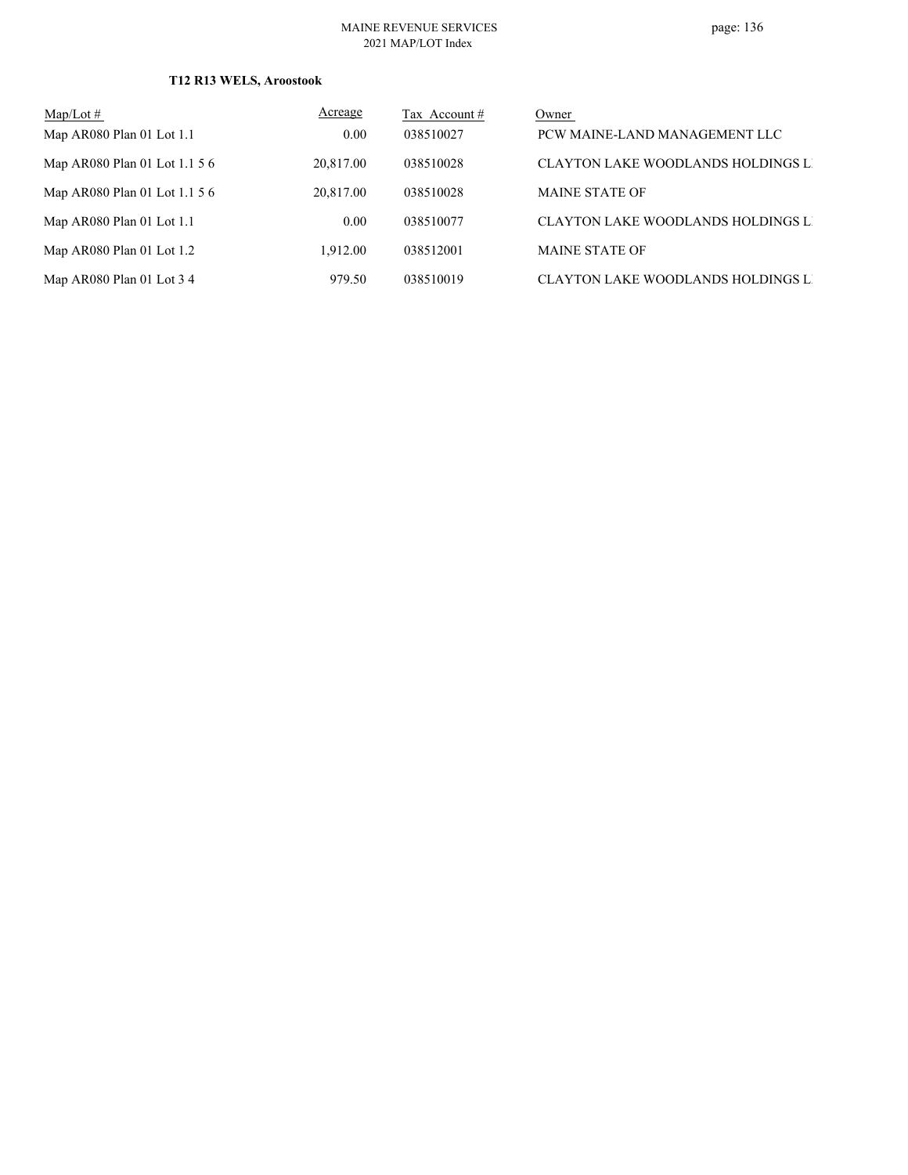## **T12 R13 WELS, Aroostook**

| $Map/Lot \#$                  | Acreage   | Tax Account # | Owner                                     |
|-------------------------------|-----------|---------------|-------------------------------------------|
| Map AR080 Plan 01 Lot 1.1     | 0.00      | 038510027     | PCW MAINE-LAND MANAGEMENT LLC             |
| Map AR080 Plan 01 Lot 1.1 5 6 | 20,817.00 | 038510028     | <b>CLAYTON LAKE WOODLANDS HOLDINGS LI</b> |
| Map AR080 Plan 01 Lot 1.1 5 6 | 20,817.00 | 038510028     | <b>MAINE STATE OF</b>                     |
| Map AR080 Plan 01 Lot 1.1     | 0.00      | 038510077     | <b>CLAYTON LAKE WOODLANDS HOLDINGS LI</b> |
| Map $AR080$ Plan 01 Lot 1.2   | 1.912.00  | 038512001     | <b>MAINE STATE OF</b>                     |
| Map AR080 Plan 01 Lot $3\,4$  | 979.50    | 038510019     | <b>CLAYTON LAKE WOODLANDS HOLDINGS LI</b> |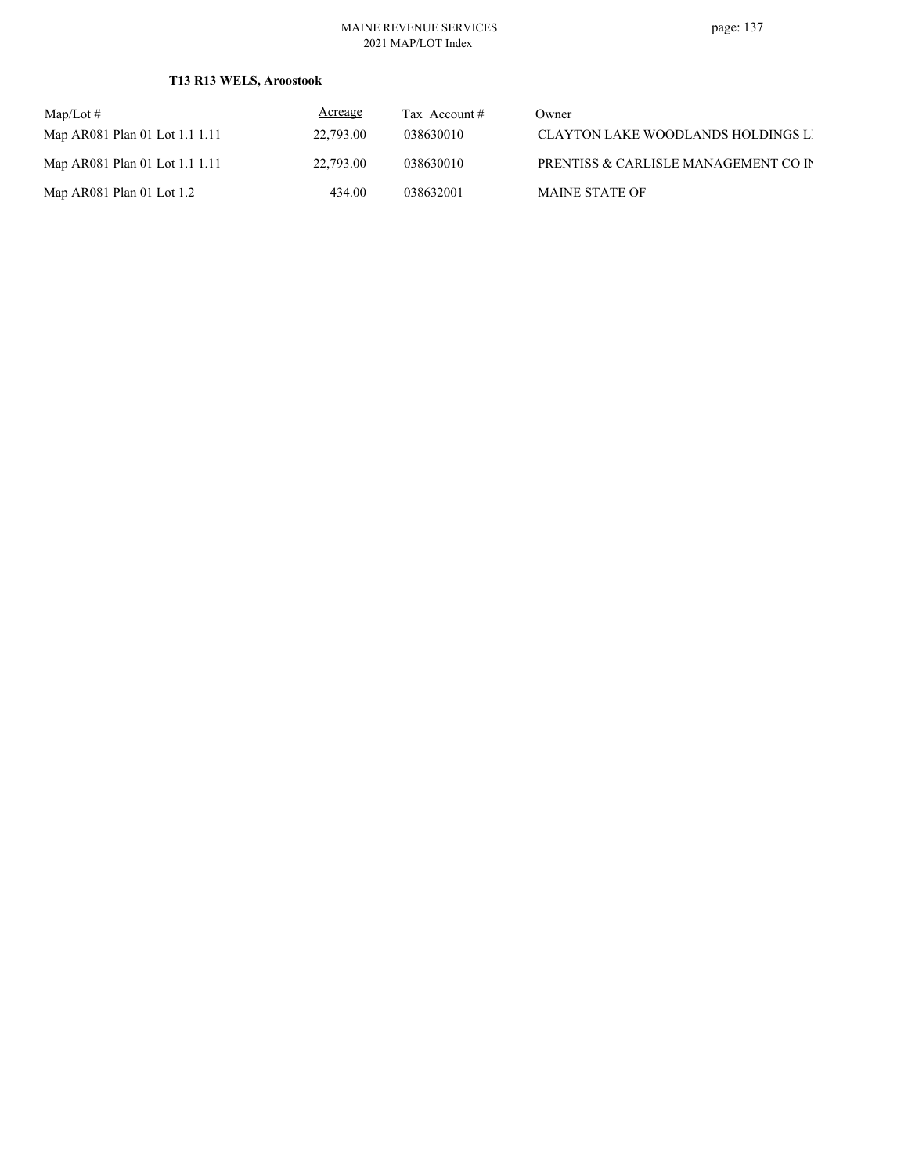#### MAINE REVENUE SERVICES 2021 MAP/LOT Index

## **T13 R13 WELS, Aroostook**

| $\text{Map/Lot} \#$            | <b>Acreage</b> | Tax Account $#$ | Owner                                |
|--------------------------------|----------------|-----------------|--------------------------------------|
| Map AR081 Plan 01 Lot 1.1 1.11 | 22,793.00      | 038630010       | CLAYTON LAKE WOODLANDS HOLDINGS LI   |
| Map AR081 Plan 01 Lot 1.1 1.11 | 22,793.00      | 038630010       | PRENTISS & CARLISLE MANAGEMENT CO IN |
| Map AR081 Plan 01 Lot $1.2$    | 434.00         | 038632001       | <b>MAINE STATE OF</b>                |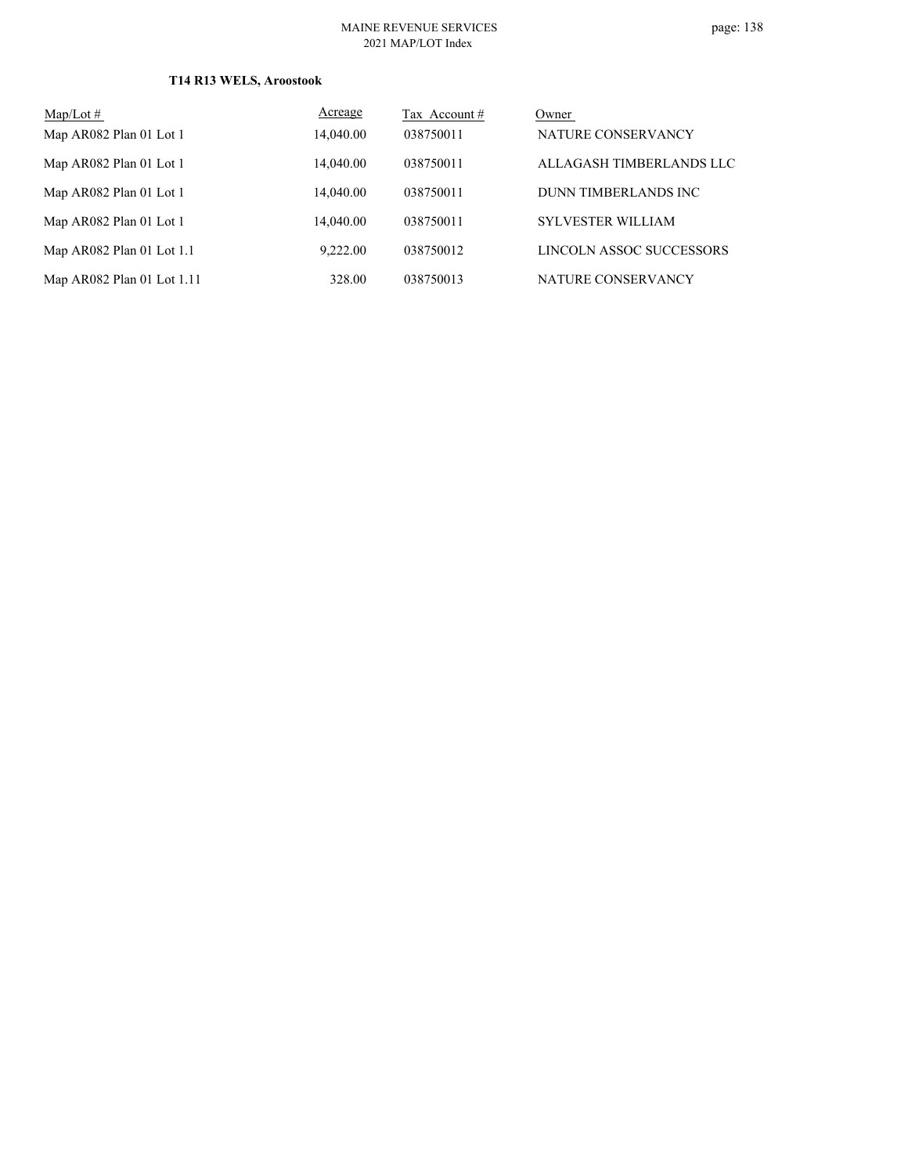# page: 138

## **T14 R13 WELS, Aroostook**

| Map/Lot $#$                | Acreage   | Tax Account # | Owner                    |
|----------------------------|-----------|---------------|--------------------------|
| Map AR082 Plan 01 Lot 1    | 14,040.00 | 038750011     | NATURE CONSERVANCY       |
| Map AR082 Plan 01 Lot 1    | 14.040.00 | 038750011     | ALLAGASH TIMBERLANDS LLC |
| Map AR082 Plan 01 Lot 1    | 14,040.00 | 038750011     | DUNN TIMBERLANDS INC     |
| Map AR082 Plan 01 Lot 1    | 14,040.00 | 038750011     | <b>SYLVESTER WILLIAM</b> |
| Map AR082 Plan 01 Lot 1.1  | 9,222.00  | 038750012     | LINCOLN ASSOC SUCCESSORS |
| Map AR082 Plan 01 Lot 1.11 | 328.00    | 038750013     | NATURE CONSERVANCY       |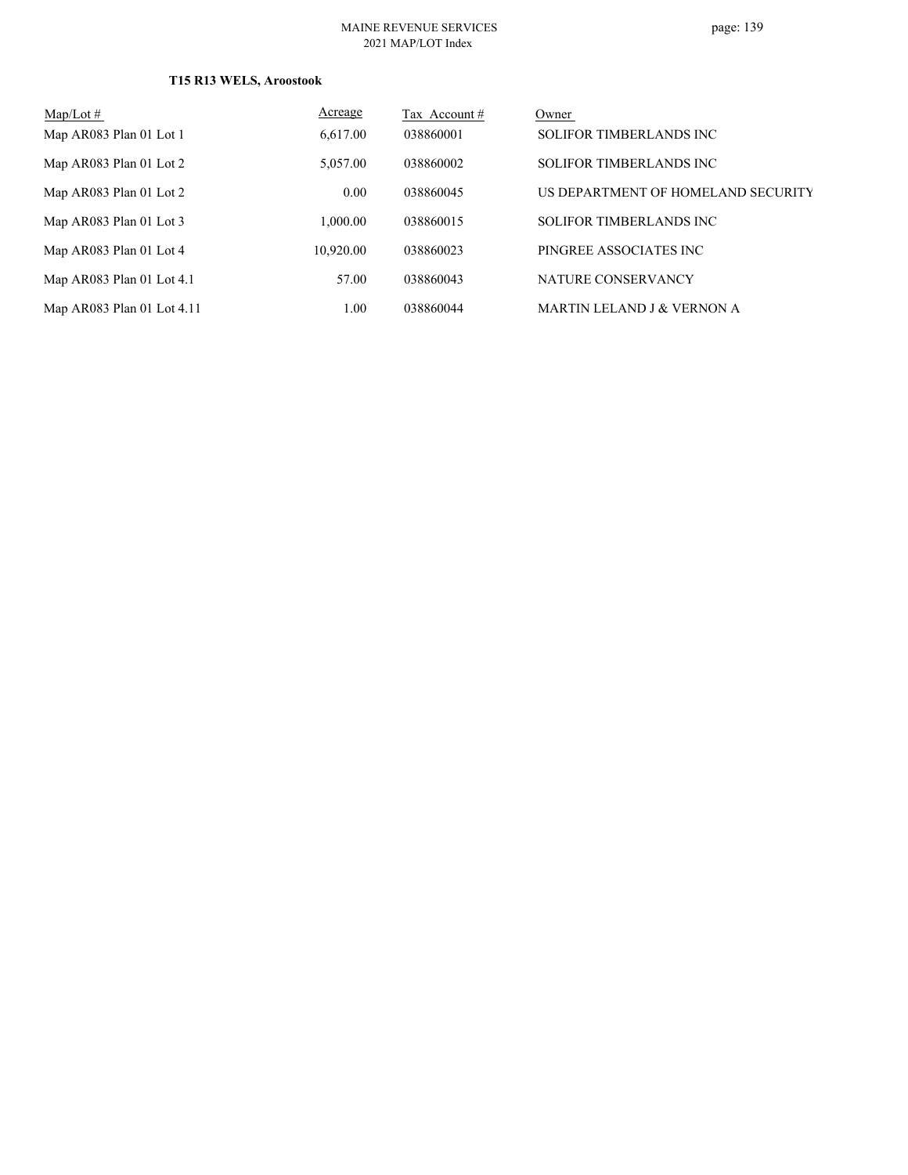## **T15 R13 WELS, Aroostook**

| $Map/Lot \#$               | Acreage   | Tax Account # | Owner                                 |
|----------------------------|-----------|---------------|---------------------------------------|
| Map AR083 Plan 01 Lot 1    | 6,617.00  | 038860001     | <b>SOLIFOR TIMBERLANDS INC</b>        |
| Map AR083 Plan 01 Lot 2    | 5,057.00  | 038860002     | <b>SOLIFOR TIMBERLANDS INC</b>        |
| Map AR083 Plan 01 Lot 2    | 0.00      | 038860045     | US DEPARTMENT OF HOMELAND SECURITY    |
| Map AR083 Plan 01 Lot 3    | 1,000.00  | 038860015     | <b>SOLIFOR TIMBERLANDS INC</b>        |
| Map AR083 Plan 01 Lot 4    | 10.920.00 | 038860023     | PINGREE ASSOCIATES INC                |
| Map AR083 Plan 01 Lot 4.1  | 57.00     | 038860043     | NATURE CONSERVANCY                    |
| Map AR083 Plan 01 Lot 4.11 | 1.00      | 038860044     | <b>MARTIN LELAND J &amp; VERNON A</b> |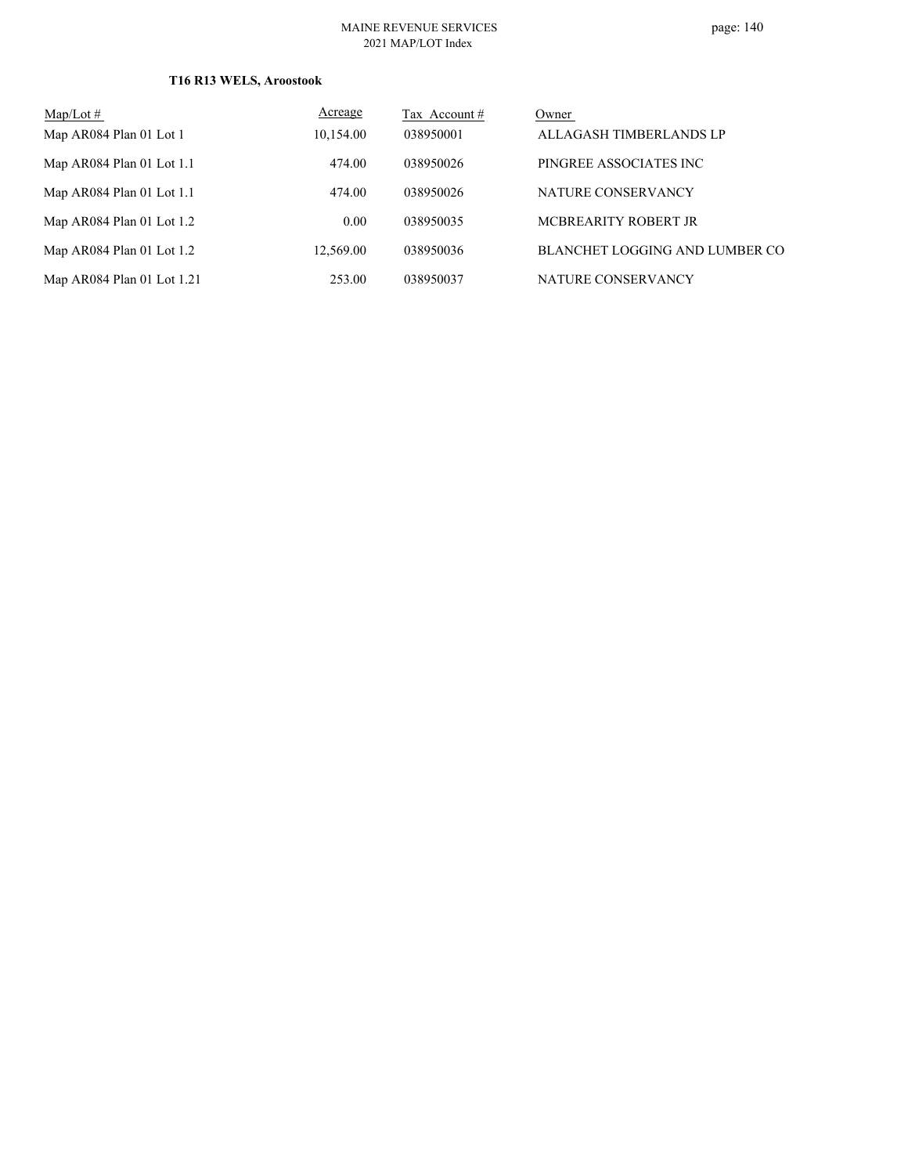## **T16 R13 WELS, Aroostook**

| Map/Lot $#$                | Acreage   | Tax Account # | Owner                          |
|----------------------------|-----------|---------------|--------------------------------|
| Map AR084 Plan 01 Lot 1    | 10,154.00 | 038950001     | ALLAGASH TIMBERLANDS LP        |
| Map AR084 Plan 01 Lot 1.1  | 474.00    | 038950026     | PINGREE ASSOCIATES INC         |
| Map AR084 Plan 01 Lot 1.1  | 474.00    | 038950026     | NATURE CONSERVANCY             |
| Map AR084 Plan 01 Lot 1.2  | 0.00      | 038950035     | MCBREARITY ROBERT JR           |
| Map AR084 Plan 01 Lot 1.2  | 12.569.00 | 038950036     | BLANCHET LOGGING AND LUMBER CO |
| Map AR084 Plan 01 Lot 1.21 | 253.00    | 038950037     | NATURE CONSERVANCY             |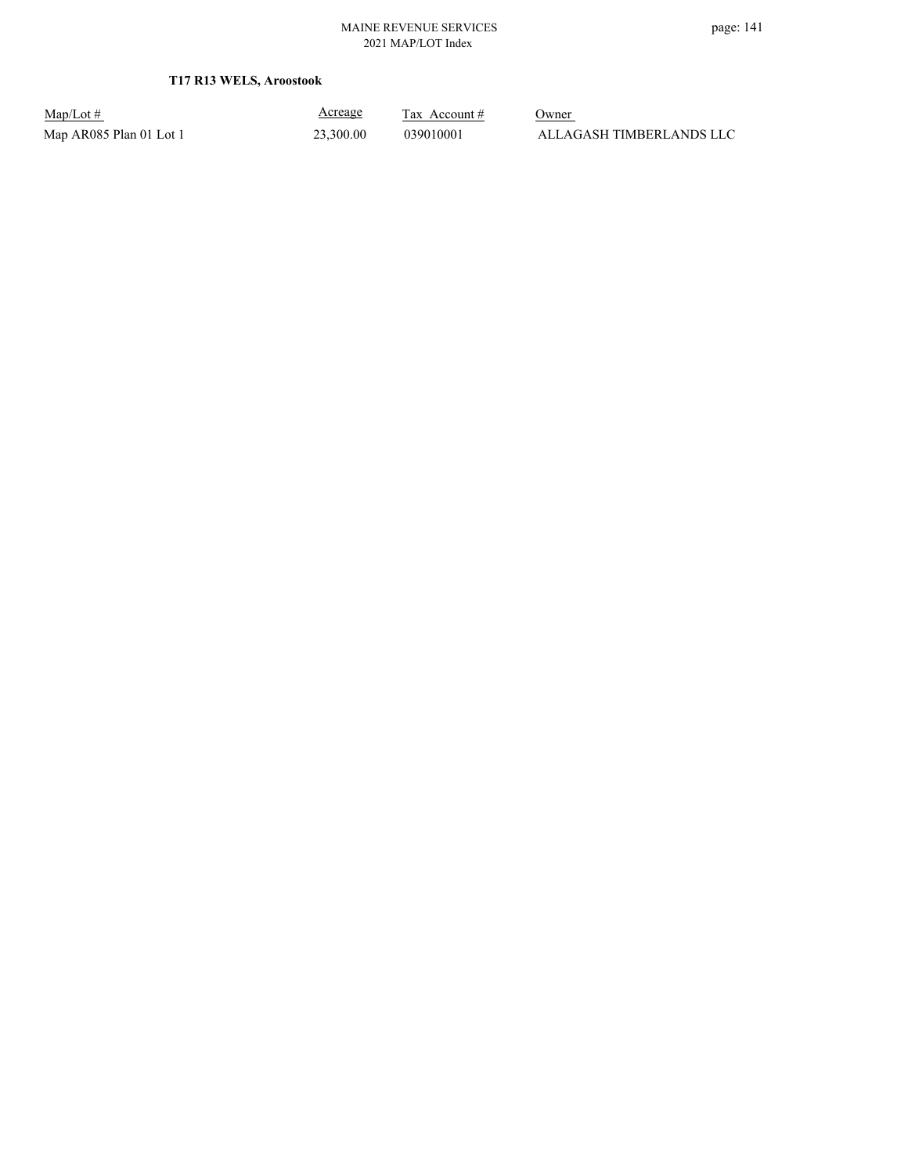## **T17 R13 WELS, Aroostook**

Map/Lot #  $\frac{\text{Areage}}{\text{2x} + \text{Account}}$  0wner

Acreage

Map AR085 Plan 01 Lot 1 23,300.00 039010001 ALLAGASH TIMBERLANDS LLC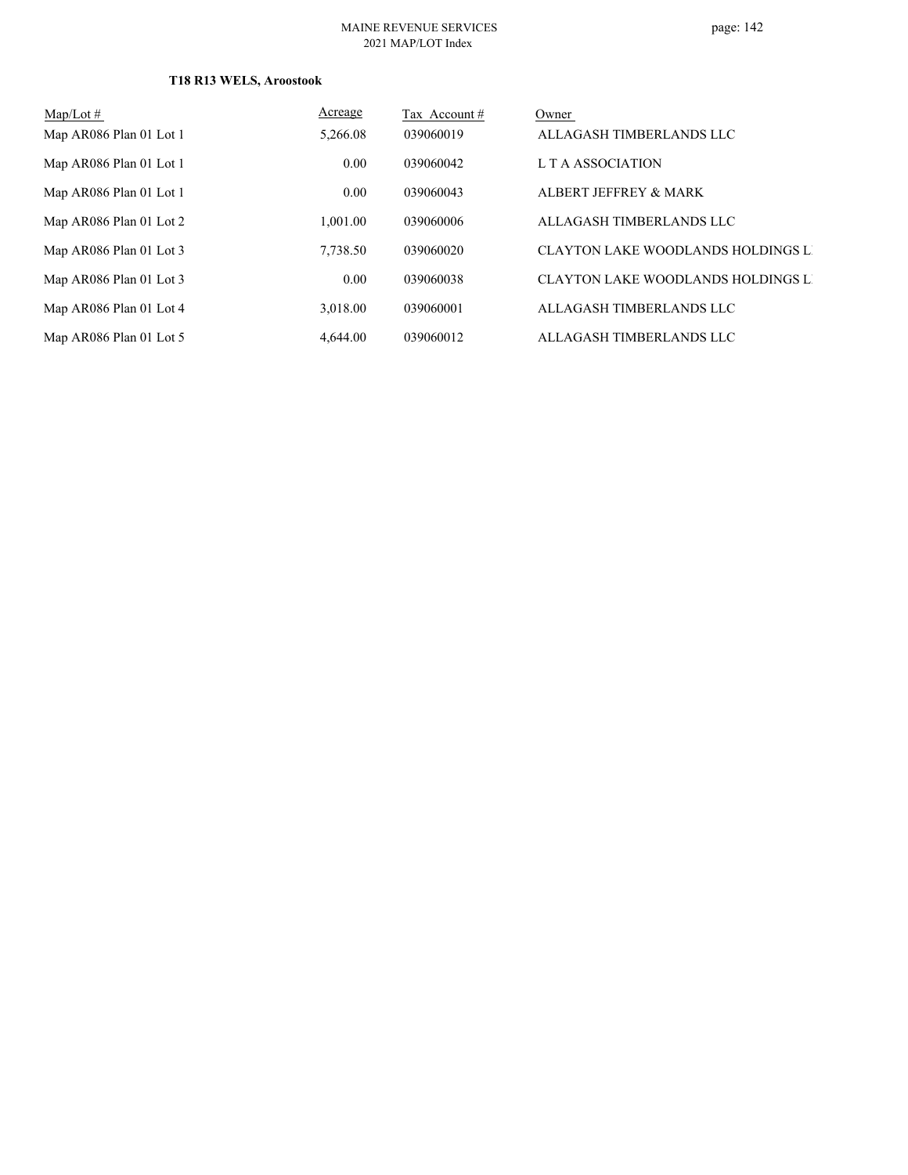## **T18 R13 WELS, Aroostook**

| Map/Lot $#$             | Acreage  | Tax Account # | Owner                                     |
|-------------------------|----------|---------------|-------------------------------------------|
| Map AR086 Plan 01 Lot 1 | 5,266.08 | 039060019     | ALLAGASH TIMBERLANDS LLC                  |
| Map AR086 Plan 01 Lot 1 | 0.00     | 039060042     | L T A ASSOCIATION                         |
| Map AR086 Plan 01 Lot 1 | 0.00     | 039060043     | ALBERT JEFFREY & MARK                     |
| Map AR086 Plan 01 Lot 2 | 1.001.00 | 039060006     | ALLAGASH TIMBERLANDS LLC                  |
| Map AR086 Plan 01 Lot 3 | 7,738.50 | 039060020     | <b>CLAYTON LAKE WOODLANDS HOLDINGS LI</b> |
| Map AR086 Plan 01 Lot 3 | 0.00     | 039060038     | CLAYTON LAKE WOODLANDS HOLDINGS LI        |
| Map AR086 Plan 01 Lot 4 | 3.018.00 | 039060001     | ALLAGASH TIMBERLANDS LLC                  |
| Map AR086 Plan 01 Lot 5 | 4,644.00 | 039060012     | ALLAGASH TIMBERLANDS LLC                  |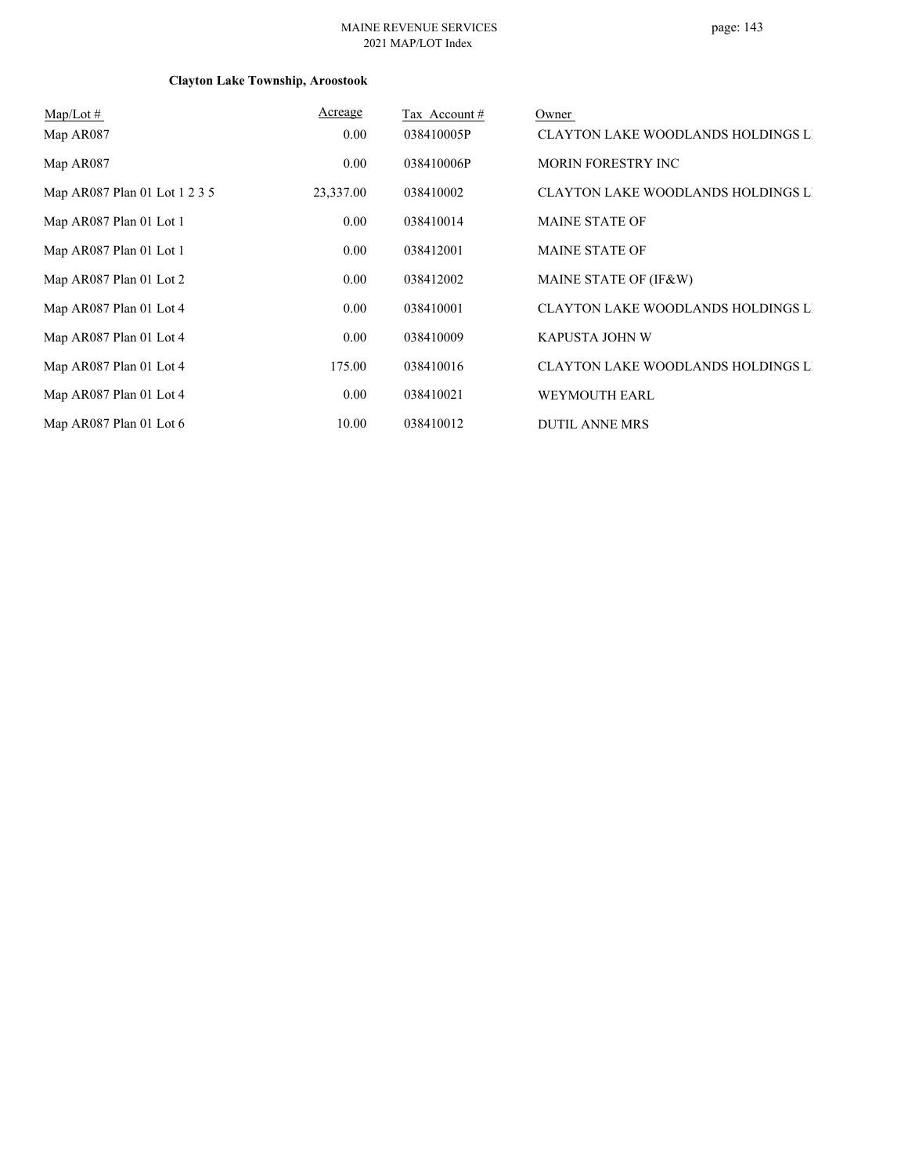#### MAINE REVENUE SERVICES 2021 MAP/LOT Index

# page: 143

# **Clayton Lake Township, Aroostook**

| $Map/Lot \#$                  | Acreage   | Tax Account# | Owner                                     |
|-------------------------------|-----------|--------------|-------------------------------------------|
| Map AR087                     | 0.00      | 038410005P   | <b>CLAYTON LAKE WOODLANDS HOLDINGS LI</b> |
| Map AR087                     | 0.00      | 038410006P   | MORIN FORESTRY INC                        |
| Map AR087 Plan 01 Lot 1 2 3 5 | 23,337.00 | 038410002    | CLAYTON LAKE WOODLANDS HOLDINGS LI        |
| Map AR087 Plan 01 Lot 1       | 0.00      | 038410014    | <b>MAINE STATE OF</b>                     |
| Map AR087 Plan 01 Lot 1       | 0.00      | 038412001    | <b>MAINE STATE OF</b>                     |
| Map AR087 Plan 01 Lot 2       | 0.00      | 038412002    | MAINE STATE OF (IF&W)                     |
| Map AR087 Plan 01 Lot 4       | 0.00      | 038410001    | <b>CLAYTON LAKE WOODLANDS HOLDINGS LI</b> |
| Map AR087 Plan 01 Lot 4       | 0.00      | 038410009    | KAPUSTA JOHN W                            |
| Map AR087 Plan 01 Lot 4       | 175.00    | 038410016    | <b>CLAYTON LAKE WOODLANDS HOLDINGS LI</b> |
| Map AR087 Plan 01 Lot 4       | 0.00      | 038410021    | <b>WEYMOUTH EARL</b>                      |
| Map AR087 Plan 01 Lot 6       | 10.00     | 038410012    | <b>DUTIL ANNE MRS</b>                     |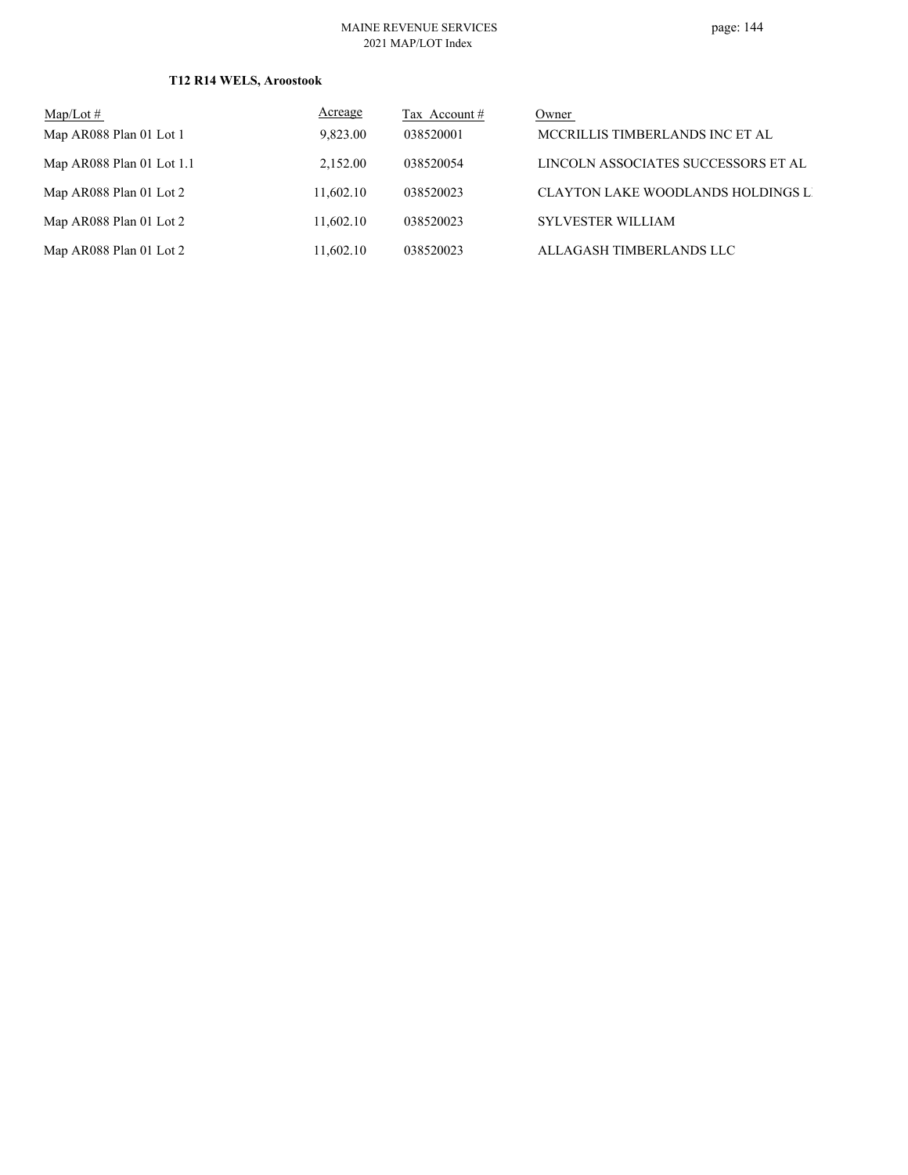#### MAINE REVENUE SERVICES 2021 MAP/LOT Index

### **T12 R14 WELS, Aroostook**

| $\text{Map/Lot} \#$       | Acreage   | Tax Account $#$ | Owner                               |
|---------------------------|-----------|-----------------|-------------------------------------|
| Map AR088 Plan 01 Lot 1   | 9,823.00  | 038520001       | MCCRILLIS TIMBERLANDS INC ET AL     |
| Map AR088 Plan 01 Lot 1.1 | 2.152.00  | 038520054       | LINCOLN ASSOCIATES SUCCESSORS ET AL |
| Map AR088 Plan 01 Lot 2   | 11,602.10 | 038520023       | CLAYTON LAKE WOODLANDS HOLDINGS LI  |
| Map AR088 Plan 01 Lot 2   | 11,602.10 | 038520023       | <b>SYLVESTER WILLIAM</b>            |
| Map AR088 Plan 01 Lot 2   | 11,602.10 | 038520023       | ALLAGASH TIMBERLANDS LLC            |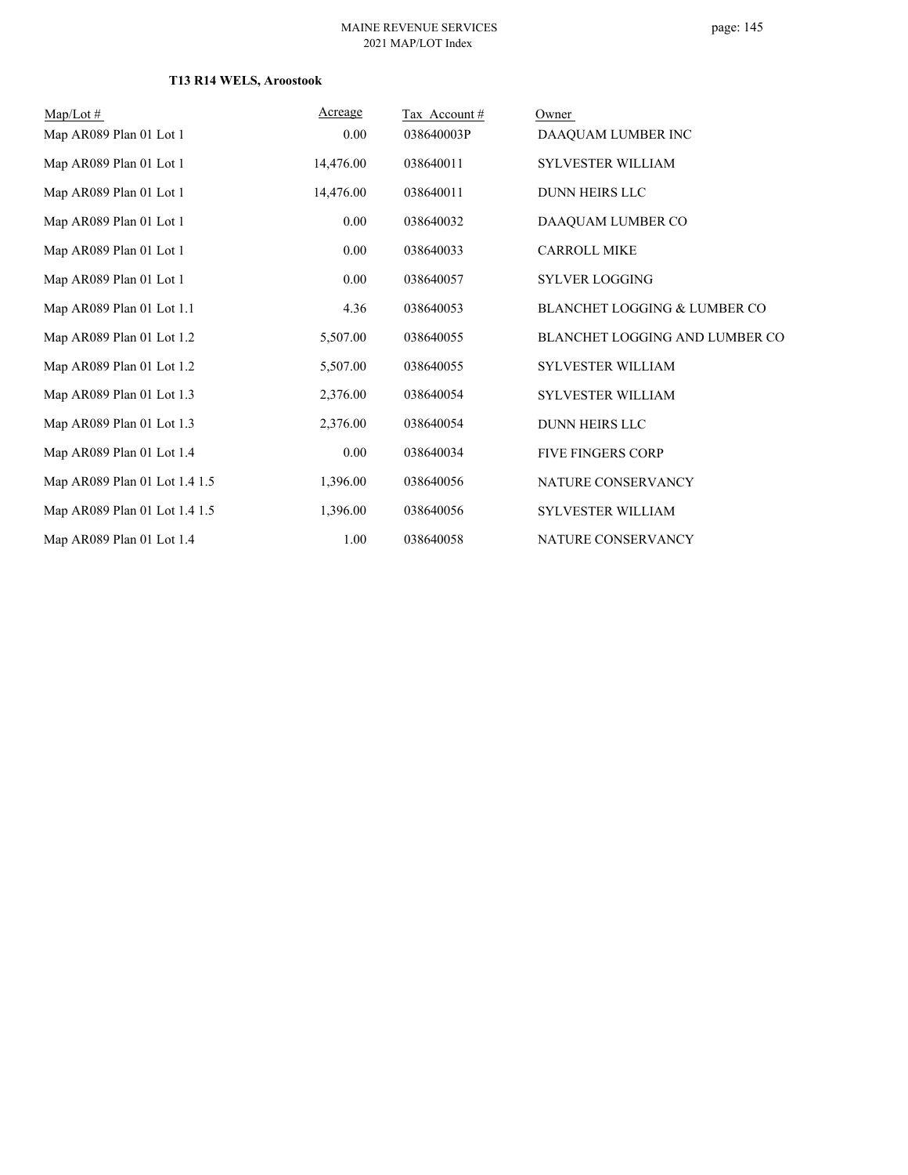### **T13 R14 WELS, Aroostook**

| $Map/Lot \#$                  | Acreage   | Tax Account# | Owner                                   |
|-------------------------------|-----------|--------------|-----------------------------------------|
| Map AR089 Plan 01 Lot 1       | 0.00      | 038640003P   | DAAQUAM LUMBER INC                      |
| Map AR089 Plan 01 Lot 1       | 14,476.00 | 038640011    | <b>SYLVESTER WILLIAM</b>                |
| Map AR089 Plan 01 Lot 1       | 14,476.00 | 038640011    | <b>DUNN HEIRS LLC</b>                   |
| Map AR089 Plan 01 Lot 1       | 0.00      | 038640032    | DAAQUAM LUMBER CO                       |
| Map AR089 Plan 01 Lot 1       | 0.00      | 038640033    | <b>CARROLL MIKE</b>                     |
| Map AR089 Plan 01 Lot 1       | 0.00      | 038640057    | SYLVER LOGGING                          |
| Map AR089 Plan 01 Lot 1.1     | 4.36      | 038640053    | <b>BLANCHET LOGGING &amp; LUMBER CO</b> |
| Map AR089 Plan 01 Lot 1.2     | 5,507.00  | 038640055    | BLANCHET LOGGING AND LUMBER CO          |
| Map AR089 Plan 01 Lot 1.2     | 5,507.00  | 038640055    | <b>SYLVESTER WILLIAM</b>                |
| Map AR089 Plan 01 Lot 1.3     | 2,376.00  | 038640054    | <b>SYLVESTER WILLIAM</b>                |
| Map AR089 Plan 01 Lot 1.3     | 2,376.00  | 038640054    | <b>DUNN HEIRS LLC</b>                   |
| Map AR089 Plan 01 Lot 1.4     | 0.00      | 038640034    | <b>FIVE FINGERS CORP</b>                |
| Map AR089 Plan 01 Lot 1.4 1.5 | 1,396.00  | 038640056    | NATURE CONSERVANCY                      |
| Map AR089 Plan 01 Lot 1.4 1.5 | 1,396.00  | 038640056    | SYLVESTER WILLIAM                       |
| Map AR089 Plan 01 Lot 1.4     | 1.00      | 038640058    | NATURE CONSERVANCY                      |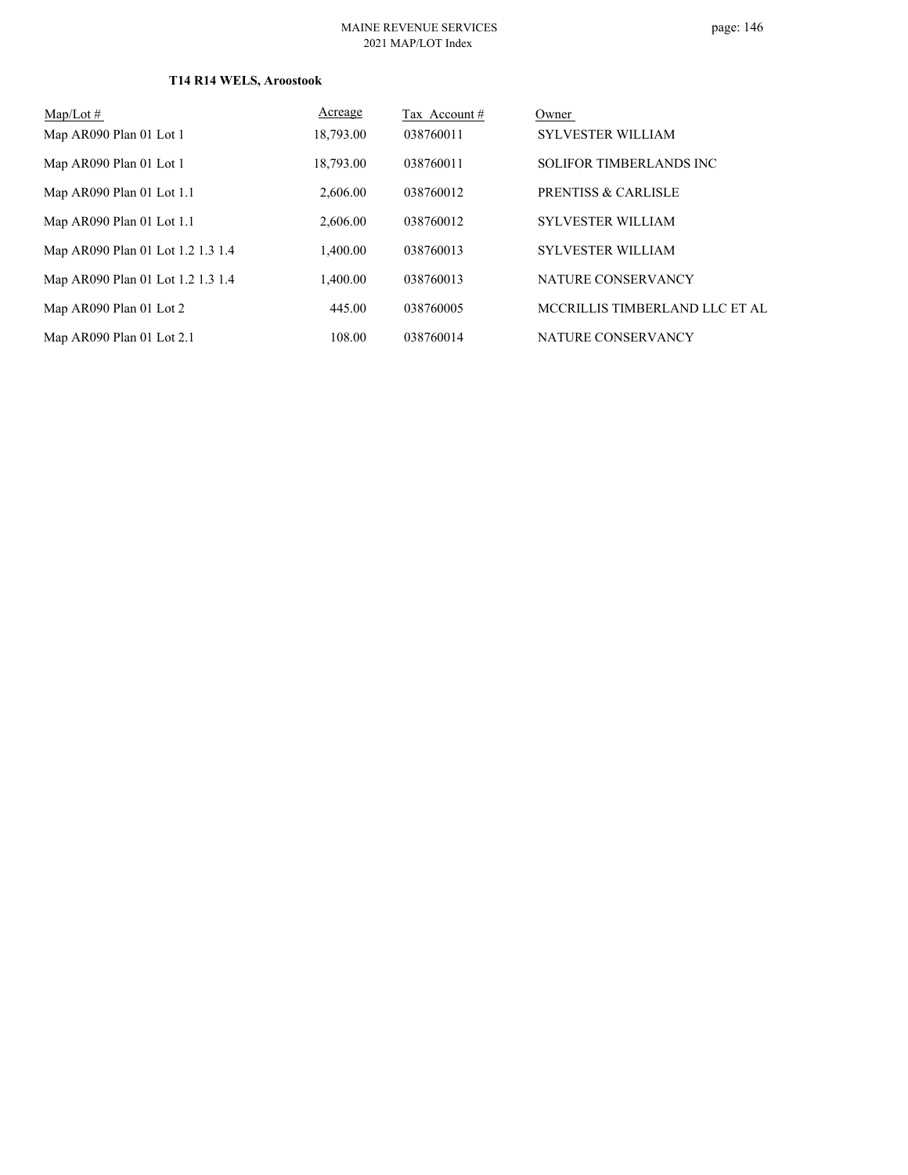### **T14 R14 WELS, Aroostook**

| $Map/Lot \#$                      | Acreage   | Tax Account# | Owner                          |
|-----------------------------------|-----------|--------------|--------------------------------|
| Map AR090 Plan 01 Lot 1           | 18,793.00 | 038760011    | <b>SYLVESTER WILLIAM</b>       |
| Map AR090 Plan 01 Lot 1           | 18,793.00 | 038760011    | SOLIFOR TIMBERLANDS INC        |
| Map AR090 Plan 01 Lot 1.1         | 2,606.00  | 038760012    | <b>PRENTISS &amp; CARLISLE</b> |
| Map AR090 Plan 01 Lot 1.1         | 2,606.00  | 038760012    | <b>SYLVESTER WILLIAM</b>       |
| Map AR090 Plan 01 Lot 1.2 1.3 1.4 | 1.400.00  | 038760013    | <b>SYLVESTER WILLIAM</b>       |
| Map AR090 Plan 01 Lot 1.2 1.3 1.4 | 1.400.00  | 038760013    | NATURE CONSERVANCY             |
| Map AR090 Plan 01 Lot 2           | 445.00    | 038760005    | MCCRILLIS TIMBERLAND LLC ET AL |
| Map AR090 Plan 01 Lot 2.1         | 108.00    | 038760014    | NATURE CONSERVANCY             |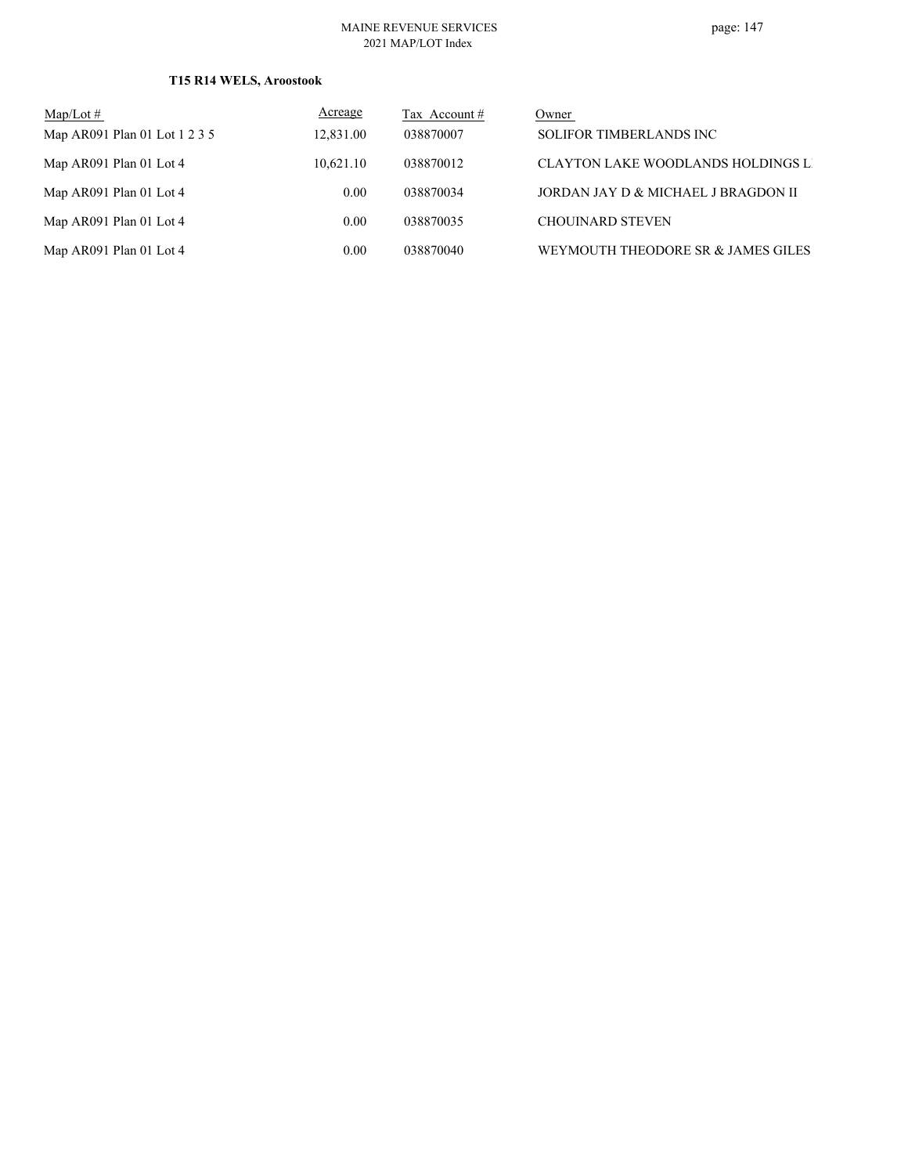### **T15 R14 WELS, Aroostook**

| $Map/Lot \#$                  | <b>Acreage</b> | Tax Account # | Owner                                     |
|-------------------------------|----------------|---------------|-------------------------------------------|
| Map AR091 Plan 01 Lot 1 2 3 5 | 12,831.00      | 038870007     | <b>SOLIFOR TIMBERLANDS INC</b>            |
| Map AR091 Plan 01 Lot 4       | 10.621.10      | 038870012     | <b>CLAYTON LAKE WOODLANDS HOLDINGS LI</b> |
| Map AR091 Plan 01 Lot 4       | $0.00^{\circ}$ | 038870034     | JORDAN JAY D & MICHAEL J BRAGDON II       |
| Map AR091 Plan 01 Lot 4       | 0.00           | 038870035     | <b>CHOUINARD STEVEN</b>                   |
| Map AR091 Plan 01 Lot 4       | 0.00           | 038870040     | WEYMOUTH THEODORE SR & JAMES GILES        |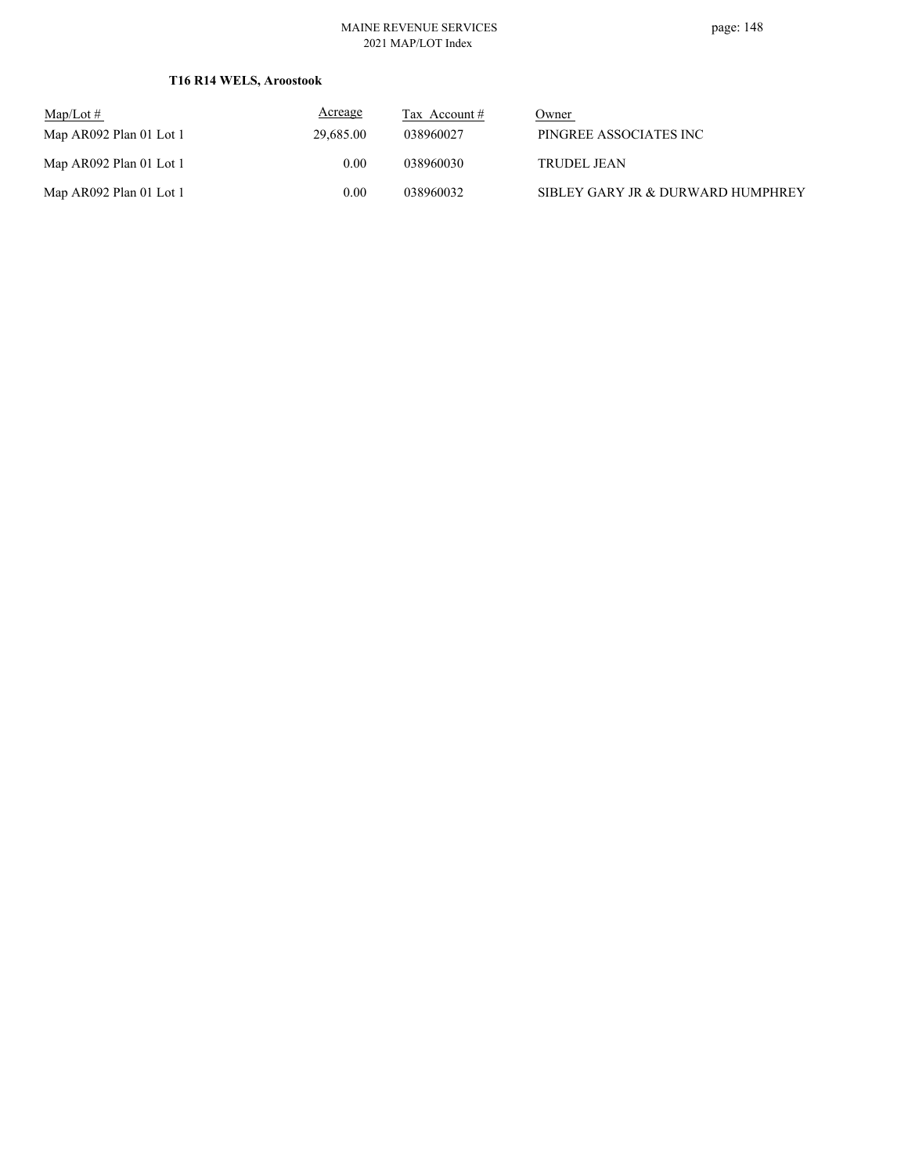#### MAINE REVENUE SERVICES 2021 MAP/LOT Index

### **T16 R14 WELS, Aroostook**

| $\text{Map/Lot} \#$     | <b>Acreage</b> | Tax Account # | Owner                             |
|-------------------------|----------------|---------------|-----------------------------------|
| Map AR092 Plan 01 Lot 1 | 29,685.00      | 038960027     | PINGREE ASSOCIATES INC            |
| Map AR092 Plan 01 Lot 1 | 0.00           | 038960030     | <b>TRUDEL JEAN</b>                |
| Map AR092 Plan 01 Lot 1 | 0.00           | 038960032     | SIBLEY GARY JR & DURWARD HUMPHREY |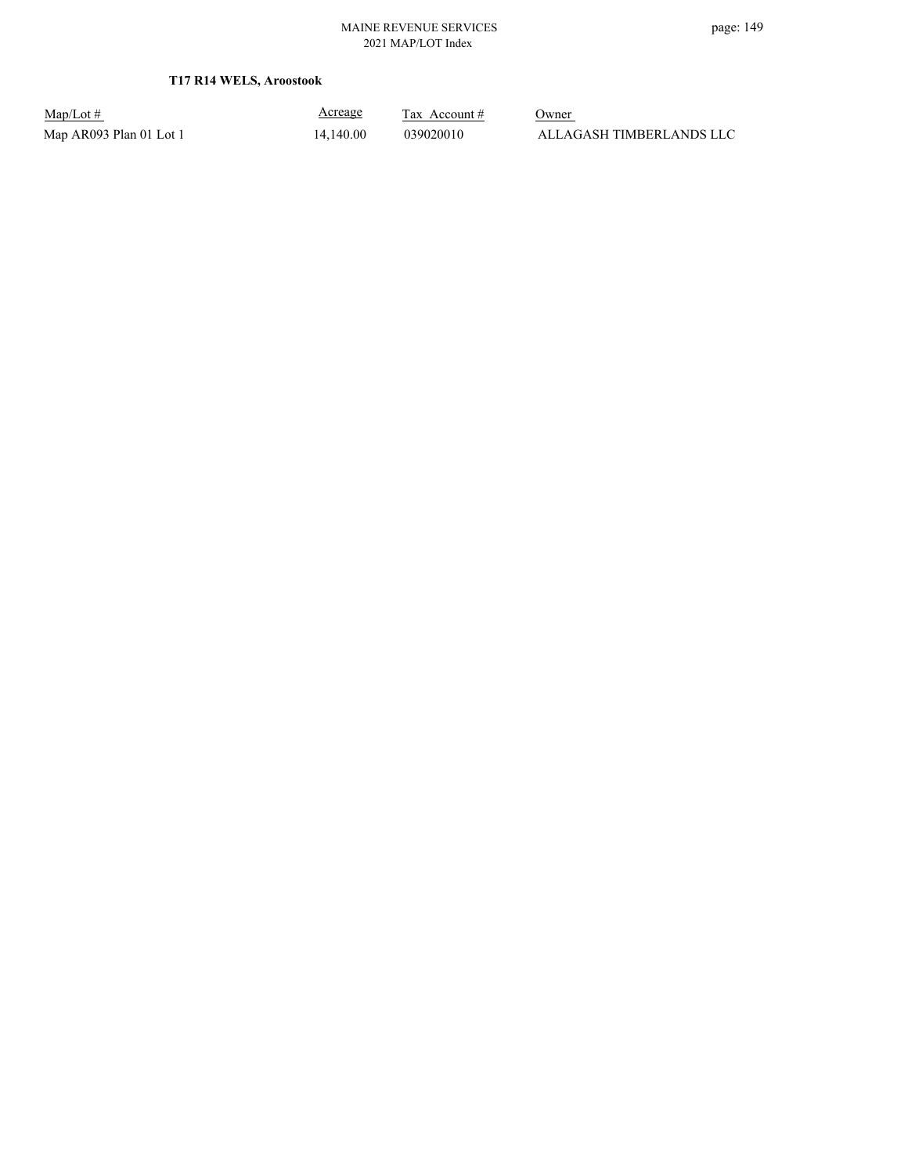Map/Lot #  $\frac{\text{Areage}}{\text{2x} + \text{Account}}$  0wner Map AR093 Plan 01 Lot 1 14,140.00 039020010 ALLAGASH TIMBERLANDS LLC

Acreage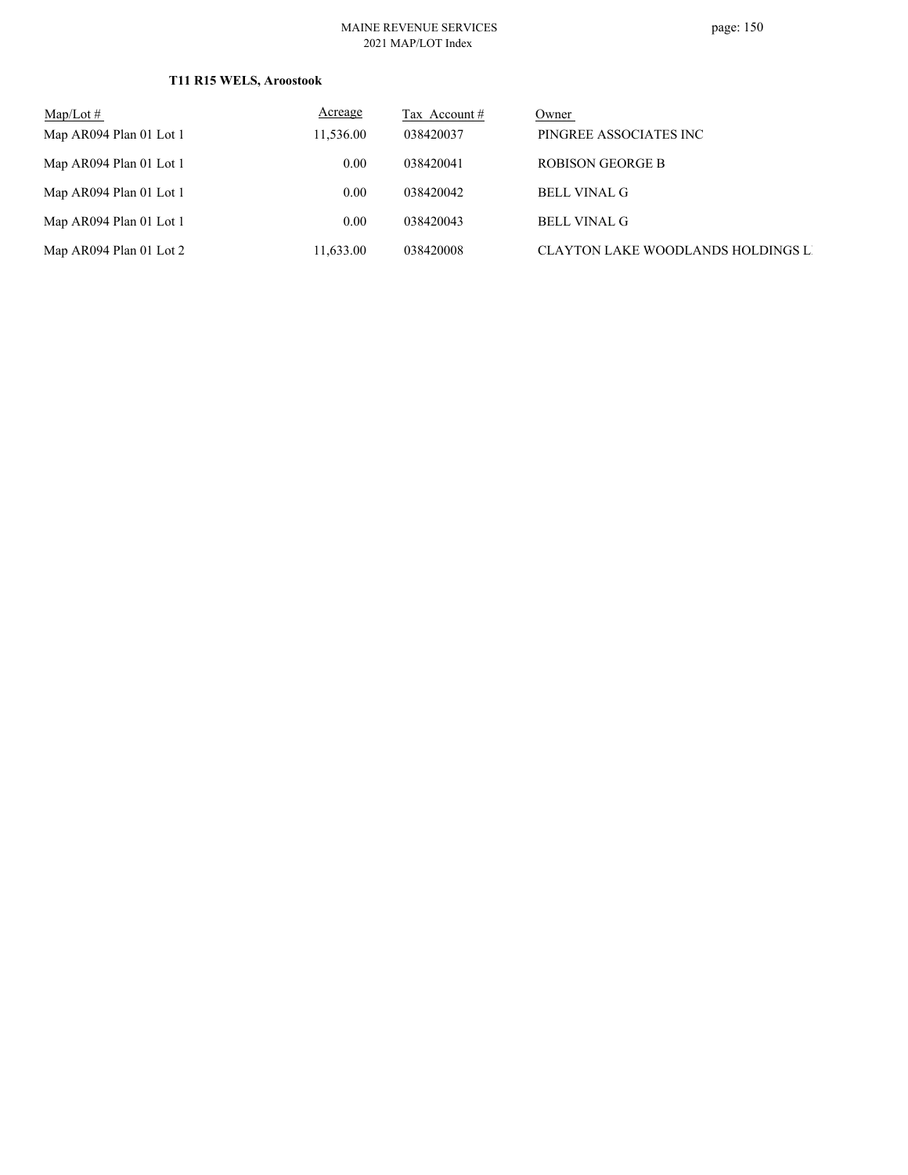#### MAINE REVENUE SERVICES 2021 MAP/LOT Index

### **T11 R15 WELS, Aroostook**

| $Map/Lot \#$            | <b>Acreage</b>    | Tax Account # | Owner                              |
|-------------------------|-------------------|---------------|------------------------------------|
| Map AR094 Plan 01 Lot 1 | 11,536.00         | 038420037     | PINGREE ASSOCIATES INC             |
| Map AR094 Plan 01 Lot 1 | $0.00^{\circ}$    | 038420041     | <b>ROBISON GEORGE B</b>            |
| Map AR094 Plan 01 Lot 1 | 0.00              | 038420042     | <b>BELL VINAL G</b>                |
| Map AR094 Plan 01 Lot 1 | 0.00 <sub>1</sub> | 038420043     | <b>BELL VINAL G</b>                |
| Map AR094 Plan 01 Lot 2 | 11,633.00         | 038420008     | CLAYTON LAKE WOODLANDS HOLDINGS LI |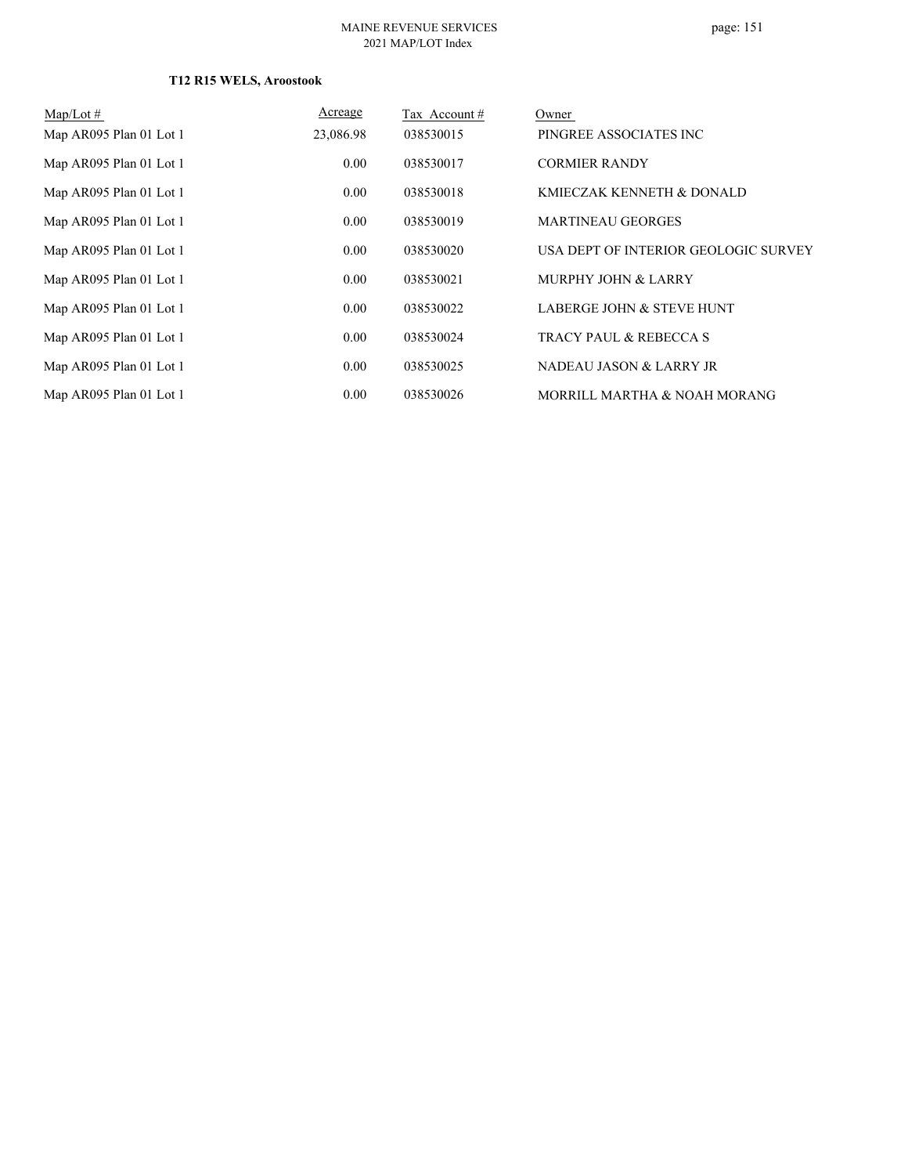### **T12 R15 WELS, Aroostook**

| $Map/Lot \#$            | Acreage   | Tax Account# | Owner                                |
|-------------------------|-----------|--------------|--------------------------------------|
| Map AR095 Plan 01 Lot 1 | 23,086.98 | 038530015    | PINGREE ASSOCIATES INC               |
| Map AR095 Plan 01 Lot 1 | 0.00      | 038530017    | <b>CORMIER RANDY</b>                 |
| Map AR095 Plan 01 Lot 1 | 0.00      | 038530018    | KMIECZAK KENNETH & DONALD            |
| Map AR095 Plan 01 Lot 1 | 0.00      | 038530019    | <b>MARTINEAU GEORGES</b>             |
| Map AR095 Plan 01 Lot 1 | 0.00      | 038530020    | USA DEPT OF INTERIOR GEOLOGIC SURVEY |
| Map AR095 Plan 01 Lot 1 | 0.00      | 038530021    | <b>MURPHY JOHN &amp; LARRY</b>       |
| Map AR095 Plan 01 Lot 1 | 0.00      | 038530022    | LABERGE JOHN & STEVE HUNT            |
| Map AR095 Plan 01 Lot 1 | 0.00      | 038530024    | <b>TRACY PAUL &amp; REBECCA S</b>    |
| Map AR095 Plan 01 Lot 1 | 0.00      | 038530025    | NADEAU JASON & LARRY JR              |
| Map AR095 Plan 01 Lot 1 | 0.00      | 038530026    | MORRILL MARTHA & NOAH MORANG         |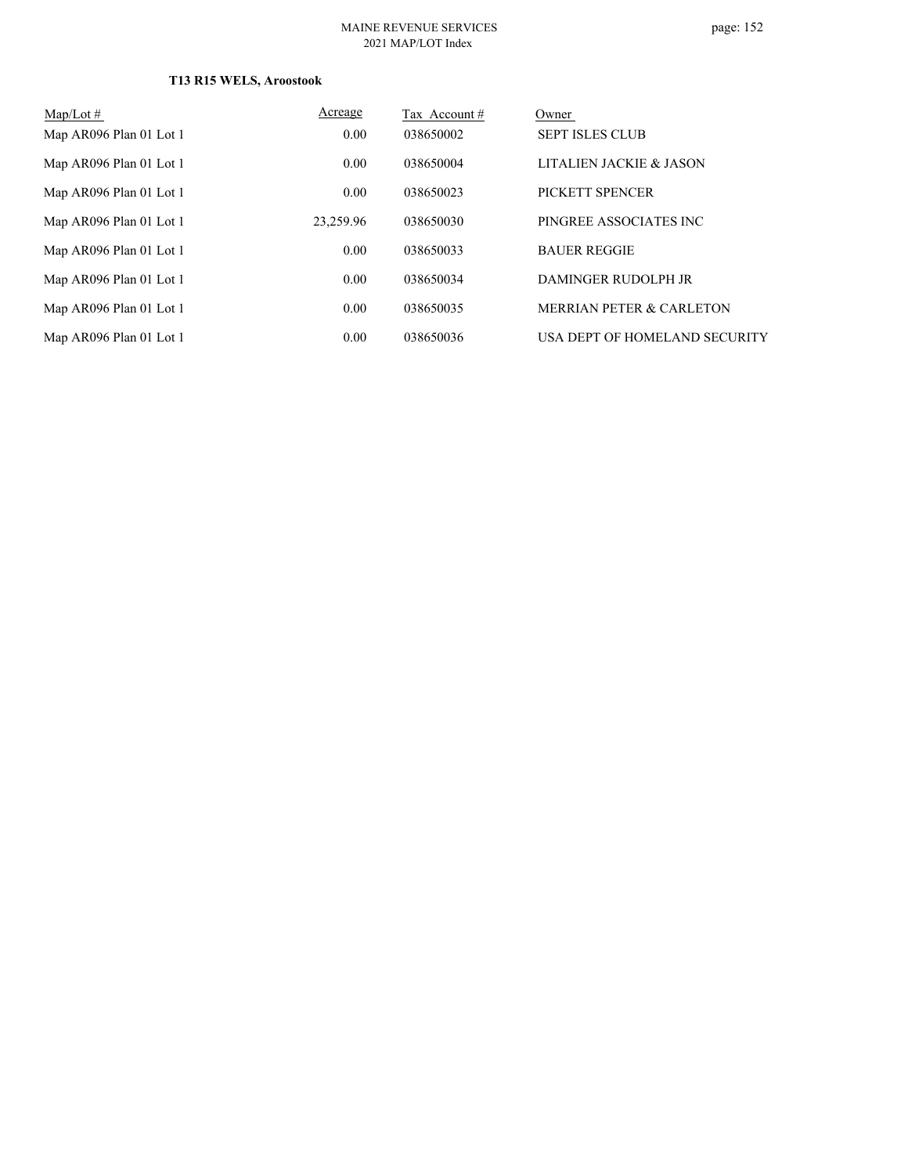### **T13 R15 WELS, Aroostook**

| $Map/Lot \#$            | Acreage   | Tax Account # | Owner                               |
|-------------------------|-----------|---------------|-------------------------------------|
| Map AR096 Plan 01 Lot 1 | 0.00      | 038650002     | <b>SEPT ISLES CLUB</b>              |
| Map AR096 Plan 01 Lot 1 | 0.00      | 038650004     | LITALIEN JACKIE & JASON             |
| Map AR096 Plan 01 Lot 1 | 0.00      | 038650023     | PICKETT SPENCER                     |
| Map AR096 Plan 01 Lot 1 | 23,259.96 | 038650030     | PINGREE ASSOCIATES INC              |
| Map AR096 Plan 01 Lot 1 | 0.00      | 038650033     | <b>BAUER REGGIE</b>                 |
| Map AR096 Plan 01 Lot 1 | 0.00      | 038650034     | DAMINGER RUDOLPH JR                 |
| Map AR096 Plan 01 Lot 1 | 0.00      | 038650035     | <b>MERRIAN PETER &amp; CARLETON</b> |
| Map AR096 Plan 01 Lot 1 | 0.00      | 038650036     | USA DEPT OF HOMELAND SECURITY       |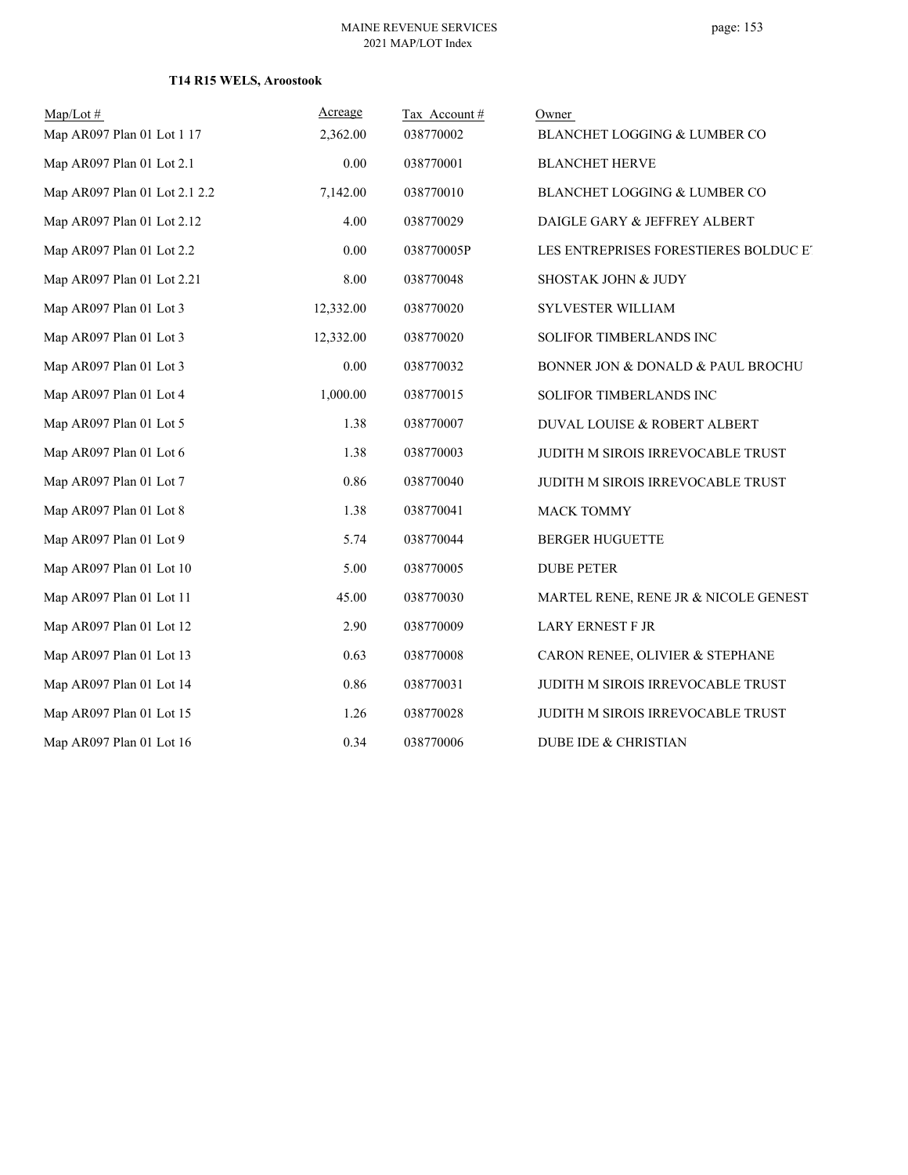### **T14 R15 WELS, Aroostook**

| $Map/Lot$ #                   | Acreage   | Tax Account# | Owner                                 |
|-------------------------------|-----------|--------------|---------------------------------------|
| Map AR097 Plan 01 Lot 1 17    | 2,362.00  | 038770002    | BLANCHET LOGGING & LUMBER CO          |
| Map AR097 Plan 01 Lot 2.1     | 0.00      | 038770001    | <b>BLANCHET HERVE</b>                 |
| Map AR097 Plan 01 Lot 2.1 2.2 | 7,142.00  | 038770010    | BLANCHET LOGGING & LUMBER CO          |
| Map AR097 Plan 01 Lot 2.12    | 4.00      | 038770029    | DAIGLE GARY & JEFFREY ALBERT          |
| Map AR097 Plan 01 Lot 2.2     | 0.00      | 038770005P   | LES ENTREPRISES FORESTIERES BOLDUC ET |
| Map AR097 Plan 01 Lot 2.21    | 8.00      | 038770048    | SHOSTAK JOHN & JUDY                   |
| Map AR097 Plan 01 Lot 3       | 12,332.00 | 038770020    | SYLVESTER WILLIAM                     |
| Map AR097 Plan 01 Lot 3       | 12,332.00 | 038770020    | SOLIFOR TIMBERLANDS INC               |
| Map AR097 Plan 01 Lot 3       | 0.00      | 038770032    | BONNER JON & DONALD & PAUL BROCHU     |
| Map AR097 Plan 01 Lot 4       | 1,000.00  | 038770015    | SOLIFOR TIMBERLANDS INC               |
| Map AR097 Plan 01 Lot 5       | 1.38      | 038770007    | DUVAL LOUISE & ROBERT ALBERT          |
| Map AR097 Plan 01 Lot 6       | 1.38      | 038770003    | JUDITH M SIROIS IRREVOCABLE TRUST     |
| Map AR097 Plan 01 Lot 7       | 0.86      | 038770040    | JUDITH M SIROIS IRREVOCABLE TRUST     |
| Map AR097 Plan 01 Lot 8       | 1.38      | 038770041    | <b>MACK TOMMY</b>                     |
| Map AR097 Plan 01 Lot 9       | 5.74      | 038770044    | <b>BERGER HUGUETTE</b>                |
| Map AR097 Plan 01 Lot 10      | 5.00      | 038770005    | <b>DUBE PETER</b>                     |
| Map AR097 Plan 01 Lot 11      | 45.00     | 038770030    | MARTEL RENE, RENE JR & NICOLE GENEST  |
| Map AR097 Plan 01 Lot 12      | 2.90      | 038770009    | <b>LARY ERNEST F JR</b>               |
| Map AR097 Plan 01 Lot 13      | 0.63      | 038770008    | CARON RENEE, OLIVIER & STEPHANE       |
| Map AR097 Plan 01 Lot 14      | 0.86      | 038770031    | JUDITH M SIROIS IRREVOCABLE TRUST     |
| Map AR097 Plan 01 Lot 15      | 1.26      | 038770028    | JUDITH M SIROIS IRREVOCABLE TRUST     |
| Map AR097 Plan 01 Lot 16      | 0.34      | 038770006    | <b>DUBE IDE &amp; CHRISTIAN</b>       |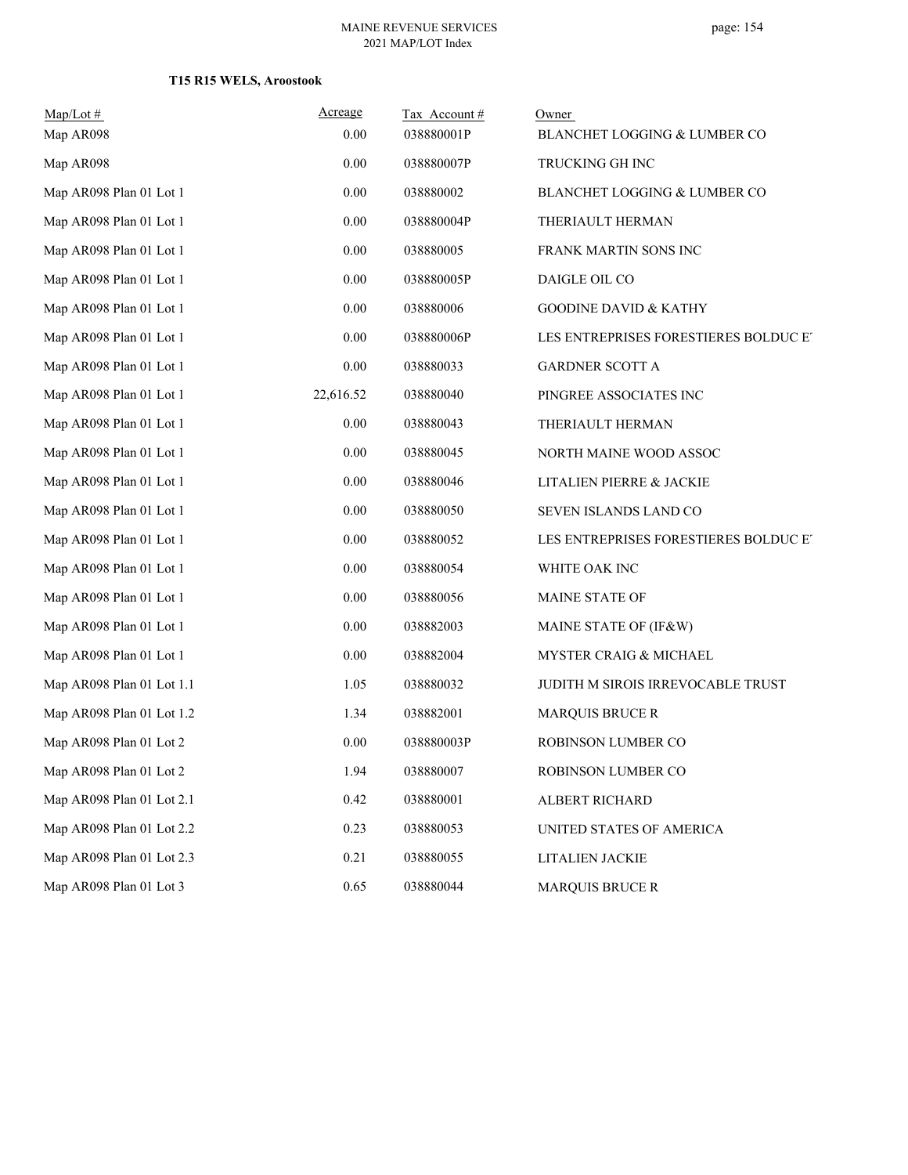# **T15 R15 WELS, Aroostook**

| $Map/Lot$ #               | Acreage   | Tax Account# | Owner                                 |
|---------------------------|-----------|--------------|---------------------------------------|
| Map AR098                 | 0.00      | 038880001P   | BLANCHET LOGGING & LUMBER CO          |
| Map AR098                 | 0.00      | 038880007P   | TRUCKING GH INC                       |
| Map AR098 Plan 01 Lot 1   | 0.00      | 038880002    | BLANCHET LOGGING & LUMBER CO          |
| Map AR098 Plan 01 Lot 1   | 0.00      | 038880004P   | THERIAULT HERMAN                      |
| Map AR098 Plan 01 Lot 1   | 0.00      | 038880005    | FRANK MARTIN SONS INC                 |
| Map AR098 Plan 01 Lot 1   | 0.00      | 038880005P   | DAIGLE OIL CO                         |
| Map AR098 Plan 01 Lot 1   | 0.00      | 038880006    | <b>GOODINE DAVID &amp; KATHY</b>      |
| Map AR098 Plan 01 Lot 1   | 0.00      | 038880006P   | LES ENTREPRISES FORESTIERES BOLDUC ET |
| Map AR098 Plan 01 Lot 1   | 0.00      | 038880033    | <b>GARDNER SCOTT A</b>                |
| Map AR098 Plan 01 Lot 1   | 22,616.52 | 038880040    | PINGREE ASSOCIATES INC                |
| Map AR098 Plan 01 Lot 1   | $0.00\,$  | 038880043    | THERIAULT HERMAN                      |
| Map AR098 Plan 01 Lot 1   | 0.00      | 038880045    | NORTH MAINE WOOD ASSOC                |
| Map AR098 Plan 01 Lot 1   | 0.00      | 038880046    | LITALIEN PIERRE & JACKIE              |
| Map AR098 Plan 01 Lot 1   | 0.00      | 038880050    | SEVEN ISLANDS LAND CO                 |
| Map AR098 Plan 01 Lot 1   | 0.00      | 038880052    | LES ENTREPRISES FORESTIERES BOLDUC ET |
| Map AR098 Plan 01 Lot 1   | 0.00      | 038880054    | WHITE OAK INC                         |
| Map AR098 Plan 01 Lot 1   | 0.00      | 038880056    | MAINE STATE OF                        |
| Map AR098 Plan 01 Lot 1   | 0.00      | 038882003    | MAINE STATE OF (IF&W)                 |
| Map AR098 Plan 01 Lot 1   | 0.00      | 038882004    | MYSTER CRAIG & MICHAEL                |
| Map AR098 Plan 01 Lot 1.1 | 1.05      | 038880032    | JUDITH M SIROIS IRREVOCABLE TRUST     |
| Map AR098 Plan 01 Lot 1.2 | 1.34      | 038882001    | <b>MARQUIS BRUCE R</b>                |
| Map AR098 Plan 01 Lot 2   | 0.00      | 038880003P   | <b>ROBINSON LUMBER CO</b>             |
| Map AR098 Plan 01 Lot 2   | 1.94      | 038880007    | ROBINSON LUMBER CO                    |
| Map AR098 Plan 01 Lot 2.1 | 0.42      | 038880001    | ALBERT RICHARD                        |
| Map AR098 Plan 01 Lot 2.2 | 0.23      | 038880053    | UNITED STATES OF AMERICA              |
| Map AR098 Plan 01 Lot 2.3 | 0.21      | 038880055    | LITALIEN JACKIE                       |
| Map AR098 Plan 01 Lot 3   | 0.65      | 038880044    | <b>MARQUIS BRUCE R</b>                |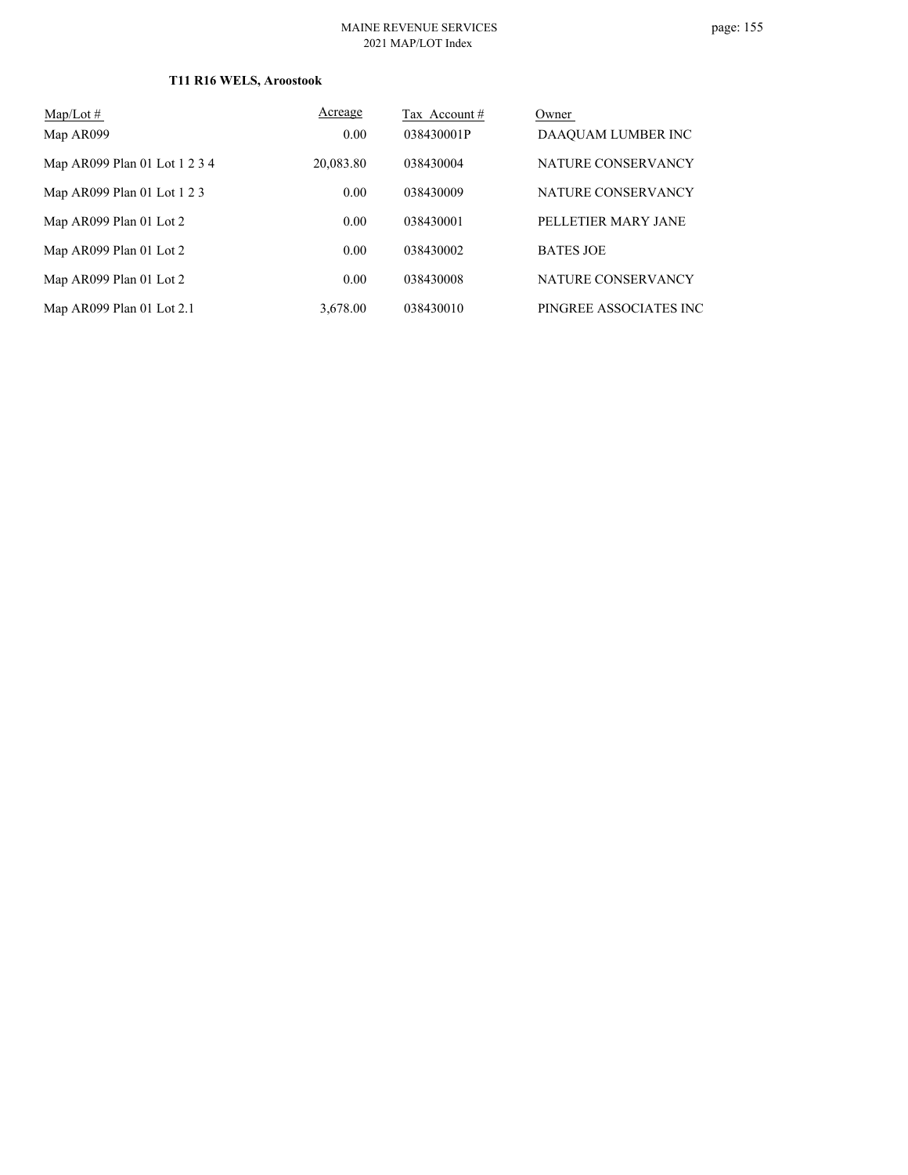### **T11 R16 WELS, Aroostook**

| $\text{Map/Lot} \#$           | Acreage   | Tax Account # | Owner                  |
|-------------------------------|-----------|---------------|------------------------|
| Map AR099                     | 0.00      | 038430001P    | DAAQUAM LUMBER INC     |
| Map AR099 Plan 01 Lot 1 2 3 4 | 20,083.80 | 038430004     | NATURE CONSERVANCY     |
| Map AR099 Plan 01 Lot 1 2 3   | 0.00      | 038430009     | NATURE CONSERVANCY     |
| Map AR099 Plan 01 Lot 2       | 0.00      | 038430001     | PELLETIER MARY JANE    |
| Map AR099 Plan 01 Lot 2       | 0.00      | 038430002     | <b>BATES JOE</b>       |
| Map AR099 Plan 01 Lot 2       | 0.00      | 038430008     | NATURE CONSERVANCY     |
| Map AR099 Plan 01 Lot 2.1     | 3.678.00  | 038430010     | PINGREE ASSOCIATES INC |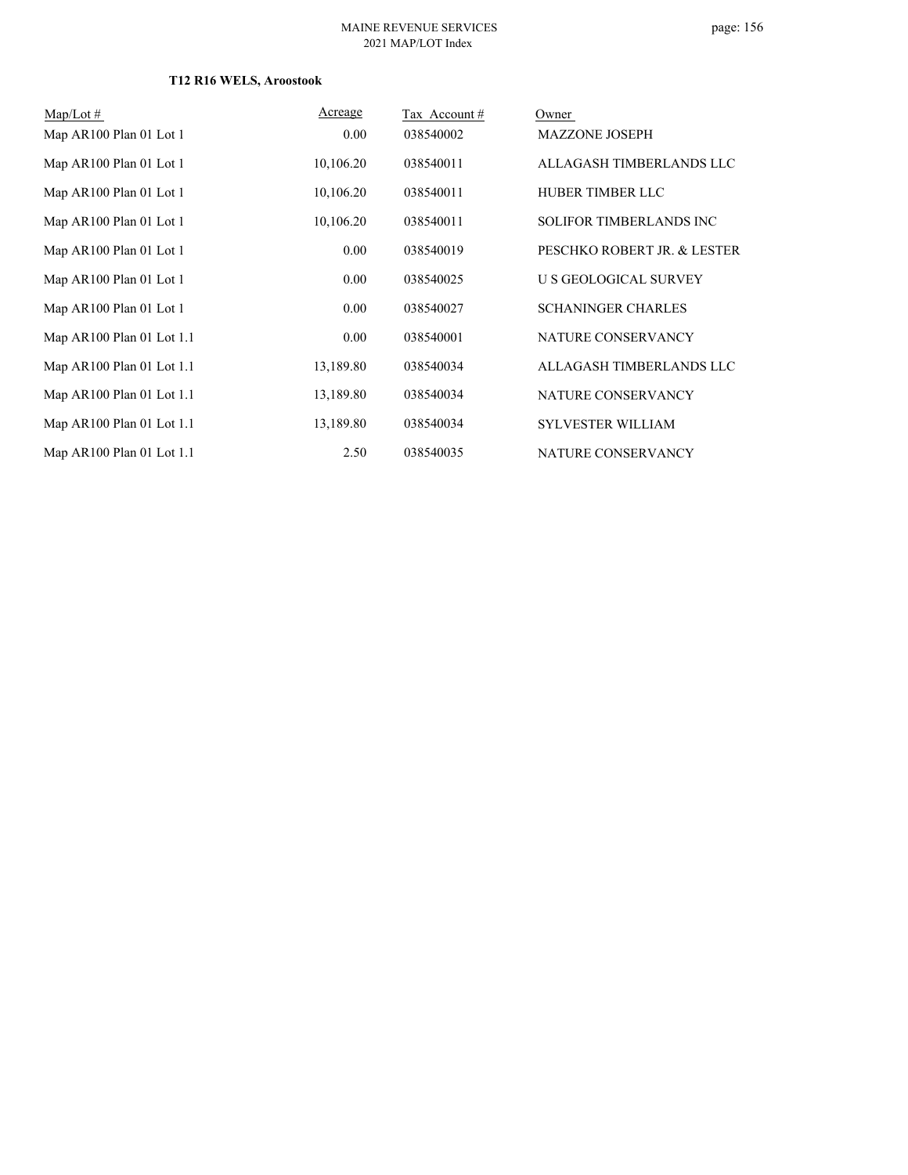### **T12 R16 WELS, Aroostook**

| $Map/Lot \#$              | Acreage   | Tax Account# | Owner                       |
|---------------------------|-----------|--------------|-----------------------------|
| Map AR100 Plan 01 Lot 1   | 0.00      | 038540002    | <b>MAZZONE JOSEPH</b>       |
| Map AR100 Plan 01 Lot 1   | 10,106.20 | 038540011    | ALLAGASH TIMBERLANDS LLC    |
| Map AR100 Plan 01 Lot 1   | 10,106.20 | 038540011    | HUBER TIMBER LLC            |
| Map AR100 Plan 01 Lot 1   | 10,106.20 | 038540011    | SOLIFOR TIMBERLANDS INC     |
| Map AR100 Plan 01 Lot 1   | 0.00      | 038540019    | PESCHKO ROBERT JR. & LESTER |
| Map AR100 Plan 01 Lot 1   | 0.00      | 038540025    | U S GEOLOGICAL SURVEY       |
| Map AR100 Plan 01 Lot 1   | 0.00      | 038540027    | <b>SCHANINGER CHARLES</b>   |
| Map AR100 Plan 01 Lot 1.1 | 0.00      | 038540001    | NATURE CONSERVANCY          |
| Map AR100 Plan 01 Lot 1.1 | 13,189.80 | 038540034    | ALLAGASH TIMBERLANDS LLC    |
| Map AR100 Plan 01 Lot 1.1 | 13,189.80 | 038540034    | NATURE CONSERVANCY          |
| Map AR100 Plan 01 Lot 1.1 | 13,189.80 | 038540034    | <b>SYLVESTER WILLIAM</b>    |
| Map AR100 Plan 01 Lot 1.1 | 2.50      | 038540035    | NATURE CONSERVANCY          |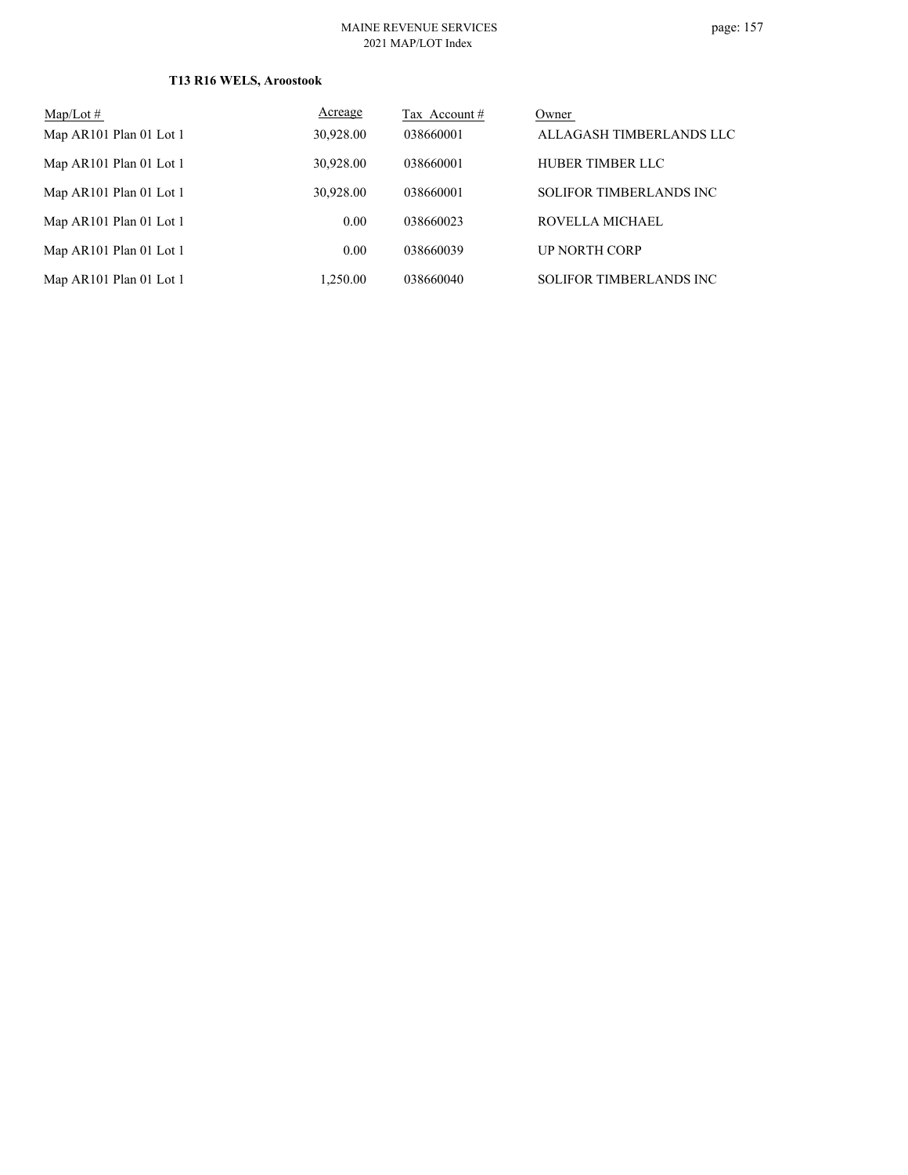### **T13 R16 WELS, Aroostook**

| $Map/Lot \#$            | Acreage   | Tax Account # | Owner                          |
|-------------------------|-----------|---------------|--------------------------------|
| Map AR101 Plan 01 Lot 1 | 30,928.00 | 038660001     | ALLAGASH TIMBERLANDS LLC       |
| Map AR101 Plan 01 Lot 1 | 30,928.00 | 038660001     | HUBER TIMBER LLC               |
| Map AR101 Plan 01 Lot 1 | 30,928.00 | 038660001     | SOLIFOR TIMBERLANDS INC        |
| Map AR101 Plan 01 Lot 1 | 0.00      | 038660023     | ROVELLA MICHAEL                |
| Map AR101 Plan 01 Lot 1 | 0.00      | 038660039     | <b>UP NORTH CORP</b>           |
| Map AR101 Plan 01 Lot 1 | 1,250.00  | 038660040     | <b>SOLIFOR TIMBERLANDS INC</b> |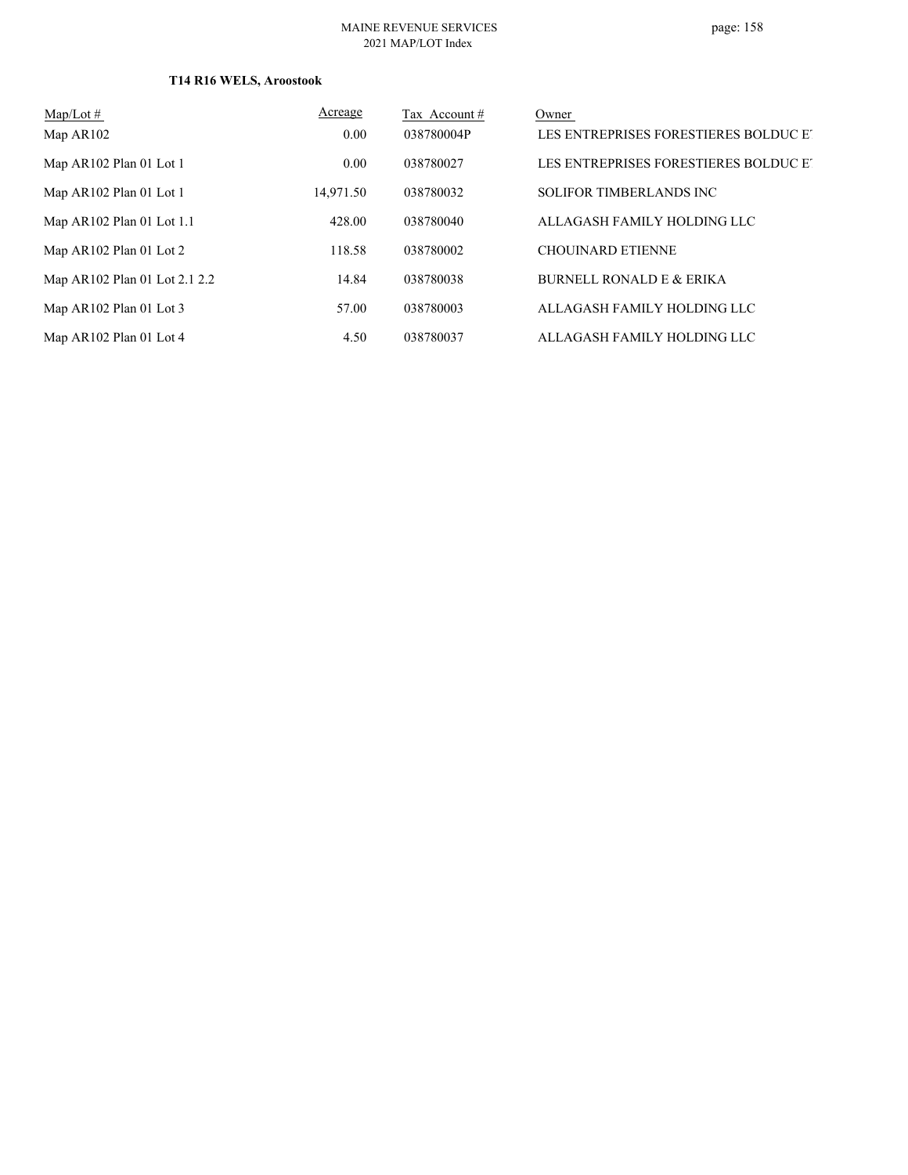#### MAINE REVENUE SERVICES 2021 MAP/LOT Index

### **T14 R16 WELS, Aroostook**

| $\text{Map/Lot} \#$           | Acreage   | Tax Account # | Owner                                 |
|-------------------------------|-----------|---------------|---------------------------------------|
| Map AR102                     | 0.00      | 038780004P    | LES ENTREPRISES FORESTIERES BOLDUC ET |
| Map AR102 Plan 01 Lot 1       | 0.00      | 038780027     | LES ENTREPRISES FORESTIERES BOLDUC ET |
| Map AR102 Plan 01 Lot 1       | 14,971.50 | 038780032     | <b>SOLIFOR TIMBERLANDS INC</b>        |
| Map AR102 Plan 01 Lot 1.1     | 428.00    | 038780040     | ALLAGASH FAMILY HOLDING LLC           |
| Map $AR102$ Plan 01 Lot 2     | 118.58    | 038780002     | <b>CHOUINARD ETIENNE</b>              |
| Map AR102 Plan 01 Lot 2.1 2.2 | 14.84     | 038780038     | <b>BURNELL RONALD E &amp; ERIKA</b>   |
| Map AR102 Plan 01 Lot 3       | 57.00     | 038780003     | ALLAGASH FAMILY HOLDING LLC           |
| Map AR102 Plan 01 Lot 4       | 4.50      | 038780037     | ALLAGASH FAMILY HOLDING LLC           |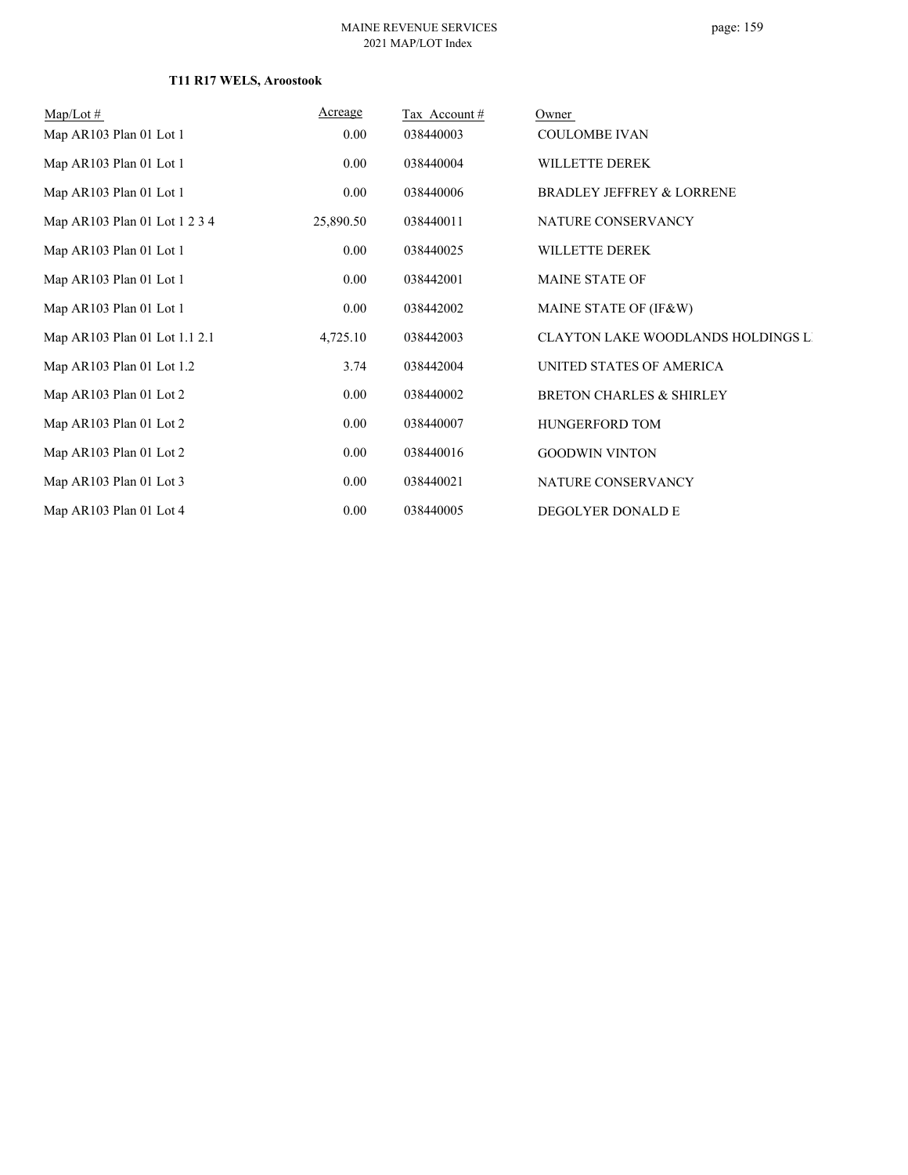# page: 159

### **T11 R17 WELS, Aroostook**

| $Map/Lot \#$                  | Acreage   | Tax Account # | Owner                                     |
|-------------------------------|-----------|---------------|-------------------------------------------|
| Map AR103 Plan 01 Lot 1       | 0.00      | 038440003     | <b>COULOMBE IVAN</b>                      |
| Map AR103 Plan 01 Lot 1       | 0.00      | 038440004     | WILLETTE DEREK                            |
| Map AR103 Plan 01 Lot 1       | 0.00      | 038440006     | <b>BRADLEY JEFFREY &amp; LORRENE</b>      |
| Map AR103 Plan 01 Lot 1 2 3 4 | 25,890.50 | 038440011     | NATURE CONSERVANCY                        |
| Map AR103 Plan 01 Lot 1       | 0.00      | 038440025     | WILLETTE DEREK                            |
| Map AR103 Plan 01 Lot 1       | 0.00      | 038442001     | <b>MAINE STATE OF</b>                     |
| Map AR103 Plan 01 Lot 1       | 0.00      | 038442002     | MAINE STATE OF (IF&W)                     |
| Map AR103 Plan 01 Lot 1.1 2.1 | 4,725.10  | 038442003     | <b>CLAYTON LAKE WOODLANDS HOLDINGS LI</b> |
| Map AR103 Plan 01 Lot 1.2     | 3.74      | 038442004     | UNITED STATES OF AMERICA                  |
| Map AR103 Plan 01 Lot 2       | 0.00      | 038440002     | <b>BRETON CHARLES &amp; SHIRLEY</b>       |
| Map AR103 Plan 01 Lot 2       | 0.00      | 038440007     | HUNGERFORD TOM                            |
| Map AR103 Plan 01 Lot 2       | 0.00      | 038440016     | <b>GOODWIN VINTON</b>                     |
| Map AR103 Plan 01 Lot 3       | 0.00      | 038440021     | NATURE CONSERVANCY                        |
| Map AR103 Plan 01 Lot 4       | 0.00      | 038440005     | DEGOLYER DONALD E                         |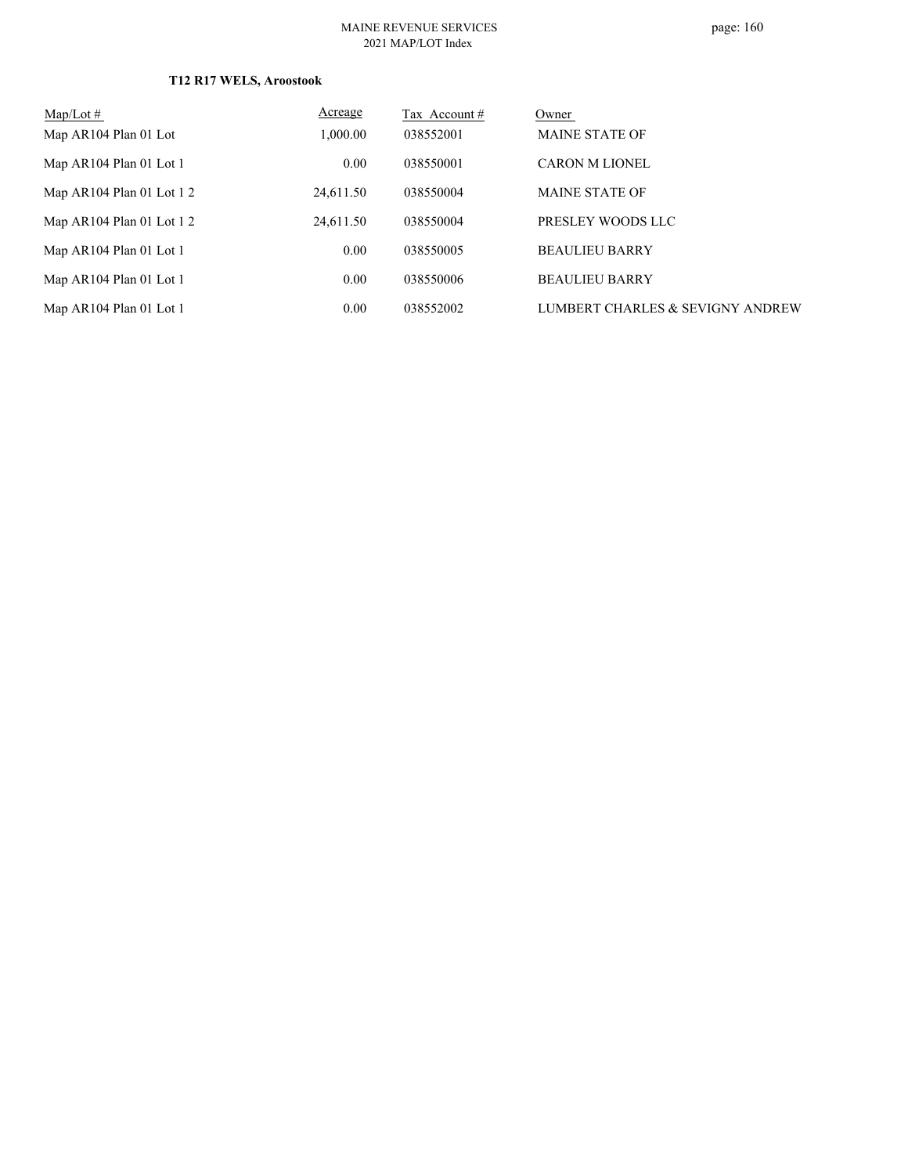### **T12 R17 WELS, Aroostook**

| $Map/Lot \#$                | Acreage   | Tax Account# | Owner                            |
|-----------------------------|-----------|--------------|----------------------------------|
| Map AR104 Plan 01 Lot       | 1,000.00  | 038552001    | <b>MAINE STATE OF</b>            |
| Map AR104 Plan 01 Lot 1     | 0.00      | 038550001    | <b>CARON M LIONEL</b>            |
| Map $AR104$ Plan 01 Lot 1 2 | 24,611.50 | 038550004    | <b>MAINE STATE OF</b>            |
| Map AR104 Plan 01 Lot 1 2   | 24,611.50 | 038550004    | PRESLEY WOODS LLC                |
| Map AR104 Plan 01 Lot 1     | 0.00      | 038550005    | <b>BEAULIEU BARRY</b>            |
| Map AR104 Plan 01 Lot 1     | 0.00      | 038550006    | <b>BEAULIEU BARRY</b>            |
| Map AR104 Plan 01 Lot 1     | 0.00      | 038552002    | LUMBERT CHARLES & SEVIGNY ANDREW |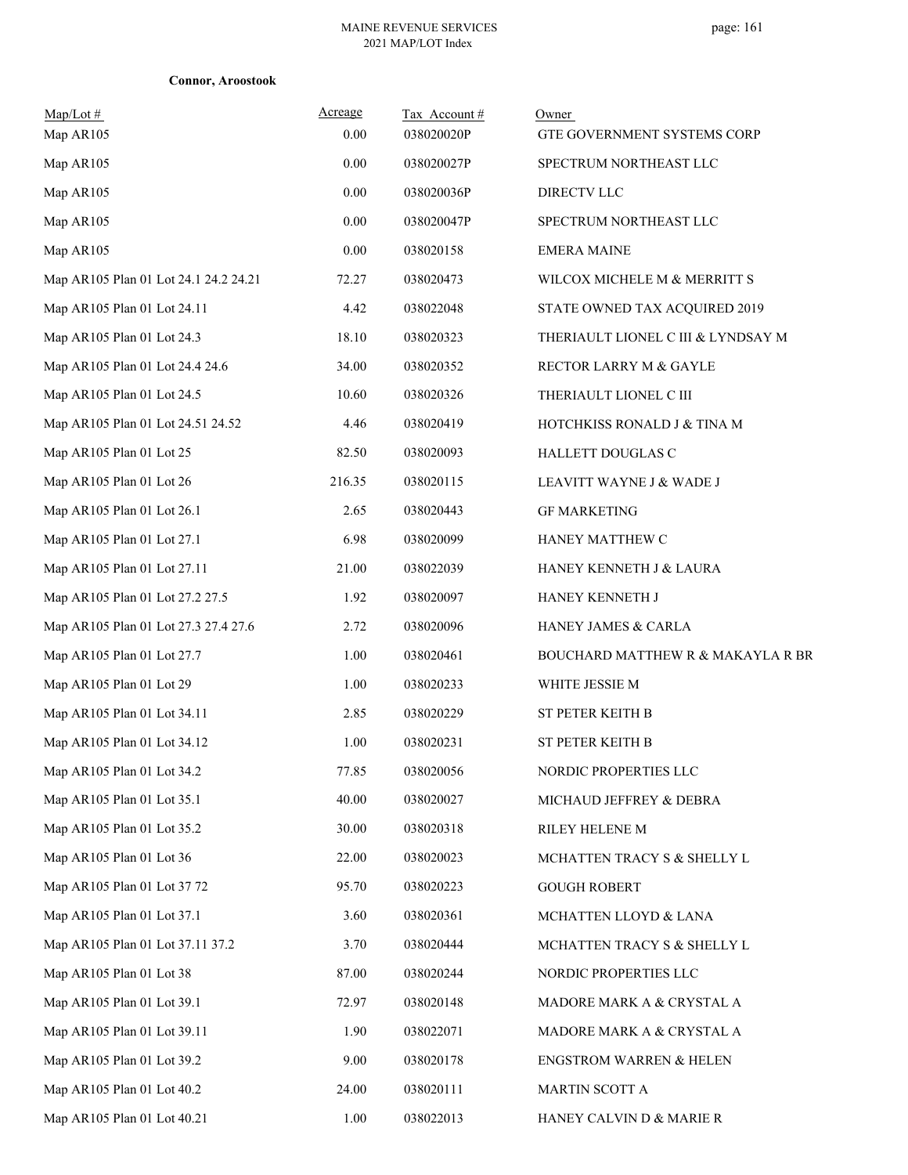|  | <b>Connor, Aroostook</b> |
|--|--------------------------|
|--|--------------------------|

| $Map/Lot \#$<br>Map AR105             | Acreage<br>0.00 | Tax Account#<br>038020020P | Owner<br>GTE GOVERNMENT SYSTEMS CORP |
|---------------------------------------|-----------------|----------------------------|--------------------------------------|
| Map AR105                             | 0.00            | 038020027P                 | SPECTRUM NORTHEAST LLC               |
| Map AR105                             | 0.00            | 038020036P                 | DIRECTV LLC                          |
| Map AR105                             | 0.00            | 038020047P                 | SPECTRUM NORTHEAST LLC               |
| Map AR105                             | 0.00            | 038020158                  | <b>EMERA MAINE</b>                   |
| Map AR105 Plan 01 Lot 24.1 24.2 24.21 | 72.27           | 038020473                  | WILCOX MICHELE M & MERRITT S         |
| Map AR105 Plan 01 Lot 24.11           | 4.42            | 038022048                  | STATE OWNED TAX ACQUIRED 2019        |
| Map AR105 Plan 01 Lot 24.3            | 18.10           | 038020323                  | THERIAULT LIONEL C III & LYNDSAY M   |
| Map AR105 Plan 01 Lot 24.4 24.6       | 34.00           | 038020352                  | RECTOR LARRY M & GAYLE               |
| Map AR105 Plan 01 Lot 24.5            | 10.60           | 038020326                  | THERIAULT LIONEL C III               |
| Map AR105 Plan 01 Lot 24.51 24.52     | 4.46            | 038020419                  | HOTCHKISS RONALD J & TINA M          |
| Map AR105 Plan 01 Lot 25              | 82.50           | 038020093                  | HALLETT DOUGLAS C                    |
| Map AR105 Plan 01 Lot 26              | 216.35          | 038020115                  | LEAVITT WAYNE J & WADE J             |
| Map AR105 Plan 01 Lot 26.1            | 2.65            | 038020443                  | <b>GF MARKETING</b>                  |
| Map AR105 Plan 01 Lot 27.1            | 6.98            | 038020099                  | HANEY MATTHEW C                      |
| Map AR105 Plan 01 Lot 27.11           | 21.00           | 038022039                  | HANEY KENNETH J & LAURA              |
| Map AR105 Plan 01 Lot 27.2 27.5       | 1.92            | 038020097                  | HANEY KENNETH J                      |
| Map AR105 Plan 01 Lot 27.3 27.4 27.6  | 2.72            | 038020096                  | HANEY JAMES & CARLA                  |
| Map AR105 Plan 01 Lot 27.7            | 1.00            | 038020461                  | BOUCHARD MATTHEW R & MAKAYLA R BR    |
| Map AR105 Plan 01 Lot 29              | 1.00            | 038020233                  | WHITE JESSIE M                       |
| Map AR105 Plan 01 Lot 34.11           | 2.85            | 038020229                  | ST PETER KEITH B                     |
| Map AR105 Plan 01 Lot 34.12           | 1.00            | 038020231                  | ST PETER KEITH B                     |
| Map AR105 Plan 01 Lot 34.2            | 77.85           | 038020056                  | NORDIC PROPERTIES LLC                |
| Map AR105 Plan 01 Lot 35.1            | 40.00           | 038020027                  | MICHAUD JEFFREY & DEBRA              |
| Map AR105 Plan 01 Lot 35.2            | 30.00           | 038020318                  | RILEY HELENE M                       |
| Map AR105 Plan 01 Lot 36              | 22.00           | 038020023                  | MCHATTEN TRACY S & SHELLY L          |
| Map AR105 Plan 01 Lot 37 72           | 95.70           | 038020223                  | <b>GOUGH ROBERT</b>                  |
| Map AR105 Plan 01 Lot 37.1            | 3.60            | 038020361                  | MCHATTEN LLOYD & LANA                |
| Map AR105 Plan 01 Lot 37.11 37.2      | 3.70            | 038020444                  | MCHATTEN TRACY S & SHELLY L          |
| Map AR105 Plan 01 Lot 38              | 87.00           | 038020244                  | NORDIC PROPERTIES LLC                |
| Map AR105 Plan 01 Lot 39.1            | 72.97           | 038020148                  | MADORE MARK A & CRYSTAL A            |
| Map AR105 Plan 01 Lot 39.11           | 1.90            | 038022071                  | MADORE MARK A & CRYSTAL A            |
| Map AR105 Plan 01 Lot 39.2            | 9.00            | 038020178                  | <b>ENGSTROM WARREN &amp; HELEN</b>   |
| Map AR105 Plan 01 Lot 40.2            | 24.00           | 038020111                  | MARTIN SCOTT A                       |
| Map AR105 Plan 01 Lot 40.21           | 1.00            | 038022013                  | HANEY CALVIN D & MARIE R             |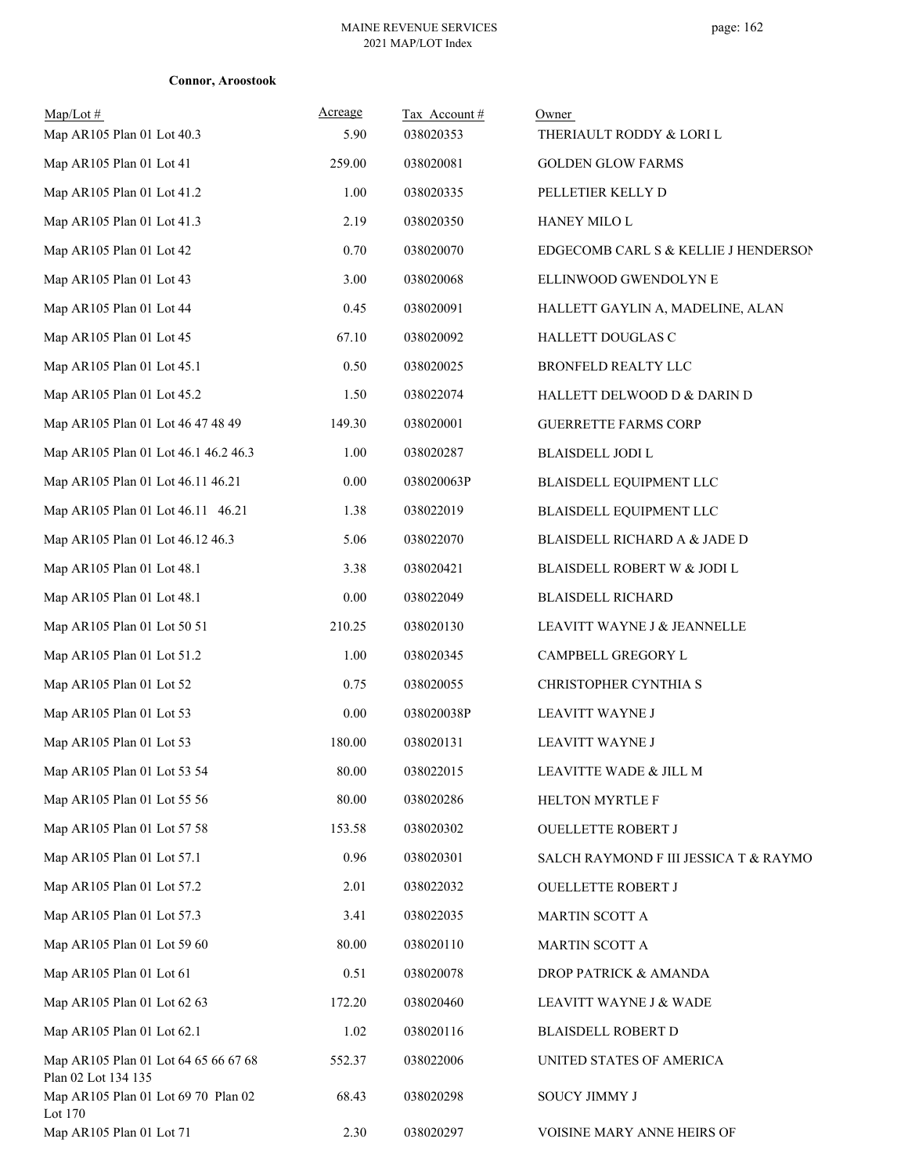| $Map/Lot \#$<br>Map AR105 Plan 01 Lot 40.3                  | Acreage<br>5.90 | Tax Account#<br>038020353 | Owner<br>THERIAULT RODDY & LORI L     |
|-------------------------------------------------------------|-----------------|---------------------------|---------------------------------------|
| Map AR105 Plan 01 Lot 41                                    | 259.00          | 038020081                 | <b>GOLDEN GLOW FARMS</b>              |
| Map AR105 Plan 01 Lot 41.2                                  | 1.00            | 038020335                 | PELLETIER KELLY D                     |
| Map AR105 Plan 01 Lot 41.3                                  | 2.19            | 038020350                 | HANEY MILO L                          |
| Map AR105 Plan 01 Lot 42                                    | 0.70            | 038020070                 | EDGECOMB CARL S & KELLIE J HENDERSON  |
| Map AR105 Plan 01 Lot 43                                    | 3.00            | 038020068                 | ELLINWOOD GWENDOLYN E                 |
| Map AR105 Plan 01 Lot 44                                    | 0.45            | 038020091                 | HALLETT GAYLIN A, MADELINE, ALAN      |
| Map AR105 Plan 01 Lot 45                                    | 67.10           | 038020092                 | HALLETT DOUGLAS C                     |
| Map AR105 Plan 01 Lot 45.1                                  | 0.50            | 038020025                 | BRONFELD REALTY LLC                   |
| Map AR105 Plan 01 Lot 45.2                                  | 1.50            | 038022074                 | HALLETT DELWOOD D & DARIN D           |
| Map AR105 Plan 01 Lot 46 47 48 49                           | 149.30          | 038020001                 | <b>GUERRETTE FARMS CORP</b>           |
| Map AR105 Plan 01 Lot 46.1 46.2 46.3                        | 1.00            | 038020287                 | BLAISDELL JODI L                      |
| Map AR105 Plan 01 Lot 46.11 46.21                           | 0.00            | 038020063P                | BLAISDELL EQUIPMENT LLC               |
| Map AR105 Plan 01 Lot 46.11 46.21                           | 1.38            | 038022019                 | BLAISDELL EQUIPMENT LLC               |
| Map AR105 Plan 01 Lot 46.12 46.3                            | 5.06            | 038022070                 | BLAISDELL RICHARD A & JADE D          |
| Map AR105 Plan 01 Lot 48.1                                  | 3.38            | 038020421                 | BLAISDELL ROBERT W & JODI L           |
| Map AR105 Plan 01 Lot 48.1                                  | 0.00            | 038022049                 | <b>BLAISDELL RICHARD</b>              |
| Map AR105 Plan 01 Lot 50 51                                 | 210.25          | 038020130                 | LEAVITT WAYNE J & JEANNELLE           |
| Map AR105 Plan 01 Lot 51.2                                  | 1.00            | 038020345                 | CAMPBELL GREGORY L                    |
| Map AR105 Plan 01 Lot 52                                    | 0.75            | 038020055                 | CHRISTOPHER CYNTHIA S                 |
| Map AR105 Plan 01 Lot 53                                    | 0.00            | 038020038P                | LEAVITT WAYNE J                       |
| Map AR105 Plan 01 Lot 53                                    | 180.00          | 038020131                 | LEAVITT WAYNE J                       |
| Map AR105 Plan 01 Lot 53 54                                 | 80.00           | 038022015                 | LEAVITTE WADE & JILL M                |
| Map AR105 Plan 01 Lot 55 56                                 | 80.00           | 038020286                 | HELTON MYRTLE F                       |
| Map AR105 Plan 01 Lot 57 58                                 | 153.58          | 038020302                 | OUELLETTE ROBERT J                    |
| Map AR105 Plan 01 Lot 57.1                                  | 0.96            | 038020301                 | SALCH RAYMOND F III JESSICA T & RAYMO |
| Map AR105 Plan 01 Lot 57.2                                  | 2.01            | 038022032                 | <b>OUELLETTE ROBERT J</b>             |
| Map AR105 Plan 01 Lot 57.3                                  | 3.41            | 038022035                 | <b>MARTIN SCOTT A</b>                 |
| Map AR105 Plan 01 Lot 59 60                                 | 80.00           | 038020110                 | <b>MARTIN SCOTT A</b>                 |
| Map AR105 Plan 01 Lot 61                                    | 0.51            | 038020078                 | DROP PATRICK & AMANDA                 |
| Map AR105 Plan 01 Lot 62 63                                 | 172.20          | 038020460                 | LEAVITT WAYNE J & WADE                |
| Map AR105 Plan 01 Lot 62.1                                  | 1.02            | 038020116                 | <b>BLAISDELL ROBERT D</b>             |
| Map AR105 Plan 01 Lot 64 65 66 67 68<br>Plan 02 Lot 134 135 | 552.37          | 038022006                 | UNITED STATES OF AMERICA              |
| Map AR105 Plan 01 Lot 69 70 Plan 02<br>Lot 170              | 68.43           | 038020298                 | SOUCY JIMMY J                         |
| Map AR105 Plan 01 Lot 71                                    | 2.30            | 038020297                 | VOISINE MARY ANNE HEIRS OF            |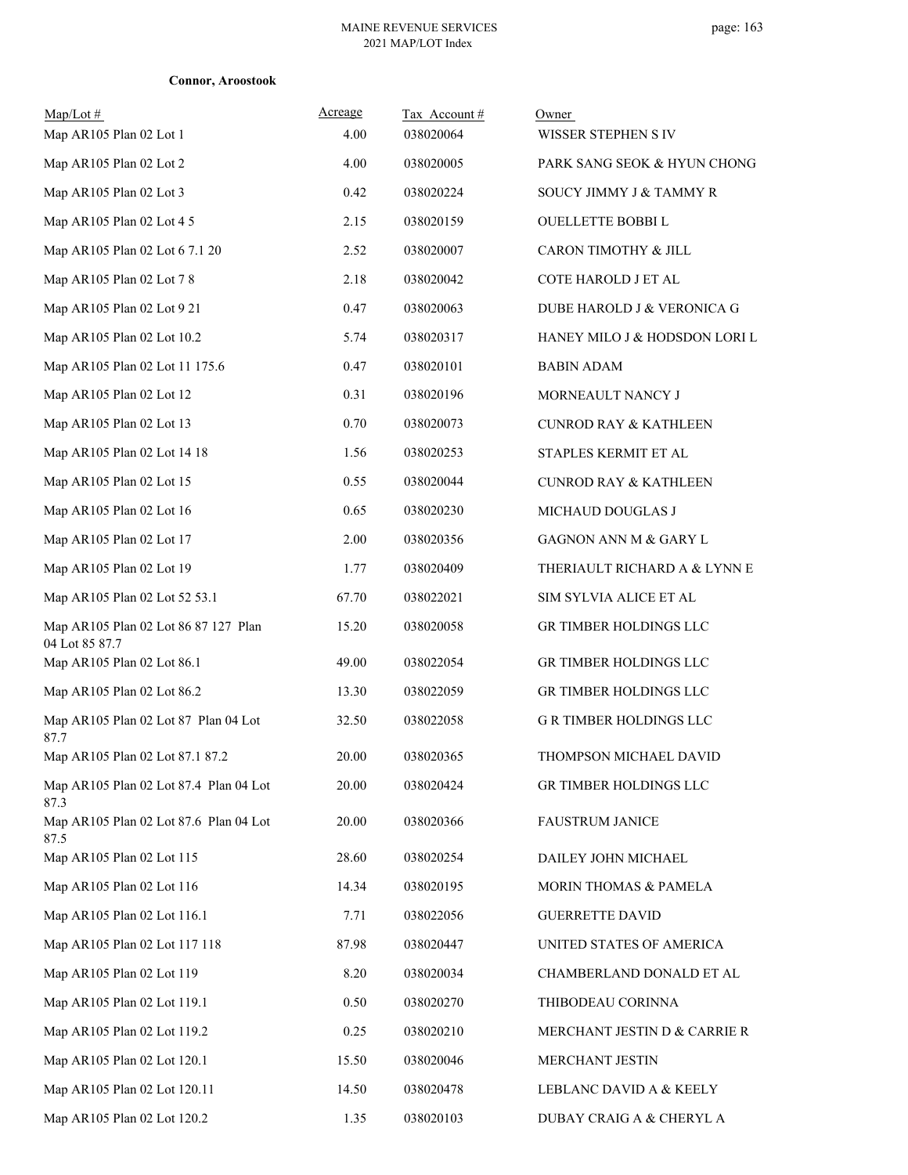| $Map/Lot \#$<br>Map AR105 Plan 02 Lot 1                | Acreage<br>4.00 | Tax Account#<br>038020064 | Owner<br>WISSER STEPHEN S IV     |
|--------------------------------------------------------|-----------------|---------------------------|----------------------------------|
| Map AR105 Plan 02 Lot 2                                | 4.00            | 038020005                 | PARK SANG SEOK & HYUN CHONG      |
| Map AR105 Plan 02 Lot 3                                | 0.42            | 038020224                 | SOUCY JIMMY J & TAMMY R          |
| Map AR105 Plan 02 Lot 4 5                              | 2.15            | 038020159                 | <b>OUELLETTE BOBBIL</b>          |
| Map AR105 Plan 02 Lot 6 7.1 20                         | 2.52            | 038020007                 | CARON TIMOTHY & JILL             |
| Map AR105 Plan 02 Lot 7 8                              | 2.18            | 038020042                 | COTE HAROLD J ET AL              |
| Map AR105 Plan 02 Lot 9 21                             | 0.47            | 038020063                 | DUBE HAROLD J & VERONICA G       |
| Map AR105 Plan 02 Lot 10.2                             | 5.74            | 038020317                 | HANEY MILO J & HODSDON LORI L    |
| Map AR105 Plan 02 Lot 11 175.6                         | 0.47            | 038020101                 | <b>BABIN ADAM</b>                |
| Map AR105 Plan 02 Lot 12                               | 0.31            | 038020196                 | MORNEAULT NANCY J                |
| Map AR105 Plan 02 Lot 13                               | 0.70            | 038020073                 | <b>CUNROD RAY &amp; KATHLEEN</b> |
| Map AR105 Plan 02 Lot 14 18                            | 1.56            | 038020253                 | STAPLES KERMIT ET AL             |
| Map AR105 Plan 02 Lot 15                               | 0.55            | 038020044                 | <b>CUNROD RAY &amp; KATHLEEN</b> |
| Map AR105 Plan 02 Lot 16                               | 0.65            | 038020230                 | MICHAUD DOUGLAS J                |
| Map AR105 Plan 02 Lot 17                               | 2.00            | 038020356                 | GAGNON ANN M & GARY L            |
| Map AR105 Plan 02 Lot 19                               | 1.77            | 038020409                 | THERIAULT RICHARD A & LYNN E     |
| Map AR105 Plan 02 Lot 52 53.1                          | 67.70           | 038022021                 | SIM SYLVIA ALICE ET AL           |
| Map AR105 Plan 02 Lot 86 87 127 Plan<br>04 Lot 85 87.7 | 15.20           | 038020058                 | GR TIMBER HOLDINGS LLC           |
| Map AR105 Plan 02 Lot 86.1                             | 49.00           | 038022054                 | GR TIMBER HOLDINGS LLC           |
| Map AR105 Plan 02 Lot 86.2                             | 13.30           | 038022059                 | GR TIMBER HOLDINGS LLC           |
| Map AR105 Plan 02 Lot 87 Plan 04 Lot<br>87.7           | 32.50           | 038022058                 | <b>G R TIMBER HOLDINGS LLC</b>   |
| Map AR105 Plan 02 Lot 87.1 87.2                        | 20.00           | 038020365                 | THOMPSON MICHAEL DAVID           |
| Map AR105 Plan 02 Lot 87.4 Plan 04 Lot<br>87.3         | 20.00           | 038020424                 | GR TIMBER HOLDINGS LLC           |
| Map AR105 Plan 02 Lot 87.6 Plan 04 Lot<br>87.5         | 20.00           | 038020366                 | <b>FAUSTRUM JANICE</b>           |
| Map AR105 Plan 02 Lot 115                              | 28.60           | 038020254                 | DAILEY JOHN MICHAEL              |
| Map AR105 Plan 02 Lot 116                              | 14.34           | 038020195                 | MORIN THOMAS & PAMELA            |
| Map AR105 Plan 02 Lot 116.1                            | 7.71            | 038022056                 | <b>GUERRETTE DAVID</b>           |
| Map AR105 Plan 02 Lot 117 118                          | 87.98           | 038020447                 | UNITED STATES OF AMERICA         |
| Map AR105 Plan 02 Lot 119                              | 8.20            | 038020034                 | CHAMBERLAND DONALD ET AL         |
| Map AR105 Plan 02 Lot 119.1                            | 0.50            | 038020270                 | THIBODEAU CORINNA                |
| Map AR105 Plan 02 Lot 119.2                            | 0.25            | 038020210                 | MERCHANT JESTIN D & CARRIE R     |
| Map AR105 Plan 02 Lot 120.1                            | 15.50           | 038020046                 | MERCHANT JESTIN                  |
| Map AR105 Plan 02 Lot 120.11                           | 14.50           | 038020478                 | LEBLANC DAVID A & KEELY          |
| Map AR105 Plan 02 Lot 120.2                            | 1.35            | 038020103                 | DUBAY CRAIG A & CHERYL A         |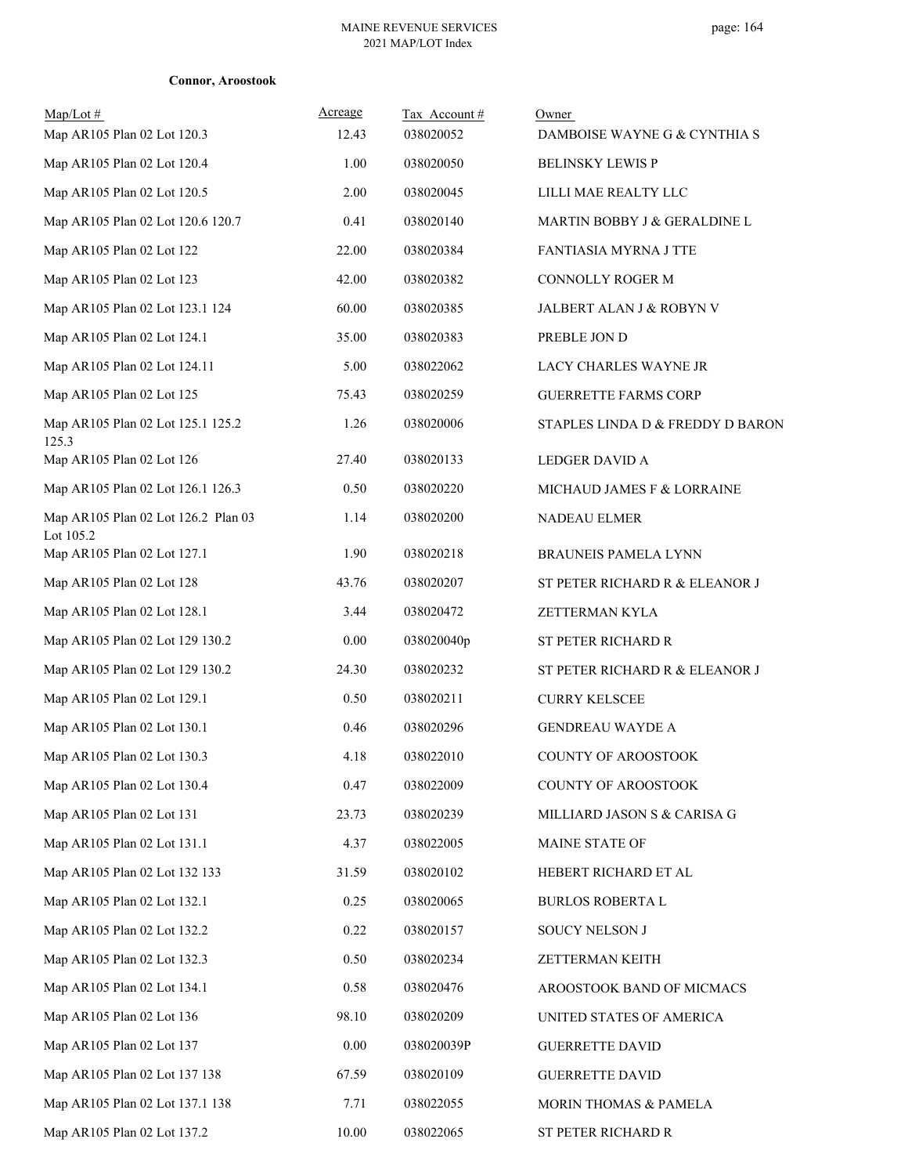| $Map/Lot \#$<br>Map AR105 Plan 02 Lot 120.3      | Acreage<br>12.43 | Tax Account#<br>038020052 | Owner<br>DAMBOISE WAYNE G & CYNTHIA S |
|--------------------------------------------------|------------------|---------------------------|---------------------------------------|
| Map AR105 Plan 02 Lot 120.4                      | 1.00             | 038020050                 | <b>BELINSKY LEWIS P</b>               |
| Map AR105 Plan 02 Lot 120.5                      | 2.00             | 038020045                 | LILLI MAE REALTY LLC                  |
| Map AR105 Plan 02 Lot 120.6 120.7                | 0.41             | 038020140                 | MARTIN BOBBY J & GERALDINE L          |
| Map AR105 Plan 02 Lot 122                        | 22.00            | 038020384                 | <b>FANTIASIA MYRNA J TTE</b>          |
| Map AR105 Plan 02 Lot 123                        | 42.00            | 038020382                 | CONNOLLY ROGER M                      |
| Map AR105 Plan 02 Lot 123.1 124                  | 60.00            | 038020385                 | JALBERT ALAN J & ROBYN V              |
| Map AR105 Plan 02 Lot 124.1                      | 35.00            | 038020383                 | PREBLE JON D                          |
| Map AR105 Plan 02 Lot 124.11                     | 5.00             | 038022062                 | LACY CHARLES WAYNE JR                 |
| Map AR105 Plan 02 Lot 125                        | 75.43            | 038020259                 | <b>GUERRETTE FARMS CORP</b>           |
| Map AR105 Plan 02 Lot 125.1 125.2                | 1.26             | 038020006                 | STAPLES LINDA D & FREDDY D BARON      |
| 125.3<br>Map AR105 Plan 02 Lot 126               | 27.40            | 038020133                 | LEDGER DAVID A                        |
|                                                  |                  |                           |                                       |
| Map AR105 Plan 02 Lot 126.1 126.3                | 0.50             | 038020220                 | MICHAUD JAMES F & LORRAINE            |
| Map AR105 Plan 02 Lot 126.2 Plan 03<br>Lot 105.2 | 1.14             | 038020200                 | NADEAU ELMER                          |
| Map AR105 Plan 02 Lot 127.1                      | 1.90             | 038020218                 | <b>BRAUNEIS PAMELA LYNN</b>           |
| Map AR105 Plan 02 Lot 128                        | 43.76            | 038020207                 | ST PETER RICHARD R & ELEANOR J        |
| Map AR105 Plan 02 Lot 128.1                      | 3.44             | 038020472                 | ZETTERMAN KYLA                        |
| Map AR105 Plan 02 Lot 129 130.2                  | 0.00             | 038020040p                | ST PETER RICHARD R                    |
| Map AR105 Plan 02 Lot 129 130.2                  | 24.30            | 038020232                 | ST PETER RICHARD R & ELEANOR J        |
| Map AR105 Plan 02 Lot 129.1                      | 0.50             | 038020211                 | <b>CURRY KELSCEE</b>                  |
| Map AR105 Plan 02 Lot 130.1                      | 0.46             | 038020296                 | <b>GENDREAU WAYDE A</b>               |
| Map AR105 Plan 02 Lot 130.3                      | 4.18             | 038022010                 | <b>COUNTY OF AROOSTOOK</b>            |
| Map AR105 Plan 02 Lot 130.4                      | 0.47             | 038022009                 | <b>COUNTY OF AROOSTOOK</b>            |
| Map AR105 Plan 02 Lot 131                        | 23.73            | 038020239                 | MILLIARD JASON S & CARISA G           |
| Map AR105 Plan 02 Lot 131.1                      | 4.37             | 038022005                 | MAINE STATE OF                        |
| Map AR105 Plan 02 Lot 132 133                    | 31.59            | 038020102                 | HEBERT RICHARD ET AL                  |
| Map AR105 Plan 02 Lot 132.1                      | 0.25             | 038020065                 | <b>BURLOS ROBERTA L</b>               |
| Map AR105 Plan 02 Lot 132.2                      | 0.22             | 038020157                 | SOUCY NELSON J                        |
| Map AR105 Plan 02 Lot 132.3                      | 0.50             | 038020234                 | ZETTERMAN KEITH                       |
| Map AR105 Plan 02 Lot 134.1                      | 0.58             | 038020476                 | AROOSTOOK BAND OF MICMACS             |
| Map AR105 Plan 02 Lot 136                        | 98.10            | 038020209                 | UNITED STATES OF AMERICA              |
| Map AR105 Plan 02 Lot 137                        | 0.00             | 038020039P                | <b>GUERRETTE DAVID</b>                |
| Map AR105 Plan 02 Lot 137 138                    | 67.59            | 038020109                 | <b>GUERRETTE DAVID</b>                |
| Map AR105 Plan 02 Lot 137.1 138                  | 7.71             | 038022055                 | MORIN THOMAS & PAMELA                 |
| Map AR105 Plan 02 Lot 137.2                      | $10.00\,$        | 038022065                 | ST PETER RICHARD R                    |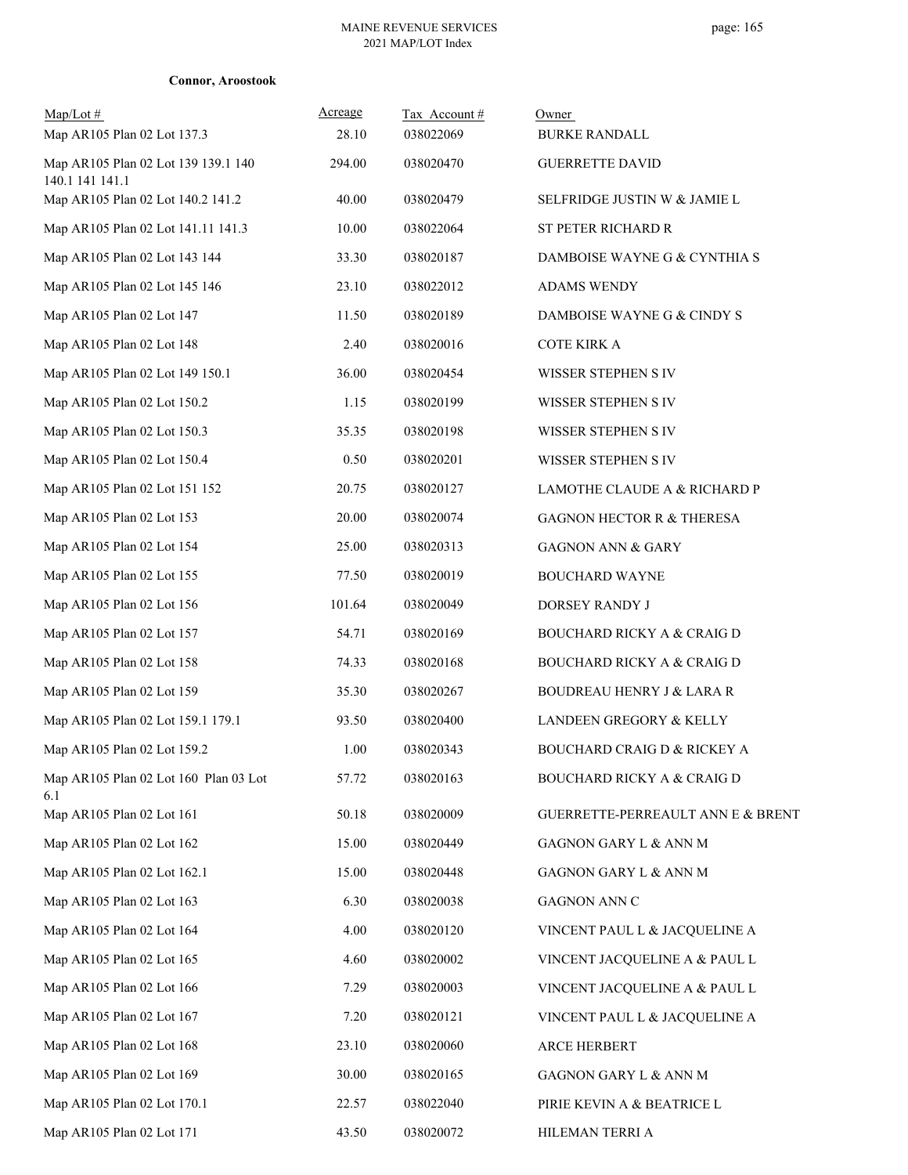|  | <b>Connor, Aroostook</b> |
|--|--------------------------|
|  |                          |

| $Map/Lot \#$<br>Map AR105 Plan 02 Lot 137.3            | Acreage<br>28.10 | Tax Account#<br>038022069 | Owner<br><b>BURKE RANDALL</b>          |
|--------------------------------------------------------|------------------|---------------------------|----------------------------------------|
| Map AR105 Plan 02 Lot 139 139.1 140<br>140.1 141 141.1 | 294.00           | 038020470                 | <b>GUERRETTE DAVID</b>                 |
| Map AR105 Plan 02 Lot 140.2 141.2                      | 40.00            | 038020479                 | SELFRIDGE JUSTIN W & JAMIE L           |
| Map AR105 Plan 02 Lot 141.11 141.3                     | 10.00            | 038022064                 | ST PETER RICHARD R                     |
| Map AR105 Plan 02 Lot 143 144                          | 33.30            | 038020187                 | DAMBOISE WAYNE G & CYNTHIA S           |
| Map AR105 Plan 02 Lot 145 146                          | 23.10            | 038022012                 | <b>ADAMS WENDY</b>                     |
| Map AR105 Plan 02 Lot 147                              | 11.50            | 038020189                 | DAMBOISE WAYNE G & CINDY S             |
| Map AR105 Plan 02 Lot 148                              | 2.40             | 038020016                 | <b>COTE KIRK A</b>                     |
| Map AR105 Plan 02 Lot 149 150.1                        | 36.00            | 038020454                 | WISSER STEPHEN S IV                    |
| Map AR105 Plan 02 Lot 150.2                            | 1.15             | 038020199                 | WISSER STEPHEN S IV                    |
| Map AR105 Plan 02 Lot 150.3                            | 35.35            | 038020198                 | WISSER STEPHEN S IV                    |
| Map AR105 Plan 02 Lot 150.4                            | 0.50             | 038020201                 | WISSER STEPHEN S IV                    |
| Map AR105 Plan 02 Lot 151 152                          | 20.75            | 038020127                 | LAMOTHE CLAUDE A & RICHARD P           |
| Map AR105 Plan 02 Lot 153                              | 20.00            | 038020074                 | <b>GAGNON HECTOR R &amp; THERESA</b>   |
| Map AR105 Plan 02 Lot 154                              | 25.00            | 038020313                 | <b>GAGNON ANN &amp; GARY</b>           |
| Map AR105 Plan 02 Lot 155                              | 77.50            | 038020019                 | <b>BOUCHARD WAYNE</b>                  |
| Map AR105 Plan 02 Lot 156                              | 101.64           | 038020049                 | DORSEY RANDY J                         |
| Map AR105 Plan 02 Lot 157                              | 54.71            | 038020169                 | <b>BOUCHARD RICKY A &amp; CRAIG D</b>  |
| Map AR105 Plan 02 Lot 158                              | 74.33            | 038020168                 | BOUCHARD RICKY A & CRAIG D             |
| Map AR105 Plan 02 Lot 159                              | 35.30            | 038020267                 | <b>BOUDREAU HENRY J &amp; LARA R</b>   |
| Map AR105 Plan 02 Lot 159.1 179.1                      | 93.50            | 038020400                 | LANDEEN GREGORY & KELLY                |
| Map AR105 Plan 02 Lot 159.2                            | 1.00             | 038020343                 | <b>BOUCHARD CRAIG D &amp; RICKEY A</b> |
| Map AR105 Plan 02 Lot 160 Plan 03 Lot<br>6.1           | 57.72            | 038020163                 | <b>BOUCHARD RICKY A &amp; CRAIG D</b>  |
| Map AR105 Plan 02 Lot 161                              | 50.18            | 038020009                 | GUERRETTE-PERREAULT ANN E & BRENT      |
| Map AR105 Plan 02 Lot 162                              | 15.00            | 038020449                 | GAGNON GARY L & ANN M                  |
| Map AR105 Plan 02 Lot 162.1                            | 15.00            | 038020448                 | GAGNON GARY L & ANN M                  |
| Map AR105 Plan 02 Lot 163                              | 6.30             | 038020038                 | GAGNON ANN C                           |
| Map AR105 Plan 02 Lot 164                              | 4.00             | 038020120                 | VINCENT PAUL L & JACQUELINE A          |
| Map AR105 Plan 02 Lot 165                              | 4.60             | 038020002                 | VINCENT JACQUELINE A & PAUL L          |
| Map AR105 Plan 02 Lot 166                              | 7.29             | 038020003                 | VINCENT JACQUELINE A & PAUL L          |
| Map AR105 Plan 02 Lot 167                              | 7.20             | 038020121                 | VINCENT PAUL L & JACQUELINE A          |
| Map AR105 Plan 02 Lot 168                              | 23.10            | 038020060                 | ARCE HERBERT                           |
| Map AR105 Plan 02 Lot 169                              | 30.00            | 038020165                 | GAGNON GARY L & ANN M                  |
| Map AR105 Plan 02 Lot 170.1                            | 22.57            | 038022040                 | PIRIE KEVIN A & BEATRICE L             |
| Map AR105 Plan 02 Lot 171                              | 43.50            | 038020072                 | HILEMAN TERRI A                        |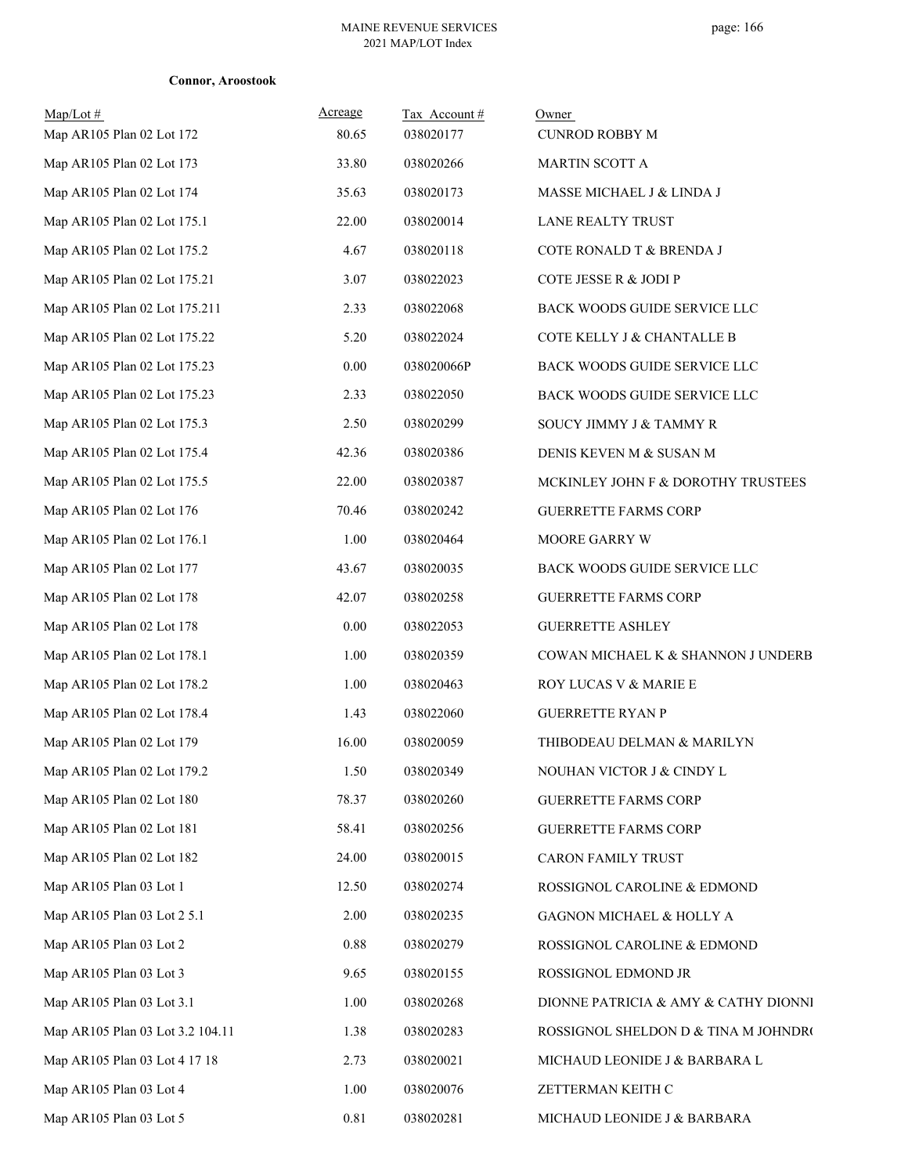| Map/Lot #<br>Map AR105 Plan 02 Lot 172 | Acreage<br>80.65 | Tax Account#<br>038020177 | Owner<br><b>CUNROD ROBBY M</b>       |
|----------------------------------------|------------------|---------------------------|--------------------------------------|
| Map AR105 Plan 02 Lot 173              | 33.80            | 038020266                 | MARTIN SCOTT A                       |
| Map AR105 Plan 02 Lot 174              | 35.63            | 038020173                 | MASSE MICHAEL J & LINDA J            |
| Map AR105 Plan 02 Lot 175.1            | 22.00            | 038020014                 | LANE REALTY TRUST                    |
| Map AR105 Plan 02 Lot 175.2            | 4.67             | 038020118                 | COTE RONALD T & BRENDA J             |
| Map AR105 Plan 02 Lot 175.21           | 3.07             | 038022023                 | COTE JESSE R & JODI P                |
| Map AR105 Plan 02 Lot 175.211          | 2.33             | 038022068                 | BACK WOODS GUIDE SERVICE LLC         |
| Map AR105 Plan 02 Lot 175.22           | 5.20             | 038022024                 | COTE KELLY J & CHANTALLE B           |
| Map AR105 Plan 02 Lot 175.23           | $0.00\,$         | 038020066P                | BACK WOODS GUIDE SERVICE LLC         |
| Map AR105 Plan 02 Lot 175.23           | 2.33             | 038022050                 | BACK WOODS GUIDE SERVICE LLC         |
| Map AR105 Plan 02 Lot 175.3            | 2.50             | 038020299                 | SOUCY JIMMY J & TAMMY R              |
| Map AR105 Plan 02 Lot 175.4            | 42.36            | 038020386                 | DENIS KEVEN M & SUSAN M              |
| Map AR105 Plan 02 Lot 175.5            | 22.00            | 038020387                 | MCKINLEY JOHN F & DOROTHY TRUSTEES   |
| Map AR105 Plan 02 Lot 176              | 70.46            | 038020242                 | <b>GUERRETTE FARMS CORP</b>          |
| Map AR105 Plan 02 Lot 176.1            | 1.00             | 038020464                 | MOORE GARRY W                        |
| Map AR105 Plan 02 Lot 177              | 43.67            | 038020035                 | BACK WOODS GUIDE SERVICE LLC         |
| Map AR105 Plan 02 Lot 178              | 42.07            | 038020258                 | <b>GUERRETTE FARMS CORP</b>          |
| Map AR105 Plan 02 Lot 178              | 0.00             | 038022053                 | <b>GUERRETTE ASHLEY</b>              |
| Map AR105 Plan 02 Lot 178.1            | 1.00             | 038020359                 | COWAN MICHAEL K & SHANNON J UNDERB   |
| Map AR105 Plan 02 Lot 178.2            | 1.00             | 038020463                 | ROY LUCAS V & MARIE E                |
| Map AR105 Plan 02 Lot 178.4            | 1.43             | 038022060                 | <b>GUERRETTE RYAN P</b>              |
| Map AR105 Plan 02 Lot 179              | 16.00            | 038020059                 | THIBODEAU DELMAN & MARILYN           |
| Map AR105 Plan 02 Lot 179.2            | 1.50             | 038020349                 | NOUHAN VICTOR J & CINDY L            |
| Map AR105 Plan 02 Lot 180              | 78.37            | 038020260                 | <b>GUERRETTE FARMS CORP</b>          |
| Map AR105 Plan 02 Lot 181              | 58.41            | 038020256                 | <b>GUERRETTE FARMS CORP</b>          |
| Map AR105 Plan 02 Lot 182              | 24.00            | 038020015                 | CARON FAMILY TRUST                   |
| Map AR105 Plan 03 Lot 1                | 12.50            | 038020274                 | ROSSIGNOL CAROLINE & EDMOND          |
| Map AR105 Plan 03 Lot 2 5.1            | 2.00             | 038020235                 | GAGNON MICHAEL & HOLLY A             |
| Map AR105 Plan 03 Lot 2                | 0.88             | 038020279                 | ROSSIGNOL CAROLINE & EDMOND          |
| Map AR105 Plan 03 Lot 3                | 9.65             | 038020155                 | ROSSIGNOL EDMOND JR                  |
| Map AR105 Plan 03 Lot 3.1              | 1.00             | 038020268                 | DIONNE PATRICIA & AMY & CATHY DIONNI |
| Map AR105 Plan 03 Lot 3.2 104.11       | 1.38             | 038020283                 | ROSSIGNOL SHELDON D & TINA M JOHNDRO |
| Map AR105 Plan 03 Lot 4 17 18          | 2.73             | 038020021                 | MICHAUD LEONIDE J & BARBARA L        |
| Map AR105 Plan 03 Lot 4                | 1.00             | 038020076                 | ZETTERMAN KEITH C                    |
| Map AR105 Plan 03 Lot 5                | $0.81\,$         | 038020281                 | MICHAUD LEONIDE J & BARBARA          |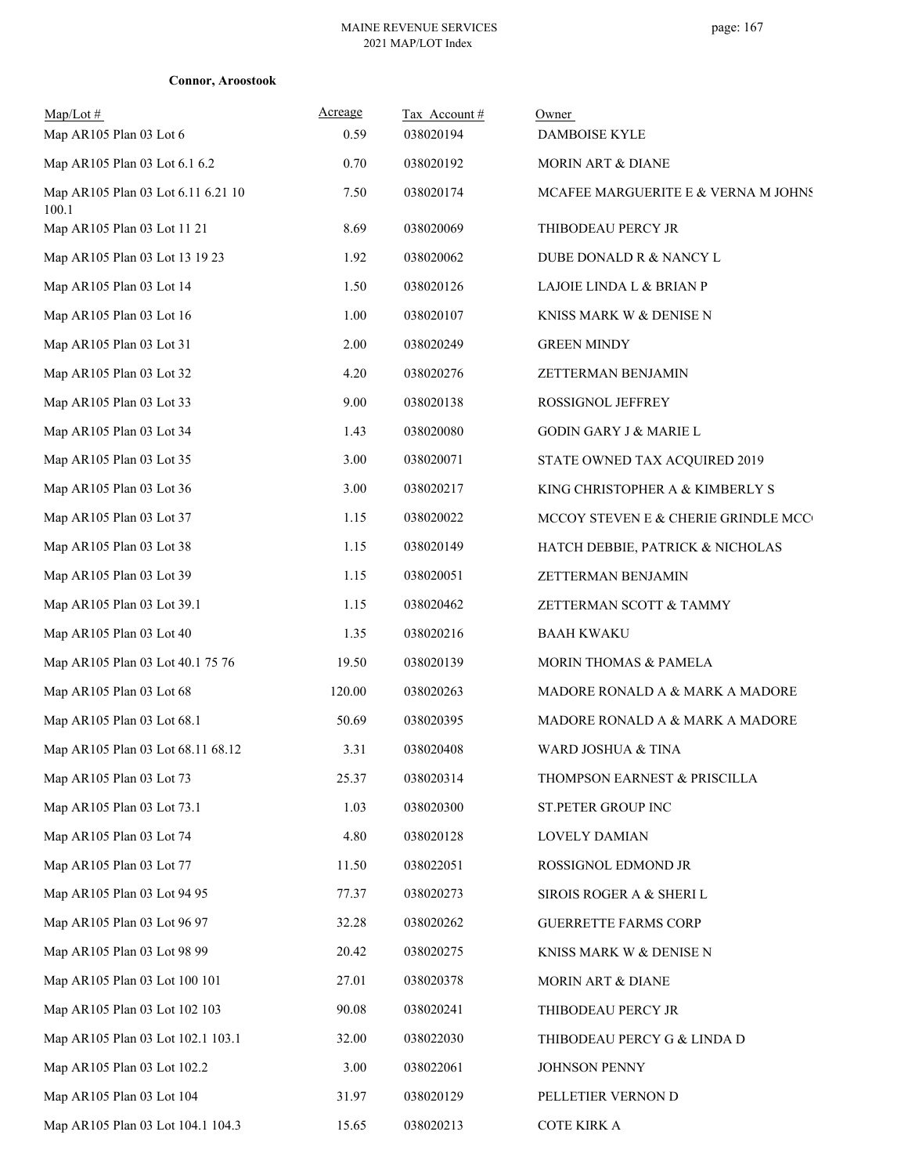| $Map/Lot \#$<br>Map AR105 Plan 03 Lot 6     | Acreage<br>0.59 | Tax Account#<br>038020194 | Owner<br>DAMBOISE KYLE              |
|---------------------------------------------|-----------------|---------------------------|-------------------------------------|
| Map AR105 Plan 03 Lot 6.1 6.2               | 0.70            | 038020192                 | <b>MORIN ART &amp; DIANE</b>        |
| Map AR105 Plan 03 Lot 6.11 6.21 10<br>100.1 | 7.50            | 038020174                 | MCAFEE MARGUERITE E & VERNA M JOHNS |
| Map AR105 Plan 03 Lot 11 21                 | 8.69            | 038020069                 | THIBODEAU PERCY JR                  |
| Map AR105 Plan 03 Lot 13 19 23              | 1.92            | 038020062                 | DUBE DONALD R & NANCY L             |
| Map AR105 Plan 03 Lot 14                    | 1.50            | 038020126                 | LAJOIE LINDA L & BRIAN P            |
| Map AR105 Plan 03 Lot 16                    | 1.00            | 038020107                 | KNISS MARK W & DENISE N             |
| Map AR105 Plan 03 Lot 31                    | 2.00            | 038020249                 | <b>GREEN MINDY</b>                  |
| Map AR105 Plan 03 Lot 32                    | 4.20            | 038020276                 | ZETTERMAN BENJAMIN                  |
| Map AR105 Plan 03 Lot 33                    | 9.00            | 038020138                 | ROSSIGNOL JEFFREY                   |
| Map AR105 Plan 03 Lot 34                    | 1.43            | 038020080                 | <b>GODIN GARY J &amp; MARIE L</b>   |
| Map AR105 Plan 03 Lot 35                    | 3.00            | 038020071                 | STATE OWNED TAX ACQUIRED 2019       |
| Map AR105 Plan 03 Lot 36                    | 3.00            | 038020217                 | KING CHRISTOPHER A & KIMBERLY S     |
| Map AR105 Plan 03 Lot 37                    | 1.15            | 038020022                 | MCCOY STEVEN E & CHERIE GRINDLE MCC |
| Map AR105 Plan 03 Lot 38                    | 1.15            | 038020149                 | HATCH DEBBIE, PATRICK & NICHOLAS    |
| Map AR105 Plan 03 Lot 39                    | 1.15            | 038020051                 | ZETTERMAN BENJAMIN                  |
| Map AR105 Plan 03 Lot 39.1                  | 1.15            | 038020462                 | ZETTERMAN SCOTT & TAMMY             |
| Map AR105 Plan 03 Lot 40                    | 1.35            | 038020216                 | <b>BAAH KWAKU</b>                   |
| Map AR105 Plan 03 Lot 40.1 75 76            | 19.50           | 038020139                 | <b>MORIN THOMAS &amp; PAMELA</b>    |
| Map AR105 Plan 03 Lot 68                    | 120.00          | 038020263                 | MADORE RONALD A & MARK A MADORE     |
| Map AR105 Plan 03 Lot 68.1                  | 50.69           | 038020395                 | MADORE RONALD A & MARK A MADORE     |
| Map AR105 Plan 03 Lot 68.11 68.12           | 3.31            | 038020408                 | WARD JOSHUA & TINA                  |
| Map AR105 Plan 03 Lot 73                    | 25.37           | 038020314                 | THOMPSON EARNEST & PRISCILLA        |
| Map AR105 Plan 03 Lot 73.1                  | 1.03            | 038020300                 | ST.PETER GROUP INC                  |
| Map AR105 Plan 03 Lot 74                    | 4.80            | 038020128                 | LOVELY DAMIAN                       |
| Map AR105 Plan 03 Lot 77                    | 11.50           | 038022051                 | ROSSIGNOL EDMOND JR                 |
| Map AR105 Plan 03 Lot 94 95                 | 77.37           | 038020273                 | SIROIS ROGER A & SHERI L            |
| Map AR105 Plan 03 Lot 96 97                 | 32.28           | 038020262                 | <b>GUERRETTE FARMS CORP</b>         |
| Map AR105 Plan 03 Lot 98 99                 | 20.42           | 038020275                 | KNISS MARK W & DENISE N             |
| Map AR105 Plan 03 Lot 100 101               | 27.01           | 038020378                 | MORIN ART & DIANE                   |
| Map AR105 Plan 03 Lot 102 103               | 90.08           | 038020241                 | THIBODEAU PERCY JR                  |
| Map AR105 Plan 03 Lot 102.1 103.1           | 32.00           | 038022030                 | THIBODEAU PERCY G & LINDA D         |
| Map AR105 Plan 03 Lot 102.2                 | 3.00            | 038022061                 | JOHNSON PENNY                       |
| Map AR105 Plan 03 Lot 104                   | 31.97           | 038020129                 | PELLETIER VERNON D                  |
| Map AR105 Plan 03 Lot 104.1 104.3           | 15.65           | 038020213                 | <b>COTE KIRK A</b>                  |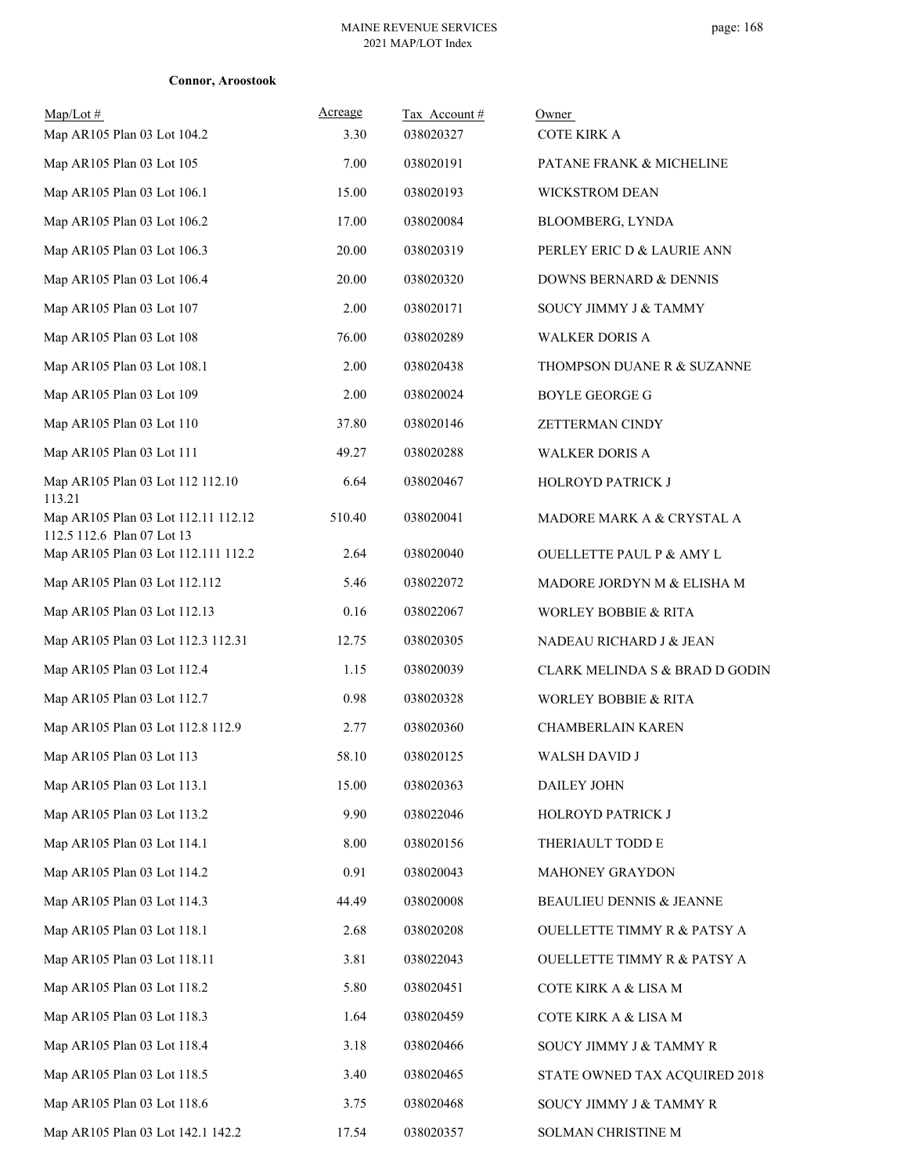| $Map/Lot \#$<br>Map AR105 Plan 03 Lot 104.2                       | Acreage<br>3.30 | Tax Account#<br>038020327 | Owner<br><b>COTE KIRK A</b>               |
|-------------------------------------------------------------------|-----------------|---------------------------|-------------------------------------------|
| Map AR105 Plan 03 Lot 105                                         | 7.00            | 038020191                 | PATANE FRANK & MICHELINE                  |
| Map AR105 Plan 03 Lot 106.1                                       | 15.00           | 038020193                 | <b>WICKSTROM DEAN</b>                     |
| Map AR105 Plan 03 Lot 106.2                                       | 17.00           | 038020084                 | BLOOMBERG, LYNDA                          |
| Map AR105 Plan 03 Lot 106.3                                       | 20.00           | 038020319                 | PERLEY ERIC D & LAURIE ANN                |
| Map AR105 Plan 03 Lot 106.4                                       | 20.00           | 038020320                 | DOWNS BERNARD & DENNIS                    |
| Map AR105 Plan 03 Lot 107                                         | 2.00            | 038020171                 | SOUCY JIMMY J & TAMMY                     |
| Map AR105 Plan 03 Lot 108                                         | 76.00           | 038020289                 | <b>WALKER DORIS A</b>                     |
| Map AR105 Plan 03 Lot 108.1                                       | 2.00            | 038020438                 | THOMPSON DUANE R & SUZANNE                |
| Map AR105 Plan 03 Lot 109                                         | 2.00            | 038020024                 | <b>BOYLE GEORGE G</b>                     |
| Map AR105 Plan 03 Lot 110                                         | 37.80           | 038020146                 | ZETTERMAN CINDY                           |
| Map AR105 Plan 03 Lot 111                                         | 49.27           | 038020288                 | <b>WALKER DORIS A</b>                     |
| Map AR105 Plan 03 Lot 112 112.10<br>113.21                        | 6.64            | 038020467                 | HOLROYD PATRICK J                         |
| Map AR105 Plan 03 Lot 112.11 112.12<br>112.5 112.6 Plan 07 Lot 13 | 510.40          | 038020041                 | MADORE MARK A & CRYSTAL A                 |
| Map AR105 Plan 03 Lot 112.111 112.2                               | 2.64            | 038020040                 | <b>OUELLETTE PAUL P &amp; AMY L</b>       |
| Map AR105 Plan 03 Lot 112.112                                     | 5.46            | 038022072                 | MADORE JORDYN M & ELISHA M                |
| Map AR105 Plan 03 Lot 112.13                                      | 0.16            | 038022067                 | WORLEY BOBBIE & RITA                      |
| Map AR105 Plan 03 Lot 112.3 112.31                                | 12.75           | 038020305                 | NADEAU RICHARD J & JEAN                   |
| Map AR105 Plan 03 Lot 112.4                                       | 1.15            | 038020039                 | <b>CLARK MELINDA S &amp; BRAD D GODIN</b> |
| Map AR105 Plan 03 Lot 112.7                                       | 0.98            | 038020328                 | <b>WORLEY BOBBIE &amp; RITA</b>           |
| Map AR105 Plan 03 Lot 112.8 112.9                                 | 2.77            | 038020360                 | CHAMBERLAIN KAREN                         |
| Map AR105 Plan 03 Lot 113                                         | 58.10           | 038020125                 | WALSH DAVID J                             |
| Map AR105 Plan 03 Lot 113.1                                       | 15.00           | 038020363                 | DAILEY JOHN                               |
| Map AR105 Plan 03 Lot 113.2                                       | 9.90            | 038022046                 | HOLROYD PATRICK J                         |
| Map AR105 Plan 03 Lot 114.1                                       | 8.00            | 038020156                 | THERIAULT TODD E                          |
| Map AR105 Plan 03 Lot 114.2                                       | 0.91            | 038020043                 | <b>MAHONEY GRAYDON</b>                    |
| Map AR105 Plan 03 Lot 114.3                                       | 44.49           | 038020008                 | BEAULIEU DENNIS & JEANNE                  |
| Map AR105 Plan 03 Lot 118.1                                       | 2.68            | 038020208                 | <b>OUELLETTE TIMMY R &amp; PATSY A</b>    |
| Map AR105 Plan 03 Lot 118.11                                      | 3.81            | 038022043                 | <b>OUELLETTE TIMMY R &amp; PATSY A</b>    |
| Map AR105 Plan 03 Lot 118.2                                       | 5.80            | 038020451                 | COTE KIRK A & LISA M                      |
| Map AR105 Plan 03 Lot 118.3                                       | 1.64            | 038020459                 | COTE KIRK A & LISA M                      |
| Map AR105 Plan 03 Lot 118.4                                       | 3.18            | 038020466                 | SOUCY JIMMY J & TAMMY R                   |
| Map AR105 Plan 03 Lot 118.5                                       | 3.40            | 038020465                 | STATE OWNED TAX ACQUIRED 2018             |
| Map AR105 Plan 03 Lot 118.6                                       | 3.75            | 038020468                 | SOUCY JIMMY J & TAMMY R                   |
| Map AR105 Plan 03 Lot 142.1 142.2                                 | 17.54           | 038020357                 | SOLMAN CHRISTINE M                        |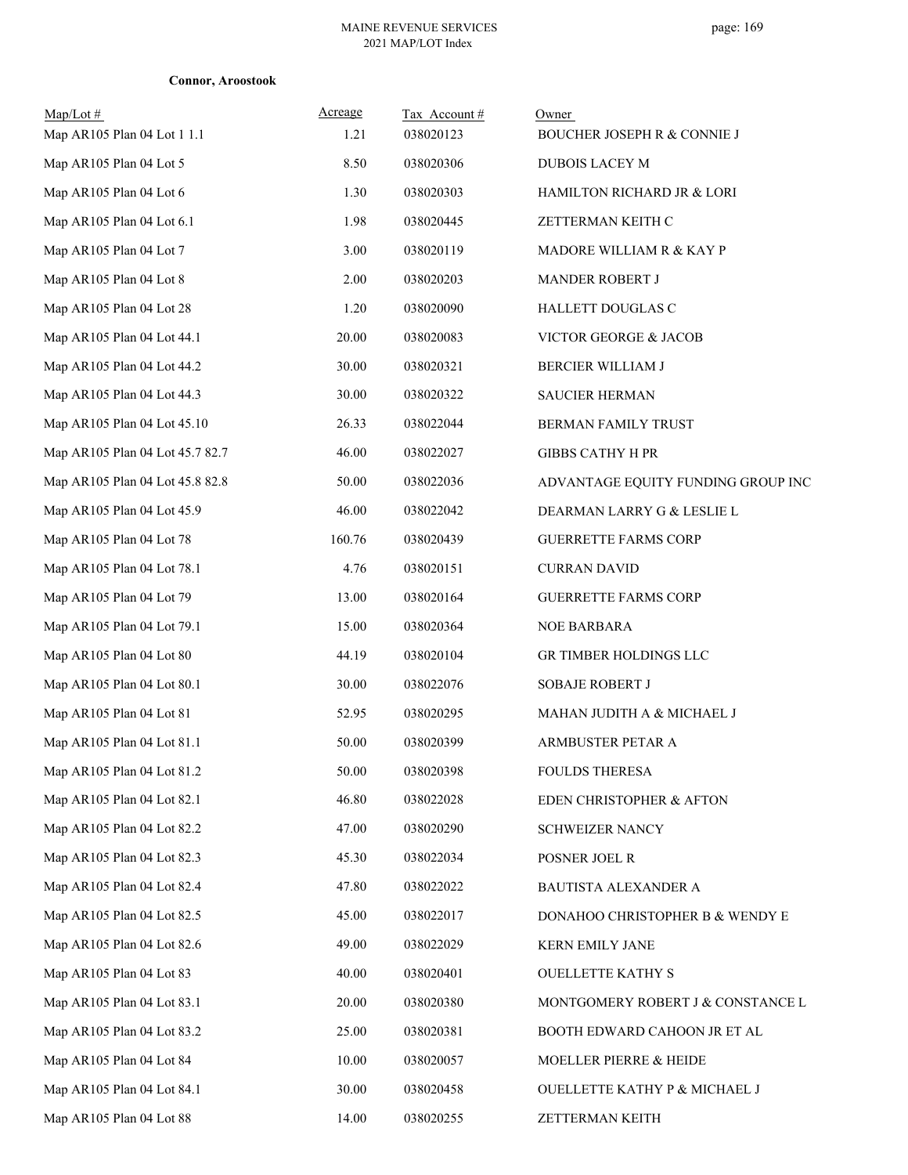| $Map/Lot$ #<br>Map AR105 Plan 04 Lot 1 1.1 | Acreage<br>1.21 | Tax Account#<br>038020123 | Owner<br>BOUCHER JOSEPH R & CONNIE J |
|--------------------------------------------|-----------------|---------------------------|--------------------------------------|
| Map AR105 Plan 04 Lot 5                    | 8.50            | 038020306                 | DUBOIS LACEY M                       |
| Map AR105 Plan 04 Lot 6                    | 1.30            | 038020303                 | HAMILTON RICHARD JR & LORI           |
| Map AR105 Plan 04 Lot 6.1                  | 1.98            | 038020445                 | ZETTERMAN KEITH C                    |
| Map AR105 Plan 04 Lot 7                    | 3.00            | 038020119                 | MADORE WILLIAM R & KAY P             |
| Map AR105 Plan 04 Lot 8                    | 2.00            | 038020203                 |                                      |
|                                            | 1.20            | 038020090                 | MANDER ROBERT J                      |
| Map AR105 Plan 04 Lot 28                   |                 |                           | HALLETT DOUGLAS C                    |
| Map AR105 Plan 04 Lot 44.1                 | 20.00           | 038020083                 | VICTOR GEORGE & JACOB                |
| Map AR105 Plan 04 Lot 44.2                 | 30.00           | 038020321                 | BERCIER WILLIAM J                    |
| Map AR105 Plan 04 Lot 44.3                 | 30.00           | 038020322                 | <b>SAUCIER HERMAN</b>                |
| Map AR105 Plan 04 Lot 45.10                | 26.33           | 038022044                 | BERMAN FAMILY TRUST                  |
| Map AR105 Plan 04 Lot 45.7 82.7            | 46.00           | 038022027                 | <b>GIBBS CATHY H PR</b>              |
| Map AR105 Plan 04 Lot 45.8 82.8            | 50.00           | 038022036                 | ADVANTAGE EQUITY FUNDING GROUP INC   |
| Map AR105 Plan 04 Lot 45.9                 | 46.00           | 038022042                 | DEARMAN LARRY G & LESLIE L           |
| Map AR105 Plan 04 Lot 78                   | 160.76          | 038020439                 | <b>GUERRETTE FARMS CORP</b>          |
| Map AR105 Plan 04 Lot 78.1                 | 4.76            | 038020151                 | <b>CURRAN DAVID</b>                  |
| Map AR105 Plan 04 Lot 79                   | 13.00           | 038020164                 | <b>GUERRETTE FARMS CORP</b>          |
| Map AR105 Plan 04 Lot 79.1                 | 15.00           | 038020364                 | <b>NOE BARBARA</b>                   |
| Map AR105 Plan 04 Lot 80                   | 44.19           | 038020104                 | GR TIMBER HOLDINGS LLC               |
| Map AR105 Plan 04 Lot 80.1                 | 30.00           | 038022076                 | <b>SOBAJE ROBERT J</b>               |
| Map AR105 Plan 04 Lot 81                   | 52.95           | 038020295                 | MAHAN JUDITH A & MICHAEL J           |
| Map AR105 Plan 04 Lot 81.1                 | 50.00           | 038020399                 | ARMBUSTER PETAR A                    |
| Map AR105 Plan 04 Lot 81.2                 | 50.00           | 038020398                 | <b>FOULDS THERESA</b>                |
| Map AR105 Plan 04 Lot 82.1                 | 46.80           | 038022028                 | EDEN CHRISTOPHER & AFTON             |
| Map AR105 Plan 04 Lot 82.2                 | 47.00           | 038020290                 | <b>SCHWEIZER NANCY</b>               |
| Map AR105 Plan 04 Lot 82.3                 | 45.30           | 038022034                 | POSNER JOEL R                        |
| Map AR105 Plan 04 Lot 82.4                 | 47.80           | 038022022                 | BAUTISTA ALEXANDER A                 |
| Map AR105 Plan 04 Lot 82.5                 | 45.00           | 038022017                 | DONAHOO CHRISTOPHER B & WENDY E      |
| Map AR105 Plan 04 Lot 82.6                 | 49.00           | 038022029                 | KERN EMILY JANE                      |
| Map AR105 Plan 04 Lot 83                   | 40.00           | 038020401                 | <b>OUELLETTE KATHY S</b>             |
| Map AR105 Plan 04 Lot 83.1                 | 20.00           | 038020380                 | MONTGOMERY ROBERT J & CONSTANCE L    |
| Map AR105 Plan 04 Lot 83.2                 | 25.00           | 038020381                 | BOOTH EDWARD CAHOON JR ET AL         |
| Map AR105 Plan 04 Lot 84                   | 10.00           | 038020057                 | MOELLER PIERRE & HEIDE               |
| Map AR105 Plan 04 Lot 84.1                 | 30.00           | 038020458                 | OUELLETTE KATHY P & MICHAEL J        |
| Map AR105 Plan 04 Lot 88                   | 14.00           | 038020255                 | ZETTERMAN KEITH                      |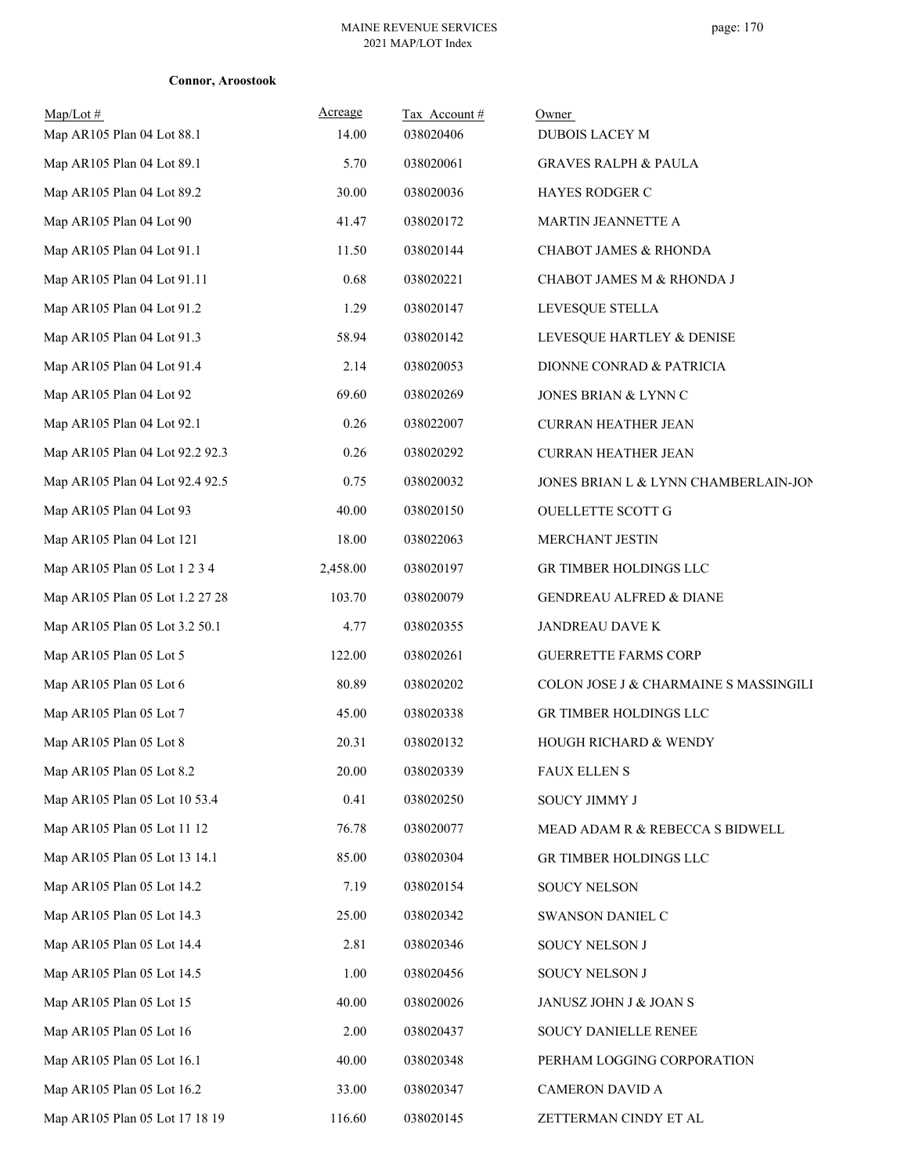| $Map/Lot \#$<br>Map AR105 Plan 04 Lot 88.1 | Acreage<br>14.00 | Tax Account#<br>038020406 | Owner<br>DUBOIS LACEY M               |
|--------------------------------------------|------------------|---------------------------|---------------------------------------|
| Map AR105 Plan 04 Lot 89.1                 | 5.70             | 038020061                 | <b>GRAVES RALPH &amp; PAULA</b>       |
| Map AR105 Plan 04 Lot 89.2                 | 30.00            | 038020036                 | HAYES RODGER C                        |
| Map AR105 Plan 04 Lot 90                   | 41.47            | 038020172                 | MARTIN JEANNETTE A                    |
| Map AR105 Plan 04 Lot 91.1                 | 11.50            | 038020144                 | <b>CHABOT JAMES &amp; RHONDA</b>      |
| Map AR105 Plan 04 Lot 91.11                | 0.68             | 038020221                 | CHABOT JAMES M & RHONDA J             |
| Map AR105 Plan 04 Lot 91.2                 | 1.29             | 038020147                 | LEVESQUE STELLA                       |
| Map AR105 Plan 04 Lot 91.3                 | 58.94            | 038020142                 | LEVESQUE HARTLEY & DENISE             |
| Map AR105 Plan 04 Lot 91.4                 | 2.14             | 038020053                 | DIONNE CONRAD & PATRICIA              |
| Map AR105 Plan 04 Lot 92                   | 69.60            | 038020269                 | JONES BRIAN & LYNN C                  |
| Map AR105 Plan 04 Lot 92.1                 | 0.26             | 038022007                 | <b>CURRAN HEATHER JEAN</b>            |
| Map AR105 Plan 04 Lot 92.2 92.3            | 0.26             | 038020292                 |                                       |
| Map AR105 Plan 04 Lot 92.4 92.5            | 0.75             |                           | <b>CURRAN HEATHER JEAN</b>            |
|                                            |                  | 038020032                 | JONES BRIAN L & LYNN CHAMBERLAIN-JON  |
| Map AR105 Plan 04 Lot 93                   | 40.00            | 038020150                 | OUELLETTE SCOTT G                     |
| Map AR105 Plan 04 Lot 121                  | 18.00            | 038022063                 | MERCHANT JESTIN                       |
| Map AR105 Plan 05 Lot 1 2 3 4              | 2,458.00         | 038020197                 | GR TIMBER HOLDINGS LLC                |
| Map AR105 Plan 05 Lot 1.2 27 28            | 103.70           | 038020079                 | <b>GENDREAU ALFRED &amp; DIANE</b>    |
| Map AR105 Plan 05 Lot 3.2 50.1             | 4.77             | 038020355                 | JANDREAU DAVE K                       |
| Map AR105 Plan 05 Lot 5                    | 122.00           | 038020261                 | <b>GUERRETTE FARMS CORP</b>           |
| Map AR105 Plan 05 Lot 6                    | 80.89            | 038020202                 | COLON JOSE J & CHARMAINE S MASSINGILI |
| Map AR105 Plan 05 Lot 7                    | 45.00            | 038020338                 | GR TIMBER HOLDINGS LLC                |
| Map AR105 Plan 05 Lot 8                    | 20.31            | 038020132                 | HOUGH RICHARD & WENDY                 |
| Map AR105 Plan 05 Lot 8.2                  | 20.00            | 038020339                 | FAUX ELLEN S                          |
| Map AR105 Plan 05 Lot 10 53.4              | 0.41             | 038020250                 | SOUCY JIMMY J                         |
| Map AR105 Plan 05 Lot 11 12                | 76.78            | 038020077                 | MEAD ADAM R & REBECCA S BIDWELL       |
| Map AR105 Plan 05 Lot 13 14.1              | 85.00            | 038020304                 | GR TIMBER HOLDINGS LLC                |
| Map AR105 Plan 05 Lot 14.2                 | 7.19             | 038020154                 | SOUCY NELSON                          |
| Map AR105 Plan 05 Lot 14.3                 | 25.00            | 038020342                 | SWANSON DANIEL C                      |
| Map AR105 Plan 05 Lot 14.4                 | 2.81             | 038020346                 | SOUCY NELSON J                        |
| Map AR105 Plan 05 Lot 14.5                 | 1.00             | 038020456                 | SOUCY NELSON J                        |
| Map AR105 Plan 05 Lot 15                   | 40.00            | 038020026                 | JANUSZ JOHN J & JOAN S                |
| Map AR105 Plan 05 Lot 16                   | 2.00             | 038020437                 | SOUCY DANIELLE RENEE                  |
| Map AR105 Plan 05 Lot 16.1                 | 40.00            | 038020348                 | PERHAM LOGGING CORPORATION            |
| Map AR105 Plan 05 Lot 16.2                 | 33.00            | 038020347                 | <b>CAMERON DAVID A</b>                |
| Map AR105 Plan 05 Lot 17 18 19             | 116.60           | 038020145                 | ZETTERMAN CINDY ET AL                 |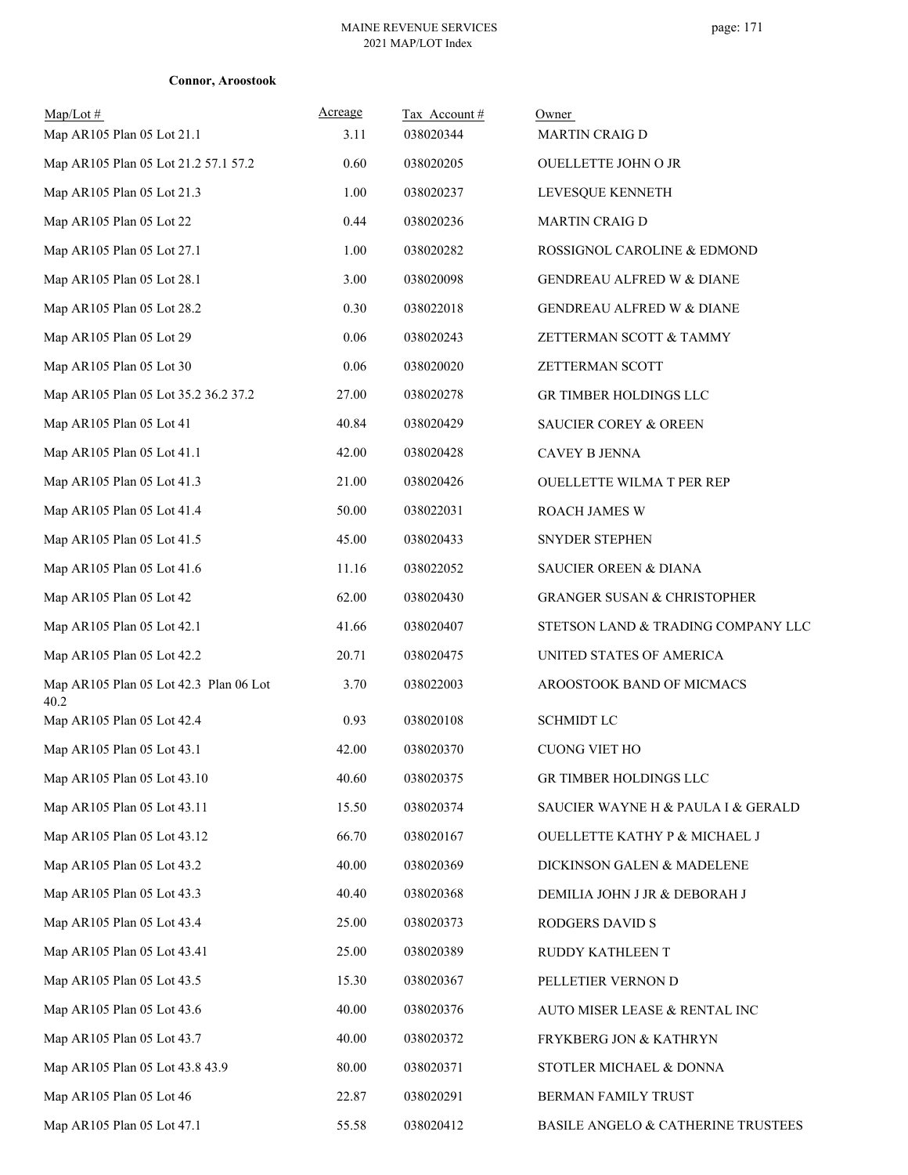|  | <b>Connor, Aroostook</b> |
|--|--------------------------|
|--|--------------------------|

| $Map/Lot \#$<br>Map AR105 Plan 05 Lot 21.1     | Acreage<br>3.11 | Tax Account#<br>038020344 | Owner<br><b>MARTIN CRAIG D</b>         |
|------------------------------------------------|-----------------|---------------------------|----------------------------------------|
| Map AR105 Plan 05 Lot 21.2 57.1 57.2           | 0.60            | 038020205                 | <b>OUELLETTE JOHN O JR</b>             |
| Map AR105 Plan 05 Lot 21.3                     | 1.00            | 038020237                 | LEVESQUE KENNETH                       |
| Map AR105 Plan 05 Lot 22                       | 0.44            | 038020236                 | <b>MARTIN CRAIG D</b>                  |
| Map AR105 Plan 05 Lot 27.1                     | 1.00            | 038020282                 | ROSSIGNOL CAROLINE & EDMOND            |
| Map AR105 Plan 05 Lot 28.1                     | 3.00            | 038020098                 | GENDREAU ALFRED W & DIANE              |
| Map AR105 Plan 05 Lot 28.2                     | 0.30            | 038022018                 | GENDREAU ALFRED W & DIANE              |
| Map AR105 Plan 05 Lot 29                       | 0.06            | 038020243                 | ZETTERMAN SCOTT & TAMMY                |
| Map AR105 Plan 05 Lot 30                       | 0.06            | 038020020                 | ZETTERMAN SCOTT                        |
| Map AR105 Plan 05 Lot 35.2 36.2 37.2           | 27.00           | 038020278                 | GR TIMBER HOLDINGS LLC                 |
| Map AR105 Plan 05 Lot 41                       | 40.84           | 038020429                 | <b>SAUCIER COREY &amp; OREEN</b>       |
| Map AR105 Plan 05 Lot 41.1                     | 42.00           | 038020428                 | <b>CAVEY B JENNA</b>                   |
| Map AR105 Plan 05 Lot 41.3                     | 21.00           | 038020426                 | OUELLETTE WILMA T PER REP              |
| Map AR105 Plan 05 Lot 41.4                     | 50.00           | 038022031                 | ROACH JAMES W                          |
| Map AR105 Plan 05 Lot 41.5                     | 45.00           | 038020433                 | SNYDER STEPHEN                         |
| Map AR105 Plan 05 Lot 41.6                     | 11.16           | 038022052                 | SAUCIER OREEN & DIANA                  |
| Map AR105 Plan 05 Lot 42                       | 62.00           | 038020430                 | <b>GRANGER SUSAN &amp; CHRISTOPHER</b> |
| Map AR105 Plan 05 Lot 42.1                     | 41.66           | 038020407                 | STETSON LAND & TRADING COMPANY LLC     |
| Map AR105 Plan 05 Lot 42.2                     | 20.71           | 038020475                 | UNITED STATES OF AMERICA               |
| Map AR105 Plan 05 Lot 42.3 Plan 06 Lot<br>40.2 | 3.70            | 038022003                 | AROOSTOOK BAND OF MICMACS              |
| Map AR105 Plan 05 Lot 42.4                     | 0.93            | 038020108                 | <b>SCHMIDT LC</b>                      |
| Map AR105 Plan 05 Lot 43.1                     | 42.00           | 038020370                 | <b>CUONG VIET HO</b>                   |
| Map AR105 Plan 05 Lot 43.10                    | 40.60           | 038020375                 | GR TIMBER HOLDINGS LLC                 |
| Map AR105 Plan 05 Lot 43.11                    | 15.50           | 038020374                 | SAUCIER WAYNE H & PAULA I & GERALD     |
| Map AR105 Plan 05 Lot 43.12                    | 66.70           | 038020167                 | OUELLETTE KATHY P & MICHAEL J          |
| Map AR105 Plan 05 Lot 43.2                     | 40.00           | 038020369                 | DICKINSON GALEN & MADELENE             |
| Map AR105 Plan 05 Lot 43.3                     | 40.40           | 038020368                 | DEMILIA JOHN J JR & DEBORAH J          |
| Map AR105 Plan 05 Lot 43.4                     | 25.00           | 038020373                 | RODGERS DAVID S                        |
| Map AR105 Plan 05 Lot 43.41                    | 25.00           | 038020389                 | RUDDY KATHLEEN T                       |
| Map AR105 Plan 05 Lot 43.5                     | 15.30           | 038020367                 | PELLETIER VERNON D                     |
| Map AR105 Plan 05 Lot 43.6                     | 40.00           | 038020376                 | AUTO MISER LEASE & RENTAL INC          |
| Map AR105 Plan 05 Lot 43.7                     | 40.00           | 038020372                 | FRYKBERG JON & KATHRYN                 |
| Map AR105 Plan 05 Lot 43.8 43.9                | 80.00           | 038020371                 | STOTLER MICHAEL & DONNA                |
| Map AR105 Plan 05 Lot 46                       | 22.87           | 038020291                 | BERMAN FAMILY TRUST                    |
| Map AR105 Plan 05 Lot 47.1                     | 55.58           | 038020412                 | BASILE ANGELO & CATHERINE TRUSTEES     |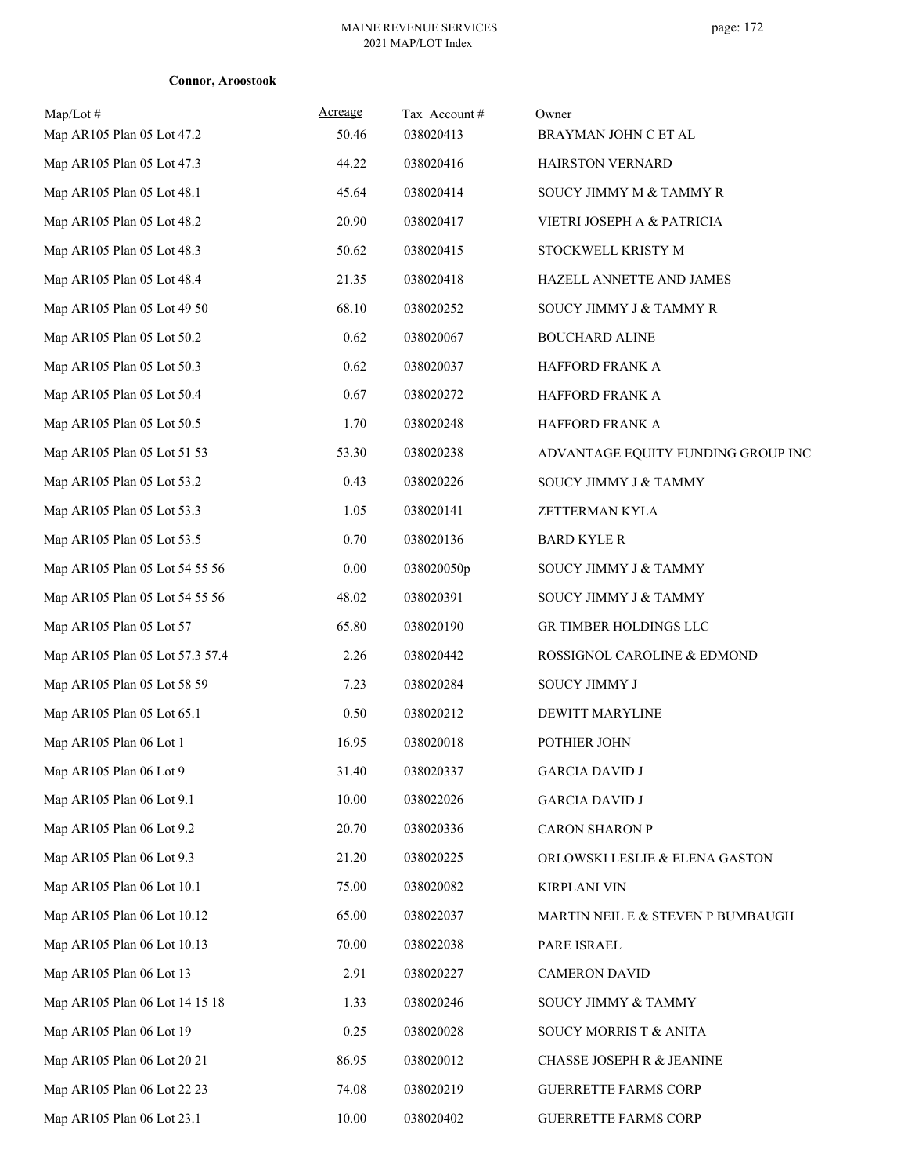| $Map/Lot \#$<br>Map AR105 Plan 05 Lot 47.2 | Acreage<br>50.46 | Tax Account#<br>038020413 | Owner<br>BRAYMAN JOHN C ET AL      |
|--------------------------------------------|------------------|---------------------------|------------------------------------|
| Map AR105 Plan 05 Lot 47.3                 | 44.22            | 038020416                 | HAIRSTON VERNARD                   |
| Map AR105 Plan 05 Lot 48.1                 | 45.64            | 038020414                 | SOUCY JIMMY M & TAMMY R            |
| Map AR105 Plan 05 Lot 48.2                 | 20.90            | 038020417                 | VIETRI JOSEPH A & PATRICIA         |
| Map AR105 Plan 05 Lot 48.3                 | 50.62            | 038020415                 | STOCKWELL KRISTY M                 |
| Map AR105 Plan 05 Lot 48.4                 | 21.35            | 038020418                 | HAZELL ANNETTE AND JAMES           |
| Map AR105 Plan 05 Lot 49 50                | 68.10            | 038020252                 | SOUCY JIMMY J & TAMMY R            |
| Map AR105 Plan 05 Lot 50.2                 | 0.62             | 038020067                 | <b>BOUCHARD ALINE</b>              |
| Map AR105 Plan 05 Lot 50.3                 | 0.62             | 038020037                 | HAFFORD FRANK A                    |
| Map AR105 Plan 05 Lot 50.4                 | 0.67             | 038020272                 | HAFFORD FRANK A                    |
| Map AR105 Plan 05 Lot 50.5                 | 1.70             | 038020248                 | HAFFORD FRANK A                    |
| Map AR105 Plan 05 Lot 51 53                | 53.30            | 038020238                 | ADVANTAGE EQUITY FUNDING GROUP INC |
| Map AR105 Plan 05 Lot 53.2                 | 0.43             | 038020226                 | SOUCY JIMMY J & TAMMY              |
| Map AR105 Plan 05 Lot 53.3                 | 1.05             | 038020141                 | ZETTERMAN KYLA                     |
| Map AR105 Plan 05 Lot 53.5                 | 0.70             | 038020136                 | <b>BARD KYLE R</b>                 |
| Map AR105 Plan 05 Lot 54 55 56             | 0.00             | 038020050p                | SOUCY JIMMY J & TAMMY              |
| Map AR105 Plan 05 Lot 54 55 56             | 48.02            | 038020391                 | SOUCY JIMMY J & TAMMY              |
| Map AR105 Plan 05 Lot 57                   | 65.80            | 038020190                 | GR TIMBER HOLDINGS LLC             |
| Map AR105 Plan 05 Lot 57.3 57.4            | 2.26             | 038020442                 | ROSSIGNOL CAROLINE & EDMOND        |
| Map AR105 Plan 05 Lot 58 59                | 7.23             | 038020284                 | SOUCY JIMMY J                      |
| Map AR105 Plan 05 Lot 65.1                 | 0.50             | 038020212                 | DEWITT MARYLINE                    |
| Map AR105 Plan 06 Lot 1                    | 16.95            | 038020018                 | POTHIER JOHN                       |
| Map AR105 Plan 06 Lot 9                    | 31.40            | 038020337                 | <b>GARCIA DAVID J</b>              |
| Map AR105 Plan 06 Lot 9.1                  | 10.00            | 038022026                 | <b>GARCIA DAVID J</b>              |
| Map AR105 Plan 06 Lot 9.2                  | 20.70            | 038020336                 | <b>CARON SHARON P</b>              |
| Map AR105 Plan 06 Lot 9.3                  | 21.20            | 038020225                 | ORLOWSKI LESLIE & ELENA GASTON     |
| Map AR105 Plan 06 Lot 10.1                 | 75.00            | 038020082                 | KIRPLANI VIN                       |
| Map AR105 Plan 06 Lot 10.12                | 65.00            | 038022037                 | MARTIN NEIL E & STEVEN P BUMBAUGH  |
| Map AR105 Plan 06 Lot 10.13                | 70.00            | 038022038                 | PARE ISRAEL                        |
| Map AR105 Plan 06 Lot 13                   | 2.91             | 038020227                 | <b>CAMERON DAVID</b>               |
| Map AR105 Plan 06 Lot 14 15 18             | 1.33             | 038020246                 | SOUCY JIMMY & TAMMY                |
| Map AR105 Plan 06 Lot 19                   | 0.25             | 038020028                 | SOUCY MORRIS T & ANITA             |
| Map AR105 Plan 06 Lot 20 21                | 86.95            | 038020012                 | CHASSE JOSEPH R & JEANINE          |
| Map AR105 Plan 06 Lot 22 23                | 74.08            | 038020219                 | <b>GUERRETTE FARMS CORP</b>        |
| Map AR105 Plan 06 Lot 23.1                 | 10.00            | 038020402                 | <b>GUERRETTE FARMS CORP</b>        |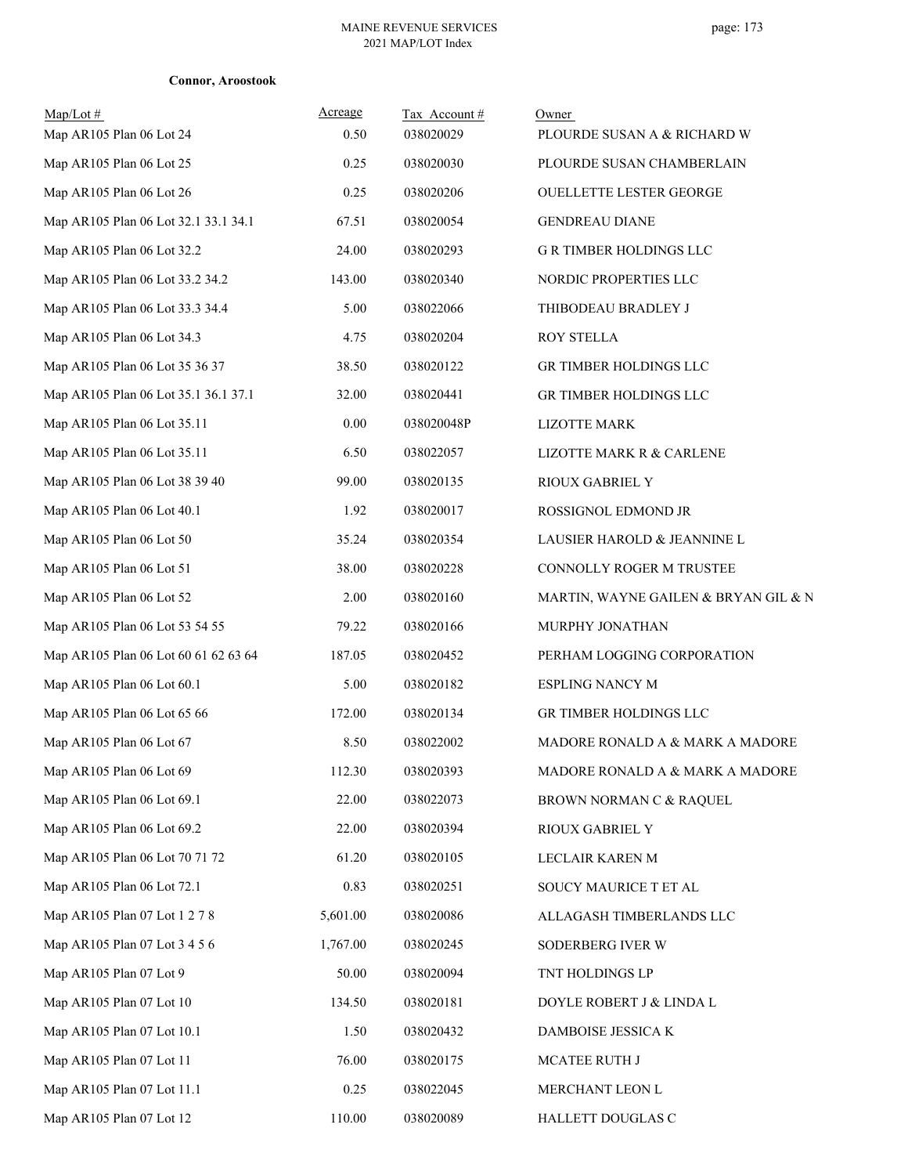| Map/Lot#<br>Map AR105 Plan 06 Lot 24 | Acreage<br>0.50 | Tax Account#<br>038020029 | Owner<br>PLOURDE SUSAN A & RICHARD W |
|--------------------------------------|-----------------|---------------------------|--------------------------------------|
| Map AR105 Plan 06 Lot 25             | 0.25            | 038020030                 | PLOURDE SUSAN CHAMBERLAIN            |
| Map AR105 Plan 06 Lot 26             | 0.25            | 038020206                 | OUELLETTE LESTER GEORGE              |
| Map AR105 Plan 06 Lot 32.1 33.1 34.1 | 67.51           | 038020054                 | <b>GENDREAU DIANE</b>                |
| Map AR105 Plan 06 Lot 32.2           | 24.00           | 038020293                 | <b>G R TIMBER HOLDINGS LLC</b>       |
| Map AR105 Plan 06 Lot 33.2 34.2      | 143.00          | 038020340                 | NORDIC PROPERTIES LLC                |
| Map AR105 Plan 06 Lot 33.3 34.4      | 5.00            | 038022066                 | THIBODEAU BRADLEY J                  |
| Map AR105 Plan 06 Lot 34.3           | 4.75            | 038020204                 | ROY STELLA                           |
| Map AR105 Plan 06 Lot 35 36 37       | 38.50           | 038020122                 | GR TIMBER HOLDINGS LLC               |
| Map AR105 Plan 06 Lot 35.1 36.1 37.1 | 32.00           | 038020441                 | GR TIMBER HOLDINGS LLC               |
| Map AR105 Plan 06 Lot 35.11          | 0.00            | 038020048P                | LIZOTTE MARK                         |
| Map AR105 Plan 06 Lot 35.11          | 6.50            | 038022057                 | LIZOTTE MARK R & CARLENE             |
| Map AR105 Plan 06 Lot 38 39 40       | 99.00           | 038020135                 | RIOUX GABRIEL Y                      |
| Map AR105 Plan 06 Lot 40.1           | 1.92            | 038020017                 | ROSSIGNOL EDMOND JR                  |
| Map AR105 Plan 06 Lot 50             | 35.24           | 038020354                 | LAUSIER HAROLD & JEANNINE L          |
| Map AR105 Plan 06 Lot 51             | 38.00           | 038020228                 | CONNOLLY ROGER M TRUSTEE             |
| Map AR105 Plan 06 Lot 52             | 2.00            | 038020160                 | MARTIN, WAYNE GAILEN & BRYAN GIL & N |
| Map AR105 Plan 06 Lot 53 54 55       | 79.22           | 038020166                 | MURPHY JONATHAN                      |
| Map AR105 Plan 06 Lot 60 61 62 63 64 | 187.05          | 038020452                 | PERHAM LOGGING CORPORATION           |
| Map AR105 Plan 06 Lot 60.1           | 5.00            | 038020182                 | <b>ESPLING NANCY M</b>               |
| Map AR105 Plan 06 Lot 65 66          | 172.00          | 038020134                 | GR TIMBER HOLDINGS LLC               |
| Map AR105 Plan 06 Lot 67             | 8.50            | 038022002                 | MADORE RONALD A & MARK A MADORE      |
| Map AR105 Plan 06 Lot 69             | 112.30          | 038020393                 | MADORE RONALD A & MARK A MADORE      |
| Map AR105 Plan 06 Lot 69.1           | 22.00           | 038022073                 | BROWN NORMAN C & RAQUEL              |
| Map AR105 Plan 06 Lot 69.2           | 22.00           | 038020394                 | RIOUX GABRIEL Y                      |
| Map AR105 Plan 06 Lot 70 71 72       | 61.20           | 038020105                 | LECLAIR KAREN M                      |
| Map AR105 Plan 06 Lot 72.1           | 0.83            | 038020251                 | SOUCY MAURICE T ET AL                |
| Map AR105 Plan 07 Lot 1 2 7 8        | 5,601.00        | 038020086                 | ALLAGASH TIMBERLANDS LLC             |
| Map AR105 Plan 07 Lot 3 4 5 6        | 1,767.00        | 038020245                 | SODERBERG IVER W                     |
| Map AR105 Plan 07 Lot 9              | 50.00           | 038020094                 | TNT HOLDINGS LP                      |
| Map AR105 Plan 07 Lot 10             | 134.50          | 038020181                 | DOYLE ROBERT J & LINDA L             |
| Map AR105 Plan 07 Lot 10.1           | 1.50            | 038020432                 | DAMBOISE JESSICA K                   |
| Map AR105 Plan 07 Lot 11             | 76.00           | 038020175                 | MCATEE RUTH J                        |
| Map AR105 Plan 07 Lot 11.1           | 0.25            | 038022045                 | MERCHANT LEON L                      |
| Map AR105 Plan 07 Lot 12             | 110.00          | 038020089                 | HALLETT DOUGLAS C                    |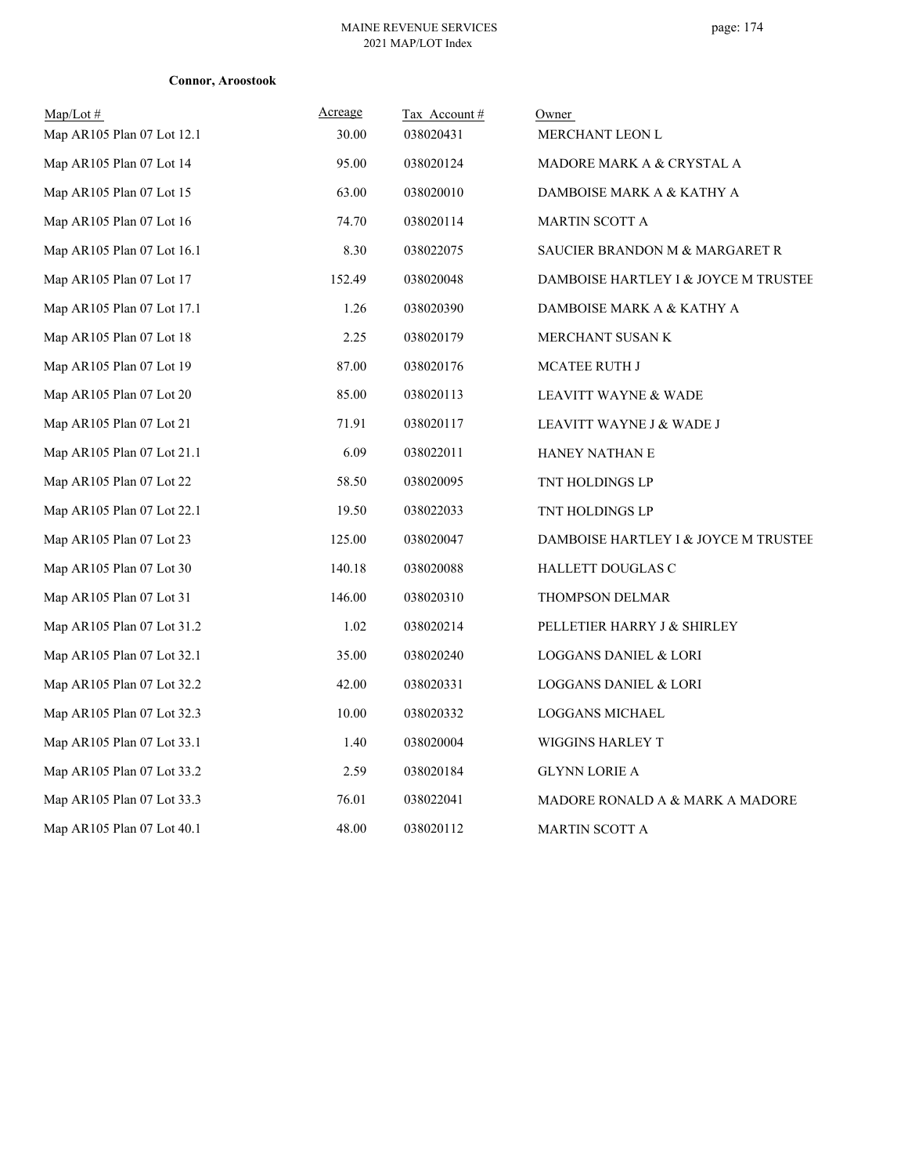| $\text{Map/Lot} \#$        | Acreage | Tax Account# | Owner                                |
|----------------------------|---------|--------------|--------------------------------------|
| Map AR105 Plan 07 Lot 12.1 | 30.00   | 038020431    | MERCHANT LEON L                      |
| Map AR105 Plan 07 Lot 14   | 95.00   | 038020124    | MADORE MARK A & CRYSTAL A            |
| Map AR105 Plan 07 Lot 15   | 63.00   | 038020010    | DAMBOISE MARK A & KATHY A            |
| Map AR105 Plan 07 Lot 16   | 74.70   | 038020114    | <b>MARTIN SCOTT A</b>                |
| Map AR105 Plan 07 Lot 16.1 | 8.30    | 038022075    | SAUCIER BRANDON M & MARGARET R       |
| Map AR105 Plan 07 Lot 17   | 152.49  | 038020048    | DAMBOISE HARTLEY I & JOYCE M TRUSTEE |
| Map AR105 Plan 07 Lot 17.1 | 1.26    | 038020390    | DAMBOISE MARK A & KATHY A            |
| Map AR105 Plan 07 Lot 18   | 2.25    | 038020179    | MERCHANT SUSAN K                     |
| Map AR105 Plan 07 Lot 19   | 87.00   | 038020176    | <b>MCATEE RUTH J</b>                 |
| Map AR105 Plan 07 Lot 20   | 85.00   | 038020113    | LEAVITT WAYNE & WADE                 |
| Map AR105 Plan 07 Lot 21   | 71.91   | 038020117    | LEAVITT WAYNE J & WADE J             |
| Map AR105 Plan 07 Lot 21.1 | 6.09    | 038022011    | HANEY NATHAN E                       |
| Map AR105 Plan 07 Lot 22   | 58.50   | 038020095    | TNT HOLDINGS LP                      |
| Map AR105 Plan 07 Lot 22.1 | 19.50   | 038022033    | TNT HOLDINGS LP                      |
| Map AR105 Plan 07 Lot 23   | 125.00  | 038020047    | DAMBOISE HARTLEY I & JOYCE M TRUSTEE |
| Map AR105 Plan 07 Lot 30   | 140.18  | 038020088    | <b>HALLETT DOUGLAS C</b>             |
| Map AR105 Plan 07 Lot 31   | 146.00  | 038020310    | THOMPSON DELMAR                      |
| Map AR105 Plan 07 Lot 31.2 | 1.02    | 038020214    | PELLETIER HARRY J & SHIRLEY          |
| Map AR105 Plan 07 Lot 32.1 | 35.00   | 038020240    | <b>LOGGANS DANIEL &amp; LORI</b>     |
| Map AR105 Plan 07 Lot 32.2 | 42.00   | 038020331    | <b>LOGGANS DANIEL &amp; LORI</b>     |
| Map AR105 Plan 07 Lot 32.3 | 10.00   | 038020332    | <b>LOGGANS MICHAEL</b>               |
| Map AR105 Plan 07 Lot 33.1 | 1.40    | 038020004    | WIGGINS HARLEY T                     |
| Map AR105 Plan 07 Lot 33.2 | 2.59    | 038020184    | <b>GLYNN LORIE A</b>                 |
| Map AR105 Plan 07 Lot 33.3 | 76.01   | 038022041    | MADORE RONALD A & MARK A MADORE      |
| Map AR105 Plan 07 Lot 40.1 | 48.00   | 038020112    | <b>MARTIN SCOTT A</b>                |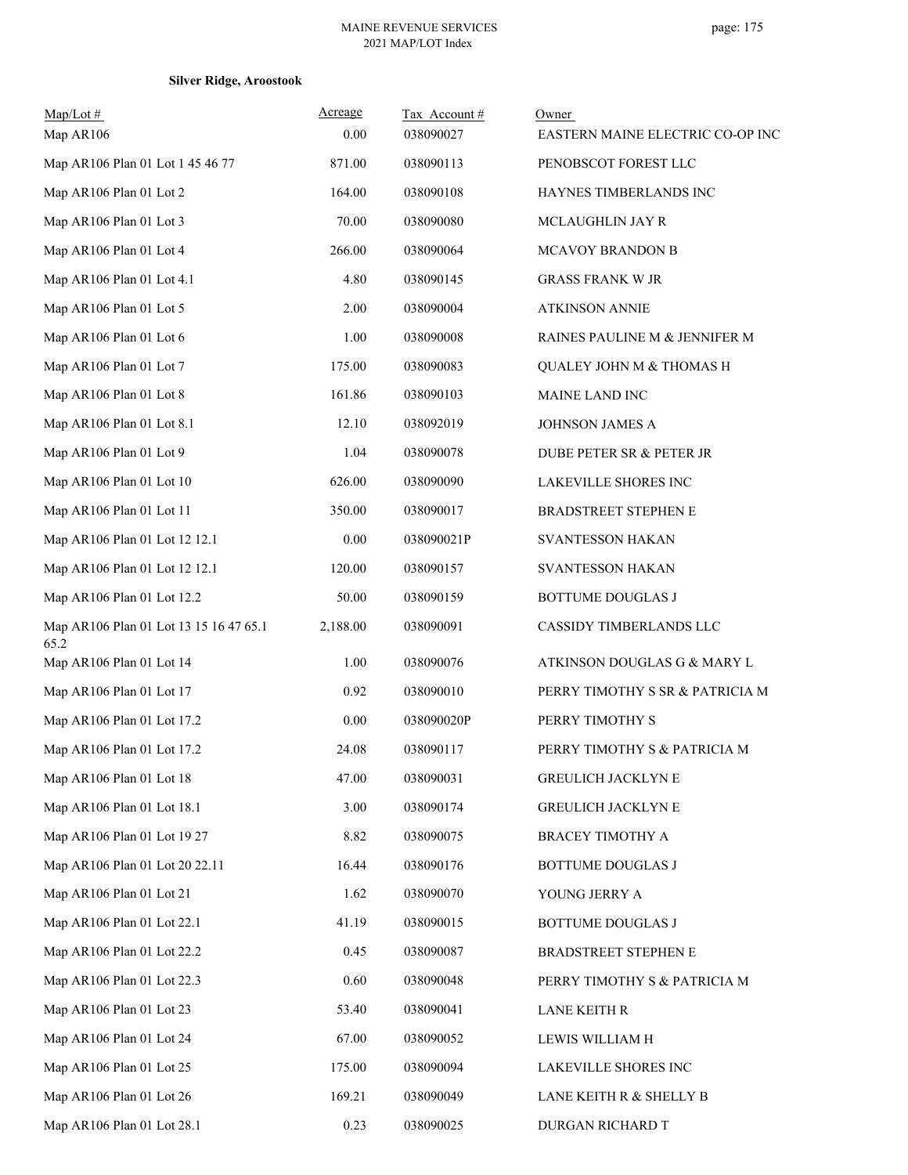| Map/Lot#                                       | Acreage  | Tax Account# | Owner                               |
|------------------------------------------------|----------|--------------|-------------------------------------|
| Map AR106                                      | 0.00     | 038090027    | EASTERN MAINE ELECTRIC CO-OP INC    |
| Map AR106 Plan 01 Lot 1 45 46 77               | 871.00   | 038090113    | PENOBSCOT FOREST LLC                |
| Map AR106 Plan 01 Lot 2                        | 164.00   | 038090108    | HAYNES TIMBERLANDS INC              |
| Map AR106 Plan 01 Lot 3                        | 70.00    | 038090080    | MCLAUGHLIN JAY R                    |
| Map AR106 Plan 01 Lot 4                        | 266.00   | 038090064    | MCAVOY BRANDON B                    |
| Map AR106 Plan 01 Lot 4.1                      | 4.80     | 038090145    | <b>GRASS FRANK W JR</b>             |
| Map AR106 Plan 01 Lot 5                        | 2.00     | 038090004    | <b>ATKINSON ANNIE</b>               |
| Map AR106 Plan 01 Lot 6                        | 1.00     | 038090008    | RAINES PAULINE M & JENNIFER M       |
| Map AR106 Plan 01 Lot 7                        | 175.00   | 038090083    | <b>QUALEY JOHN M &amp; THOMAS H</b> |
| Map AR106 Plan 01 Lot 8                        | 161.86   | 038090103    | MAINE LAND INC                      |
| Map AR106 Plan 01 Lot 8.1                      | 12.10    | 038092019    | <b>JOHNSON JAMES A</b>              |
| Map AR106 Plan 01 Lot 9                        | 1.04     | 038090078    | <b>DUBE PETER SR &amp; PETER JR</b> |
| Map AR106 Plan 01 Lot 10                       | 626.00   | 038090090    | LAKEVILLE SHORES INC                |
| Map AR106 Plan 01 Lot 11                       | 350.00   | 038090017    | BRADSTREET STEPHEN E                |
| Map AR106 Plan 01 Lot 12 12.1                  | 0.00     | 038090021P   | <b>SVANTESSON HAKAN</b>             |
| Map AR106 Plan 01 Lot 12 12.1                  | 120.00   | 038090157    | <b>SVANTESSON HAKAN</b>             |
| Map AR106 Plan 01 Lot 12.2                     | 50.00    | 038090159    | <b>BOTTUME DOUGLAS J</b>            |
| Map AR106 Plan 01 Lot 13 15 16 47 65.1<br>65.2 | 2,188.00 | 038090091    | CASSIDY TIMBERLANDS LLC             |
| Map AR106 Plan 01 Lot 14                       | 1.00     | 038090076    | ATKINSON DOUGLAS G & MARY L         |
| Map AR106 Plan 01 Lot 17                       | 0.92     | 038090010    | PERRY TIMOTHY S SR & PATRICIA M     |
| Map AR106 Plan 01 Lot 17.2                     | 0.00     | 038090020P   | PERRY TIMOTHY S                     |
| Map AR106 Plan 01 Lot 17.2                     | 24.08    | 038090117    | PERRY TIMOTHY S & PATRICIA M        |
| Map AR106 Plan 01 Lot 18                       | 47.00    | 038090031    | <b>GREULICH JACKLYN E</b>           |
| Map AR106 Plan 01 Lot 18.1                     | 3.00     | 038090174    | GREULICH JACKLYN E                  |
| Map AR106 Plan 01 Lot 19 27                    | 8.82     | 038090075    | <b>BRACEY TIMOTHY A</b>             |
| Map AR106 Plan 01 Lot 20 22.11                 | 16.44    | 038090176    | BOTTUME DOUGLAS J                   |
| Map AR106 Plan 01 Lot 21                       | 1.62     | 038090070    | YOUNG JERRY A                       |
| Map AR106 Plan 01 Lot 22.1                     | 41.19    | 038090015    | <b>BOTTUME DOUGLAS J</b>            |
| Map AR106 Plan 01 Lot 22.2                     | 0.45     | 038090087    | BRADSTREET STEPHEN E                |
| Map AR106 Plan 01 Lot 22.3                     | 0.60     | 038090048    | PERRY TIMOTHY S & PATRICIA M        |
| Map AR106 Plan 01 Lot 23                       | 53.40    | 038090041    | LANE KEITH R                        |
| Map AR106 Plan 01 Lot 24                       | 67.00    | 038090052    | LEWIS WILLIAM H                     |
| Map AR106 Plan 01 Lot 25                       | 175.00   | 038090094    | LAKEVILLE SHORES INC                |
| Map AR106 Plan 01 Lot 26                       | 169.21   | 038090049    | LANE KEITH R & SHELLY B             |
| Map AR106 Plan 01 Lot 28.1                     | 0.23     | 038090025    | DURGAN RICHARD T                    |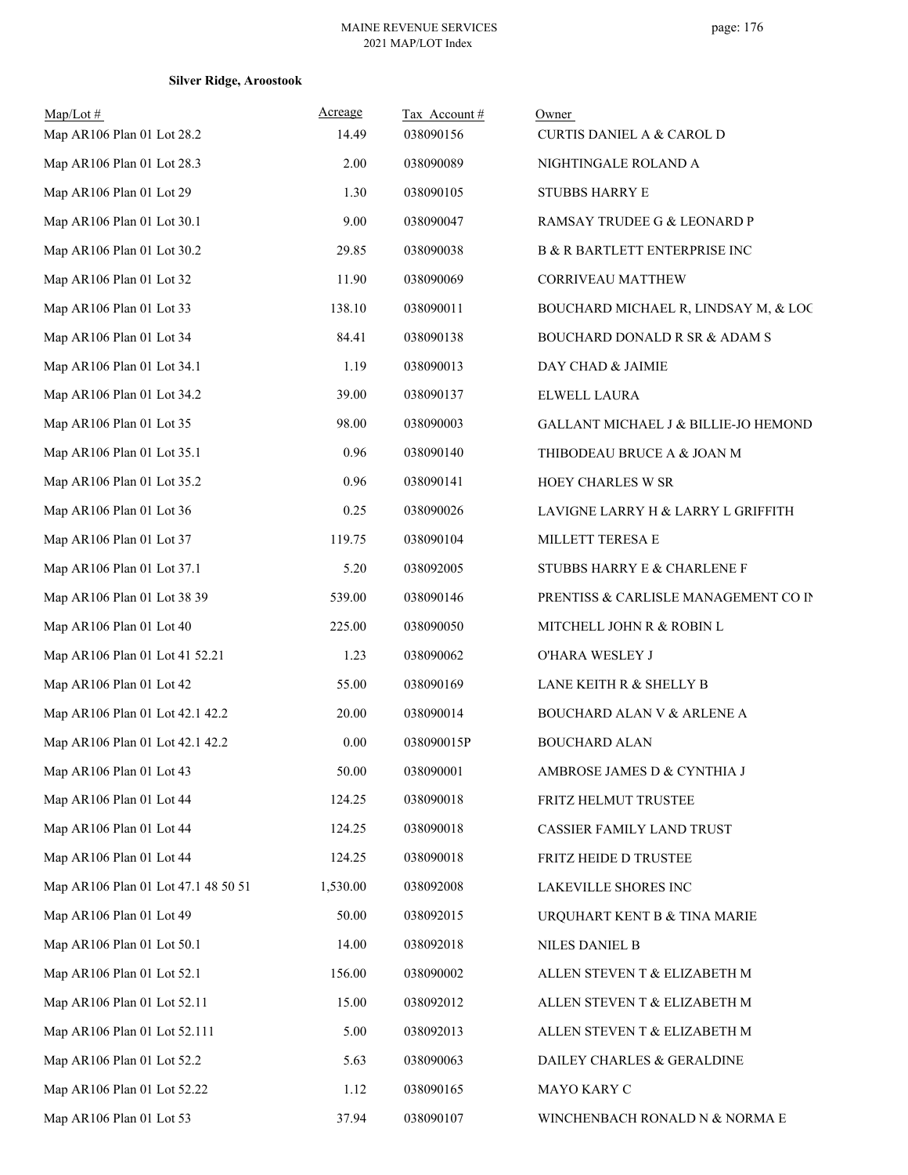| $Map/Lot \#$<br>Map AR106 Plan 01 Lot 28.2 | Acreage<br>14.49 | Tax Account#<br>038090156 | Owner<br><b>CURTIS DANIEL A &amp; CAROL D</b> |
|--------------------------------------------|------------------|---------------------------|-----------------------------------------------|
| Map AR106 Plan 01 Lot 28.3                 | 2.00             | 038090089                 | NIGHTINGALE ROLAND A                          |
| Map AR106 Plan 01 Lot 29                   | 1.30             | 038090105                 | <b>STUBBS HARRY E</b>                         |
| Map AR106 Plan 01 Lot 30.1                 | 9.00             | 038090047                 | RAMSAY TRUDEE G & LEONARD P                   |
| Map AR106 Plan 01 Lot 30.2                 | 29.85            | 038090038                 | <b>B &amp; R BARTLETT ENTERPRISE INC</b>      |
| Map AR106 Plan 01 Lot 32                   | 11.90            | 038090069                 | <b>CORRIVEAU MATTHEW</b>                      |
| Map AR106 Plan 01 Lot 33                   | 138.10           | 038090011                 | BOUCHARD MICHAEL R, LINDSAY M, & LOC          |
| Map AR106 Plan 01 Lot 34                   | 84.41            | 038090138                 | BOUCHARD DONALD R SR & ADAM S                 |
| Map AR106 Plan 01 Lot 34.1                 | 1.19             | 038090013                 | DAY CHAD & JAIMIE                             |
| Map AR106 Plan 01 Lot 34.2                 | 39.00            | 038090137                 | ELWELL LAURA                                  |
| Map AR106 Plan 01 Lot 35                   | 98.00            | 038090003                 | GALLANT MICHAEL J & BILLIE-JO HEMOND          |
| Map AR106 Plan 01 Lot 35.1                 | 0.96             | 038090140                 | THIBODEAU BRUCE A & JOAN M                    |
| Map AR106 Plan 01 Lot 35.2                 | 0.96             | 038090141                 | HOEY CHARLES W SR                             |
| Map AR106 Plan 01 Lot 36                   | 0.25             | 038090026                 | LAVIGNE LARRY H & LARRY L GRIFFITH            |
| Map AR106 Plan 01 Lot 37                   | 119.75           | 038090104                 | MILLETT TERESA E                              |
| Map AR106 Plan 01 Lot 37.1                 | 5.20             | 038092005                 | STUBBS HARRY E & CHARLENE F                   |
| Map AR106 Plan 01 Lot 38 39                | 539.00           | 038090146                 | PRENTISS & CARLISLE MANAGEMENT CO IN          |
| Map AR106 Plan 01 Lot 40                   | 225.00           | 038090050                 |                                               |
|                                            |                  |                           | MITCHELL JOHN R & ROBIN L                     |
| Map AR106 Plan 01 Lot 41 52.21             | 1.23             | 038090062                 | O'HARA WESLEY J                               |
| Map AR106 Plan 01 Lot 42                   | 55.00            | 038090169                 | LANE KEITH R & SHELLY B                       |
| Map AR106 Plan 01 Lot 42.1 42.2            | 20.00            | 038090014                 | BOUCHARD ALAN V & ARLENE A                    |
| Map AR106 Plan 01 Lot 42.1 42.2            | 0.00             | 038090015P                | <b>BOUCHARD ALAN</b>                          |
| Map AR106 Plan 01 Lot 43                   | 50.00            | 038090001                 | AMBROSE JAMES D & CYNTHIA J                   |
| Map AR106 Plan 01 Lot 44                   | 124.25           | 038090018                 | FRITZ HELMUT TRUSTEE                          |
| Map AR106 Plan 01 Lot 44                   | 124.25           | 038090018                 | CASSIER FAMILY LAND TRUST                     |
| Map AR106 Plan 01 Lot 44                   | 124.25           | 038090018                 | FRITZ HEIDE D TRUSTEE                         |
| Map AR106 Plan 01 Lot 47.1 48 50 51        | 1,530.00         | 038092008                 | LAKEVILLE SHORES INC                          |
| Map AR106 Plan 01 Lot 49                   | 50.00            | 038092015                 | URQUHART KENT B & TINA MARIE                  |
| Map AR106 Plan 01 Lot 50.1                 | 14.00            | 038092018                 | NILES DANIEL B                                |
| Map AR106 Plan 01 Lot 52.1                 | 156.00           | 038090002                 | ALLEN STEVEN T & ELIZABETH M                  |
| Map AR106 Plan 01 Lot 52.11                | 15.00            | 038092012                 | ALLEN STEVEN T & ELIZABETH M                  |
| Map AR106 Plan 01 Lot 52.111               | 5.00             | 038092013                 | ALLEN STEVEN T & ELIZABETH M                  |
| Map AR106 Plan 01 Lot 52.2                 | 5.63             | 038090063                 | DAILEY CHARLES & GERALDINE                    |
| Map AR106 Plan 01 Lot 52.22                | 1.12             | 038090165                 | MAYO KARY C                                   |
| Map AR106 Plan 01 Lot 53                   | 37.94            | 038090107                 | WINCHENBACH RONALD N & NORMA E                |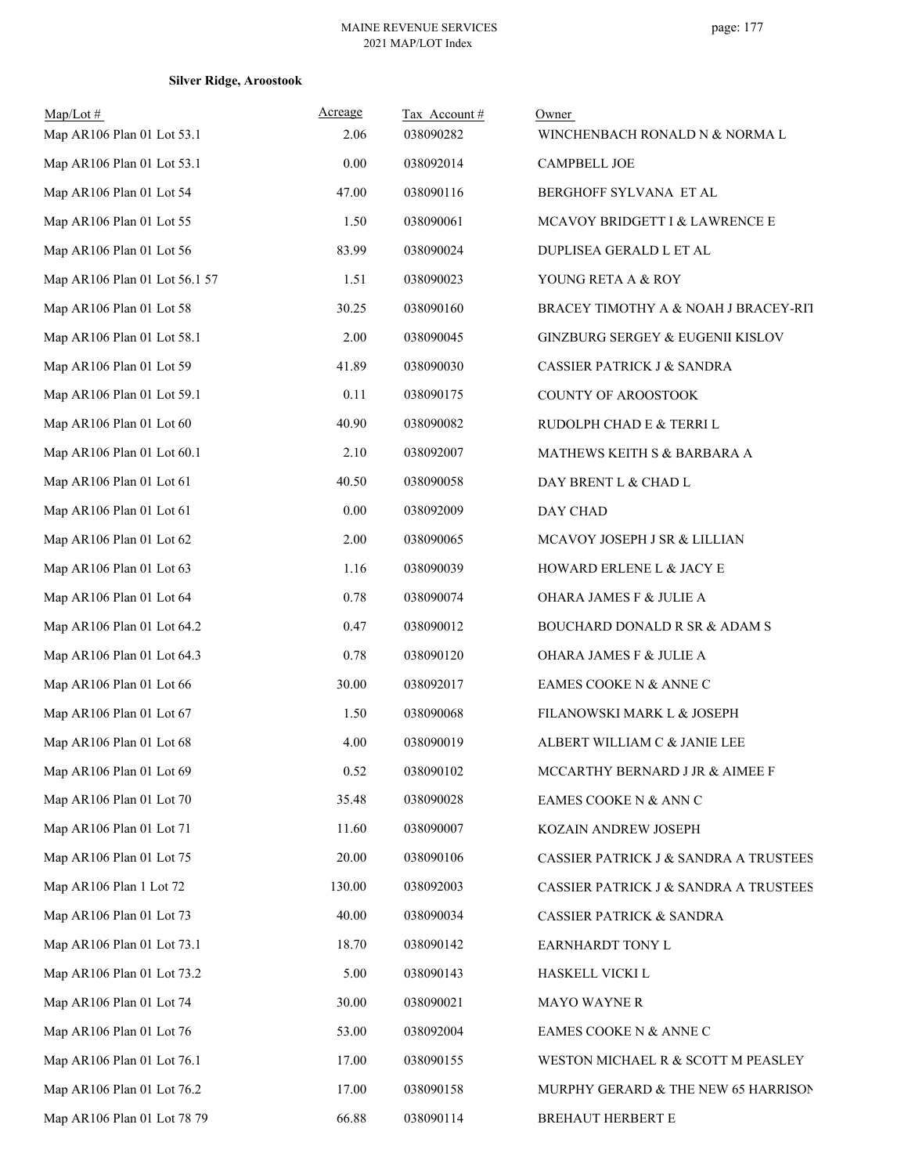| $Map/Lot \#$<br>Map AR106 Plan 01 Lot 53.1 | <u>Acreage</u><br>2.06 | Tax Account#<br>038090282 | Owner<br>WINCHENBACH RONALD N & NORMA L |
|--------------------------------------------|------------------------|---------------------------|-----------------------------------------|
| Map AR106 Plan 01 Lot 53.1                 | 0.00                   | 038092014                 | <b>CAMPBELL JOE</b>                     |
| Map AR106 Plan 01 Lot 54                   | 47.00                  | 038090116                 | BERGHOFF SYLVANA ET AL                  |
| Map AR106 Plan 01 Lot 55                   | 1.50                   | 038090061                 | MCAVOY BRIDGETT I & LAWRENCE E          |
| Map AR106 Plan 01 Lot 56                   | 83.99                  | 038090024                 | DUPLISEA GERALD L ET AL                 |
| Map AR106 Plan 01 Lot 56.1 57              | 1.51                   | 038090023                 | YOUNG RETA A & ROY                      |
| Map AR106 Plan 01 Lot 58                   | 30.25                  | 038090160                 | BRACEY TIMOTHY A & NOAH J BRACEY-RIT    |
| Map AR106 Plan 01 Lot 58.1                 | 2.00                   | 038090045                 | GINZBURG SERGEY & EUGENII KISLOV        |
| Map AR106 Plan 01 Lot 59                   | 41.89                  | 038090030                 | CASSIER PATRICK J & SANDRA              |
| Map AR106 Plan 01 Lot 59.1                 | 0.11                   | 038090175                 | COUNTY OF AROOSTOOK                     |
| Map AR106 Plan 01 Lot 60                   | 40.90                  | 038090082                 | RUDOLPH CHAD E & TERRI L                |
| Map AR106 Plan 01 Lot 60.1                 | 2.10                   | 038092007                 | MATHEWS KEITH S & BARBARA A             |
| Map AR106 Plan 01 Lot 61                   | 40.50                  | 038090058                 | DAY BRENT L & CHAD L                    |
| Map AR106 Plan 01 Lot 61                   | 0.00                   | 038092009                 | DAY CHAD                                |
| Map AR106 Plan 01 Lot 62                   | 2.00                   | 038090065                 | MCAVOY JOSEPH J SR & LILLIAN            |
| Map AR106 Plan 01 Lot 63                   | 1.16                   | 038090039                 | HOWARD ERLENE L & JACY E                |
| Map AR106 Plan 01 Lot 64                   | 0.78                   | 038090074                 | OHARA JAMES F & JULIE A                 |
| Map AR106 Plan 01 Lot 64.2                 | 0.47                   | 038090012                 | BOUCHARD DONALD R SR & ADAM S           |
| Map AR106 Plan 01 Lot 64.3                 | 0.78                   | 038090120                 | OHARA JAMES F & JULIE A                 |
| Map AR106 Plan 01 Lot 66                   | 30.00                  | 038092017                 | EAMES COOKE N & ANNE C                  |
| Map AR106 Plan 01 Lot 67                   | 1.50                   | 038090068                 | FILANOWSKI MARK L & JOSEPH              |
| Map AR106 Plan 01 Lot 68                   | 4.00                   | 038090019                 | ALBERT WILLIAM C & JANIE LEE            |
| Map AR106 Plan 01 Lot 69                   | 0.52                   | 038090102                 | MCCARTHY BERNARD J JR & AIMEE F         |
| Map AR106 Plan 01 Lot 70                   | 35.48                  | 038090028                 | EAMES COOKE N & ANN C                   |
| Map AR106 Plan 01 Lot 71                   | 11.60                  | 038090007                 | KOZAIN ANDREW JOSEPH                    |
| Map AR106 Plan 01 Lot 75                   | 20.00                  | 038090106                 | CASSIER PATRICK J & SANDRA A TRUSTEES   |
| Map AR106 Plan 1 Lot 72                    | 130.00                 | 038092003                 | CASSIER PATRICK J & SANDRA A TRUSTEES   |
| Map AR106 Plan 01 Lot 73                   | 40.00                  | 038090034                 | <b>CASSIER PATRICK &amp; SANDRA</b>     |
| Map AR106 Plan 01 Lot 73.1                 | 18.70                  | 038090142                 | EARNHARDT TONY L                        |
| Map AR106 Plan 01 Lot 73.2                 | 5.00                   | 038090143                 | HASKELL VICKI L                         |
| Map AR106 Plan 01 Lot 74                   | 30.00                  | 038090021                 | <b>MAYO WAYNE R</b>                     |
| Map AR106 Plan 01 Lot 76                   | 53.00                  | 038092004                 | EAMES COOKE N & ANNE C                  |
| Map AR106 Plan 01 Lot 76.1                 | 17.00                  | 038090155                 | WESTON MICHAEL R & SCOTT M PEASLEY      |
| Map AR106 Plan 01 Lot 76.2                 | 17.00                  | 038090158                 | MURPHY GERARD & THE NEW 65 HARRISON     |
| Map AR106 Plan 01 Lot 78 79                | 66.88                  | 038090114                 | BREHAUT HERBERT E                       |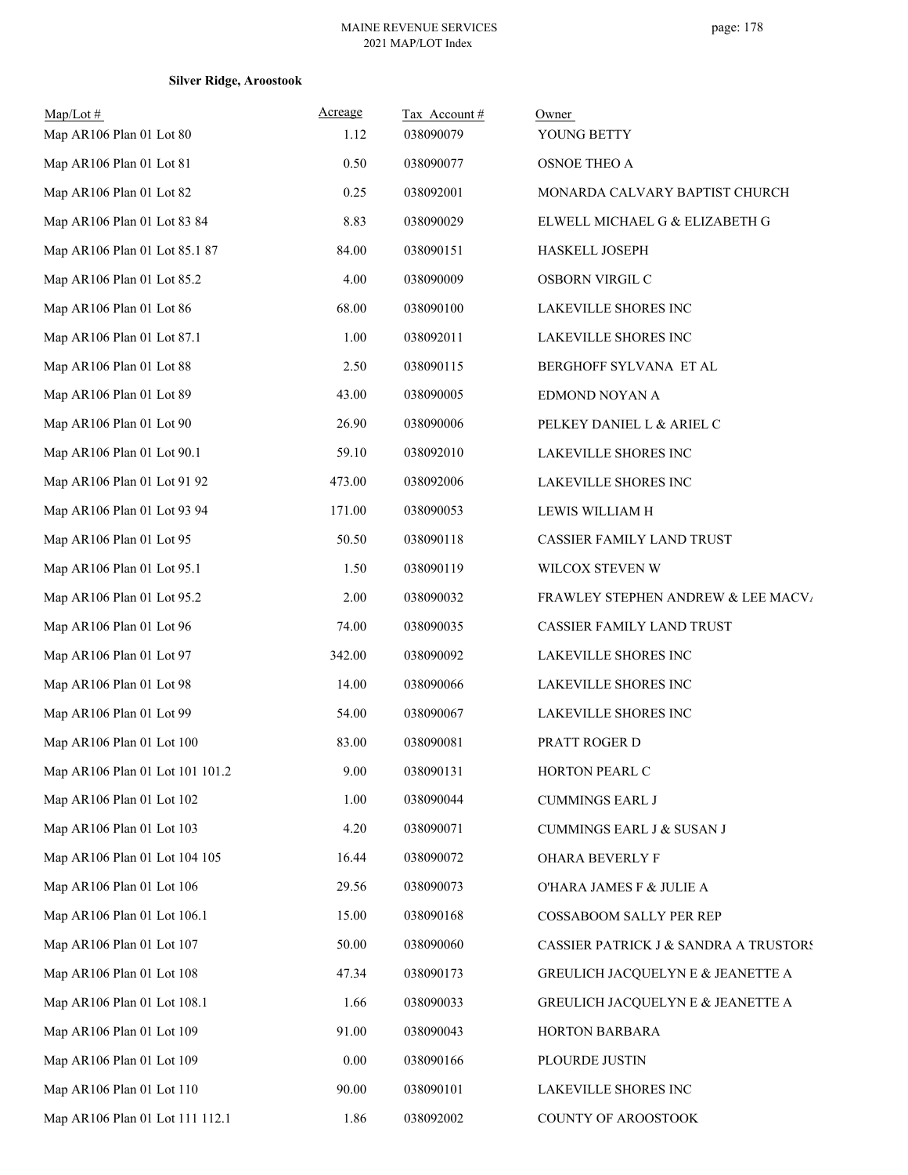| $Map/Lot$ #<br>Map AR106 Plan 01 Lot 80 | Acreage<br>1.12 | Tax Account#<br>038090079 | Owner<br>YOUNG BETTY                  |
|-----------------------------------------|-----------------|---------------------------|---------------------------------------|
| Map AR106 Plan 01 Lot 81                | 0.50            | 038090077                 | <b>OSNOE THEO A</b>                   |
| Map AR106 Plan 01 Lot 82                | 0.25            | 038092001                 | MONARDA CALVARY BAPTIST CHURCH        |
| Map AR106 Plan 01 Lot 83 84             | 8.83            | 038090029                 | ELWELL MICHAEL G & ELIZABETH G        |
| Map AR106 Plan 01 Lot 85.1 87           | 84.00           | 038090151                 | HASKELL JOSEPH                        |
| Map AR106 Plan 01 Lot 85.2              | 4.00            | 038090009                 | OSBORN VIRGIL C                       |
| Map AR106 Plan 01 Lot 86                | 68.00           | 038090100                 | LAKEVILLE SHORES INC                  |
| Map AR106 Plan 01 Lot 87.1              | 1.00            | 038092011                 | LAKEVILLE SHORES INC                  |
| Map AR106 Plan 01 Lot 88                | 2.50            | 038090115                 | BERGHOFF SYLVANA ET AL                |
| Map AR106 Plan 01 Lot 89                | 43.00           | 038090005                 | EDMOND NOYAN A                        |
| Map AR106 Plan 01 Lot 90                | 26.90           | 038090006                 | PELKEY DANIEL L & ARIEL C             |
| Map AR106 Plan 01 Lot 90.1              | 59.10           | 038092010                 | LAKEVILLE SHORES INC                  |
| Map AR106 Plan 01 Lot 91 92             | 473.00          | 038092006                 | LAKEVILLE SHORES INC                  |
| Map AR106 Plan 01 Lot 93 94             | 171.00          | 038090053                 | LEWIS WILLIAM H                       |
| Map AR106 Plan 01 Lot 95                | 50.50           | 038090118                 | CASSIER FAMILY LAND TRUST             |
| Map AR106 Plan 01 Lot 95.1              | 1.50            | 038090119                 | WILCOX STEVEN W                       |
| Map AR106 Plan 01 Lot 95.2              | 2.00            | 038090032                 | FRAWLEY STEPHEN ANDREW & LEE MACV/    |
| Map AR106 Plan 01 Lot 96                | 74.00           | 038090035                 | CASSIER FAMILY LAND TRUST             |
| Map AR106 Plan 01 Lot 97                | 342.00          | 038090092                 | LAKEVILLE SHORES INC                  |
| Map AR106 Plan 01 Lot 98                | 14.00           | 038090066                 | LAKEVILLE SHORES INC                  |
| Map AR106 Plan 01 Lot 99                | 54.00           | 038090067                 | LAKEVILLE SHORES INC                  |
| Map AR106 Plan 01 Lot 100               | 83.00           | 038090081                 | PRATT ROGER D                         |
| Map AR106 Plan 01 Lot 101 101.2         | 9.00            | 038090131                 | HORTON PEARL C                        |
| Map AR106 Plan 01 Lot 102               | 1.00            | 038090044                 | <b>CUMMINGS EARL J</b>                |
| Map AR106 Plan 01 Lot 103               | 4.20            | 038090071                 | CUMMINGS EARL J & SUSAN J             |
| Map AR106 Plan 01 Lot 104 105           | 16.44           | 038090072                 | <b>OHARA BEVERLY F</b>                |
| Map AR106 Plan 01 Lot 106               | 29.56           | 038090073                 | O'HARA JAMES F & JULIE A              |
| Map AR106 Plan 01 Lot 106.1             | 15.00           | 038090168                 | COSSABOOM SALLY PER REP               |
| Map AR106 Plan 01 Lot 107               | 50.00           | 038090060                 | CASSIER PATRICK J & SANDRA A TRUSTORS |
| Map AR106 Plan 01 Lot 108               | 47.34           | 038090173                 | GREULICH JACQUELYN E & JEANETTE A     |
| Map AR106 Plan 01 Lot 108.1             | 1.66            | 038090033                 | GREULICH JACQUELYN E & JEANETTE A     |
| Map AR106 Plan 01 Lot 109               | 91.00           | 038090043                 | HORTON BARBARA                        |
| Map AR106 Plan 01 Lot 109               | 0.00            | 038090166                 | PLOURDE JUSTIN                        |
| Map AR106 Plan 01 Lot 110               | 90.00           | 038090101                 | LAKEVILLE SHORES INC                  |
| Map AR106 Plan 01 Lot 111 112.1         | 1.86            | 038092002                 | COUNTY OF AROOSTOOK                   |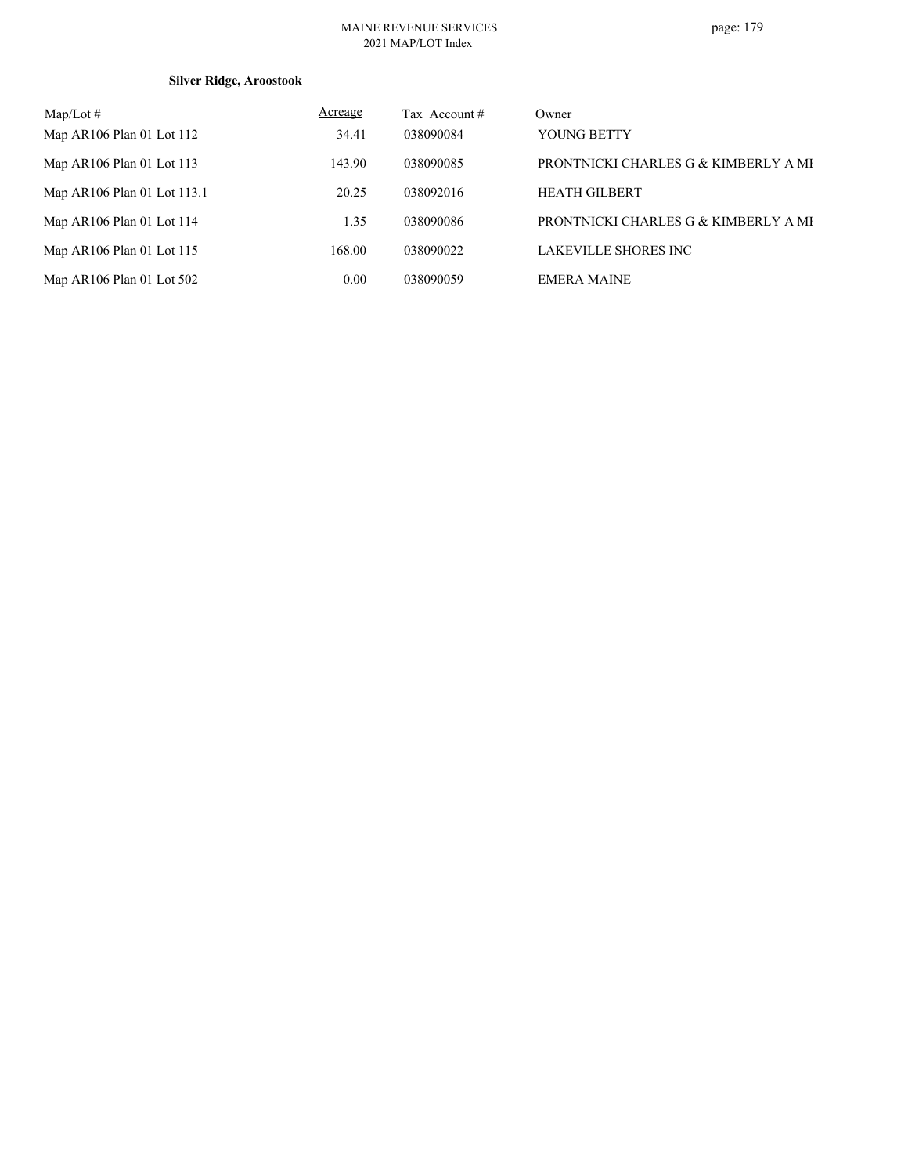### MAINE REVENUE SERVICES 2021 MAP/LOT Index

| $\text{Map/Lot} \#$         | Acreage | Tax Account # | Owner                                |
|-----------------------------|---------|---------------|--------------------------------------|
| Map AR106 Plan 01 Lot 112   | 34.41   | 038090084     | YOUNG BETTY                          |
| Map $AR106$ Plan 01 Lot 113 | 143.90  | 038090085     | PRONTNICKI CHARLES G & KIMBERLY A MI |
| Map AR106 Plan 01 Lot 113.1 | 20.25   | 038092016     | <b>HEATH GILBERT</b>                 |
| Map $AR106$ Plan 01 Lot 114 | 1.35    | 038090086     | PRONTNICKI CHARLES G & KIMBERLY A MI |
| Map AR106 Plan 01 Lot 115   | 168.00  | 038090022     | <b>LAKEVILLE SHORES INC</b>          |
| Map AR106 Plan 01 Lot 502   | 0.00    | 038090059     | <b>EMERA MAINE</b>                   |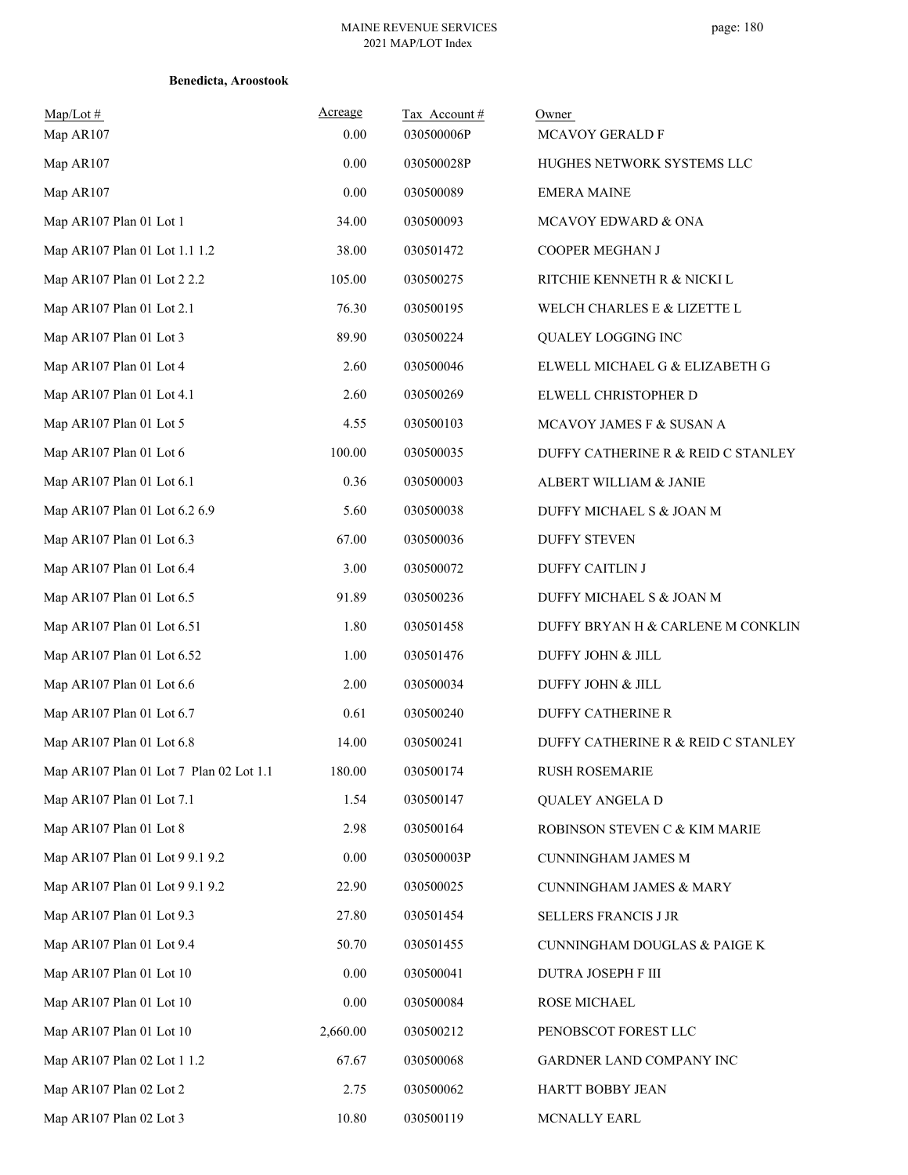| $Map/Lot \#$<br>Map AR107               | Acreage<br>0.00 | Tax Account#<br>030500006P | Owner<br>MCAVOY GERALD F           |
|-----------------------------------------|-----------------|----------------------------|------------------------------------|
| Map AR107                               | 0.00            | 030500028P                 | HUGHES NETWORK SYSTEMS LLC         |
| Map AR107                               | 0.00            | 030500089                  | <b>EMERA MAINE</b>                 |
| Map AR107 Plan 01 Lot 1                 | 34.00           | 030500093                  | MCAVOY EDWARD & ONA                |
| Map AR107 Plan 01 Lot 1.1 1.2           | 38.00           | 030501472                  | COOPER MEGHAN J                    |
| Map AR107 Plan 01 Lot 2 2.2             | 105.00          | 030500275                  | RITCHIE KENNETH R & NICKI L        |
| Map AR107 Plan 01 Lot 2.1               | 76.30           | 030500195                  | WELCH CHARLES E & LIZETTE L        |
| Map AR107 Plan 01 Lot 3                 | 89.90           | 030500224                  | QUALEY LOGGING INC                 |
| Map AR107 Plan 01 Lot 4                 | 2.60            | 030500046                  | ELWELL MICHAEL G & ELIZABETH G     |
| Map AR107 Plan 01 Lot 4.1               | 2.60            | 030500269                  | ELWELL CHRISTOPHER D               |
| Map AR107 Plan 01 Lot 5                 | 4.55            | 030500103                  | MCAVOY JAMES F & SUSAN A           |
| Map AR107 Plan 01 Lot 6                 | 100.00          | 030500035                  | DUFFY CATHERINE R & REID C STANLEY |
| Map AR107 Plan 01 Lot 6.1               | 0.36            | 030500003                  | ALBERT WILLIAM & JANIE             |
| Map AR107 Plan 01 Lot 6.2 6.9           | 5.60            | 030500038                  | DUFFY MICHAEL S & JOAN M           |
| Map AR107 Plan 01 Lot 6.3               | 67.00           | 030500036                  | <b>DUFFY STEVEN</b>                |
| Map AR107 Plan 01 Lot 6.4               | 3.00            | 030500072                  | <b>DUFFY CAITLIN J</b>             |
| Map AR107 Plan 01 Lot 6.5               | 91.89           | 030500236                  | DUFFY MICHAEL S & JOAN M           |
| Map AR107 Plan 01 Lot 6.51              | 1.80            | 030501458                  | DUFFY BRYAN H & CARLENE M CONKLIN  |
| Map AR107 Plan 01 Lot 6.52              | 1.00            | 030501476                  | DUFFY JOHN & JILL                  |
| Map AR107 Plan 01 Lot 6.6               | 2.00            | 030500034                  | DUFFY JOHN & JILL                  |
| Map AR107 Plan 01 Lot 6.7               | 0.61            | 030500240                  | <b>DUFFY CATHERINE R</b>           |
| Map AR107 Plan 01 Lot 6.8               | 14.00           | 030500241                  | DUFFY CATHERINE R & REID C STANLEY |
| Map AR107 Plan 01 Lot 7 Plan 02 Lot 1.1 | 180.00          | 030500174                  | <b>RUSH ROSEMARIE</b>              |
| Map AR107 Plan 01 Lot 7.1               | 1.54            | 030500147                  | <b>QUALEY ANGELA D</b>             |
| Map AR107 Plan 01 Lot 8                 | 2.98            | 030500164                  | ROBINSON STEVEN C & KIM MARIE      |
| Map AR107 Plan 01 Lot 9 9.1 9.2         | 0.00            | 030500003P                 | <b>CUNNINGHAM JAMES M</b>          |
| Map AR107 Plan 01 Lot 9 9.1 9.2         | 22.90           | 030500025                  | <b>CUNNINGHAM JAMES &amp; MARY</b> |
| Map AR107 Plan 01 Lot 9.3               | 27.80           | 030501454                  | SELLERS FRANCIS J JR               |
| Map AR107 Plan 01 Lot 9.4               | 50.70           | 030501455                  | CUNNINGHAM DOUGLAS & PAIGE K       |
| Map AR107 Plan 01 Lot 10                | 0.00            | 030500041                  | DUTRA JOSEPH F III                 |
| Map AR107 Plan 01 Lot 10                | 0.00            | 030500084                  | ROSE MICHAEL                       |
| Map AR107 Plan 01 Lot 10                | 2,660.00        | 030500212                  | PENOBSCOT FOREST LLC               |
| Map AR107 Plan 02 Lot 1 1.2             | 67.67           | 030500068                  | GARDNER LAND COMPANY INC           |
| Map AR107 Plan 02 Lot 2                 | 2.75            | 030500062                  | HARTT BOBBY JEAN                   |
| Map AR107 Plan 02 Lot 3                 | 10.80           | 030500119                  | MCNALLY EARL                       |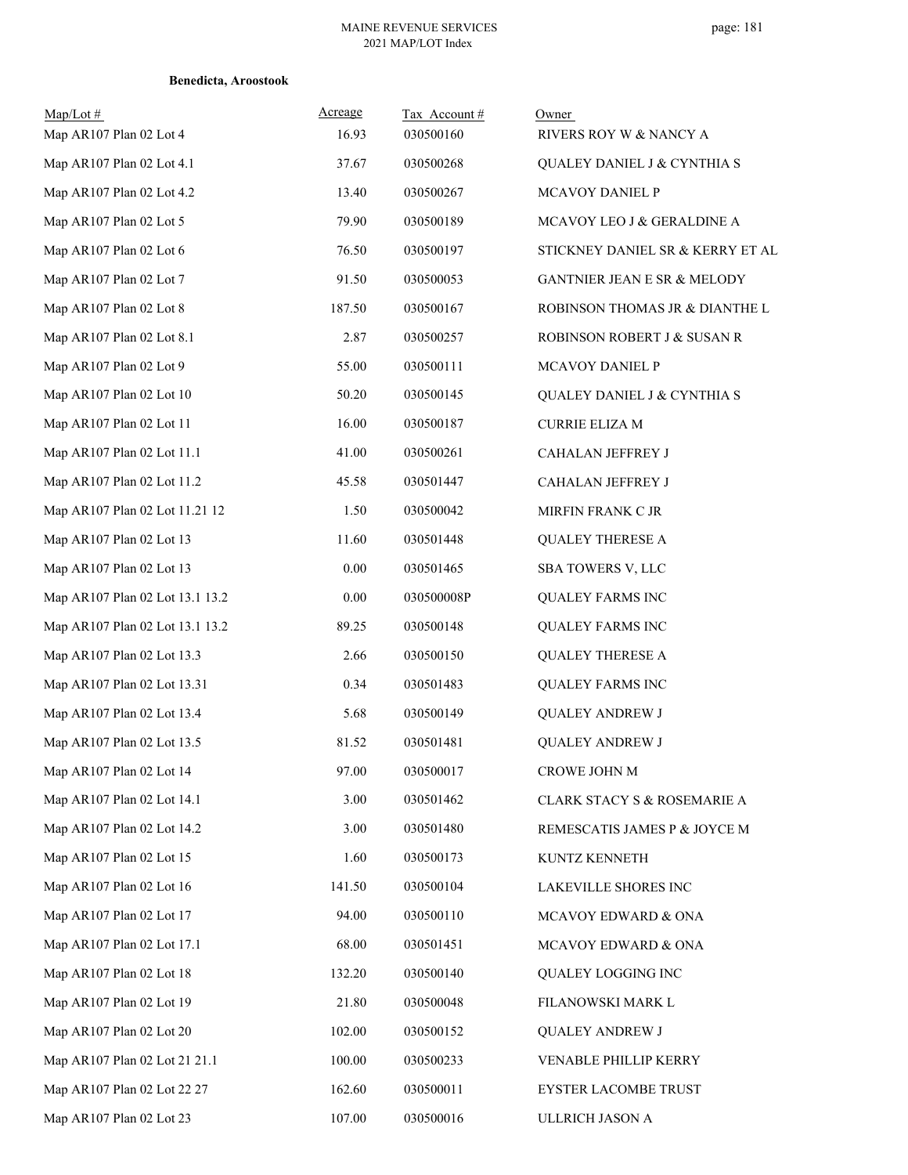| $Map/Lot \#$<br>Map AR107 Plan 02 Lot 4 | Acreage<br>16.93 | Tax Account #<br>030500160 | Owner<br>RIVERS ROY W & NANCY A  |
|-----------------------------------------|------------------|----------------------------|----------------------------------|
| Map AR107 Plan 02 Lot 4.1               | 37.67            | 030500268                  | QUALEY DANIEL J & CYNTHIA S      |
| Map AR107 Plan 02 Lot 4.2               | 13.40            | 030500267                  | MCAVOY DANIEL P                  |
| Map AR107 Plan 02 Lot 5                 | 79.90            | 030500189                  | MCAVOY LEO J & GERALDINE A       |
| Map AR107 Plan 02 Lot 6                 | 76.50            | 030500197                  | STICKNEY DANIEL SR & KERRY ET AL |
| Map AR107 Plan 02 Lot 7                 | 91.50            | 030500053                  | GANTNIER JEAN E SR & MELODY      |
| Map AR107 Plan 02 Lot 8                 | 187.50           | 030500167                  | ROBINSON THOMAS JR & DIANTHE L   |
| Map AR107 Plan 02 Lot 8.1               | 2.87             | 030500257                  | ROBINSON ROBERT J & SUSAN R      |
| Map AR107 Plan 02 Lot 9                 | 55.00            | 030500111                  | MCAVOY DANIEL P                  |
| Map AR107 Plan 02 Lot 10                | 50.20            | 030500145                  | QUALEY DANIEL J & CYNTHIA S      |
| Map AR107 Plan 02 Lot 11                | 16.00            | 030500187                  | <b>CURRIE ELIZA M</b>            |
| Map AR107 Plan 02 Lot 11.1              | 41.00            | 030500261                  | CAHALAN JEFFREY J                |
| Map AR107 Plan 02 Lot 11.2              | 45.58            | 030501447                  | CAHALAN JEFFREY J                |
| Map AR107 Plan 02 Lot 11.21 12          | 1.50             | 030500042                  | MIRFIN FRANK C JR                |
| Map AR107 Plan 02 Lot 13                | 11.60            | 030501448                  | <b>QUALEY THERESE A</b>          |
| Map AR107 Plan 02 Lot 13                | 0.00             | 030501465                  | SBA TOWERS V, LLC                |
| Map AR107 Plan 02 Lot 13.1 13.2         | 0.00             | 030500008P                 | <b>QUALEY FARMS INC</b>          |
| Map AR107 Plan 02 Lot 13.1 13.2         | 89.25            | 030500148                  | <b>QUALEY FARMS INC</b>          |
| Map AR107 Plan 02 Lot 13.3              | 2.66             | 030500150                  | <b>QUALEY THERESE A</b>          |
| Map AR107 Plan 02 Lot 13.31             | 0.34             | 030501483                  | <b>QUALEY FARMS INC</b>          |
| Map AR107 Plan 02 Lot 13.4              | 5.68             | 030500149                  | <b>QUALEY ANDREW J</b>           |
| Map AR107 Plan 02 Lot 13.5              | 81.52            | 030501481                  | <b>QUALEY ANDREW J</b>           |
| Map AR107 Plan 02 Lot 14                | 97.00            | 030500017                  | CROWE JOHN M                     |
| Map AR107 Plan 02 Lot 14.1              | 3.00             | 030501462                  | CLARK STACY S & ROSEMARIE A      |
| Map AR107 Plan 02 Lot 14.2              | 3.00             | 030501480                  | REMESCATIS JAMES P & JOYCE M     |
| Map AR107 Plan 02 Lot 15                | 1.60             | 030500173                  | KUNTZ KENNETH                    |
| Map AR107 Plan 02 Lot 16                | 141.50           | 030500104                  | LAKEVILLE SHORES INC             |
| Map AR107 Plan 02 Lot 17                | 94.00            | 030500110                  | MCAVOY EDWARD & ONA              |
| Map AR107 Plan 02 Lot 17.1              | 68.00            | 030501451                  | MCAVOY EDWARD & ONA              |
| Map AR107 Plan 02 Lot 18                | 132.20           | 030500140                  | QUALEY LOGGING INC               |
| Map AR107 Plan 02 Lot 19                | 21.80            | 030500048                  | FILANOWSKI MARK L                |
| Map AR107 Plan 02 Lot 20                | 102.00           | 030500152                  | <b>QUALEY ANDREW J</b>           |
| Map AR107 Plan 02 Lot 21 21.1           | 100.00           | 030500233                  | VENABLE PHILLIP KERRY            |
| Map AR107 Plan 02 Lot 22 27             | 162.60           | 030500011                  | EYSTER LACOMBE TRUST             |
| Map AR107 Plan 02 Lot 23                | 107.00           | 030500016                  | ULLRICH JASON A                  |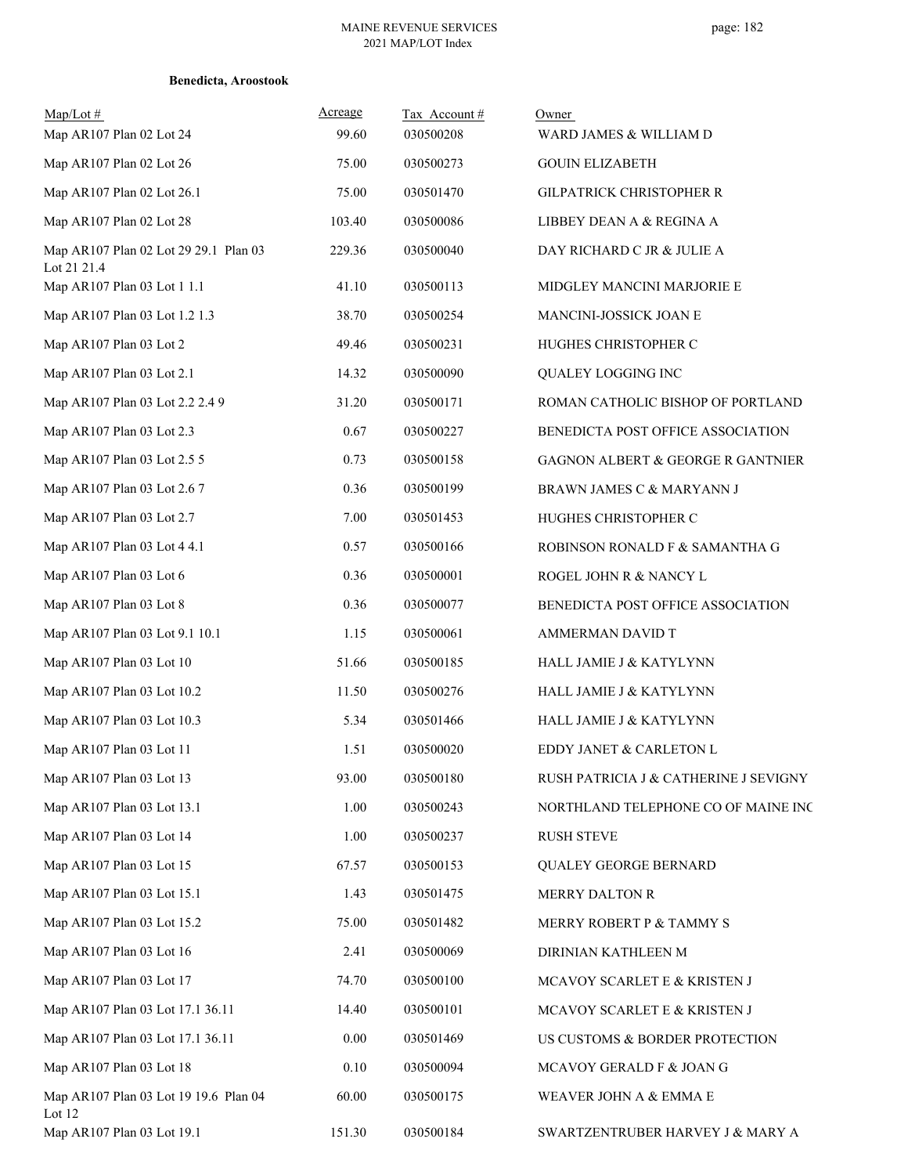| Map/Lot#<br>Map AR107 Plan 02 Lot 24                 | Acreage<br>99.60 | Tax Account#<br>030500208 | Owner<br>WARD JAMES & WILLIAM D              |
|------------------------------------------------------|------------------|---------------------------|----------------------------------------------|
| Map AR107 Plan 02 Lot 26                             | 75.00            | 030500273                 | <b>GOUIN ELIZABETH</b>                       |
| Map AR107 Plan 02 Lot 26.1                           | 75.00            | 030501470                 | GILPATRICK CHRISTOPHER R                     |
| Map AR107 Plan 02 Lot 28                             | 103.40           | 030500086                 | LIBBEY DEAN A & REGINA A                     |
| Map AR107 Plan 02 Lot 29 29.1 Plan 03<br>Lot 21 21.4 | 229.36           | 030500040                 | DAY RICHARD C JR & JULIE A                   |
| Map AR107 Plan 03 Lot 1 1.1                          | 41.10            | 030500113                 | MIDGLEY MANCINI MARJORIE E                   |
| Map AR107 Plan 03 Lot 1.2 1.3                        | 38.70            | 030500254                 | MANCINI-JOSSICK JOAN E                       |
| Map AR107 Plan 03 Lot 2                              | 49.46            | 030500231                 | HUGHES CHRISTOPHER C                         |
| Map AR107 Plan 03 Lot 2.1                            | 14.32            | 030500090                 | QUALEY LOGGING INC                           |
| Map AR107 Plan 03 Lot 2.2 2.4 9                      | 31.20            | 030500171                 | ROMAN CATHOLIC BISHOP OF PORTLAND            |
| Map AR107 Plan 03 Lot 2.3                            | 0.67             | 030500227                 | BENEDICTA POST OFFICE ASSOCIATION            |
| Map AR107 Plan 03 Lot 2.5 5                          | 0.73             | 030500158                 | <b>GAGNON ALBERT &amp; GEORGE R GANTNIER</b> |
| Map AR107 Plan 03 Lot 2.6 7                          | 0.36             | 030500199                 | BRAWN JAMES C & MARYANN J                    |
| Map AR107 Plan 03 Lot 2.7                            | 7.00             | 030501453                 | HUGHES CHRISTOPHER C                         |
| Map AR107 Plan 03 Lot 4 4.1                          | 0.57             | 030500166                 | ROBINSON RONALD F & SAMANTHA G               |
| Map AR107 Plan 03 Lot 6                              | 0.36             | 030500001                 | ROGEL JOHN R & NANCY L                       |
| Map AR107 Plan 03 Lot 8                              | 0.36             | 030500077                 | BENEDICTA POST OFFICE ASSOCIATION            |
| Map AR107 Plan 03 Lot 9.1 10.1                       | 1.15             | 030500061                 | AMMERMAN DAVID T                             |
| Map AR107 Plan 03 Lot 10                             | 51.66            | 030500185                 | HALL JAMIE J & KATYLYNN                      |
| Map AR107 Plan 03 Lot 10.2                           | 11.50            | 030500276                 | HALL JAMIE J & KATYLYNN                      |
| Map AR107 Plan 03 Lot 10.3                           | 5.34             | 030501466                 | HALL JAMIE J & KATYLYNN                      |
| Map AR107 Plan 03 Lot 11                             | 1.51             | 030500020                 | EDDY JANET & CARLETON L                      |
| Map AR107 Plan 03 Lot 13                             | 93.00            | 030500180                 | RUSH PATRICIA J & CATHERINE J SEVIGNY        |
| Map AR107 Plan 03 Lot 13.1                           | 1.00             | 030500243                 | NORTHLAND TELEPHONE CO OF MAINE INC          |
| Map AR107 Plan 03 Lot 14                             | 1.00             | 030500237                 | <b>RUSH STEVE</b>                            |
| Map AR107 Plan 03 Lot 15                             | 67.57            | 030500153                 | QUALEY GEORGE BERNARD                        |
| Map AR107 Plan 03 Lot 15.1                           | 1.43             | 030501475                 | MERRY DALTON R                               |
| Map AR107 Plan 03 Lot 15.2                           | 75.00            | 030501482                 | MERRY ROBERT P & TAMMY S                     |
| Map AR107 Plan 03 Lot 16                             | 2.41             | 030500069                 | DIRINIAN KATHLEEN M                          |
| Map AR107 Plan 03 Lot 17                             | 74.70            | 030500100                 | MCAVOY SCARLET E & KRISTEN J                 |
| Map AR107 Plan 03 Lot 17.1 36.11                     | 14.40            | 030500101                 | MCAVOY SCARLET E & KRISTEN J                 |
| Map AR107 Plan 03 Lot 17.1 36.11                     | 0.00             | 030501469                 | US CUSTOMS & BORDER PROTECTION               |
| Map AR107 Plan 03 Lot 18                             | $0.10\,$         | 030500094                 | MCAVOY GERALD F & JOAN G                     |
| Map AR107 Plan 03 Lot 19 19.6 Plan 04<br>Lot 12      | 60.00            | 030500175                 | WEAVER JOHN A & EMMA E                       |
| Map AR107 Plan 03 Lot 19.1                           | 151.30           | 030500184                 | SWARTZENTRUBER HARVEY J & MARY A             |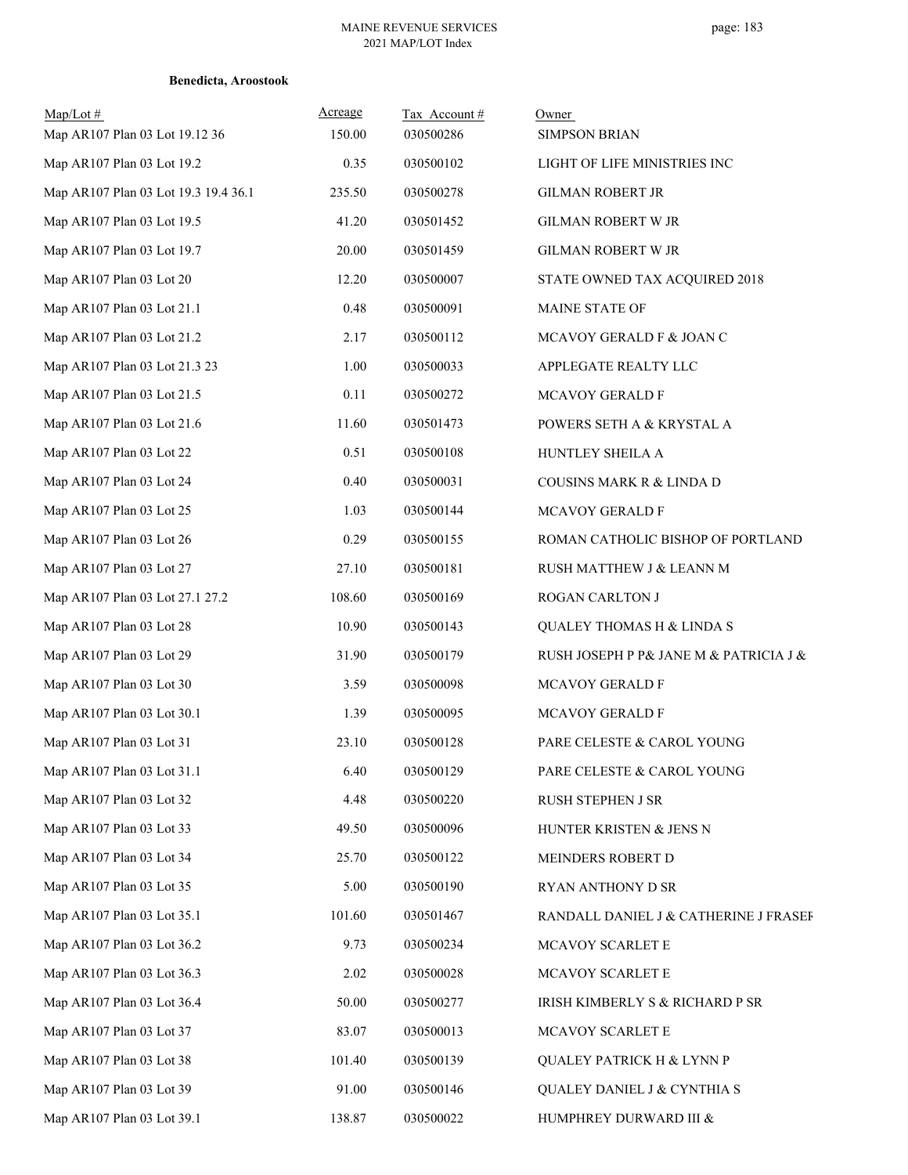| $Map/Lot \#$<br>Map AR107 Plan 03 Lot 19.12 36 | Acreage<br>150.00 | Tax Account#<br>030500286 | Owner<br><b>SIMPSON BRIAN</b>          |
|------------------------------------------------|-------------------|---------------------------|----------------------------------------|
| Map AR107 Plan 03 Lot 19.2                     | 0.35              | 030500102                 | LIGHT OF LIFE MINISTRIES INC           |
| Map AR107 Plan 03 Lot 19.3 19.4 36.1           | 235.50            | 030500278                 | <b>GILMAN ROBERT JR</b>                |
| Map AR107 Plan 03 Lot 19.5                     | 41.20             | 030501452                 | GILMAN ROBERT W JR                     |
| Map AR107 Plan 03 Lot 19.7                     | 20.00             | 030501459                 | GILMAN ROBERT W JR                     |
| Map AR107 Plan 03 Lot 20                       | 12.20             | 030500007                 | STATE OWNED TAX ACQUIRED 2018          |
| Map AR107 Plan 03 Lot 21.1                     | 0.48              | 030500091                 | MAINE STATE OF                         |
| Map AR107 Plan 03 Lot 21.2                     | 2.17              | 030500112                 | MCAVOY GERALD F & JOAN C               |
| Map AR107 Plan 03 Lot 21.3 23                  | 1.00              | 030500033                 | APPLEGATE REALTY LLC                   |
| Map AR107 Plan 03 Lot 21.5                     | 0.11              | 030500272                 | MCAVOY GERALD F                        |
| Map AR107 Plan 03 Lot 21.6                     | 11.60             | 030501473                 | POWERS SETH A & KRYSTAL A              |
| Map AR107 Plan 03 Lot 22                       | 0.51              | 030500108                 | HUNTLEY SHEILA A                       |
| Map AR107 Plan 03 Lot 24                       | 0.40              | 030500031                 | COUSINS MARK R & LINDA D               |
| Map AR107 Plan 03 Lot 25                       | 1.03              | 030500144                 | MCAVOY GERALD F                        |
| Map AR107 Plan 03 Lot 26                       | 0.29              | 030500155                 | ROMAN CATHOLIC BISHOP OF PORTLAND      |
| Map AR107 Plan 03 Lot 27                       | 27.10             | 030500181                 | RUSH MATTHEW J & LEANN M               |
| Map AR107 Plan 03 Lot 27.1 27.2                | 108.60            | 030500169                 | ROGAN CARLTON J                        |
| Map AR107 Plan 03 Lot 28                       | 10.90             | 030500143                 | QUALEY THOMAS H & LINDA S              |
| Map AR107 Plan 03 Lot 29                       | 31.90             | 030500179                 | RUSH JOSEPH P P& JANE M & PATRICIA J & |
| Map AR107 Plan 03 Lot 30                       | 3.59              | 030500098                 | MCAVOY GERALD F                        |
| Map AR107 Plan 03 Lot 30.1                     | 1.39              | 030500095                 | MCAVOY GERALD F                        |
| Map AR107 Plan 03 Lot 31                       | 23.10             | 030500128                 | PARE CELESTE & CAROL YOUNG             |
| Map AR107 Plan 03 Lot 31.1                     | 6.40              | 030500129                 | PARE CELESTE & CAROL YOUNG             |
| Map AR107 Plan 03 Lot 32                       | 4.48              | 030500220                 | RUSH STEPHEN J SR                      |
| Map AR107 Plan 03 Lot 33                       | 49.50             | 030500096                 | HUNTER KRISTEN & JENS N                |
| Map AR107 Plan 03 Lot 34                       | 25.70             | 030500122                 | MEINDERS ROBERT D                      |
| Map AR107 Plan 03 Lot 35                       | 5.00              | 030500190                 | RYAN ANTHONY D SR                      |
| Map AR107 Plan 03 Lot 35.1                     | 101.60            | 030501467                 | RANDALL DANIEL J & CATHERINE J FRASEF  |
| Map AR107 Plan 03 Lot 36.2                     | 9.73              | 030500234                 | MCAVOY SCARLET E                       |
| Map AR107 Plan 03 Lot 36.3                     | 2.02              | 030500028                 | MCAVOY SCARLET E                       |
| Map AR107 Plan 03 Lot 36.4                     | 50.00             | 030500277                 | IRISH KIMBERLY S & RICHARD P SR        |
| Map AR107 Plan 03 Lot 37                       | 83.07             | 030500013                 | MCAVOY SCARLET E                       |
| Map AR107 Plan 03 Lot 38                       | 101.40            | 030500139                 | QUALEY PATRICK H & LYNN P              |
| Map AR107 Plan 03 Lot 39                       | 91.00             | 030500146                 | QUALEY DANIEL J & CYNTHIA S            |
| Map AR107 Plan 03 Lot 39.1                     | 138.87            | 030500022                 | HUMPHREY DURWARD III &                 |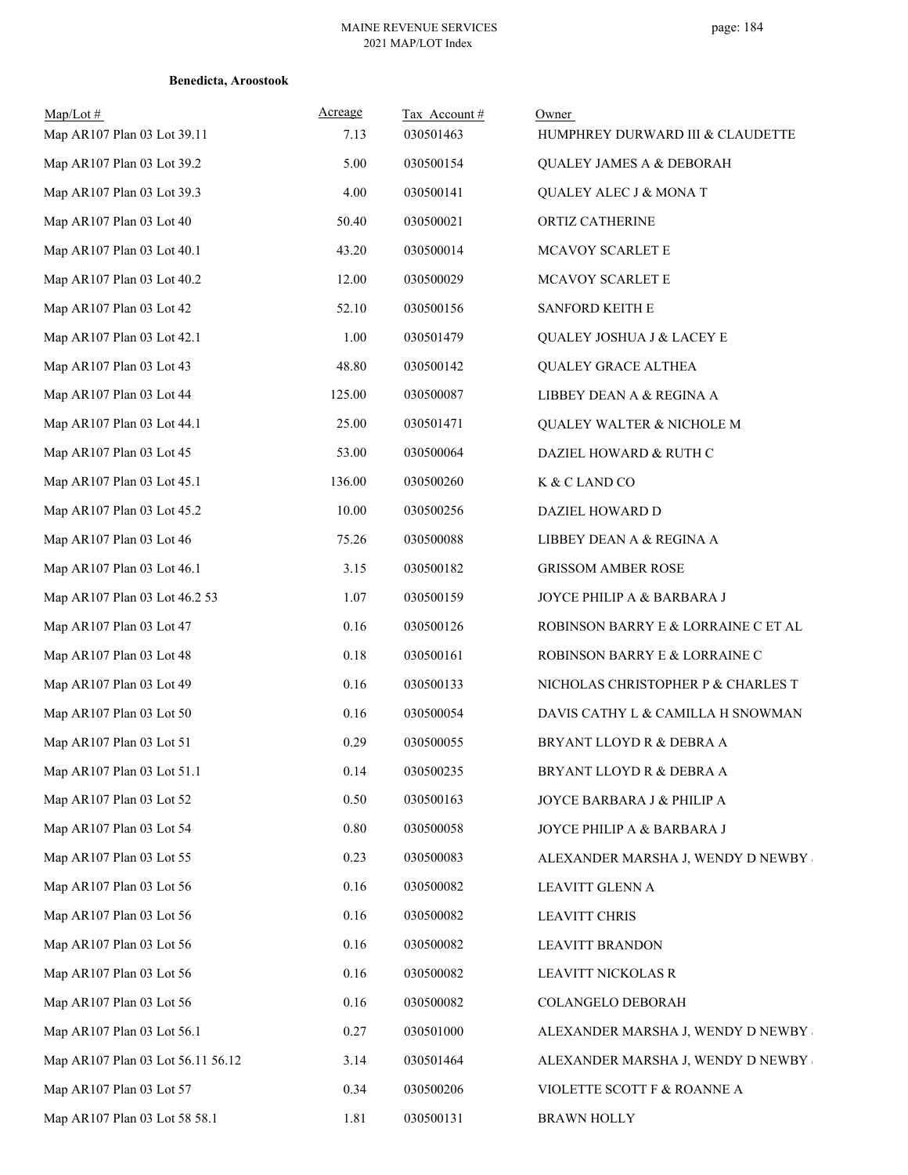| $Map/Lot \#$<br>Map AR107 Plan 03 Lot 39.11 | Acreage<br>7.13 | Tax Account#<br>030501463 | Owner<br>HUMPHREY DURWARD III & CLAUDETTE |
|---------------------------------------------|-----------------|---------------------------|-------------------------------------------|
| Map AR107 Plan 03 Lot 39.2                  | 5.00            | 030500154                 | <b>QUALEY JAMES A &amp; DEBORAH</b>       |
| Map AR107 Plan 03 Lot 39.3                  | 4.00            | 030500141                 | QUALEY ALEC J & MONA T                    |
| Map AR107 Plan 03 Lot 40                    | 50.40           | 030500021                 | ORTIZ CATHERINE                           |
| Map AR107 Plan 03 Lot 40.1                  | 43.20           | 030500014                 | MCAVOY SCARLET E                          |
| Map AR107 Plan 03 Lot 40.2                  | 12.00           | 030500029                 | MCAVOY SCARLET E                          |
| Map AR107 Plan 03 Lot 42                    | 52.10           | 030500156                 | SANFORD KEITH E                           |
| Map AR107 Plan 03 Lot 42.1                  | 1.00            | 030501479                 | QUALEY JOSHUA J & LACEY E                 |
| Map AR107 Plan 03 Lot 43                    | 48.80           | 030500142                 | <b>QUALEY GRACE ALTHEA</b>                |
| Map AR107 Plan 03 Lot 44                    | 125.00          | 030500087                 | LIBBEY DEAN A & REGINA A                  |
| Map AR107 Plan 03 Lot 44.1                  | 25.00           | 030501471                 | QUALEY WALTER & NICHOLE M                 |
| Map AR107 Plan 03 Lot 45                    | 53.00           | 030500064                 | DAZIEL HOWARD & RUTH C                    |
| Map AR107 Plan 03 Lot 45.1                  | 136.00          | 030500260                 | K & C LAND CO                             |
| Map AR107 Plan 03 Lot 45.2                  | 10.00           | 030500256                 | DAZIEL HOWARD D                           |
| Map AR107 Plan 03 Lot 46                    | 75.26           | 030500088                 | LIBBEY DEAN A & REGINA A                  |
| Map AR107 Plan 03 Lot 46.1                  | 3.15            | 030500182                 | <b>GRISSOM AMBER ROSE</b>                 |
| Map AR107 Plan 03 Lot 46.2 53               | 1.07            | 030500159                 | JOYCE PHILIP A & BARBARA J                |
| Map AR107 Plan 03 Lot 47                    | 0.16            | 030500126                 | ROBINSON BARRY E & LORRAINE C ET AL       |
| Map AR107 Plan 03 Lot 48                    | 0.18            | 030500161                 | ROBINSON BARRY E & LORRAINE C             |
| Map AR107 Plan 03 Lot 49                    | 0.16            | 030500133                 | NICHOLAS CHRISTOPHER P & CHARLES T        |
| Map AR107 Plan 03 Lot 50                    | 0.16            | 030500054                 | DAVIS CATHY L & CAMILLA H SNOWMAN         |
| Map AR107 Plan 03 Lot 51                    | 0.29            | 030500055                 | BRYANT LLOYD R & DEBRA A                  |
| Map AR107 Plan 03 Lot 51.1                  | 0.14            | 030500235                 | BRYANT LLOYD R & DEBRA A                  |
| Map AR107 Plan 03 Lot 52                    | 0.50            | 030500163                 | JOYCE BARBARA J & PHILIP A                |
| Map AR107 Plan 03 Lot 54                    | 0.80            | 030500058                 | JOYCE PHILIP A & BARBARA J                |
| Map AR107 Plan 03 Lot 55                    | 0.23            | 030500083                 | ALEXANDER MARSHA J, WENDY D NEWBY         |
| Map AR107 Plan 03 Lot 56                    | 0.16            | 030500082                 | LEAVITT GLENN A                           |
| Map AR107 Plan 03 Lot 56                    | 0.16            | 030500082                 | <b>LEAVITT CHRIS</b>                      |
| Map AR107 Plan 03 Lot 56                    | 0.16            | 030500082                 | <b>LEAVITT BRANDON</b>                    |
| Map AR107 Plan 03 Lot 56                    | 0.16            | 030500082                 | LEAVITT NICKOLAS R                        |
| Map AR107 Plan 03 Lot 56                    | 0.16            | 030500082                 | COLANGELO DEBORAH                         |
| Map AR107 Plan 03 Lot 56.1                  | 0.27            | 030501000                 | ALEXANDER MARSHA J, WENDY D NEWBY         |
| Map AR107 Plan 03 Lot 56.11 56.12           | 3.14            | 030501464                 | ALEXANDER MARSHA J, WENDY D NEWBY         |
| Map AR107 Plan 03 Lot 57                    | 0.34            | 030500206                 | VIOLETTE SCOTT F & ROANNE A               |
| Map AR107 Plan 03 Lot 58 58.1               | 1.81            | 030500131                 | BRAWN HOLLY                               |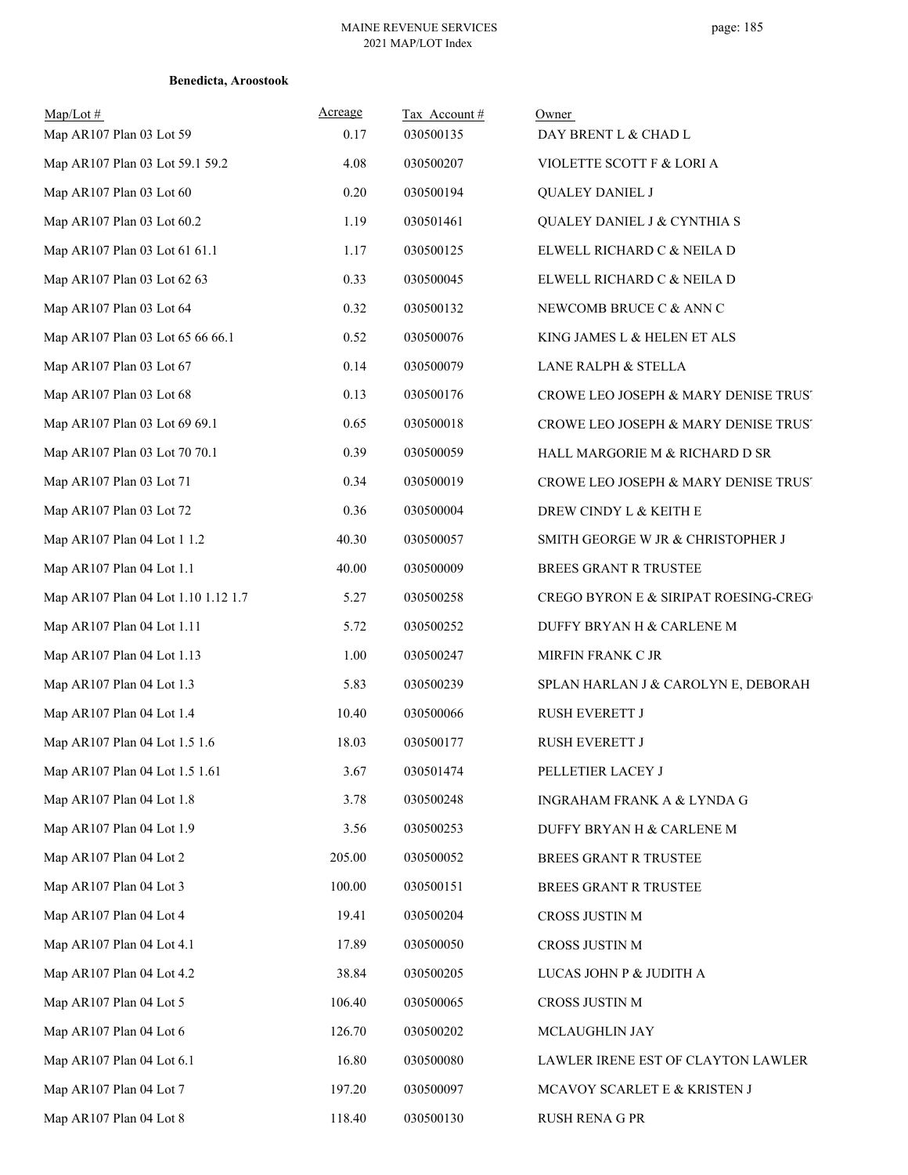| $Map/Lot \#$<br>Map AR107 Plan 03 Lot 59 | Acreage<br>0.17 | Tax Account#<br>030500135 | Owner<br>DAY BRENT L & CHAD L        |
|------------------------------------------|-----------------|---------------------------|--------------------------------------|
| Map AR107 Plan 03 Lot 59.1 59.2          | 4.08            | 030500207                 | VIOLETTE SCOTT F & LORI A            |
| Map AR107 Plan 03 Lot 60                 | 0.20            | 030500194                 | <b>QUALEY DANIEL J</b>               |
| Map AR107 Plan 03 Lot 60.2               | 1.19            | 030501461                 | QUALEY DANIEL J & CYNTHIA S          |
| Map AR107 Plan 03 Lot 61 61.1            | 1.17            | 030500125                 | ELWELL RICHARD C & NEILA D           |
| Map AR107 Plan 03 Lot 62 63              | 0.33            | 030500045                 | ELWELL RICHARD C & NEILA D           |
| Map AR107 Plan 03 Lot 64                 | 0.32            | 030500132                 | NEWCOMB BRUCE C & ANN C              |
| Map AR107 Plan 03 Lot 65 66 66.1         | 0.52            | 030500076                 | KING JAMES L & HELEN ET ALS          |
| Map AR107 Plan 03 Lot 67                 | 0.14            | 030500079                 | LANE RALPH & STELLA                  |
| Map AR107 Plan 03 Lot 68                 | 0.13            | 030500176                 | CROWE LEO JOSEPH & MARY DENISE TRUST |
| Map AR107 Plan 03 Lot 69 69.1            | 0.65            | 030500018                 | CROWE LEO JOSEPH & MARY DENISE TRUST |
| Map AR107 Plan 03 Lot 70 70.1            | 0.39            | 030500059                 | HALL MARGORIE M & RICHARD D SR       |
| Map AR107 Plan 03 Lot 71                 | 0.34            | 030500019                 | CROWE LEO JOSEPH & MARY DENISE TRUST |
| Map AR107 Plan 03 Lot 72                 | 0.36            | 030500004                 | DREW CINDY L & KEITH E               |
| Map AR107 Plan 04 Lot 1 1.2              | 40.30           | 030500057                 | SMITH GEORGE W JR & CHRISTOPHER J    |
| Map AR107 Plan 04 Lot 1.1                | 40.00           | 030500009                 | BREES GRANT R TRUSTEE                |
| Map AR107 Plan 04 Lot 1.10 1.12 1.7      | 5.27            | 030500258                 | CREGO BYRON E & SIRIPAT ROESING-CREG |
| Map AR107 Plan 04 Lot 1.11               | 5.72            | 030500252                 | DUFFY BRYAN H & CARLENE M            |
| Map AR107 Plan 04 Lot 1.13               | 1.00            | 030500247                 | MIRFIN FRANK C JR                    |
| Map AR107 Plan 04 Lot 1.3                | 5.83            | 030500239                 | SPLAN HARLAN J & CAROLYN E, DEBORAH  |
| Map AR107 Plan 04 Lot 1.4                | 10.40           | 030500066                 | RUSH EVERETT J                       |
| Map AR107 Plan 04 Lot 1.5 1.6            | 18.03           | 030500177                 | RUSH EVERETT J                       |
| Map AR107 Plan 04 Lot 1.5 1.61           | 3.67            | 030501474                 | PELLETIER LACEY J                    |
| Map AR107 Plan 04 Lot 1.8                | 3.78            | 030500248                 | INGRAHAM FRANK A & LYNDA G           |
| Map AR107 Plan 04 Lot 1.9                | 3.56            | 030500253                 | DUFFY BRYAN H & CARLENE M            |
| Map AR107 Plan 04 Lot 2                  | 205.00          | 030500052                 | BREES GRANT R TRUSTEE                |
| Map AR107 Plan 04 Lot 3                  | 100.00          | 030500151                 | BREES GRANT R TRUSTEE                |
| Map AR107 Plan 04 Lot 4                  | 19.41           | 030500204                 | CROSS JUSTIN M                       |
| Map AR107 Plan 04 Lot 4.1                | 17.89           | 030500050                 | CROSS JUSTIN M                       |
| Map AR107 Plan 04 Lot 4.2                | 38.84           | 030500205                 | LUCAS JOHN P & JUDITH A              |
| Map AR107 Plan 04 Lot 5                  | 106.40          | 030500065                 | CROSS JUSTIN M                       |
| Map AR107 Plan 04 Lot 6                  | 126.70          | 030500202                 | MCLAUGHLIN JAY                       |
| Map AR107 Plan 04 Lot 6.1                | 16.80           | 030500080                 | LAWLER IRENE EST OF CLAYTON LAWLER   |
| Map AR107 Plan 04 Lot 7                  | 197.20          | 030500097                 | MCAVOY SCARLET E & KRISTEN J         |
| Map AR107 Plan 04 Lot 8                  | 118.40          | 030500130                 | RUSH RENA G PR                       |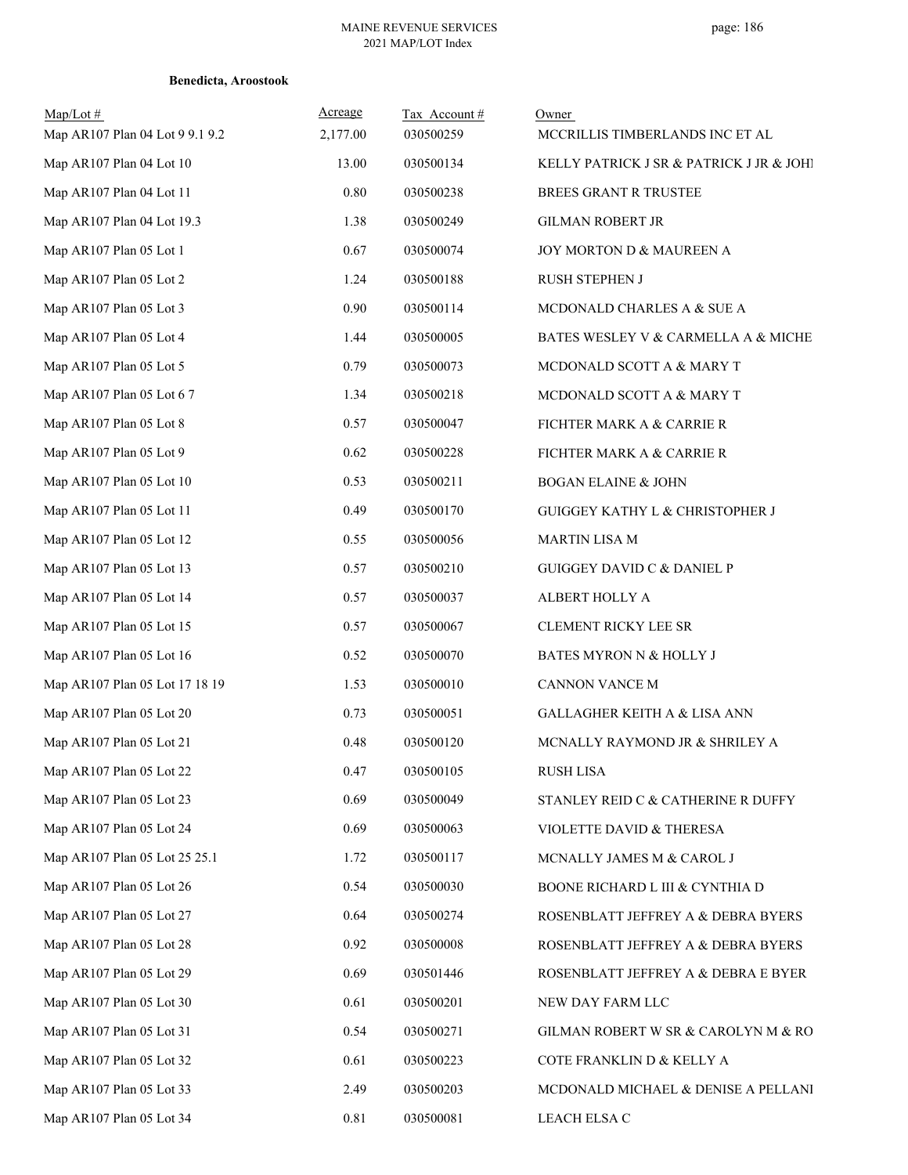| $Map/Lot \#$<br>Map AR107 Plan 04 Lot 9 9.1 9.2 | Acreage<br>2,177.00 | Tax Account#<br>030500259 | Owner<br>MCCRILLIS TIMBERLANDS INC ET AL |
|-------------------------------------------------|---------------------|---------------------------|------------------------------------------|
| Map AR107 Plan 04 Lot 10                        | 13.00               | 030500134                 | KELLY PATRICK J SR & PATRICK J JR & JOHI |
| Map AR107 Plan 04 Lot 11                        | 0.80                | 030500238                 | BREES GRANT R TRUSTEE                    |
| Map AR107 Plan 04 Lot 19.3                      | 1.38                | 030500249                 | <b>GILMAN ROBERT JR</b>                  |
| Map AR107 Plan 05 Lot 1                         | 0.67                | 030500074                 | JOY MORTON D & MAUREEN A                 |
| Map AR107 Plan 05 Lot 2                         | 1.24                | 030500188                 | RUSH STEPHEN J                           |
| Map AR107 Plan 05 Lot 3                         | 0.90                | 030500114                 | MCDONALD CHARLES A & SUE A               |
| Map AR107 Plan 05 Lot 4                         | 1.44                | 030500005                 | BATES WESLEY V & CARMELLA A & MICHE      |
| Map AR107 Plan 05 Lot 5                         | 0.79                | 030500073                 | MCDONALD SCOTT A & MARY T                |
| Map AR107 Plan 05 Lot 6 7                       | 1.34                | 030500218                 | MCDONALD SCOTT A & MARY T                |
| Map AR107 Plan 05 Lot 8                         | 0.57                | 030500047                 | FICHTER MARK A & CARRIE R                |
| Map AR107 Plan 05 Lot 9                         | 0.62                | 030500228                 | FICHTER MARK A & CARRIE R                |
| Map AR107 Plan 05 Lot 10                        | 0.53                | 030500211                 | <b>BOGAN ELAINE &amp; JOHN</b>           |
| Map AR107 Plan 05 Lot 11                        | 0.49                | 030500170                 | GUIGGEY KATHY L & CHRISTOPHER J          |
| Map AR107 Plan 05 Lot 12                        | 0.55                | 030500056                 | <b>MARTIN LISA M</b>                     |
| Map AR107 Plan 05 Lot 13                        | 0.57                | 030500210                 | <b>GUIGGEY DAVID C &amp; DANIEL P</b>    |
| Map AR107 Plan 05 Lot 14                        | 0.57                | 030500037                 | ALBERT HOLLY A                           |
| Map AR107 Plan 05 Lot 15                        | 0.57                | 030500067                 | <b>CLEMENT RICKY LEE SR</b>              |
| Map AR107 Plan 05 Lot 16                        | 0.52                | 030500070                 | BATES MYRON N & HOLLY J                  |
| Map AR107 Plan 05 Lot 17 18 19                  | 1.53                | 030500010                 | CANNON VANCE M                           |
| Map AR107 Plan 05 Lot 20                        | 0.73                | 030500051                 | GALLAGHER KEITH A & LISA ANN             |
| Map AR107 Plan 05 Lot 21                        | 0.48                | 030500120                 | MCNALLY RAYMOND JR & SHRILEY A           |
| Map AR107 Plan 05 Lot 22                        | 0.47                | 030500105                 | <b>RUSH LISA</b>                         |
| Map AR107 Plan 05 Lot 23                        | 0.69                | 030500049                 | STANLEY REID C & CATHERINE R DUFFY       |
| Map AR107 Plan 05 Lot 24                        | 0.69                | 030500063                 | VIOLETTE DAVID & THERESA                 |
| Map AR107 Plan 05 Lot 25 25.1                   | 1.72                | 030500117                 | MCNALLY JAMES M & CAROL J                |
| Map AR107 Plan 05 Lot 26                        | 0.54                | 030500030                 | BOONE RICHARD L III & CYNTHIA D          |
| Map AR107 Plan 05 Lot 27                        | 0.64                | 030500274                 | ROSENBLATT JEFFREY A & DEBRA BYERS       |
| Map AR107 Plan 05 Lot 28                        | 0.92                | 030500008                 | ROSENBLATT JEFFREY A & DEBRA BYERS       |
| Map AR107 Plan 05 Lot 29                        | 0.69                | 030501446                 | ROSENBLATT JEFFREY A & DEBRA E BYER      |
| Map AR107 Plan 05 Lot 30                        | 0.61                | 030500201                 | NEW DAY FARM LLC                         |
| Map AR107 Plan 05 Lot 31                        | 0.54                | 030500271                 | GILMAN ROBERT W SR & CAROLYN M & RO      |
| Map AR107 Plan 05 Lot 32                        | 0.61                | 030500223                 | COTE FRANKLIN D & KELLY A                |
| Map AR107 Plan 05 Lot 33                        | 2.49                | 030500203                 | MCDONALD MICHAEL & DENISE A PELLANI      |
| Map AR107 Plan 05 Lot 34                        | 0.81                | 030500081                 | LEACH ELSA C                             |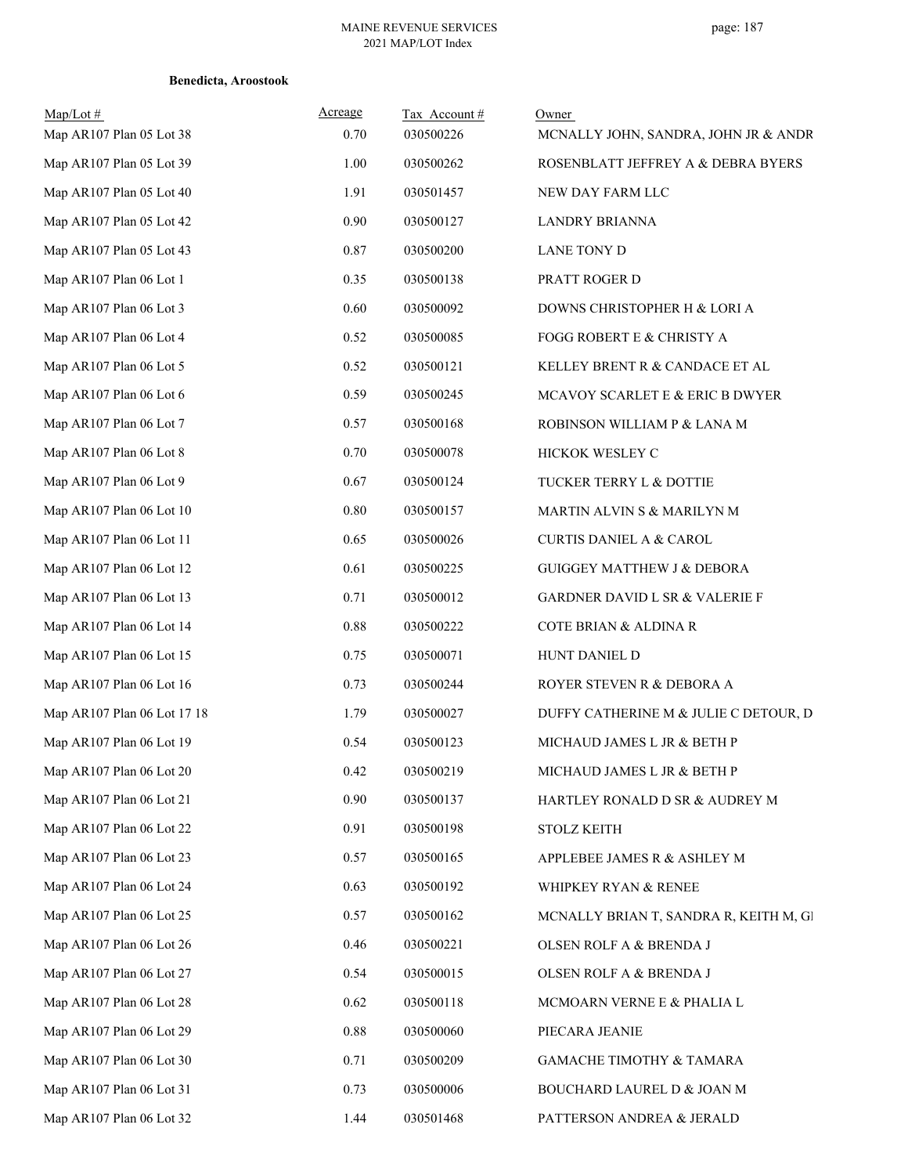| Map/Lot#<br>Map AR107 Plan 05 Lot 38 | Acreage<br>0.70 | Tax Account#<br>030500226 | Owner<br>MCNALLY JOHN, SANDRA, JOHN JR & ANDR |
|--------------------------------------|-----------------|---------------------------|-----------------------------------------------|
| Map AR107 Plan 05 Lot 39             | 1.00            | 030500262                 | ROSENBLATT JEFFREY A & DEBRA BYERS            |
| Map AR107 Plan 05 Lot 40             | 1.91            | 030501457                 | NEW DAY FARM LLC                              |
| Map AR107 Plan 05 Lot 42             | 0.90            | 030500127                 | <b>LANDRY BRIANNA</b>                         |
| Map AR107 Plan 05 Lot 43             | 0.87            | 030500200                 | <b>LANE TONY D</b>                            |
| Map AR107 Plan 06 Lot 1              | 0.35            | 030500138                 | PRATT ROGER D                                 |
| Map AR107 Plan 06 Lot 3              | 0.60            | 030500092                 | DOWNS CHRISTOPHER H & LORI A                  |
| Map AR107 Plan 06 Lot 4              | 0.52            | 030500085                 | FOGG ROBERT E & CHRISTY A                     |
| Map AR107 Plan 06 Lot 5              | 0.52            | 030500121                 | KELLEY BRENT R & CANDACE ET AL                |
| Map AR107 Plan 06 Lot 6              | 0.59            | 030500245                 | MCAVOY SCARLET E & ERIC B DWYER               |
| Map AR107 Plan 06 Lot 7              | 0.57            | 030500168                 | ROBINSON WILLIAM P & LANA M                   |
| Map AR107 Plan 06 Lot 8              | 0.70            | 030500078                 | HICKOK WESLEY C                               |
| Map AR107 Plan 06 Lot 9              | 0.67            | 030500124                 | TUCKER TERRY L & DOTTIE                       |
| Map AR107 Plan 06 Lot 10             | $0.80\,$        | 030500157                 | MARTIN ALVIN S & MARILYN M                    |
| Map AR107 Plan 06 Lot 11             | 0.65            | 030500026                 | <b>CURTIS DANIEL A &amp; CAROL</b>            |
| Map AR107 Plan 06 Lot 12             | 0.61            | 030500225                 | <b>GUIGGEY MATTHEW J &amp; DEBORA</b>         |
| Map AR107 Plan 06 Lot 13             | 0.71            | 030500012                 | <b>GARDNER DAVID L SR &amp; VALERIE F</b>     |
| Map AR107 Plan 06 Lot 14             | 0.88            | 030500222                 | COTE BRIAN & ALDINA R                         |
| Map AR107 Plan 06 Lot 15             | 0.75            | 030500071                 | HUNT DANIEL D                                 |
| Map AR107 Plan 06 Lot 16             | 0.73            | 030500244                 | ROYER STEVEN R & DEBORA A                     |
| Map AR107 Plan 06 Lot 17 18          | 1.79            | 030500027                 | DUFFY CATHERINE M & JULIE C DETOUR, D         |
| Map AR107 Plan 06 Lot 19             | 0.54            | 030500123                 | MICHAUD JAMES L JR & BETH P                   |
| Map AR107 Plan 06 Lot 20             | 0.42            | 030500219                 | MICHAUD JAMES L JR & BETH P                   |
| Map AR107 Plan 06 Lot 21             | 0.90            | 030500137                 | HARTLEY RONALD D SR & AUDREY M                |
| Map AR107 Plan 06 Lot 22             | 0.91            | 030500198                 | <b>STOLZ KEITH</b>                            |
| Map AR107 Plan 06 Lot 23             | 0.57            | 030500165                 | APPLEBEE JAMES R & ASHLEY M                   |
| Map AR107 Plan 06 Lot 24             | 0.63            | 030500192                 | WHIPKEY RYAN & RENEE                          |
| Map AR107 Plan 06 Lot 25             | 0.57            | 030500162                 | MCNALLY BRIAN T, SANDRA R, KEITH M, Gl        |
| Map AR107 Plan 06 Lot 26             | 0.46            | 030500221                 | OLSEN ROLF A & BRENDA J                       |
| Map AR107 Plan 06 Lot 27             | 0.54            | 030500015                 | OLSEN ROLF A & BRENDA J                       |
| Map AR107 Plan 06 Lot 28             | 0.62            | 030500118                 | MCMOARN VERNE E & PHALIA L                    |
| Map AR107 Plan 06 Lot 29             | 0.88            | 030500060                 | PIECARA JEANIE                                |
| Map AR107 Plan 06 Lot 30             | 0.71            | 030500209                 | GAMACHE TIMOTHY & TAMARA                      |
| Map AR107 Plan 06 Lot 31             | 0.73            | 030500006                 | BOUCHARD LAUREL D & JOAN M                    |
| Map AR107 Plan 06 Lot 32             | 1.44            | 030501468                 | PATTERSON ANDREA & JERALD                     |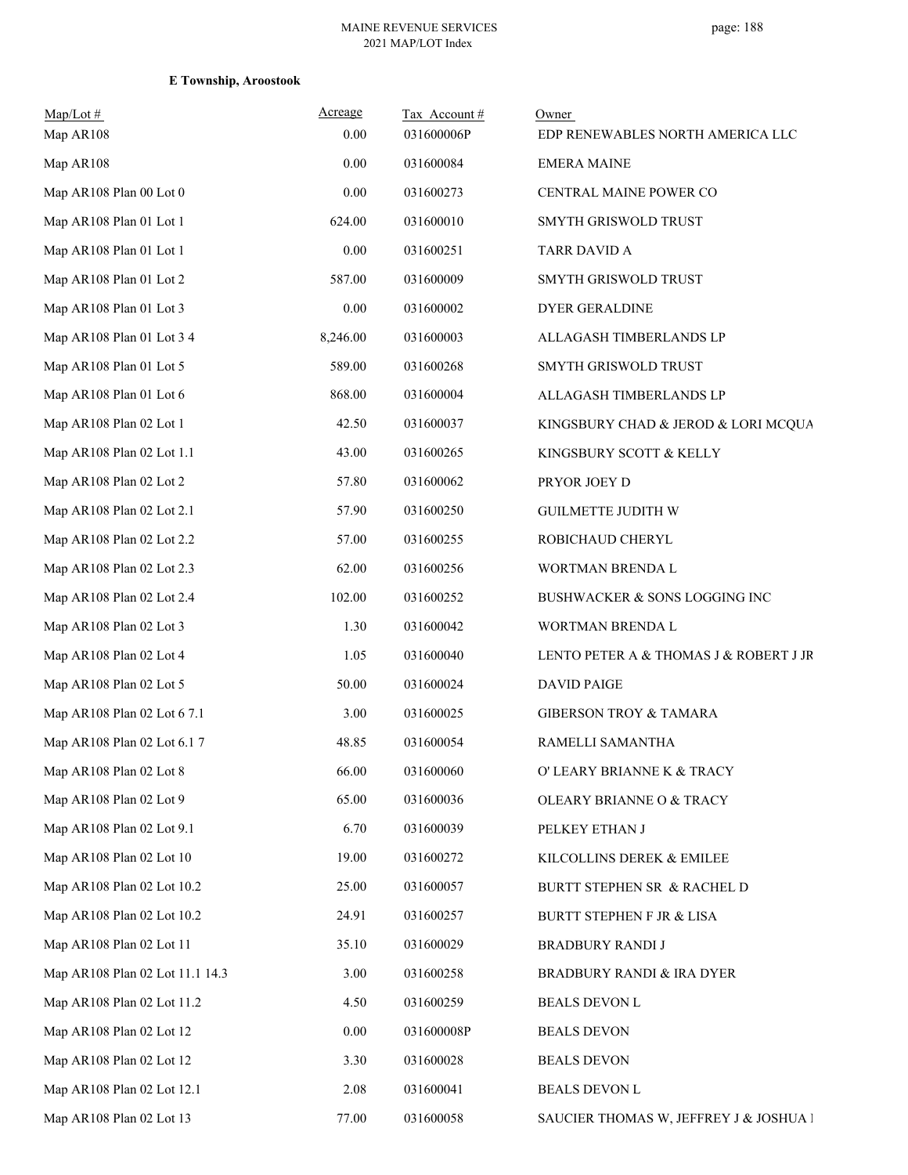| $Map/Lot \#$<br>Map AR108       | Acreage<br>0.00 | Tax Account#<br>031600006P | Owner<br>EDP RENEWABLES NORTH AMERICA LLC |
|---------------------------------|-----------------|----------------------------|-------------------------------------------|
| Map AR108                       | 0.00            | 031600084                  | <b>EMERA MAINE</b>                        |
| Map AR108 Plan 00 Lot 0         | 0.00            | 031600273                  | CENTRAL MAINE POWER CO                    |
| Map AR108 Plan 01 Lot 1         | 624.00          | 031600010                  | SMYTH GRISWOLD TRUST                      |
| Map AR108 Plan 01 Lot 1         | 0.00            | 031600251                  | TARR DAVID A                              |
| Map AR108 Plan 01 Lot 2         | 587.00          | 031600009                  | SMYTH GRISWOLD TRUST                      |
| Map AR108 Plan 01 Lot 3         | 0.00            | 031600002                  | DYER GERALDINE                            |
| Map AR108 Plan 01 Lot 3 4       | 8,246.00        | 031600003                  | ALLAGASH TIMBERLANDS LP                   |
| Map AR108 Plan 01 Lot 5         | 589.00          | 031600268                  | SMYTH GRISWOLD TRUST                      |
| Map AR108 Plan 01 Lot 6         | 868.00          | 031600004                  | ALLAGASH TIMBERLANDS LP                   |
| Map AR108 Plan 02 Lot 1         | 42.50           | 031600037                  | KINGSBURY CHAD & JEROD & LORI MCQUA       |
| Map AR108 Plan 02 Lot 1.1       | 43.00           | 031600265                  | KINGSBURY SCOTT & KELLY                   |
| Map AR108 Plan 02 Lot 2         | 57.80           | 031600062                  | PRYOR JOEY D                              |
| Map AR108 Plan 02 Lot 2.1       | 57.90           | 031600250                  | <b>GUILMETTE JUDITH W</b>                 |
| Map AR108 Plan 02 Lot 2.2       | 57.00           | 031600255                  | ROBICHAUD CHERYL                          |
| Map AR108 Plan 02 Lot 2.3       | 62.00           | 031600256                  | WORTMAN BRENDA L                          |
| Map AR108 Plan 02 Lot 2.4       | 102.00          | 031600252                  | BUSHWACKER & SONS LOGGING INC             |
| Map AR108 Plan 02 Lot 3         | 1.30            | 031600042                  | WORTMAN BRENDA L                          |
| Map AR108 Plan 02 Lot 4         | 1.05            | 031600040                  | LENTO PETER A & THOMAS J & ROBERT J JR    |
| Map AR108 Plan 02 Lot 5         | 50.00           | 031600024                  | <b>DAVID PAIGE</b>                        |
| Map AR108 Plan 02 Lot 6 7.1     | 3.00            | 031600025                  | <b>GIBERSON TROY &amp; TAMARA</b>         |
| Map AR108 Plan 02 Lot 6.1 7     | 48.85           | 031600054                  | RAMELLI SAMANTHA                          |
| Map AR108 Plan 02 Lot 8         | 66.00           | 031600060                  | O' LEARY BRIANNE K & TRACY                |
| Map AR108 Plan 02 Lot 9         | 65.00           | 031600036                  | OLEARY BRIANNE O & TRACY                  |
| Map AR108 Plan 02 Lot 9.1       | 6.70            | 031600039                  | PELKEY ETHAN J                            |
| Map AR108 Plan 02 Lot 10        | 19.00           | 031600272                  | KILCOLLINS DEREK & EMILEE                 |
| Map AR108 Plan 02 Lot 10.2      | 25.00           | 031600057                  | BURTT STEPHEN SR & RACHEL D               |
| Map AR108 Plan 02 Lot 10.2      | 24.91           | 031600257                  | BURTT STEPHEN F JR & LISA                 |
| Map AR108 Plan 02 Lot 11        | 35.10           | 031600029                  | <b>BRADBURY RANDI J</b>                   |
| Map AR108 Plan 02 Lot 11.1 14.3 | 3.00            | 031600258                  | <b>BRADBURY RANDI &amp; IRA DYER</b>      |
| Map AR108 Plan 02 Lot 11.2      | 4.50            | 031600259                  | <b>BEALS DEVON L</b>                      |
| Map AR108 Plan 02 Lot 12        | 0.00            | 031600008P                 | <b>BEALS DEVON</b>                        |
| Map AR108 Plan 02 Lot 12        | 3.30            | 031600028                  | <b>BEALS DEVON</b>                        |
| Map AR108 Plan 02 Lot 12.1      | 2.08            | 031600041                  | <b>BEALS DEVON L</b>                      |
| Map AR108 Plan 02 Lot 13        | 77.00           | 031600058                  | SAUCIER THOMAS W, JEFFREY J & JOSHUA I    |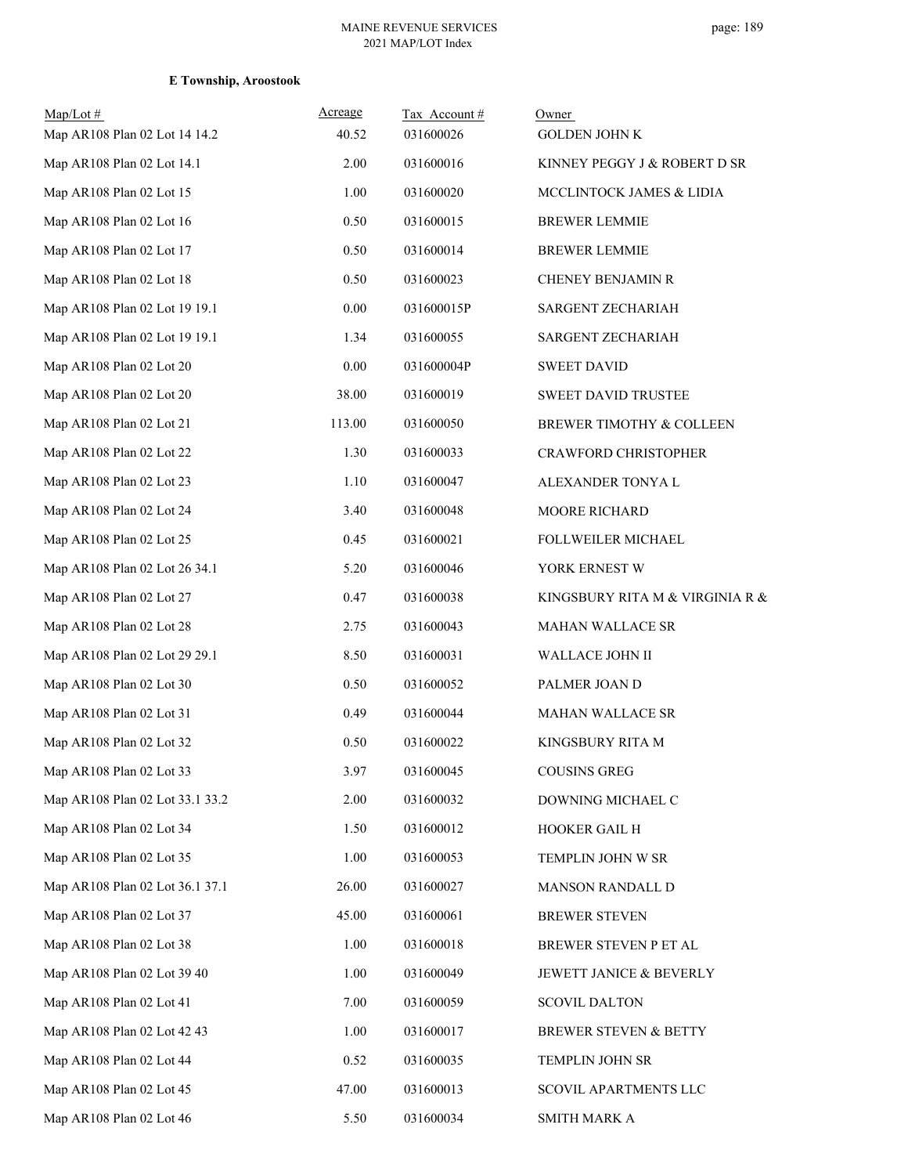| $Map/Lot \#$                    | Acreage  | Tax Account# | Owner                            |
|---------------------------------|----------|--------------|----------------------------------|
| Map AR108 Plan 02 Lot 14 14.2   | 40.52    | 031600026    | <b>GOLDEN JOHN K</b>             |
| Map AR108 Plan 02 Lot 14.1      | 2.00     | 031600016    | KINNEY PEGGY J & ROBERT D SR     |
| Map AR108 Plan 02 Lot 15        | 1.00     | 031600020    | MCCLINTOCK JAMES & LIDIA         |
| Map AR108 Plan 02 Lot 16        | 0.50     | 031600015    | <b>BREWER LEMMIE</b>             |
| Map AR108 Plan 02 Lot 17        | 0.50     | 031600014    | <b>BREWER LEMMIE</b>             |
| Map AR108 Plan 02 Lot 18        | 0.50     | 031600023    | CHENEY BENJAMIN R                |
| Map AR108 Plan 02 Lot 19 19.1   | 0.00     | 031600015P   | SARGENT ZECHARIAH                |
| Map AR108 Plan 02 Lot 19 19.1   | 1.34     | 031600055    | SARGENT ZECHARIAH                |
| Map AR108 Plan 02 Lot 20        | $0.00\,$ | 031600004P   | <b>SWEET DAVID</b>               |
| Map AR108 Plan 02 Lot 20        | 38.00    | 031600019    | <b>SWEET DAVID TRUSTEE</b>       |
| Map AR108 Plan 02 Lot 21        | 113.00   | 031600050    | BREWER TIMOTHY & COLLEEN         |
| Map AR108 Plan 02 Lot 22        | 1.30     | 031600033    | CRAWFORD CHRISTOPHER             |
| Map AR108 Plan 02 Lot 23        | 1.10     | 031600047    | ALEXANDER TONYA L                |
| Map AR108 Plan 02 Lot 24        | 3.40     | 031600048    | MOORE RICHARD                    |
| Map AR108 Plan 02 Lot 25        | 0.45     | 031600021    | FOLLWEILER MICHAEL               |
| Map AR108 Plan 02 Lot 26 34.1   | 5.20     | 031600046    | YORK ERNEST W                    |
| Map AR108 Plan 02 Lot 27        | 0.47     | 031600038    | KINGSBURY RITA M & VIRGINIA R &  |
| Map AR108 Plan 02 Lot 28        | 2.75     | 031600043    | MAHAN WALLACE SR                 |
| Map AR108 Plan 02 Lot 29 29.1   | 8.50     | 031600031    | WALLACE JOHN II                  |
| Map AR108 Plan 02 Lot 30        | 0.50     | 031600052    | PALMER JOAN D                    |
| Map AR108 Plan 02 Lot 31        | 0.49     | 031600044    | MAHAN WALLACE SR                 |
| Map AR108 Plan 02 Lot 32        | 0.50     | 031600022    | KINGSBURY RITA M                 |
| Map AR108 Plan 02 Lot 33        | 3.97     | 031600045    | <b>COUSINS GREG</b>              |
| Map AR108 Plan 02 Lot 33.1 33.2 | 2.00     | 031600032    | DOWNING MICHAEL C                |
| Map AR108 Plan 02 Lot 34        | 1.50     | 031600012    | HOOKER GAIL H                    |
| Map AR108 Plan 02 Lot 35        | 1.00     | 031600053    | TEMPLIN JOHN W SR                |
| Map AR108 Plan 02 Lot 36.1 37.1 | 26.00    | 031600027    | <b>MANSON RANDALL D</b>          |
| Map AR108 Plan 02 Lot 37        | 45.00    | 031600061    | <b>BREWER STEVEN</b>             |
| Map AR108 Plan 02 Lot 38        | 1.00     | 031600018    | BREWER STEVEN P ET AL            |
| Map AR108 Plan 02 Lot 39 40     | 1.00     | 031600049    | JEWETT JANICE & BEVERLY          |
| Map AR108 Plan 02 Lot 41        | 7.00     | 031600059    | <b>SCOVIL DALTON</b>             |
| Map AR108 Plan 02 Lot 42 43     | 1.00     | 031600017    | <b>BREWER STEVEN &amp; BETTY</b> |
| Map AR108 Plan 02 Lot 44        | 0.52     | 031600035    | TEMPLIN JOHN SR                  |
| Map AR108 Plan 02 Lot 45        | 47.00    | 031600013    | SCOVIL APARTMENTS LLC            |
| Map AR108 Plan 02 Lot 46        | 5.50     | 031600034    | SMITH MARK A                     |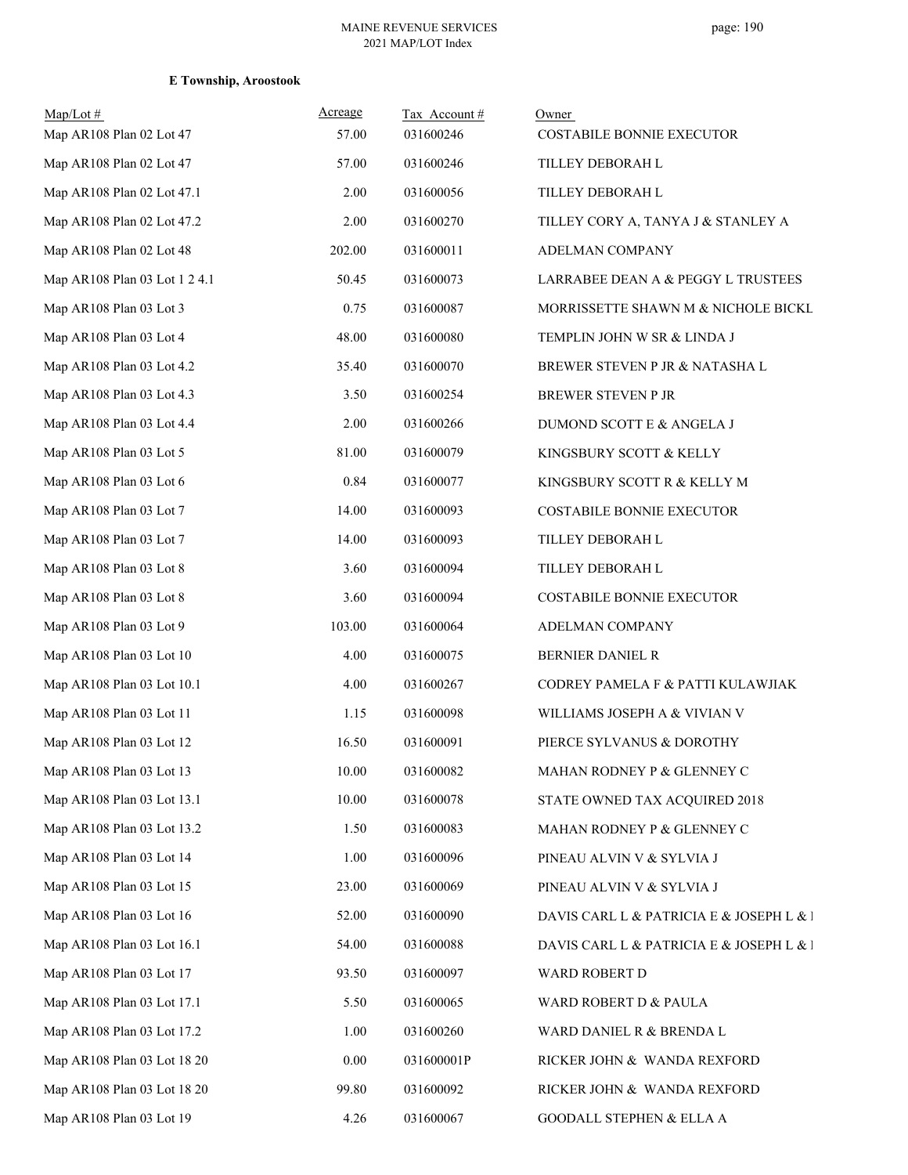| $Map/Lot$ #<br>Map AR108 Plan 02 Lot 47 | Acreage<br>57.00 | Tax Account#<br>031600246 | Owner<br>COSTABILE BONNIE EXECUTOR       |
|-----------------------------------------|------------------|---------------------------|------------------------------------------|
| Map AR108 Plan 02 Lot 47                | 57.00            | 031600246                 | TILLEY DEBORAH L                         |
| Map AR108 Plan 02 Lot 47.1              | 2.00             | 031600056                 | TILLEY DEBORAH L                         |
| Map AR108 Plan 02 Lot 47.2              | 2.00             | 031600270                 | TILLEY CORY A, TANYA J & STANLEY A       |
| Map AR108 Plan 02 Lot 48                | 202.00           | 031600011                 | ADELMAN COMPANY                          |
| Map AR108 Plan 03 Lot 1 2 4.1           | 50.45            | 031600073                 | LARRABEE DEAN A & PEGGY L TRUSTEES       |
| Map AR108 Plan 03 Lot 3                 | 0.75             | 031600087                 | MORRISSETTE SHAWN M & NICHOLE BICKL      |
| Map AR108 Plan 03 Lot 4                 | 48.00            | 031600080                 | TEMPLIN JOHN W SR & LINDA J              |
| Map AR108 Plan 03 Lot 4.2               | 35.40            | 031600070                 | BREWER STEVEN P JR & NATASHA L           |
| Map AR108 Plan 03 Lot 4.3               | 3.50             | 031600254                 | BREWER STEVEN P JR                       |
| Map AR108 Plan 03 Lot 4.4               | 2.00             | 031600266                 | DUMOND SCOTT E & ANGELA J                |
| Map AR108 Plan 03 Lot 5                 | 81.00            | 031600079                 | KINGSBURY SCOTT & KELLY                  |
| Map AR108 Plan 03 Lot 6                 | 0.84             | 031600077                 | KINGSBURY SCOTT R & KELLY M              |
| Map AR108 Plan 03 Lot 7                 | 14.00            | 031600093                 | COSTABILE BONNIE EXECUTOR                |
| Map AR108 Plan 03 Lot 7                 | 14.00            | 031600093                 | TILLEY DEBORAH L                         |
| Map AR108 Plan 03 Lot 8                 | 3.60             | 031600094                 | TILLEY DEBORAH L                         |
| Map AR108 Plan 03 Lot 8                 | 3.60             | 031600094                 | COSTABILE BONNIE EXECUTOR                |
| Map AR108 Plan 03 Lot 9                 | 103.00           | 031600064                 | ADELMAN COMPANY                          |
| Map AR108 Plan 03 Lot 10                | 4.00             | 031600075                 | BERNIER DANIEL R                         |
| Map AR108 Plan 03 Lot 10.1              | 4.00             | 031600267                 | CODREY PAMELA F & PATTI KULAWJIAK        |
| Map AR108 Plan 03 Lot 11                | 1.15             | 031600098                 | WILLIAMS JOSEPH A & VIVIAN V             |
| Map AR108 Plan 03 Lot 12                | 16.50            | 031600091                 | PIERCE SYLVANUS & DOROTHY                |
| Map AR108 Plan 03 Lot 13                | 10.00            | 031600082                 | MAHAN RODNEY P & GLENNEY C               |
| Map AR108 Plan 03 Lot 13.1              | 10.00            | 031600078                 | STATE OWNED TAX ACQUIRED 2018            |
| Map AR108 Plan 03 Lot 13.2              | 1.50             | 031600083                 | MAHAN RODNEY P & GLENNEY C               |
| Map AR108 Plan 03 Lot 14                | 1.00             | 031600096                 | PINEAU ALVIN V & SYLVIA J                |
| Map AR108 Plan 03 Lot 15                | 23.00            | 031600069                 | PINEAU ALVIN V & SYLVIA J                |
| Map AR108 Plan 03 Lot 16                | 52.00            | 031600090                 | DAVIS CARL L & PATRICIA E & JOSEPH L & l |
| Map AR108 Plan 03 Lot 16.1              | 54.00            | 031600088                 | DAVIS CARL L & PATRICIA E & JOSEPH L & l |
| Map AR108 Plan 03 Lot 17                | 93.50            | 031600097                 | WARD ROBERT D                            |
| Map AR108 Plan 03 Lot 17.1              | 5.50             | 031600065                 | WARD ROBERT D & PAULA                    |
| Map AR108 Plan 03 Lot 17.2              | 1.00             | 031600260                 | WARD DANIEL R & BRENDA L                 |
| Map AR108 Plan 03 Lot 18 20             | 0.00             | 031600001P                | RICKER JOHN & WANDA REXFORD              |
| Map AR108 Plan 03 Lot 18 20             | 99.80            | 031600092                 | RICKER JOHN & WANDA REXFORD              |
| Map AR108 Plan 03 Lot 19                | 4.26             | 031600067                 | <b>GOODALL STEPHEN &amp; ELLA A</b>      |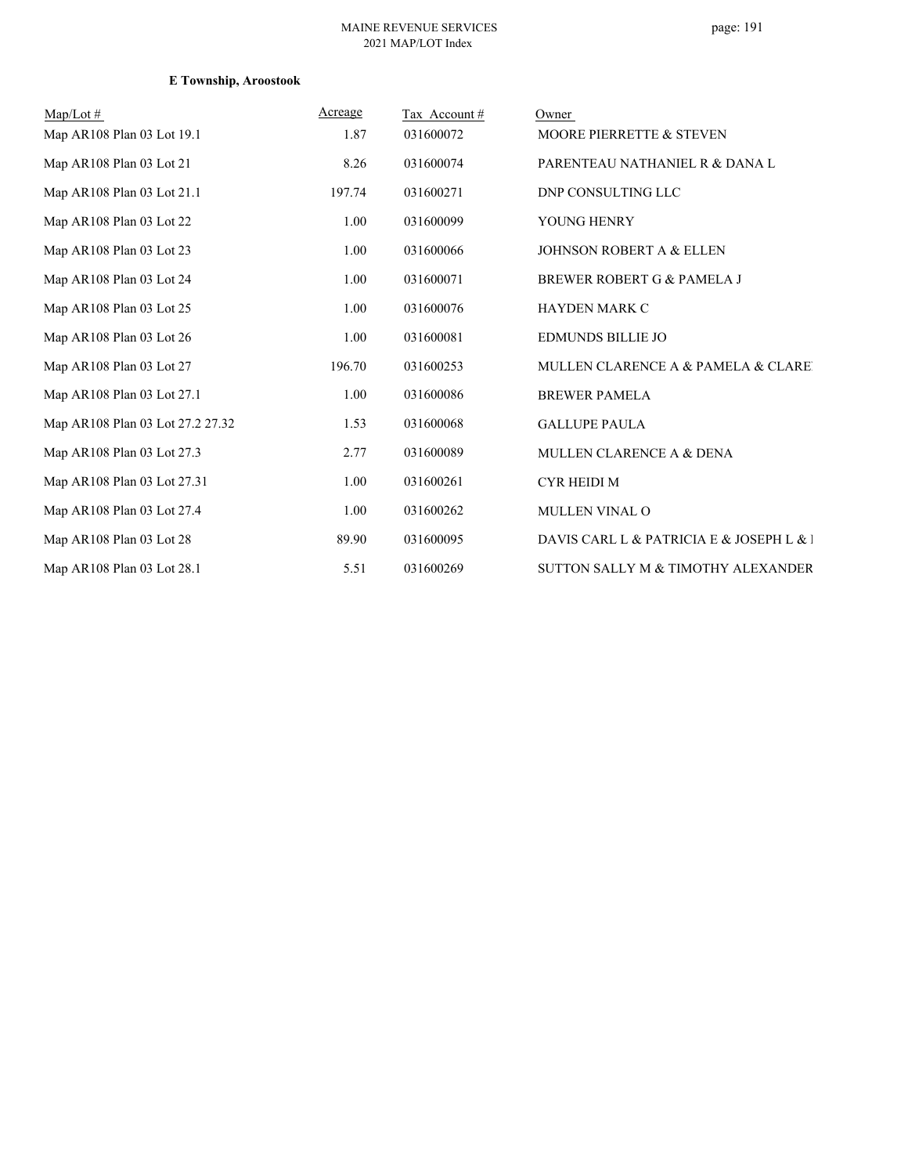| $Map/Lot \#$<br>Map AR108 Plan 03 Lot 19.1 | <b>Acreage</b><br>1.87 | Tax Account#<br>031600072 | Owner<br>MOORE PIERRETTE & STEVEN        |
|--------------------------------------------|------------------------|---------------------------|------------------------------------------|
| Map AR108 Plan 03 Lot 21                   | 8.26                   | 031600074                 | PARENTEAU NATHANIEL R & DANA L           |
| Map AR108 Plan 03 Lot 21.1                 | 197.74                 | 031600271                 | DNP CONSULTING LLC                       |
| Map AR108 Plan 03 Lot 22                   | 1.00                   | 031600099                 | YOUNG HENRY                              |
| Map AR108 Plan 03 Lot 23                   | 1.00                   | 031600066                 | <b>JOHNSON ROBERT A &amp; ELLEN</b>      |
| Map AR108 Plan 03 Lot 24                   | 1.00                   | 031600071                 | BREWER ROBERT G & PAMELA J               |
| Map AR108 Plan 03 Lot 25                   | 1.00                   | 031600076                 | <b>HAYDEN MARK C</b>                     |
| Map AR108 Plan 03 Lot 26                   | 1.00                   | 031600081                 | <b>EDMUNDS BILLIE JO</b>                 |
| Map AR108 Plan 03 Lot 27                   | 196.70                 | 031600253                 | MULLEN CLARENCE A & PAMELA & CLARE       |
| Map AR108 Plan 03 Lot 27.1                 | 1.00                   | 031600086                 | <b>BREWER PAMELA</b>                     |
| Map AR108 Plan 03 Lot 27.2 27.32           | 1.53                   | 031600068                 | <b>GALLUPE PAULA</b>                     |
| Map AR108 Plan 03 Lot 27.3                 | 2.77                   | 031600089                 | MULLEN CLARENCE A & DENA                 |
| Map AR108 Plan 03 Lot 27.31                | 1.00                   | 031600261                 | <b>CYR HEIDI M</b>                       |
| Map AR108 Plan 03 Lot 27.4                 | 1.00                   | 031600262                 | MULLEN VINAL O                           |
| Map AR108 Plan 03 Lot 28                   | 89.90                  | 031600095                 | DAVIS CARL L & PATRICIA E & JOSEPH L & 1 |
| Map AR108 Plan 03 Lot 28.1                 | 5.51                   | 031600269                 | SUTTON SALLY M & TIMOTHY ALEXANDER       |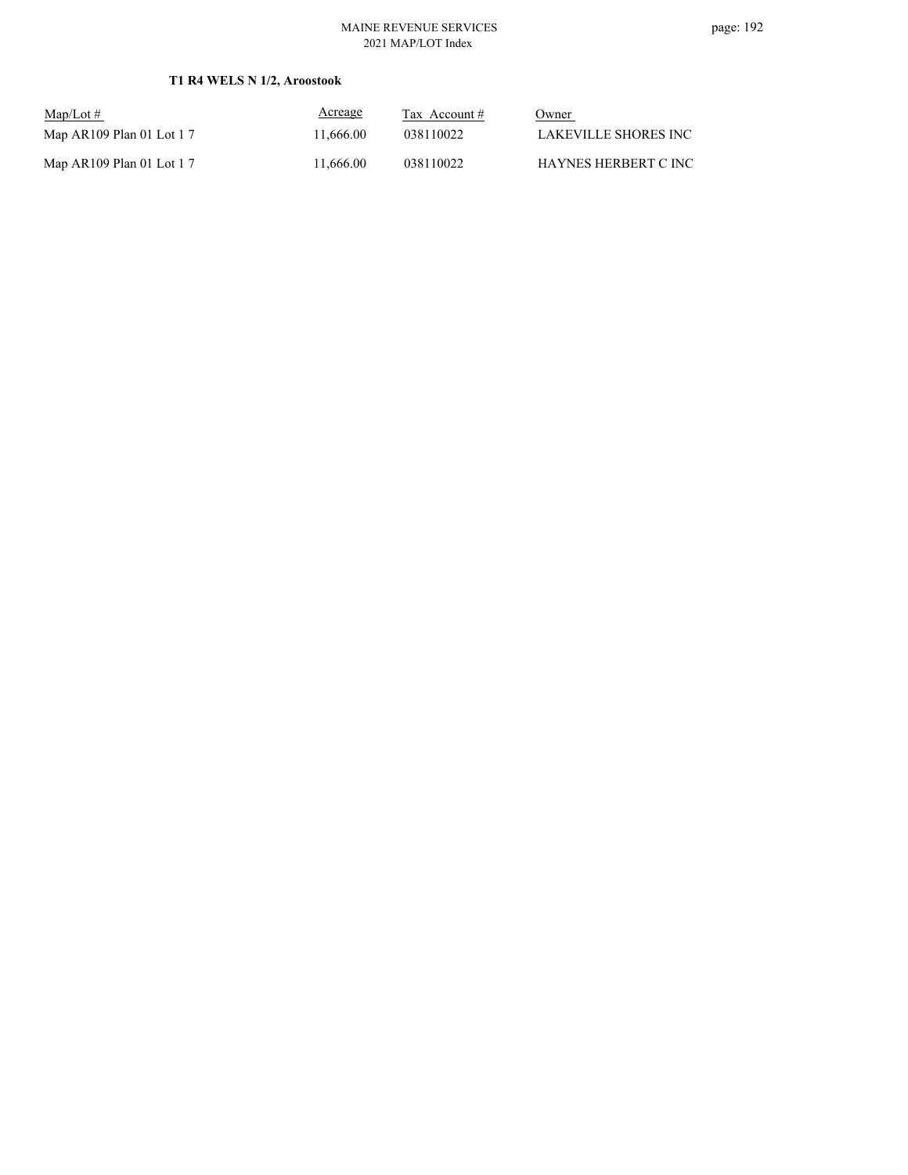### MAINE REVENUE SERVICES 2021 MAP/LOT Index

## **T1 R4 WELS N 1/2, Aroostook**

| $\text{Map/Lot} \#$        | Acreage   | Tax Account $#$ | Owner                 |
|----------------------------|-----------|-----------------|-----------------------|
| Map AR109 Plan 01 Lot $17$ | 11.666.00 | 038110022       | LAKEVILLE SHORES INC. |
| Map AR109 Plan 01 Lot $17$ | 11.666.00 | 038110022       | HAYNES HERBERT C INC. |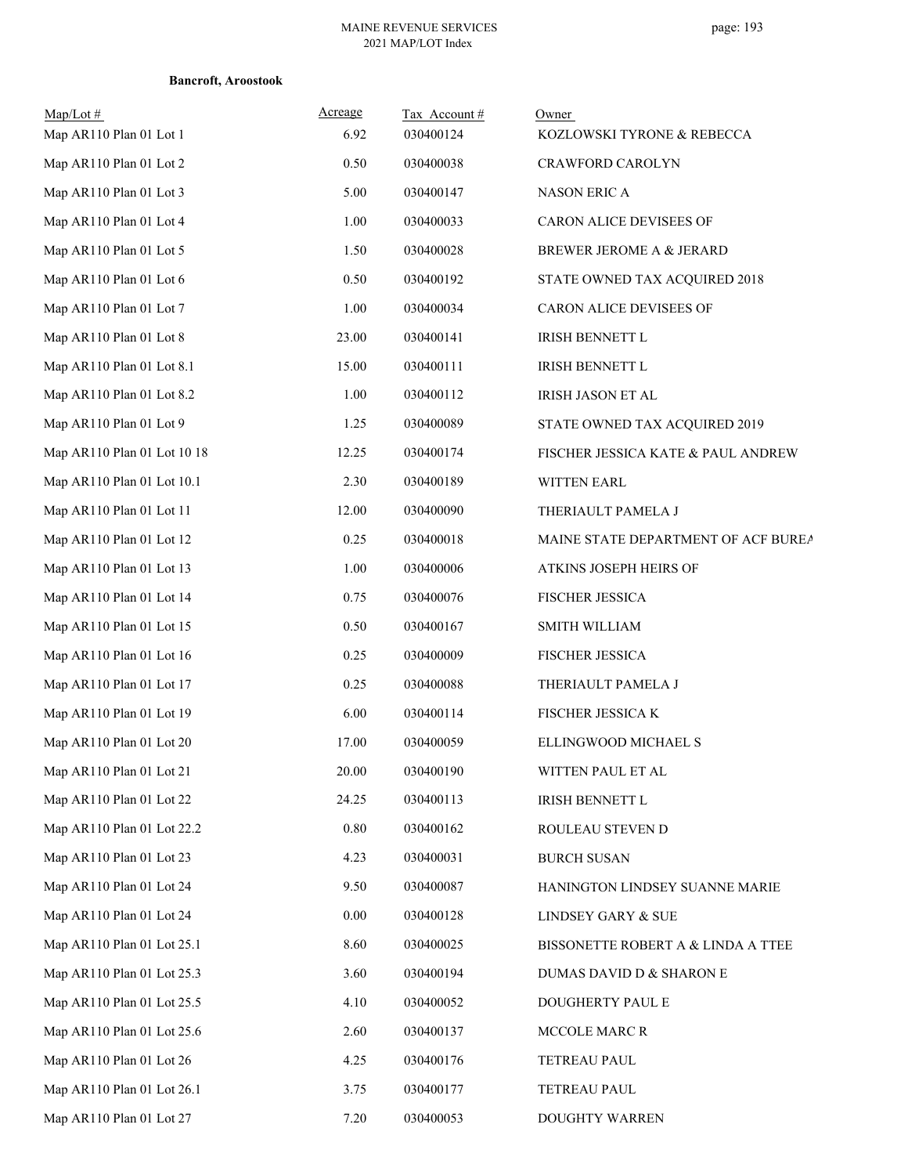| Map/Lot#<br>Map AR110 Plan 01 Lot 1 | Acreage<br>6.92 | Tax Account#<br>030400124 | Owner<br>KOZLOWSKI TYRONE & REBECCA |
|-------------------------------------|-----------------|---------------------------|-------------------------------------|
| Map AR110 Plan 01 Lot 2             | 0.50            | 030400038                 | CRAWFORD CAROLYN                    |
| Map AR110 Plan 01 Lot 3             | 5.00            | 030400147                 | NASON ERIC A                        |
| Map AR110 Plan 01 Lot 4             | 1.00            | 030400033                 | CARON ALICE DEVISEES OF             |
| Map AR110 Plan 01 Lot 5             | 1.50            | 030400028                 | BREWER JEROME A & JERARD            |
| Map AR110 Plan 01 Lot 6             | 0.50            | 030400192                 | STATE OWNED TAX ACQUIRED 2018       |
| Map AR110 Plan 01 Lot 7             | 1.00            | 030400034                 | CARON ALICE DEVISEES OF             |
| Map AR110 Plan 01 Lot 8             | 23.00           | 030400141                 | IRISH BENNETT L                     |
| Map AR110 Plan 01 Lot 8.1           | 15.00           | 030400111                 | <b>IRISH BENNETT L</b>              |
| Map AR110 Plan 01 Lot 8.2           | 1.00            | 030400112                 | IRISH JASON ET AL                   |
| Map AR110 Plan 01 Lot 9             | 1.25            | 030400089                 | STATE OWNED TAX ACQUIRED 2019       |
| Map AR110 Plan 01 Lot 10 18         | 12.25           | 030400174                 | FISCHER JESSICA KATE & PAUL ANDREW  |
| Map AR110 Plan 01 Lot 10.1          | 2.30            | 030400189                 | <b>WITTEN EARL</b>                  |
| Map AR110 Plan 01 Lot 11            | 12.00           | 030400090                 | THERIAULT PAMELA J                  |
| Map AR110 Plan 01 Lot 12            | 0.25            | 030400018                 | MAINE STATE DEPARTMENT OF ACF BUREA |
| Map AR110 Plan 01 Lot 13            | 1.00            | 030400006                 | ATKINS JOSEPH HEIRS OF              |
| Map AR110 Plan 01 Lot 14            | 0.75            | 030400076                 | FISCHER JESSICA                     |
| Map AR110 Plan 01 Lot 15            | 0.50            | 030400167                 | SMITH WILLIAM                       |
| Map AR110 Plan 01 Lot 16            | 0.25            | 030400009                 | <b>FISCHER JESSICA</b>              |
| Map AR110 Plan 01 Lot 17            | 0.25            | 030400088                 | THERIAULT PAMELA J                  |
| Map AR110 Plan 01 Lot 19            | 6.00            | 030400114                 | FISCHER JESSICA K                   |
| Map AR110 Plan 01 Lot 20            | 17.00           | 030400059                 | ELLINGWOOD MICHAEL S                |
| Map AR110 Plan 01 Lot 21            | 20.00           | 030400190                 | WITTEN PAUL ET AL                   |
| Map AR110 Plan 01 Lot 22            | 24.25           | 030400113                 | IRISH BENNETT L                     |
| Map AR110 Plan 01 Lot 22.2          | $0.80\,$        | 030400162                 | ROULEAU STEVEN D                    |
| Map AR110 Plan 01 Lot 23            | 4.23            | 030400031                 | <b>BURCH SUSAN</b>                  |
| Map AR110 Plan 01 Lot 24            | 9.50            | 030400087                 | HANINGTON LINDSEY SUANNE MARIE      |
| Map AR110 Plan 01 Lot 24            | $0.00\,$        | 030400128                 | LINDSEY GARY & SUE                  |
| Map AR110 Plan 01 Lot 25.1          | 8.60            | 030400025                 | BISSONETTE ROBERT A & LINDA A TTEE  |
| Map AR110 Plan 01 Lot 25.3          | 3.60            | 030400194                 | DUMAS DAVID D & SHARON E            |
| Map AR110 Plan 01 Lot 25.5          | 4.10            | 030400052                 | DOUGHERTY PAUL E                    |
| Map AR110 Plan 01 Lot 25.6          | 2.60            | 030400137                 | MCCOLE MARC R                       |
| Map AR110 Plan 01 Lot 26            | 4.25            | 030400176                 | TETREAU PAUL                        |
| Map AR110 Plan 01 Lot 26.1          | 3.75            | 030400177                 | TETREAU PAUL                        |
| Map AR110 Plan 01 Lot 27            | 7.20            | 030400053                 | DOUGHTY WARREN                      |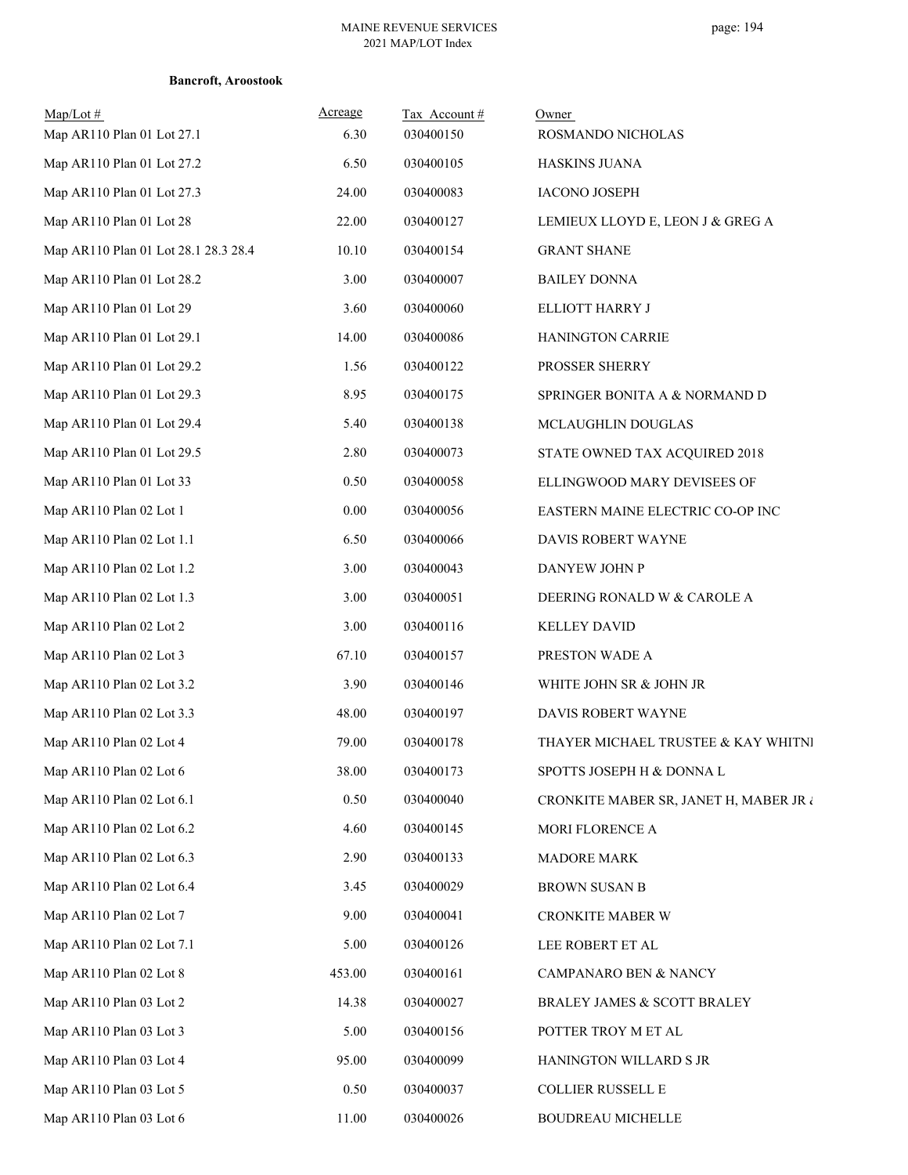| $Map/Lot \#$<br>Map AR110 Plan 01 Lot 27.1 | Acreage<br>6.30 | Tax Account#<br>030400150 | Owner<br>ROSMANDO NICHOLAS             |
|--------------------------------------------|-----------------|---------------------------|----------------------------------------|
| Map AR110 Plan 01 Lot 27.2                 | 6.50            | 030400105                 | <b>HASKINS JUANA</b>                   |
| Map AR110 Plan 01 Lot 27.3                 | 24.00           | 030400083                 | <b>IACONO JOSEPH</b>                   |
| Map AR110 Plan 01 Lot 28                   | 22.00           | 030400127                 | LEMIEUX LLOYD E, LEON J & GREG A       |
| Map AR110 Plan 01 Lot 28.1 28.3 28.4       | 10.10           | 030400154                 | <b>GRANT SHANE</b>                     |
| Map AR110 Plan 01 Lot 28.2                 | 3.00            | 030400007                 | <b>BAILEY DONNA</b>                    |
| Map AR110 Plan 01 Lot 29                   | 3.60            | 030400060                 | ELLIOTT HARRY J                        |
| Map AR110 Plan 01 Lot 29.1                 | 14.00           | 030400086                 | HANINGTON CARRIE                       |
| Map AR110 Plan 01 Lot 29.2                 | 1.56            | 030400122                 | PROSSER SHERRY                         |
| Map AR110 Plan 01 Lot 29.3                 | 8.95            | 030400175                 | SPRINGER BONITA A & NORMAND D          |
| Map AR110 Plan 01 Lot 29.4                 | 5.40            | 030400138                 | MCLAUGHLIN DOUGLAS                     |
| Map AR110 Plan 01 Lot 29.5                 | 2.80            | 030400073                 | STATE OWNED TAX ACQUIRED 2018          |
| Map AR110 Plan 01 Lot 33                   | 0.50            | 030400058                 | ELLINGWOOD MARY DEVISEES OF            |
| Map AR110 Plan 02 Lot 1                    | 0.00            | 030400056                 | EASTERN MAINE ELECTRIC CO-OP INC       |
| Map AR110 Plan 02 Lot 1.1                  | 6.50            | 030400066                 | DAVIS ROBERT WAYNE                     |
| Map AR110 Plan 02 Lot 1.2                  | 3.00            | 030400043                 | DANYEW JOHN P                          |
| Map AR110 Plan 02 Lot 1.3                  | 3.00            | 030400051                 | DEERING RONALD W & CAROLE A            |
| Map AR110 Plan 02 Lot 2                    | 3.00            | 030400116                 | <b>KELLEY DAVID</b>                    |
| Map AR110 Plan 02 Lot 3                    | 67.10           | 030400157                 | PRESTON WADE A                         |
| Map AR110 Plan 02 Lot 3.2                  | 3.90            | 030400146                 | WHITE JOHN SR & JOHN JR                |
| Map AR110 Plan 02 Lot 3.3                  | 48.00           | 030400197                 | DAVIS ROBERT WAYNE                     |
| Map AR110 Plan 02 Lot 4                    | 79.00           | 030400178                 | THAYER MICHAEL TRUSTEE & KAY WHITNI    |
| Map AR110 Plan 02 Lot 6                    | 38.00           | 030400173                 | SPOTTS JOSEPH H & DONNA L              |
| Map AR110 Plan 02 Lot 6.1                  | 0.50            | 030400040                 | CRONKITE MABER SR, JANET H, MABER JR ¿ |
| Map AR110 Plan 02 Lot 6.2                  | 4.60            | 030400145                 | MORI FLORENCE A                        |
| Map AR110 Plan 02 Lot 6.3                  | 2.90            | 030400133                 | <b>MADORE MARK</b>                     |
| Map AR110 Plan 02 Lot 6.4                  | 3.45            | 030400029                 | <b>BROWN SUSAN B</b>                   |
| Map AR110 Plan 02 Lot 7                    | 9.00            | 030400041                 | CRONKITE MABER W                       |
| Map AR110 Plan 02 Lot 7.1                  | 5.00            | 030400126                 | LEE ROBERT ET AL                       |
| Map AR110 Plan 02 Lot 8                    | 453.00          | 030400161                 | CAMPANARO BEN & NANCY                  |
| Map AR110 Plan 03 Lot 2                    | 14.38           | 030400027                 | BRALEY JAMES & SCOTT BRALEY            |
| Map AR110 Plan 03 Lot 3                    | 5.00            | 030400156                 | POTTER TROY M ET AL                    |
| Map AR110 Plan 03 Lot 4                    | 95.00           | 030400099                 | HANINGTON WILLARD S JR                 |
| Map AR110 Plan 03 Lot 5                    | 0.50            | 030400037                 | COLLIER RUSSELL E                      |
| Map AR110 Plan 03 Lot 6                    | 11.00           | 030400026                 | BOUDREAU MICHELLE                      |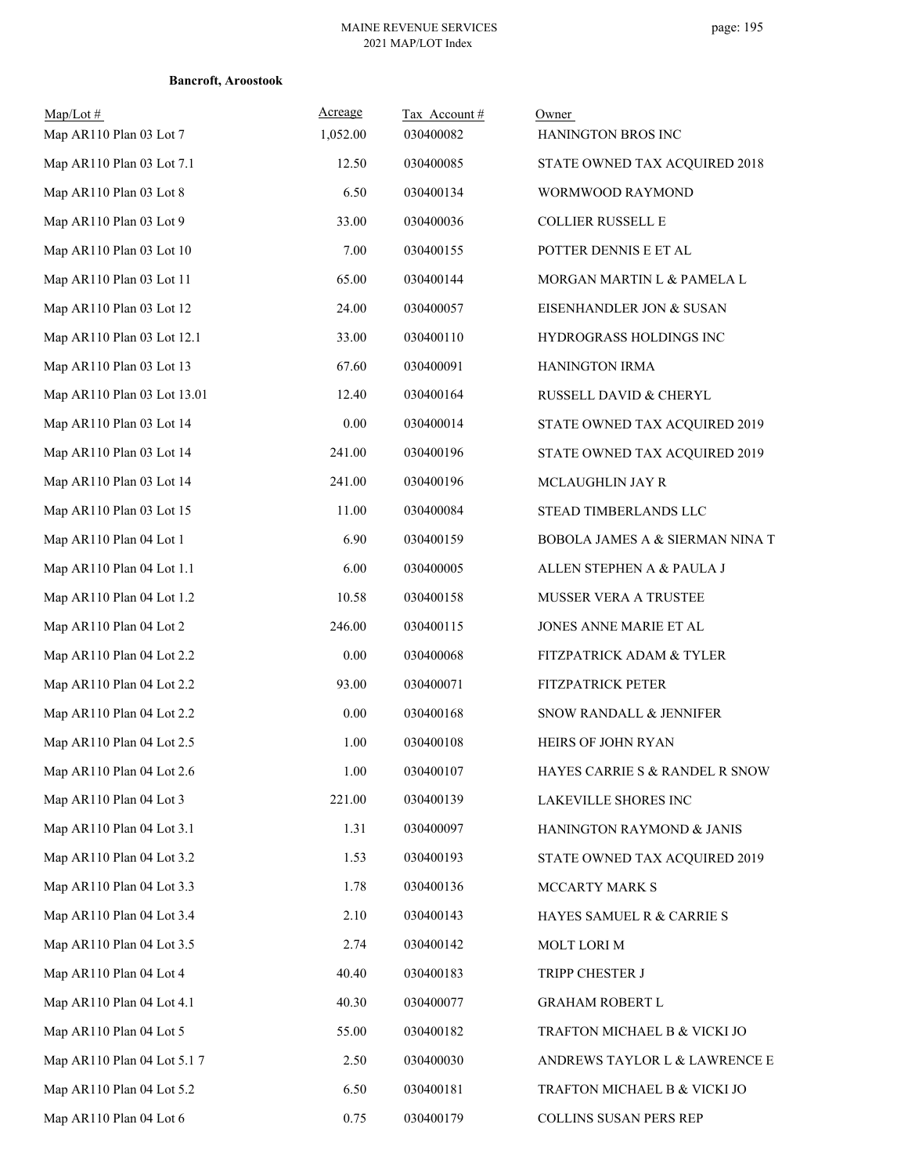| $Map/Lot$ #<br>Map AR110 Plan 03 Lot 7 | Acreage<br>1,052.00 | Tax Account#<br>030400082 | Owner<br>HANINGTON BROS INC     |
|----------------------------------------|---------------------|---------------------------|---------------------------------|
| Map AR110 Plan 03 Lot 7.1              | 12.50               | 030400085                 | STATE OWNED TAX ACQUIRED 2018   |
| Map AR110 Plan 03 Lot 8                | 6.50                | 030400134                 | WORMWOOD RAYMOND                |
| Map AR110 Plan 03 Lot 9                | 33.00               | 030400036                 | COLLIER RUSSELL E               |
| Map AR110 Plan 03 Lot 10               | 7.00                | 030400155                 | POTTER DENNIS E ET AL           |
| Map AR110 Plan 03 Lot 11               | 65.00               | 030400144                 | MORGAN MARTIN L & PAMELA L      |
| Map AR110 Plan 03 Lot 12               | 24.00               | 030400057                 | EISENHANDLER JON & SUSAN        |
| Map AR110 Plan 03 Lot 12.1             | 33.00               | 030400110                 | HYDROGRASS HOLDINGS INC         |
| Map AR110 Plan 03 Lot 13               | 67.60               | 030400091                 | HANINGTON IRMA                  |
| Map AR110 Plan 03 Lot 13.01            | 12.40               | 030400164                 | RUSSELL DAVID & CHERYL          |
| Map AR110 Plan 03 Lot 14               | $0.00\,$            | 030400014                 | STATE OWNED TAX ACQUIRED 2019   |
| Map AR110 Plan 03 Lot 14               | 241.00              | 030400196                 | STATE OWNED TAX ACQUIRED 2019   |
| Map AR110 Plan 03 Lot 14               | 241.00              | 030400196                 | MCLAUGHLIN JAY R                |
| Map AR110 Plan 03 Lot 15               | $11.00\,$           | 030400084                 | STEAD TIMBERLANDS LLC           |
| Map AR110 Plan 04 Lot 1                | 6.90                | 030400159                 | BOBOLA JAMES A & SIERMAN NINA T |
| Map AR110 Plan 04 Lot 1.1              | 6.00                | 030400005                 | ALLEN STEPHEN A & PAULA J       |
| Map AR110 Plan 04 Lot 1.2              | 10.58               | 030400158                 | MUSSER VERA A TRUSTEE           |
| Map AR110 Plan 04 Lot 2                | 246.00              | 030400115                 | JONES ANNE MARIE ET AL          |
| Map AR110 Plan 04 Lot 2.2              | $0.00\,$            | 030400068                 | FITZPATRICK ADAM & TYLER        |
| Map AR110 Plan 04 Lot 2.2              | 93.00               | 030400071                 | FITZPATRICK PETER               |
| Map AR110 Plan 04 Lot 2.2              | 0.00                | 030400168                 | SNOW RANDALL & JENNIFER         |
| Map AR110 Plan 04 Lot 2.5              | 1.00                | 030400108                 | <b>HEIRS OF JOHN RYAN</b>       |
| Map AR110 Plan 04 Lot 2.6              | 1.00                | 030400107                 | HAYES CARRIE S & RANDEL R SNOW  |
| Map AR110 Plan 04 Lot 3                | 221.00              | 030400139                 | LAKEVILLE SHORES INC            |
| Map AR110 Plan 04 Lot 3.1              | 1.31                | 030400097                 | HANINGTON RAYMOND & JANIS       |
| Map AR110 Plan 04 Lot 3.2              | 1.53                | 030400193                 | STATE OWNED TAX ACQUIRED 2019   |
| Map AR110 Plan 04 Lot 3.3              | 1.78                | 030400136                 | MCCARTY MARK S                  |
| Map AR110 Plan 04 Lot 3.4              | 2.10                | 030400143                 | HAYES SAMUEL R & CARRIE S       |
| Map AR110 Plan 04 Lot 3.5              | 2.74                | 030400142                 | MOLT LORI M                     |
| Map AR110 Plan 04 Lot 4                | 40.40               | 030400183                 | TRIPP CHESTER J                 |
| Map AR110 Plan 04 Lot 4.1              | 40.30               | 030400077                 | <b>GRAHAM ROBERT L</b>          |
| Map AR110 Plan 04 Lot 5                | 55.00               | 030400182                 | TRAFTON MICHAEL B & VICKI JO    |
| Map AR110 Plan 04 Lot 5.1 7            | 2.50                | 030400030                 | ANDREWS TAYLOR L & LAWRENCE E   |
| Map AR110 Plan 04 Lot 5.2              | 6.50                | 030400181                 | TRAFTON MICHAEL B $\&$ VICKI JO |
| Map AR110 Plan 04 Lot 6                | 0.75                | 030400179                 | COLLINS SUSAN PERS REP          |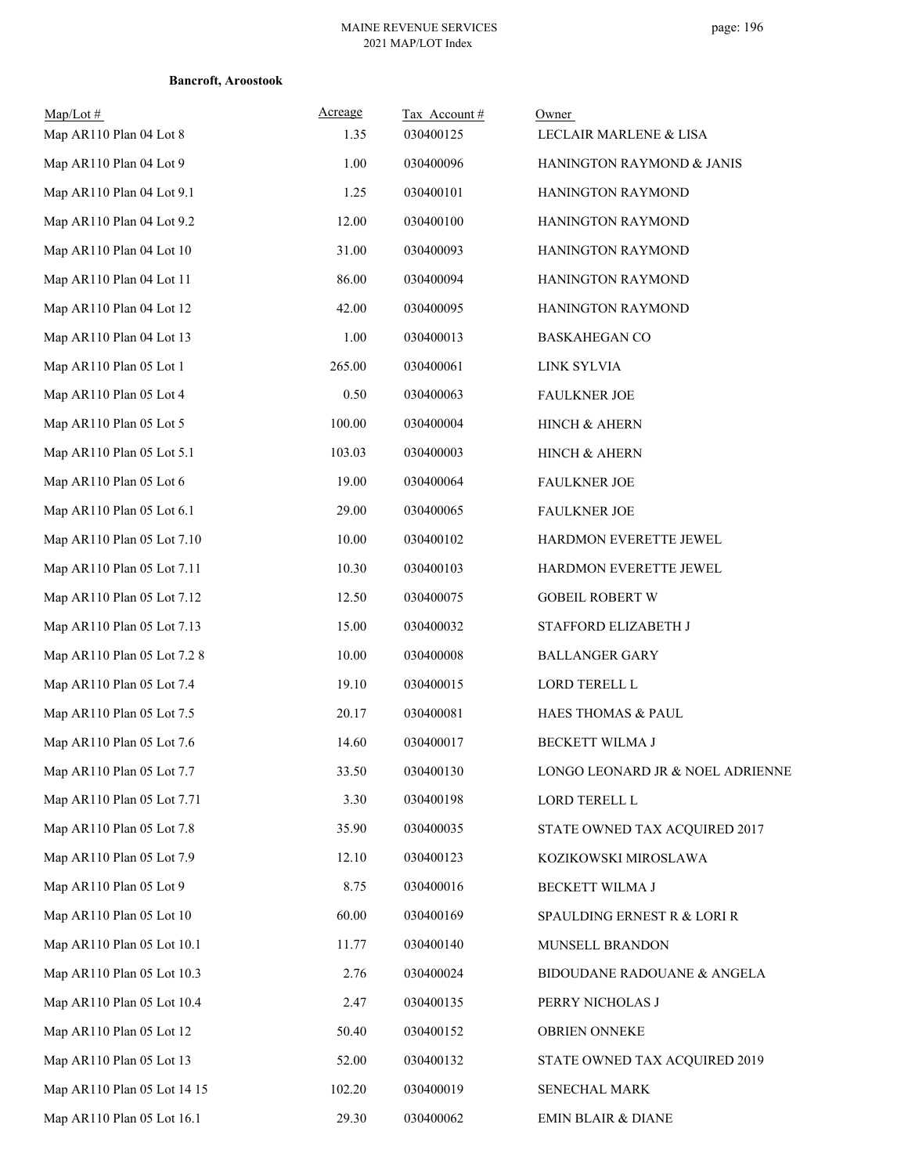| $Map/Lot \#$<br>Map AR110 Plan 04 Lot 8 | Acreage<br>1.35 | Tax Account#<br>030400125 | Owner<br>LECLAIR MARLENE & LISA  |
|-----------------------------------------|-----------------|---------------------------|----------------------------------|
| Map AR110 Plan 04 Lot 9                 | 1.00            | 030400096                 | HANINGTON RAYMOND & JANIS        |
| Map AR110 Plan 04 Lot 9.1               | 1.25            | 030400101                 | HANINGTON RAYMOND                |
| Map AR110 Plan 04 Lot 9.2               | 12.00           | 030400100                 | HANINGTON RAYMOND                |
| Map AR110 Plan 04 Lot 10                | 31.00           | 030400093                 | HANINGTON RAYMOND                |
| Map AR110 Plan 04 Lot 11                | 86.00           | 030400094                 | HANINGTON RAYMOND                |
| Map AR110 Plan 04 Lot 12                | 42.00           | 030400095                 | HANINGTON RAYMOND                |
| Map AR110 Plan 04 Lot 13                | 1.00            | 030400013                 | <b>BASKAHEGAN CO</b>             |
| Map AR110 Plan 05 Lot 1                 | 265.00          | 030400061                 | LINK SYLVIA                      |
| Map AR110 Plan 05 Lot 4                 | 0.50            | 030400063                 | <b>FAULKNER JOE</b>              |
| Map AR110 Plan 05 Lot 5                 | 100.00          | 030400004                 | HINCH & AHERN                    |
| Map AR110 Plan 05 Lot 5.1               | 103.03          | 030400003                 | HINCH & AHERN                    |
| Map AR110 Plan 05 Lot 6                 | 19.00           | 030400064                 | <b>FAULKNER JOE</b>              |
| Map AR110 Plan 05 Lot 6.1               | 29.00           | 030400065                 | <b>FAULKNER JOE</b>              |
| Map AR110 Plan 05 Lot 7.10              | 10.00           | 030400102                 | HARDMON EVERETTE JEWEL           |
| Map AR110 Plan 05 Lot 7.11              | 10.30           | 030400103                 | HARDMON EVERETTE JEWEL           |
| Map AR110 Plan 05 Lot 7.12              | 12.50           | 030400075                 | <b>GOBEIL ROBERT W</b>           |
| Map AR110 Plan 05 Lot 7.13              | 15.00           | 030400032                 | STAFFORD ELIZABETH J             |
| Map AR110 Plan 05 Lot 7.2 8             | 10.00           | 030400008                 | <b>BALLANGER GARY</b>            |
| Map AR110 Plan 05 Lot 7.4               | 19.10           | 030400015                 | LORD TERELL L                    |
| Map AR110 Plan 05 Lot 7.5               | 20.17           | 030400081                 | HAES THOMAS & PAUL               |
| Map AR110 Plan 05 Lot 7.6               | 14.60           | 030400017                 | <b>BECKETT WILMA J</b>           |
| Map AR110 Plan 05 Lot 7.7               | 33.50           | 030400130                 | LONGO LEONARD JR & NOEL ADRIENNE |
| Map AR110 Plan 05 Lot 7.71              | 3.30            | 030400198                 | LORD TERELL L                    |
| Map AR110 Plan 05 Lot 7.8               | 35.90           | 030400035                 | STATE OWNED TAX ACQUIRED 2017    |
| Map AR110 Plan 05 Lot 7.9               | 12.10           | 030400123                 | KOZIKOWSKI MIROSLAWA             |
| Map AR110 Plan 05 Lot 9                 | 8.75            | 030400016                 | BECKETT WILMA J                  |
| Map AR110 Plan 05 Lot 10                | 60.00           | 030400169                 | SPAULDING ERNEST R & LORI R      |
| Map AR110 Plan 05 Lot 10.1              | 11.77           | 030400140                 | MUNSELL BRANDON                  |
| Map AR110 Plan 05 Lot 10.3              | 2.76            | 030400024                 | BIDOUDANE RADOUANE & ANGELA      |
| Map AR110 Plan 05 Lot 10.4              | 2.47            | 030400135                 | PERRY NICHOLAS J                 |
| Map AR110 Plan 05 Lot 12                | 50.40           | 030400152                 | <b>OBRIEN ONNEKE</b>             |
| Map AR110 Plan 05 Lot 13                | 52.00           | 030400132                 | STATE OWNED TAX ACQUIRED 2019    |
| Map AR110 Plan 05 Lot 14 15             | 102.20          | 030400019                 | SENECHAL MARK                    |
| Map AR110 Plan 05 Lot 16.1              | 29.30           | 030400062                 | <b>EMIN BLAIR &amp; DIANE</b>    |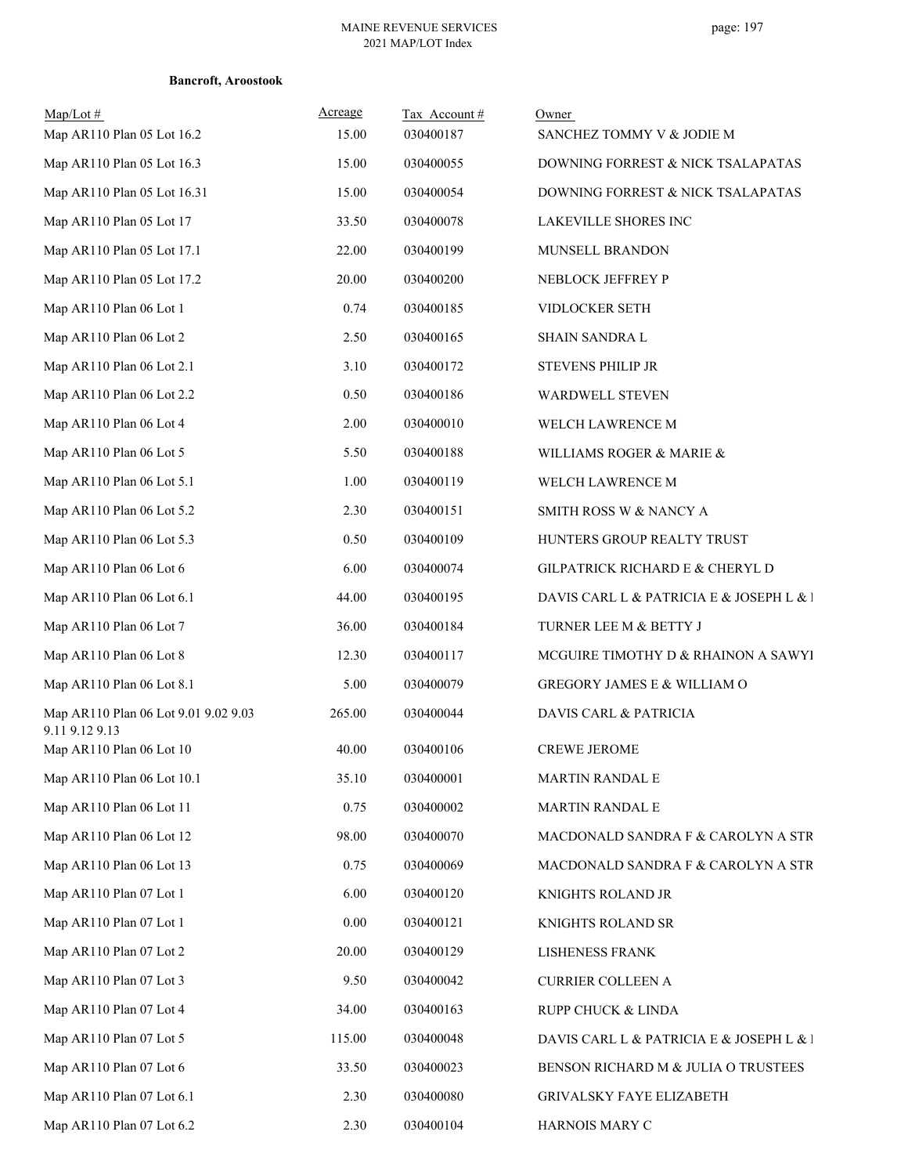| Map/Lot#<br>Map AR110 Plan 05 Lot 16.2                 | Acreage<br>15.00 | Tax Account#<br>030400187 | Owner<br>SANCHEZ TOMMY V & JODIE M       |
|--------------------------------------------------------|------------------|---------------------------|------------------------------------------|
| Map AR110 Plan 05 Lot 16.3                             | 15.00            | 030400055                 | DOWNING FORREST & NICK TSALAPATAS        |
| Map AR110 Plan 05 Lot 16.31                            | 15.00            | 030400054                 | DOWNING FORREST & NICK TSALAPATAS        |
| Map AR110 Plan 05 Lot 17                               | 33.50            | 030400078                 | LAKEVILLE SHORES INC                     |
| Map AR110 Plan 05 Lot 17.1                             | 22.00            | 030400199                 | MUNSELL BRANDON                          |
| Map AR110 Plan 05 Lot 17.2                             | 20.00            | 030400200                 | NEBLOCK JEFFREY P                        |
| Map AR110 Plan 06 Lot 1                                | 0.74             | 030400185                 | VIDLOCKER SETH                           |
| Map AR110 Plan 06 Lot 2                                | 2.50             | 030400165                 | SHAIN SANDRA L                           |
| Map AR110 Plan 06 Lot 2.1                              | 3.10             | 030400172                 | <b>STEVENS PHILIP JR</b>                 |
| Map AR110 Plan 06 Lot 2.2                              | 0.50             | 030400186                 | WARDWELL STEVEN                          |
| Map AR110 Plan 06 Lot 4                                | 2.00             | 030400010                 | WELCH LAWRENCE M                         |
| Map AR110 Plan 06 Lot 5                                | 5.50             | 030400188                 | WILLIAMS ROGER & MARIE &                 |
| Map AR110 Plan 06 Lot 5.1                              | 1.00             | 030400119                 | WELCH LAWRENCE M                         |
| Map AR110 Plan 06 Lot 5.2                              | 2.30             | 030400151                 | SMITH ROSS W & NANCY A                   |
| Map AR110 Plan 06 Lot 5.3                              | 0.50             | 030400109                 | HUNTERS GROUP REALTY TRUST               |
| Map AR110 Plan 06 Lot 6                                | 6.00             | 030400074                 | GILPATRICK RICHARD E & CHERYL D          |
| Map AR110 Plan 06 Lot 6.1                              | 44.00            | 030400195                 | DAVIS CARL L & PATRICIA E & JOSEPH L & l |
| Map AR110 Plan 06 Lot 7                                | 36.00            | 030400184                 | TURNER LEE M & BETTY J                   |
| Map AR110 Plan 06 Lot 8                                | 12.30            | 030400117                 | MCGUIRE TIMOTHY D & RHAINON A SAWYI      |
| Map AR110 Plan 06 Lot 8.1                              | 5.00             | 030400079                 | GREGORY JAMES E & WILLIAM O              |
| Map AR110 Plan 06 Lot 9.01 9.02 9.03<br>9.11 9.12 9.13 | 265.00           | 030400044                 | DAVIS CARL & PATRICIA                    |
| Map AR110 Plan 06 Lot 10                               | 40.00            | 030400106                 | <b>CREWE JEROME</b>                      |
| Map AR110 Plan 06 Lot 10.1                             | 35.10            | 030400001                 | <b>MARTIN RANDAL E</b>                   |
| Map AR110 Plan 06 Lot 11                               | 0.75             | 030400002                 | <b>MARTIN RANDAL E</b>                   |
| Map AR110 Plan 06 Lot 12                               | 98.00            | 030400070                 | MACDONALD SANDRA F & CAROLYN A STR       |
| Map AR110 Plan 06 Lot 13                               | 0.75             | 030400069                 | MACDONALD SANDRA F & CAROLYN A STR       |
| Map AR110 Plan 07 Lot 1                                | 6.00             | 030400120                 | KNIGHTS ROLAND JR                        |
| Map AR110 Plan 07 Lot 1                                | 0.00             | 030400121                 | KNIGHTS ROLAND SR                        |
| Map AR110 Plan 07 Lot 2                                | 20.00            | 030400129                 | <b>LISHENESS FRANK</b>                   |
| Map AR110 Plan 07 Lot 3                                | 9.50             | 030400042                 | <b>CURRIER COLLEEN A</b>                 |
| Map AR110 Plan 07 Lot 4                                | 34.00            | 030400163                 | RUPP CHUCK & LINDA                       |
| Map AR110 Plan 07 Lot 5                                | 115.00           | 030400048                 | DAVIS CARL L & PATRICIA E & JOSEPH L & l |
| Map AR110 Plan 07 Lot 6                                | 33.50            | 030400023                 | BENSON RICHARD M & JULIA O TRUSTEES      |
| Map AR110 Plan 07 Lot 6.1                              | 2.30             | 030400080                 | GRIVALSKY FAYE ELIZABETH                 |
| Map AR110 Plan 07 Lot 6.2                              | 2.30             | 030400104                 | HARNOIS MARY C                           |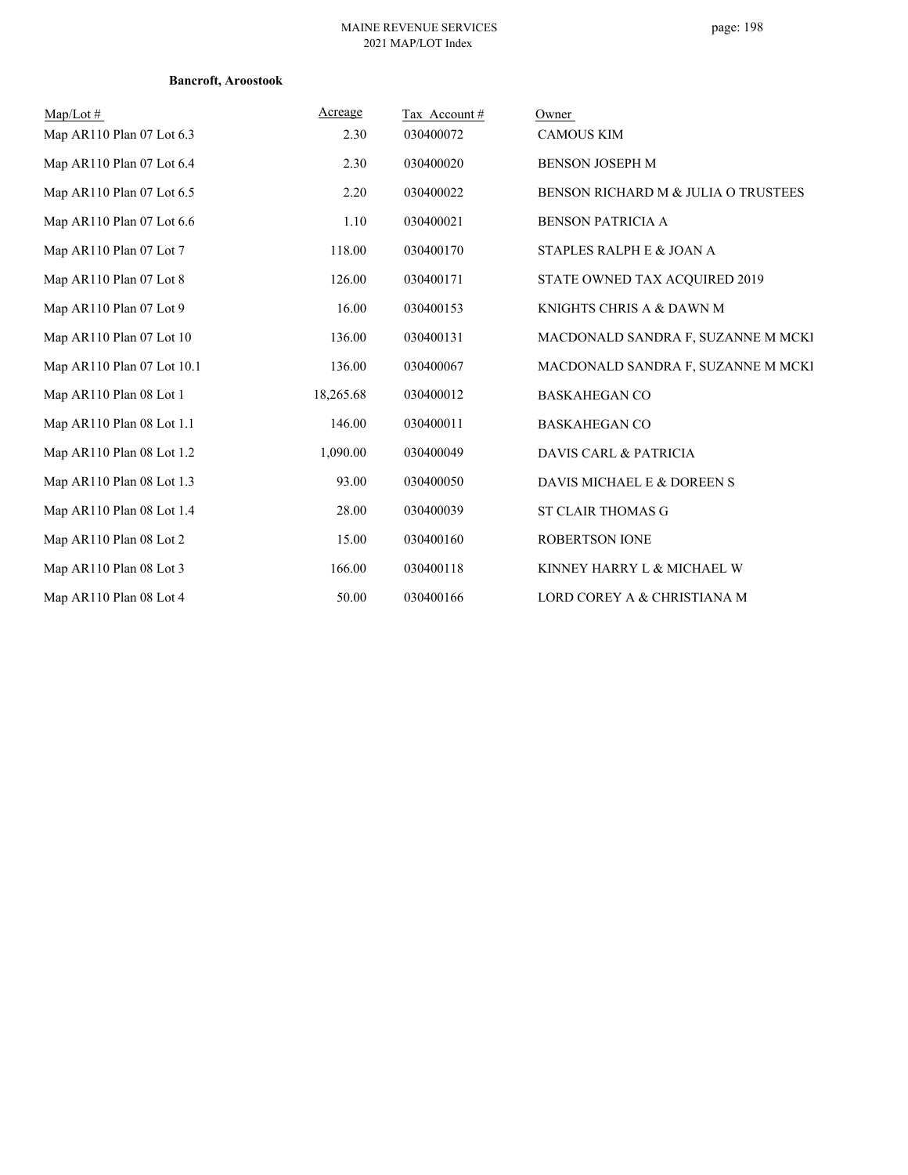| $Map/Lot \#$               | Acreage   | Tax Account# | Owner                               |
|----------------------------|-----------|--------------|-------------------------------------|
| Map AR110 Plan 07 Lot 6.3  | 2.30      | 030400072    | <b>CAMOUS KIM</b>                   |
| Map AR110 Plan 07 Lot 6.4  | 2.30      | 030400020    | <b>BENSON JOSEPH M</b>              |
| Map AR110 Plan 07 Lot 6.5  | 2.20      | 030400022    | BENSON RICHARD M & JULIA O TRUSTEES |
| Map AR110 Plan 07 Lot 6.6  | 1.10      | 030400021    | <b>BENSON PATRICIA A</b>            |
| Map AR110 Plan 07 Lot 7    | 118.00    | 030400170    | STAPLES RALPH E & JOAN A            |
| Map AR110 Plan 07 Lot 8    | 126.00    | 030400171    | STATE OWNED TAX ACQUIRED 2019       |
| Map AR110 Plan 07 Lot 9    | 16.00     | 030400153    | KNIGHTS CHRIS A & DAWN M            |
| Map AR110 Plan 07 Lot 10   | 136.00    | 030400131    | MACDONALD SANDRA F, SUZANNE M MCKI  |
| Map AR110 Plan 07 Lot 10.1 | 136.00    | 030400067    | MACDONALD SANDRA F, SUZANNE M MCKI  |
| Map AR110 Plan 08 Lot 1    | 18,265.68 | 030400012    | <b>BASKAHEGAN CO</b>                |
| Map AR110 Plan 08 Lot 1.1  | 146.00    | 030400011    | <b>BASKAHEGAN CO</b>                |
| Map AR110 Plan 08 Lot 1.2  | 1,090.00  | 030400049    | <b>DAVIS CARL &amp; PATRICIA</b>    |
| Map AR110 Plan 08 Lot 1.3  | 93.00     | 030400050    | DAVIS MICHAEL E & DOREEN S          |
| Map AR110 Plan 08 Lot 1.4  | 28.00     | 030400039    | <b>ST CLAIR THOMAS G</b>            |
| Map AR110 Plan 08 Lot 2    | 15.00     | 030400160    | <b>ROBERTSON IONE</b>               |
| Map AR110 Plan 08 Lot 3    | 166.00    | 030400118    | KINNEY HARRY L & MICHAEL W          |
| Map AR110 Plan 08 Lot 4    | 50.00     | 030400166    | LORD COREY A & CHRISTIANA M         |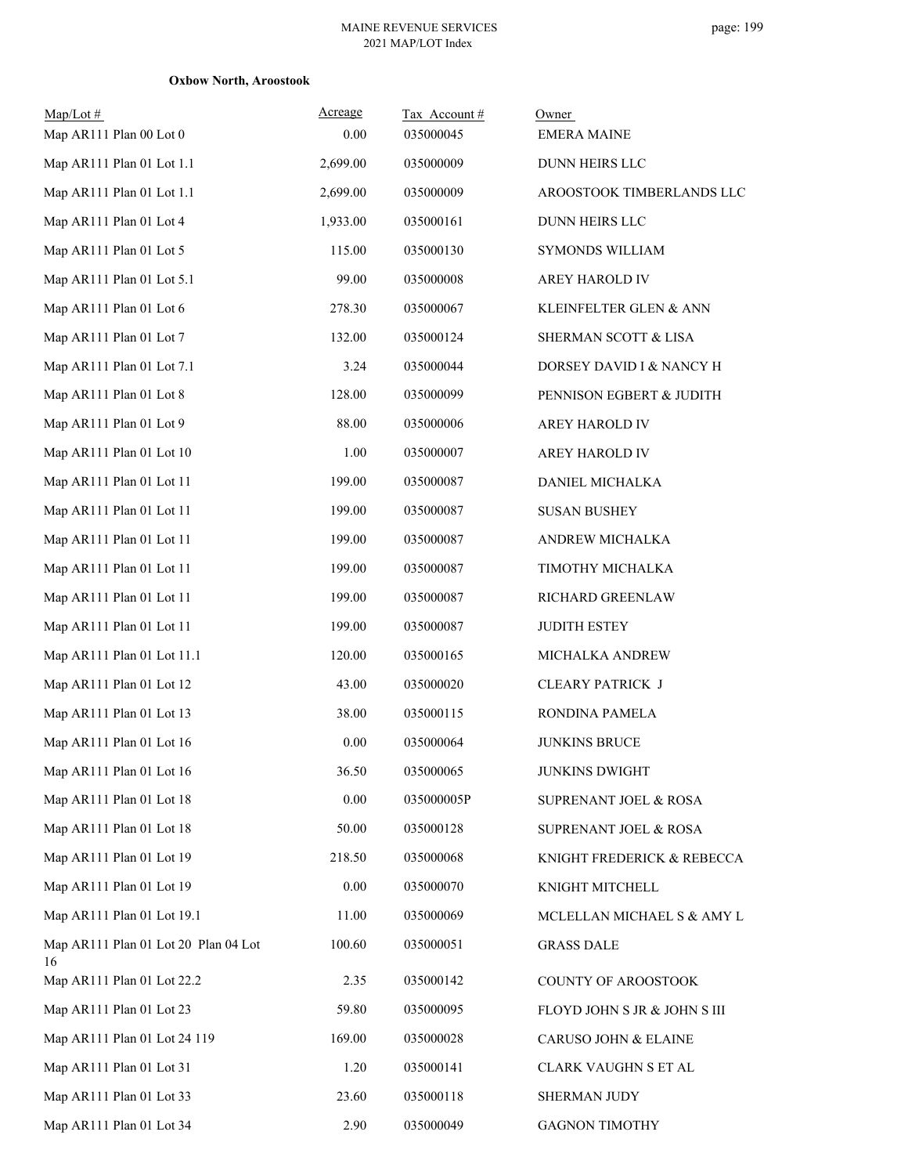| $Map/Lot \#$<br>Map AR111 Plan 00 Lot 0    | Acreage<br>0.00 | Tax Account#<br>035000045 | Owner<br><b>EMERA MAINE</b>  |
|--------------------------------------------|-----------------|---------------------------|------------------------------|
| Map AR111 Plan 01 Lot 1.1                  | 2,699.00        | 035000009                 | DUNN HEIRS LLC               |
| Map AR111 Plan 01 Lot 1.1                  | 2,699.00        | 035000009                 | AROOSTOOK TIMBERLANDS LLC    |
| Map AR111 Plan 01 Lot 4                    | 1,933.00        | 035000161                 | DUNN HEIRS LLC               |
| Map AR111 Plan 01 Lot 5                    | 115.00          | 035000130                 | SYMONDS WILLIAM              |
| Map AR111 Plan 01 Lot 5.1                  | 99.00           | 035000008                 | AREY HAROLD IV               |
| Map AR111 Plan 01 Lot 6                    | 278.30          | 035000067                 | KLEINFELTER GLEN & ANN       |
| Map AR111 Plan 01 Lot 7                    | 132.00          | 035000124                 | SHERMAN SCOTT & LISA         |
| Map AR111 Plan 01 Lot 7.1                  | 3.24            | 035000044                 | DORSEY DAVID I & NANCY H     |
| Map AR111 Plan 01 Lot 8                    | 128.00          | 035000099                 | PENNISON EGBERT & JUDITH     |
| Map AR111 Plan 01 Lot 9                    | 88.00           | 035000006                 | AREY HAROLD IV               |
| Map AR111 Plan 01 Lot 10                   | 1.00            | 035000007                 | AREY HAROLD IV               |
| Map AR111 Plan 01 Lot 11                   | 199.00          | 035000087                 | DANIEL MICHALKA              |
| Map AR111 Plan 01 Lot 11                   | 199.00          | 035000087                 | <b>SUSAN BUSHEY</b>          |
| Map AR111 Plan 01 Lot 11                   | 199.00          | 035000087                 | ANDREW MICHALKA              |
| Map AR111 Plan 01 Lot 11                   | 199.00          | 035000087                 | TIMOTHY MICHALKA             |
| Map AR111 Plan 01 Lot 11                   | 199.00          | 035000087                 | RICHARD GREENLAW             |
| Map AR111 Plan 01 Lot 11                   | 199.00          | 035000087                 | <b>JUDITH ESTEY</b>          |
| Map AR111 Plan 01 Lot 11.1                 | 120.00          | 035000165                 | MICHALKA ANDREW              |
| Map AR111 Plan 01 Lot 12                   | 43.00           | 035000020                 | <b>CLEARY PATRICK J</b>      |
| Map AR111 Plan 01 Lot 13                   | 38.00           | 035000115                 | RONDINA PAMELA               |
| Map AR111 Plan 01 Lot 16                   | 0.00            | 035000064                 | <b>JUNKINS BRUCE</b>         |
| Map AR111 Plan 01 Lot 16                   | 36.50           | 035000065                 | <b>JUNKINS DWIGHT</b>        |
| Map AR111 Plan 01 Lot 18                   | 0.00            | 035000005P                | SUPRENANT JOEL & ROSA        |
| Map AR111 Plan 01 Lot 18                   | 50.00           | 035000128                 | SUPRENANT JOEL & ROSA        |
| Map AR111 Plan 01 Lot 19                   | 218.50          | 035000068                 | KNIGHT FREDERICK & REBECCA   |
| Map AR111 Plan 01 Lot 19                   | 0.00            | 035000070                 | KNIGHT MITCHELL              |
| Map AR111 Plan 01 Lot 19.1                 | 11.00           | 035000069                 | MCLELLAN MICHAEL S & AMY L   |
| Map AR111 Plan 01 Lot 20 Plan 04 Lot<br>16 | 100.60          | 035000051                 | <b>GRASS DALE</b>            |
| Map AR111 Plan 01 Lot 22.2                 | 2.35            | 035000142                 | COUNTY OF AROOSTOOK          |
| Map AR111 Plan 01 Lot 23                   | 59.80           | 035000095                 | FLOYD JOHN S JR & JOHN S III |
| Map AR111 Plan 01 Lot 24 119               | 169.00          | 035000028                 | CARUSO JOHN & ELAINE         |
| Map AR111 Plan 01 Lot 31                   | 1.20            | 035000141                 | CLARK VAUGHN S ET AL         |
| Map AR111 Plan 01 Lot 33                   | 23.60           | 035000118                 | SHERMAN JUDY                 |
| Map AR111 Plan 01 Lot 34                   | 2.90            | 035000049                 | <b>GAGNON TIMOTHY</b>        |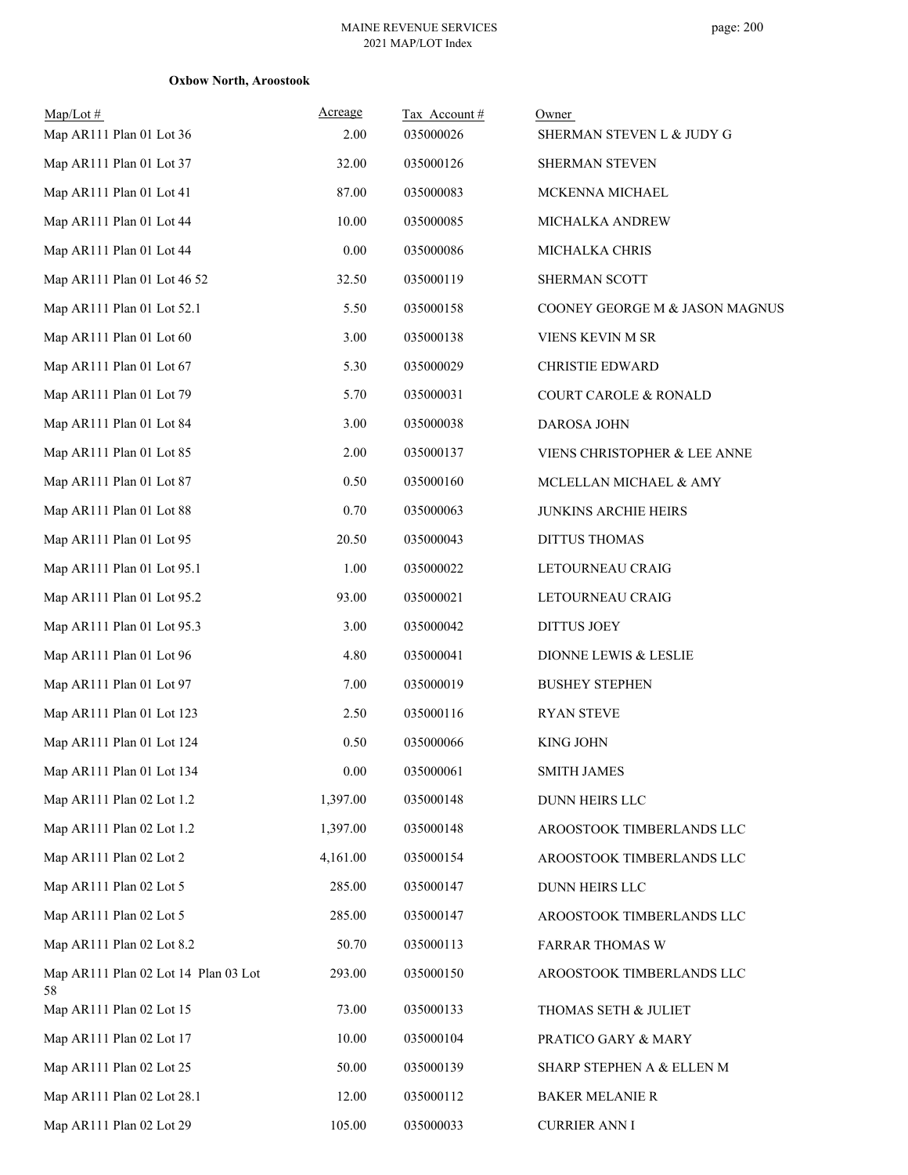| $Map/Lot \#$<br>Map AR111 Plan 01 Lot 36   | Acreage<br>2.00 | Tax Account#<br>035000026 | Owner<br>SHERMAN STEVEN L & JUDY G |
|--------------------------------------------|-----------------|---------------------------|------------------------------------|
| Map AR111 Plan 01 Lot 37                   | 32.00           | 035000126                 | SHERMAN STEVEN                     |
| Map AR111 Plan 01 Lot 41                   | 87.00           | 035000083                 | MCKENNA MICHAEL                    |
| Map AR111 Plan 01 Lot 44                   | 10.00           | 035000085                 | MICHALKA ANDREW                    |
| Map AR111 Plan 01 Lot 44                   | 0.00            | 035000086                 | MICHALKA CHRIS                     |
| Map AR111 Plan 01 Lot 46 52                | 32.50           | 035000119                 | SHERMAN SCOTT                      |
| Map AR111 Plan 01 Lot 52.1                 | 5.50            | 035000158                 | COONEY GEORGE M & JASON MAGNUS     |
| Map AR111 Plan 01 Lot 60                   | 3.00            | 035000138                 | VIENS KEVIN M SR                   |
| Map AR111 Plan 01 Lot 67                   | 5.30            | 035000029                 |                                    |
|                                            | 5.70            |                           | <b>CHRISTIE EDWARD</b>             |
| Map AR111 Plan 01 Lot 79                   |                 | 035000031                 | COURT CAROLE & RONALD              |
| Map AR111 Plan 01 Lot 84                   | 3.00            | 035000038                 | DAROSA JOHN                        |
| Map AR111 Plan 01 Lot 85                   | 2.00            | 035000137                 | VIENS CHRISTOPHER & LEE ANNE       |
| Map AR111 Plan 01 Lot 87                   | 0.50            | 035000160                 | MCLELLAN MICHAEL & AMY             |
| Map AR111 Plan 01 Lot 88                   | 0.70            | 035000063                 | <b>JUNKINS ARCHIE HEIRS</b>        |
| Map AR111 Plan 01 Lot 95                   | 20.50           | 035000043                 | <b>DITTUS THOMAS</b>               |
| Map AR111 Plan 01 Lot 95.1                 | 1.00            | 035000022                 | LETOURNEAU CRAIG                   |
| Map AR111 Plan 01 Lot 95.2                 | 93.00           | 035000021                 | LETOURNEAU CRAIG                   |
| Map AR111 Plan 01 Lot 95.3                 | 3.00            | 035000042                 | <b>DITTUS JOEY</b>                 |
| Map AR111 Plan 01 Lot 96                   | 4.80            | 035000041                 | DIONNE LEWIS & LESLIE              |
| Map AR111 Plan 01 Lot 97                   | 7.00            | 035000019                 | <b>BUSHEY STEPHEN</b>              |
| Map AR111 Plan 01 Lot 123                  | 2.50            | 035000116                 | <b>RYAN STEVE</b>                  |
| Map AR111 Plan 01 Lot 124                  | 0.50            | 035000066                 | <b>KING JOHN</b>                   |
| Map AR111 Plan 01 Lot 134                  | $0.00\,$        | 035000061                 | <b>SMITH JAMES</b>                 |
| Map AR111 Plan 02 Lot 1.2                  | 1,397.00        | 035000148                 | <b>DUNN HEIRS LLC</b>              |
| Map AR111 Plan 02 Lot 1.2                  | 1,397.00        | 035000148                 | AROOSTOOK TIMBERLANDS LLC          |
| Map AR111 Plan 02 Lot 2                    | 4,161.00        | 035000154                 | AROOSTOOK TIMBERLANDS LLC          |
| Map AR111 Plan 02 Lot 5                    | 285.00          | 035000147                 | DUNN HEIRS LLC                     |
| Map AR111 Plan 02 Lot 5                    | 285.00          | 035000147                 | AROOSTOOK TIMBERLANDS LLC          |
| Map AR111 Plan 02 Lot 8.2                  | 50.70           | 035000113                 | <b>FARRAR THOMAS W</b>             |
| Map AR111 Plan 02 Lot 14 Plan 03 Lot<br>58 | 293.00          | 035000150                 | AROOSTOOK TIMBERLANDS LLC          |
| Map AR111 Plan 02 Lot 15                   | 73.00           | 035000133                 | THOMAS SETH & JULIET               |
| Map AR111 Plan 02 Lot 17                   | 10.00           | 035000104                 | PRATICO GARY & MARY                |
| Map AR111 Plan 02 Lot 25                   | 50.00           | 035000139                 | SHARP STEPHEN A & ELLEN M          |
| Map AR111 Plan 02 Lot 28.1                 | 12.00           | 035000112                 | <b>BAKER MELANIE R</b>             |
| Map AR111 Plan 02 Lot 29                   | 105.00          | 035000033                 | <b>CURRIER ANN I</b>               |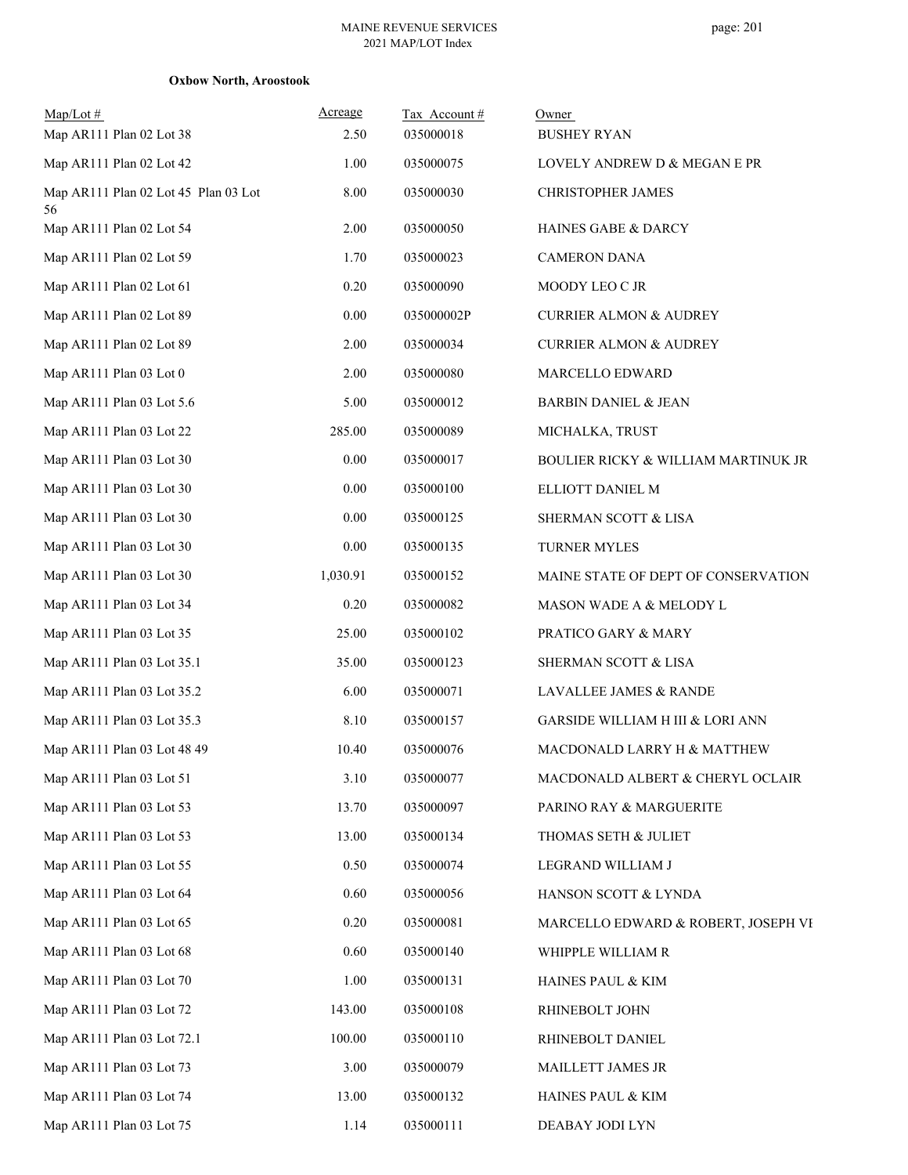| $Map/Lot \#$                               | Acreage  | Tax Account# | Owner                                          |
|--------------------------------------------|----------|--------------|------------------------------------------------|
| Map AR111 Plan 02 Lot 38                   | 2.50     | 035000018    | <b>BUSHEY RYAN</b>                             |
| Map AR111 Plan 02 Lot 42                   | 1.00     | 035000075    | LOVELY ANDREW D & MEGAN E PR                   |
| Map AR111 Plan 02 Lot 45 Plan 03 Lot<br>56 | 8.00     | 035000030    | CHRISTOPHER JAMES                              |
| Map AR111 Plan 02 Lot 54                   | 2.00     | 035000050    | HAINES GABE & DARCY                            |
| Map AR111 Plan 02 Lot 59                   | 1.70     | 035000023    | <b>CAMERON DANA</b>                            |
| Map AR111 Plan 02 Lot 61                   | 0.20     | 035000090    | MOODY LEO C JR                                 |
| Map AR111 Plan 02 Lot 89                   | $0.00\,$ | 035000002P   | <b>CURRIER ALMON &amp; AUDREY</b>              |
| Map AR111 Plan 02 Lot 89                   | 2.00     | 035000034    | <b>CURRIER ALMON &amp; AUDREY</b>              |
| Map AR111 Plan 03 Lot 0                    | 2.00     | 035000080    | <b>MARCELLO EDWARD</b>                         |
| Map AR111 Plan 03 Lot 5.6                  | 5.00     | 035000012    | <b>BARBIN DANIEL &amp; JEAN</b>                |
| Map AR111 Plan 03 Lot 22                   | 285.00   | 035000089    | MICHALKA, TRUST                                |
| Map AR111 Plan 03 Lot 30                   | $0.00\,$ | 035000017    | <b>BOULIER RICKY &amp; WILLIAM MARTINUK JR</b> |
| Map AR111 Plan 03 Lot 30                   | 0.00     | 035000100    | ELLIOTT DANIEL M                               |
| Map AR111 Plan 03 Lot 30                   | 0.00     | 035000125    | SHERMAN SCOTT & LISA                           |
| Map AR111 Plan 03 Lot 30                   | $0.00\,$ | 035000135    | TURNER MYLES                                   |
| Map AR111 Plan 03 Lot 30                   | 1,030.91 | 035000152    | MAINE STATE OF DEPT OF CONSERVATION            |
| Map AR111 Plan 03 Lot 34                   | 0.20     | 035000082    | MASON WADE A & MELODY L                        |
| Map AR111 Plan 03 Lot 35                   | 25.00    | 035000102    | PRATICO GARY & MARY                            |
| Map AR111 Plan 03 Lot 35.1                 | 35.00    | 035000123    | SHERMAN SCOTT & LISA                           |
| Map AR111 Plan 03 Lot 35.2                 | 6.00     | 035000071    | LAVALLEE JAMES & RANDE                         |
| Map AR111 Plan 03 Lot 35.3                 | 8.10     | 035000157    | GARSIDE WILLIAM H III & LORI ANN               |
| Map AR111 Plan 03 Lot 48 49                | 10.40    | 035000076    | MACDONALD LARRY H & MATTHEW                    |
| Map AR111 Plan 03 Lot 51                   | 3.10     | 035000077    | MACDONALD ALBERT & CHERYL OCLAIR               |
| Map AR111 Plan 03 Lot 53                   | 13.70    | 035000097    | PARINO RAY & MARGUERITE                        |
| Map AR111 Plan 03 Lot 53                   | 13.00    | 035000134    | THOMAS SETH & JULIET                           |
| Map AR111 Plan 03 Lot 55                   | 0.50     | 035000074    | LEGRAND WILLIAM J                              |
| Map AR111 Plan 03 Lot 64                   | 0.60     | 035000056    | HANSON SCOTT & LYNDA                           |
| Map AR111 Plan 03 Lot 65                   | 0.20     | 035000081    | MARCELLO EDWARD & ROBERT, JOSEPH VI            |
| Map AR111 Plan 03 Lot 68                   | 0.60     | 035000140    | WHIPPLE WILLIAM R                              |
| Map AR111 Plan 03 Lot 70                   | 1.00     | 035000131    | HAINES PAUL & KIM                              |
| Map AR111 Plan 03 Lot 72                   | 143.00   | 035000108    | RHINEBOLT JOHN                                 |
| Map AR111 Plan 03 Lot 72.1                 | 100.00   | 035000110    | RHINEBOLT DANIEL                               |
| Map AR111 Plan 03 Lot 73                   | 3.00     | 035000079    | MAILLETT JAMES JR                              |
| Map AR111 Plan 03 Lot 74                   | 13.00    | 035000132    | HAINES PAUL & KIM                              |
| Map AR111 Plan 03 Lot 75                   | 1.14     | 035000111    | DEABAY JODI LYN                                |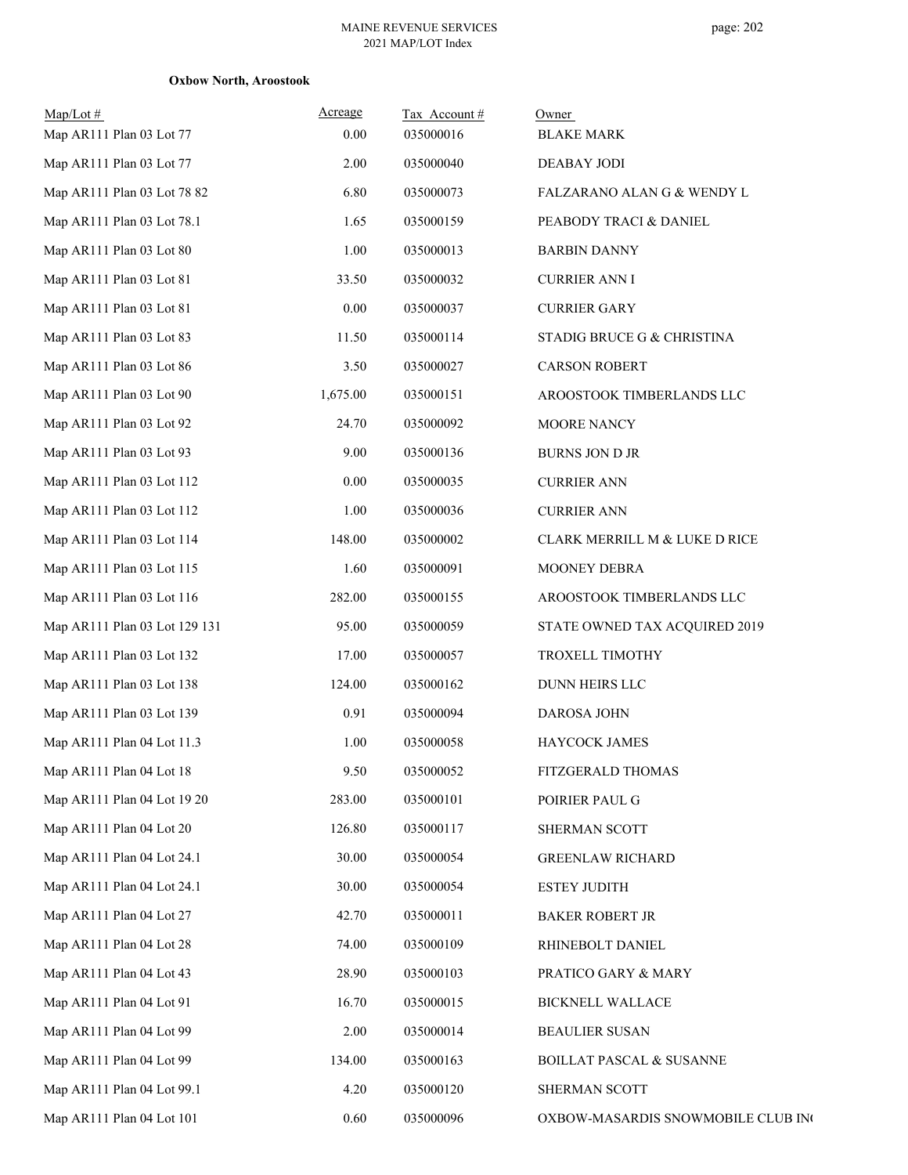| $Map/Lot \#$<br>Map AR111 Plan 03 Lot 77 | Acreage<br>0.00 | Tax Account#<br>035000016 | Owner<br><b>BLAKE MARK</b>          |
|------------------------------------------|-----------------|---------------------------|-------------------------------------|
| Map AR111 Plan 03 Lot 77                 | 2.00            | 035000040                 | DEABAY JODI                         |
| Map AR111 Plan 03 Lot 78 82              | 6.80            | 035000073                 | FALZARANO ALAN G & WENDY L          |
| Map AR111 Plan 03 Lot 78.1               | 1.65            | 035000159                 | PEABODY TRACI & DANIEL              |
| Map AR111 Plan 03 Lot 80                 | 1.00            | 035000013                 | <b>BARBIN DANNY</b>                 |
| Map AR111 Plan 03 Lot 81                 | 33.50           | 035000032                 | <b>CURRIER ANN I</b>                |
| Map AR111 Plan 03 Lot 81                 | 0.00            | 035000037                 | <b>CURRIER GARY</b>                 |
| Map AR111 Plan 03 Lot 83                 | 11.50           | 035000114                 | STADIG BRUCE G & CHRISTINA          |
| Map AR111 Plan 03 Lot 86                 | 3.50            | 035000027                 | <b>CARSON ROBERT</b>                |
| Map AR111 Plan 03 Lot 90                 | 1,675.00        | 035000151                 | AROOSTOOK TIMBERLANDS LLC           |
| Map AR111 Plan 03 Lot 92                 | 24.70           | 035000092                 | MOORE NANCY                         |
| Map AR111 Plan 03 Lot 93                 | 9.00            | 035000136                 | <b>BURNS JON D JR</b>               |
| Map AR111 Plan 03 Lot 112                | 0.00            | 035000035                 | <b>CURRIER ANN</b>                  |
| Map AR111 Plan 03 Lot 112                | 1.00            | 035000036                 | <b>CURRIER ANN</b>                  |
| Map AR111 Plan 03 Lot 114                | 148.00          | 035000002                 | CLARK MERRILL M & LUKE D RICE       |
| Map AR111 Plan 03 Lot 115                | 1.60            | 035000091                 | MOONEY DEBRA                        |
| Map AR111 Plan 03 Lot 116                | 282.00          | 035000155                 | AROOSTOOK TIMBERLANDS LLC           |
| Map AR111 Plan 03 Lot 129 131            | 95.00           | 035000059                 | STATE OWNED TAX ACQUIRED 2019       |
| Map AR111 Plan 03 Lot 132                | 17.00           | 035000057                 | TROXELL TIMOTHY                     |
| Map AR111 Plan 03 Lot 138                | 124.00          | 035000162                 | <b>DUNN HEIRS LLC</b>               |
| Map AR111 Plan 03 Lot 139                | 0.91            | 035000094                 | DAROSA JOHN                         |
| Map AR111 Plan 04 Lot 11.3               | 1.00            | 035000058                 | HAYCOCK JAMES                       |
| Map AR111 Plan 04 Lot 18                 | 9.50            | 035000052                 | FITZGERALD THOMAS                   |
| Map AR111 Plan 04 Lot 19 20              | 283.00          | 035000101                 | POIRIER PAUL G                      |
| Map AR111 Plan 04 Lot 20                 | 126.80          | 035000117                 | SHERMAN SCOTT                       |
| Map AR111 Plan 04 Lot 24.1               | 30.00           | 035000054                 | <b>GREENLAW RICHARD</b>             |
| Map AR111 Plan 04 Lot 24.1               | 30.00           | 035000054                 | <b>ESTEY JUDITH</b>                 |
| Map AR111 Plan 04 Lot 27                 | 42.70           | 035000011                 | <b>BAKER ROBERT JR</b>              |
| Map AR111 Plan 04 Lot 28                 | 74.00           | 035000109                 | RHINEBOLT DANIEL                    |
| Map AR111 Plan 04 Lot 43                 | 28.90           | 035000103                 | PRATICO GARY & MARY                 |
| Map AR111 Plan 04 Lot 91                 | 16.70           | 035000015                 | <b>BICKNELL WALLACE</b>             |
| Map AR111 Plan 04 Lot 99                 | 2.00            | 035000014                 | <b>BEAULIER SUSAN</b>               |
| Map AR111 Plan 04 Lot 99                 | 134.00          | 035000163                 | <b>BOILLAT PASCAL &amp; SUSANNE</b> |
| Map AR111 Plan 04 Lot 99.1               | 4.20            | 035000120                 | SHERMAN SCOTT                       |
| Map AR111 Plan 04 Lot 101                | 0.60            | 035000096                 | OXBOW-MASARDIS SNOWMOBILE CLUB INC  |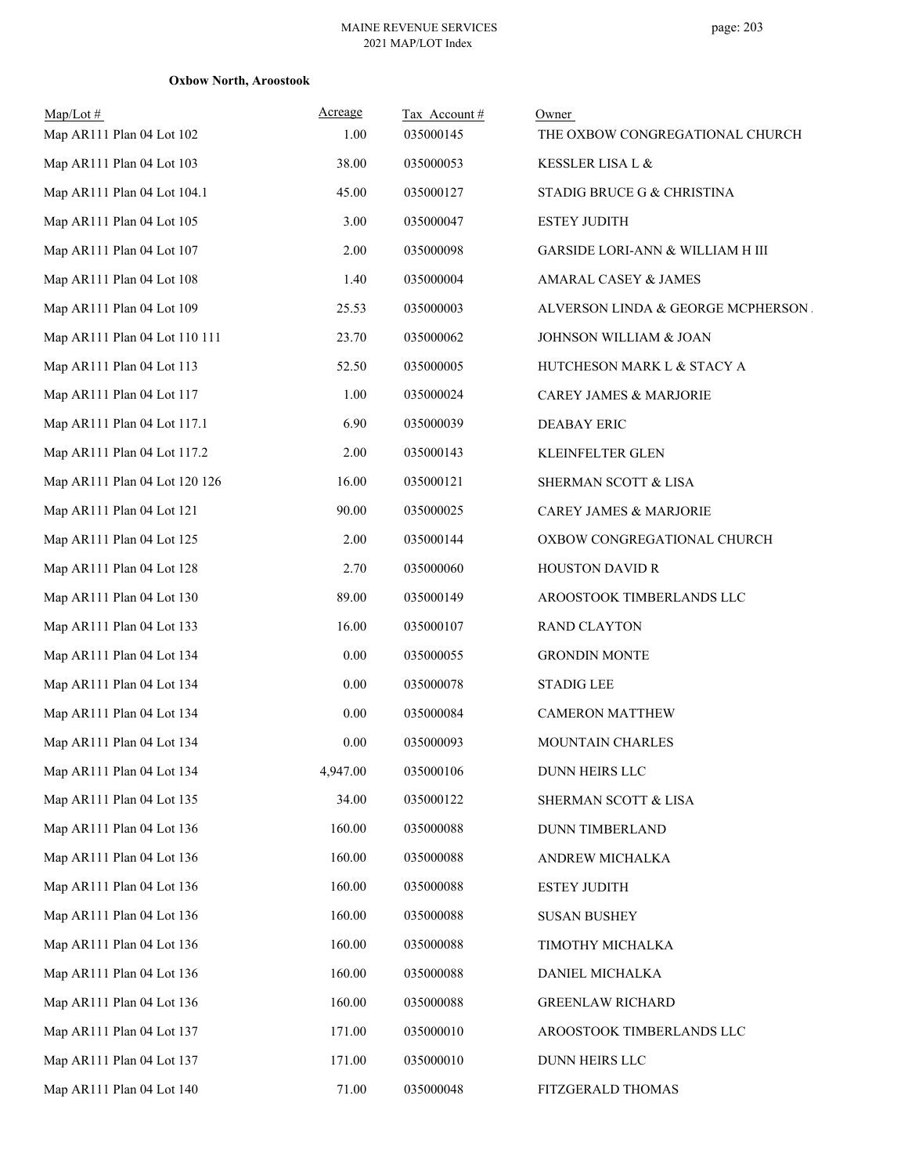| $Map/Lot \#$<br>Map AR111 Plan 04 Lot 102 | Acreage<br>1.00 | Tax Account#<br>035000145 | Owner<br>THE OXBOW CONGREGATIONAL CHURCH    |
|-------------------------------------------|-----------------|---------------------------|---------------------------------------------|
| Map AR111 Plan 04 Lot 103                 | 38.00           | 035000053                 | KESSLER LISA L &                            |
| Map AR111 Plan 04 Lot 104.1               | 45.00           | 035000127                 | STADIG BRUCE G & CHRISTINA                  |
| Map AR111 Plan 04 Lot 105                 | 3.00            | 035000047                 | <b>ESTEY JUDITH</b>                         |
| Map AR111 Plan 04 Lot 107                 | 2.00            | 035000098                 | <b>GARSIDE LORI-ANN &amp; WILLIAM H III</b> |
| Map AR111 Plan 04 Lot 108                 | 1.40            | 035000004                 | AMARAL CASEY & JAMES                        |
| Map AR111 Plan 04 Lot 109                 | 25.53           | 035000003                 | ALVERSON LINDA & GEORGE MCPHERSON.          |
| Map AR111 Plan 04 Lot 110 111             | 23.70           | 035000062                 | JOHNSON WILLIAM & JOAN                      |
| Map AR111 Plan 04 Lot 113                 | 52.50           | 035000005                 | HUTCHESON MARK L & STACY A                  |
| Map AR111 Plan 04 Lot 117                 | 1.00            | 035000024                 | CAREY JAMES & MARJORIE                      |
| Map AR111 Plan 04 Lot 117.1               | 6.90            | 035000039                 | <b>DEABAY ERIC</b>                          |
| Map AR111 Plan 04 Lot 117.2               | 2.00            | 035000143                 | KLEINFELTER GLEN                            |
| Map AR111 Plan 04 Lot 120 126             | 16.00           | 035000121                 | SHERMAN SCOTT & LISA                        |
| Map AR111 Plan 04 Lot 121                 | 90.00           | 035000025                 | <b>CAREY JAMES &amp; MARJORIE</b>           |
| Map AR111 Plan 04 Lot 125                 | 2.00            | 035000144                 | OXBOW CONGREGATIONAL CHURCH                 |
| Map AR111 Plan 04 Lot 128                 | 2.70            | 035000060                 | <b>HOUSTON DAVID R</b>                      |
| Map AR111 Plan 04 Lot 130                 | 89.00           | 035000149                 | AROOSTOOK TIMBERLANDS LLC                   |
| Map AR111 Plan 04 Lot 133                 | 16.00           | 035000107                 | <b>RAND CLAYTON</b>                         |
| Map AR111 Plan 04 Lot 134                 | $0.00\,$        | 035000055                 | <b>GRONDIN MONTE</b>                        |
| Map AR111 Plan 04 Lot 134                 | 0.00            | 035000078                 | <b>STADIG LEE</b>                           |
| Map AR111 Plan 04 Lot 134                 | 0.00            | 035000084                 | <b>CAMERON MATTHEW</b>                      |
| Map AR111 Plan 04 Lot 134                 | 0.00            | 035000093                 | MOUNTAIN CHARLES                            |
| Map AR111 Plan 04 Lot 134                 | 4,947.00        | 035000106                 | DUNN HEIRS LLC                              |
| Map AR111 Plan 04 Lot 135                 | 34.00           | 035000122                 | SHERMAN SCOTT & LISA                        |
| Map AR111 Plan 04 Lot 136                 | 160.00          | 035000088                 | <b>DUNN TIMBERLAND</b>                      |
| Map AR111 Plan 04 Lot 136                 | 160.00          | 035000088                 | ANDREW MICHALKA                             |
| Map AR111 Plan 04 Lot 136                 | 160.00          | 035000088                 | ESTEY JUDITH                                |
| Map AR111 Plan 04 Lot 136                 | 160.00          | 035000088                 | <b>SUSAN BUSHEY</b>                         |
| Map AR111 Plan 04 Lot 136                 | 160.00          | 035000088                 | TIMOTHY MICHALKA                            |
| Map AR111 Plan 04 Lot 136                 | 160.00          | 035000088                 | DANIEL MICHALKA                             |
| Map AR111 Plan 04 Lot 136                 | 160.00          | 035000088                 | <b>GREENLAW RICHARD</b>                     |
| Map AR111 Plan 04 Lot 137                 | 171.00          | 035000010                 | AROOSTOOK TIMBERLANDS LLC                   |
| Map AR111 Plan 04 Lot 137                 | 171.00          | 035000010                 | DUNN HEIRS LLC                              |
| Map AR111 Plan 04 Lot 140                 | 71.00           | 035000048                 | FITZGERALD THOMAS                           |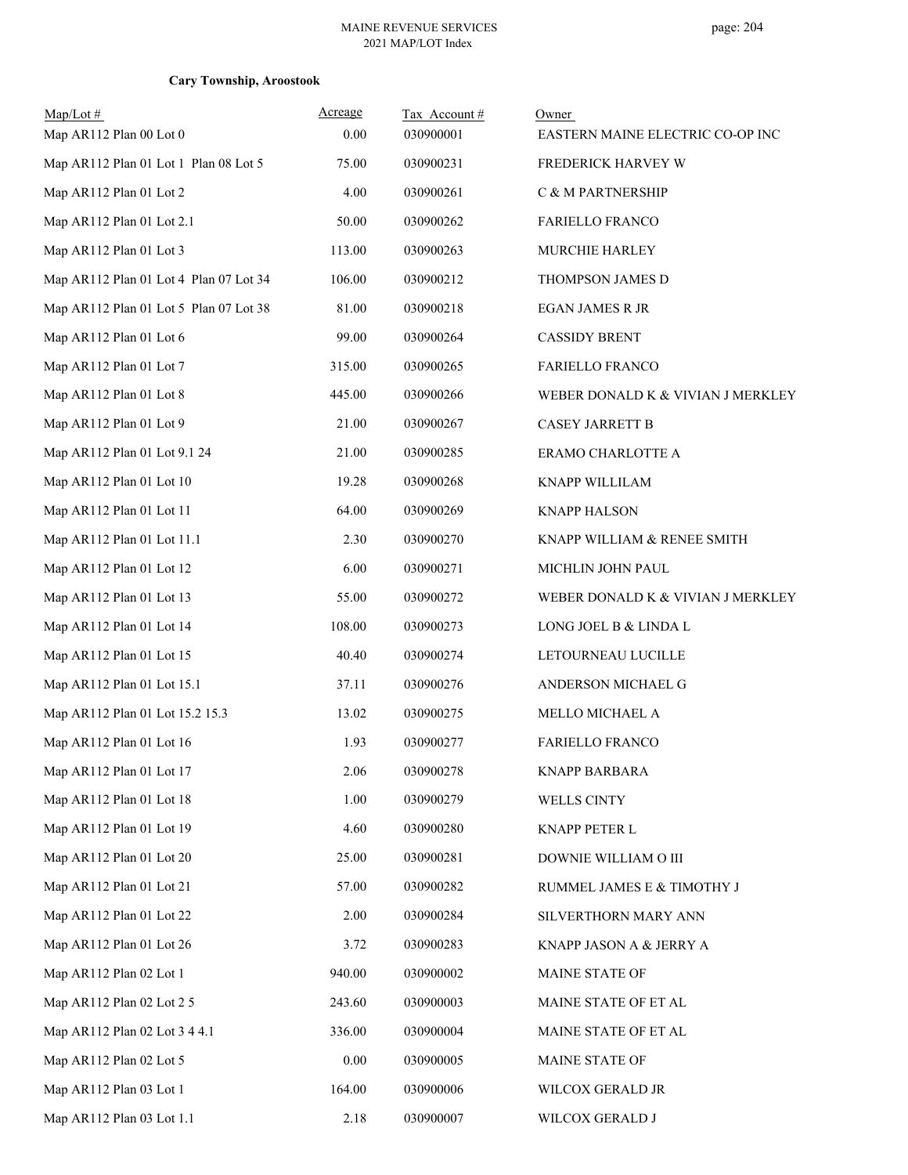| $Map/Lot \#$                           | Acreage | Tax Account# | Owner                             |
|----------------------------------------|---------|--------------|-----------------------------------|
| Map AR112 Plan 00 Lot 0                | 0.00    | 030900001    | EASTERN MAINE ELECTRIC CO-OP INC  |
| Map AR112 Plan 01 Lot 1 Plan 08 Lot 5  | 75.00   | 030900231    | FREDERICK HARVEY W                |
| Map AR112 Plan 01 Lot 2                | 4.00    | 030900261    | C & M PARTNERSHIP                 |
| Map AR112 Plan 01 Lot 2.1              | 50.00   | 030900262    | <b>FARIELLO FRANCO</b>            |
| Map AR112 Plan 01 Lot 3                | 113.00  | 030900263    | MURCHIE HARLEY                    |
| Map AR112 Plan 01 Lot 4 Plan 07 Lot 34 | 106.00  | 030900212    | THOMPSON JAMES D                  |
| Map AR112 Plan 01 Lot 5 Plan 07 Lot 38 | 81.00   | 030900218    | <b>EGAN JAMES R JR</b>            |
| Map AR112 Plan 01 Lot 6                | 99.00   | 030900264    | <b>CASSIDY BRENT</b>              |
| Map AR112 Plan 01 Lot 7                | 315.00  | 030900265    | <b>FARIELLO FRANCO</b>            |
| Map AR112 Plan 01 Lot 8                | 445.00  | 030900266    | WEBER DONALD K & VIVIAN J MERKLEY |
| Map AR112 Plan 01 Lot 9                | 21.00   | 030900267    | <b>CASEY JARRETT B</b>            |
| Map AR112 Plan 01 Lot 9.1 24           | 21.00   | 030900285    | ERAMO CHARLOTTE A                 |
| Map AR112 Plan 01 Lot 10               | 19.28   | 030900268    | KNAPP WILLILAM                    |
| Map AR112 Plan 01 Lot 11               | 64.00   | 030900269    | <b>KNAPP HALSON</b>               |
| Map AR112 Plan 01 Lot 11.1             | 2.30    | 030900270    | KNAPP WILLIAM & RENEE SMITH       |
| Map AR112 Plan 01 Lot 12               | 6.00    | 030900271    | MICHLIN JOHN PAUL                 |
| Map AR112 Plan 01 Lot 13               | 55.00   | 030900272    | WEBER DONALD K & VIVIAN J MERKLEY |
| Map AR112 Plan 01 Lot 14               | 108.00  | 030900273    | LONG JOEL B & LINDA L             |
| Map AR112 Plan 01 Lot 15               | 40.40   | 030900274    | LETOURNEAU LUCILLE                |
| Map AR112 Plan 01 Lot 15.1             | 37.11   | 030900276    | ANDERSON MICHAEL G                |
| Map AR112 Plan 01 Lot 15.2 15.3        | 13.02   | 030900275    | MELLO MICHAEL A                   |
| Map AR112 Plan 01 Lot 16               | 1.93    | 030900277    | <b>FARIELLO FRANCO</b>            |
| Map AR112 Plan 01 Lot 17               | 2.06    | 030900278    | <b>KNAPP BARBARA</b>              |
| Map AR112 Plan 01 Lot 18               | 1.00    | 030900279    | WELLS CINTY                       |
| Map AR112 Plan 01 Lot 19               | 4.60    | 030900280    | KNAPP PETER L                     |
| Map AR112 Plan 01 Lot 20               | 25.00   | 030900281    | DOWNIE WILLIAM O III              |
| Map AR112 Plan 01 Lot 21               | 57.00   | 030900282    | RUMMEL JAMES E & TIMOTHY J        |
| Map AR112 Plan 01 Lot 22               | 2.00    | 030900284    | SILVERTHORN MARY ANN              |
| Map AR112 Plan 01 Lot 26               | 3.72    | 030900283    | KNAPP JASON A & JERRY A           |
| Map AR112 Plan 02 Lot 1                | 940.00  | 030900002    | MAINE STATE OF                    |
| Map AR112 Plan 02 Lot 2 5              | 243.60  | 030900003    | MAINE STATE OF ET AL              |
| Map AR112 Plan 02 Lot 3 4 4.1          | 336.00  | 030900004    | MAINE STATE OF ET AL              |
| Map AR112 Plan 02 Lot 5                | 0.00    | 030900005    | MAINE STATE OF                    |
| Map AR112 Plan 03 Lot 1                | 164.00  | 030900006    | WILCOX GERALD JR                  |
| Map AR112 Plan 03 Lot 1.1              | 2.18    | 030900007    | WILCOX GERALD J                   |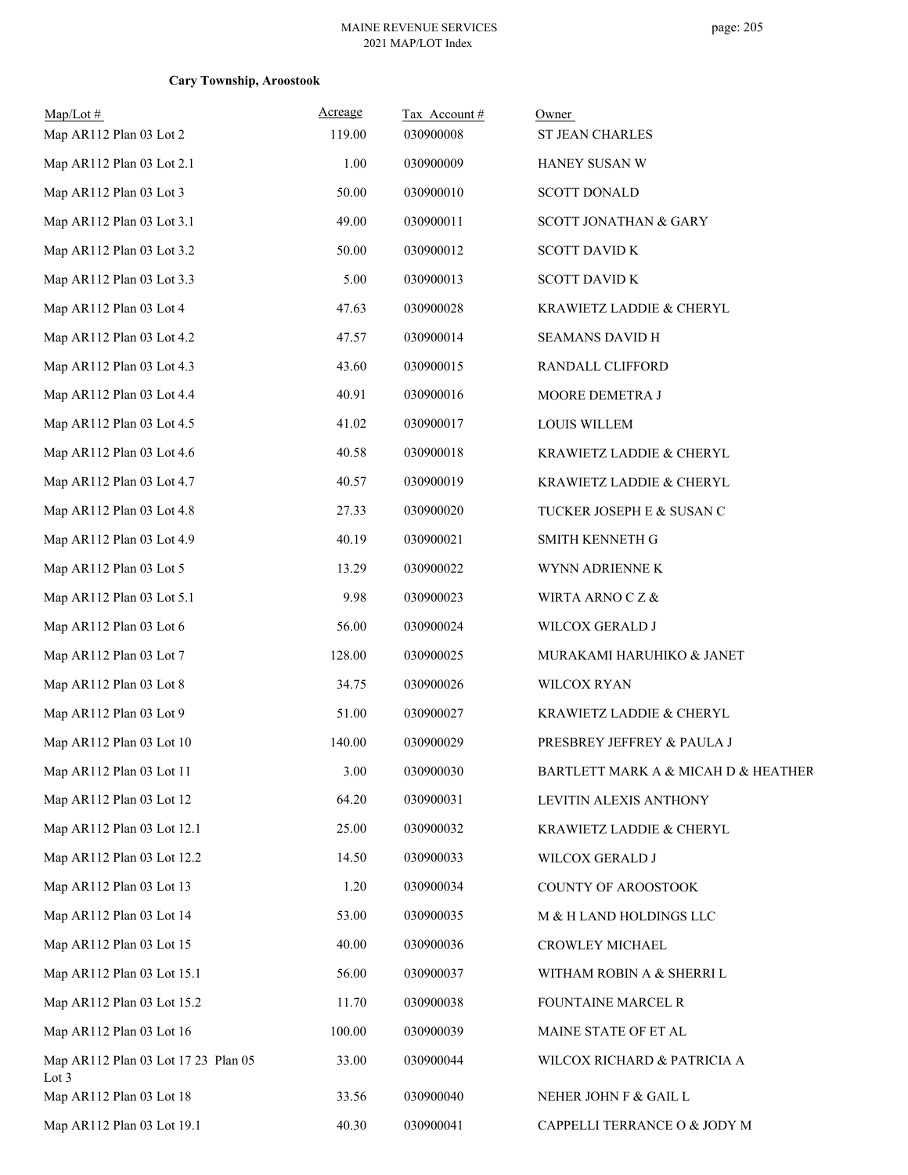| $Map/Lot \#$<br>Map AR112 Plan 03 Lot 2      | Acreage<br>119.00 | Tax Account#<br>030900008 | Owner<br>ST JEAN CHARLES            |
|----------------------------------------------|-------------------|---------------------------|-------------------------------------|
| Map AR112 Plan 03 Lot 2.1                    | 1.00              | 030900009                 | HANEY SUSAN W                       |
| Map AR112 Plan 03 Lot 3                      | 50.00             | 030900010                 | <b>SCOTT DONALD</b>                 |
| Map AR112 Plan 03 Lot 3.1                    | 49.00             | 030900011                 | SCOTT JONATHAN & GARY               |
| Map AR112 Plan 03 Lot 3.2                    | 50.00             | 030900012                 | <b>SCOTT DAVID K</b>                |
| Map AR112 Plan 03 Lot 3.3                    | 5.00              | 030900013                 | <b>SCOTT DAVID K</b>                |
| Map AR112 Plan 03 Lot 4                      | 47.63             | 030900028                 | KRAWIETZ LADDIE & CHERYL            |
| Map AR112 Plan 03 Lot 4.2                    | 47.57             | 030900014                 | SEAMANS DAVID H                     |
| Map AR112 Plan 03 Lot 4.3                    | 43.60             | 030900015                 | RANDALL CLIFFORD                    |
| Map AR112 Plan 03 Lot 4.4                    | 40.91             | 030900016                 | MOORE DEMETRA J                     |
| Map AR112 Plan 03 Lot 4.5                    | 41.02             | 030900017                 | <b>LOUIS WILLEM</b>                 |
| Map AR112 Plan 03 Lot 4.6                    | 40.58             | 030900018                 | KRAWIETZ LADDIE & CHERYL            |
| Map AR112 Plan 03 Lot 4.7                    | 40.57             | 030900019                 | KRAWIETZ LADDIE & CHERYL            |
| Map AR112 Plan 03 Lot 4.8                    | 27.33             | 030900020                 | TUCKER JOSEPH E & SUSAN C           |
| Map AR112 Plan 03 Lot 4.9                    | 40.19             | 030900021                 | SMITH KENNETH G                     |
| Map AR112 Plan 03 Lot 5                      | 13.29             | 030900022                 | WYNN ADRIENNE K                     |
| Map AR112 Plan 03 Lot 5.1                    | 9.98              | 030900023                 | WIRTA ARNO C Z &                    |
| Map AR112 Plan 03 Lot 6                      | 56.00             | 030900024                 | WILCOX GERALD J                     |
| Map AR112 Plan 03 Lot 7                      | 128.00            | 030900025                 | MURAKAMI HARUHIKO & JANET           |
| Map AR112 Plan 03 Lot 8                      | 34.75             | 030900026                 | WILCOX RYAN                         |
| Map AR112 Plan 03 Lot 9                      | 51.00             | 030900027                 | KRAWIETZ LADDIE & CHERYL            |
| Map AR112 Plan 03 Lot 10                     | 140.00            | 030900029                 | PRESBREY JEFFREY & PAULA J          |
| Map AR112 Plan 03 Lot 11                     | 3.00              | 030900030                 | BARTLETT MARK A & MICAH D & HEATHER |
| Map AR112 Plan 03 Lot 12                     | 64.20             | 030900031                 | LEVITIN ALEXIS ANTHONY              |
| Map AR112 Plan 03 Lot 12.1                   | 25.00             | 030900032                 | KRAWIETZ LADDIE & CHERYL            |
| Map AR112 Plan 03 Lot 12.2                   | 14.50             | 030900033                 | WILCOX GERALD J                     |
| Map AR112 Plan 03 Lot 13                     | 1.20              | 030900034                 | COUNTY OF AROOSTOOK                 |
| Map AR112 Plan 03 Lot 14                     | 53.00             | 030900035                 | M & H LAND HOLDINGS LLC             |
| Map AR112 Plan 03 Lot 15                     | 40.00             | 030900036                 | CROWLEY MICHAEL                     |
| Map AR112 Plan 03 Lot 15.1                   | 56.00             | 030900037                 | WITHAM ROBIN A & SHERRI L           |
| Map AR112 Plan 03 Lot 15.2                   | 11.70             | 030900038                 | FOUNTAINE MARCEL R                  |
| Map AR112 Plan 03 Lot 16                     | 100.00            | 030900039                 | MAINE STATE OF ET AL                |
| Map AR112 Plan 03 Lot 17 23 Plan 05<br>Lot 3 | 33.00             | 030900044                 | WILCOX RICHARD & PATRICIA A         |
| Map AR112 Plan 03 Lot 18                     | 33.56             | 030900040                 | NEHER JOHN F $\&$ GAIL L            |
| Map AR112 Plan 03 Lot 19.1                   | 40.30             | 030900041                 | CAPPELLI TERRANCE O & JODY M        |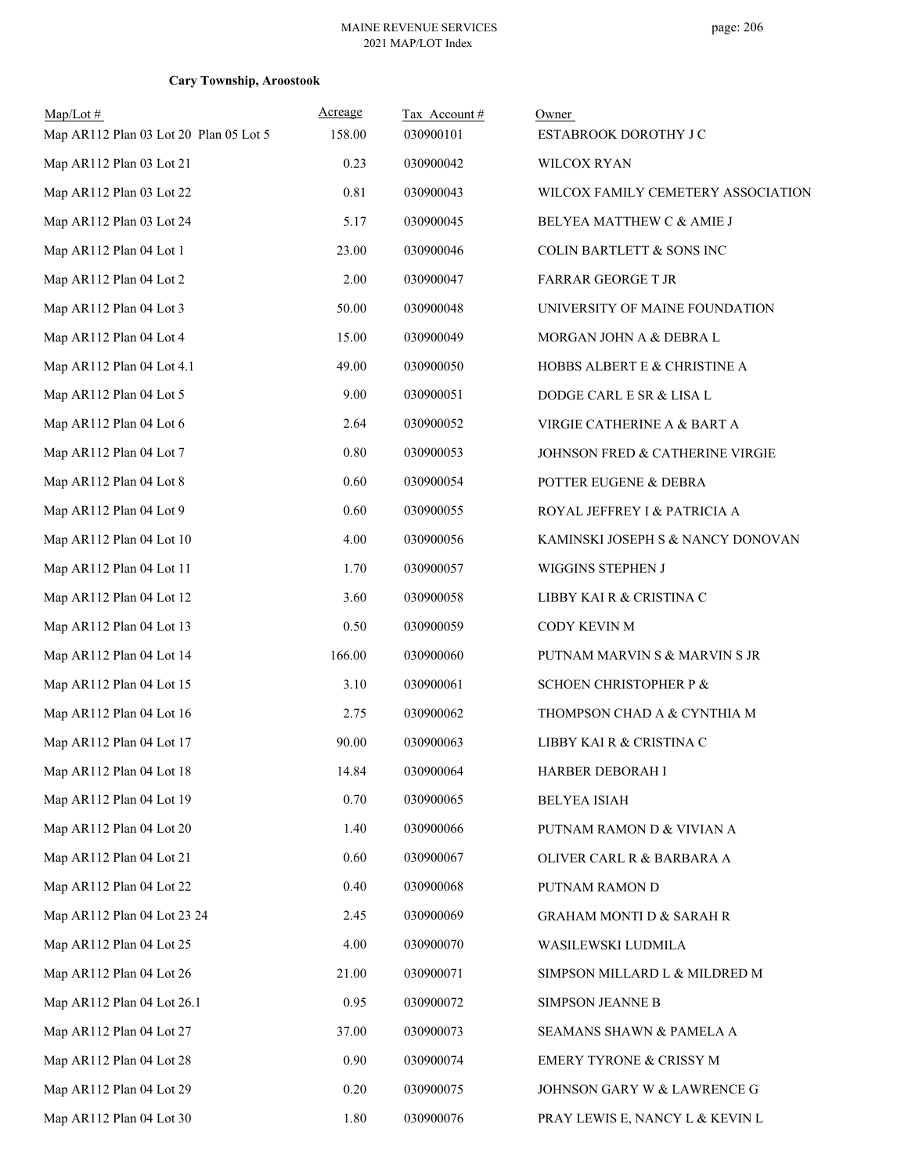| $Map/Lot \#$<br>Map AR112 Plan 03 Lot 20 Plan 05 Lot 5 | Acreage<br>158.00 | Tax Account#<br>030900101 | Owner<br>ESTABROOK DOROTHY J C      |
|--------------------------------------------------------|-------------------|---------------------------|-------------------------------------|
| Map AR112 Plan 03 Lot 21                               | 0.23              | 030900042                 | <b>WILCOX RYAN</b>                  |
| Map AR112 Plan 03 Lot 22                               | 0.81              | 030900043                 | WILCOX FAMILY CEMETERY ASSOCIATION  |
| Map AR112 Plan 03 Lot 24                               | 5.17              | 030900045                 | BELYEA MATTHEW C & AMIE J           |
| Map AR112 Plan 04 Lot 1                                | 23.00             | 030900046                 | COLIN BARTLETT & SONS INC           |
| Map AR112 Plan 04 Lot 2                                | 2.00              | 030900047                 | <b>FARRAR GEORGE T JR</b>           |
| Map AR112 Plan 04 Lot 3                                | 50.00             | 030900048                 | UNIVERSITY OF MAINE FOUNDATION      |
| Map AR112 Plan 04 Lot 4                                | 15.00             | 030900049                 | MORGAN JOHN A & DEBRA L             |
| Map AR112 Plan 04 Lot 4.1                              | 49.00             | 030900050                 | HOBBS ALBERT E & CHRISTINE A        |
| Map AR112 Plan 04 Lot 5                                | 9.00              | 030900051                 | DODGE CARL E SR & LISA L            |
| Map AR112 Plan 04 Lot 6                                | 2.64              | 030900052                 | VIRGIE CATHERINE A & BART A         |
| Map AR112 Plan 04 Lot 7                                | 0.80              | 030900053                 | JOHNSON FRED & CATHERINE VIRGIE     |
| Map AR112 Plan 04 Lot 8                                | 0.60              | 030900054                 | POTTER EUGENE & DEBRA               |
| Map AR112 Plan 04 Lot 9                                | 0.60              | 030900055                 | ROYAL JEFFREY I & PATRICIA A        |
| Map AR112 Plan 04 Lot 10                               | 4.00              | 030900056                 | KAMINSKI JOSEPH S & NANCY DONOVAN   |
| Map AR112 Plan 04 Lot 11                               | 1.70              | 030900057                 | WIGGINS STEPHEN J                   |
| Map AR112 Plan 04 Lot 12                               | 3.60              | 030900058                 | LIBBY KAI R & CRISTINA C            |
| Map AR112 Plan 04 Lot 13                               | 0.50              | 030900059                 | CODY KEVIN M                        |
| Map AR112 Plan 04 Lot 14                               | 166.00            | 030900060                 | PUTNAM MARVIN S & MARVIN S JR       |
| Map AR112 Plan 04 Lot 15                               | 3.10              | 030900061                 | <b>SCHOEN CHRISTOPHER P &amp;</b>   |
| Map AR112 Plan 04 Lot 16                               | 2.75              | 030900062                 | THOMPSON CHAD A & CYNTHIA M         |
| Map AR112 Plan 04 Lot 17                               | 90.00             | 030900063                 | LIBBY KAI R & CRISTINA C            |
| Map AR112 Plan 04 Lot 18                               | 14.84             | 030900064                 | HARBER DEBORAH I                    |
| Map AR112 Plan 04 Lot 19                               | 0.70              | 030900065                 | <b>BELYEA ISIAH</b>                 |
| Map AR112 Plan 04 Lot 20                               | 1.40              | 030900066                 | PUTNAM RAMON D & VIVIAN A           |
| Map AR112 Plan 04 Lot 21                               | 0.60              | 030900067                 | OLIVER CARL R & BARBARA A           |
| Map AR112 Plan 04 Lot 22                               | 0.40              | 030900068                 | PUTNAM RAMON D                      |
| Map AR112 Plan 04 Lot 23 24                            | 2.45              | 030900069                 | <b>GRAHAM MONTI D &amp; SARAH R</b> |
| Map AR112 Plan 04 Lot 25                               | 4.00              | 030900070                 | WASILEWSKI LUDMILA                  |
| Map AR112 Plan 04 Lot 26                               | 21.00             | 030900071                 | SIMPSON MILLARD L & MILDRED M       |
| Map AR112 Plan 04 Lot 26.1                             | 0.95              | 030900072                 | SIMPSON JEANNE B                    |
| Map AR112 Plan 04 Lot 27                               | 37.00             | 030900073                 | SEAMANS SHAWN & PAMELA A            |
| Map AR112 Plan 04 Lot 28                               | 0.90              | 030900074                 | EMERY TYRONE & CRISSY M             |
| Map AR112 Plan 04 Lot 29                               | 0.20              | 030900075                 | JOHNSON GARY W & LAWRENCE G         |
| Map AR112 Plan 04 Lot 30                               | 1.80              | 030900076                 | PRAY LEWIS E, NANCY L & KEVIN L     |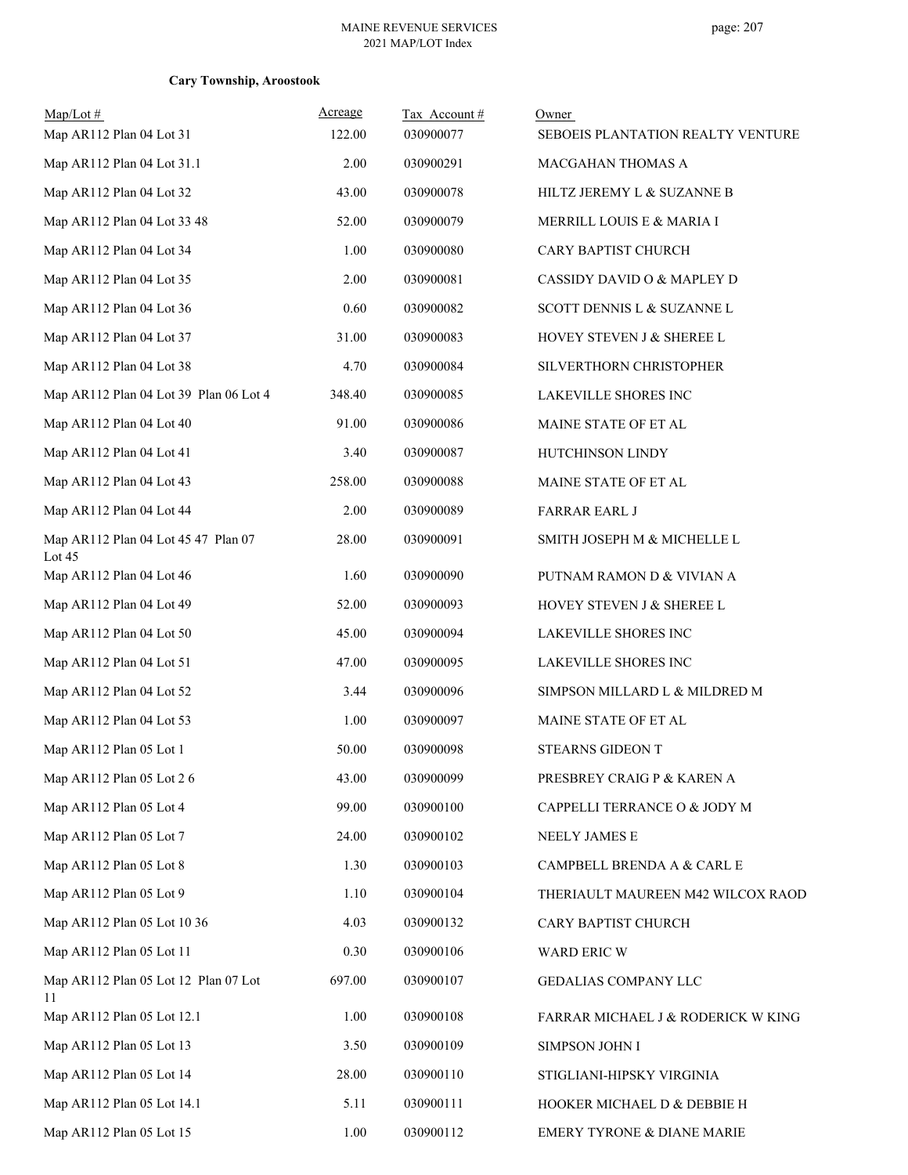| $Map/Lot \#$                                  | Acreage | Tax Account# | Owner                              |
|-----------------------------------------------|---------|--------------|------------------------------------|
| Map AR112 Plan 04 Lot 31                      | 122.00  | 030900077    | SEBOEIS PLANTATION REALTY VENTURE  |
| Map AR112 Plan 04 Lot 31.1                    | 2.00    | 030900291    | MACGAHAN THOMAS A                  |
| Map AR112 Plan 04 Lot 32                      | 43.00   | 030900078    | HILTZ JEREMY L & SUZANNE B         |
| Map AR112 Plan 04 Lot 33 48                   | 52.00   | 030900079    | MERRILL LOUIS E & MARIA I          |
| Map AR112 Plan 04 Lot 34                      | 1.00    | 030900080    | CARY BAPTIST CHURCH                |
| Map AR112 Plan 04 Lot 35                      | 2.00    | 030900081    | CASSIDY DAVID O & MAPLEY D         |
| Map AR112 Plan 04 Lot 36                      | 0.60    | 030900082    | SCOTT DENNIS L & SUZANNE L         |
| Map AR112 Plan 04 Lot 37                      | 31.00   | 030900083    | HOVEY STEVEN J & SHEREE L          |
| Map AR112 Plan 04 Lot 38                      | 4.70    | 030900084    | SILVERTHORN CHRISTOPHER            |
| Map AR112 Plan 04 Lot 39 Plan 06 Lot 4        | 348.40  | 030900085    | LAKEVILLE SHORES INC               |
| Map AR112 Plan 04 Lot 40                      | 91.00   | 030900086    | MAINE STATE OF ET AL               |
| Map AR112 Plan 04 Lot 41                      | 3.40    | 030900087    | HUTCHINSON LINDY                   |
| Map AR112 Plan 04 Lot 43                      | 258.00  | 030900088    | MAINE STATE OF ET AL               |
| Map AR112 Plan 04 Lot 44                      | 2.00    | 030900089    | <b>FARRAR EARL J</b>               |
| Map AR112 Plan 04 Lot 45 47 Plan 07<br>Lot 45 | 28.00   | 030900091    | SMITH JOSEPH M & MICHELLE L        |
| Map AR112 Plan 04 Lot 46                      | 1.60    | 030900090    | PUTNAM RAMON D & VIVIAN A          |
| Map AR112 Plan 04 Lot 49                      | 52.00   | 030900093    | HOVEY STEVEN J & SHEREE L          |
| Map AR112 Plan 04 Lot 50                      | 45.00   | 030900094    | LAKEVILLE SHORES INC               |
| Map AR112 Plan 04 Lot 51                      | 47.00   | 030900095    | LAKEVILLE SHORES INC               |
| Map AR112 Plan 04 Lot 52                      | 3.44    | 030900096    | SIMPSON MILLARD L & MILDRED M      |
| Map AR112 Plan 04 Lot 53                      | 1.00    | 030900097    | MAINE STATE OF ET AL               |
| Map AR112 Plan 05 Lot 1                       | 50.00   | 030900098    | STEARNS GIDEON T                   |
| Map AR112 Plan 05 Lot 2 6                     | 43.00   | 030900099    | PRESBREY CRAIG P & KAREN A         |
| Map AR112 Plan 05 Lot 4                       | 99.00   | 030900100    | CAPPELLI TERRANCE O & JODY M       |
| Map AR112 Plan 05 Lot 7                       | 24.00   | 030900102    | NEELY JAMES E                      |
| Map AR112 Plan 05 Lot 8                       | 1.30    | 030900103    | CAMPBELL BRENDA A & CARL E         |
| Map AR112 Plan 05 Lot 9                       | 1.10    | 030900104    | THERIAULT MAUREEN M42 WILCOX RAOD  |
| Map AR112 Plan 05 Lot 10 36                   | 4.03    | 030900132    | CARY BAPTIST CHURCH                |
| Map AR112 Plan 05 Lot 11                      | 0.30    | 030900106    | WARD ERIC W                        |
| Map AR112 Plan 05 Lot 12 Plan 07 Lot<br>11    | 697.00  | 030900107    | GEDALIAS COMPANY LLC               |
| Map AR112 Plan 05 Lot 12.1                    | 1.00    | 030900108    | FARRAR MICHAEL J & RODERICK W KING |
| Map AR112 Plan 05 Lot 13                      | 3.50    | 030900109    | <b>SIMPSON JOHN I</b>              |
| Map AR112 Plan 05 Lot 14                      | 28.00   | 030900110    | STIGLIANI-HIPSKY VIRGINIA          |
| Map AR112 Plan 05 Lot 14.1                    | 5.11    | 030900111    | HOOKER MICHAEL D & DEBBIE H        |
| Map AR112 Plan 05 Lot 15                      | 1.00    | 030900112    | EMERY TYRONE & DIANE MARIE         |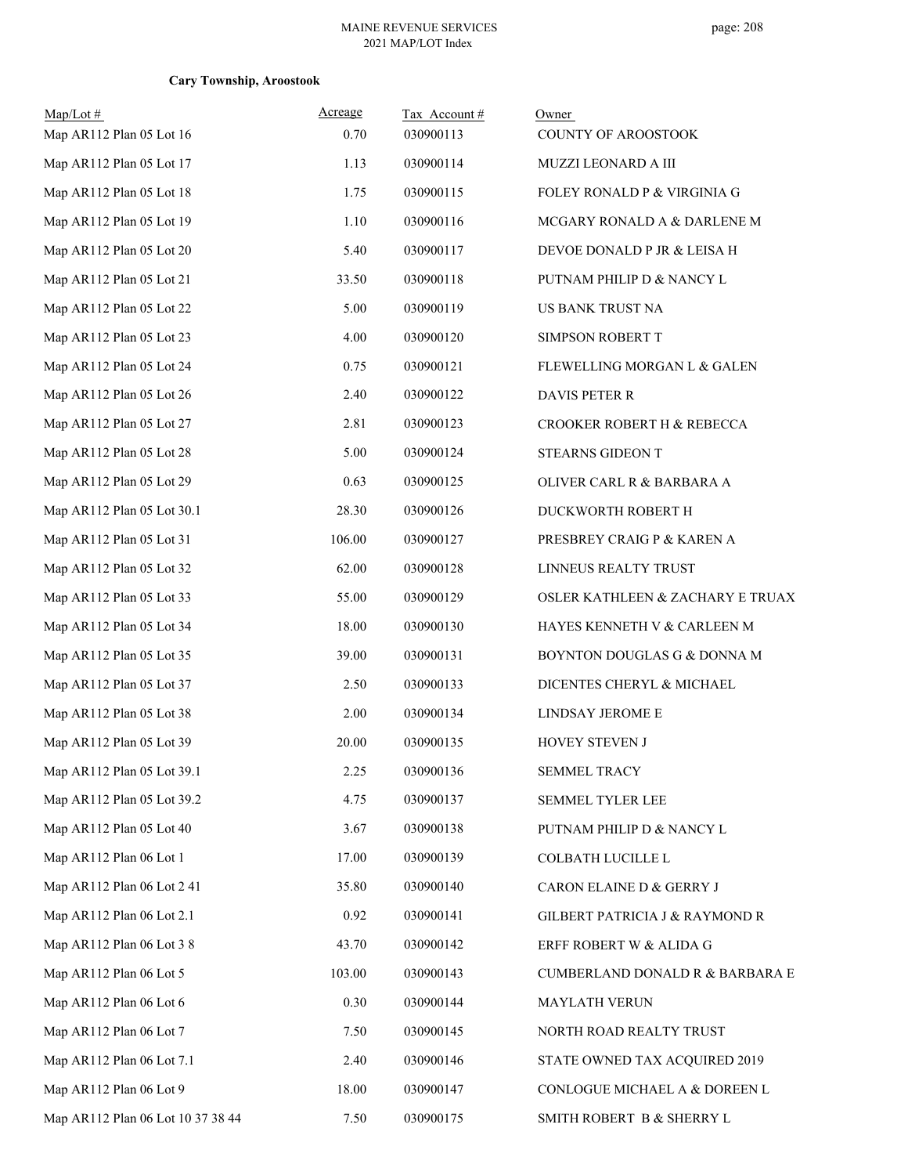| $Map/Lot \#$                      | Acreage | Tax Account# | Owner                            |
|-----------------------------------|---------|--------------|----------------------------------|
| Map AR112 Plan 05 Lot 16          | 0.70    | 030900113    | COUNTY OF AROOSTOOK              |
| Map AR112 Plan 05 Lot 17          | 1.13    | 030900114    | MUZZI LEONARD A III              |
| Map AR112 Plan 05 Lot 18          | 1.75    | 030900115    | FOLEY RONALD P & VIRGINIA G      |
| Map AR112 Plan 05 Lot 19          | 1.10    | 030900116    | MCGARY RONALD A & DARLENE M      |
| Map AR112 Plan 05 Lot 20          | 5.40    | 030900117    | DEVOE DONALD P JR & LEISA H      |
| Map AR112 Plan 05 Lot 21          | 33.50   | 030900118    | PUTNAM PHILIP D & NANCY L        |
| Map AR112 Plan 05 Lot 22          | 5.00    | 030900119    | US BANK TRUST NA                 |
| Map AR112 Plan 05 Lot 23          | 4.00    | 030900120    | SIMPSON ROBERT T                 |
| Map AR112 Plan 05 Lot 24          | 0.75    | 030900121    | FLEWELLING MORGAN L & GALEN      |
| Map AR112 Plan 05 Lot 26          | 2.40    | 030900122    | DAVIS PETER R                    |
| Map AR112 Plan 05 Lot 27          | 2.81    | 030900123    | CROOKER ROBERT H & REBECCA       |
| Map AR112 Plan 05 Lot 28          | 5.00    | 030900124    | STEARNS GIDEON T                 |
| Map AR112 Plan 05 Lot 29          | 0.63    | 030900125    | OLIVER CARL R & BARBARA A        |
| Map AR112 Plan 05 Lot 30.1        | 28.30   | 030900126    | DUCKWORTH ROBERT H               |
| Map AR112 Plan 05 Lot 31          | 106.00  | 030900127    | PRESBREY CRAIG P & KAREN A       |
| Map AR112 Plan 05 Lot 32          | 62.00   | 030900128    | LINNEUS REALTY TRUST             |
| Map AR112 Plan 05 Lot 33          | 55.00   | 030900129    | OSLER KATHLEEN & ZACHARY E TRUAX |
| Map AR112 Plan 05 Lot 34          | 18.00   | 030900130    | HAYES KENNETH V & CARLEEN M      |
| Map AR112 Plan 05 Lot 35          | 39.00   | 030900131    | BOYNTON DOUGLAS G & DONNA M      |
| Map AR112 Plan 05 Lot 37          | 2.50    | 030900133    | DICENTES CHERYL & MICHAEL        |
| Map AR112 Plan 05 Lot 38          | 2.00    | 030900134    | LINDSAY JEROME E                 |
| Map AR112 Plan 05 Lot 39          | 20.00   | 030900135    | HOVEY STEVEN J                   |
| Map AR112 Plan 05 Lot 39.1        | 2.25    | 030900136    | SEMMEL TRACY                     |
| Map AR112 Plan 05 Lot 39.2        | 4.75    | 030900137    | SEMMEL TYLER LEE                 |
| Map AR112 Plan 05 Lot 40          | 3.67    | 030900138    | PUTNAM PHILIP D & NANCY L        |
| Map AR112 Plan 06 Lot 1           | 17.00   | 030900139    | COLBATH LUCILLE L                |
| Map AR112 Plan 06 Lot 2 41        | 35.80   | 030900140    | CARON ELAINE D & GERRY J         |
| Map AR112 Plan 06 Lot 2.1         | 0.92    | 030900141    | GILBERT PATRICIA J & RAYMOND R   |
| Map AR112 Plan 06 Lot 3 8         | 43.70   | 030900142    | ERFF ROBERT W & ALIDA G          |
| Map AR112 Plan 06 Lot 5           | 103.00  | 030900143    | CUMBERLAND DONALD R & BARBARA E  |
| Map AR112 Plan 06 Lot 6           | 0.30    | 030900144    | MAYLATH VERUN                    |
| Map AR112 Plan 06 Lot 7           | 7.50    | 030900145    | NORTH ROAD REALTY TRUST          |
| Map AR112 Plan 06 Lot 7.1         | 2.40    | 030900146    | STATE OWNED TAX ACQUIRED 2019    |
| Map AR112 Plan 06 Lot 9           | 18.00   | 030900147    | CONLOGUE MICHAEL A & DOREEN L    |
| Map AR112 Plan 06 Lot 10 37 38 44 | 7.50    | 030900175    | SMITH ROBERT B & SHERRY L        |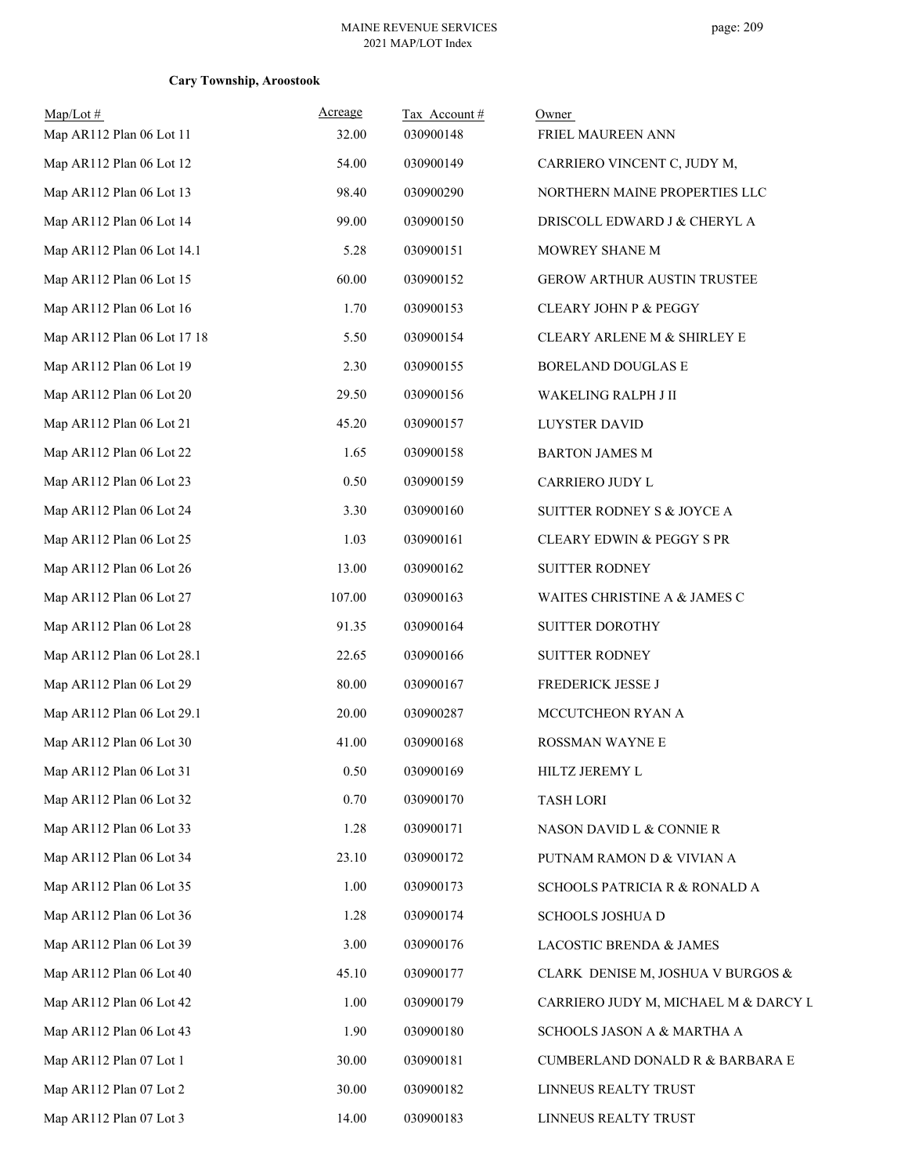| $Map/Lot \#$<br>Map AR112 Plan 06 Lot 11 | Acreage<br>32.00 | Tax Account#<br>030900148 | Owner<br>FRIEL MAUREEN ANN           |
|------------------------------------------|------------------|---------------------------|--------------------------------------|
| Map AR112 Plan 06 Lot 12                 | 54.00            | 030900149                 | CARRIERO VINCENT C, JUDY M,          |
| Map AR112 Plan 06 Lot 13                 | 98.40            | 030900290                 | NORTHERN MAINE PROPERTIES LLC        |
| Map AR112 Plan 06 Lot 14                 | 99.00            | 030900150                 | DRISCOLL EDWARD J & CHERYL A         |
| Map AR112 Plan 06 Lot 14.1               | 5.28             | 030900151                 | MOWREY SHANE M                       |
| Map AR112 Plan 06 Lot 15                 | 60.00            | 030900152                 | GEROW ARTHUR AUSTIN TRUSTEE          |
| Map AR112 Plan 06 Lot 16                 | 1.70             | 030900153                 | CLEARY JOHN P & PEGGY                |
| Map AR112 Plan 06 Lot 17 18              | 5.50             | 030900154                 | CLEARY ARLENE M & SHIRLEY E          |
| Map AR112 Plan 06 Lot 19                 | 2.30             | 030900155                 | BORELAND DOUGLAS E                   |
| Map AR112 Plan 06 Lot 20                 | 29.50            | 030900156                 | WAKELING RALPH J II                  |
| Map AR112 Plan 06 Lot 21                 | 45.20            | 030900157                 | <b>LUYSTER DAVID</b>                 |
| Map AR112 Plan 06 Lot 22                 | 1.65             | 030900158                 | <b>BARTON JAMES M</b>                |
| Map AR112 Plan 06 Lot 23                 | 0.50             | 030900159                 | CARRIERO JUDY L                      |
| Map AR112 Plan 06 Lot 24                 | 3.30             | 030900160                 | SUITTER RODNEY S & JOYCE A           |
| Map AR112 Plan 06 Lot 25                 | 1.03             | 030900161                 | CLEARY EDWIN & PEGGY S PR            |
| Map AR112 Plan 06 Lot 26                 | 13.00            | 030900162                 | <b>SUITTER RODNEY</b>                |
| Map AR112 Plan 06 Lot 27                 | 107.00           | 030900163                 | WAITES CHRISTINE A & JAMES C         |
| Map AR112 Plan 06 Lot 28                 | 91.35            | 030900164                 | SUITTER DOROTHY                      |
| Map AR112 Plan 06 Lot 28.1               | 22.65            | 030900166                 | <b>SUITTER RODNEY</b>                |
| Map AR112 Plan 06 Lot 29                 | 80.00            | 030900167                 | FREDERICK JESSE J                    |
| Map AR112 Plan 06 Lot 29.1               | 20.00            | 030900287                 | MCCUTCHEON RYAN A                    |
| Map AR112 Plan 06 Lot 30                 | 41.00            | 030900168                 | ROSSMAN WAYNE E                      |
| Map AR112 Plan 06 Lot 31                 | $0.50\,$         | 030900169                 | HILTZ JEREMY L                       |
| Map AR112 Plan 06 Lot 32                 | 0.70             | 030900170                 | <b>TASH LORI</b>                     |
| Map AR112 Plan 06 Lot 33                 | 1.28             | 030900171                 | NASON DAVID L & CONNIE R             |
| Map AR112 Plan 06 Lot 34                 | 23.10            | 030900172                 | PUTNAM RAMON D & VIVIAN A            |
| Map AR112 Plan 06 Lot 35                 | 1.00             | 030900173                 | SCHOOLS PATRICIA R & RONALD A        |
| Map AR112 Plan 06 Lot 36                 | 1.28             | 030900174                 | <b>SCHOOLS JOSHUA D</b>              |
| Map AR112 Plan 06 Lot 39                 | 3.00             | 030900176                 | LACOSTIC BRENDA & JAMES              |
| Map AR112 Plan 06 Lot 40                 | 45.10            | 030900177                 | CLARK DENISE M, JOSHUA V BURGOS &    |
| Map AR112 Plan 06 Lot 42                 | 1.00             | 030900179                 | CARRIERO JUDY M, MICHAEL M & DARCY L |
| Map AR112 Plan 06 Lot 43                 | 1.90             | 030900180                 | SCHOOLS JASON A & MARTHA A           |
| Map AR112 Plan 07 Lot 1                  | 30.00            | 030900181                 | CUMBERLAND DONALD R & BARBARA E      |
| Map AR112 Plan 07 Lot 2                  | 30.00            | 030900182                 | LINNEUS REALTY TRUST                 |
| Map AR112 Plan 07 Lot 3                  | 14.00            | 030900183                 | LINNEUS REALTY TRUST                 |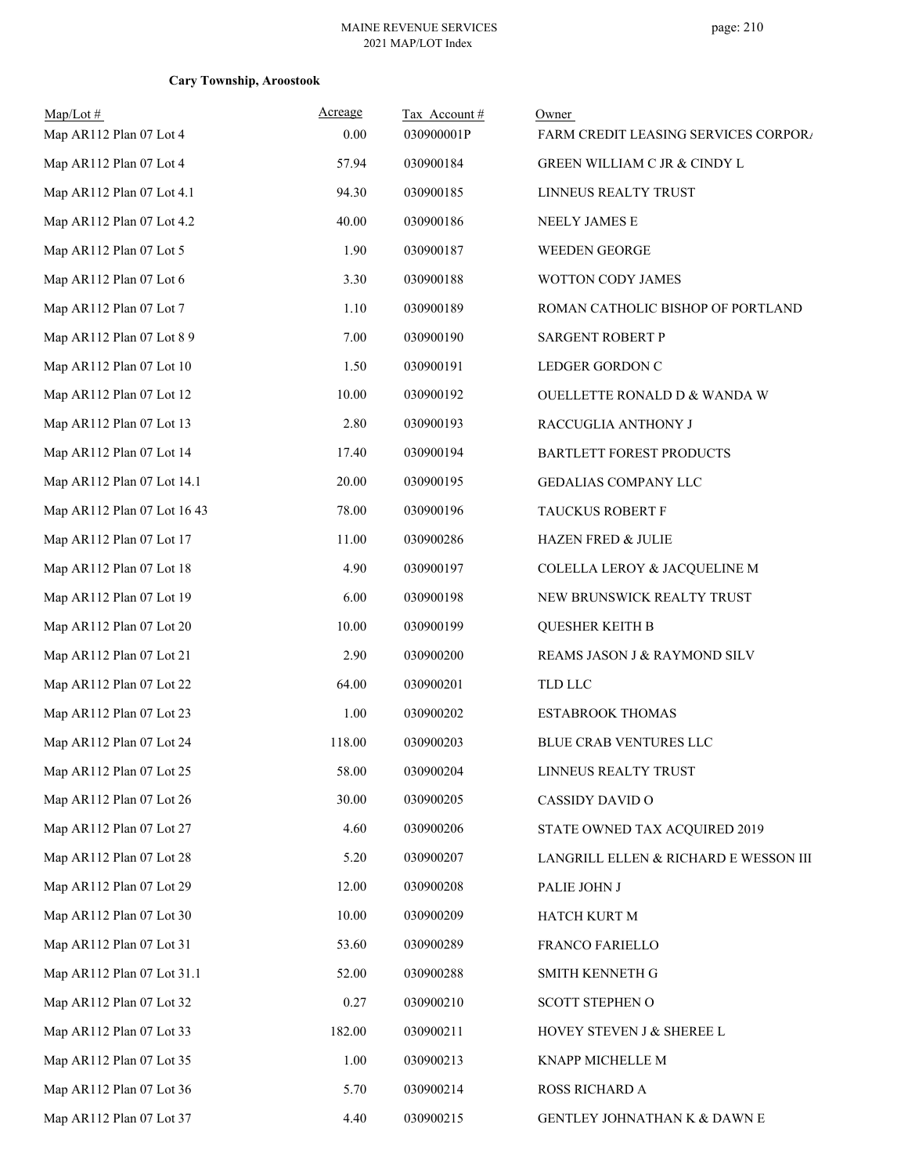| Map/Lot#<br>Map AR112 Plan 07 Lot 4 | Acreage<br>0.00 | Tax Account#<br>030900001P | Owner<br>FARM CREDIT LEASING SERVICES CORPORA |
|-------------------------------------|-----------------|----------------------------|-----------------------------------------------|
| Map AR112 Plan 07 Lot 4             | 57.94           | 030900184                  | GREEN WILLIAM C JR & CINDY L                  |
|                                     |                 |                            |                                               |
| Map AR112 Plan 07 Lot 4.1           | 94.30           | 030900185                  | LINNEUS REALTY TRUST                          |
| Map AR112 Plan 07 Lot 4.2           | 40.00           | 030900186                  | NEELY JAMES E                                 |
| Map AR112 Plan 07 Lot 5             | 1.90            | 030900187                  | WEEDEN GEORGE                                 |
| Map AR112 Plan 07 Lot 6             | 3.30            | 030900188                  | WOTTON CODY JAMES                             |
| Map AR112 Plan 07 Lot 7             | 1.10            | 030900189                  | ROMAN CATHOLIC BISHOP OF PORTLAND             |
| Map AR112 Plan 07 Lot 8 9           | 7.00            | 030900190                  | SARGENT ROBERT P                              |
| Map AR112 Plan 07 Lot 10            | 1.50            | 030900191                  | LEDGER GORDON C                               |
| Map AR112 Plan 07 Lot 12            | 10.00           | 030900192                  | OUELLETTE RONALD D & WANDA W                  |
| Map AR112 Plan 07 Lot 13            | 2.80            | 030900193                  | RACCUGLIA ANTHONY J                           |
| Map AR112 Plan 07 Lot 14            | 17.40           | 030900194                  | <b>BARTLETT FOREST PRODUCTS</b>               |
| Map AR112 Plan 07 Lot 14.1          | 20.00           | 030900195                  | GEDALIAS COMPANY LLC                          |
| Map AR112 Plan 07 Lot 16 43         | 78.00           | 030900196                  | TAUCKUS ROBERT F                              |
| Map AR112 Plan 07 Lot 17            | 11.00           | 030900286                  | <b>HAZEN FRED &amp; JULIE</b>                 |
| Map AR112 Plan 07 Lot 18            | 4.90            | 030900197                  | COLELLA LEROY & JACQUELINE M                  |
| Map AR112 Plan 07 Lot 19            | 6.00            | 030900198                  | NEW BRUNSWICK REALTY TRUST                    |
| Map AR112 Plan 07 Lot 20            | 10.00           | 030900199                  | <b>QUESHER KEITH B</b>                        |
| Map AR112 Plan 07 Lot 21            | 2.90            | 030900200                  | REAMS JASON J & RAYMOND SILV                  |
| Map AR112 Plan 07 Lot 22            | 64.00           | 030900201                  | <b>TLD LLC</b>                                |
| Map AR112 Plan 07 Lot 23            | 1.00            | 030900202                  | ESTABROOK THOMAS                              |
| Map AR112 Plan 07 Lot 24            | 118.00          | 030900203                  | BLUE CRAB VENTURES LLC                        |
| Map AR112 Plan 07 Lot 25            | 58.00           | 030900204                  | LINNEUS REALTY TRUST                          |
| Map AR112 Plan 07 Lot 26            | 30.00           | 030900205                  | CASSIDY DAVID O                               |
| Map AR112 Plan 07 Lot 27            | 4.60            | 030900206                  | STATE OWNED TAX ACQUIRED 2019                 |
| Map AR112 Plan 07 Lot 28            | 5.20            | 030900207                  | LANGRILL ELLEN & RICHARD E WESSON III         |
| Map AR112 Plan 07 Lot 29            | 12.00           | 030900208                  | PALIE JOHN J                                  |
| Map AR112 Plan 07 Lot 30            | 10.00           | 030900209                  | HATCH KURT M                                  |
| Map AR112 Plan 07 Lot 31            | 53.60           | 030900289                  | FRANCO FARIELLO                               |
| Map AR112 Plan 07 Lot 31.1          | 52.00           | 030900288                  | SMITH KENNETH G                               |
| Map AR112 Plan 07 Lot 32            | 0.27            | 030900210                  | <b>SCOTT STEPHEN O</b>                        |
| Map AR112 Plan 07 Lot 33            | 182.00          | 030900211                  | HOVEY STEVEN J & SHEREE L                     |
| Map AR112 Plan 07 Lot 35            | 1.00            | 030900213                  | KNAPP MICHELLE M                              |
| Map AR112 Plan 07 Lot 36            | 5.70            | 030900214                  | ROSS RICHARD A                                |
| Map AR112 Plan 07 Lot 37            | 4.40            | 030900215                  | GENTLEY JOHNATHAN K & DAWN E                  |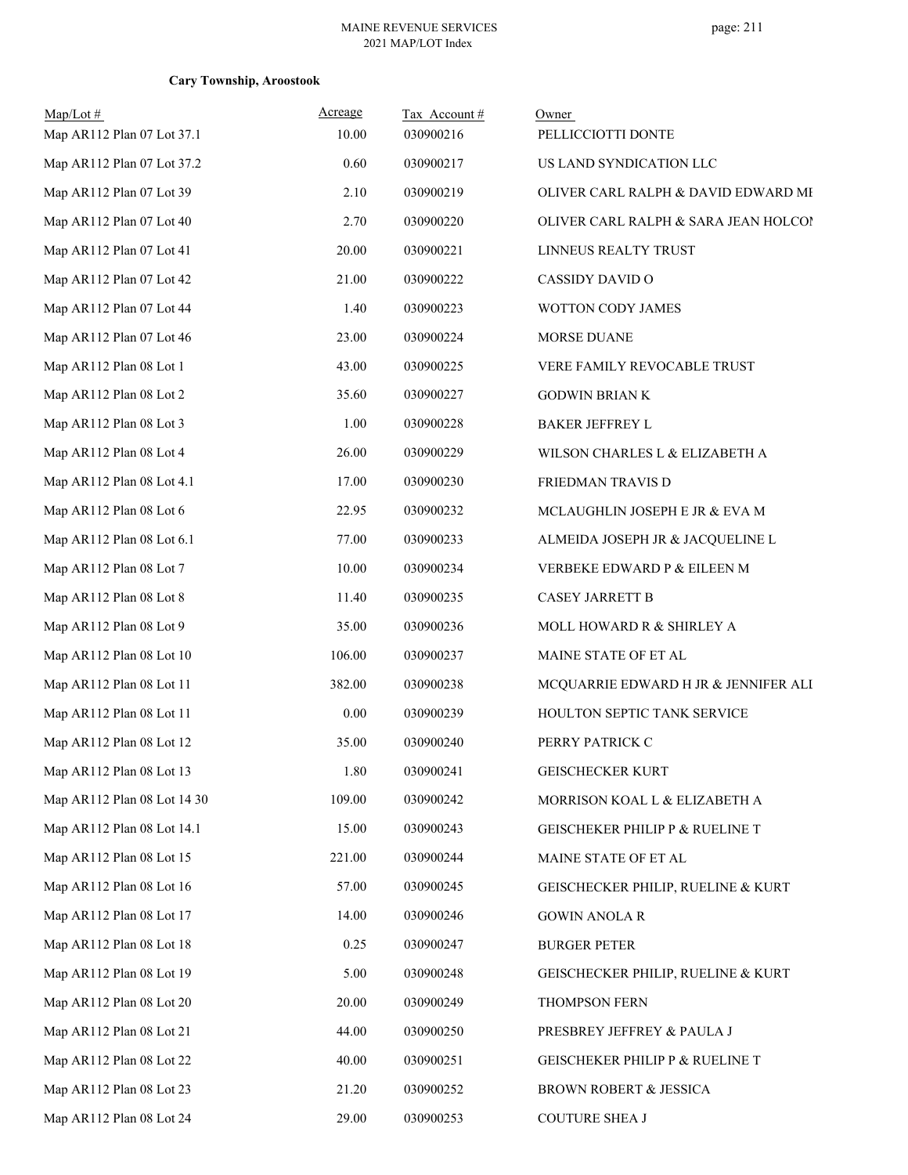| Map/Lot#<br>Map AR112 Plan 07 Lot 37.1 | Acreage<br>10.00 | Tax Account#<br>030900216 | Owner<br>PELLICCIOTTI DONTE          |
|----------------------------------------|------------------|---------------------------|--------------------------------------|
| Map AR112 Plan 07 Lot 37.2             | 0.60             | 030900217                 | US LAND SYNDICATION LLC              |
| Map AR112 Plan 07 Lot 39               | 2.10             | 030900219                 | OLIVER CARL RALPH & DAVID EDWARD MI  |
| Map AR112 Plan 07 Lot 40               | 2.70             | 030900220                 | OLIVER CARL RALPH & SARA JEAN HOLCO! |
| Map AR112 Plan 07 Lot 41               | 20.00            | 030900221                 | LINNEUS REALTY TRUST                 |
| Map AR112 Plan 07 Lot 42               | 21.00            | 030900222                 | CASSIDY DAVID O                      |
| Map AR112 Plan 07 Lot 44               | 1.40             | 030900223                 | WOTTON CODY JAMES                    |
| Map AR112 Plan 07 Lot 46               | 23.00            | 030900224                 | MORSE DUANE                          |
| Map AR112 Plan 08 Lot 1                | 43.00            | 030900225                 | VERE FAMILY REVOCABLE TRUST          |
| Map AR112 Plan 08 Lot 2                | 35.60            | 030900227                 | <b>GODWIN BRIAN K</b>                |
| Map AR112 Plan 08 Lot 3                | 1.00             | 030900228                 | <b>BAKER JEFFREY L</b>               |
| Map AR112 Plan 08 Lot 4                | 26.00            | 030900229                 | WILSON CHARLES L & ELIZABETH A       |
| Map AR112 Plan 08 Lot 4.1              | 17.00            | 030900230                 | FRIEDMAN TRAVIS D                    |
| Map AR112 Plan 08 Lot 6                | 22.95            | 030900232                 | MCLAUGHLIN JOSEPH E JR & EVA M       |
| Map AR112 Plan 08 Lot 6.1              | 77.00            | 030900233                 | ALMEIDA JOSEPH JR & JACQUELINE L     |
| Map AR112 Plan 08 Lot 7                | 10.00            | 030900234                 | VERBEKE EDWARD P & EILEEN M          |
| Map AR112 Plan 08 Lot 8                | 11.40            | 030900235                 | <b>CASEY JARRETT B</b>               |
| Map AR112 Plan 08 Lot 9                | 35.00            | 030900236                 | MOLL HOWARD R & SHIRLEY A            |
| Map AR112 Plan 08 Lot 10               | 106.00           | 030900237                 | MAINE STATE OF ET AL                 |
| Map AR112 Plan 08 Lot 11               | 382.00           | 030900238                 | MCQUARRIE EDWARD H JR & JENNIFER ALI |
| Map AR112 Plan 08 Lot 11               | 0.00             | 030900239                 | HOULTON SEPTIC TANK SERVICE          |
| Map AR112 Plan 08 Lot 12               | 35.00            | 030900240                 | PERRY PATRICK C                      |
| Map AR112 Plan 08 Lot 13               | 1.80             | 030900241                 | <b>GEISCHECKER KURT</b>              |
| Map AR112 Plan 08 Lot 14 30            | 109.00           | 030900242                 | MORRISON KOAL L & ELIZABETH A        |
| Map AR112 Plan 08 Lot 14.1             | 15.00            | 030900243                 | GEISCHEKER PHILIP P & RUELINE T      |
| Map AR112 Plan 08 Lot 15               | 221.00           | 030900244                 | MAINE STATE OF ET AL                 |
| Map AR112 Plan 08 Lot 16               | 57.00            | 030900245                 | GEISCHECKER PHILIP, RUELINE & KURT   |
| Map AR112 Plan 08 Lot 17               | 14.00            | 030900246                 | <b>GOWIN ANOLAR</b>                  |
| Map AR112 Plan 08 Lot 18               | 0.25             | 030900247                 | <b>BURGER PETER</b>                  |
| Map AR112 Plan 08 Lot 19               | 5.00             | 030900248                 | GEISCHECKER PHILIP, RUELINE & KURT   |
| Map AR112 Plan 08 Lot 20               | 20.00            | 030900249                 | THOMPSON FERN                        |
| Map AR112 Plan 08 Lot 21               | 44.00            | 030900250                 | PRESBREY JEFFREY & PAULA J           |
| Map AR112 Plan 08 Lot 22               | 40.00            | 030900251                 | GEISCHEKER PHILIP P & RUELINE T      |
| Map AR112 Plan 08 Lot 23               | 21.20            | 030900252                 | BROWN ROBERT & JESSICA               |
| Map AR112 Plan 08 Lot 24               | 29.00            | 030900253                 | COUTURE SHEA J                       |